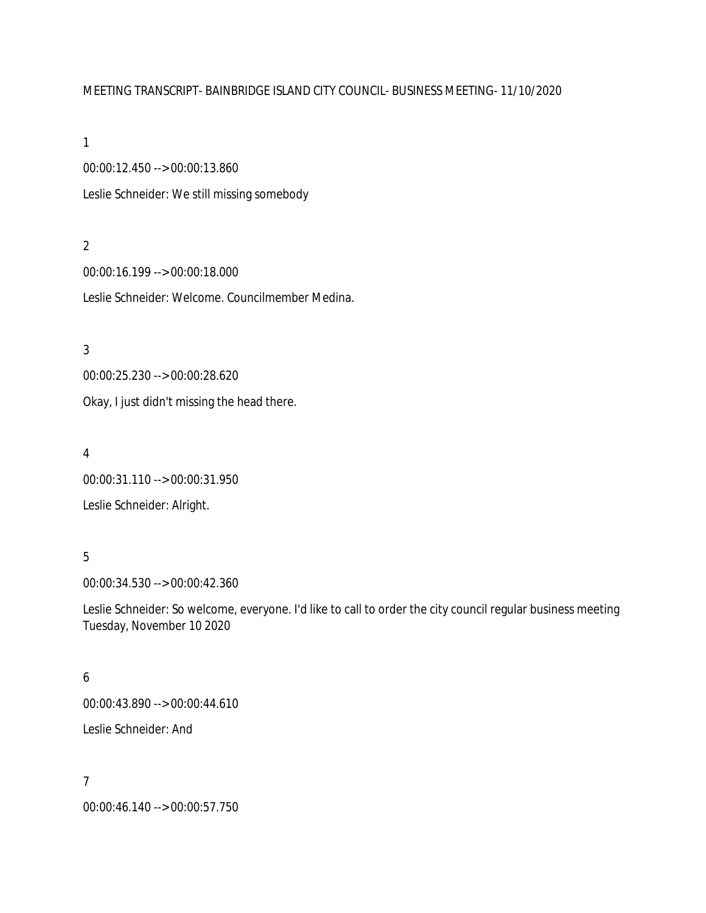# MEETING TRANSCRIPT- BAINBRIDGE ISLAND CITY COUNCIL- BUSINESS MEETING- 11/10/2020

#### 1

00:00:12.450 --> 00:00:13.860 Leslie Schneider: We still missing somebody

# 2

00:00:16.199 --> 00:00:18.000 Leslie Schneider: Welcome. Councilmember Medina.

# 3

00:00:25.230 --> 00:00:28.620

Okay, I just didn't missing the head there.

# 4

00:00:31.110 --> 00:00:31.950 Leslie Schneider: Alright.

# 5

00:00:34.530 --> 00:00:42.360

Leslie Schneider: So welcome, everyone. I'd like to call to order the city council regular business meeting Tuesday, November 10 2020

# 6

00:00:43.890 --> 00:00:44.610

Leslie Schneider: And

# 7

00:00:46.140 --> 00:00:57.750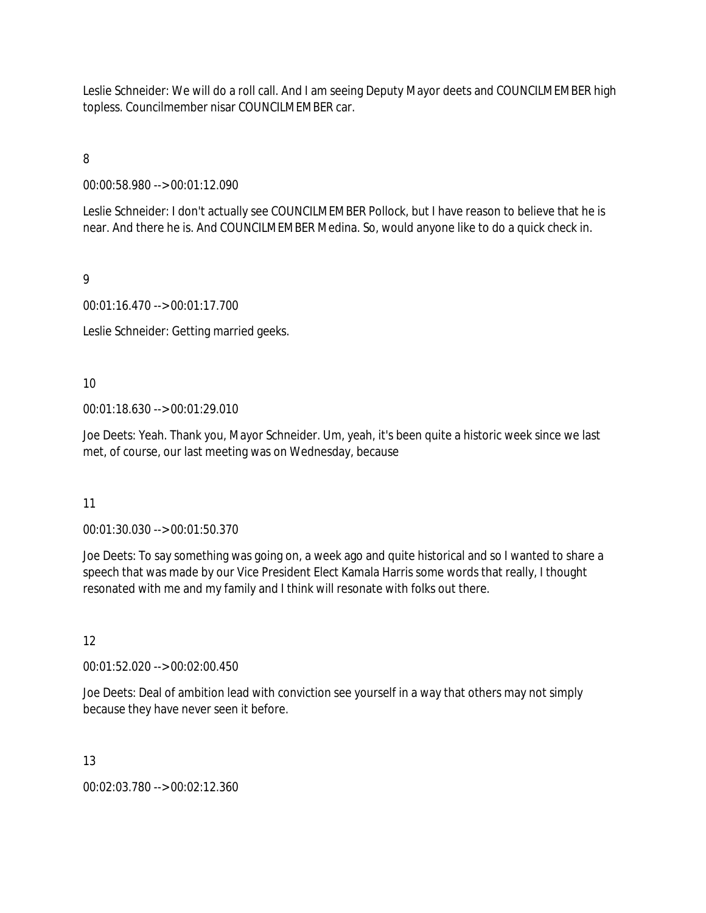Leslie Schneider: We will do a roll call. And I am seeing Deputy Mayor deets and COUNCILMEMBER high topless. Councilmember nisar COUNCILMEMBER car.

8

00:00:58.980 --> 00:01:12.090

Leslie Schneider: I don't actually see COUNCILMEMBER Pollock, but I have reason to believe that he is near. And there he is. And COUNCILMEMBER Medina. So, would anyone like to do a quick check in.

9

00:01:16.470 --> 00:01:17.700

Leslie Schneider: Getting married geeks.

10

00:01:18.630 --> 00:01:29.010

Joe Deets: Yeah. Thank you, Mayor Schneider. Um, yeah, it's been quite a historic week since we last met, of course, our last meeting was on Wednesday, because

11

00:01:30.030 --> 00:01:50.370

Joe Deets: To say something was going on, a week ago and quite historical and so I wanted to share a speech that was made by our Vice President Elect Kamala Harris some words that really, I thought resonated with me and my family and I think will resonate with folks out there.

12

00:01:52.020 --> 00:02:00.450

Joe Deets: Deal of ambition lead with conviction see yourself in a way that others may not simply because they have never seen it before.

13

00:02:03.780 --> 00:02:12.360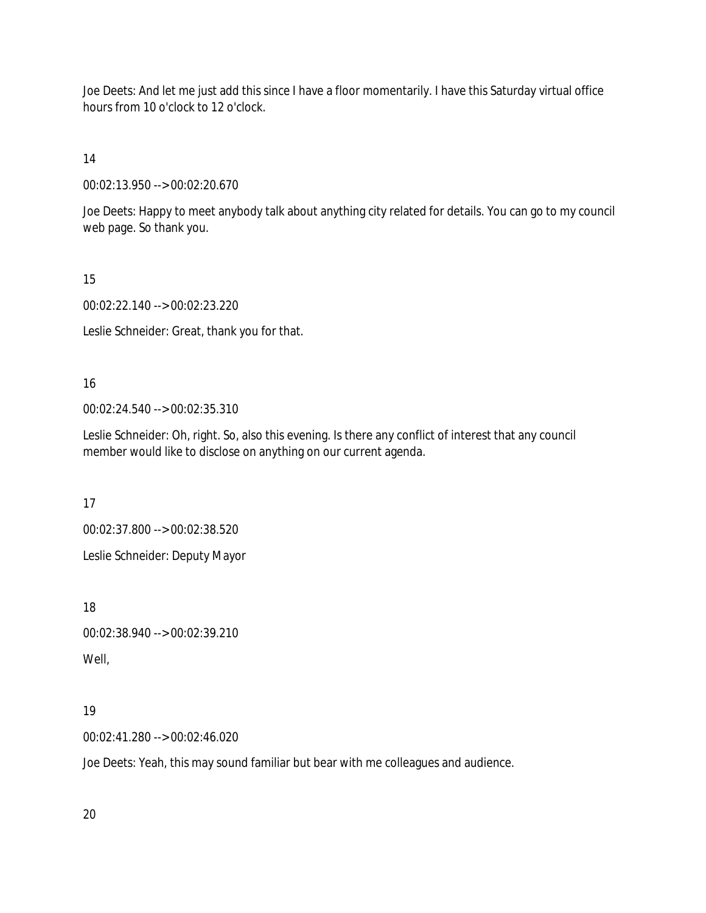Joe Deets: And let me just add this since I have a floor momentarily. I have this Saturday virtual office hours from 10 o'clock to 12 o'clock.

14

00:02:13.950 --> 00:02:20.670

Joe Deets: Happy to meet anybody talk about anything city related for details. You can go to my council web page. So thank you.

15

00:02:22.140 --> 00:02:23.220

Leslie Schneider: Great, thank you for that.

16

00:02:24.540 --> 00:02:35.310

Leslie Schneider: Oh, right. So, also this evening. Is there any conflict of interest that any council member would like to disclose on anything on our current agenda.

17

00:02:37.800 --> 00:02:38.520

Leslie Schneider: Deputy Mayor

18

00:02:38.940 --> 00:02:39.210 Well,

# 19

00:02:41.280 --> 00:02:46.020

Joe Deets: Yeah, this may sound familiar but bear with me colleagues and audience.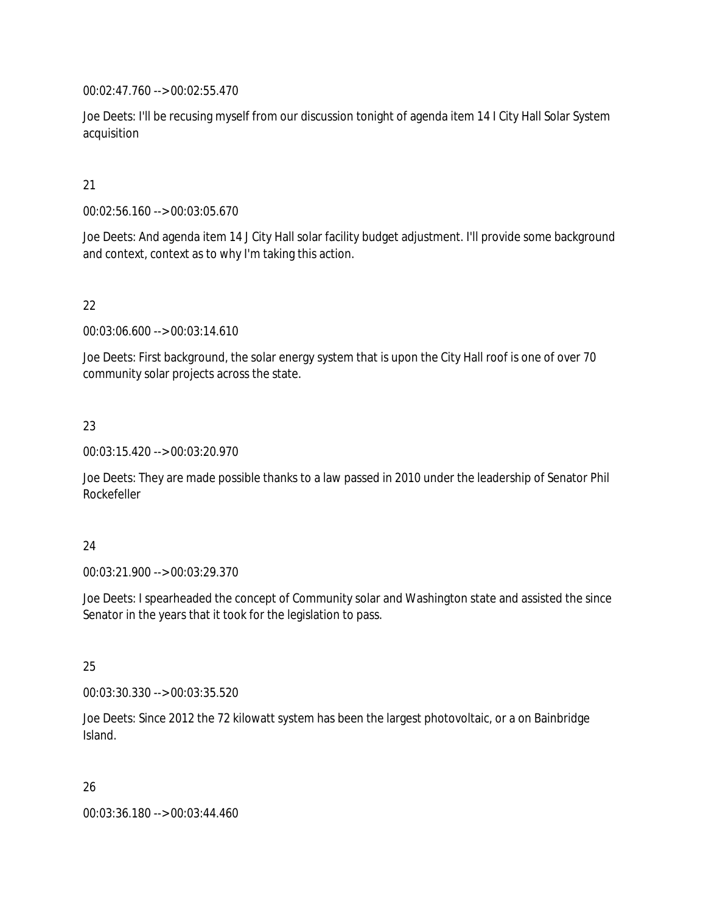00:02:47.760 --> 00:02:55.470

Joe Deets: I'll be recusing myself from our discussion tonight of agenda item 14 I City Hall Solar System acquisition

# 21

00:02:56.160 --> 00:03:05.670

Joe Deets: And agenda item 14 J City Hall solar facility budget adjustment. I'll provide some background and context, context as to why I'm taking this action.

# 22

00:03:06.600 --> 00:03:14.610

Joe Deets: First background, the solar energy system that is upon the City Hall roof is one of over 70 community solar projects across the state.

# 23

00:03:15.420 --> 00:03:20.970

Joe Deets: They are made possible thanks to a law passed in 2010 under the leadership of Senator Phil Rockefeller

# 24

00:03:21.900 --> 00:03:29.370

Joe Deets: I spearheaded the concept of Community solar and Washington state and assisted the since Senator in the years that it took for the legislation to pass.

# 25

00:03:30.330 --> 00:03:35.520

Joe Deets: Since 2012 the 72 kilowatt system has been the largest photovoltaic, or a on Bainbridge Island.

# 26

00:03:36.180 --> 00:03:44.460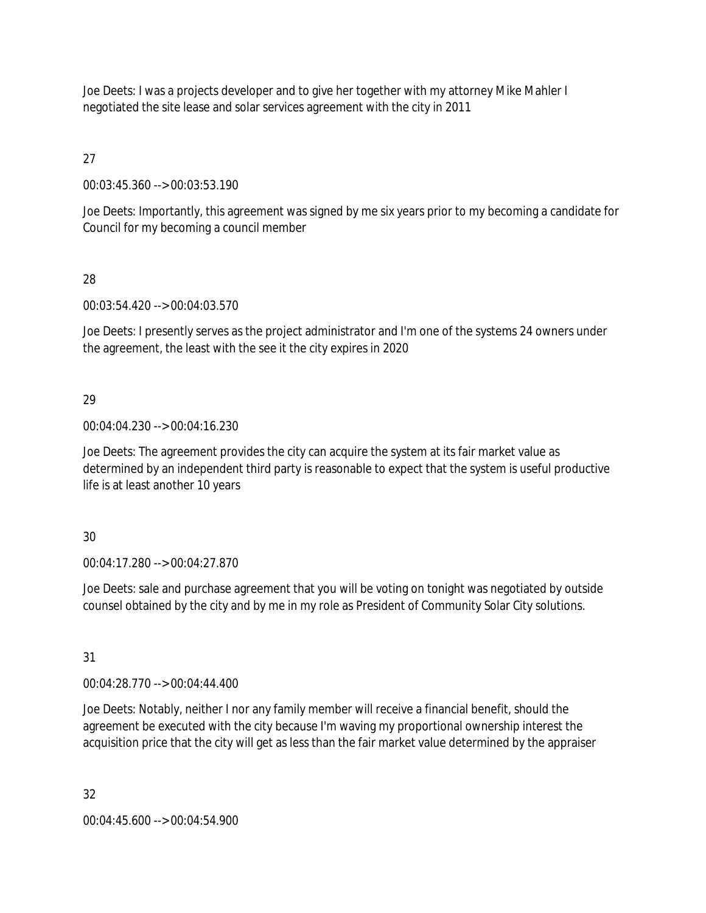Joe Deets: I was a projects developer and to give her together with my attorney Mike Mahler I negotiated the site lease and solar services agreement with the city in 2011

27

00:03:45.360 --> 00:03:53.190

Joe Deets: Importantly, this agreement was signed by me six years prior to my becoming a candidate for Council for my becoming a council member

28

00:03:54.420 --> 00:04:03.570

Joe Deets: I presently serves as the project administrator and I'm one of the systems 24 owners under the agreement, the least with the see it the city expires in 2020

# 29

00:04:04.230 --> 00:04:16.230

Joe Deets: The agreement provides the city can acquire the system at its fair market value as determined by an independent third party is reasonable to expect that the system is useful productive life is at least another 10 years

30

00:04:17.280 --> 00:04:27.870

Joe Deets: sale and purchase agreement that you will be voting on tonight was negotiated by outside counsel obtained by the city and by me in my role as President of Community Solar City solutions.

31

00:04:28.770 --> 00:04:44.400

Joe Deets: Notably, neither I nor any family member will receive a financial benefit, should the agreement be executed with the city because I'm waving my proportional ownership interest the acquisition price that the city will get as less than the fair market value determined by the appraiser

32

00:04:45.600 --> 00:04:54.900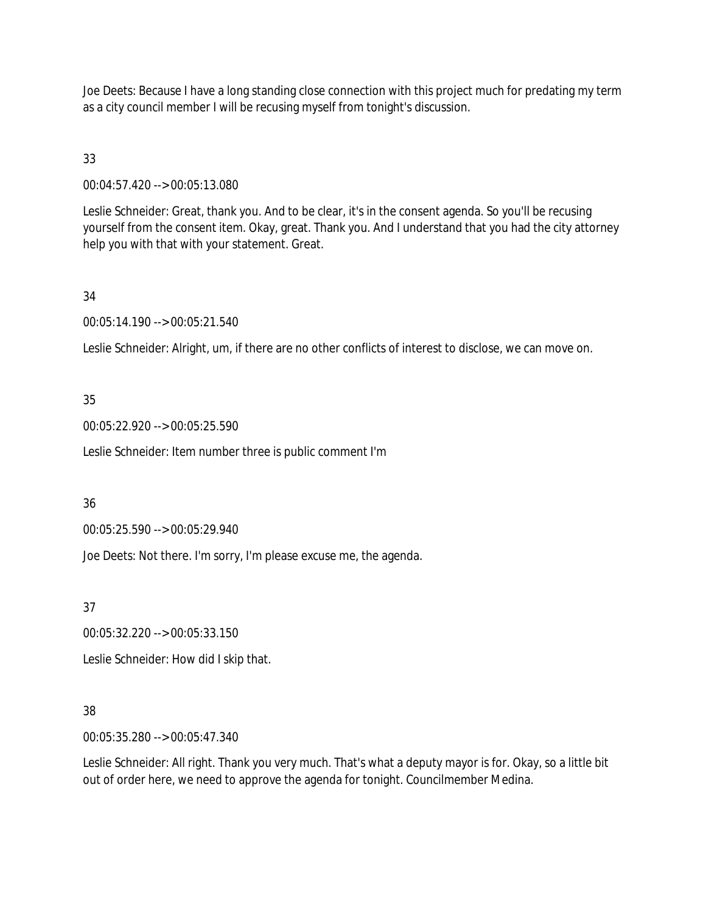Joe Deets: Because I have a long standing close connection with this project much for predating my term as a city council member I will be recusing myself from tonight's discussion.

# 33

00:04:57.420 --> 00:05:13.080

Leslie Schneider: Great, thank you. And to be clear, it's in the consent agenda. So you'll be recusing yourself from the consent item. Okay, great. Thank you. And I understand that you had the city attorney help you with that with your statement. Great.

# 34

00:05:14.190 --> 00:05:21.540

Leslie Schneider: Alright, um, if there are no other conflicts of interest to disclose, we can move on.

# 35

00:05:22.920 --> 00:05:25.590

Leslie Schneider: Item number three is public comment I'm

# 36

00:05:25.590 --> 00:05:29.940

Joe Deets: Not there. I'm sorry, I'm please excuse me, the agenda.

37

00:05:32.220 --> 00:05:33.150

Leslie Schneider: How did I skip that.

# 38

00:05:35.280 --> 00:05:47.340

Leslie Schneider: All right. Thank you very much. That's what a deputy mayor is for. Okay, so a little bit out of order here, we need to approve the agenda for tonight. Councilmember Medina.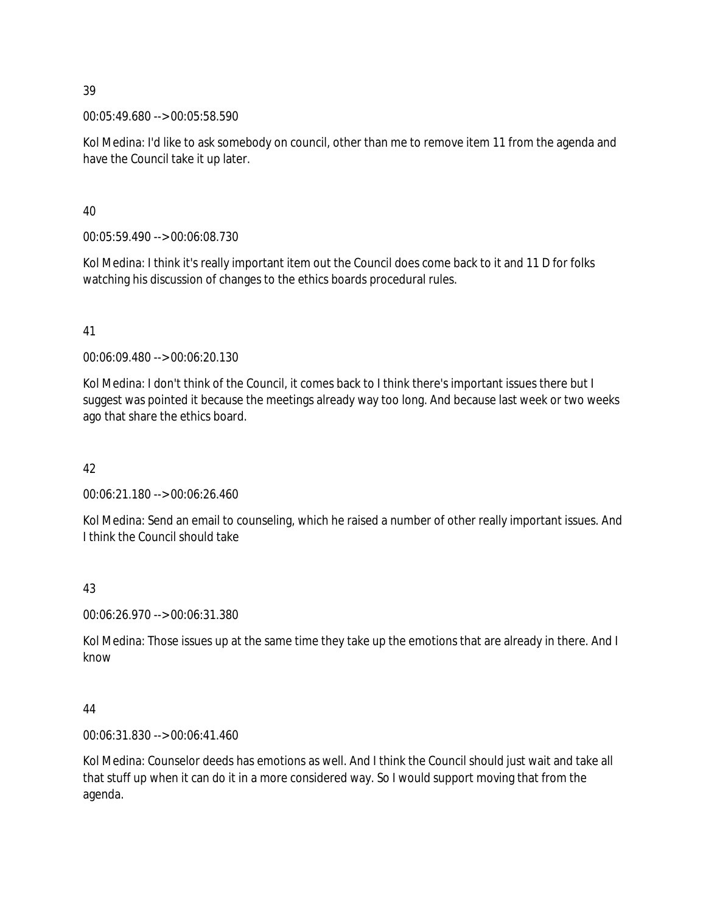00:05:49.680 --> 00:05:58.590

Kol Medina: I'd like to ask somebody on council, other than me to remove item 11 from the agenda and have the Council take it up later.

40

00:05:59.490 --> 00:06:08.730

Kol Medina: I think it's really important item out the Council does come back to it and 11 D for folks watching his discussion of changes to the ethics boards procedural rules.

41

00:06:09.480 --> 00:06:20.130

Kol Medina: I don't think of the Council, it comes back to I think there's important issues there but I suggest was pointed it because the meetings already way too long. And because last week or two weeks ago that share the ethics board.

42

00:06:21.180 --> 00:06:26.460

Kol Medina: Send an email to counseling, which he raised a number of other really important issues. And I think the Council should take

43

00:06:26.970 --> 00:06:31.380

Kol Medina: Those issues up at the same time they take up the emotions that are already in there. And I know

# 44

00:06:31.830 --> 00:06:41.460

Kol Medina: Counselor deeds has emotions as well. And I think the Council should just wait and take all that stuff up when it can do it in a more considered way. So I would support moving that from the agenda.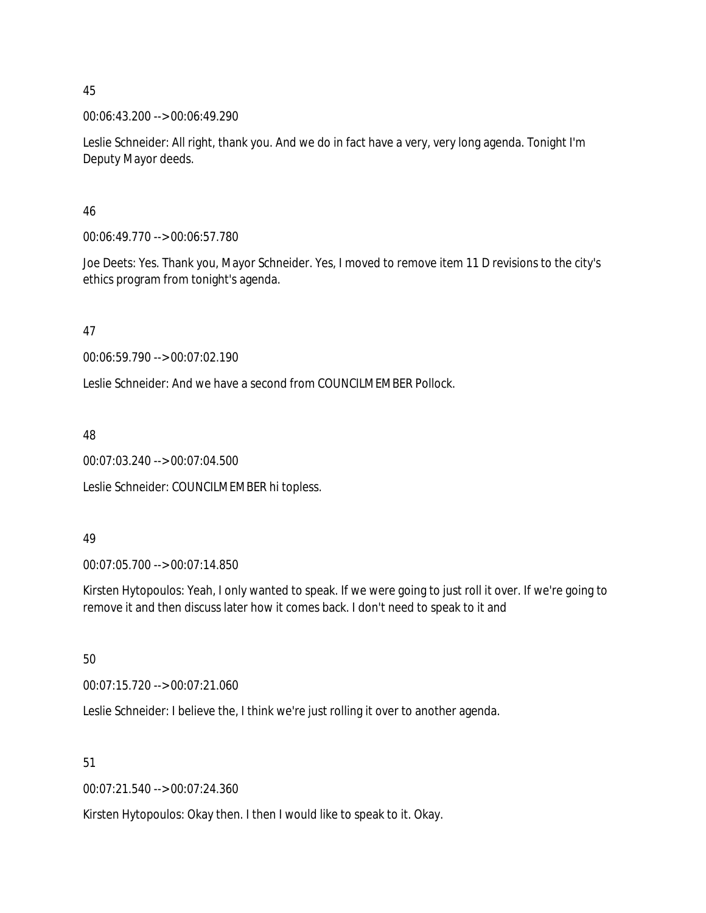00:06:43.200 --> 00:06:49.290

Leslie Schneider: All right, thank you. And we do in fact have a very, very long agenda. Tonight I'm Deputy Mayor deeds.

# 46

00:06:49.770 --> 00:06:57.780

Joe Deets: Yes. Thank you, Mayor Schneider. Yes, I moved to remove item 11 D revisions to the city's ethics program from tonight's agenda.

47

00:06:59.790 --> 00:07:02.190

Leslie Schneider: And we have a second from COUNCILMEMBER Pollock.

48

00:07:03.240 --> 00:07:04.500

Leslie Schneider: COUNCILMEMBER hi topless.

# 49

00:07:05.700 --> 00:07:14.850

Kirsten Hytopoulos: Yeah, I only wanted to speak. If we were going to just roll it over. If we're going to remove it and then discuss later how it comes back. I don't need to speak to it and

# 50

00:07:15.720 --> 00:07:21.060

Leslie Schneider: I believe the, I think we're just rolling it over to another agenda.

51

00:07:21.540 --> 00:07:24.360

Kirsten Hytopoulos: Okay then. I then I would like to speak to it. Okay.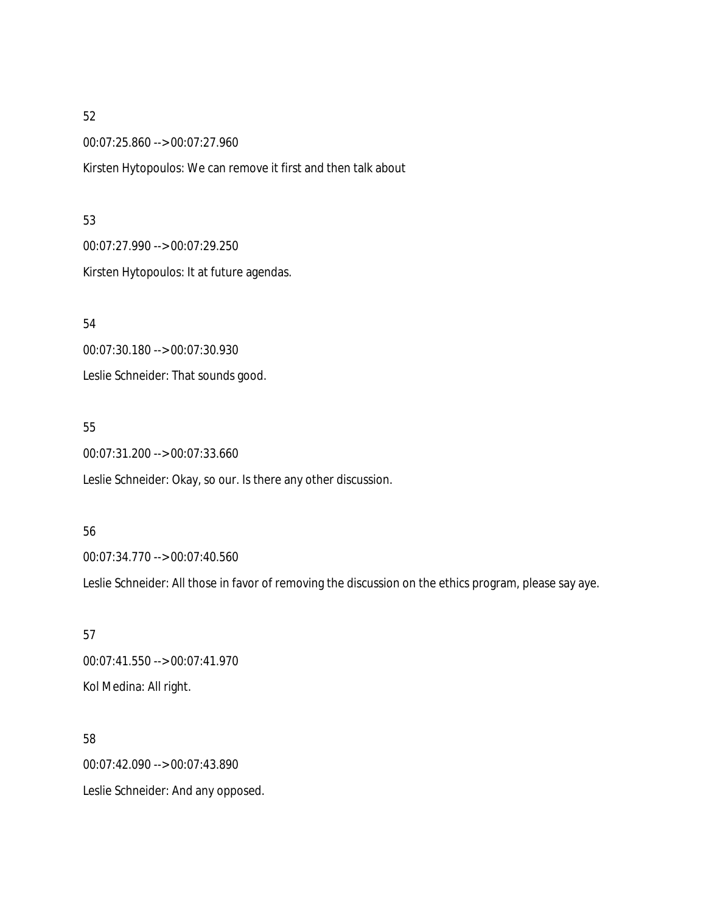00:07:25.860 --> 00:07:27.960

Kirsten Hytopoulos: We can remove it first and then talk about

#### 53

00:07:27.990 --> 00:07:29.250 Kirsten Hytopoulos: It at future agendas.

54 00:07:30.180 --> 00:07:30.930 Leslie Schneider: That sounds good.

# 55

00:07:31.200 --> 00:07:33.660

Leslie Schneider: Okay, so our. Is there any other discussion.

# 56

00:07:34.770 --> 00:07:40.560

Leslie Schneider: All those in favor of removing the discussion on the ethics program, please say aye.

# 57 00:07:41.550 --> 00:07:41.970 Kol Medina: All right.

58 00:07:42.090 --> 00:07:43.890 Leslie Schneider: And any opposed.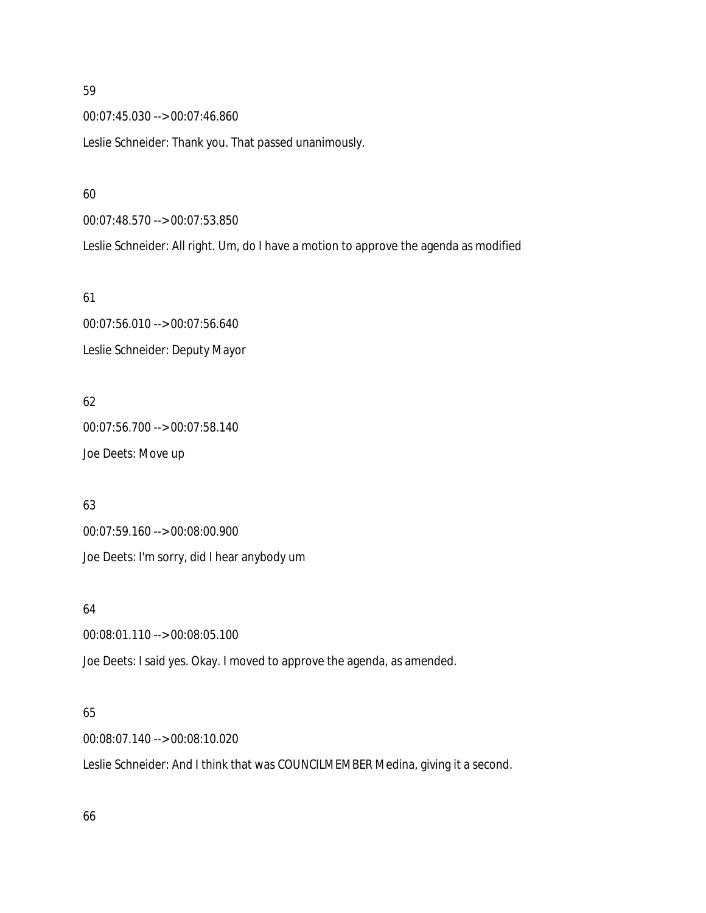# 00:07:45.030 --> 00:07:46.860 Leslie Schneider: Thank you. That passed unanimously.

60

59

00:07:48.570 --> 00:07:53.850 Leslie Schneider: All right. Um, do I have a motion to approve the agenda as modified

61 00:07:56.010 --> 00:07:56.640 Leslie Schneider: Deputy Mayor

62 00:07:56.700 --> 00:07:58.140 Joe Deets: Move up

63 00:07:59.160 --> 00:08:00.900 Joe Deets: I'm sorry, did I hear anybody um

64

00:08:01.110 --> 00:08:05.100

Joe Deets: I said yes. Okay. I moved to approve the agenda, as amended.

# 65

00:08:07.140 --> 00:08:10.020

Leslie Schneider: And I think that was COUNCILMEMBER Medina, giving it a second.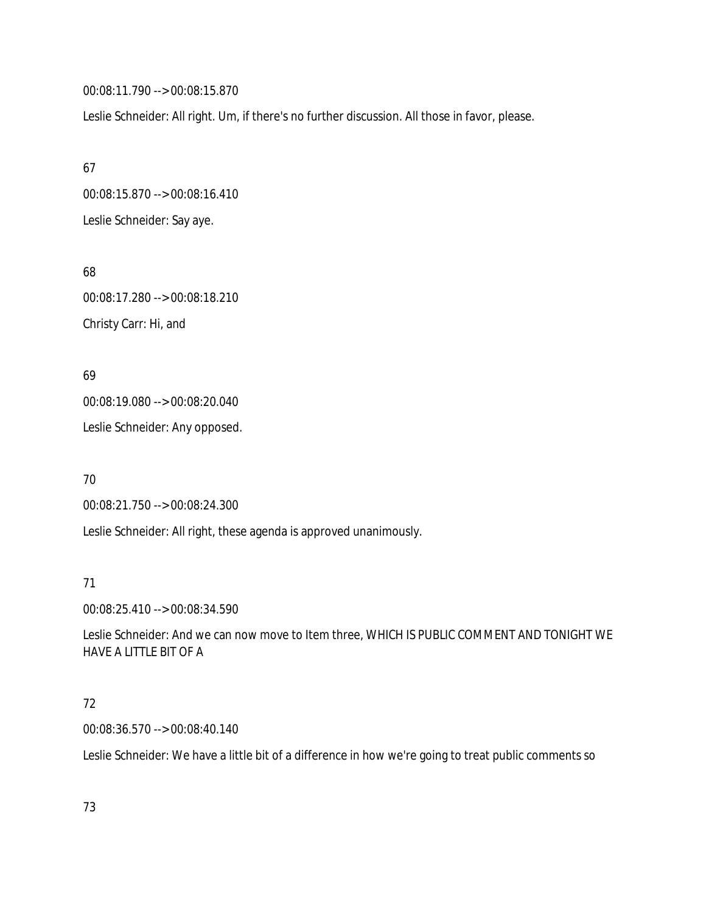00:08:11.790 --> 00:08:15.870

Leslie Schneider: All right. Um, if there's no further discussion. All those in favor, please.

67 00:08:15.870 --> 00:08:16.410 Leslie Schneider: Say aye.

68 00:08:17.280 --> 00:08:18.210 Christy Carr: Hi, and

69 00:08:19.080 --> 00:08:20.040 Leslie Schneider: Any opposed.

70 00:08:21.750 --> 00:08:24.300

Leslie Schneider: All right, these agenda is approved unanimously.

71

00:08:25.410 --> 00:08:34.590

Leslie Schneider: And we can now move to Item three, WHICH IS PUBLIC COMMENT AND TONIGHT WE HAVE A LITTLE BIT OF A

# 72

00:08:36.570 --> 00:08:40.140

Leslie Schneider: We have a little bit of a difference in how we're going to treat public comments so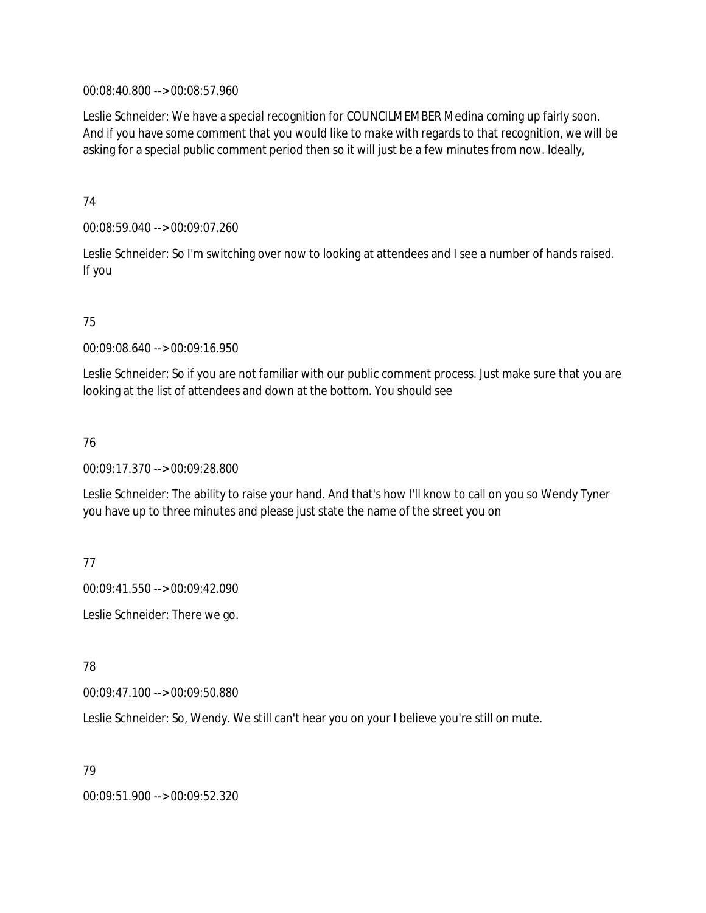00:08:40.800 --> 00:08:57.960

Leslie Schneider: We have a special recognition for COUNCILMEMBER Medina coming up fairly soon. And if you have some comment that you would like to make with regards to that recognition, we will be asking for a special public comment period then so it will just be a few minutes from now. Ideally,

74

00:08:59.040 --> 00:09:07.260

Leslie Schneider: So I'm switching over now to looking at attendees and I see a number of hands raised. If you

# 75

00:09:08.640 --> 00:09:16.950

Leslie Schneider: So if you are not familiar with our public comment process. Just make sure that you are looking at the list of attendees and down at the bottom. You should see

# 76

00:09:17.370 --> 00:09:28.800

Leslie Schneider: The ability to raise your hand. And that's how I'll know to call on you so Wendy Tyner you have up to three minutes and please just state the name of the street you on

77

00:09:41.550 --> 00:09:42.090

Leslie Schneider: There we go.

78

00:09:47.100 --> 00:09:50.880

Leslie Schneider: So, Wendy. We still can't hear you on your I believe you're still on mute.

79

00:09:51.900 --> 00:09:52.320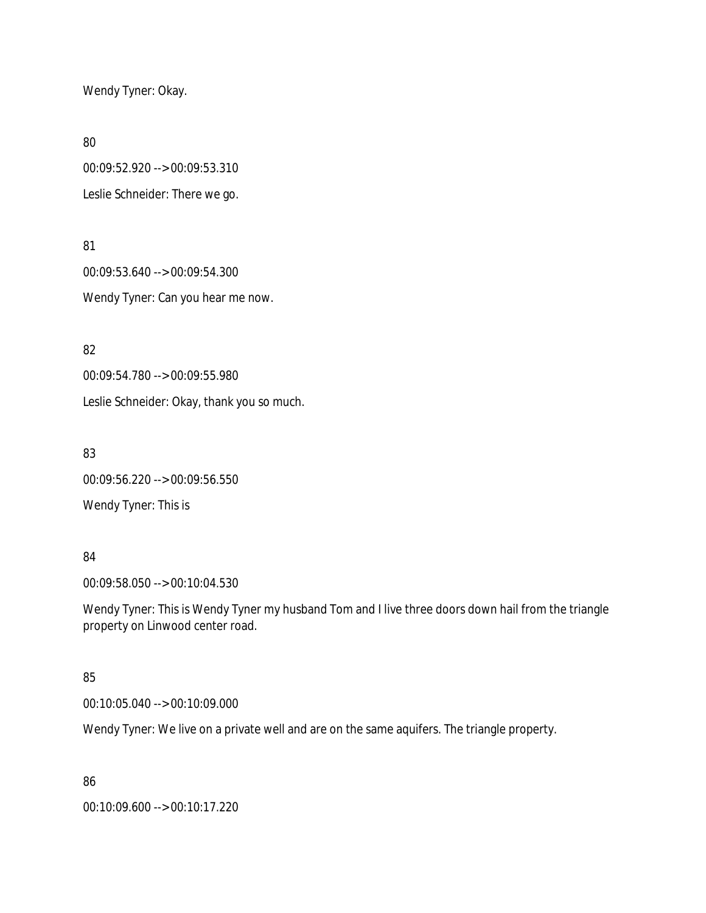Wendy Tyner: Okay.

80

00:09:52.920 --> 00:09:53.310 Leslie Schneider: There we go.

81 00:09:53.640 --> 00:09:54.300 Wendy Tyner: Can you hear me now.

82

00:09:54.780 --> 00:09:55.980

Leslie Schneider: Okay, thank you so much.

83

00:09:56.220 --> 00:09:56.550 Wendy Tyner: This is

#### 84

00:09:58.050 --> 00:10:04.530

Wendy Tyner: This is Wendy Tyner my husband Tom and I live three doors down hail from the triangle property on Linwood center road.

# 85

00:10:05.040 --> 00:10:09.000

Wendy Tyner: We live on a private well and are on the same aquifers. The triangle property.

86

00:10:09.600 --> 00:10:17.220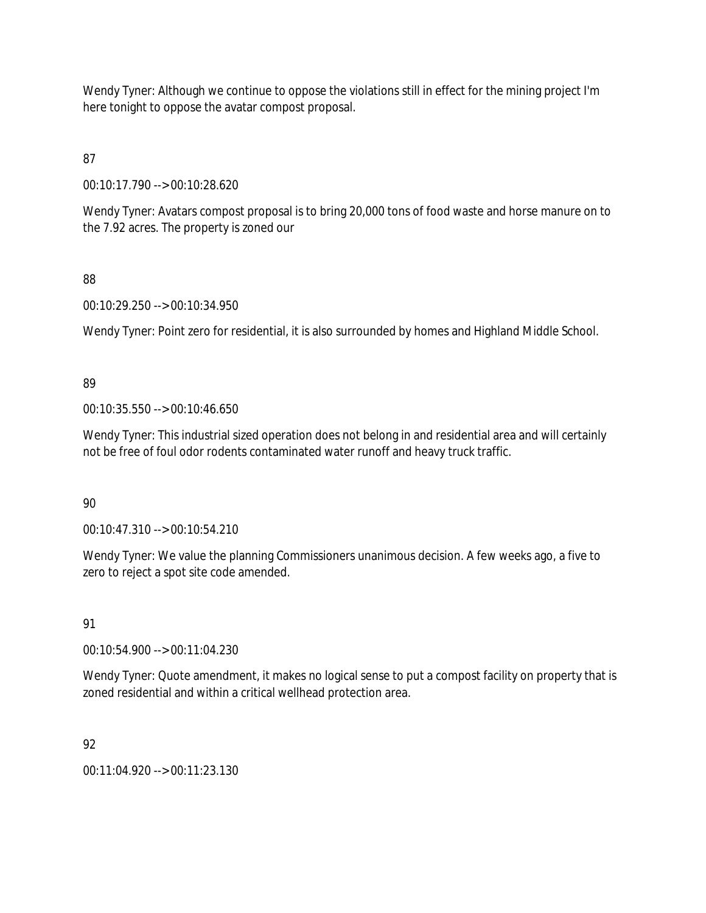Wendy Tyner: Although we continue to oppose the violations still in effect for the mining project I'm here tonight to oppose the avatar compost proposal.

87

00:10:17.790 --> 00:10:28.620

Wendy Tyner: Avatars compost proposal is to bring 20,000 tons of food waste and horse manure on to the 7.92 acres. The property is zoned our

# 88

00:10:29.250 --> 00:10:34.950

Wendy Tyner: Point zero for residential, it is also surrounded by homes and Highland Middle School.

# 89

00:10:35.550 --> 00:10:46.650

Wendy Tyner: This industrial sized operation does not belong in and residential area and will certainly not be free of foul odor rodents contaminated water runoff and heavy truck traffic.

# 90

00:10:47.310 --> 00:10:54.210

Wendy Tyner: We value the planning Commissioners unanimous decision. A few weeks ago, a five to zero to reject a spot site code amended.

# 91

00:10:54.900 --> 00:11:04.230

Wendy Tyner: Quote amendment, it makes no logical sense to put a compost facility on property that is zoned residential and within a critical wellhead protection area.

# 92

00:11:04.920 --> 00:11:23.130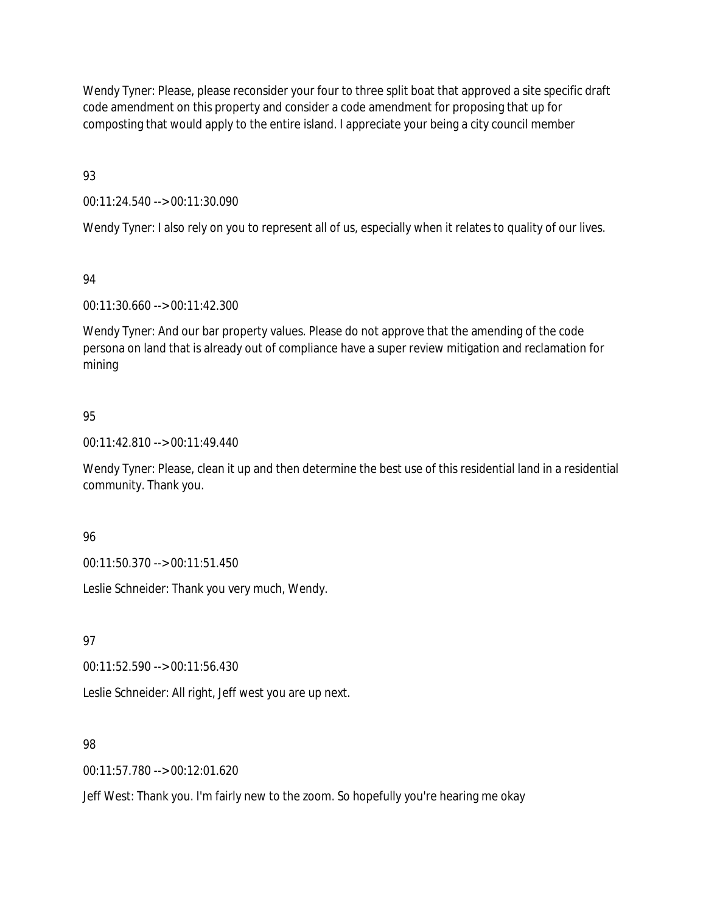Wendy Tyner: Please, please reconsider your four to three split boat that approved a site specific draft code amendment on this property and consider a code amendment for proposing that up for composting that would apply to the entire island. I appreciate your being a city council member

93

00:11:24.540 --> 00:11:30.090

Wendy Tyner: I also rely on you to represent all of us, especially when it relates to quality of our lives.

# 94

00:11:30.660 --> 00:11:42.300

Wendy Tyner: And our bar property values. Please do not approve that the amending of the code persona on land that is already out of compliance have a super review mitigation and reclamation for mining

# 95

00:11:42.810 --> 00:11:49.440

Wendy Tyner: Please, clean it up and then determine the best use of this residential land in a residential community. Thank you.

# 96

00:11:50.370 --> 00:11:51.450

Leslie Schneider: Thank you very much, Wendy.

# 97

00:11:52.590 --> 00:11:56.430

Leslie Schneider: All right, Jeff west you are up next.

# 98

00:11:57.780 --> 00:12:01.620

Jeff West: Thank you. I'm fairly new to the zoom. So hopefully you're hearing me okay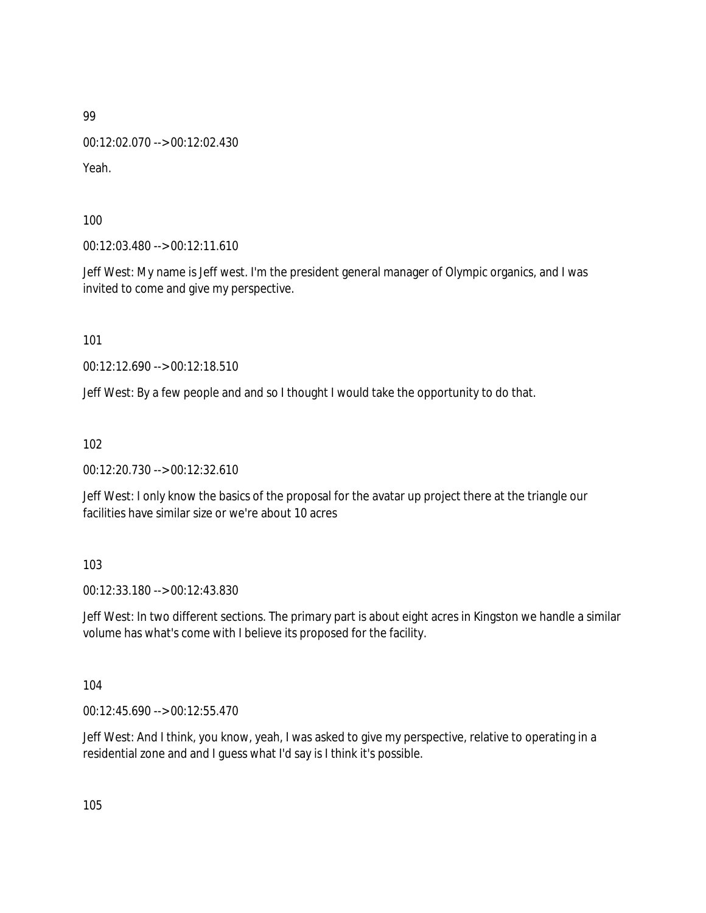00:12:02.070 --> 00:12:02.430

Yeah.

100

00:12:03.480 --> 00:12:11.610

Jeff West: My name is Jeff west. I'm the president general manager of Olympic organics, and I was invited to come and give my perspective.

101

00:12:12.690 --> 00:12:18.510

Jeff West: By a few people and and so I thought I would take the opportunity to do that.

102

00:12:20.730 --> 00:12:32.610

Jeff West: I only know the basics of the proposal for the avatar up project there at the triangle our facilities have similar size or we're about 10 acres

103

00:12:33.180 --> 00:12:43.830

Jeff West: In two different sections. The primary part is about eight acres in Kingston we handle a similar volume has what's come with I believe its proposed for the facility.

104

00:12:45.690 --> 00:12:55.470

Jeff West: And I think, you know, yeah, I was asked to give my perspective, relative to operating in a residential zone and and I guess what I'd say is I think it's possible.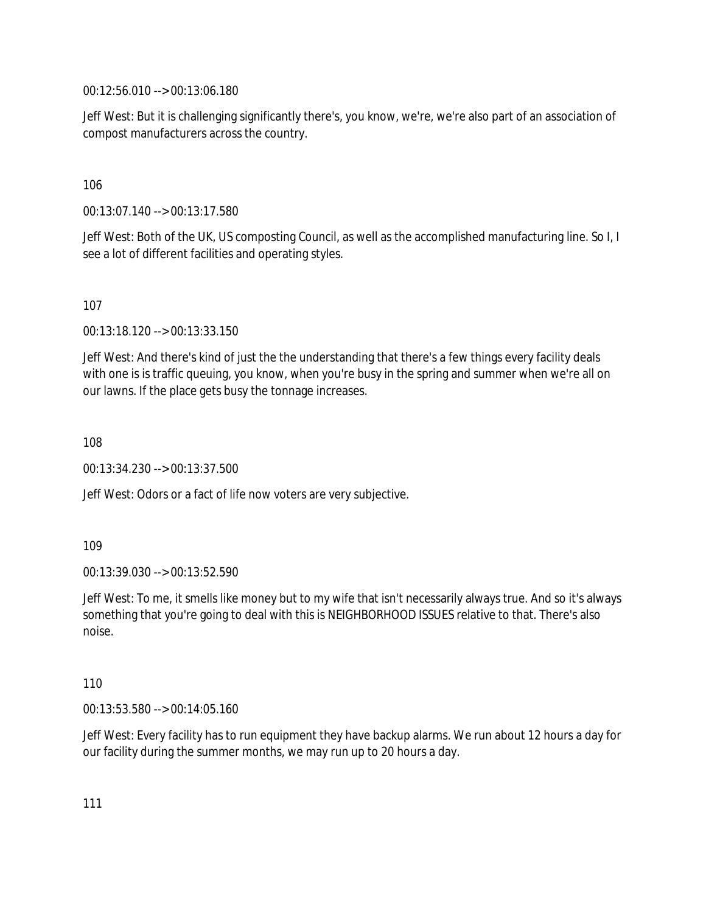00:12:56.010 --> 00:13:06.180

Jeff West: But it is challenging significantly there's, you know, we're, we're also part of an association of compost manufacturers across the country.

106

00:13:07.140 --> 00:13:17.580

Jeff West: Both of the UK, US composting Council, as well as the accomplished manufacturing line. So I, I see a lot of different facilities and operating styles.

107

00:13:18.120 --> 00:13:33.150

Jeff West: And there's kind of just the the understanding that there's a few things every facility deals with one is is traffic queuing, you know, when you're busy in the spring and summer when we're all on our lawns. If the place gets busy the tonnage increases.

108

00:13:34.230 --> 00:13:37.500

Jeff West: Odors or a fact of life now voters are very subjective.

109

00:13:39.030 --> 00:13:52.590

Jeff West: To me, it smells like money but to my wife that isn't necessarily always true. And so it's always something that you're going to deal with this is NEIGHBORHOOD ISSUES relative to that. There's also noise.

110

00:13:53.580 --> 00:14:05.160

Jeff West: Every facility has to run equipment they have backup alarms. We run about 12 hours a day for our facility during the summer months, we may run up to 20 hours a day.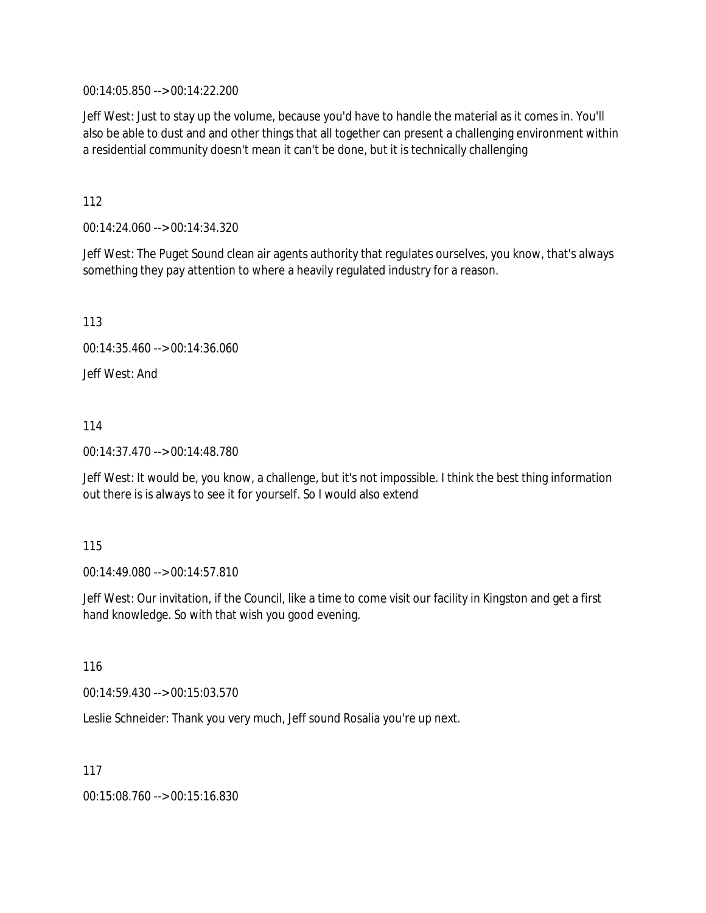00:14:05.850 --> 00:14:22.200

Jeff West: Just to stay up the volume, because you'd have to handle the material as it comes in. You'll also be able to dust and and other things that all together can present a challenging environment within a residential community doesn't mean it can't be done, but it is technically challenging

112

00:14:24.060 --> 00:14:34.320

Jeff West: The Puget Sound clean air agents authority that regulates ourselves, you know, that's always something they pay attention to where a heavily regulated industry for a reason.

113

00:14:35.460 --> 00:14:36.060

Jeff West: And

114

00:14:37.470 --> 00:14:48.780

Jeff West: It would be, you know, a challenge, but it's not impossible. I think the best thing information out there is is always to see it for yourself. So I would also extend

115

00:14:49.080 --> 00:14:57.810

Jeff West: Our invitation, if the Council, like a time to come visit our facility in Kingston and get a first hand knowledge. So with that wish you good evening.

116

00:14:59.430 --> 00:15:03.570

Leslie Schneider: Thank you very much, Jeff sound Rosalia you're up next.

117

00:15:08.760 --> 00:15:16.830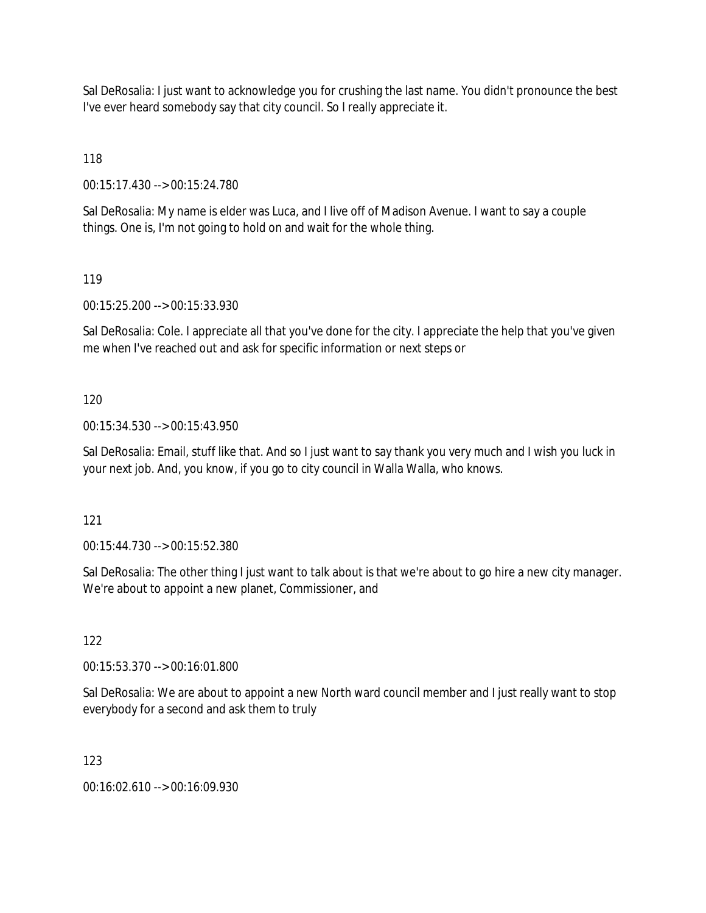Sal DeRosalia: I just want to acknowledge you for crushing the last name. You didn't pronounce the best I've ever heard somebody say that city council. So I really appreciate it.

118

00:15:17.430 --> 00:15:24.780

Sal DeRosalia: My name is elder was Luca, and I live off of Madison Avenue. I want to say a couple things. One is, I'm not going to hold on and wait for the whole thing.

119

00:15:25.200 --> 00:15:33.930

Sal DeRosalia: Cole. I appreciate all that you've done for the city. I appreciate the help that you've given me when I've reached out and ask for specific information or next steps or

120

00:15:34.530 --> 00:15:43.950

Sal DeRosalia: Email, stuff like that. And so I just want to say thank you very much and I wish you luck in your next job. And, you know, if you go to city council in Walla Walla, who knows.

121

00:15:44.730 --> 00:15:52.380

Sal DeRosalia: The other thing I just want to talk about is that we're about to go hire a new city manager. We're about to appoint a new planet, Commissioner, and

122

00:15:53.370 --> 00:16:01.800

Sal DeRosalia: We are about to appoint a new North ward council member and I just really want to stop everybody for a second and ask them to truly

123

00:16:02.610 --> 00:16:09.930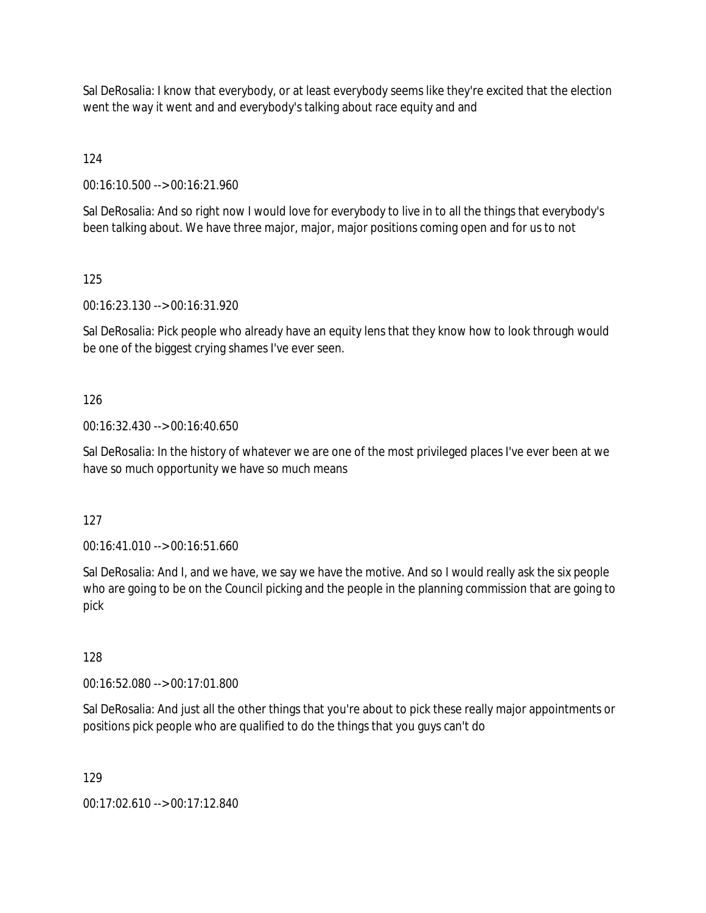Sal DeRosalia: I know that everybody, or at least everybody seems like they're excited that the election went the way it went and and everybody's talking about race equity and and

124

00:16:10.500 --> 00:16:21.960

Sal DeRosalia: And so right now I would love for everybody to live in to all the things that everybody's been talking about. We have three major, major, major positions coming open and for us to not

125

00:16:23.130 --> 00:16:31.920

Sal DeRosalia: Pick people who already have an equity lens that they know how to look through would be one of the biggest crying shames I've ever seen.

126

00:16:32.430 --> 00:16:40.650

Sal DeRosalia: In the history of whatever we are one of the most privileged places I've ever been at we have so much opportunity we have so much means

127

00:16:41.010 --> 00:16:51.660

Sal DeRosalia: And I, and we have, we say we have the motive. And so I would really ask the six people who are going to be on the Council picking and the people in the planning commission that are going to pick

128

00:16:52.080 --> 00:17:01.800

Sal DeRosalia: And just all the other things that you're about to pick these really major appointments or positions pick people who are qualified to do the things that you guys can't do

129

00:17:02.610 --> 00:17:12.840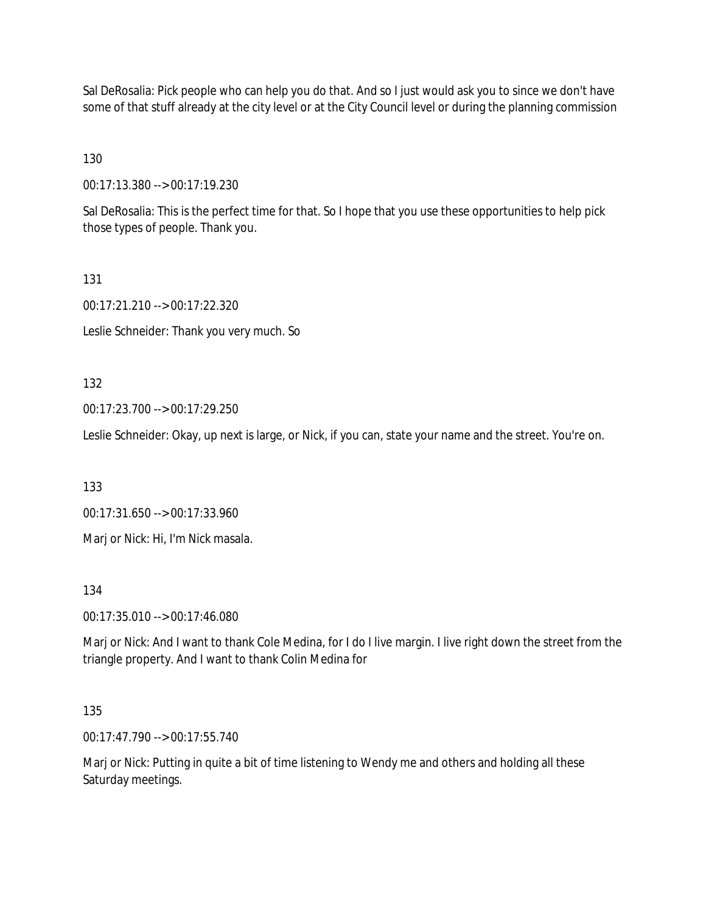Sal DeRosalia: Pick people who can help you do that. And so I just would ask you to since we don't have some of that stuff already at the city level or at the City Council level or during the planning commission

130

00:17:13.380 --> 00:17:19.230

Sal DeRosalia: This is the perfect time for that. So I hope that you use these opportunities to help pick those types of people. Thank you.

131

00:17:21.210 --> 00:17:22.320 Leslie Schneider: Thank you very much. So

132

00:17:23.700 --> 00:17:29.250

Leslie Schneider: Okay, up next is large, or Nick, if you can, state your name and the street. You're on.

133

00:17:31.650 --> 00:17:33.960

Marj or Nick: Hi, I'm Nick masala.

134

00:17:35.010 --> 00:17:46.080

Marj or Nick: And I want to thank Cole Medina, for I do I live margin. I live right down the street from the triangle property. And I want to thank Colin Medina for

135

00:17:47.790 --> 00:17:55.740

Marj or Nick: Putting in quite a bit of time listening to Wendy me and others and holding all these Saturday meetings.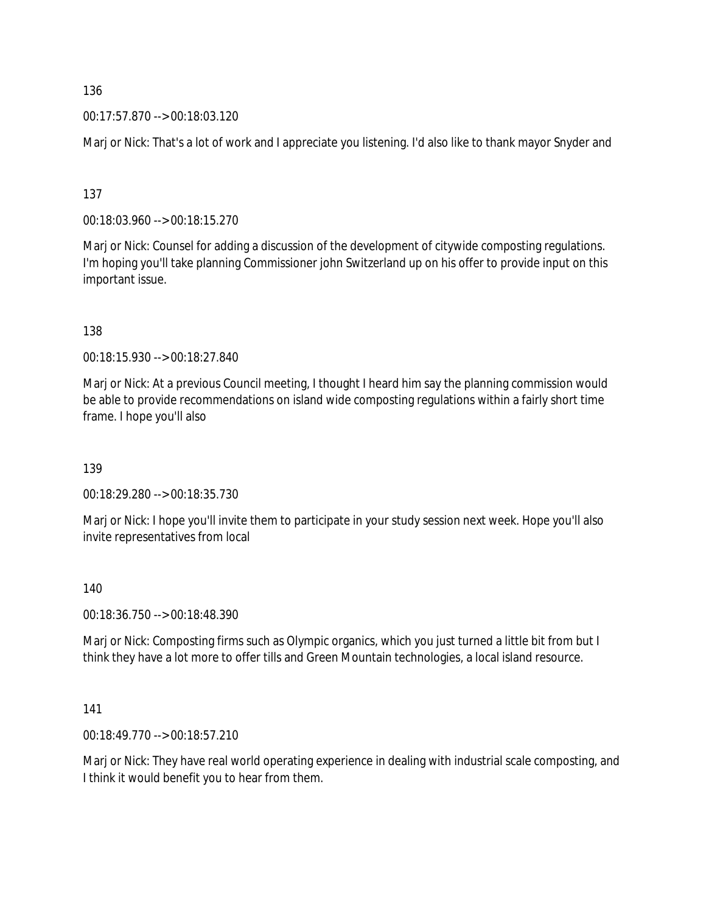00:17:57.870 --> 00:18:03.120

Marj or Nick: That's a lot of work and I appreciate you listening. I'd also like to thank mayor Snyder and

137

00:18:03.960 --> 00:18:15.270

Marj or Nick: Counsel for adding a discussion of the development of citywide composting regulations. I'm hoping you'll take planning Commissioner john Switzerland up on his offer to provide input on this important issue.

138

00:18:15.930 --> 00:18:27.840

Marj or Nick: At a previous Council meeting, I thought I heard him say the planning commission would be able to provide recommendations on island wide composting regulations within a fairly short time frame. I hope you'll also

139

00:18:29.280 --> 00:18:35.730

Marj or Nick: I hope you'll invite them to participate in your study session next week. Hope you'll also invite representatives from local

140

00:18:36.750 --> 00:18:48.390

Marj or Nick: Composting firms such as Olympic organics, which you just turned a little bit from but I think they have a lot more to offer tills and Green Mountain technologies, a local island resource.

141

00:18:49.770 --> 00:18:57.210

Marj or Nick: They have real world operating experience in dealing with industrial scale composting, and I think it would benefit you to hear from them.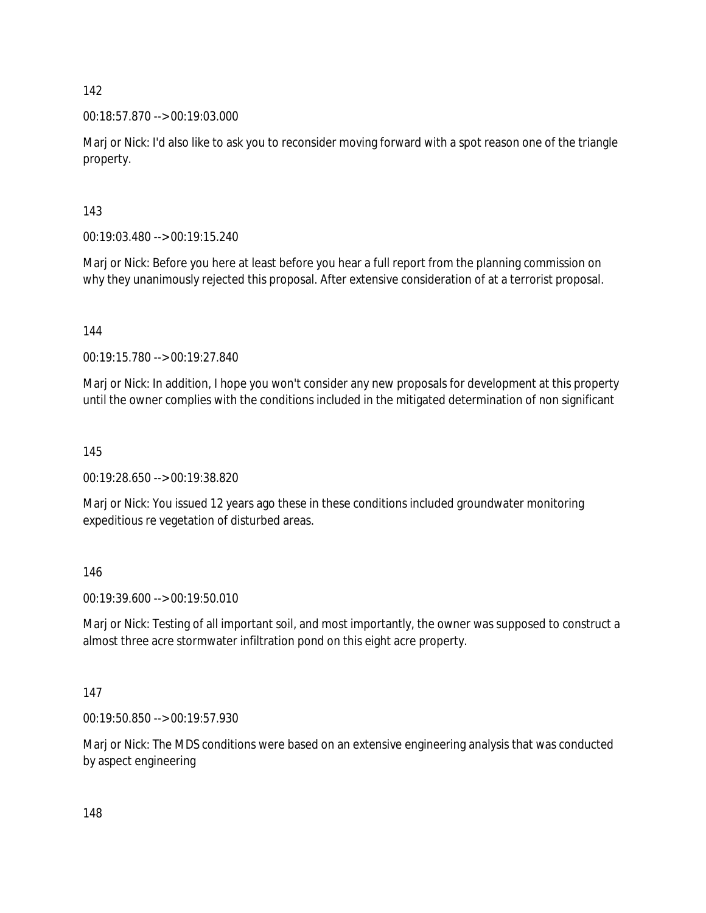# 00:18:57.870 --> 00:19:03.000

Marj or Nick: I'd also like to ask you to reconsider moving forward with a spot reason one of the triangle property.

# 143

00:19:03.480 --> 00:19:15.240

Marj or Nick: Before you here at least before you hear a full report from the planning commission on why they unanimously rejected this proposal. After extensive consideration of at a terrorist proposal.

# 144

00:19:15.780 --> 00:19:27.840

Marj or Nick: In addition, I hope you won't consider any new proposals for development at this property until the owner complies with the conditions included in the mitigated determination of non significant

# 145

00:19:28.650 --> 00:19:38.820

Marj or Nick: You issued 12 years ago these in these conditions included groundwater monitoring expeditious re vegetation of disturbed areas.

# 146

00:19:39.600 --> 00:19:50.010

Marj or Nick: Testing of all important soil, and most importantly, the owner was supposed to construct a almost three acre stormwater infiltration pond on this eight acre property.

# 147

00:19:50.850 --> 00:19:57.930

Marj or Nick: The MDS conditions were based on an extensive engineering analysis that was conducted by aspect engineering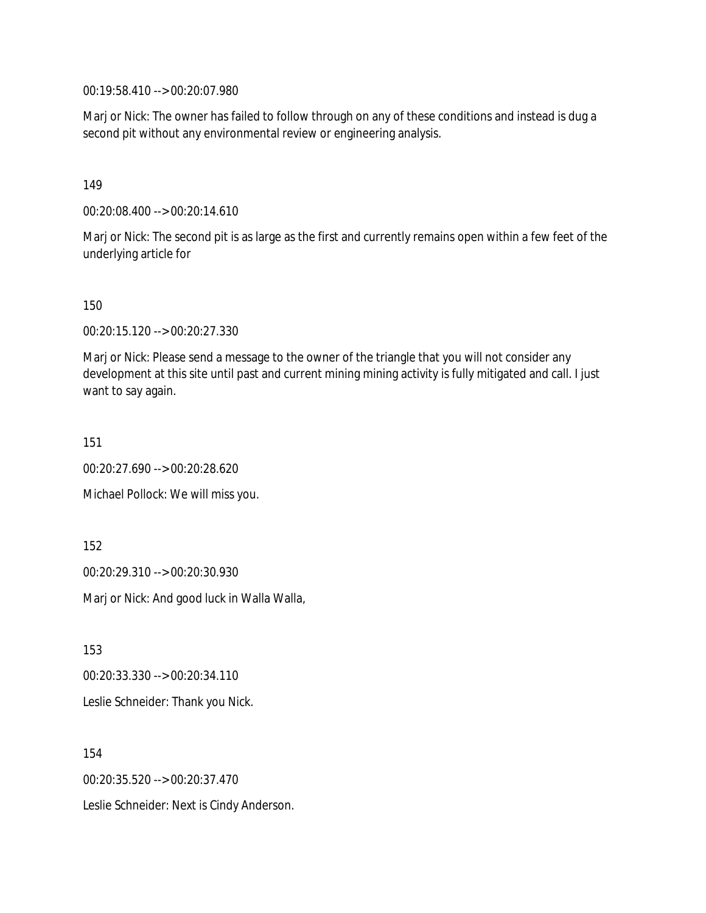00:19:58.410 --> 00:20:07.980

Marj or Nick: The owner has failed to follow through on any of these conditions and instead is dug a second pit without any environmental review or engineering analysis.

149

00:20:08.400 --> 00:20:14.610

Marj or Nick: The second pit is as large as the first and currently remains open within a few feet of the underlying article for

150

00:20:15.120 --> 00:20:27.330

Marj or Nick: Please send a message to the owner of the triangle that you will not consider any development at this site until past and current mining mining activity is fully mitigated and call. I just want to say again.

151

00:20:27.690 --> 00:20:28.620

Michael Pollock: We will miss you.

152

00:20:29.310 --> 00:20:30.930

Marj or Nick: And good luck in Walla Walla,

153

00:20:33.330 --> 00:20:34.110

Leslie Schneider: Thank you Nick.

154 00:20:35.520 --> 00:20:37.470 Leslie Schneider: Next is Cindy Anderson.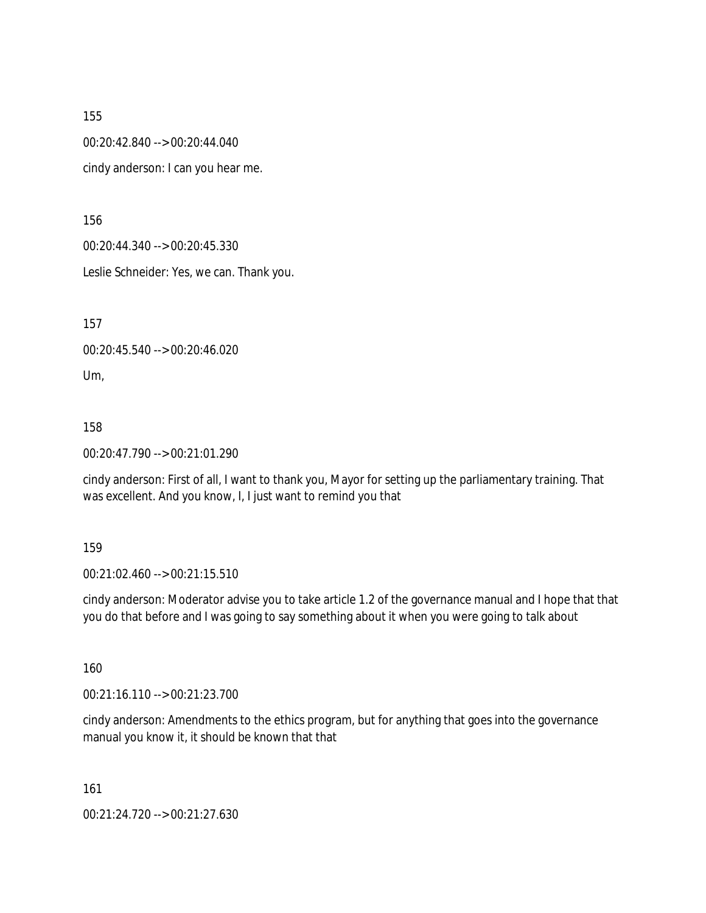00:20:42.840 --> 00:20:44.040

cindy anderson: I can you hear me.

156

00:20:44.340 --> 00:20:45.330

Leslie Schneider: Yes, we can. Thank you.

157

00:20:45.540 --> 00:20:46.020

Um,

158

00:20:47.790 --> 00:21:01.290

cindy anderson: First of all, I want to thank you, Mayor for setting up the parliamentary training. That was excellent. And you know, I, I just want to remind you that

159

00:21:02.460 --> 00:21:15.510

cindy anderson: Moderator advise you to take article 1.2 of the governance manual and I hope that that you do that before and I was going to say something about it when you were going to talk about

160

00:21:16.110 --> 00:21:23.700

cindy anderson: Amendments to the ethics program, but for anything that goes into the governance manual you know it, it should be known that that

161

00:21:24.720 --> 00:21:27.630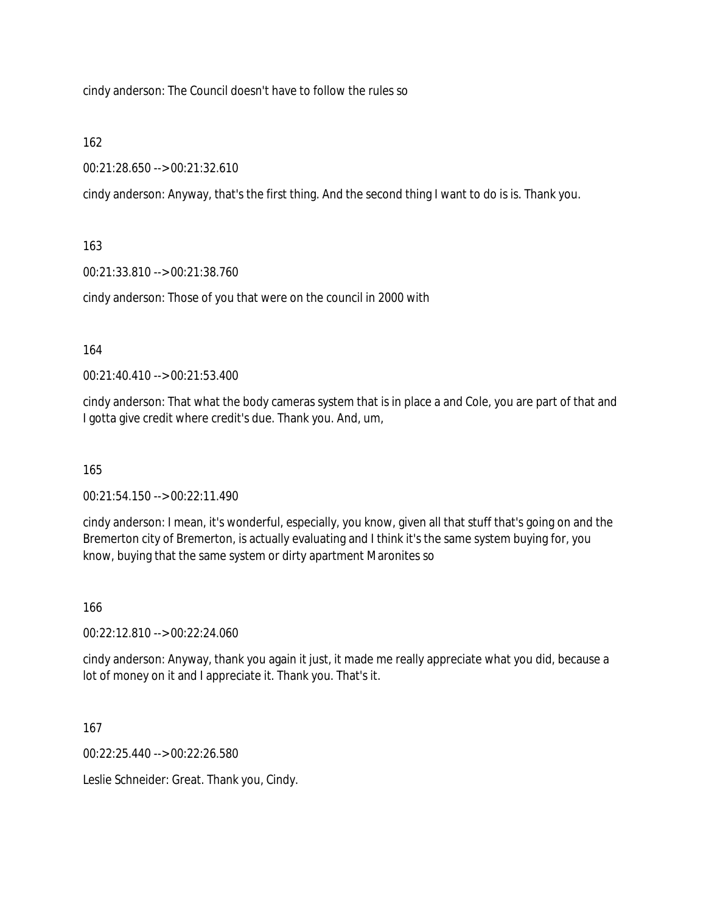cindy anderson: The Council doesn't have to follow the rules so

162

00:21:28.650 --> 00:21:32.610

cindy anderson: Anyway, that's the first thing. And the second thing I want to do is is. Thank you.

163

00:21:33.810 --> 00:21:38.760

cindy anderson: Those of you that were on the council in 2000 with

164

00:21:40.410 --> 00:21:53.400

cindy anderson: That what the body cameras system that is in place a and Cole, you are part of that and I gotta give credit where credit's due. Thank you. And, um,

165

00:21:54.150 --> 00:22:11.490

cindy anderson: I mean, it's wonderful, especially, you know, given all that stuff that's going on and the Bremerton city of Bremerton, is actually evaluating and I think it's the same system buying for, you know, buying that the same system or dirty apartment Maronites so

166

00:22:12.810 --> 00:22:24.060

cindy anderson: Anyway, thank you again it just, it made me really appreciate what you did, because a lot of money on it and I appreciate it. Thank you. That's it.

167

00:22:25.440 --> 00:22:26.580

Leslie Schneider: Great. Thank you, Cindy.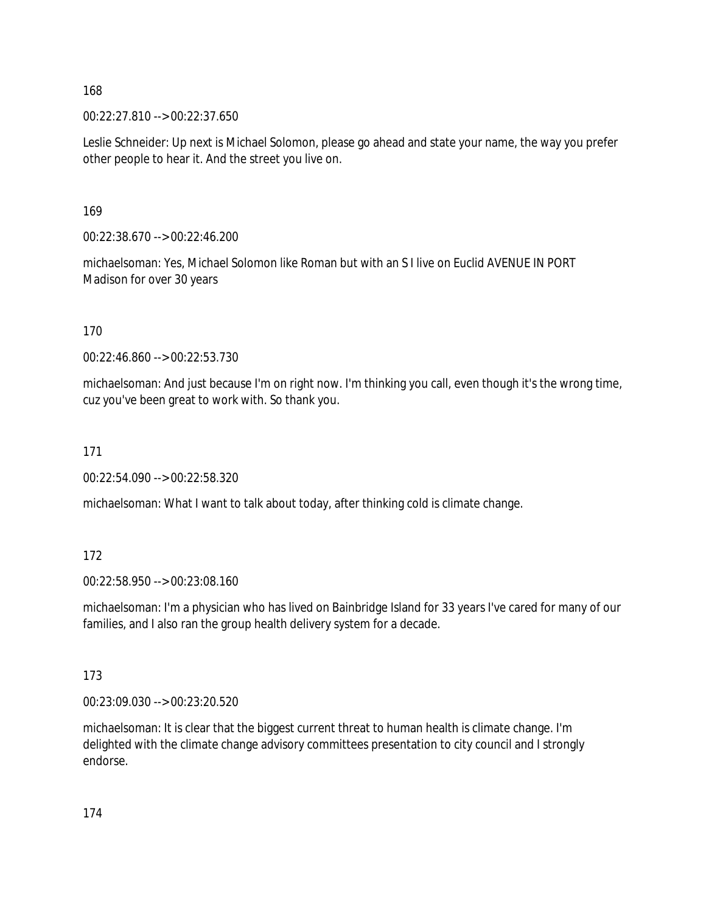00:22:27.810 --> 00:22:37.650

Leslie Schneider: Up next is Michael Solomon, please go ahead and state your name, the way you prefer other people to hear it. And the street you live on.

169

00:22:38.670 --> 00:22:46.200

michaelsoman: Yes, Michael Solomon like Roman but with an S I live on Euclid AVENUE IN PORT Madison for over 30 years

170

00:22:46.860 --> 00:22:53.730

michaelsoman: And just because I'm on right now. I'm thinking you call, even though it's the wrong time, cuz you've been great to work with. So thank you.

171

00:22:54.090 --> 00:22:58.320

michaelsoman: What I want to talk about today, after thinking cold is climate change.

172

00:22:58.950 --> 00:23:08.160

michaelsoman: I'm a physician who has lived on Bainbridge Island for 33 years I've cared for many of our families, and I also ran the group health delivery system for a decade.

173

00:23:09.030 --> 00:23:20.520

michaelsoman: It is clear that the biggest current threat to human health is climate change. I'm delighted with the climate change advisory committees presentation to city council and I strongly endorse.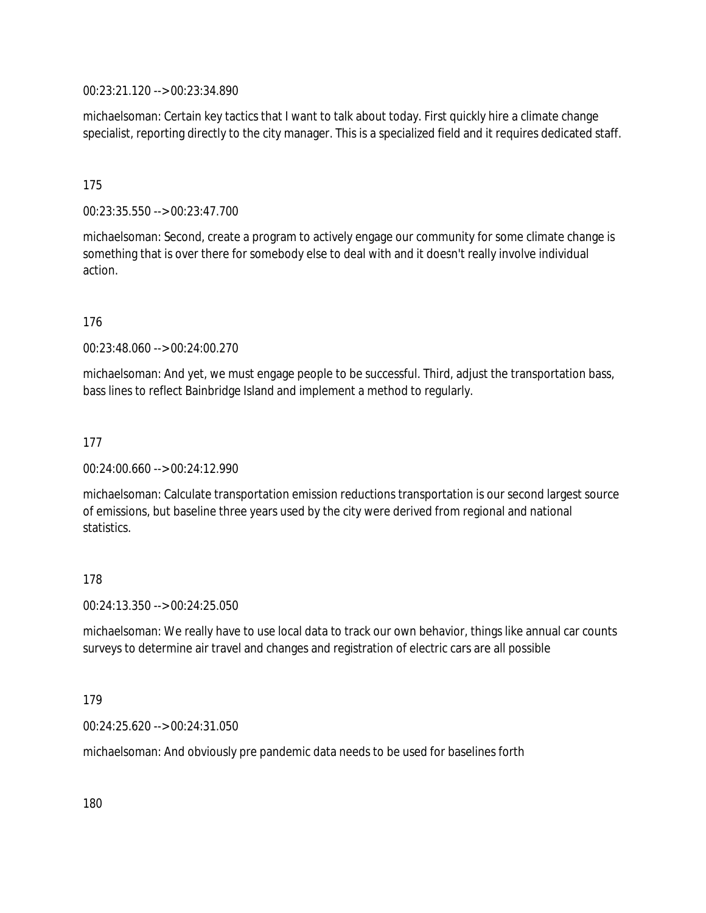00:23:21.120 --> 00:23:34.890

michaelsoman: Certain key tactics that I want to talk about today. First quickly hire a climate change specialist, reporting directly to the city manager. This is a specialized field and it requires dedicated staff.

# 175

00:23:35.550 --> 00:23:47.700

michaelsoman: Second, create a program to actively engage our community for some climate change is something that is over there for somebody else to deal with and it doesn't really involve individual action.

176

00:23:48.060 --> 00:24:00.270

michaelsoman: And yet, we must engage people to be successful. Third, adjust the transportation bass, bass lines to reflect Bainbridge Island and implement a method to regularly.

177

00:24:00.660 --> 00:24:12.990

michaelsoman: Calculate transportation emission reductions transportation is our second largest source of emissions, but baseline three years used by the city were derived from regional and national statistics.

# 178

00:24:13.350 --> 00:24:25.050

michaelsoman: We really have to use local data to track our own behavior, things like annual car counts surveys to determine air travel and changes and registration of electric cars are all possible

179

00:24:25.620 --> 00:24:31.050

michaelsoman: And obviously pre pandemic data needs to be used for baselines forth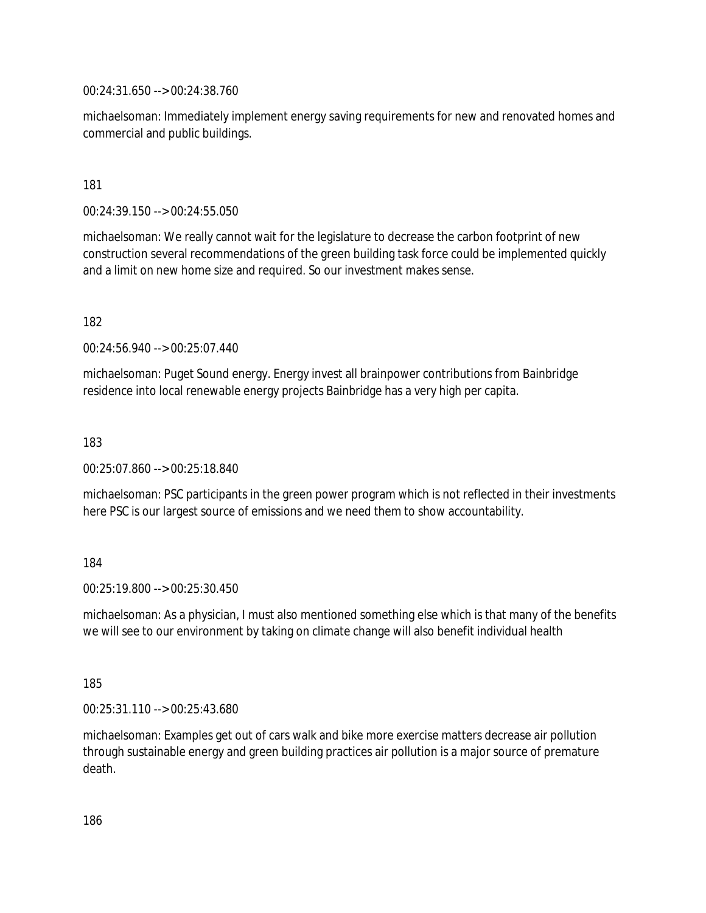00:24:31.650 --> 00:24:38.760

michaelsoman: Immediately implement energy saving requirements for new and renovated homes and commercial and public buildings.

181

00:24:39.150 --> 00:24:55.050

michaelsoman: We really cannot wait for the legislature to decrease the carbon footprint of new construction several recommendations of the green building task force could be implemented quickly and a limit on new home size and required. So our investment makes sense.

182

00:24:56.940 --> 00:25:07.440

michaelsoman: Puget Sound energy. Energy invest all brainpower contributions from Bainbridge residence into local renewable energy projects Bainbridge has a very high per capita.

183

00:25:07.860 --> 00:25:18.840

michaelsoman: PSC participants in the green power program which is not reflected in their investments here PSC is our largest source of emissions and we need them to show accountability.

184

00:25:19.800 --> 00:25:30.450

michaelsoman: As a physician, I must also mentioned something else which is that many of the benefits we will see to our environment by taking on climate change will also benefit individual health

185

00:25:31.110 --> 00:25:43.680

michaelsoman: Examples get out of cars walk and bike more exercise matters decrease air pollution through sustainable energy and green building practices air pollution is a major source of premature death.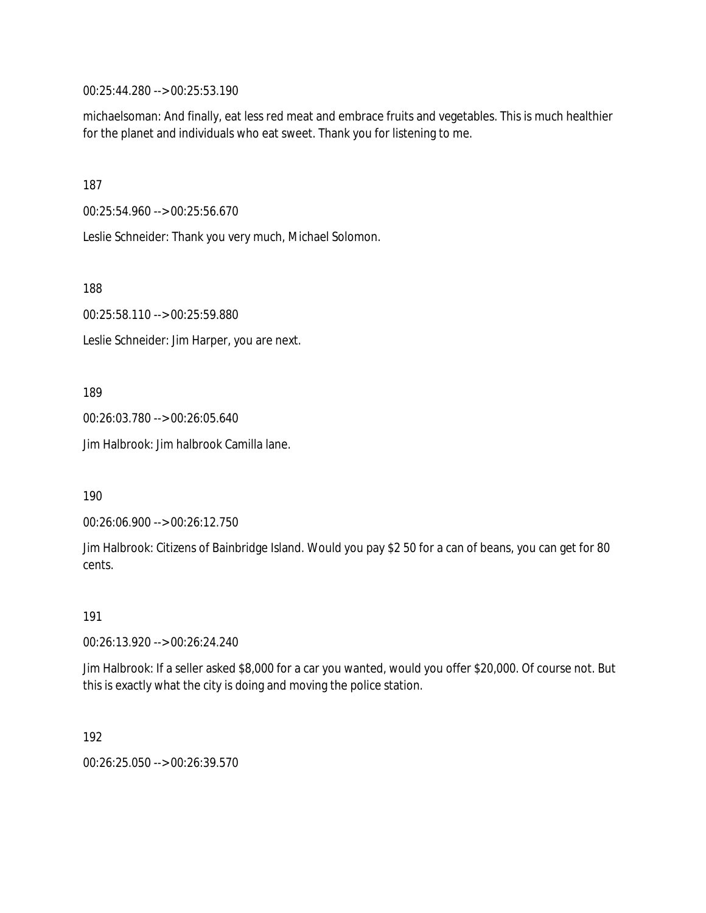00:25:44.280 --> 00:25:53.190

michaelsoman: And finally, eat less red meat and embrace fruits and vegetables. This is much healthier for the planet and individuals who eat sweet. Thank you for listening to me.

187

00:25:54.960 --> 00:25:56.670

Leslie Schneider: Thank you very much, Michael Solomon.

188

00:25:58.110 --> 00:25:59.880

Leslie Schneider: Jim Harper, you are next.

189

00:26:03.780 --> 00:26:05.640

Jim Halbrook: Jim halbrook Camilla lane.

190

00:26:06.900 --> 00:26:12.750

Jim Halbrook: Citizens of Bainbridge Island. Would you pay \$2 50 for a can of beans, you can get for 80 cents.

191

00:26:13.920 --> 00:26:24.240

Jim Halbrook: If a seller asked \$8,000 for a car you wanted, would you offer \$20,000. Of course not. But this is exactly what the city is doing and moving the police station.

192

00:26:25.050 --> 00:26:39.570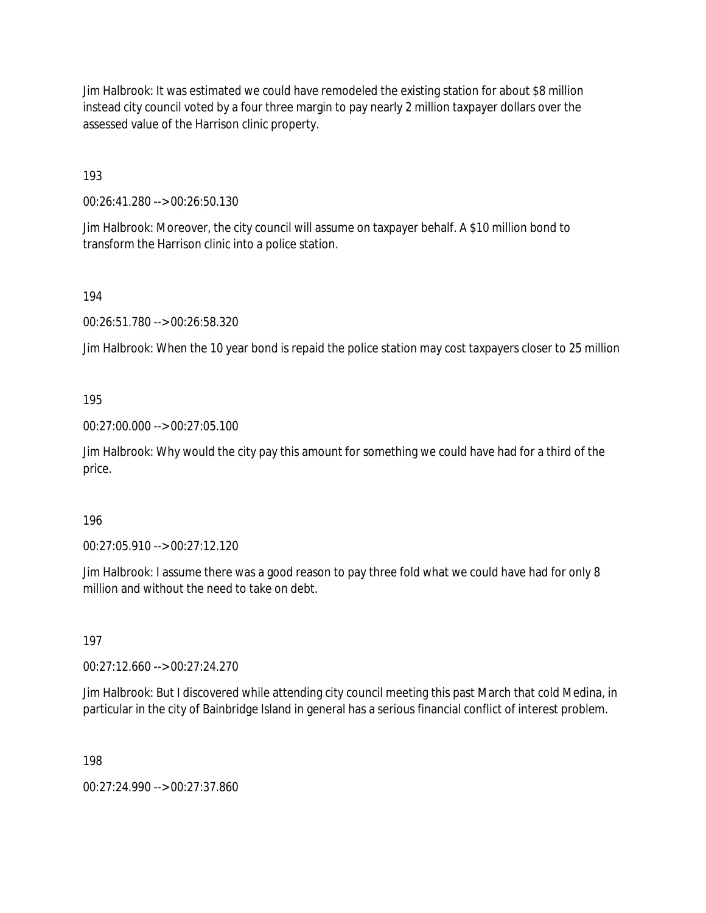Jim Halbrook: It was estimated we could have remodeled the existing station for about \$8 million instead city council voted by a four three margin to pay nearly 2 million taxpayer dollars over the assessed value of the Harrison clinic property.

193

00:26:41.280 --> 00:26:50.130

Jim Halbrook: Moreover, the city council will assume on taxpayer behalf. A \$10 million bond to transform the Harrison clinic into a police station.

194

00:26:51.780 --> 00:26:58.320

Jim Halbrook: When the 10 year bond is repaid the police station may cost taxpayers closer to 25 million

# 195

00:27:00.000 --> 00:27:05.100

Jim Halbrook: Why would the city pay this amount for something we could have had for a third of the price.

# 196

00:27:05.910 --> 00:27:12.120

Jim Halbrook: I assume there was a good reason to pay three fold what we could have had for only 8 million and without the need to take on debt.

197

00:27:12.660 --> 00:27:24.270

Jim Halbrook: But I discovered while attending city council meeting this past March that cold Medina, in particular in the city of Bainbridge Island in general has a serious financial conflict of interest problem.

198

00:27:24.990 --> 00:27:37.860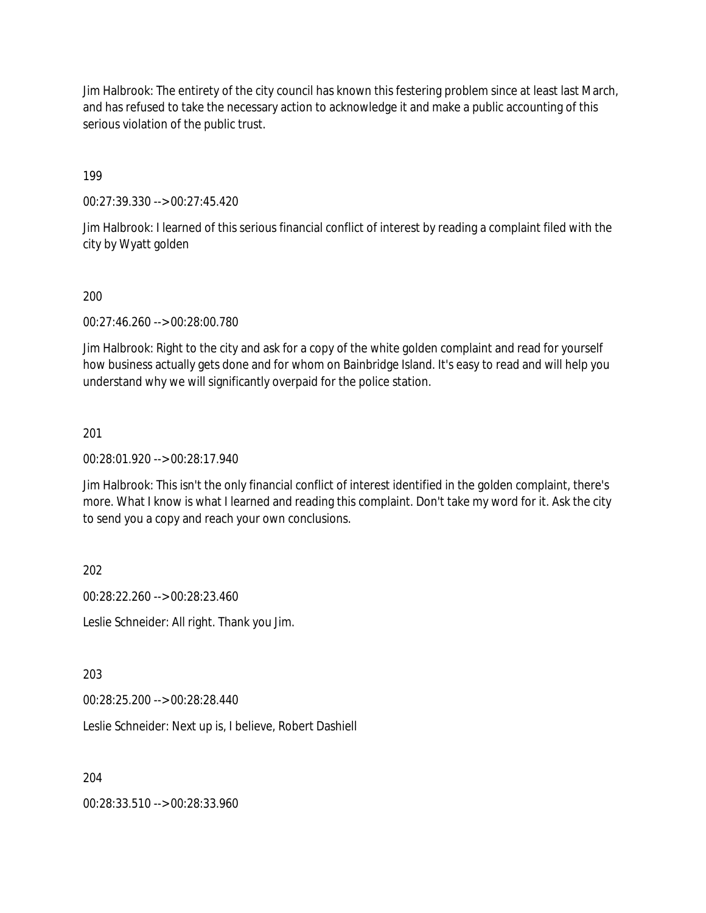Jim Halbrook: The entirety of the city council has known this festering problem since at least last March, and has refused to take the necessary action to acknowledge it and make a public accounting of this serious violation of the public trust.

199

00:27:39.330 --> 00:27:45.420

Jim Halbrook: I learned of this serious financial conflict of interest by reading a complaint filed with the city by Wyatt golden

# 200

00:27:46.260 --> 00:28:00.780

Jim Halbrook: Right to the city and ask for a copy of the white golden complaint and read for yourself how business actually gets done and for whom on Bainbridge Island. It's easy to read and will help you understand why we will significantly overpaid for the police station.

# 201

00:28:01.920 --> 00:28:17.940

Jim Halbrook: This isn't the only financial conflict of interest identified in the golden complaint, there's more. What I know is what I learned and reading this complaint. Don't take my word for it. Ask the city to send you a copy and reach your own conclusions.

202

00:28:22.260 --> 00:28:23.460

Leslie Schneider: All right. Thank you Jim.

203

00:28:25.200 --> 00:28:28.440

Leslie Schneider: Next up is, I believe, Robert Dashiell

204

00:28:33.510 --> 00:28:33.960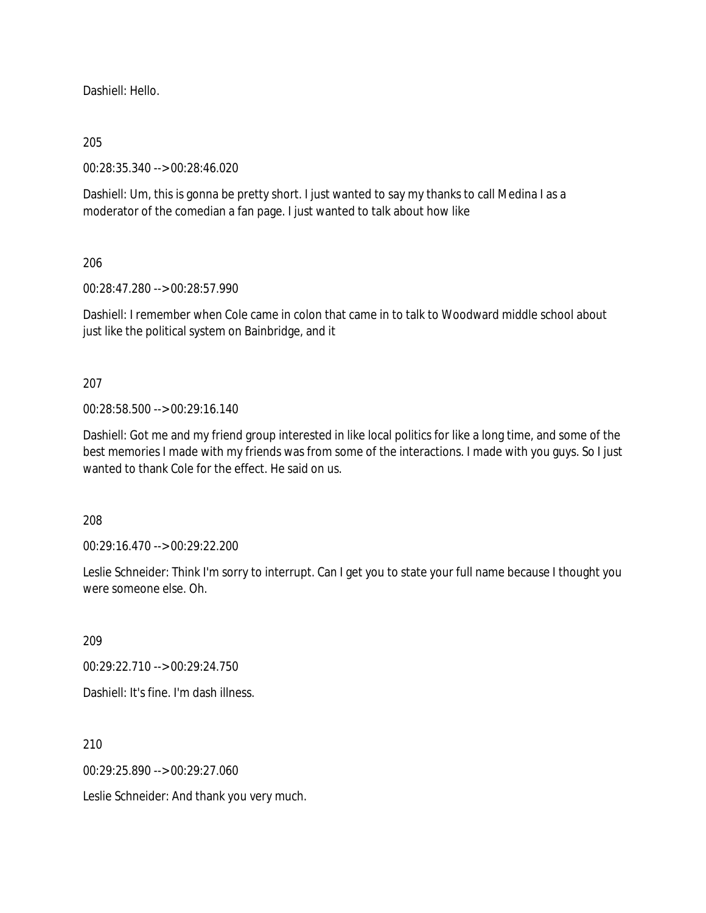Dashiell: Hello.

# 205

00:28:35.340 --> 00:28:46.020

Dashiell: Um, this is gonna be pretty short. I just wanted to say my thanks to call Medina I as a moderator of the comedian a fan page. I just wanted to talk about how like

206

00:28:47.280 --> 00:28:57.990

Dashiell: I remember when Cole came in colon that came in to talk to Woodward middle school about just like the political system on Bainbridge, and it

207

00:28:58.500 --> 00:29:16.140

Dashiell: Got me and my friend group interested in like local politics for like a long time, and some of the best memories I made with my friends was from some of the interactions. I made with you guys. So I just wanted to thank Cole for the effect. He said on us.

208

00:29:16.470 --> 00:29:22.200

Leslie Schneider: Think I'm sorry to interrupt. Can I get you to state your full name because I thought you were someone else. Oh.

209

00:29:22.710 --> 00:29:24.750

Dashiell: It's fine. I'm dash illness.

210

00:29:25.890 --> 00:29:27.060

Leslie Schneider: And thank you very much.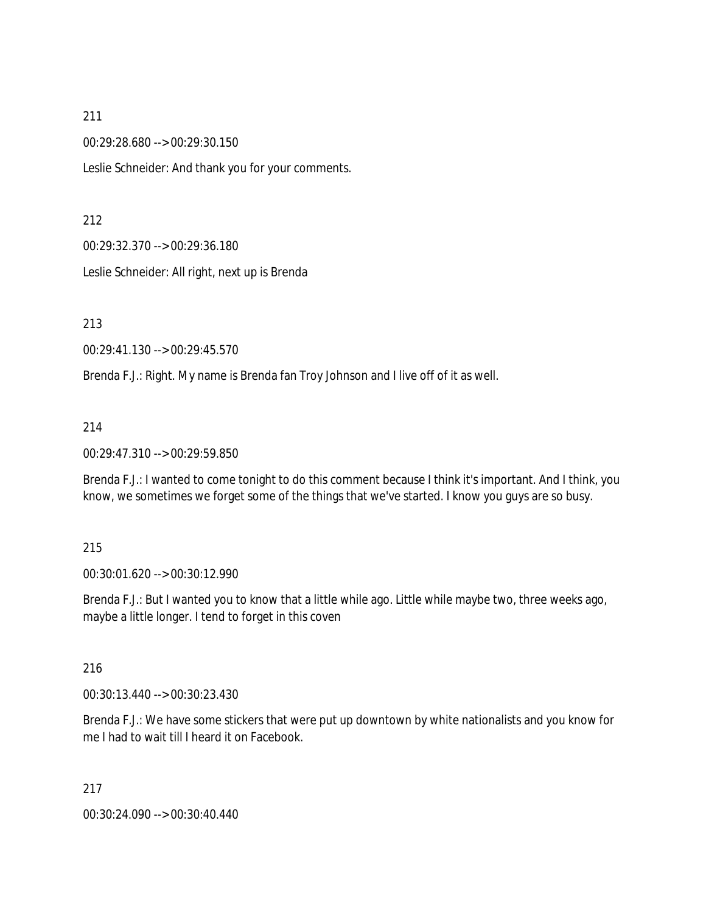00:29:28.680 --> 00:29:30.150

Leslie Schneider: And thank you for your comments.

212

00:29:32.370 --> 00:29:36.180

Leslie Schneider: All right, next up is Brenda

213

00:29:41.130 --> 00:29:45.570

Brenda F.J.: Right. My name is Brenda fan Troy Johnson and I live off of it as well.

#### 214

00:29:47.310 --> 00:29:59.850

Brenda F.J.: I wanted to come tonight to do this comment because I think it's important. And I think, you know, we sometimes we forget some of the things that we've started. I know you guys are so busy.

#### 215

00:30:01.620 --> 00:30:12.990

Brenda F.J.: But I wanted you to know that a little while ago. Little while maybe two, three weeks ago, maybe a little longer. I tend to forget in this coven

# 216

00:30:13.440 --> 00:30:23.430

Brenda F.J.: We have some stickers that were put up downtown by white nationalists and you know for me I had to wait till I heard it on Facebook.

217

00:30:24.090 --> 00:30:40.440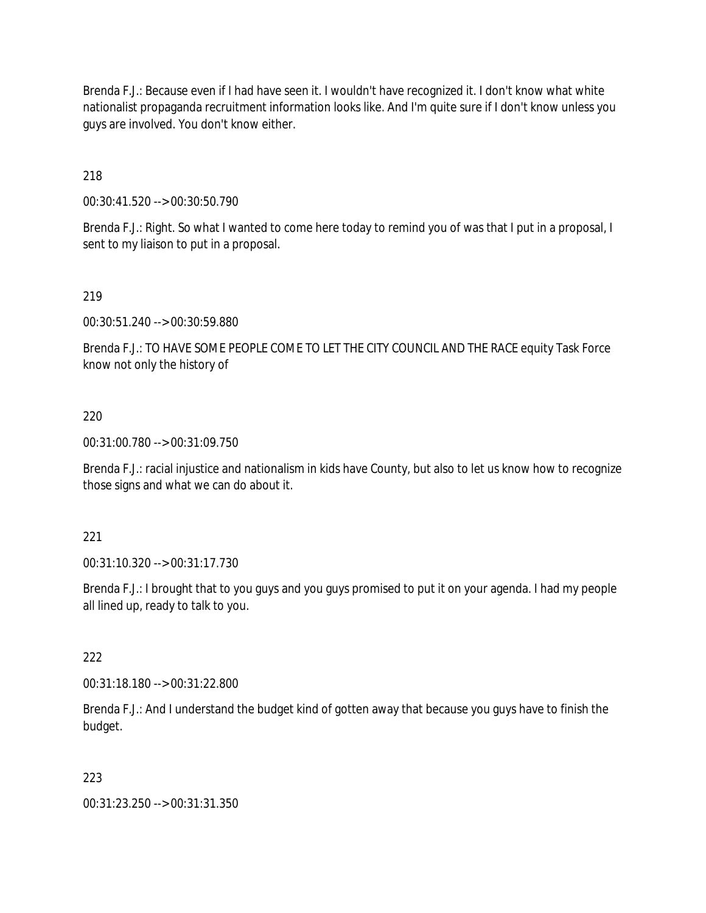Brenda F.J.: Because even if I had have seen it. I wouldn't have recognized it. I don't know what white nationalist propaganda recruitment information looks like. And I'm quite sure if I don't know unless you guys are involved. You don't know either.

218

00:30:41.520 --> 00:30:50.790

Brenda F.J.: Right. So what I wanted to come here today to remind you of was that I put in a proposal, I sent to my liaison to put in a proposal.

219

00:30:51.240 --> 00:30:59.880

Brenda F.J.: TO HAVE SOME PEOPLE COME TO LET THE CITY COUNCIL AND THE RACE equity Task Force know not only the history of

220

00:31:00.780 --> 00:31:09.750

Brenda F.J.: racial injustice and nationalism in kids have County, but also to let us know how to recognize those signs and what we can do about it.

221

00:31:10.320 --> 00:31:17.730

Brenda F.J.: I brought that to you guys and you guys promised to put it on your agenda. I had my people all lined up, ready to talk to you.

222

00:31:18.180 --> 00:31:22.800

Brenda F.J.: And I understand the budget kind of gotten away that because you guys have to finish the budget.

223

00:31:23.250 --> 00:31:31.350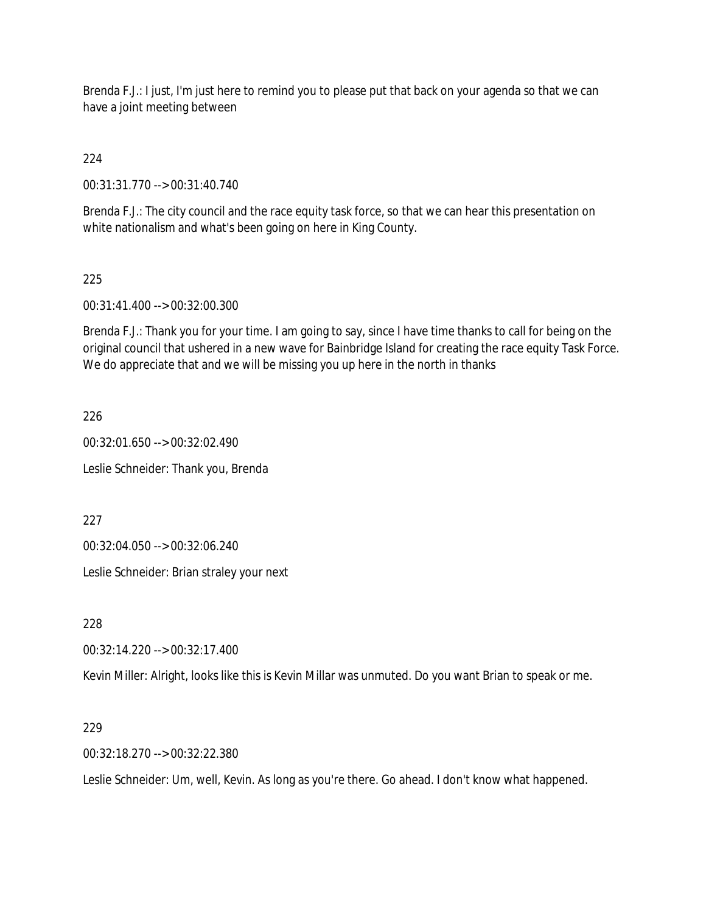Brenda F.J.: I just, I'm just here to remind you to please put that back on your agenda so that we can have a joint meeting between

224

00:31:31.770 --> 00:31:40.740

Brenda F.J.: The city council and the race equity task force, so that we can hear this presentation on white nationalism and what's been going on here in King County.

225

00:31:41.400 --> 00:32:00.300

Brenda F.J.: Thank you for your time. I am going to say, since I have time thanks to call for being on the original council that ushered in a new wave for Bainbridge Island for creating the race equity Task Force. We do appreciate that and we will be missing you up here in the north in thanks

226

00:32:01.650 --> 00:32:02.490 Leslie Schneider: Thank you, Brenda

227

00:32:04.050 --> 00:32:06.240

Leslie Schneider: Brian straley your next

228

00:32:14.220 --> 00:32:17.400

Kevin Miller: Alright, looks like this is Kevin Millar was unmuted. Do you want Brian to speak or me.

229

00:32:18.270 --> 00:32:22.380

Leslie Schneider: Um, well, Kevin. As long as you're there. Go ahead. I don't know what happened.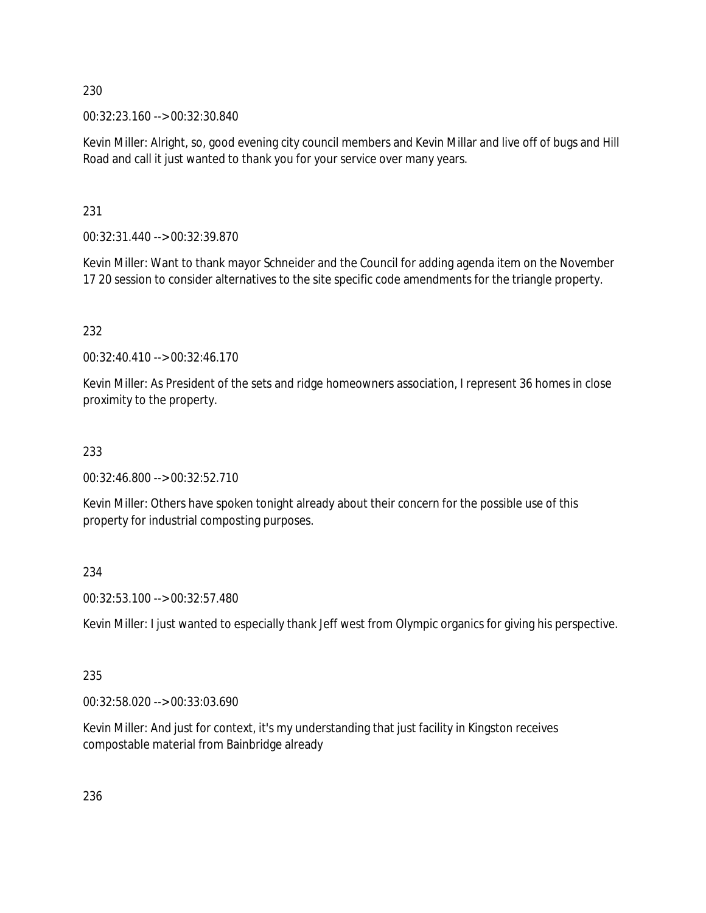00:32:23.160 --> 00:32:30.840

Kevin Miller: Alright, so, good evening city council members and Kevin Millar and live off of bugs and Hill Road and call it just wanted to thank you for your service over many years.

231

00:32:31.440 --> 00:32:39.870

Kevin Miller: Want to thank mayor Schneider and the Council for adding agenda item on the November 17 20 session to consider alternatives to the site specific code amendments for the triangle property.

232

00:32:40.410 --> 00:32:46.170

Kevin Miller: As President of the sets and ridge homeowners association, I represent 36 homes in close proximity to the property.

# 233

00:32:46.800 --> 00:32:52.710

Kevin Miller: Others have spoken tonight already about their concern for the possible use of this property for industrial composting purposes.

234

00:32:53.100 --> 00:32:57.480

Kevin Miller: I just wanted to especially thank Jeff west from Olympic organics for giving his perspective.

# 235

00:32:58.020 --> 00:33:03.690

Kevin Miller: And just for context, it's my understanding that just facility in Kingston receives compostable material from Bainbridge already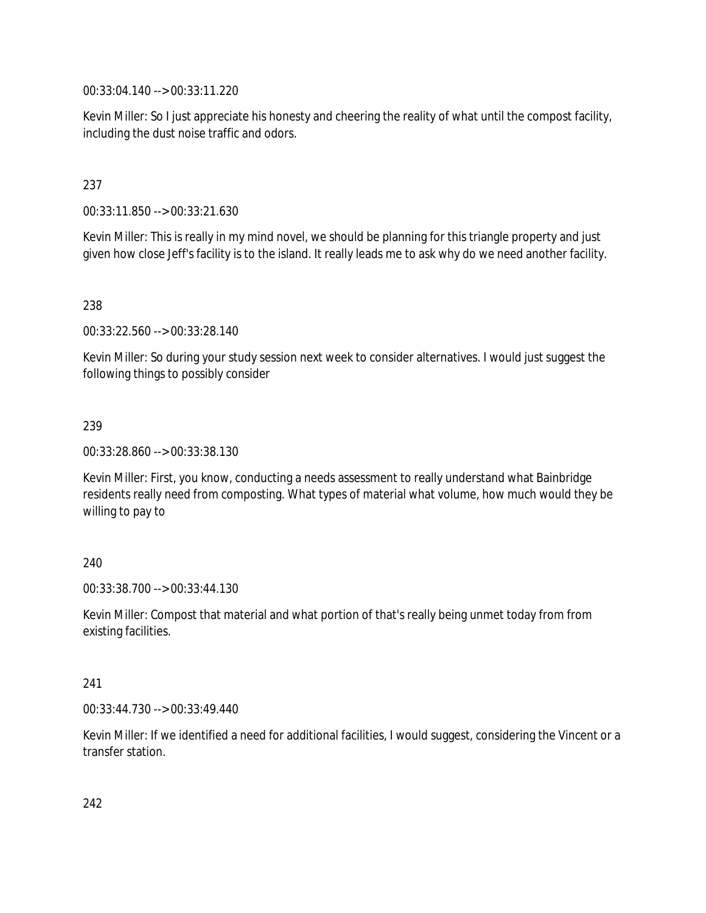00:33:04.140 --> 00:33:11.220

Kevin Miller: So I just appreciate his honesty and cheering the reality of what until the compost facility, including the dust noise traffic and odors.

# 237

00:33:11.850 --> 00:33:21.630

Kevin Miller: This is really in my mind novel, we should be planning for this triangle property and just given how close Jeff's facility is to the island. It really leads me to ask why do we need another facility.

238

00:33:22.560 --> 00:33:28.140

Kevin Miller: So during your study session next week to consider alternatives. I would just suggest the following things to possibly consider

## 239

00:33:28.860 --> 00:33:38.130

Kevin Miller: First, you know, conducting a needs assessment to really understand what Bainbridge residents really need from composting. What types of material what volume, how much would they be willing to pay to

## 240

00:33:38.700 --> 00:33:44.130

Kevin Miller: Compost that material and what portion of that's really being unmet today from from existing facilities.

## 241

00:33:44.730 --> 00:33:49.440

Kevin Miller: If we identified a need for additional facilities, I would suggest, considering the Vincent or a transfer station.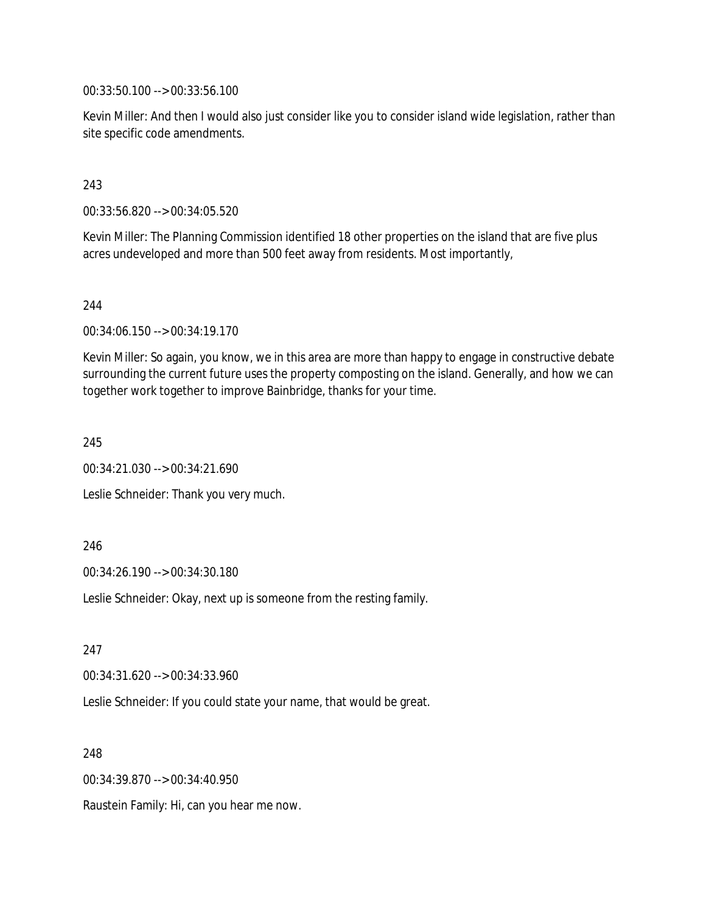00:33:50.100 --> 00:33:56.100

Kevin Miller: And then I would also just consider like you to consider island wide legislation, rather than site specific code amendments.

## 243

00:33:56.820 --> 00:34:05.520

Kevin Miller: The Planning Commission identified 18 other properties on the island that are five plus acres undeveloped and more than 500 feet away from residents. Most importantly,

### 244

00:34:06.150 --> 00:34:19.170

Kevin Miller: So again, you know, we in this area are more than happy to engage in constructive debate surrounding the current future uses the property composting on the island. Generally, and how we can together work together to improve Bainbridge, thanks for your time.

245

00:34:21.030 --> 00:34:21.690

Leslie Schneider: Thank you very much.

### 246

00:34:26.190 --> 00:34:30.180

Leslie Schneider: Okay, next up is someone from the resting family.

247

00:34:31.620 --> 00:34:33.960

Leslie Schneider: If you could state your name, that would be great.

248

00:34:39.870 --> 00:34:40.950

Raustein Family: Hi, can you hear me now.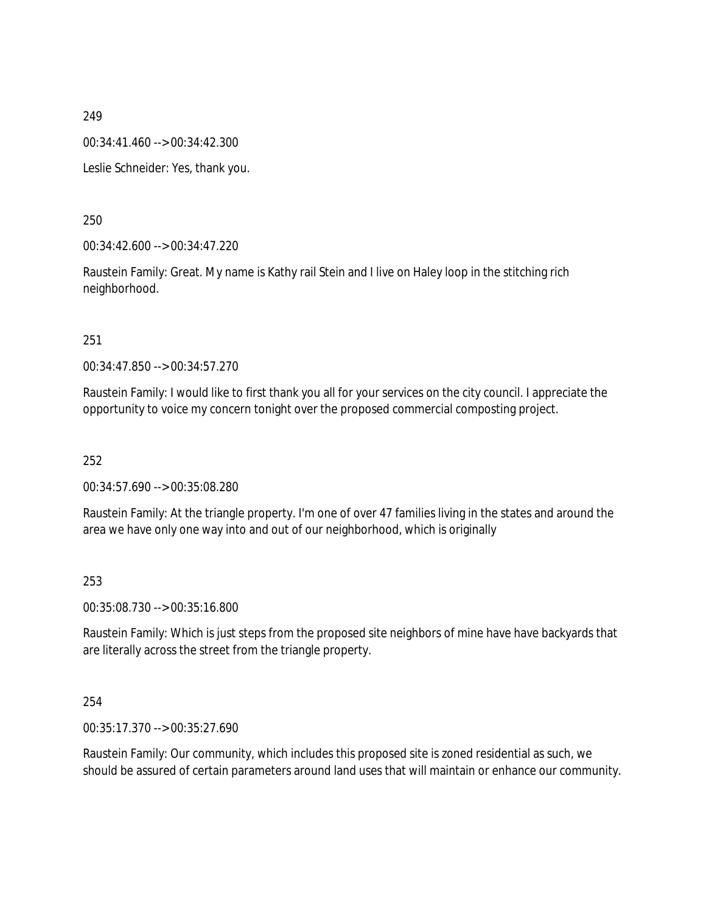00:34:41.460 --> 00:34:42.300

Leslie Schneider: Yes, thank you.

250

00:34:42.600 --> 00:34:47.220

Raustein Family: Great. My name is Kathy rail Stein and I live on Haley loop in the stitching rich neighborhood.

251

00:34:47.850 --> 00:34:57.270

Raustein Family: I would like to first thank you all for your services on the city council. I appreciate the opportunity to voice my concern tonight over the proposed commercial composting project.

252

00:34:57.690 --> 00:35:08.280

Raustein Family: At the triangle property. I'm one of over 47 families living in the states and around the area we have only one way into and out of our neighborhood, which is originally

253

00:35:08.730 --> 00:35:16.800

Raustein Family: Which is just steps from the proposed site neighbors of mine have have backyards that are literally across the street from the triangle property.

254

00:35:17.370 --> 00:35:27.690

Raustein Family: Our community, which includes this proposed site is zoned residential as such, we should be assured of certain parameters around land uses that will maintain or enhance our community.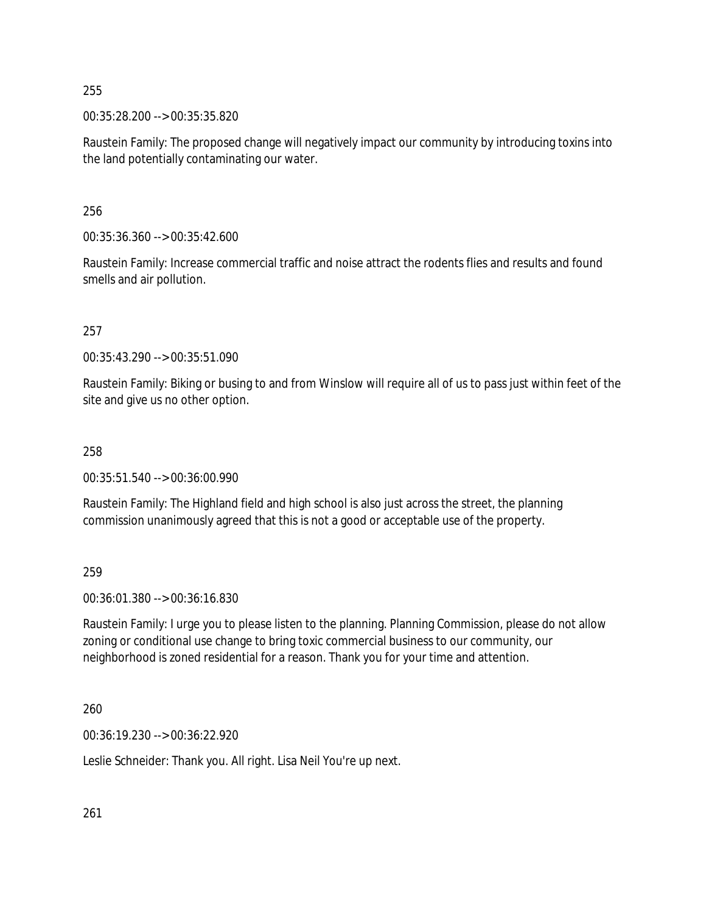00:35:28.200 --> 00:35:35.820

Raustein Family: The proposed change will negatively impact our community by introducing toxins into the land potentially contaminating our water.

256

00:35:36.360 --> 00:35:42.600

Raustein Family: Increase commercial traffic and noise attract the rodents flies and results and found smells and air pollution.

257

00:35:43.290 --> 00:35:51.090

Raustein Family: Biking or busing to and from Winslow will require all of us to pass just within feet of the site and give us no other option.

## 258

00:35:51.540 --> 00:36:00.990

Raustein Family: The Highland field and high school is also just across the street, the planning commission unanimously agreed that this is not a good or acceptable use of the property.

259

00:36:01.380 --> 00:36:16.830

Raustein Family: I urge you to please listen to the planning. Planning Commission, please do not allow zoning or conditional use change to bring toxic commercial business to our community, our neighborhood is zoned residential for a reason. Thank you for your time and attention.

260

00:36:19.230 --> 00:36:22.920

Leslie Schneider: Thank you. All right. Lisa Neil You're up next.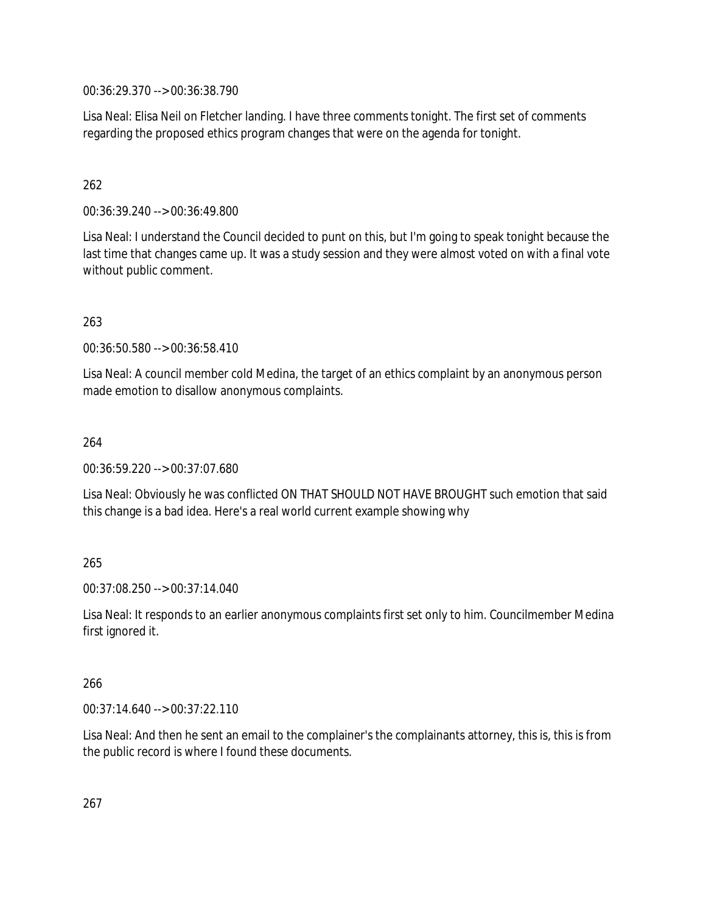00:36:29.370 --> 00:36:38.790

Lisa Neal: Elisa Neil on Fletcher landing. I have three comments tonight. The first set of comments regarding the proposed ethics program changes that were on the agenda for tonight.

## 262

00:36:39.240 --> 00:36:49.800

Lisa Neal: I understand the Council decided to punt on this, but I'm going to speak tonight because the last time that changes came up. It was a study session and they were almost voted on with a final vote without public comment.

263

00:36:50.580 --> 00:36:58.410

Lisa Neal: A council member cold Medina, the target of an ethics complaint by an anonymous person made emotion to disallow anonymous complaints.

264

00:36:59.220 --> 00:37:07.680

Lisa Neal: Obviously he was conflicted ON THAT SHOULD NOT HAVE BROUGHT such emotion that said this change is a bad idea. Here's a real world current example showing why

## 265

00:37:08.250 --> 00:37:14.040

Lisa Neal: It responds to an earlier anonymous complaints first set only to him. Councilmember Medina first ignored it.

## 266

00:37:14.640 --> 00:37:22.110

Lisa Neal: And then he sent an email to the complainer's the complainants attorney, this is, this is from the public record is where I found these documents.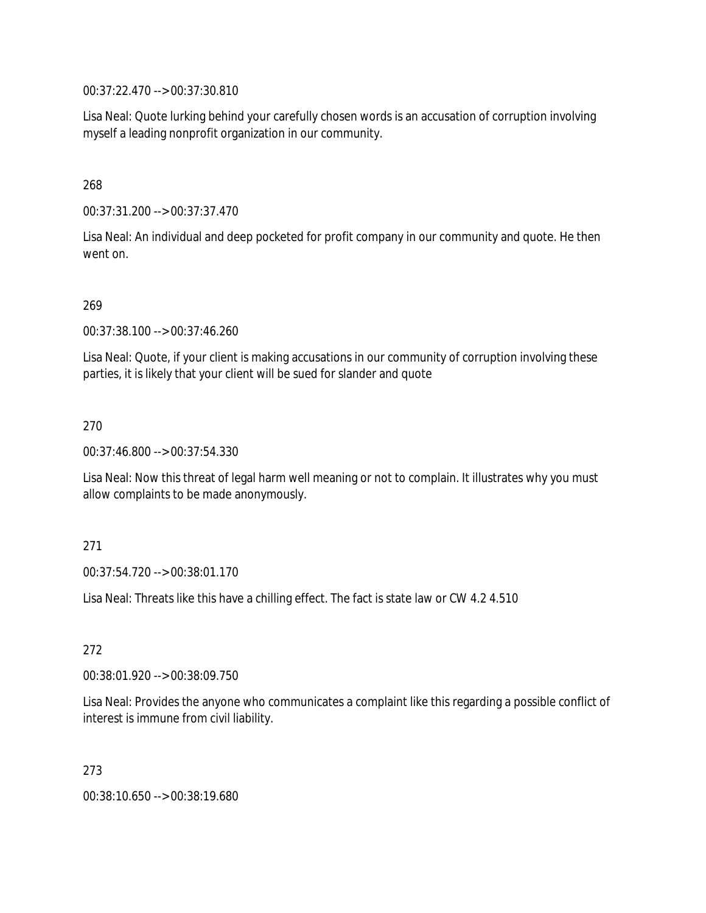00:37:22.470 --> 00:37:30.810

Lisa Neal: Quote lurking behind your carefully chosen words is an accusation of corruption involving myself a leading nonprofit organization in our community.

## 268

00:37:31.200 --> 00:37:37.470

Lisa Neal: An individual and deep pocketed for profit company in our community and quote. He then went on.

## 269

00:37:38.100 --> 00:37:46.260

Lisa Neal: Quote, if your client is making accusations in our community of corruption involving these parties, it is likely that your client will be sued for slander and quote

## 270

00:37:46.800 --> 00:37:54.330

Lisa Neal: Now this threat of legal harm well meaning or not to complain. It illustrates why you must allow complaints to be made anonymously.

## 271

00:37:54.720 --> 00:38:01.170

Lisa Neal: Threats like this have a chilling effect. The fact is state law or CW 4.2 4.510

## 272

00:38:01.920 --> 00:38:09.750

Lisa Neal: Provides the anyone who communicates a complaint like this regarding a possible conflict of interest is immune from civil liability.

273

00:38:10.650 --> 00:38:19.680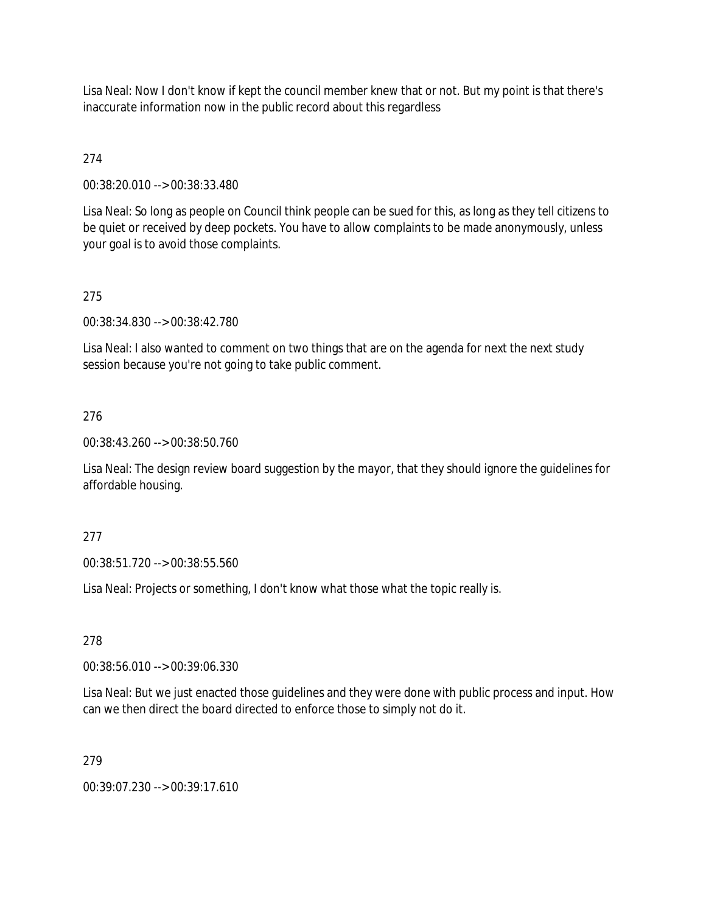Lisa Neal: Now I don't know if kept the council member knew that or not. But my point is that there's inaccurate information now in the public record about this regardless

# 274

00:38:20.010 --> 00:38:33.480

Lisa Neal: So long as people on Council think people can be sued for this, as long as they tell citizens to be quiet or received by deep pockets. You have to allow complaints to be made anonymously, unless your goal is to avoid those complaints.

# 275

00:38:34.830 --> 00:38:42.780

Lisa Neal: I also wanted to comment on two things that are on the agenda for next the next study session because you're not going to take public comment.

# 276

00:38:43.260 --> 00:38:50.760

Lisa Neal: The design review board suggestion by the mayor, that they should ignore the guidelines for affordable housing.

# 277

00:38:51.720 --> 00:38:55.560

Lisa Neal: Projects or something, I don't know what those what the topic really is.

## 278

00:38:56.010 --> 00:39:06.330

Lisa Neal: But we just enacted those guidelines and they were done with public process and input. How can we then direct the board directed to enforce those to simply not do it.

## 279

00:39:07.230 --> 00:39:17.610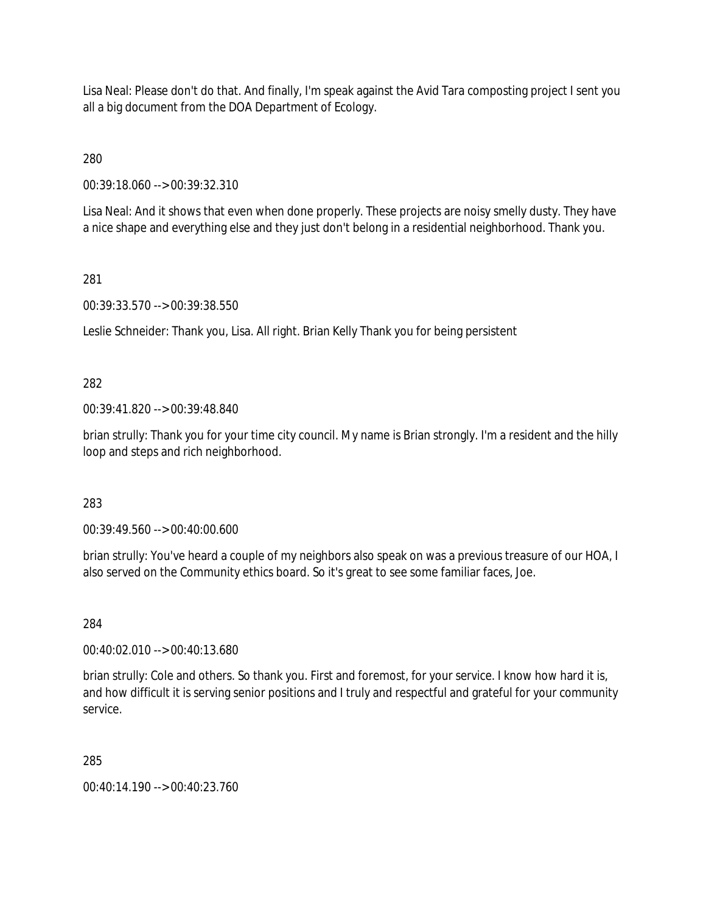Lisa Neal: Please don't do that. And finally, I'm speak against the Avid Tara composting project I sent you all a big document from the DOA Department of Ecology.

280

00:39:18.060 --> 00:39:32.310

Lisa Neal: And it shows that even when done properly. These projects are noisy smelly dusty. They have a nice shape and everything else and they just don't belong in a residential neighborhood. Thank you.

281

00:39:33.570 --> 00:39:38.550

Leslie Schneider: Thank you, Lisa. All right. Brian Kelly Thank you for being persistent

282

00:39:41.820 --> 00:39:48.840

brian strully: Thank you for your time city council. My name is Brian strongly. I'm a resident and the hilly loop and steps and rich neighborhood.

283

00:39:49.560 --> 00:40:00.600

brian strully: You've heard a couple of my neighbors also speak on was a previous treasure of our HOA, I also served on the Community ethics board. So it's great to see some familiar faces, Joe.

284

00:40:02.010 --> 00:40:13.680

brian strully: Cole and others. So thank you. First and foremost, for your service. I know how hard it is, and how difficult it is serving senior positions and I truly and respectful and grateful for your community service.

285

00:40:14.190 --> 00:40:23.760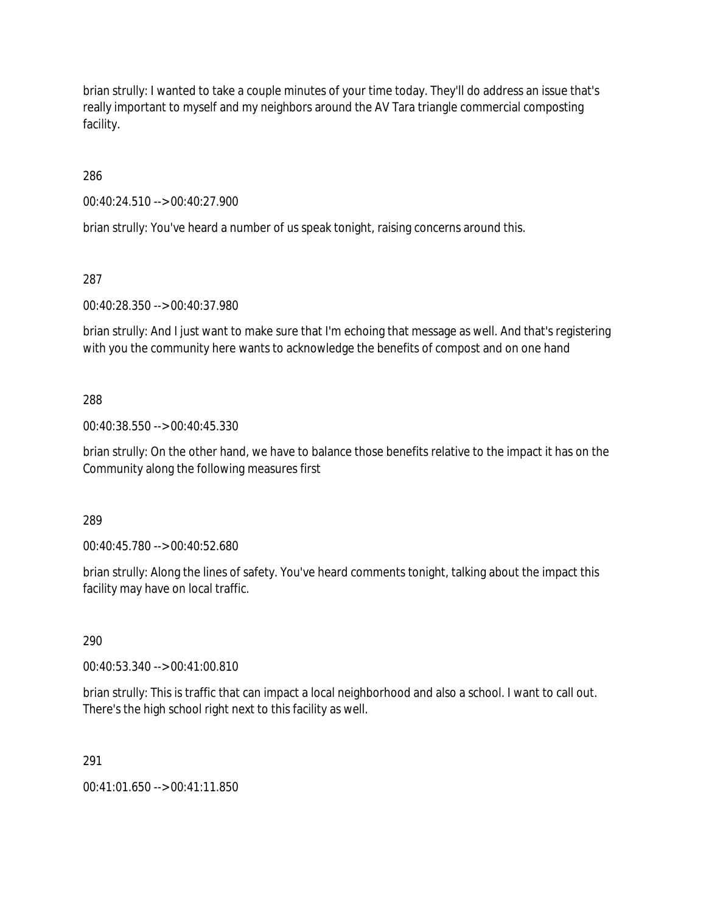brian strully: I wanted to take a couple minutes of your time today. They'll do address an issue that's really important to myself and my neighbors around the AV Tara triangle commercial composting facility.

286

00:40:24.510 --> 00:40:27.900

brian strully: You've heard a number of us speak tonight, raising concerns around this.

287

00:40:28.350 --> 00:40:37.980

brian strully: And I just want to make sure that I'm echoing that message as well. And that's registering with you the community here wants to acknowledge the benefits of compost and on one hand

288

00:40:38.550 --> 00:40:45.330

brian strully: On the other hand, we have to balance those benefits relative to the impact it has on the Community along the following measures first

289

00:40:45.780 --> 00:40:52.680

brian strully: Along the lines of safety. You've heard comments tonight, talking about the impact this facility may have on local traffic.

290

00:40:53.340 --> 00:41:00.810

brian strully: This is traffic that can impact a local neighborhood and also a school. I want to call out. There's the high school right next to this facility as well.

291

00:41:01.650 --> 00:41:11.850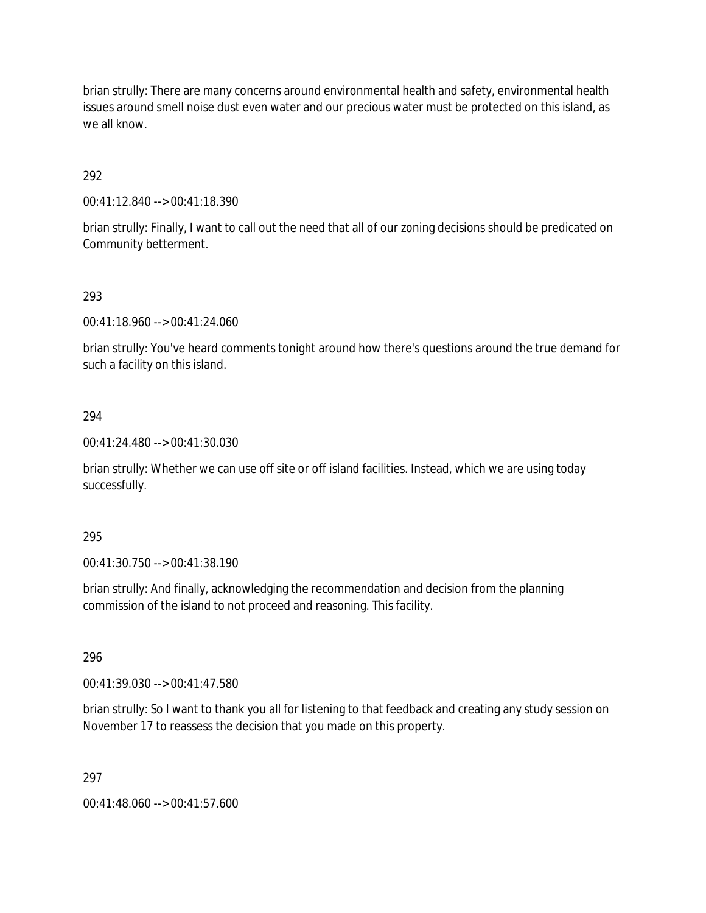brian strully: There are many concerns around environmental health and safety, environmental health issues around smell noise dust even water and our precious water must be protected on this island, as we all know.

# 292

00:41:12.840 --> 00:41:18.390

brian strully: Finally, I want to call out the need that all of our zoning decisions should be predicated on Community betterment.

## 293

00:41:18.960 --> 00:41:24.060

brian strully: You've heard comments tonight around how there's questions around the true demand for such a facility on this island.

## 294

00:41:24.480 --> 00:41:30.030

brian strully: Whether we can use off site or off island facilities. Instead, which we are using today successfully.

#### 295

00:41:30.750 --> 00:41:38.190

brian strully: And finally, acknowledging the recommendation and decision from the planning commission of the island to not proceed and reasoning. This facility.

### 296

00:41:39.030 --> 00:41:47.580

brian strully: So I want to thank you all for listening to that feedback and creating any study session on November 17 to reassess the decision that you made on this property.

#### 297

00:41:48.060 --> 00:41:57.600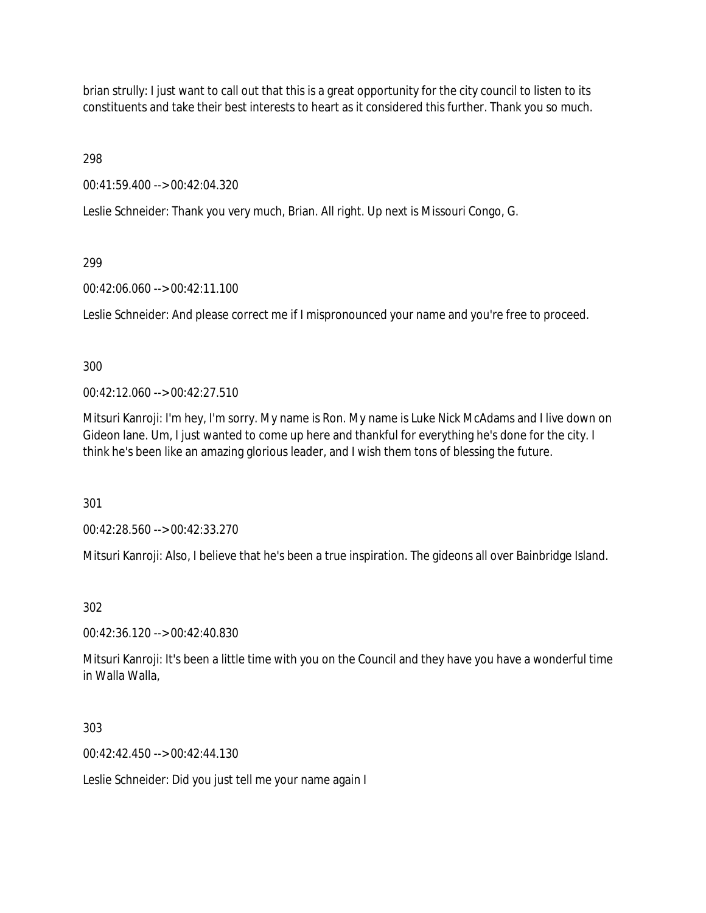brian strully: I just want to call out that this is a great opportunity for the city council to listen to its constituents and take their best interests to heart as it considered this further. Thank you so much.

298

00:41:59.400 --> 00:42:04.320

Leslie Schneider: Thank you very much, Brian. All right. Up next is Missouri Congo, G.

299

00:42:06.060 --> 00:42:11.100

Leslie Schneider: And please correct me if I mispronounced your name and you're free to proceed.

300

00:42:12.060 --> 00:42:27.510

Mitsuri Kanroji: I'm hey, I'm sorry. My name is Ron. My name is Luke Nick McAdams and I live down on Gideon lane. Um, I just wanted to come up here and thankful for everything he's done for the city. I think he's been like an amazing glorious leader, and I wish them tons of blessing the future.

301

00:42:28.560 --> 00:42:33.270

Mitsuri Kanroji: Also, I believe that he's been a true inspiration. The gideons all over Bainbridge Island.

302

00:42:36.120 --> 00:42:40.830

Mitsuri Kanroji: It's been a little time with you on the Council and they have you have a wonderful time in Walla Walla,

303

00:42:42.450 --> 00:42:44.130

Leslie Schneider: Did you just tell me your name again I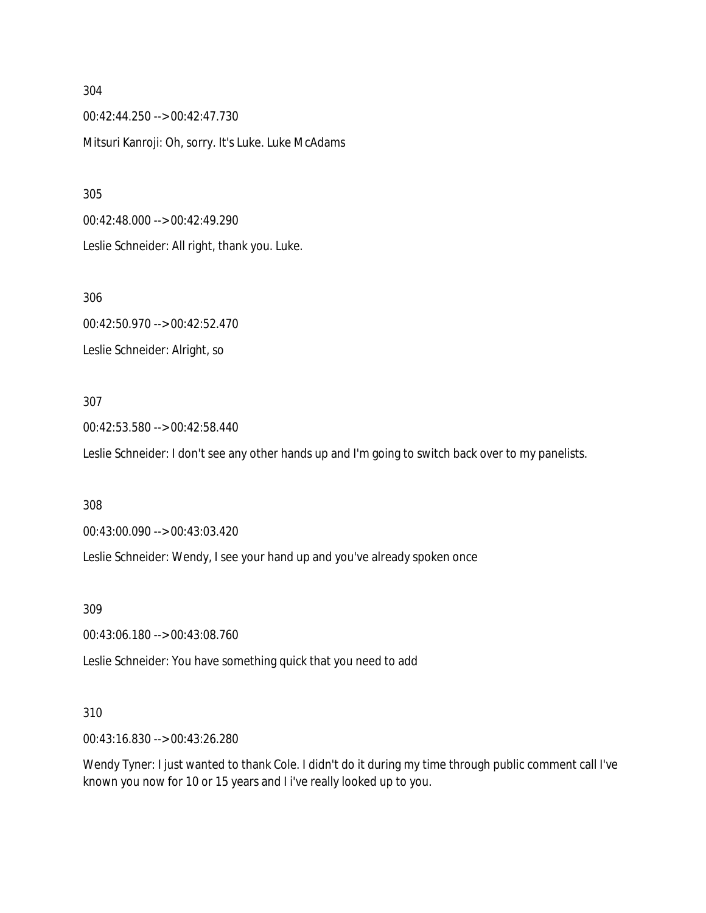00:42:44.250 --> 00:42:47.730 Mitsuri Kanroji: Oh, sorry. It's Luke. Luke McAdams

305

00:42:48.000 --> 00:42:49.290 Leslie Schneider: All right, thank you. Luke.

306

00:42:50.970 --> 00:42:52.470 Leslie Schneider: Alright, so

### 307

00:42:53.580 --> 00:42:58.440

Leslie Schneider: I don't see any other hands up and I'm going to switch back over to my panelists.

308

00:43:00.090 --> 00:43:03.420

Leslie Schneider: Wendy, I see your hand up and you've already spoken once

309

00:43:06.180 --> 00:43:08.760

Leslie Schneider: You have something quick that you need to add

#### 310

00:43:16.830 --> 00:43:26.280

Wendy Tyner: I just wanted to thank Cole. I didn't do it during my time through public comment call I've known you now for 10 or 15 years and I i've really looked up to you.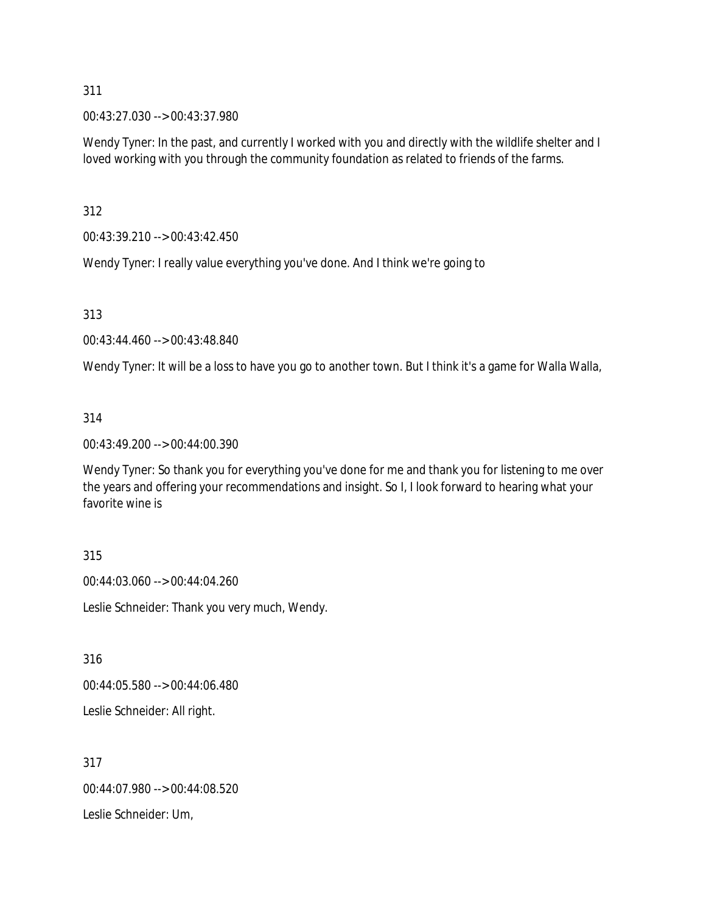00:43:27.030 --> 00:43:37.980

Wendy Tyner: In the past, and currently I worked with you and directly with the wildlife shelter and I loved working with you through the community foundation as related to friends of the farms.

312

00:43:39.210 --> 00:43:42.450

Wendy Tyner: I really value everything you've done. And I think we're going to

313

00:43:44.460 --> 00:43:48.840

Wendy Tyner: It will be a loss to have you go to another town. But I think it's a game for Walla Walla,

### 314

00:43:49.200 --> 00:44:00.390

Wendy Tyner: So thank you for everything you've done for me and thank you for listening to me over the years and offering your recommendations and insight. So I, I look forward to hearing what your favorite wine is

315

00:44:03.060 --> 00:44:04.260

Leslie Schneider: Thank you very much, Wendy.

316

00:44:05.580 --> 00:44:06.480

Leslie Schneider: All right.

317 00:44:07.980 --> 00:44:08.520 Leslie Schneider: Um,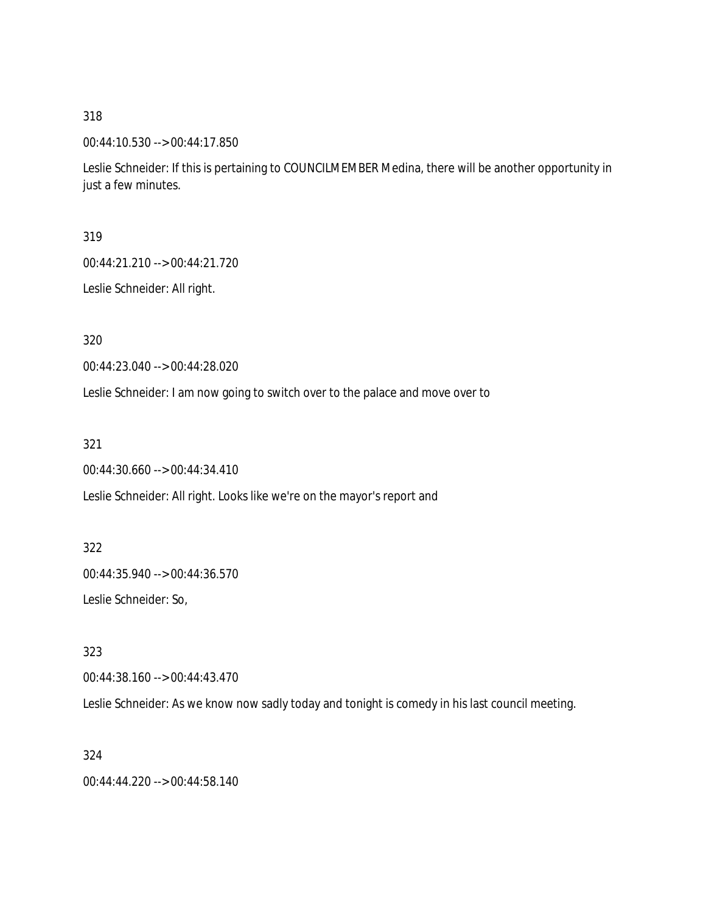00:44:10.530 --> 00:44:17.850

Leslie Schneider: If this is pertaining to COUNCILMEMBER Medina, there will be another opportunity in just a few minutes.

319

00:44:21.210 --> 00:44:21.720

Leslie Schneider: All right.

320

00:44:23.040 --> 00:44:28.020

Leslie Schneider: I am now going to switch over to the palace and move over to

321

00:44:30.660 --> 00:44:34.410

Leslie Schneider: All right. Looks like we're on the mayor's report and

322

00:44:35.940 --> 00:44:36.570

Leslie Schneider: So,

323

00:44:38.160 --> 00:44:43.470

Leslie Schneider: As we know now sadly today and tonight is comedy in his last council meeting.

324

00:44:44.220 --> 00:44:58.140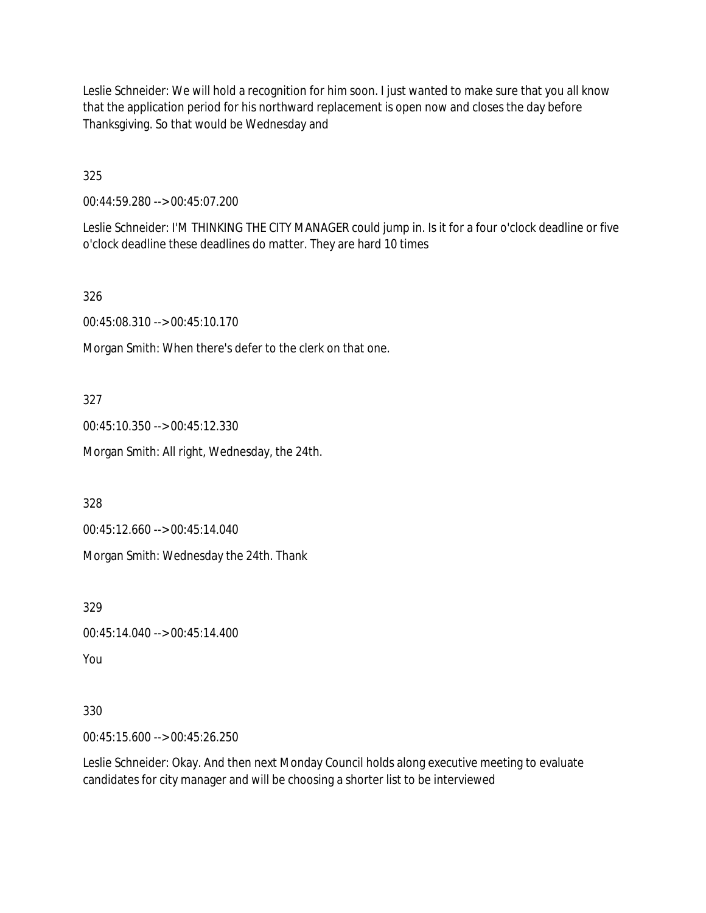Leslie Schneider: We will hold a recognition for him soon. I just wanted to make sure that you all know that the application period for his northward replacement is open now and closes the day before Thanksgiving. So that would be Wednesday and

325

00:44:59.280 --> 00:45:07.200

Leslie Schneider: I'M THINKING THE CITY MANAGER could jump in. Is it for a four o'clock deadline or five o'clock deadline these deadlines do matter. They are hard 10 times

326

00:45:08.310 --> 00:45:10.170

Morgan Smith: When there's defer to the clerk on that one.

327

00:45:10.350 --> 00:45:12.330

Morgan Smith: All right, Wednesday, the 24th.

328

00:45:12.660 --> 00:45:14.040

Morgan Smith: Wednesday the 24th. Thank

329

00:45:14.040 --> 00:45:14.400

You

## 330

00:45:15.600 --> 00:45:26.250

Leslie Schneider: Okay. And then next Monday Council holds along executive meeting to evaluate candidates for city manager and will be choosing a shorter list to be interviewed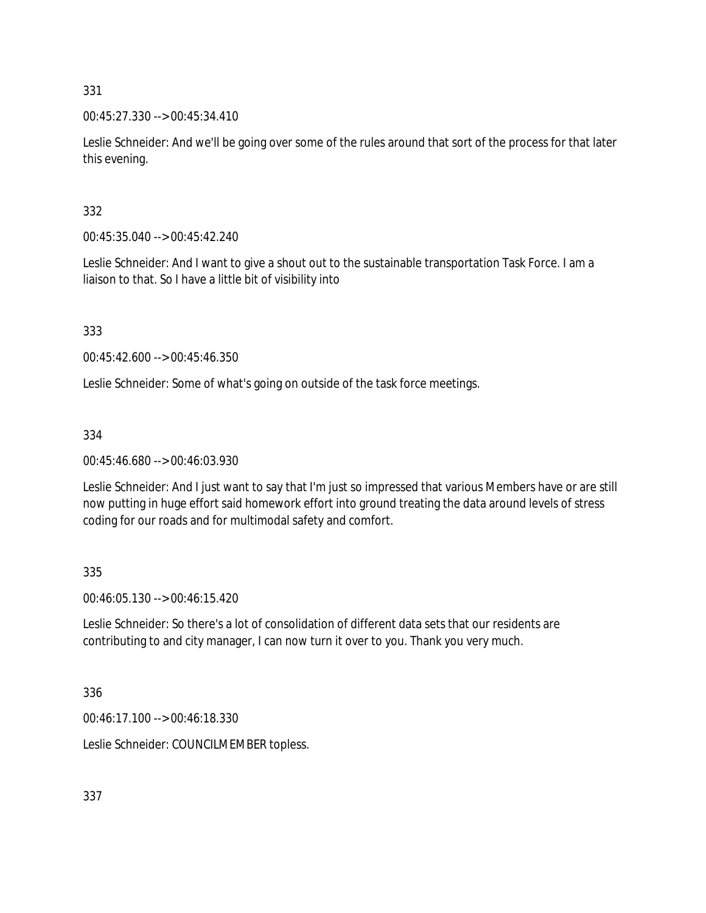00:45:27.330 --> 00:45:34.410

Leslie Schneider: And we'll be going over some of the rules around that sort of the process for that later this evening.

# 332

00:45:35.040 --> 00:45:42.240

Leslie Schneider: And I want to give a shout out to the sustainable transportation Task Force. I am a liaison to that. So I have a little bit of visibility into

333

00:45:42.600 --> 00:45:46.350

Leslie Schneider: Some of what's going on outside of the task force meetings.

334

00:45:46.680 --> 00:46:03.930

Leslie Schneider: And I just want to say that I'm just so impressed that various Members have or are still now putting in huge effort said homework effort into ground treating the data around levels of stress coding for our roads and for multimodal safety and comfort.

335

00:46:05.130 --> 00:46:15.420

Leslie Schneider: So there's a lot of consolidation of different data sets that our residents are contributing to and city manager, I can now turn it over to you. Thank you very much.

336

00:46:17.100 --> 00:46:18.330

Leslie Schneider: COUNCILMEMBER topless.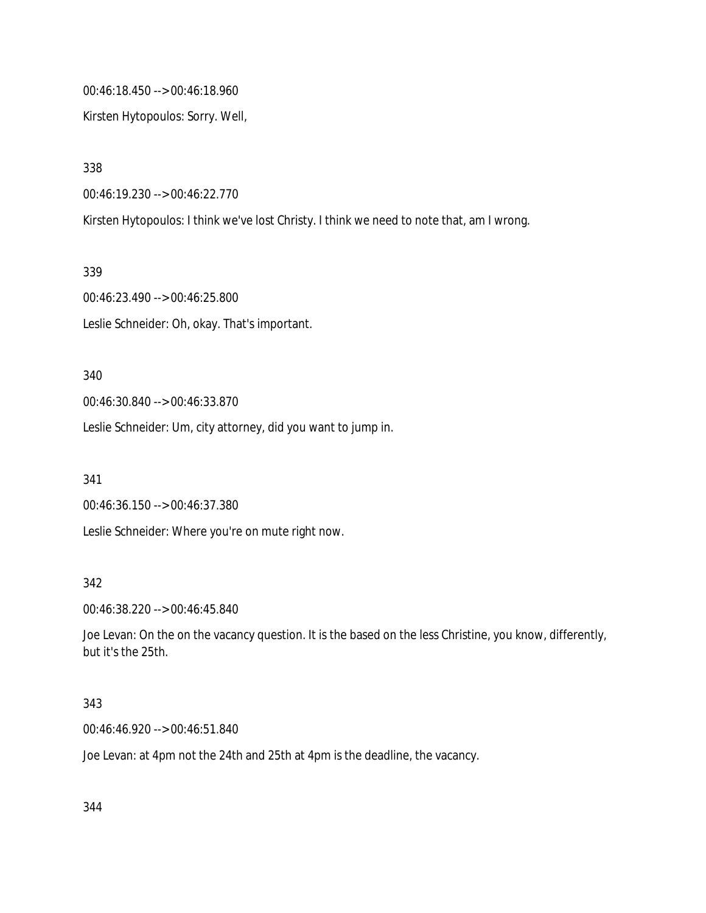00:46:18.450 --> 00:46:18.960

Kirsten Hytopoulos: Sorry. Well,

338

00:46:19.230 --> 00:46:22.770

Kirsten Hytopoulos: I think we've lost Christy. I think we need to note that, am I wrong.

339

00:46:23.490 --> 00:46:25.800 Leslie Schneider: Oh, okay. That's important.

### 340

00:46:30.840 --> 00:46:33.870

Leslie Schneider: Um, city attorney, did you want to jump in.

341

00:46:36.150 --> 00:46:37.380

Leslie Schneider: Where you're on mute right now.

### 342

00:46:38.220 --> 00:46:45.840

Joe Levan: On the on the vacancy question. It is the based on the less Christine, you know, differently, but it's the 25th.

## 343

00:46:46.920 --> 00:46:51.840

Joe Levan: at 4pm not the 24th and 25th at 4pm is the deadline, the vacancy.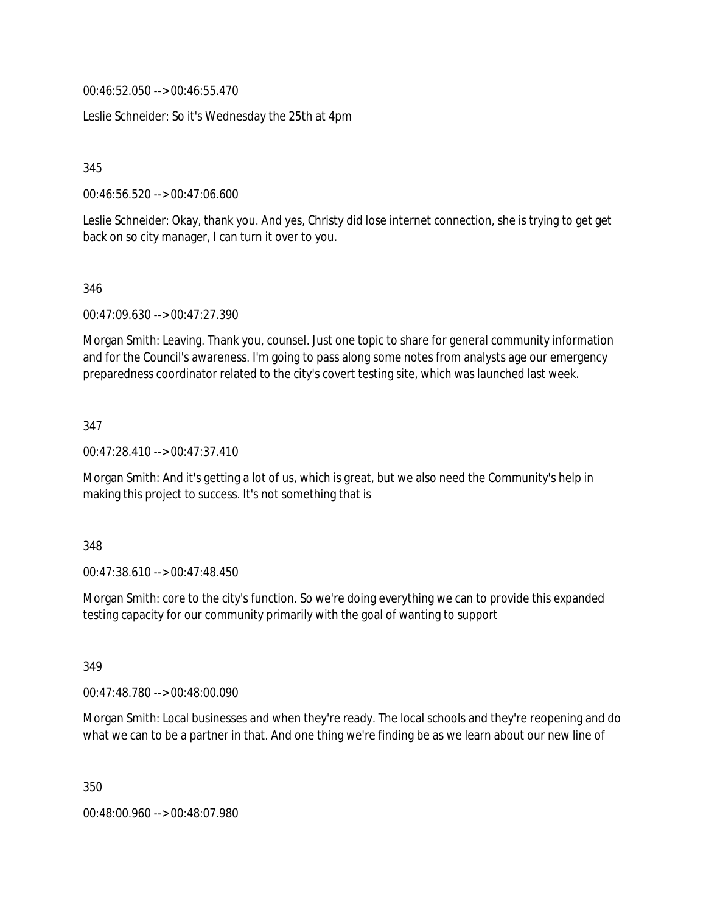00:46:52.050 --> 00:46:55.470

Leslie Schneider: So it's Wednesday the 25th at 4pm

345

00:46:56.520 --> 00:47:06.600

Leslie Schneider: Okay, thank you. And yes, Christy did lose internet connection, she is trying to get get back on so city manager, I can turn it over to you.

346

00:47:09.630 --> 00:47:27.390

Morgan Smith: Leaving. Thank you, counsel. Just one topic to share for general community information and for the Council's awareness. I'm going to pass along some notes from analysts age our emergency preparedness coordinator related to the city's covert testing site, which was launched last week.

347

00:47:28.410 --> 00:47:37.410

Morgan Smith: And it's getting a lot of us, which is great, but we also need the Community's help in making this project to success. It's not something that is

348

00:47:38.610 --> 00:47:48.450

Morgan Smith: core to the city's function. So we're doing everything we can to provide this expanded testing capacity for our community primarily with the goal of wanting to support

349

00:47:48.780 --> 00:48:00.090

Morgan Smith: Local businesses and when they're ready. The local schools and they're reopening and do what we can to be a partner in that. And one thing we're finding be as we learn about our new line of

350

00:48:00.960 --> 00:48:07.980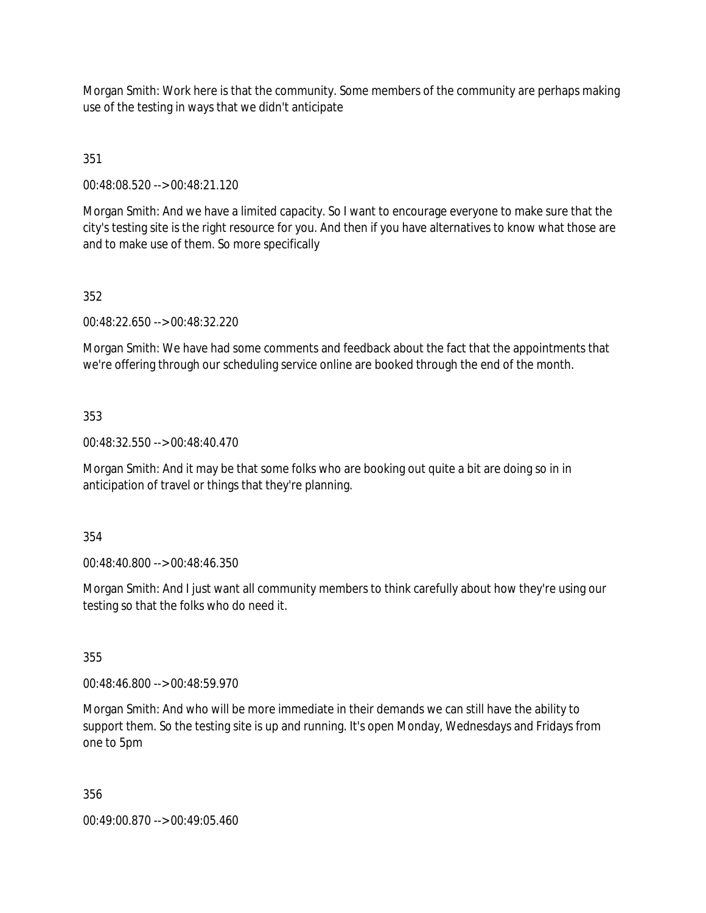Morgan Smith: Work here is that the community. Some members of the community are perhaps making use of the testing in ways that we didn't anticipate

351

00:48:08.520 --> 00:48:21.120

Morgan Smith: And we have a limited capacity. So I want to encourage everyone to make sure that the city's testing site is the right resource for you. And then if you have alternatives to know what those are and to make use of them. So more specifically

## 352

00:48:22.650 --> 00:48:32.220

Morgan Smith: We have had some comments and feedback about the fact that the appointments that we're offering through our scheduling service online are booked through the end of the month.

353

00:48:32.550 --> 00:48:40.470

Morgan Smith: And it may be that some folks who are booking out quite a bit are doing so in in anticipation of travel or things that they're planning.

354

00:48:40.800 --> 00:48:46.350

Morgan Smith: And I just want all community members to think carefully about how they're using our testing so that the folks who do need it.

355

00:48:46.800 --> 00:48:59.970

Morgan Smith: And who will be more immediate in their demands we can still have the ability to support them. So the testing site is up and running. It's open Monday, Wednesdays and Fridays from one to 5pm

356

00:49:00.870 --> 00:49:05.460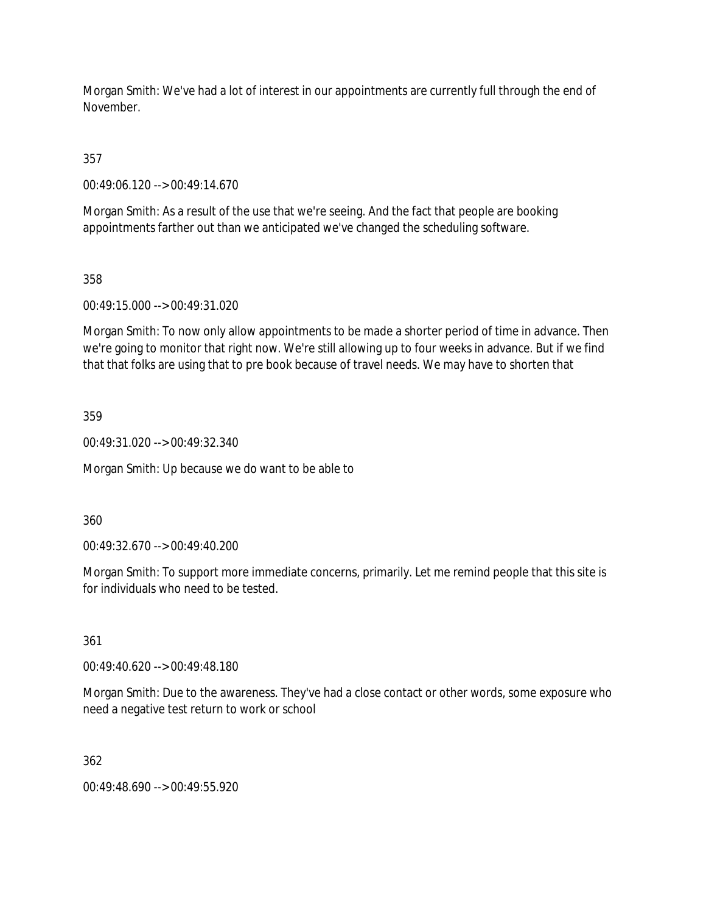Morgan Smith: We've had a lot of interest in our appointments are currently full through the end of November.

357

00:49:06.120 --> 00:49:14.670

Morgan Smith: As a result of the use that we're seeing. And the fact that people are booking appointments farther out than we anticipated we've changed the scheduling software.

358

00:49:15.000 --> 00:49:31.020

Morgan Smith: To now only allow appointments to be made a shorter period of time in advance. Then we're going to monitor that right now. We're still allowing up to four weeks in advance. But if we find that that folks are using that to pre book because of travel needs. We may have to shorten that

359

00:49:31.020 --> 00:49:32.340

Morgan Smith: Up because we do want to be able to

360

00:49:32.670 --> 00:49:40.200

Morgan Smith: To support more immediate concerns, primarily. Let me remind people that this site is for individuals who need to be tested.

361

00:49:40.620 --> 00:49:48.180

Morgan Smith: Due to the awareness. They've had a close contact or other words, some exposure who need a negative test return to work or school

362

00:49:48.690 --> 00:49:55.920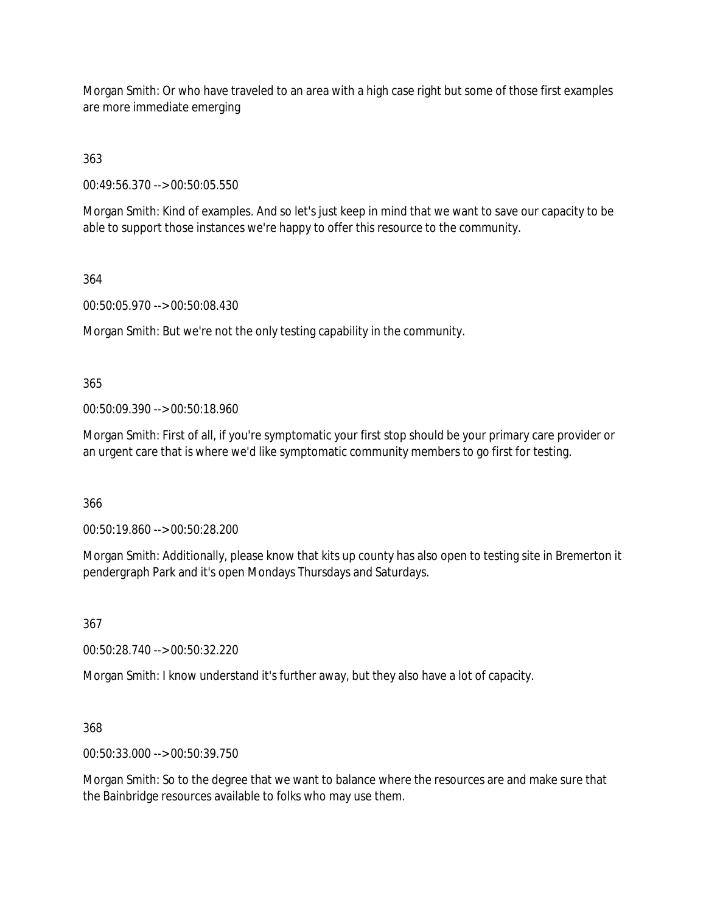Morgan Smith: Or who have traveled to an area with a high case right but some of those first examples are more immediate emerging

363

00:49:56.370 --> 00:50:05.550

Morgan Smith: Kind of examples. And so let's just keep in mind that we want to save our capacity to be able to support those instances we're happy to offer this resource to the community.

364

00:50:05.970 --> 00:50:08.430

Morgan Smith: But we're not the only testing capability in the community.

365

00:50:09.390 --> 00:50:18.960

Morgan Smith: First of all, if you're symptomatic your first stop should be your primary care provider or an urgent care that is where we'd like symptomatic community members to go first for testing.

366

00:50:19.860 --> 00:50:28.200

Morgan Smith: Additionally, please know that kits up county has also open to testing site in Bremerton it pendergraph Park and it's open Mondays Thursdays and Saturdays.

367

00:50:28.740 --> 00:50:32.220

Morgan Smith: I know understand it's further away, but they also have a lot of capacity.

368

00:50:33.000 --> 00:50:39.750

Morgan Smith: So to the degree that we want to balance where the resources are and make sure that the Bainbridge resources available to folks who may use them.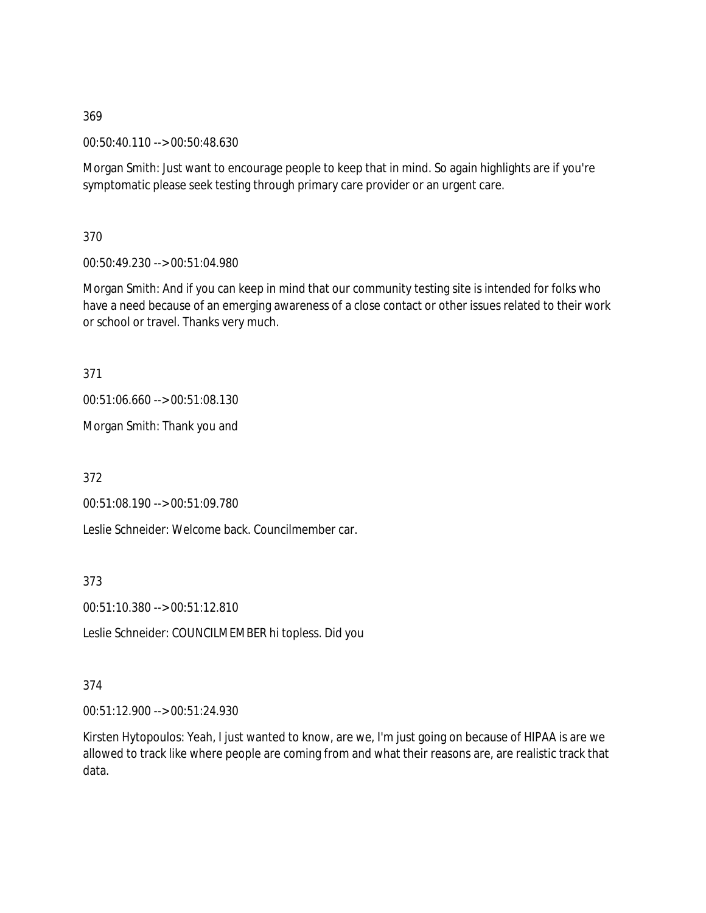00:50:40.110 --> 00:50:48.630

Morgan Smith: Just want to encourage people to keep that in mind. So again highlights are if you're symptomatic please seek testing through primary care provider or an urgent care.

370

00:50:49.230 --> 00:51:04.980

Morgan Smith: And if you can keep in mind that our community testing site is intended for folks who have a need because of an emerging awareness of a close contact or other issues related to their work or school or travel. Thanks very much.

371

00:51:06.660 --> 00:51:08.130

Morgan Smith: Thank you and

372

00:51:08.190 --> 00:51:09.780

Leslie Schneider: Welcome back. Councilmember car.

373

00:51:10.380 --> 00:51:12.810

Leslie Schneider: COUNCILMEMBER hi topless. Did you

374

00:51:12.900 --> 00:51:24.930

Kirsten Hytopoulos: Yeah, I just wanted to know, are we, I'm just going on because of HIPAA is are we allowed to track like where people are coming from and what their reasons are, are realistic track that data.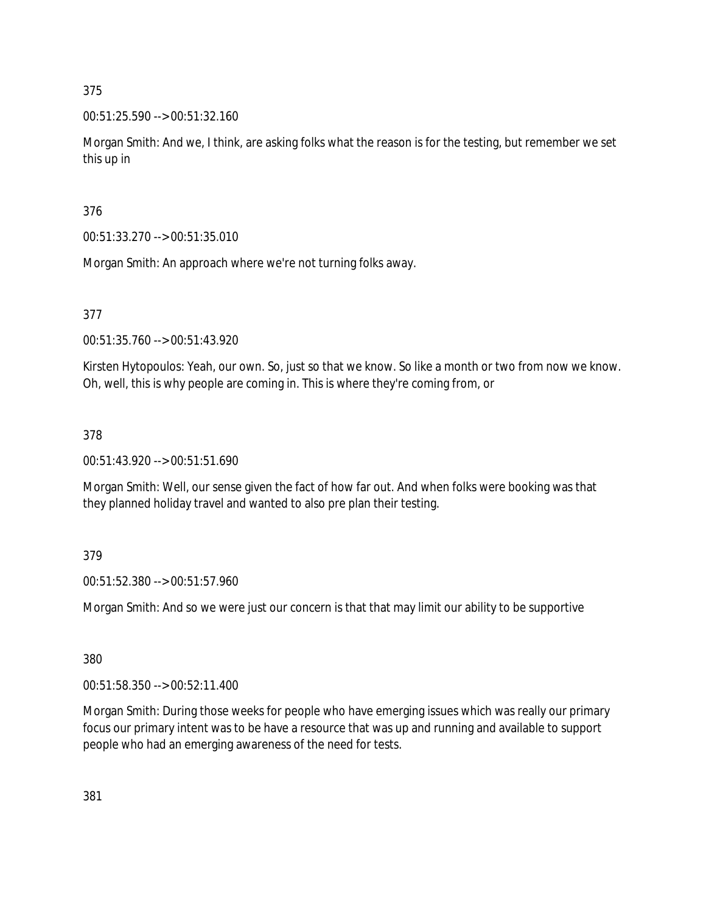00:51:25.590 --> 00:51:32.160

Morgan Smith: And we, I think, are asking folks what the reason is for the testing, but remember we set this up in

376

00:51:33.270 --> 00:51:35.010

Morgan Smith: An approach where we're not turning folks away.

377

00:51:35.760 --> 00:51:43.920

Kirsten Hytopoulos: Yeah, our own. So, just so that we know. So like a month or two from now we know. Oh, well, this is why people are coming in. This is where they're coming from, or

378

00:51:43.920 --> 00:51:51.690

Morgan Smith: Well, our sense given the fact of how far out. And when folks were booking was that they planned holiday travel and wanted to also pre plan their testing.

379

00:51:52.380 --> 00:51:57.960

Morgan Smith: And so we were just our concern is that that may limit our ability to be supportive

380

00:51:58.350 --> 00:52:11.400

Morgan Smith: During those weeks for people who have emerging issues which was really our primary focus our primary intent was to be have a resource that was up and running and available to support people who had an emerging awareness of the need for tests.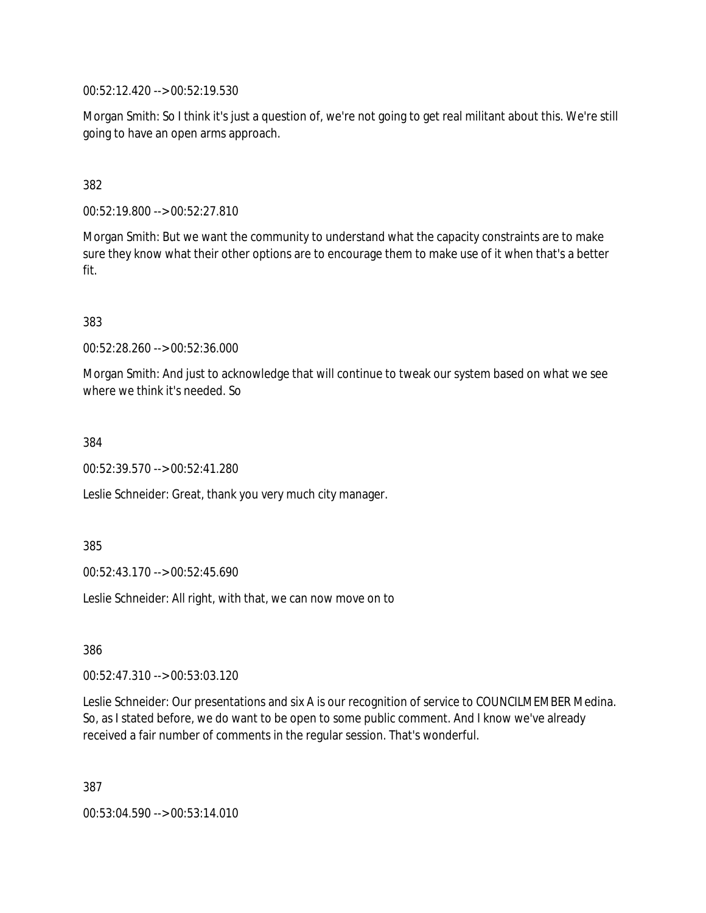00:52:12.420 --> 00:52:19.530

Morgan Smith: So I think it's just a question of, we're not going to get real militant about this. We're still going to have an open arms approach.

382

00:52:19.800 --> 00:52:27.810

Morgan Smith: But we want the community to understand what the capacity constraints are to make sure they know what their other options are to encourage them to make use of it when that's a better fit.

383

00:52:28.260 --> 00:52:36.000

Morgan Smith: And just to acknowledge that will continue to tweak our system based on what we see where we think it's needed. So

384

00:52:39.570 --> 00:52:41.280

Leslie Schneider: Great, thank you very much city manager.

385

00:52:43.170 --> 00:52:45.690

Leslie Schneider: All right, with that, we can now move on to

386

00:52:47.310 --> 00:53:03.120

Leslie Schneider: Our presentations and six A is our recognition of service to COUNCILMEMBER Medina. So, as I stated before, we do want to be open to some public comment. And I know we've already received a fair number of comments in the regular session. That's wonderful.

387 00:53:04.590 --> 00:53:14.010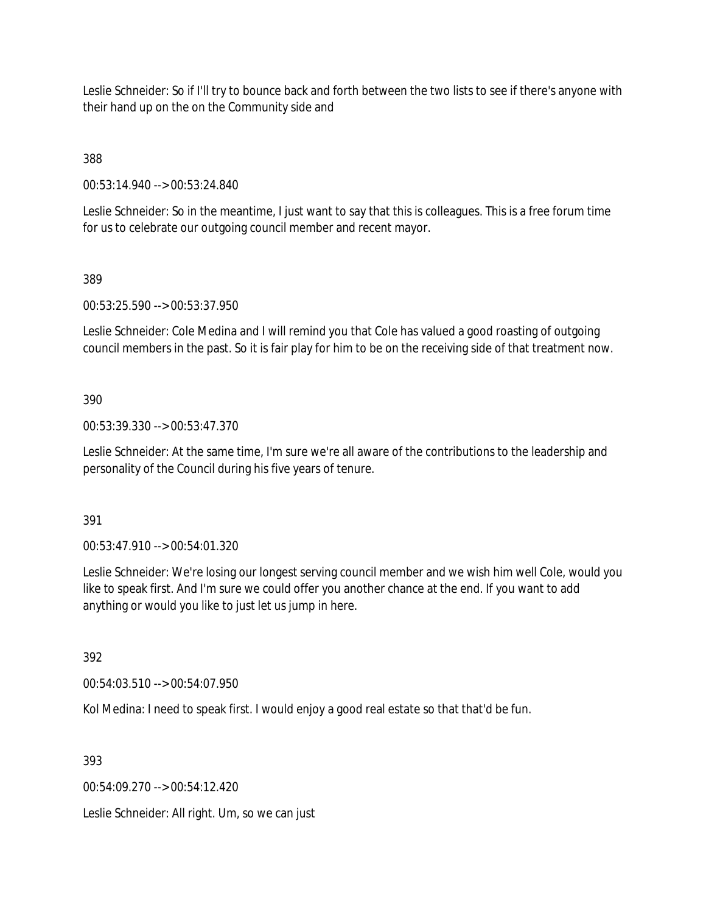Leslie Schneider: So if I'll try to bounce back and forth between the two lists to see if there's anyone with their hand up on the on the Community side and

388

00:53:14.940 --> 00:53:24.840

Leslie Schneider: So in the meantime, I just want to say that this is colleagues. This is a free forum time for us to celebrate our outgoing council member and recent mayor.

## 389

00:53:25.590 --> 00:53:37.950

Leslie Schneider: Cole Medina and I will remind you that Cole has valued a good roasting of outgoing council members in the past. So it is fair play for him to be on the receiving side of that treatment now.

## 390

00:53:39.330 --> 00:53:47.370

Leslie Schneider: At the same time, I'm sure we're all aware of the contributions to the leadership and personality of the Council during his five years of tenure.

## 391

00:53:47.910 --> 00:54:01.320

Leslie Schneider: We're losing our longest serving council member and we wish him well Cole, would you like to speak first. And I'm sure we could offer you another chance at the end. If you want to add anything or would you like to just let us jump in here.

392

00:54:03.510 --> 00:54:07.950

Kol Medina: I need to speak first. I would enjoy a good real estate so that that'd be fun.

393

00:54:09.270 --> 00:54:12.420

Leslie Schneider: All right. Um, so we can just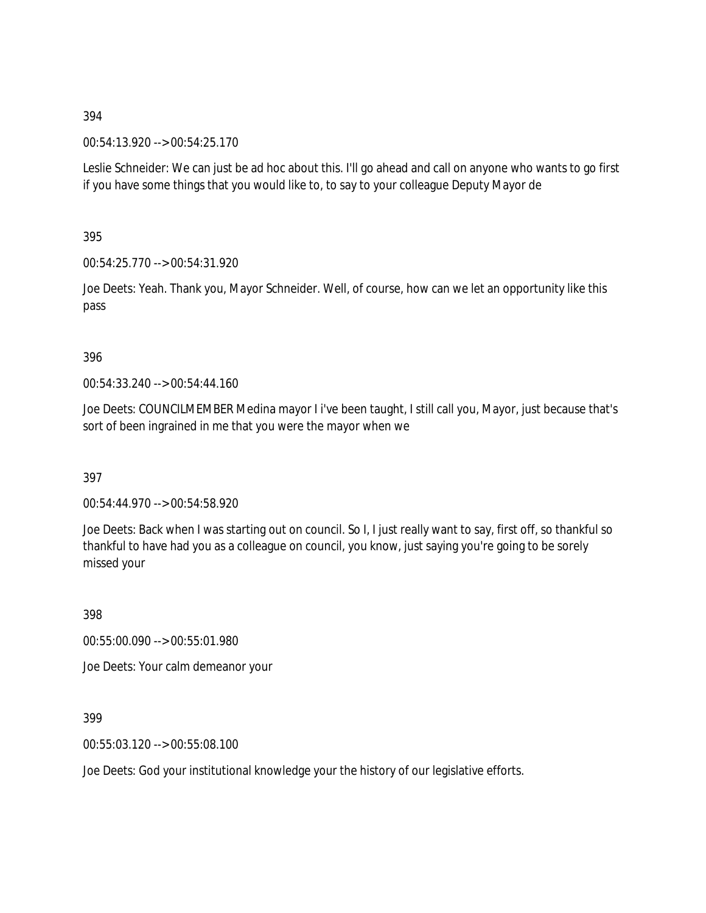00:54:13.920 --> 00:54:25.170

Leslie Schneider: We can just be ad hoc about this. I'll go ahead and call on anyone who wants to go first if you have some things that you would like to, to say to your colleague Deputy Mayor de

395

00:54:25.770 --> 00:54:31.920

Joe Deets: Yeah. Thank you, Mayor Schneider. Well, of course, how can we let an opportunity like this pass

### 396

00:54:33.240 --> 00:54:44.160

Joe Deets: COUNCILMEMBER Medina mayor I i've been taught, I still call you, Mayor, just because that's sort of been ingrained in me that you were the mayor when we

397

00:54:44.970 --> 00:54:58.920

Joe Deets: Back when I was starting out on council. So I, I just really want to say, first off, so thankful so thankful to have had you as a colleague on council, you know, just saying you're going to be sorely missed your

398

00:55:00.090 --> 00:55:01.980

Joe Deets: Your calm demeanor your

399

00:55:03.120 --> 00:55:08.100

Joe Deets: God your institutional knowledge your the history of our legislative efforts.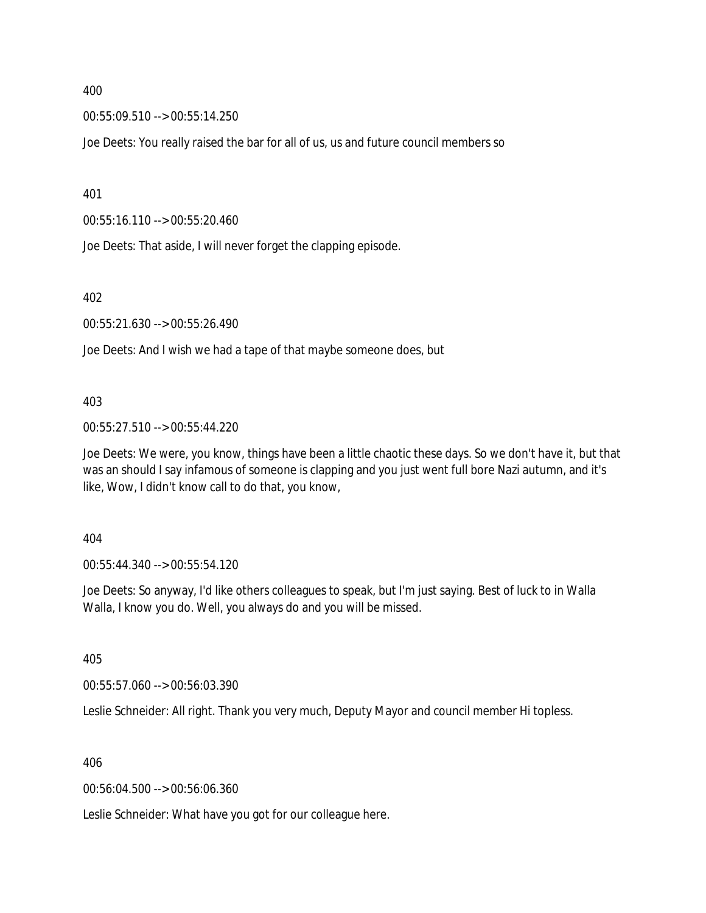00:55:09.510 --> 00:55:14.250

Joe Deets: You really raised the bar for all of us, us and future council members so

401

00:55:16.110 --> 00:55:20.460

Joe Deets: That aside, I will never forget the clapping episode.

402

00:55:21.630 --> 00:55:26.490

Joe Deets: And I wish we had a tape of that maybe someone does, but

### 403

00:55:27.510 --> 00:55:44.220

Joe Deets: We were, you know, things have been a little chaotic these days. So we don't have it, but that was an should I say infamous of someone is clapping and you just went full bore Nazi autumn, and it's like, Wow, I didn't know call to do that, you know,

404

00:55:44.340 --> 00:55:54.120

Joe Deets: So anyway, I'd like others colleagues to speak, but I'm just saying. Best of luck to in Walla Walla, I know you do. Well, you always do and you will be missed.

405

00:55:57.060 --> 00:56:03.390

Leslie Schneider: All right. Thank you very much, Deputy Mayor and council member Hi topless.

406

00:56:04.500 --> 00:56:06.360

Leslie Schneider: What have you got for our colleague here.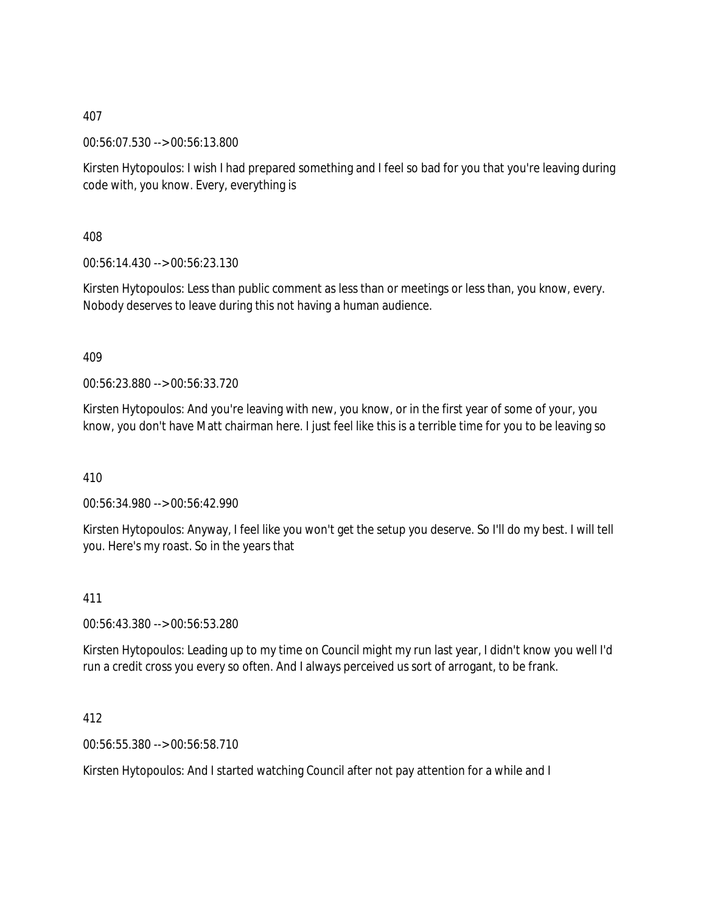00:56:07.530 --> 00:56:13.800

Kirsten Hytopoulos: I wish I had prepared something and I feel so bad for you that you're leaving during code with, you know. Every, everything is

408

00:56:14.430 --> 00:56:23.130

Kirsten Hytopoulos: Less than public comment as less than or meetings or less than, you know, every. Nobody deserves to leave during this not having a human audience.

409

00:56:23.880 --> 00:56:33.720

Kirsten Hytopoulos: And you're leaving with new, you know, or in the first year of some of your, you know, you don't have Matt chairman here. I just feel like this is a terrible time for you to be leaving so

410

00:56:34.980 --> 00:56:42.990

Kirsten Hytopoulos: Anyway, I feel like you won't get the setup you deserve. So I'll do my best. I will tell you. Here's my roast. So in the years that

#### 411

00:56:43.380 --> 00:56:53.280

Kirsten Hytopoulos: Leading up to my time on Council might my run last year, I didn't know you well I'd run a credit cross you every so often. And I always perceived us sort of arrogant, to be frank.

## 412

00:56:55.380 --> 00:56:58.710

Kirsten Hytopoulos: And I started watching Council after not pay attention for a while and I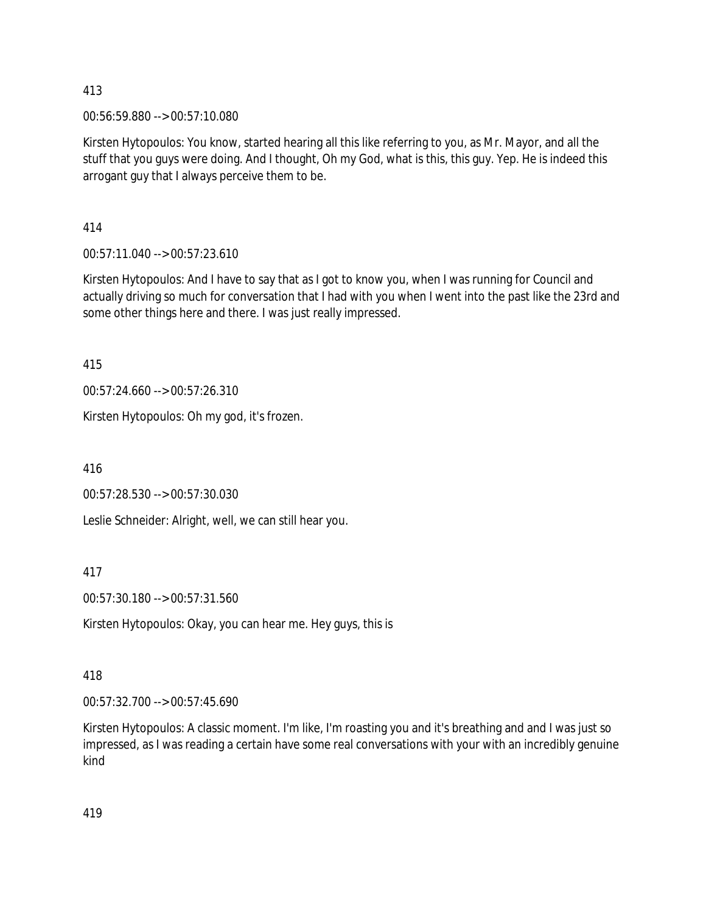00:56:59.880 --> 00:57:10.080

Kirsten Hytopoulos: You know, started hearing all this like referring to you, as Mr. Mayor, and all the stuff that you guys were doing. And I thought, Oh my God, what is this, this guy. Yep. He is indeed this arrogant guy that I always perceive them to be.

414

00:57:11.040 --> 00:57:23.610

Kirsten Hytopoulos: And I have to say that as I got to know you, when I was running for Council and actually driving so much for conversation that I had with you when I went into the past like the 23rd and some other things here and there. I was just really impressed.

415

00:57:24.660 --> 00:57:26.310

Kirsten Hytopoulos: Oh my god, it's frozen.

416

00:57:28.530 --> 00:57:30.030

Leslie Schneider: Alright, well, we can still hear you.

417

00:57:30.180 --> 00:57:31.560

Kirsten Hytopoulos: Okay, you can hear me. Hey guys, this is

## 418

00:57:32.700 --> 00:57:45.690

Kirsten Hytopoulos: A classic moment. I'm like, I'm roasting you and it's breathing and and I was just so impressed, as I was reading a certain have some real conversations with your with an incredibly genuine kind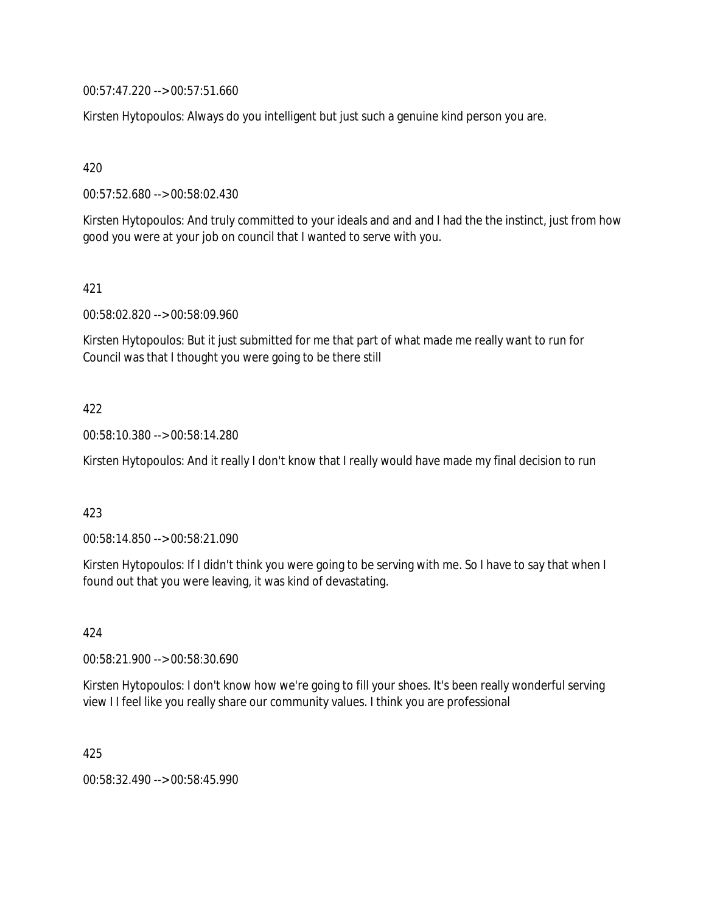00:57:47.220 --> 00:57:51.660

Kirsten Hytopoulos: Always do you intelligent but just such a genuine kind person you are.

420

00:57:52.680 --> 00:58:02.430

Kirsten Hytopoulos: And truly committed to your ideals and and and I had the the instinct, just from how good you were at your job on council that I wanted to serve with you.

421

00:58:02.820 --> 00:58:09.960

Kirsten Hytopoulos: But it just submitted for me that part of what made me really want to run for Council was that I thought you were going to be there still

## 422

00:58:10.380 --> 00:58:14.280

Kirsten Hytopoulos: And it really I don't know that I really would have made my final decision to run

## 423

00:58:14.850 --> 00:58:21.090

Kirsten Hytopoulos: If I didn't think you were going to be serving with me. So I have to say that when I found out that you were leaving, it was kind of devastating.

424

00:58:21.900 --> 00:58:30.690

Kirsten Hytopoulos: I don't know how we're going to fill your shoes. It's been really wonderful serving view I I feel like you really share our community values. I think you are professional

425

00:58:32.490 --> 00:58:45.990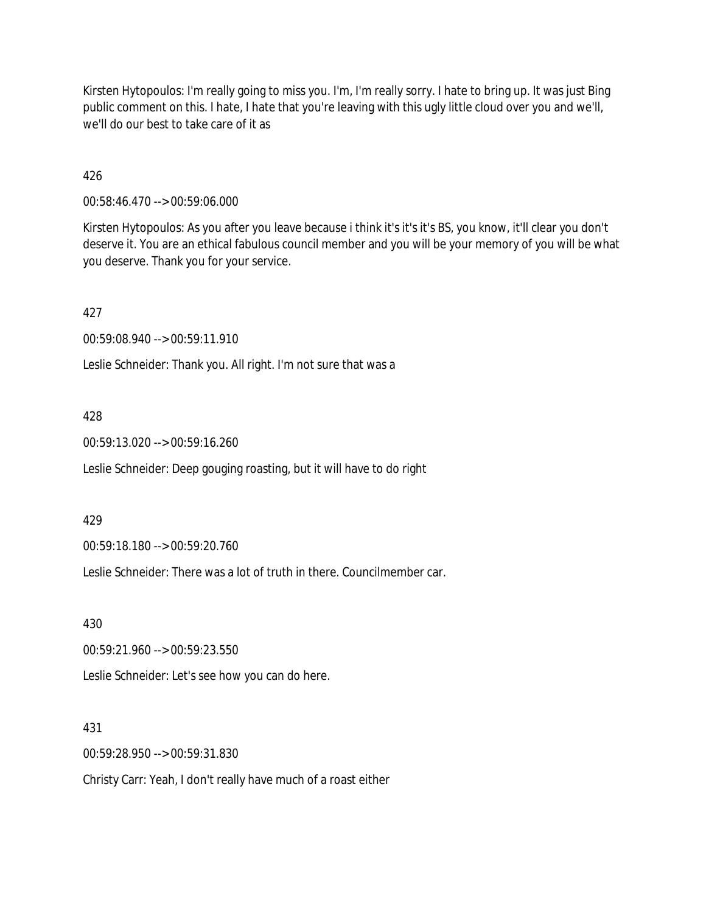Kirsten Hytopoulos: I'm really going to miss you. I'm, I'm really sorry. I hate to bring up. It was just Bing public comment on this. I hate, I hate that you're leaving with this ugly little cloud over you and we'll, we'll do our best to take care of it as

426

00:58:46.470 --> 00:59:06.000

Kirsten Hytopoulos: As you after you leave because i think it's it's it's BS, you know, it'll clear you don't deserve it. You are an ethical fabulous council member and you will be your memory of you will be what you deserve. Thank you for your service.

427

00:59:08.940 --> 00:59:11.910

Leslie Schneider: Thank you. All right. I'm not sure that was a

428

00:59:13.020 --> 00:59:16.260

Leslie Schneider: Deep gouging roasting, but it will have to do right

429

00:59:18.180 --> 00:59:20.760

Leslie Schneider: There was a lot of truth in there. Councilmember car.

430

00:59:21.960 --> 00:59:23.550

Leslie Schneider: Let's see how you can do here.

431

00:59:28.950 --> 00:59:31.830

Christy Carr: Yeah, I don't really have much of a roast either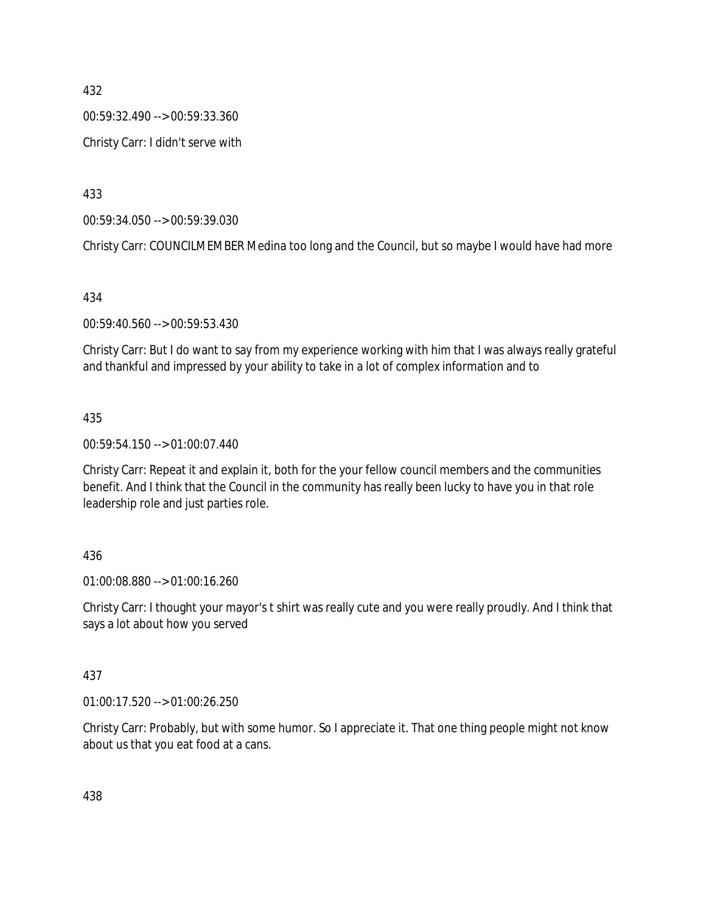00:59:32.490 --> 00:59:33.360

Christy Carr: I didn't serve with

433

00:59:34.050 --> 00:59:39.030

Christy Carr: COUNCILMEMBER Medina too long and the Council, but so maybe I would have had more

434

00:59:40.560 --> 00:59:53.430

Christy Carr: But I do want to say from my experience working with him that I was always really grateful and thankful and impressed by your ability to take in a lot of complex information and to

## 435

00:59:54.150 --> 01:00:07.440

Christy Carr: Repeat it and explain it, both for the your fellow council members and the communities benefit. And I think that the Council in the community has really been lucky to have you in that role leadership role and just parties role.

## 436

01:00:08.880 --> 01:00:16.260

Christy Carr: I thought your mayor's t shirt was really cute and you were really proudly. And I think that says a lot about how you served

## 437

01:00:17.520 --> 01:00:26.250

Christy Carr: Probably, but with some humor. So I appreciate it. That one thing people might not know about us that you eat food at a cans.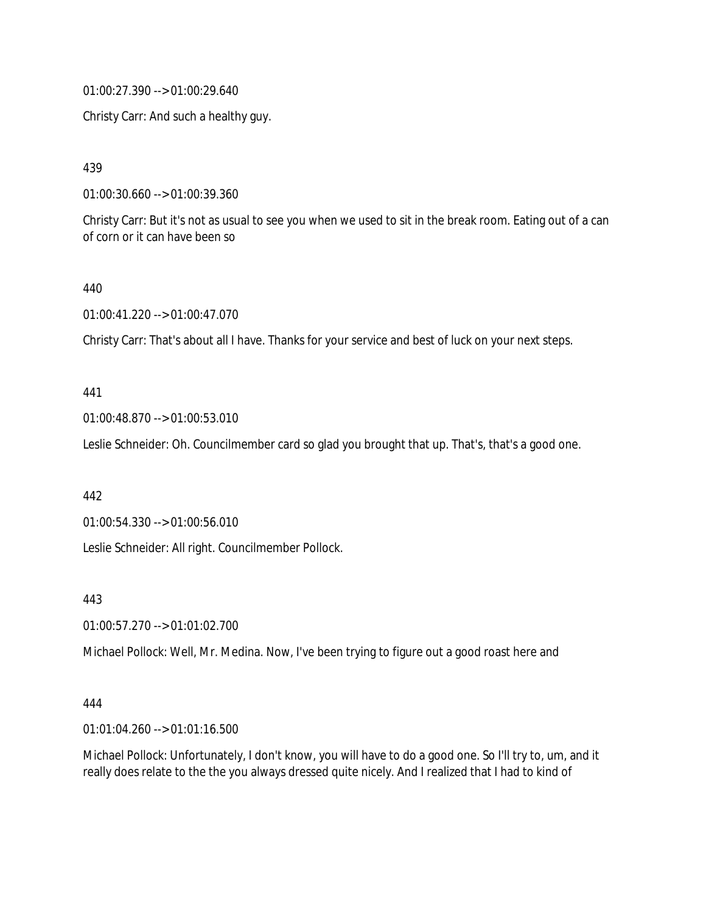01:00:27.390 --> 01:00:29.640

Christy Carr: And such a healthy guy.

439

01:00:30.660 --> 01:00:39.360

Christy Carr: But it's not as usual to see you when we used to sit in the break room. Eating out of a can of corn or it can have been so

440

01:00:41.220 --> 01:00:47.070

Christy Carr: That's about all I have. Thanks for your service and best of luck on your next steps.

#### 441

01:00:48.870 --> 01:00:53.010

Leslie Schneider: Oh. Councilmember card so glad you brought that up. That's, that's a good one.

442

01:00:54.330 --> 01:00:56.010

Leslie Schneider: All right. Councilmember Pollock.

443

01:00:57.270 --> 01:01:02.700

Michael Pollock: Well, Mr. Medina. Now, I've been trying to figure out a good roast here and

#### 444

01:01:04.260 --> 01:01:16.500

Michael Pollock: Unfortunately, I don't know, you will have to do a good one. So I'll try to, um, and it really does relate to the the you always dressed quite nicely. And I realized that I had to kind of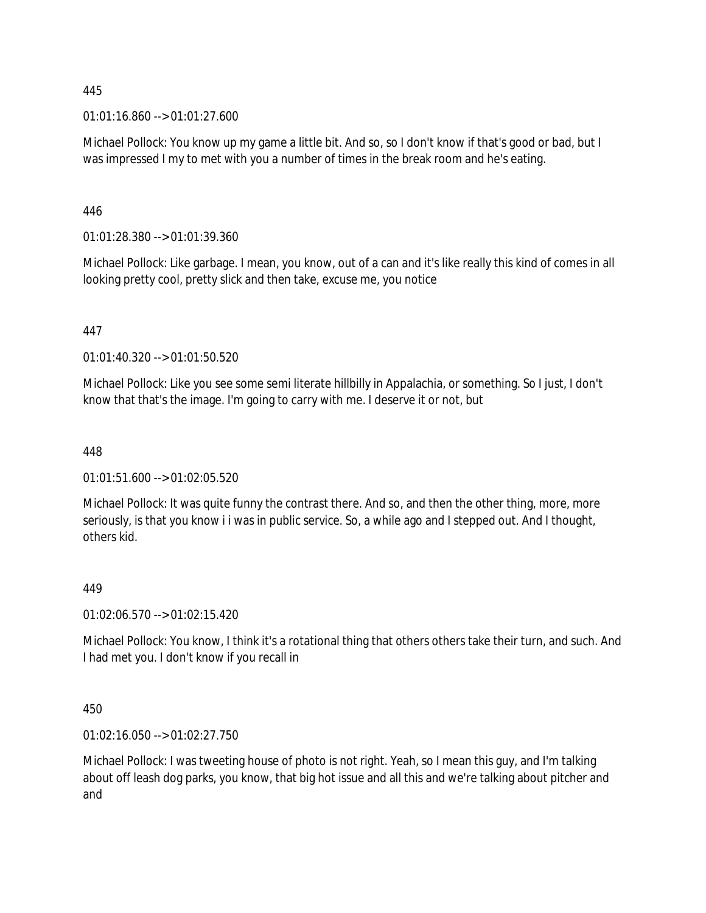01:01:16.860 --> 01:01:27.600

Michael Pollock: You know up my game a little bit. And so, so I don't know if that's good or bad, but I was impressed I my to met with you a number of times in the break room and he's eating.

446

01:01:28.380 --> 01:01:39.360

Michael Pollock: Like garbage. I mean, you know, out of a can and it's like really this kind of comes in all looking pretty cool, pretty slick and then take, excuse me, you notice

447

01:01:40.320 --> 01:01:50.520

Michael Pollock: Like you see some semi literate hillbilly in Appalachia, or something. So I just, I don't know that that's the image. I'm going to carry with me. I deserve it or not, but

448

01:01:51.600 --> 01:02:05.520

Michael Pollock: It was quite funny the contrast there. And so, and then the other thing, more, more seriously, is that you know i i was in public service. So, a while ago and I stepped out. And I thought, others kid.

## 449

01:02:06.570 --> 01:02:15.420

Michael Pollock: You know, I think it's a rotational thing that others others take their turn, and such. And I had met you. I don't know if you recall in

450

01:02:16.050 --> 01:02:27.750

Michael Pollock: I was tweeting house of photo is not right. Yeah, so I mean this guy, and I'm talking about off leash dog parks, you know, that big hot issue and all this and we're talking about pitcher and and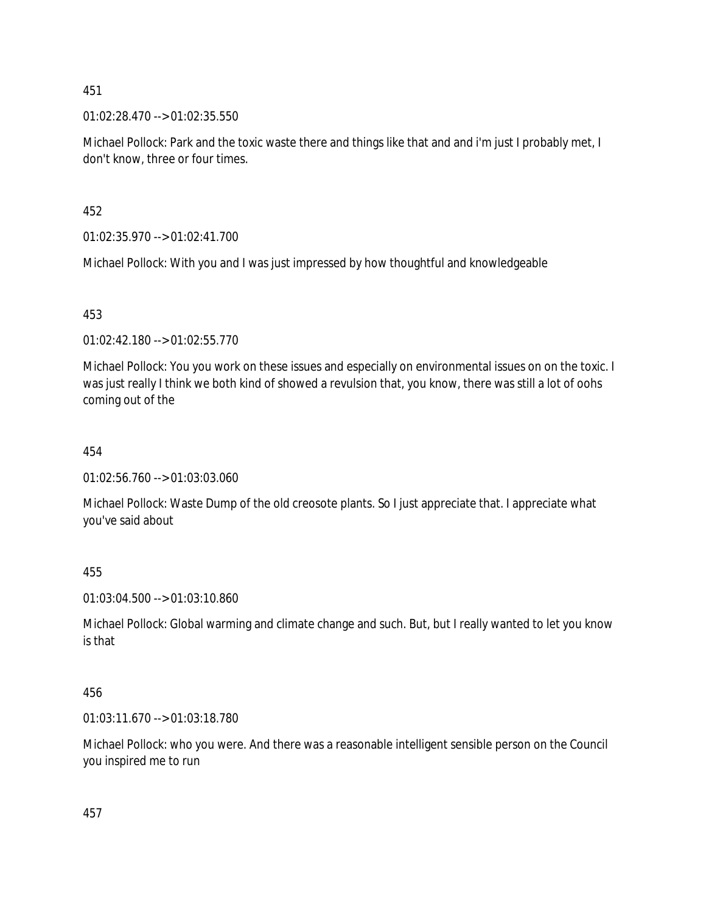01:02:28.470 --> 01:02:35.550

Michael Pollock: Park and the toxic waste there and things like that and and i'm just I probably met, I don't know, three or four times.

452

01:02:35.970 --> 01:02:41.700

Michael Pollock: With you and I was just impressed by how thoughtful and knowledgeable

453

01:02:42.180 --> 01:02:55.770

Michael Pollock: You you work on these issues and especially on environmental issues on on the toxic. I was just really I think we both kind of showed a revulsion that, you know, there was still a lot of oohs coming out of the

454

01:02:56.760 --> 01:03:03.060

Michael Pollock: Waste Dump of the old creosote plants. So I just appreciate that. I appreciate what you've said about

455

01:03:04.500 --> 01:03:10.860

Michael Pollock: Global warming and climate change and such. But, but I really wanted to let you know is that

456

01:03:11.670 --> 01:03:18.780

Michael Pollock: who you were. And there was a reasonable intelligent sensible person on the Council you inspired me to run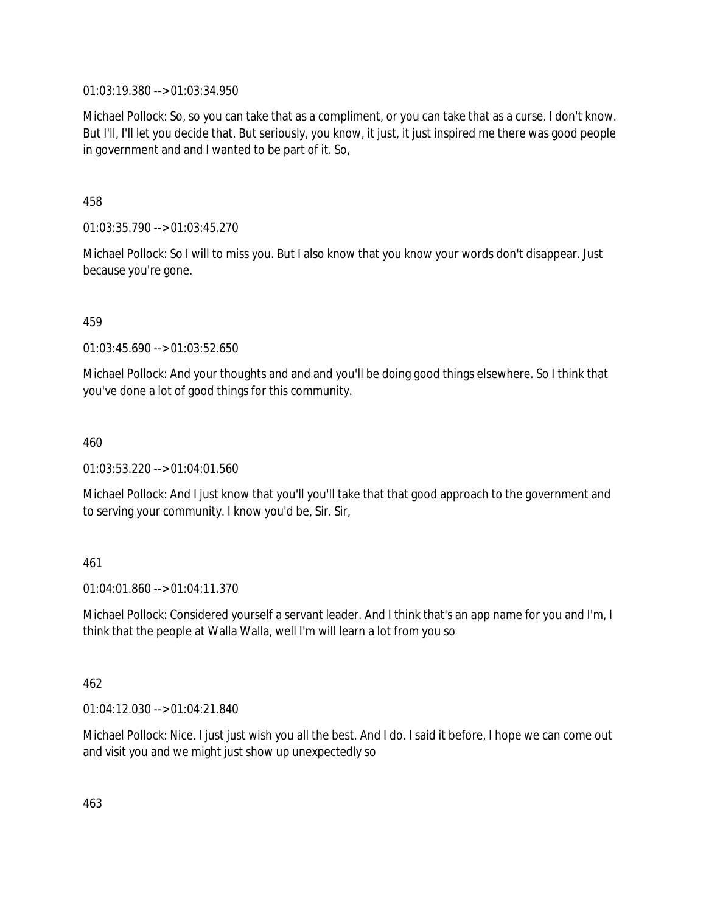01:03:19.380 --> 01:03:34.950

Michael Pollock: So, so you can take that as a compliment, or you can take that as a curse. I don't know. But I'll, I'll let you decide that. But seriously, you know, it just, it just inspired me there was good people in government and and I wanted to be part of it. So,

458

01:03:35.790 --> 01:03:45.270

Michael Pollock: So I will to miss you. But I also know that you know your words don't disappear. Just because you're gone.

459

01:03:45.690 --> 01:03:52.650

Michael Pollock: And your thoughts and and and you'll be doing good things elsewhere. So I think that you've done a lot of good things for this community.

460

01:03:53.220 --> 01:04:01.560

Michael Pollock: And I just know that you'll you'll take that that good approach to the government and to serving your community. I know you'd be, Sir. Sir,

#### 461

01:04:01.860 --> 01:04:11.370

Michael Pollock: Considered yourself a servant leader. And I think that's an app name for you and I'm, I think that the people at Walla Walla, well I'm will learn a lot from you so

#### 462

01:04:12.030 --> 01:04:21.840

Michael Pollock: Nice. I just just wish you all the best. And I do. I said it before, I hope we can come out and visit you and we might just show up unexpectedly so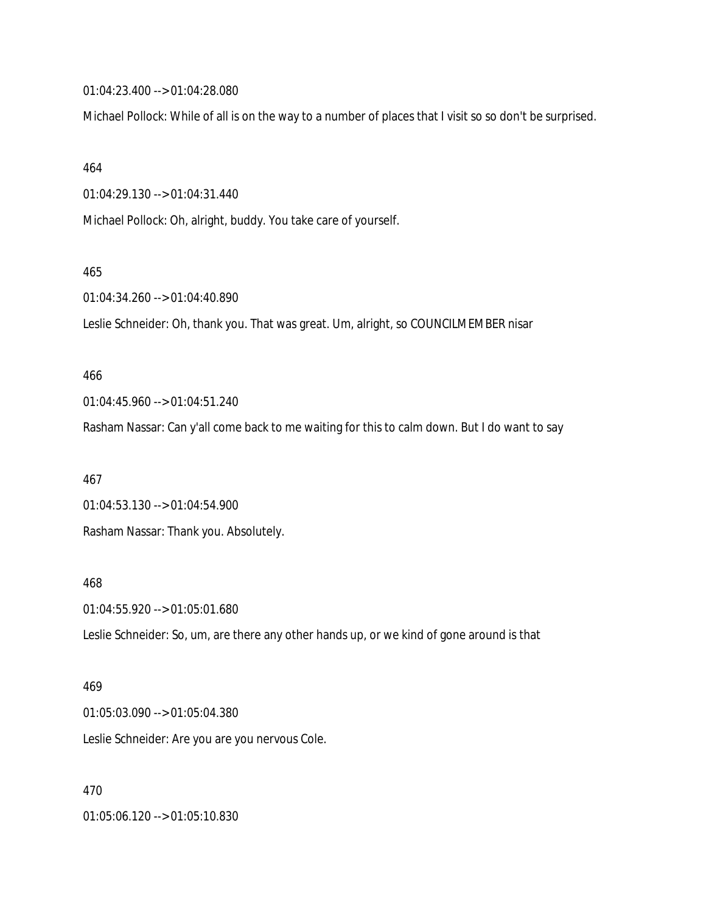01:04:23.400 --> 01:04:28.080

Michael Pollock: While of all is on the way to a number of places that I visit so so don't be surprised.

464

01:04:29.130 --> 01:04:31.440

Michael Pollock: Oh, alright, buddy. You take care of yourself.

465

01:04:34.260 --> 01:04:40.890

Leslie Schneider: Oh, thank you. That was great. Um, alright, so COUNCILMEMBER nisar

#### 466

01:04:45.960 --> 01:04:51.240

Rasham Nassar: Can y'all come back to me waiting for this to calm down. But I do want to say

467

01:04:53.130 --> 01:04:54.900 Rasham Nassar: Thank you. Absolutely.

#### 468

01:04:55.920 --> 01:05:01.680

Leslie Schneider: So, um, are there any other hands up, or we kind of gone around is that

#### 469

01:05:03.090 --> 01:05:04.380

Leslie Schneider: Are you are you nervous Cole.

#### 470

01:05:06.120 --> 01:05:10.830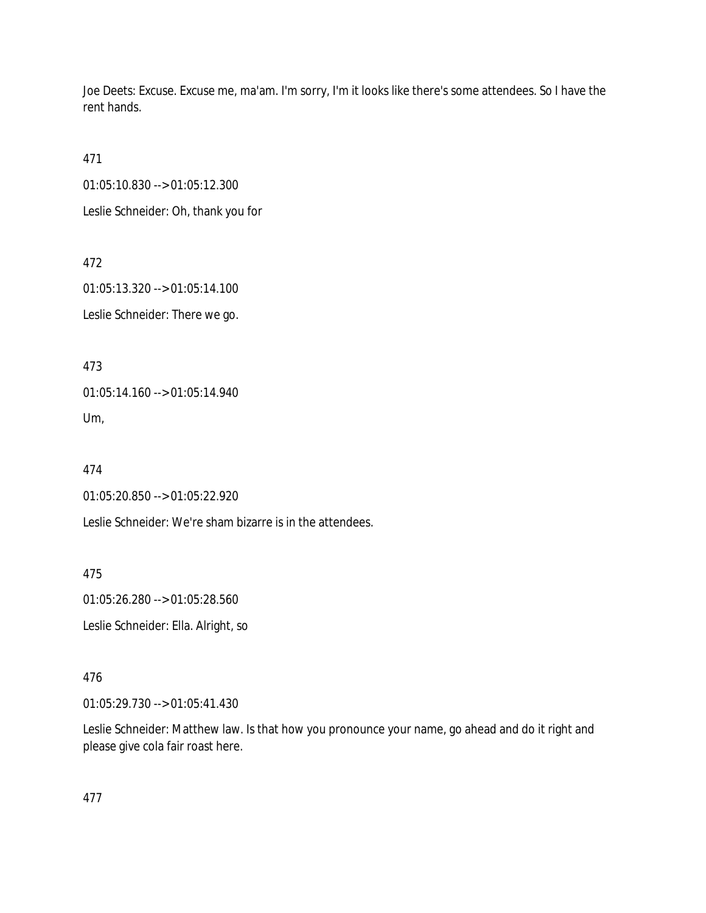Joe Deets: Excuse. Excuse me, ma'am. I'm sorry, I'm it looks like there's some attendees. So I have the rent hands.

471

01:05:10.830 --> 01:05:12.300

Leslie Schneider: Oh, thank you for

472

01:05:13.320 --> 01:05:14.100 Leslie Schneider: There we go.

473

01:05:14.160 --> 01:05:14.940 Um,

474

01:05:20.850 --> 01:05:22.920

Leslie Schneider: We're sham bizarre is in the attendees.

475

01:05:26.280 --> 01:05:28.560

Leslie Schneider: Ella. Alright, so

476

01:05:29.730 --> 01:05:41.430

Leslie Schneider: Matthew law. Is that how you pronounce your name, go ahead and do it right and please give cola fair roast here.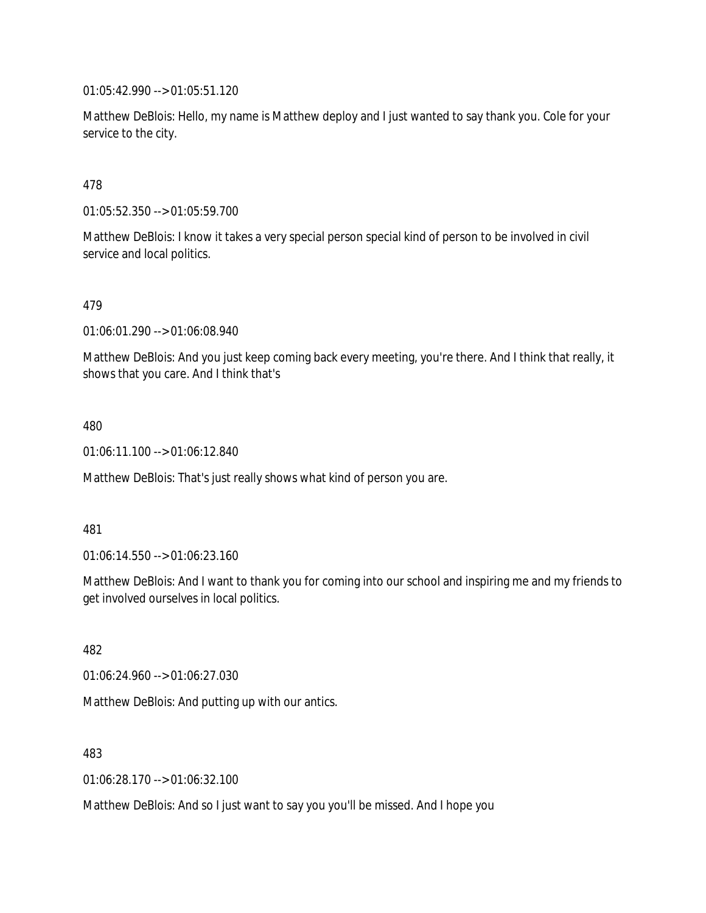01:05:42.990 --> 01:05:51.120

Matthew DeBlois: Hello, my name is Matthew deploy and I just wanted to say thank you. Cole for your service to the city.

# 478

01:05:52.350 --> 01:05:59.700

Matthew DeBlois: I know it takes a very special person special kind of person to be involved in civil service and local politics.

#### 479

01:06:01.290 --> 01:06:08.940

Matthew DeBlois: And you just keep coming back every meeting, you're there. And I think that really, it shows that you care. And I think that's

#### 480

01:06:11.100 --> 01:06:12.840

Matthew DeBlois: That's just really shows what kind of person you are.

#### 481

01:06:14.550 --> 01:06:23.160

Matthew DeBlois: And I want to thank you for coming into our school and inspiring me and my friends to get involved ourselves in local politics.

#### 482

01:06:24.960 --> 01:06:27.030

Matthew DeBlois: And putting up with our antics.

#### 483

01:06:28.170 --> 01:06:32.100

Matthew DeBlois: And so I just want to say you you'll be missed. And I hope you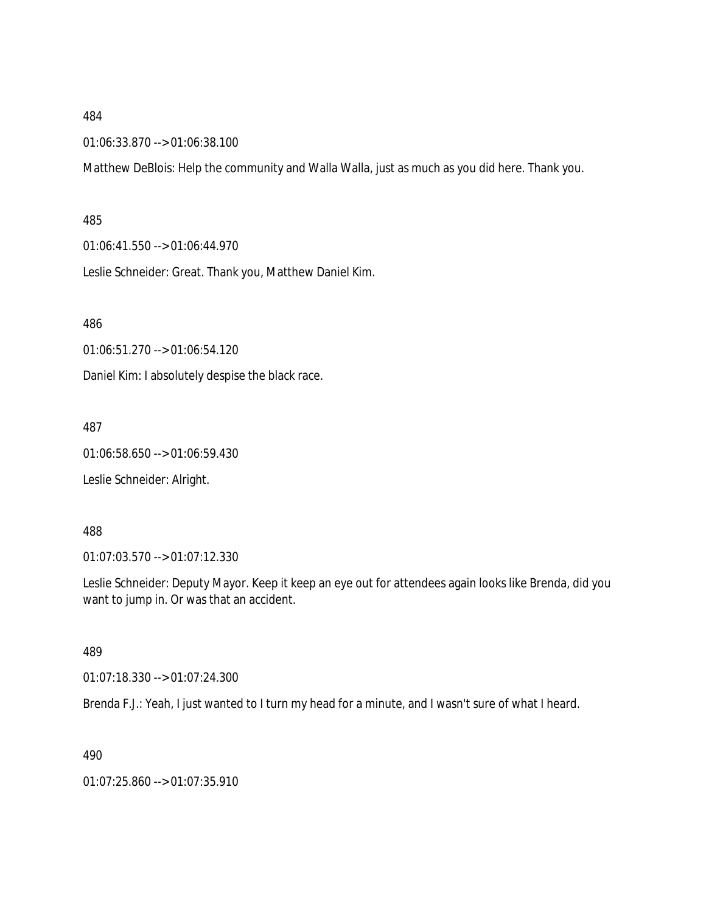01:06:33.870 --> 01:06:38.100

Matthew DeBlois: Help the community and Walla Walla, just as much as you did here. Thank you.

#### 485

01:06:41.550 --> 01:06:44.970

Leslie Schneider: Great. Thank you, Matthew Daniel Kim.

486

01:06:51.270 --> 01:06:54.120

Daniel Kim: I absolutely despise the black race.

487

01:06:58.650 --> 01:06:59.430

Leslie Schneider: Alright.

#### 488

01:07:03.570 --> 01:07:12.330

Leslie Schneider: Deputy Mayor. Keep it keep an eye out for attendees again looks like Brenda, did you want to jump in. Or was that an accident.

#### 489

01:07:18.330 --> 01:07:24.300

Brenda F.J.: Yeah, I just wanted to I turn my head for a minute, and I wasn't sure of what I heard.

#### 490

01:07:25.860 --> 01:07:35.910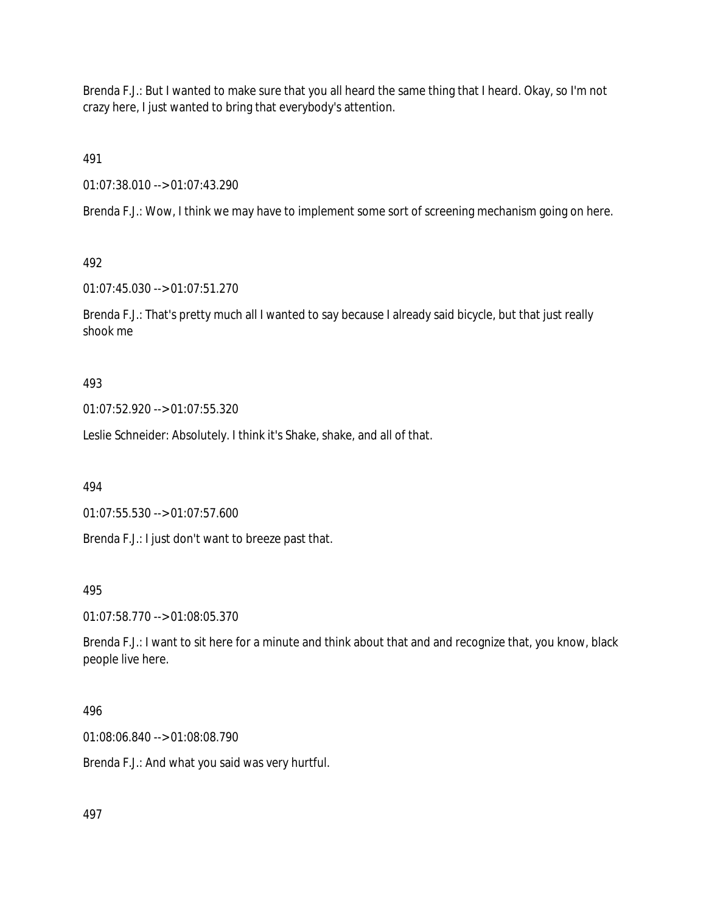Brenda F.J.: But I wanted to make sure that you all heard the same thing that I heard. Okay, so I'm not crazy here, I just wanted to bring that everybody's attention.

491

01:07:38.010 --> 01:07:43.290

Brenda F.J.: Wow, I think we may have to implement some sort of screening mechanism going on here.

492

01:07:45.030 --> 01:07:51.270

Brenda F.J.: That's pretty much all I wanted to say because I already said bicycle, but that just really shook me

493

01:07:52.920 --> 01:07:55.320

Leslie Schneider: Absolutely. I think it's Shake, shake, and all of that.

494

01:07:55.530 --> 01:07:57.600

Brenda F.J.: I just don't want to breeze past that.

495

01:07:58.770 --> 01:08:05.370

Brenda F.J.: I want to sit here for a minute and think about that and and recognize that, you know, black people live here.

496

01:08:06.840 --> 01:08:08.790

Brenda F.J.: And what you said was very hurtful.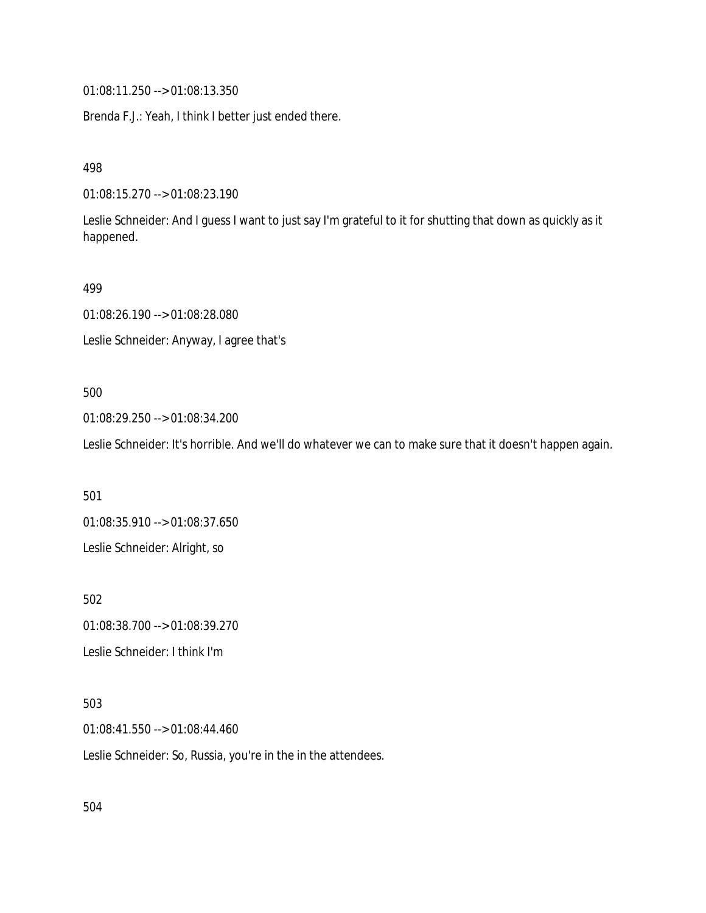01:08:11.250 --> 01:08:13.350

Brenda F.J.: Yeah, I think I better just ended there.

498

01:08:15.270 --> 01:08:23.190

Leslie Schneider: And I guess I want to just say I'm grateful to it for shutting that down as quickly as it happened.

499

01:08:26.190 --> 01:08:28.080 Leslie Schneider: Anyway, I agree that's

#### 500

01:08:29.250 --> 01:08:34.200

Leslie Schneider: It's horrible. And we'll do whatever we can to make sure that it doesn't happen again.

501

01:08:35.910 --> 01:08:37.650 Leslie Schneider: Alright, so

502 01:08:38.700 --> 01:08:39.270 Leslie Schneider: I think I'm

503

01:08:41.550 --> 01:08:44.460

Leslie Schneider: So, Russia, you're in the in the attendees.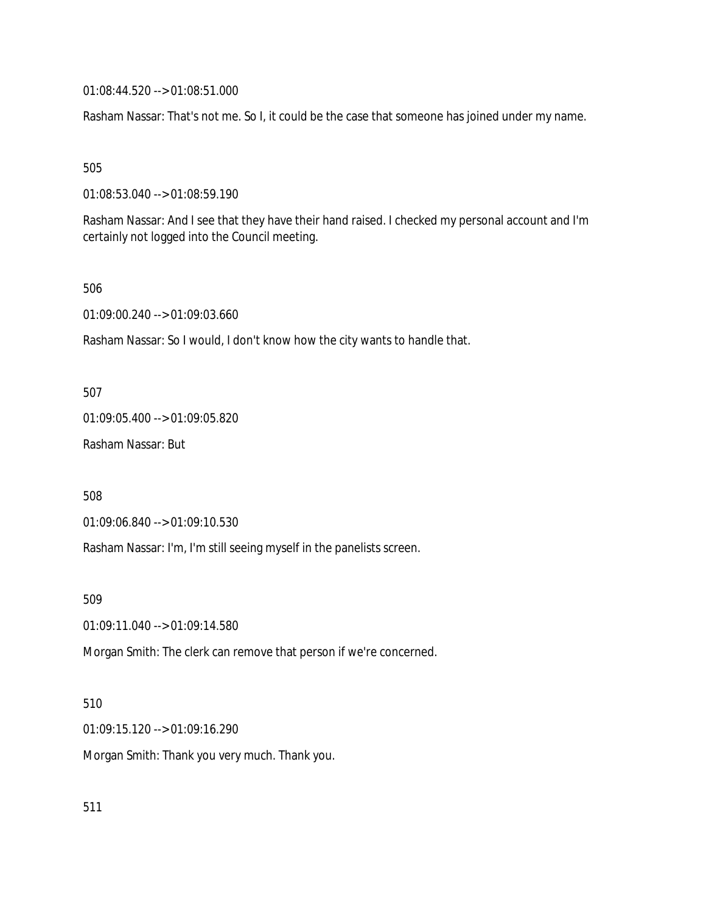01:08:44.520 --> 01:08:51.000

Rasham Nassar: That's not me. So I, it could be the case that someone has joined under my name.

505

01:08:53.040 --> 01:08:59.190

Rasham Nassar: And I see that they have their hand raised. I checked my personal account and I'm certainly not logged into the Council meeting.

506

01:09:00.240 --> 01:09:03.660

Rasham Nassar: So I would, I don't know how the city wants to handle that.

507

01:09:05.400 --> 01:09:05.820

Rasham Nassar: But

508

01:09:06.840 --> 01:09:10.530

Rasham Nassar: I'm, I'm still seeing myself in the panelists screen.

509

01:09:11.040 --> 01:09:14.580

Morgan Smith: The clerk can remove that person if we're concerned.

#### 510

01:09:15.120 --> 01:09:16.290

Morgan Smith: Thank you very much. Thank you.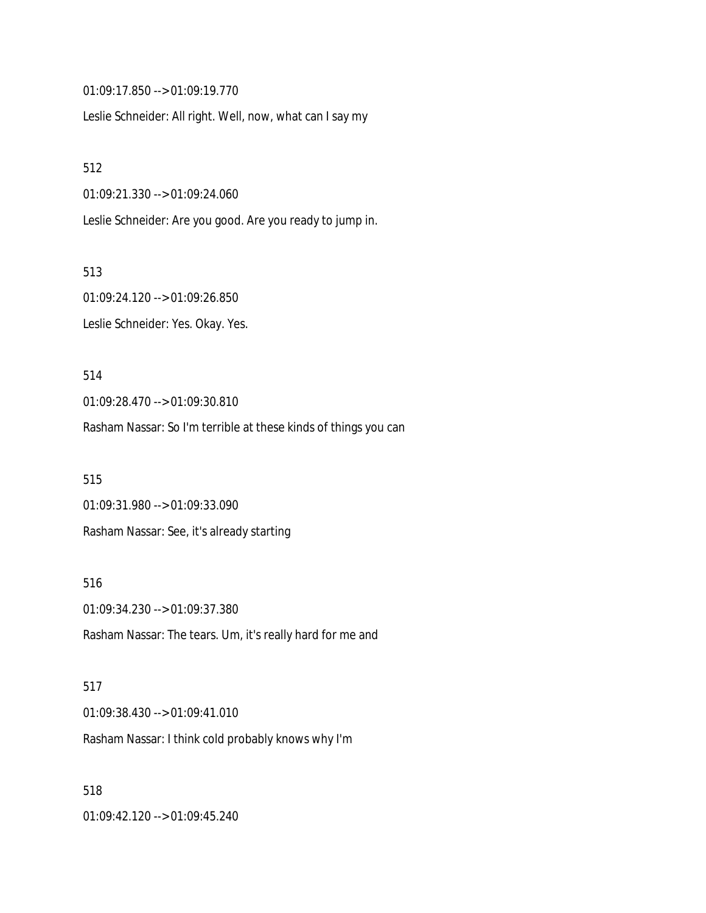01:09:17.850 --> 01:09:19.770

Leslie Schneider: All right. Well, now, what can I say my

512

01:09:21.330 --> 01:09:24.060

Leslie Schneider: Are you good. Are you ready to jump in.

513 01:09:24.120 --> 01:09:26.850 Leslie Schneider: Yes. Okay. Yes.

514 01:09:28.470 --> 01:09:30.810 Rasham Nassar: So I'm terrible at these kinds of things you can

515 01:09:31.980 --> 01:09:33.090 Rasham Nassar: See, it's already starting

516 01:09:34.230 --> 01:09:37.380 Rasham Nassar: The tears. Um, it's really hard for me and

517 01:09:38.430 --> 01:09:41.010 Rasham Nassar: I think cold probably knows why I'm

518 01:09:42.120 --> 01:09:45.240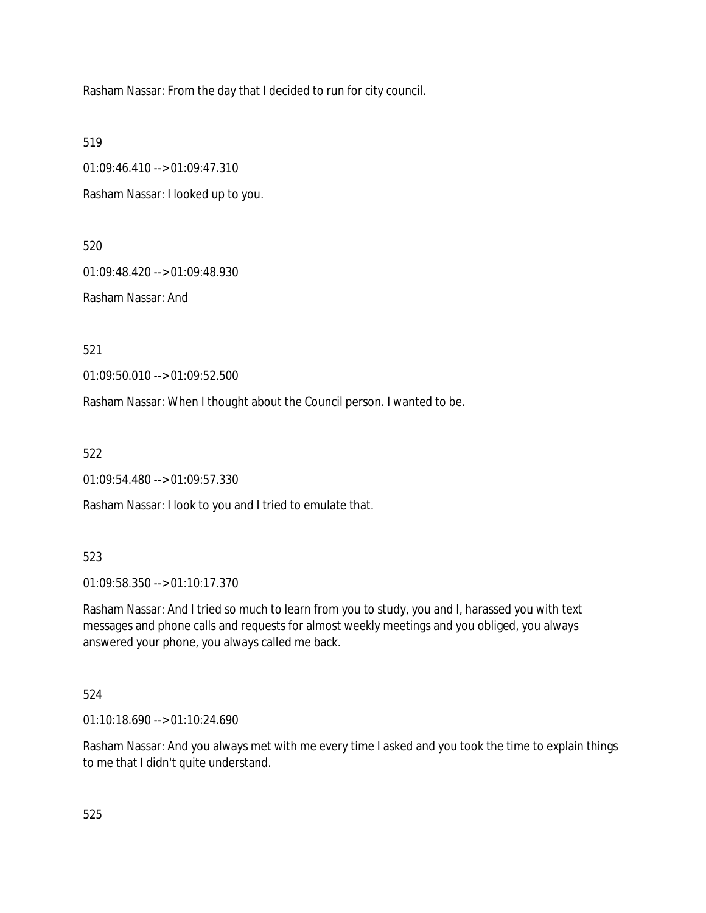Rasham Nassar: From the day that I decided to run for city council.

519

01:09:46.410 --> 01:09:47.310 Rasham Nassar: I looked up to you.

520

01:09:48.420 --> 01:09:48.930

Rasham Nassar: And

521

01:09:50.010 --> 01:09:52.500

Rasham Nassar: When I thought about the Council person. I wanted to be.

522

01:09:54.480 --> 01:09:57.330

Rasham Nassar: I look to you and I tried to emulate that.

523

01:09:58.350 --> 01:10:17.370

Rasham Nassar: And I tried so much to learn from you to study, you and I, harassed you with text messages and phone calls and requests for almost weekly meetings and you obliged, you always answered your phone, you always called me back.

#### 524

01:10:18.690 --> 01:10:24.690

Rasham Nassar: And you always met with me every time I asked and you took the time to explain things to me that I didn't quite understand.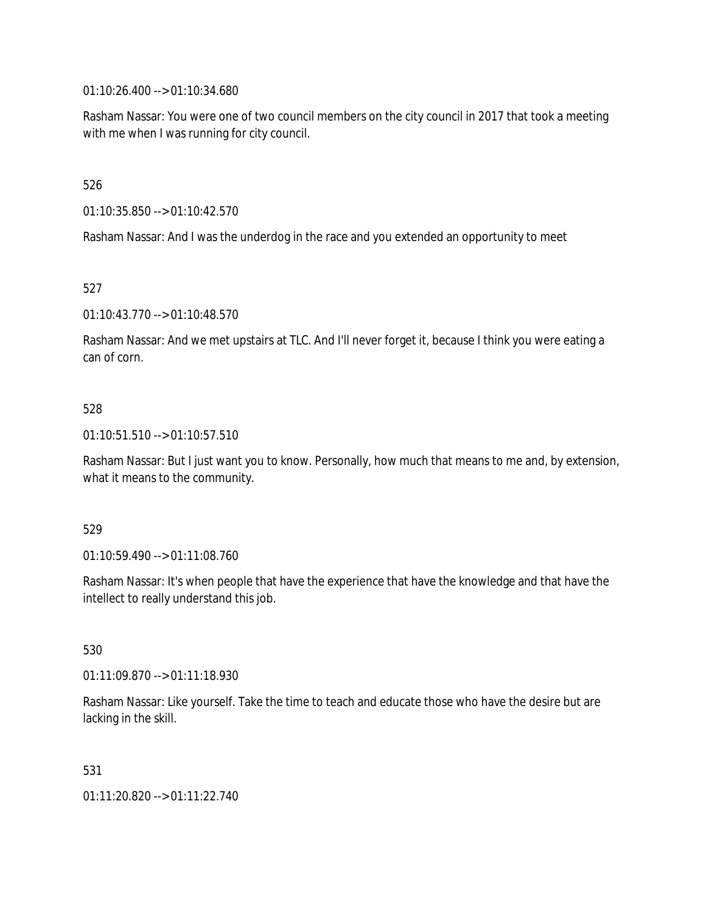01:10:26.400 --> 01:10:34.680

Rasham Nassar: You were one of two council members on the city council in 2017 that took a meeting with me when I was running for city council.

526

01:10:35.850 --> 01:10:42.570

Rasham Nassar: And I was the underdog in the race and you extended an opportunity to meet

527

01:10:43.770 --> 01:10:48.570

Rasham Nassar: And we met upstairs at TLC. And I'll never forget it, because I think you were eating a can of corn.

#### 528

01:10:51.510 --> 01:10:57.510

Rasham Nassar: But I just want you to know. Personally, how much that means to me and, by extension, what it means to the community.

#### 529

01:10:59.490 --> 01:11:08.760

Rasham Nassar: It's when people that have the experience that have the knowledge and that have the intellect to really understand this job.

530

01:11:09.870 --> 01:11:18.930

Rasham Nassar: Like yourself. Take the time to teach and educate those who have the desire but are lacking in the skill.

#### 531

01:11:20.820 --> 01:11:22.740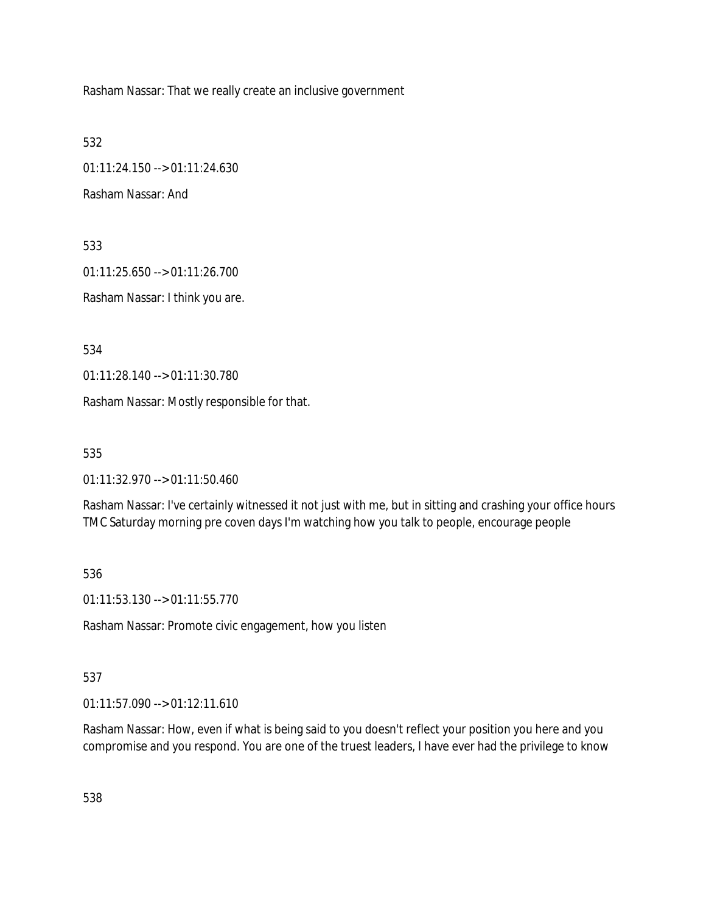Rasham Nassar: That we really create an inclusive government

532

01:11:24.150 --> 01:11:24.630

Rasham Nassar: And

533

01:11:25.650 --> 01:11:26.700

Rasham Nassar: I think you are.

534

01:11:28.140 --> 01:11:30.780

Rasham Nassar: Mostly responsible for that.

535

01:11:32.970 --> 01:11:50.460

Rasham Nassar: I've certainly witnessed it not just with me, but in sitting and crashing your office hours TMC Saturday morning pre coven days I'm watching how you talk to people, encourage people

536

01:11:53.130 --> 01:11:55.770

Rasham Nassar: Promote civic engagement, how you listen

# 537

01:11:57.090 --> 01:12:11.610

Rasham Nassar: How, even if what is being said to you doesn't reflect your position you here and you compromise and you respond. You are one of the truest leaders, I have ever had the privilege to know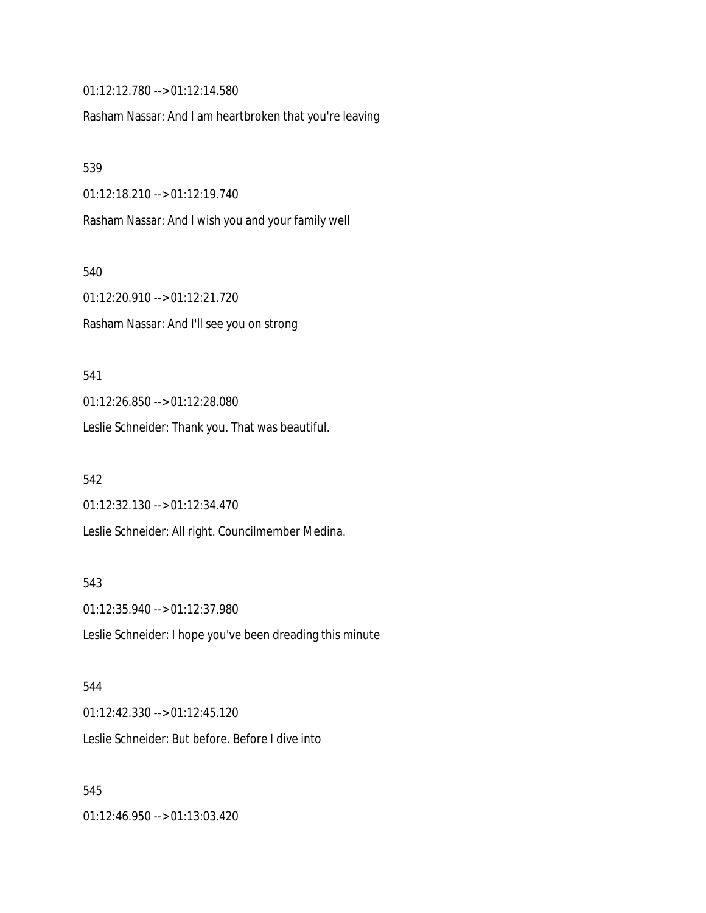01:12:12.780 --> 01:12:14.580

Rasham Nassar: And I am heartbroken that you're leaving

#### 539

01:12:18.210 --> 01:12:19.740

Rasham Nassar: And I wish you and your family well

540

01:12:20.910 --> 01:12:21.720 Rasham Nassar: And I'll see you on strong

541 01:12:26.850 --> 01:12:28.080 Leslie Schneider: Thank you. That was beautiful.

542 01:12:32.130 --> 01:12:34.470 Leslie Schneider: All right. Councilmember Medina.

#### 543

01:12:35.940 --> 01:12:37.980

Leslie Schneider: I hope you've been dreading this minute

544 01:12:42.330 --> 01:12:45.120 Leslie Schneider: But before. Before I dive into

545

01:12:46.950 --> 01:13:03.420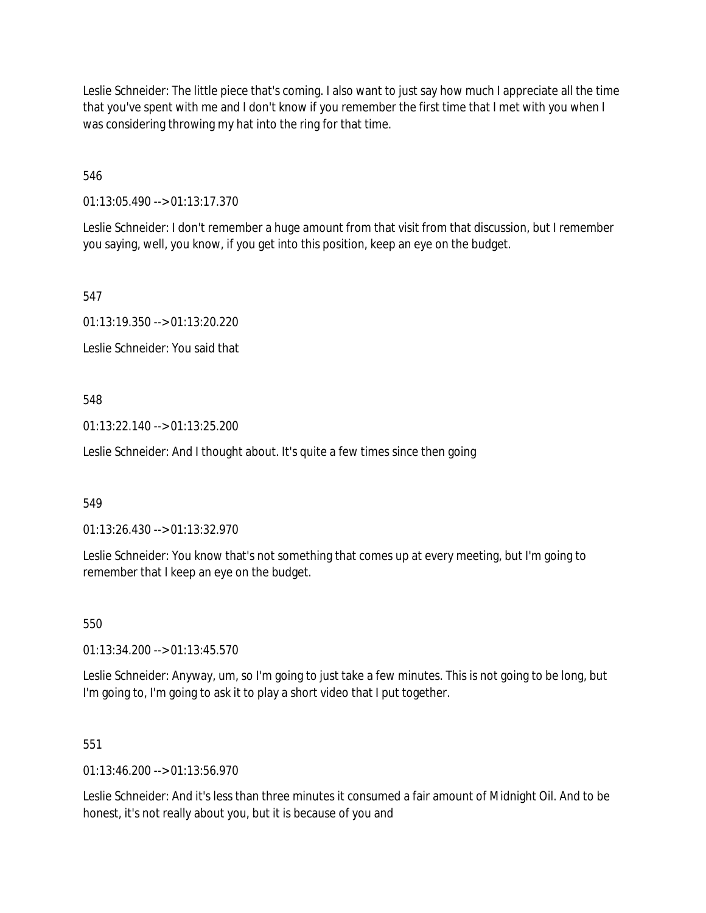Leslie Schneider: The little piece that's coming. I also want to just say how much I appreciate all the time that you've spent with me and I don't know if you remember the first time that I met with you when I was considering throwing my hat into the ring for that time.

546

01:13:05.490 --> 01:13:17.370

Leslie Schneider: I don't remember a huge amount from that visit from that discussion, but I remember you saying, well, you know, if you get into this position, keep an eye on the budget.

547

01:13:19.350 --> 01:13:20.220

Leslie Schneider: You said that

548

01:13:22.140 --> 01:13:25.200

Leslie Schneider: And I thought about. It's quite a few times since then going

#### 549

01:13:26.430 --> 01:13:32.970

Leslie Schneider: You know that's not something that comes up at every meeting, but I'm going to remember that I keep an eye on the budget.

550

01:13:34.200 --> 01:13:45.570

Leslie Schneider: Anyway, um, so I'm going to just take a few minutes. This is not going to be long, but I'm going to, I'm going to ask it to play a short video that I put together.

#### 551

 $01:13:46:200 \rightarrow 01:13:56:970$ 

Leslie Schneider: And it's less than three minutes it consumed a fair amount of Midnight Oil. And to be honest, it's not really about you, but it is because of you and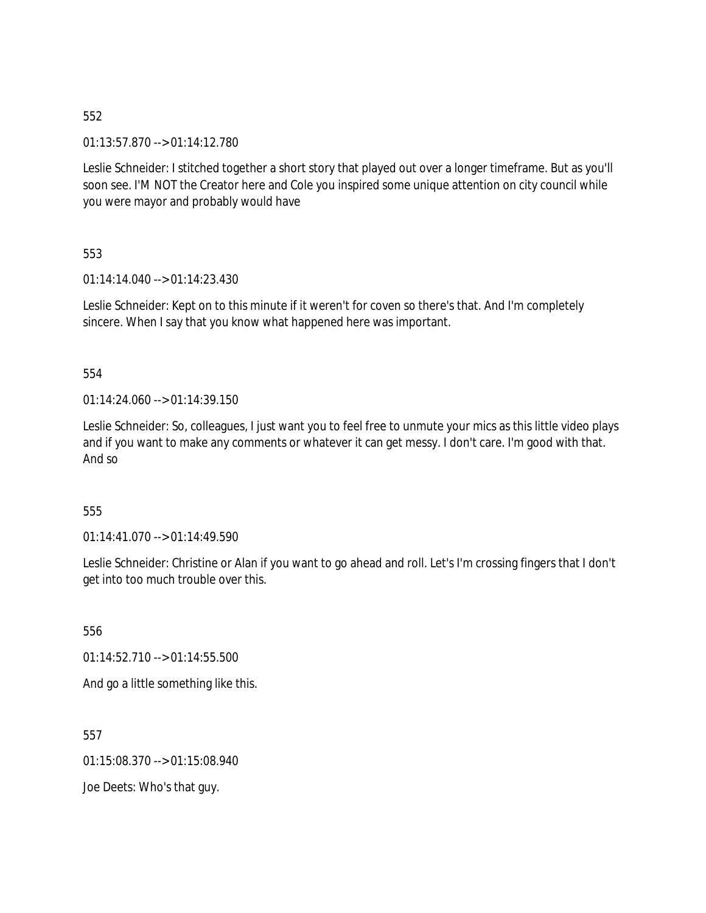01:13:57.870 --> 01:14:12.780

Leslie Schneider: I stitched together a short story that played out over a longer timeframe. But as you'll soon see. I'M NOT the Creator here and Cole you inspired some unique attention on city council while you were mayor and probably would have

553

01:14:14.040 --> 01:14:23.430

Leslie Schneider: Kept on to this minute if it weren't for coven so there's that. And I'm completely sincere. When I say that you know what happened here was important.

# 554

01:14:24.060 --> 01:14:39.150

Leslie Schneider: So, colleagues, I just want you to feel free to unmute your mics as this little video plays and if you want to make any comments or whatever it can get messy. I don't care. I'm good with that. And so

#### 555

01:14:41.070 --> 01:14:49.590

Leslie Schneider: Christine or Alan if you want to go ahead and roll. Let's I'm crossing fingers that I don't get into too much trouble over this.

556

01:14:52.710 --> 01:14:55.500

And go a little something like this.

557

01:15:08.370 --> 01:15:08.940

Joe Deets: Who's that guy.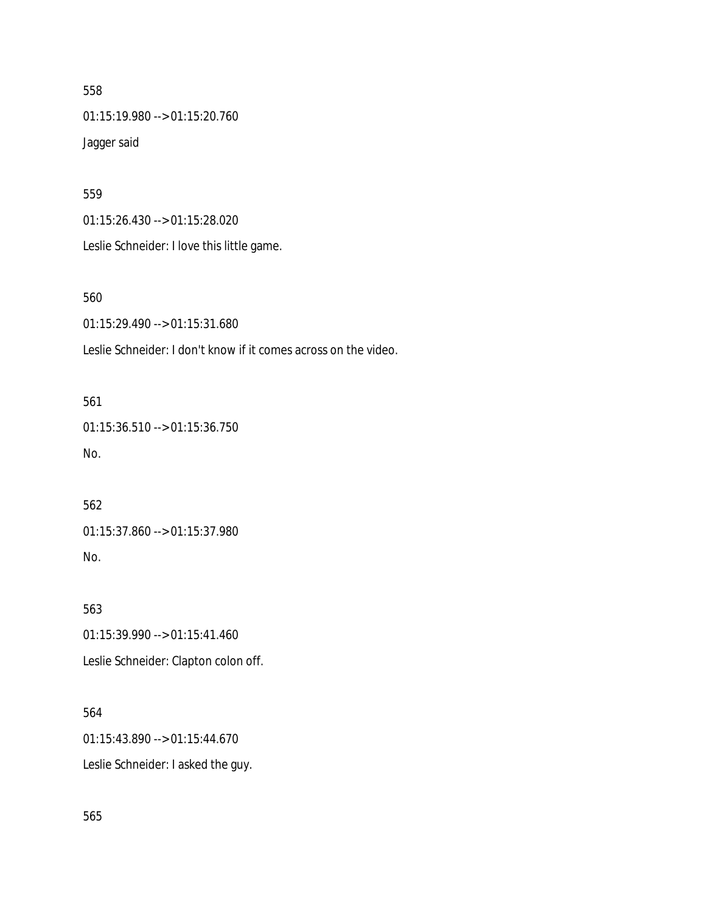01:15:19.980 --> 01:15:20.760 Jagger said

#### 559

01:15:26.430 --> 01:15:28.020

Leslie Schneider: I love this little game.

### 560

01:15:29.490 --> 01:15:31.680

Leslie Schneider: I don't know if it comes across on the video.

# 561

01:15:36.510 --> 01:15:36.750 No.

# 562

01:15:37.860 --> 01:15:37.980

### No.

563

01:15:39.990 --> 01:15:41.460

Leslie Schneider: Clapton colon off.

# 564

01:15:43.890 --> 01:15:44.670

Leslie Schneider: I asked the guy.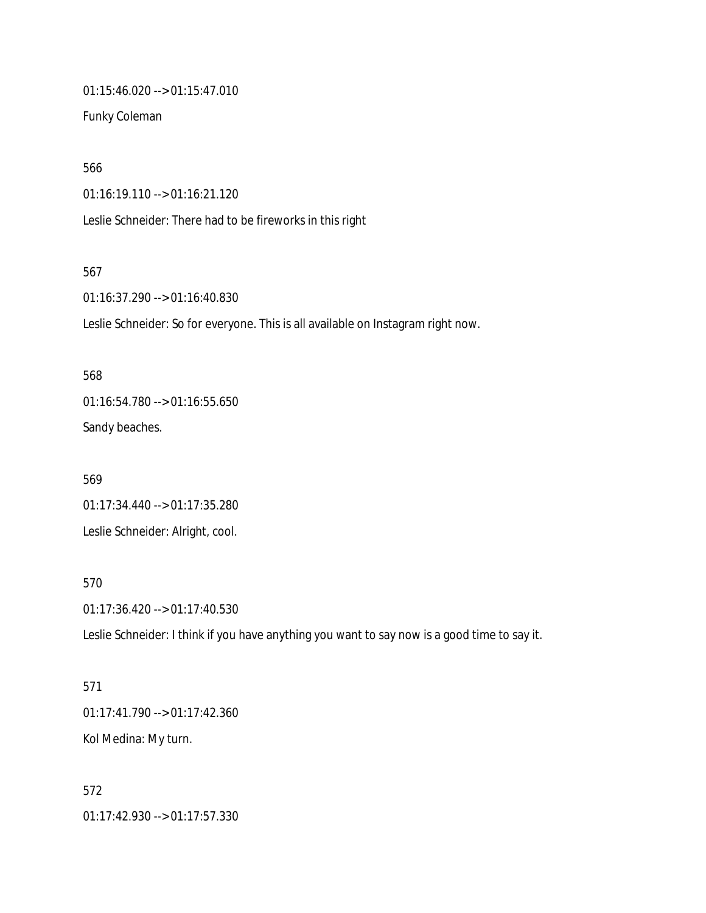01:15:46.020 --> 01:15:47.010

Funky Coleman

#### 566

01:16:19.110 --> 01:16:21.120

Leslie Schneider: There had to be fireworks in this right

#### 567

01:16:37.290 --> 01:16:40.830

Leslie Schneider: So for everyone. This is all available on Instagram right now.

# 568 01:16:54.780 --> 01:16:55.650 Sandy beaches.

569 01:17:34.440 --> 01:17:35.280 Leslie Schneider: Alright, cool.

#### 570

01:17:36.420 --> 01:17:40.530

Leslie Schneider: I think if you have anything you want to say now is a good time to say it.

# 571 01:17:41.790 --> 01:17:42.360 Kol Medina: My turn.

# 572 01:17:42.930 --> 01:17:57.330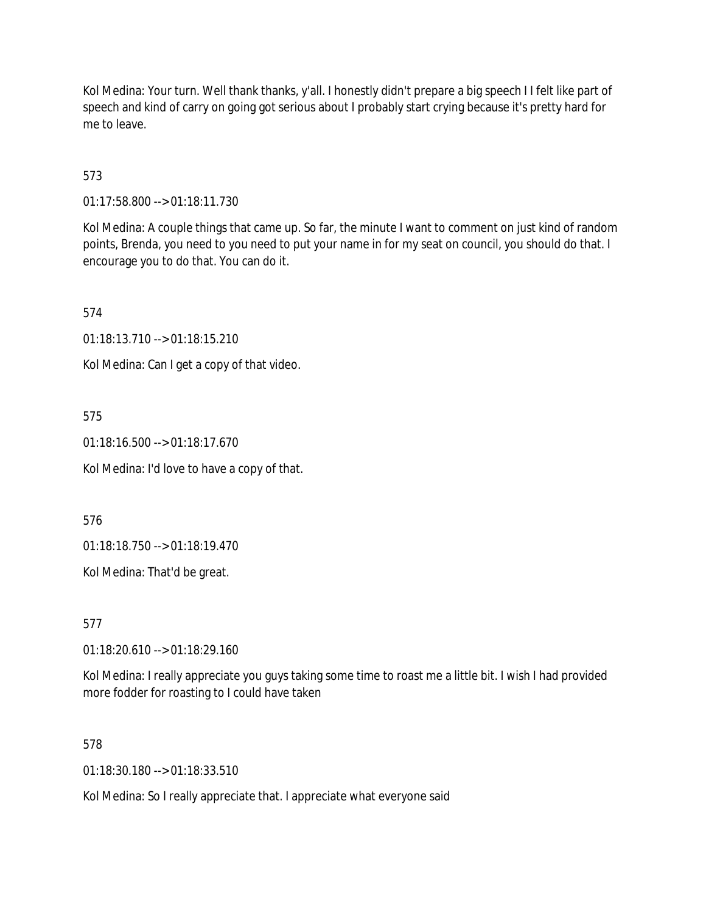Kol Medina: Your turn. Well thank thanks, y'all. I honestly didn't prepare a big speech I I felt like part of speech and kind of carry on going got serious about I probably start crying because it's pretty hard for me to leave.

573

01:17:58.800 --> 01:18:11.730

Kol Medina: A couple things that came up. So far, the minute I want to comment on just kind of random points, Brenda, you need to you need to put your name in for my seat on council, you should do that. I encourage you to do that. You can do it.

574

01:18:13.710 --> 01:18:15.210

Kol Medina: Can I get a copy of that video.

575

01:18:16.500 --> 01:18:17.670

Kol Medina: I'd love to have a copy of that.

576

01:18:18.750 --> 01:18:19.470

Kol Medina: That'd be great.

577

01:18:20.610 --> 01:18:29.160

Kol Medina: I really appreciate you guys taking some time to roast me a little bit. I wish I had provided more fodder for roasting to I could have taken

578

01:18:30.180 --> 01:18:33.510

Kol Medina: So I really appreciate that. I appreciate what everyone said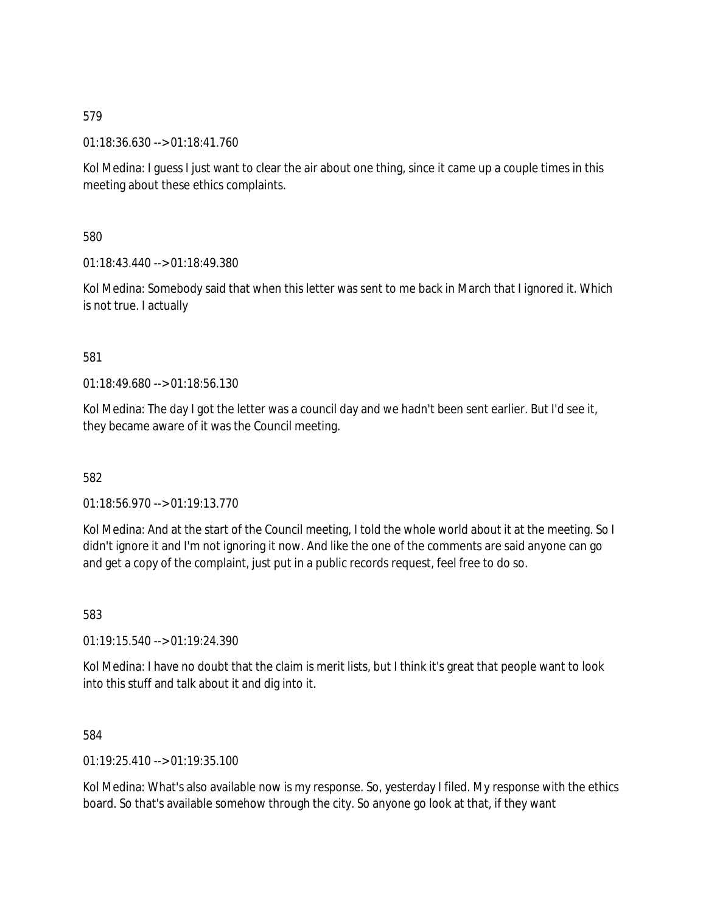01:18:36.630 --> 01:18:41.760

Kol Medina: I guess I just want to clear the air about one thing, since it came up a couple times in this meeting about these ethics complaints.

580

01:18:43.440 --> 01:18:49.380

Kol Medina: Somebody said that when this letter was sent to me back in March that I ignored it. Which is not true. I actually

#### 581

01:18:49.680 --> 01:18:56.130

Kol Medina: The day I got the letter was a council day and we hadn't been sent earlier. But I'd see it, they became aware of it was the Council meeting.

582

01:18:56.970 --> 01:19:13.770

Kol Medina: And at the start of the Council meeting, I told the whole world about it at the meeting. So I didn't ignore it and I'm not ignoring it now. And like the one of the comments are said anyone can go and get a copy of the complaint, just put in a public records request, feel free to do so.

583

01:19:15.540 --> 01:19:24.390

Kol Medina: I have no doubt that the claim is merit lists, but I think it's great that people want to look into this stuff and talk about it and dig into it.

584

01:19:25.410 --> 01:19:35.100

Kol Medina: What's also available now is my response. So, yesterday I filed. My response with the ethics board. So that's available somehow through the city. So anyone go look at that, if they want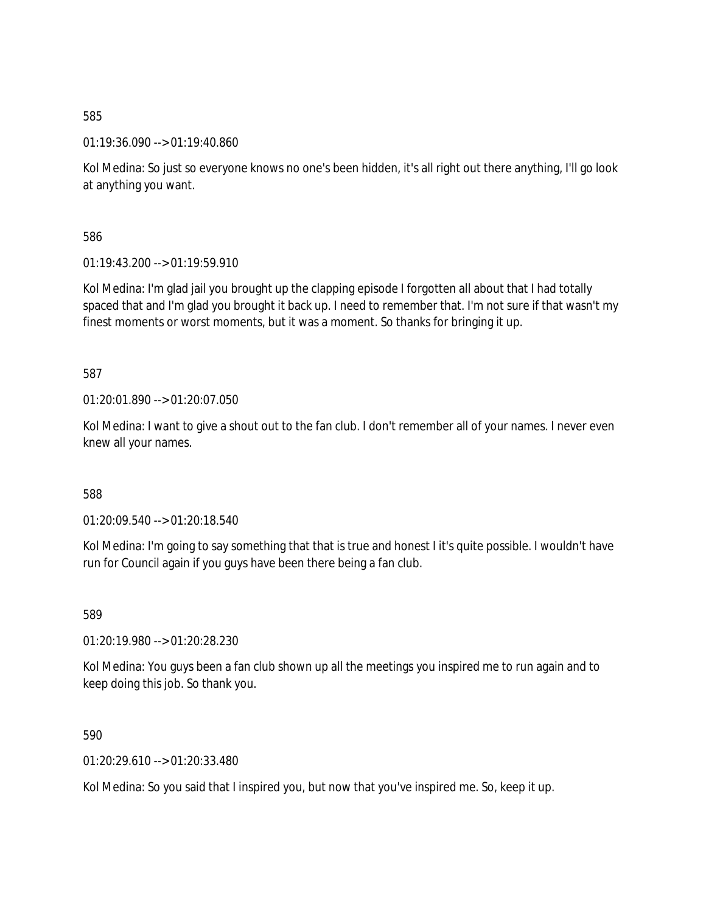01:19:36.090 --> 01:19:40.860

Kol Medina: So just so everyone knows no one's been hidden, it's all right out there anything, I'll go look at anything you want.

586

01:19:43.200 --> 01:19:59.910

Kol Medina: I'm glad jail you brought up the clapping episode I forgotten all about that I had totally spaced that and I'm glad you brought it back up. I need to remember that. I'm not sure if that wasn't my finest moments or worst moments, but it was a moment. So thanks for bringing it up.

587

01:20:01.890 --> 01:20:07.050

Kol Medina: I want to give a shout out to the fan club. I don't remember all of your names. I never even knew all your names.

588

01:20:09.540 --> 01:20:18.540

Kol Medina: I'm going to say something that that is true and honest I it's quite possible. I wouldn't have run for Council again if you guys have been there being a fan club.

589

01:20:19.980 --> 01:20:28.230

Kol Medina: You guys been a fan club shown up all the meetings you inspired me to run again and to keep doing this job. So thank you.

590

01:20:29.610 --> 01:20:33.480

Kol Medina: So you said that I inspired you, but now that you've inspired me. So, keep it up.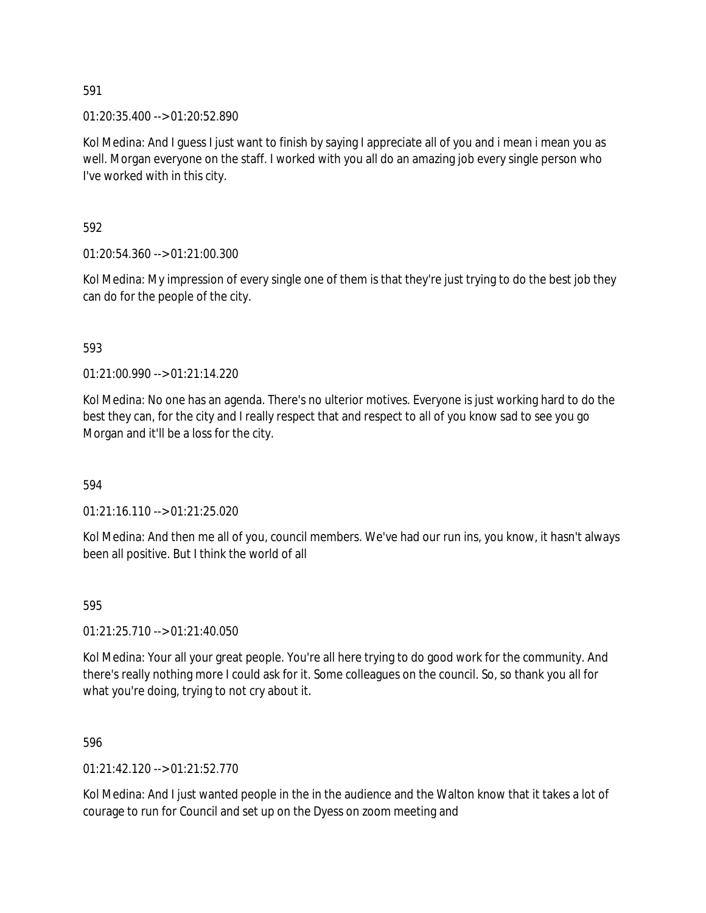01:20:35.400 --> 01:20:52.890

Kol Medina: And I guess I just want to finish by saying I appreciate all of you and i mean i mean you as well. Morgan everyone on the staff. I worked with you all do an amazing job every single person who I've worked with in this city.

592

01:20:54.360 --> 01:21:00.300

Kol Medina: My impression of every single one of them is that they're just trying to do the best job they can do for the people of the city.

593

01:21:00.990 --> 01:21:14.220

Kol Medina: No one has an agenda. There's no ulterior motives. Everyone is just working hard to do the best they can, for the city and I really respect that and respect to all of you know sad to see you go Morgan and it'll be a loss for the city.

594

01:21:16.110 --> 01:21:25.020

Kol Medina: And then me all of you, council members. We've had our run ins, you know, it hasn't always been all positive. But I think the world of all

595

01:21:25.710 --> 01:21:40.050

Kol Medina: Your all your great people. You're all here trying to do good work for the community. And there's really nothing more I could ask for it. Some colleagues on the council. So, so thank you all for what you're doing, trying to not cry about it.

596

01:21:42.120 --> 01:21:52.770

Kol Medina: And I just wanted people in the in the audience and the Walton know that it takes a lot of courage to run for Council and set up on the Dyess on zoom meeting and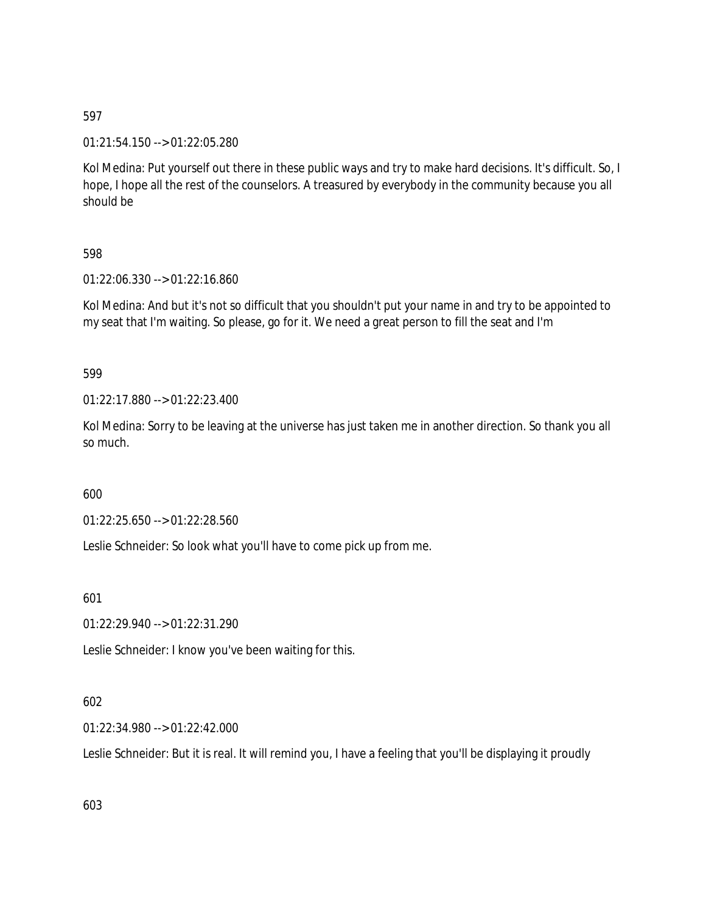01:21:54.150 --> 01:22:05.280

Kol Medina: Put yourself out there in these public ways and try to make hard decisions. It's difficult. So, I hope, I hope all the rest of the counselors. A treasured by everybody in the community because you all should be

598

01:22:06.330 --> 01:22:16.860

Kol Medina: And but it's not so difficult that you shouldn't put your name in and try to be appointed to my seat that I'm waiting. So please, go for it. We need a great person to fill the seat and I'm

599

01:22:17.880 --> 01:22:23.400

Kol Medina: Sorry to be leaving at the universe has just taken me in another direction. So thank you all so much.

600

01:22:25.650 --> 01:22:28.560

Leslie Schneider: So look what you'll have to come pick up from me.

601

01:22:29.940 --> 01:22:31.290

Leslie Schneider: I know you've been waiting for this.

#### 602

01:22:34.980 --> 01:22:42.000

Leslie Schneider: But it is real. It will remind you, I have a feeling that you'll be displaying it proudly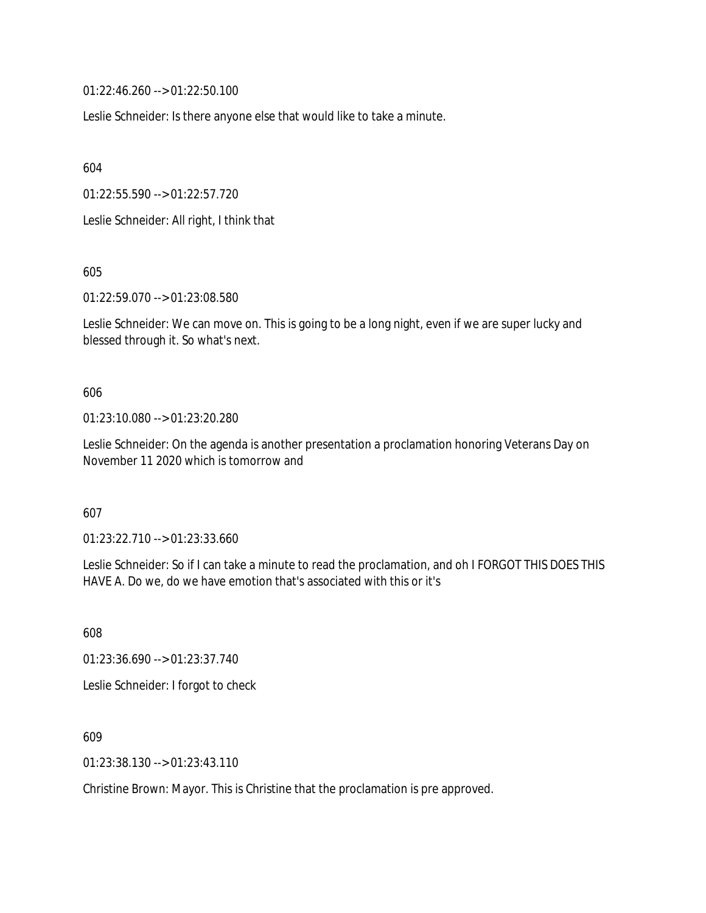01:22:46.260 --> 01:22:50.100

Leslie Schneider: Is there anyone else that would like to take a minute.

604

01:22:55.590 --> 01:22:57.720

Leslie Schneider: All right, I think that

605

01:22:59.070 --> 01:23:08.580

Leslie Schneider: We can move on. This is going to be a long night, even if we are super lucky and blessed through it. So what's next.

606

01:23:10.080 --> 01:23:20.280

Leslie Schneider: On the agenda is another presentation a proclamation honoring Veterans Day on November 11 2020 which is tomorrow and

607

01:23:22.710 --> 01:23:33.660

Leslie Schneider: So if I can take a minute to read the proclamation, and oh I FORGOT THIS DOES THIS HAVE A. Do we, do we have emotion that's associated with this or it's

608

01:23:36.690 --> 01:23:37.740 Leslie Schneider: I forgot to check

609

01:23:38.130 --> 01:23:43.110

Christine Brown: Mayor. This is Christine that the proclamation is pre approved.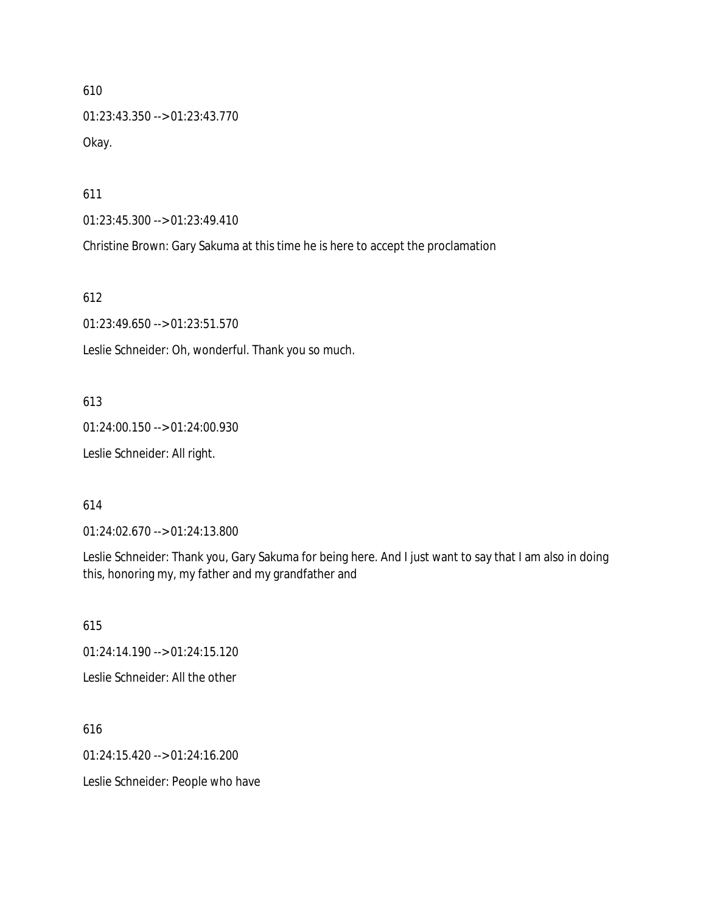610 01:23:43.350 --> 01:23:43.770 Okay.

611

01:23:45.300 --> 01:23:49.410

Christine Brown: Gary Sakuma at this time he is here to accept the proclamation

612

01:23:49.650 --> 01:23:51.570

Leslie Schneider: Oh, wonderful. Thank you so much.

#### 613

01:24:00.150 --> 01:24:00.930

Leslie Schneider: All right.

614

01:24:02.670 --> 01:24:13.800

Leslie Schneider: Thank you, Gary Sakuma for being here. And I just want to say that I am also in doing this, honoring my, my father and my grandfather and

615

01:24:14.190 --> 01:24:15.120

Leslie Schneider: All the other

616

01:24:15.420 --> 01:24:16.200

Leslie Schneider: People who have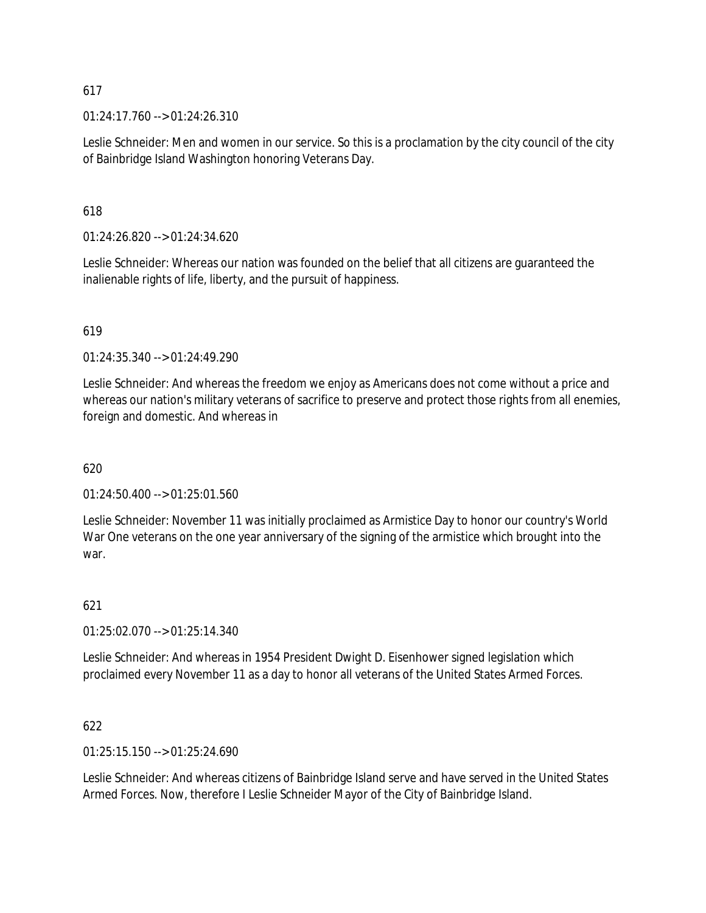01:24:17.760 --> 01:24:26.310

Leslie Schneider: Men and women in our service. So this is a proclamation by the city council of the city of Bainbridge Island Washington honoring Veterans Day.

618

01:24:26.820 --> 01:24:34.620

Leslie Schneider: Whereas our nation was founded on the belief that all citizens are guaranteed the inalienable rights of life, liberty, and the pursuit of happiness.

619

01:24:35.340 --> 01:24:49.290

Leslie Schneider: And whereas the freedom we enjoy as Americans does not come without a price and whereas our nation's military veterans of sacrifice to preserve and protect those rights from all enemies, foreign and domestic. And whereas in

620

01:24:50.400 --> 01:25:01.560

Leslie Schneider: November 11 was initially proclaimed as Armistice Day to honor our country's World War One veterans on the one year anniversary of the signing of the armistice which brought into the war.

#### 621

01:25:02.070 --> 01:25:14.340

Leslie Schneider: And whereas in 1954 President Dwight D. Eisenhower signed legislation which proclaimed every November 11 as a day to honor all veterans of the United States Armed Forces.

622

01:25:15.150 --> 01:25:24.690

Leslie Schneider: And whereas citizens of Bainbridge Island serve and have served in the United States Armed Forces. Now, therefore I Leslie Schneider Mayor of the City of Bainbridge Island.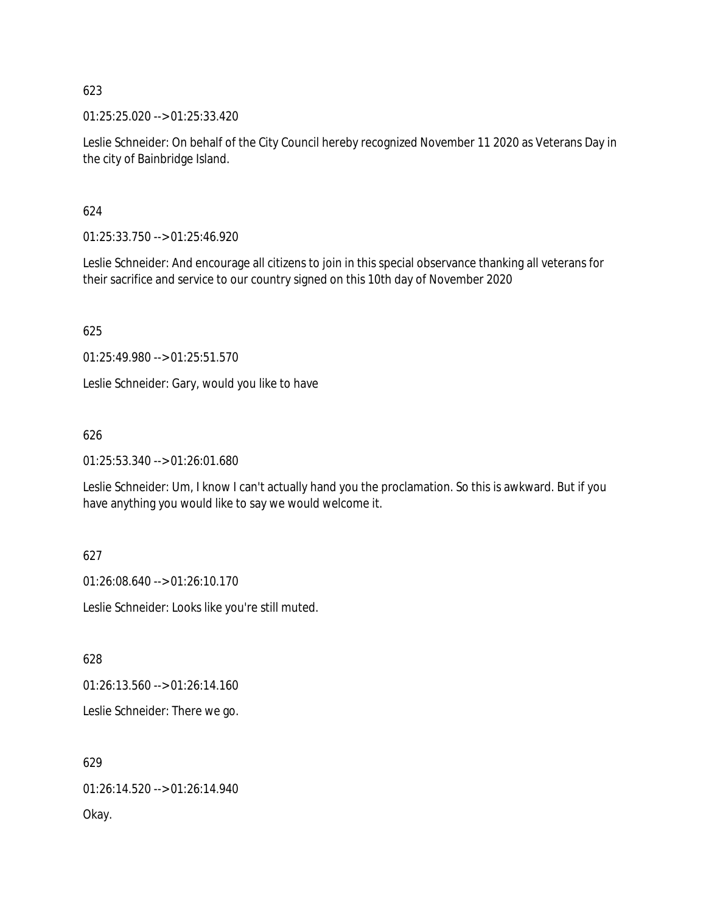01:25:25.020 --> 01:25:33.420

Leslie Schneider: On behalf of the City Council hereby recognized November 11 2020 as Veterans Day in the city of Bainbridge Island.

624

01:25:33.750 --> 01:25:46.920

Leslie Schneider: And encourage all citizens to join in this special observance thanking all veterans for their sacrifice and service to our country signed on this 10th day of November 2020

625

01:25:49.980 --> 01:25:51.570

Leslie Schneider: Gary, would you like to have

626

01:25:53.340 --> 01:26:01.680

Leslie Schneider: Um, I know I can't actually hand you the proclamation. So this is awkward. But if you have anything you would like to say we would welcome it.

627

01:26:08.640 --> 01:26:10.170 Leslie Schneider: Looks like you're still muted.

628

01:26:13.560 --> 01:26:14.160

Leslie Schneider: There we go.

629 01:26:14.520 --> 01:26:14.940 Okay.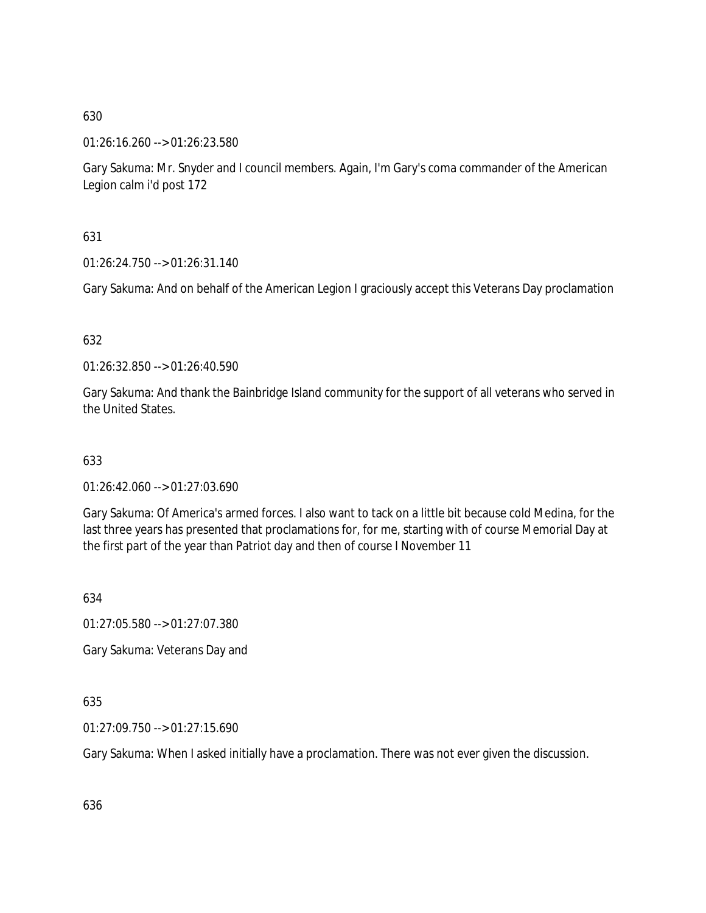01:26:16.260 --> 01:26:23.580

Gary Sakuma: Mr. Snyder and I council members. Again, I'm Gary's coma commander of the American Legion calm i'd post 172

631

01:26:24.750 --> 01:26:31.140

Gary Sakuma: And on behalf of the American Legion I graciously accept this Veterans Day proclamation

# 632

01:26:32.850 --> 01:26:40.590

Gary Sakuma: And thank the Bainbridge Island community for the support of all veterans who served in the United States.

633

01:26:42.060 --> 01:27:03.690

Gary Sakuma: Of America's armed forces. I also want to tack on a little bit because cold Medina, for the last three years has presented that proclamations for, for me, starting with of course Memorial Day at the first part of the year than Patriot day and then of course I November 11

634

01:27:05.580 --> 01:27:07.380

Gary Sakuma: Veterans Day and

635

01:27:09.750 --> 01:27:15.690

Gary Sakuma: When I asked initially have a proclamation. There was not ever given the discussion.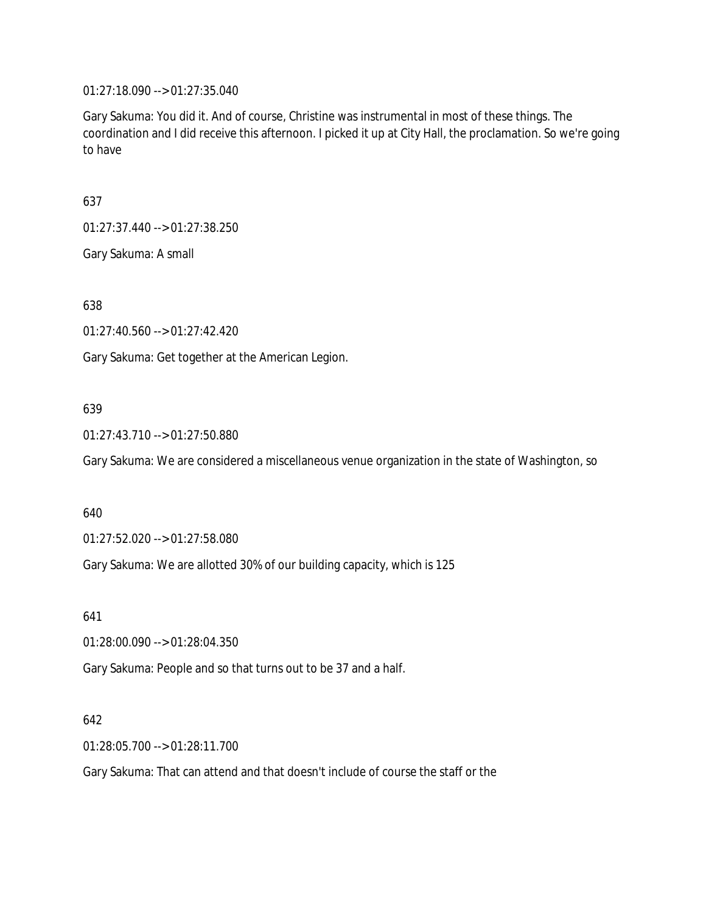01:27:18.090 --> 01:27:35.040

Gary Sakuma: You did it. And of course, Christine was instrumental in most of these things. The coordination and I did receive this afternoon. I picked it up at City Hall, the proclamation. So we're going to have

637

01:27:37.440 --> 01:27:38.250

Gary Sakuma: A small

638

01:27:40.560 --> 01:27:42.420

Gary Sakuma: Get together at the American Legion.

#### 639

01:27:43.710 --> 01:27:50.880

Gary Sakuma: We are considered a miscellaneous venue organization in the state of Washington, so

#### 640

01:27:52.020 --> 01:27:58.080

Gary Sakuma: We are allotted 30% of our building capacity, which is 125

641

01:28:00.090 --> 01:28:04.350

Gary Sakuma: People and so that turns out to be 37 and a half.

#### 642

01:28:05.700 --> 01:28:11.700

Gary Sakuma: That can attend and that doesn't include of course the staff or the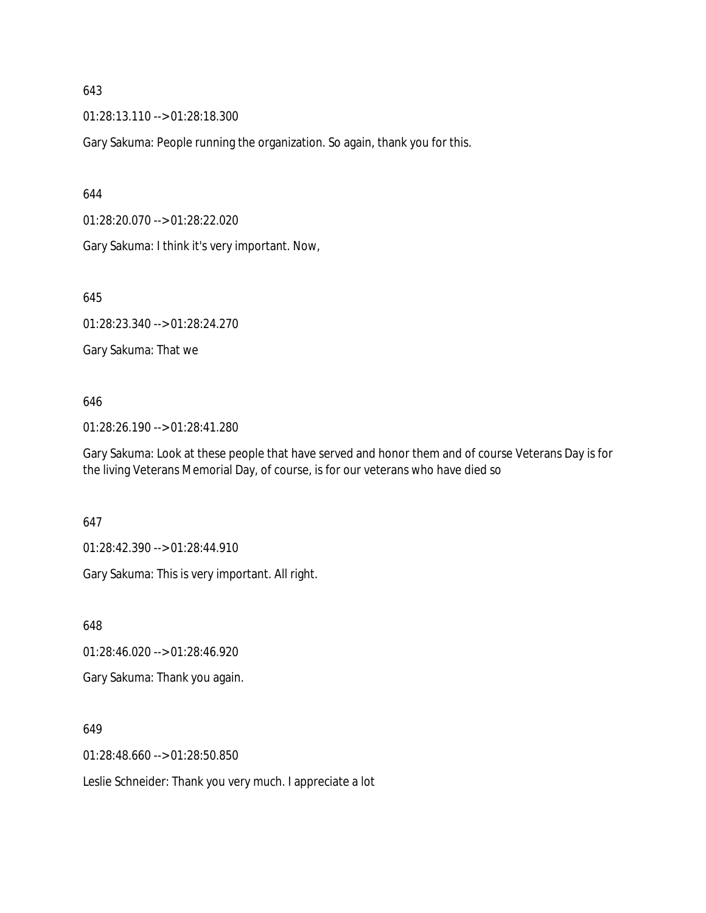01:28:13.110 --> 01:28:18.300

Gary Sakuma: People running the organization. So again, thank you for this.

644

01:28:20.070 --> 01:28:22.020

Gary Sakuma: I think it's very important. Now,

645

01:28:23.340 --> 01:28:24.270

Gary Sakuma: That we

#### 646

01:28:26.190 --> 01:28:41.280

Gary Sakuma: Look at these people that have served and honor them and of course Veterans Day is for the living Veterans Memorial Day, of course, is for our veterans who have died so

647

01:28:42.390 --> 01:28:44.910

Gary Sakuma: This is very important. All right.

648

01:28:46.020 --> 01:28:46.920

Gary Sakuma: Thank you again.

649

01:28:48.660 --> 01:28:50.850

Leslie Schneider: Thank you very much. I appreciate a lot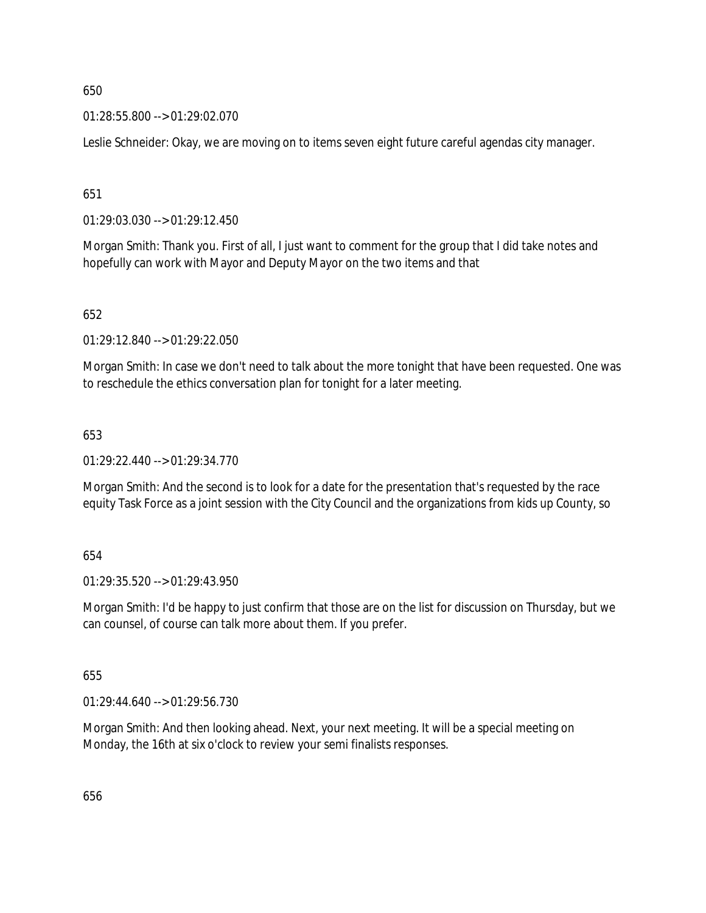01:28:55.800 --> 01:29:02.070

Leslie Schneider: Okay, we are moving on to items seven eight future careful agendas city manager.

651

01:29:03.030 --> 01:29:12.450

Morgan Smith: Thank you. First of all, I just want to comment for the group that I did take notes and hopefully can work with Mayor and Deputy Mayor on the two items and that

652

01:29:12.840 --> 01:29:22.050

Morgan Smith: In case we don't need to talk about the more tonight that have been requested. One was to reschedule the ethics conversation plan for tonight for a later meeting.

653

01:29:22.440 --> 01:29:34.770

Morgan Smith: And the second is to look for a date for the presentation that's requested by the race equity Task Force as a joint session with the City Council and the organizations from kids up County, so

654

01:29:35.520 --> 01:29:43.950

Morgan Smith: I'd be happy to just confirm that those are on the list for discussion on Thursday, but we can counsel, of course can talk more about them. If you prefer.

655

01:29:44.640 --> 01:29:56.730

Morgan Smith: And then looking ahead. Next, your next meeting. It will be a special meeting on Monday, the 16th at six o'clock to review your semi finalists responses.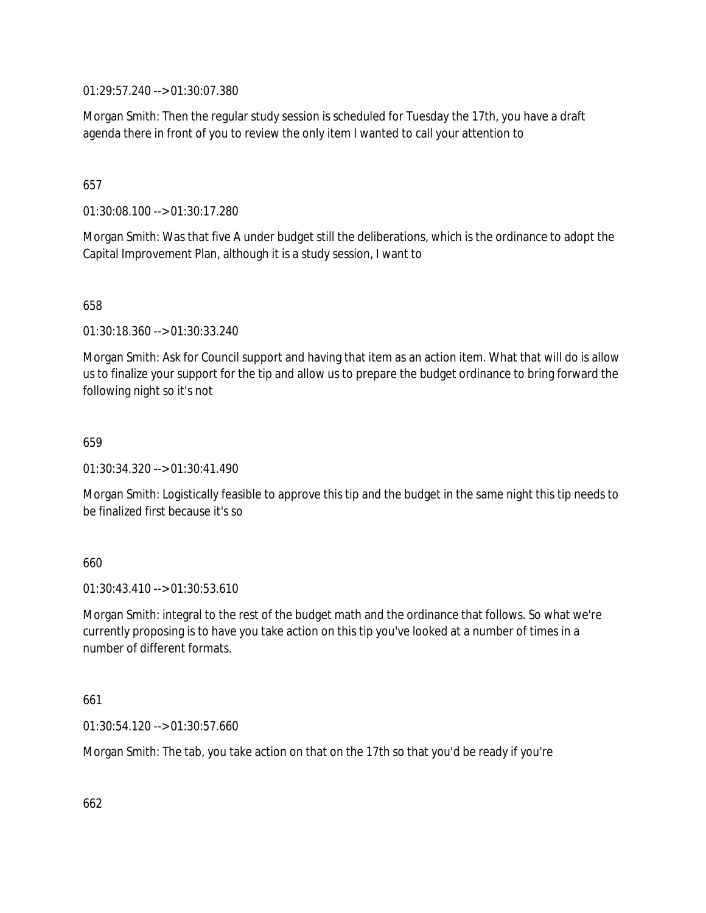01:29:57.240 --> 01:30:07.380

Morgan Smith: Then the regular study session is scheduled for Tuesday the 17th, you have a draft agenda there in front of you to review the only item I wanted to call your attention to

# 657

01:30:08.100 --> 01:30:17.280

Morgan Smith: Was that five A under budget still the deliberations, which is the ordinance to adopt the Capital Improvement Plan, although it is a study session, I want to

658

01:30:18.360 --> 01:30:33.240

Morgan Smith: Ask for Council support and having that item as an action item. What that will do is allow us to finalize your support for the tip and allow us to prepare the budget ordinance to bring forward the following night so it's not

659

01:30:34.320 --> 01:30:41.490

Morgan Smith: Logistically feasible to approve this tip and the budget in the same night this tip needs to be finalized first because it's so

#### 660

01:30:43.410 --> 01:30:53.610

Morgan Smith: integral to the rest of the budget math and the ordinance that follows. So what we're currently proposing is to have you take action on this tip you've looked at a number of times in a number of different formats.

661

01:30:54.120 --> 01:30:57.660

Morgan Smith: The tab, you take action on that on the 17th so that you'd be ready if you're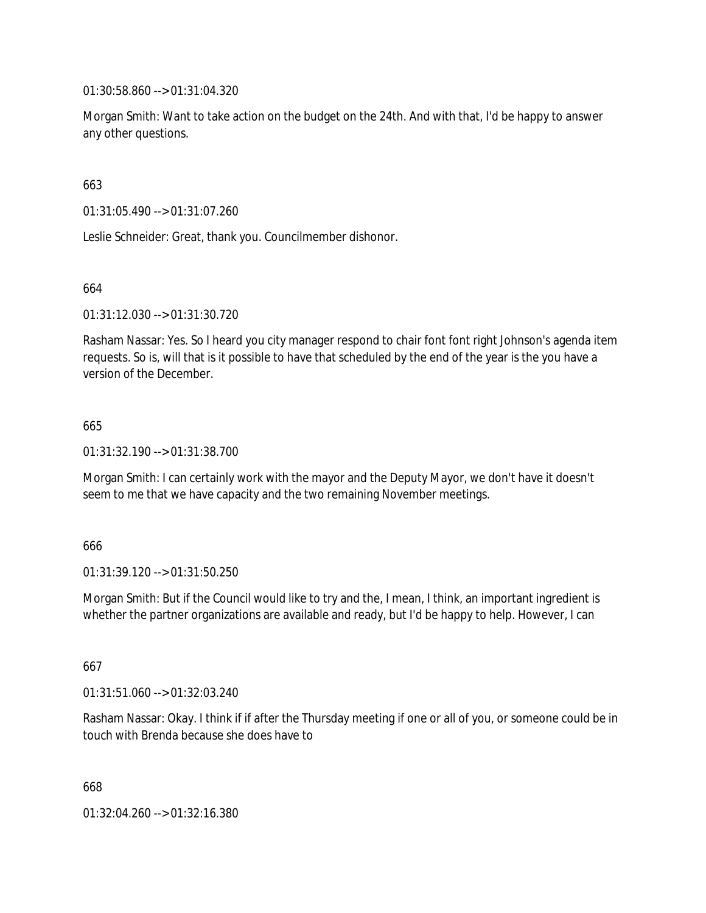01:30:58.860 --> 01:31:04.320

Morgan Smith: Want to take action on the budget on the 24th. And with that, I'd be happy to answer any other questions.

663

01:31:05.490 --> 01:31:07.260

Leslie Schneider: Great, thank you. Councilmember dishonor.

664

01:31:12.030 --> 01:31:30.720

Rasham Nassar: Yes. So I heard you city manager respond to chair font font right Johnson's agenda item requests. So is, will that is it possible to have that scheduled by the end of the year is the you have a version of the December.

#### 665

01:31:32.190 --> 01:31:38.700

Morgan Smith: I can certainly work with the mayor and the Deputy Mayor, we don't have it doesn't seem to me that we have capacity and the two remaining November meetings.

#### 666

01:31:39.120 --> 01:31:50.250

Morgan Smith: But if the Council would like to try and the, I mean, I think, an important ingredient is whether the partner organizations are available and ready, but I'd be happy to help. However, I can

667

01:31:51.060 --> 01:32:03.240

Rasham Nassar: Okay. I think if if after the Thursday meeting if one or all of you, or someone could be in touch with Brenda because she does have to

668

01:32:04.260 --> 01:32:16.380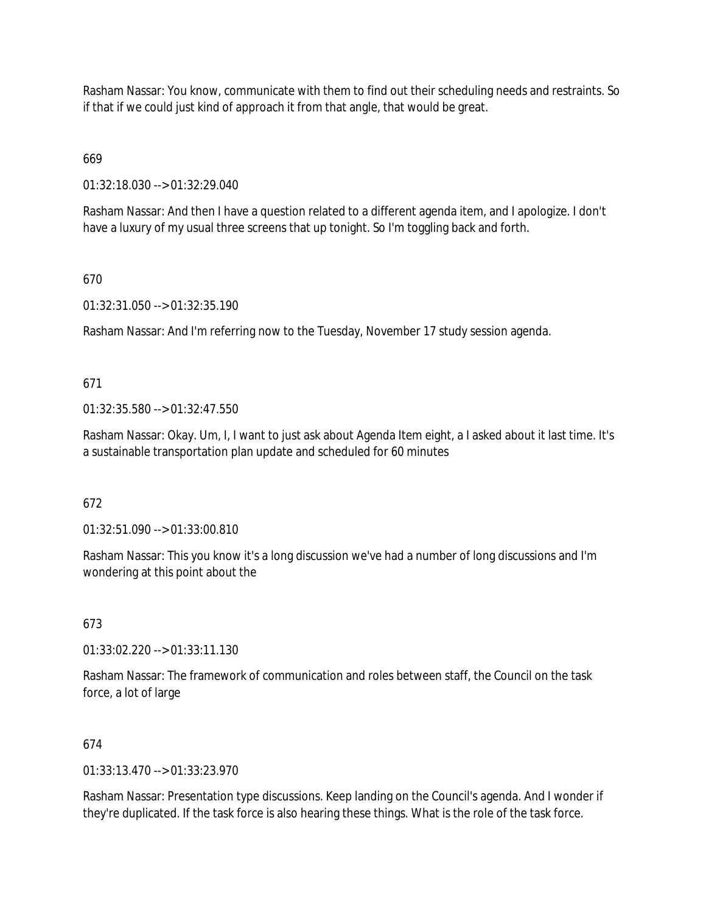Rasham Nassar: You know, communicate with them to find out their scheduling needs and restraints. So if that if we could just kind of approach it from that angle, that would be great.

# 669

01:32:18.030 --> 01:32:29.040

Rasham Nassar: And then I have a question related to a different agenda item, and I apologize. I don't have a luxury of my usual three screens that up tonight. So I'm toggling back and forth.

# 670

01:32:31.050 --> 01:32:35.190

Rasham Nassar: And I'm referring now to the Tuesday, November 17 study session agenda.

# 671

01:32:35.580 --> 01:32:47.550

Rasham Nassar: Okay. Um, I, I want to just ask about Agenda Item eight, a I asked about it last time. It's a sustainable transportation plan update and scheduled for 60 minutes

#### 672

01:32:51.090 --> 01:33:00.810

Rasham Nassar: This you know it's a long discussion we've had a number of long discussions and I'm wondering at this point about the

#### 673

01:33:02.220 --> 01:33:11.130

Rasham Nassar: The framework of communication and roles between staff, the Council on the task force, a lot of large

#### 674

01:33:13.470 --> 01:33:23.970

Rasham Nassar: Presentation type discussions. Keep landing on the Council's agenda. And I wonder if they're duplicated. If the task force is also hearing these things. What is the role of the task force.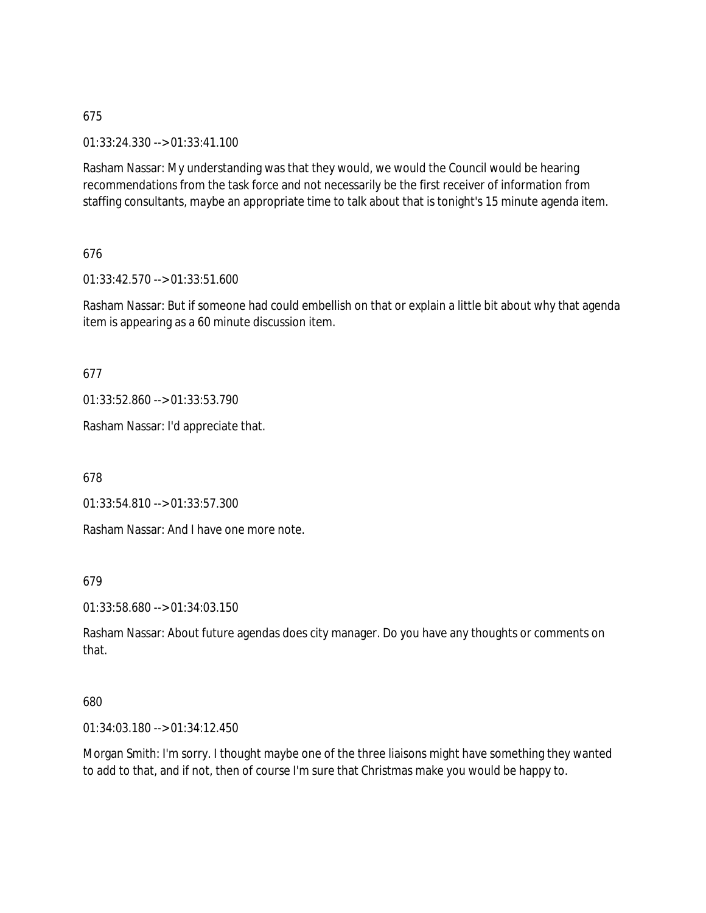01:33:24.330 --> 01:33:41.100

Rasham Nassar: My understanding was that they would, we would the Council would be hearing recommendations from the task force and not necessarily be the first receiver of information from staffing consultants, maybe an appropriate time to talk about that is tonight's 15 minute agenda item.

# 676

01:33:42.570 --> 01:33:51.600

Rasham Nassar: But if someone had could embellish on that or explain a little bit about why that agenda item is appearing as a 60 minute discussion item.

#### 677

01:33:52.860 --> 01:33:53.790

Rasham Nassar: I'd appreciate that.

678

01:33:54.810 --> 01:33:57.300

Rasham Nassar: And I have one more note.

#### 679

01:33:58.680 --> 01:34:03.150

Rasham Nassar: About future agendas does city manager. Do you have any thoughts or comments on that.

#### 680

01:34:03.180 --> 01:34:12.450

Morgan Smith: I'm sorry. I thought maybe one of the three liaisons might have something they wanted to add to that, and if not, then of course I'm sure that Christmas make you would be happy to.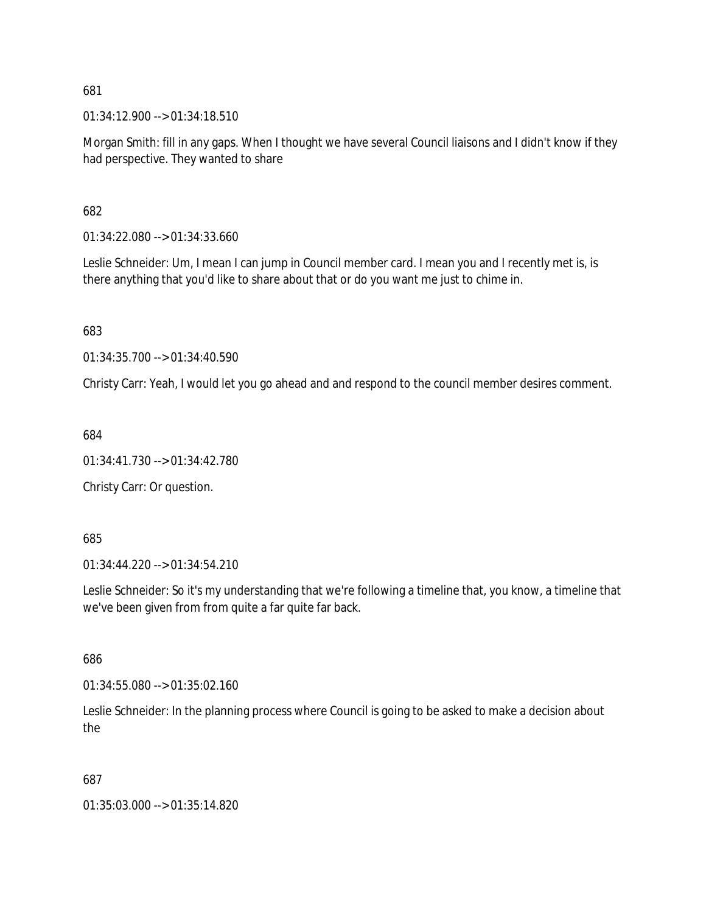01:34:12.900 --> 01:34:18.510

Morgan Smith: fill in any gaps. When I thought we have several Council liaisons and I didn't know if they had perspective. They wanted to share

682

01:34:22.080 --> 01:34:33.660

Leslie Schneider: Um, I mean I can jump in Council member card. I mean you and I recently met is, is there anything that you'd like to share about that or do you want me just to chime in.

683

01:34:35.700 --> 01:34:40.590

Christy Carr: Yeah, I would let you go ahead and and respond to the council member desires comment.

684

01:34:41.730 --> 01:34:42.780

Christy Carr: Or question.

685

01:34:44.220 --> 01:34:54.210

Leslie Schneider: So it's my understanding that we're following a timeline that, you know, a timeline that we've been given from from quite a far quite far back.

686

01:34:55.080 --> 01:35:02.160

Leslie Schneider: In the planning process where Council is going to be asked to make a decision about the

687

01:35:03.000 --> 01:35:14.820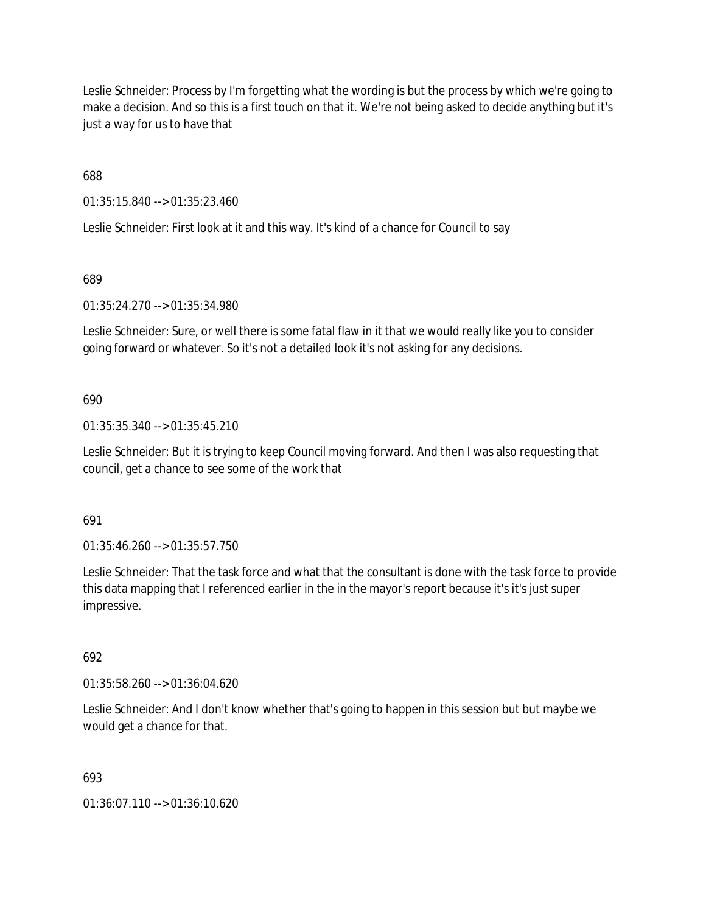Leslie Schneider: Process by I'm forgetting what the wording is but the process by which we're going to make a decision. And so this is a first touch on that it. We're not being asked to decide anything but it's just a way for us to have that

688

01:35:15.840 --> 01:35:23.460

Leslie Schneider: First look at it and this way. It's kind of a chance for Council to say

689

01:35:24.270 --> 01:35:34.980

Leslie Schneider: Sure, or well there is some fatal flaw in it that we would really like you to consider going forward or whatever. So it's not a detailed look it's not asking for any decisions.

# 690

01:35:35.340 --> 01:35:45.210

Leslie Schneider: But it is trying to keep Council moving forward. And then I was also requesting that council, get a chance to see some of the work that

691

01:35:46.260 --> 01:35:57.750

Leslie Schneider: That the task force and what that the consultant is done with the task force to provide this data mapping that I referenced earlier in the in the mayor's report because it's it's just super impressive.

#### 692

01:35:58.260 --> 01:36:04.620

Leslie Schneider: And I don't know whether that's going to happen in this session but but maybe we would get a chance for that.

#### 693

01:36:07.110 --> 01:36:10.620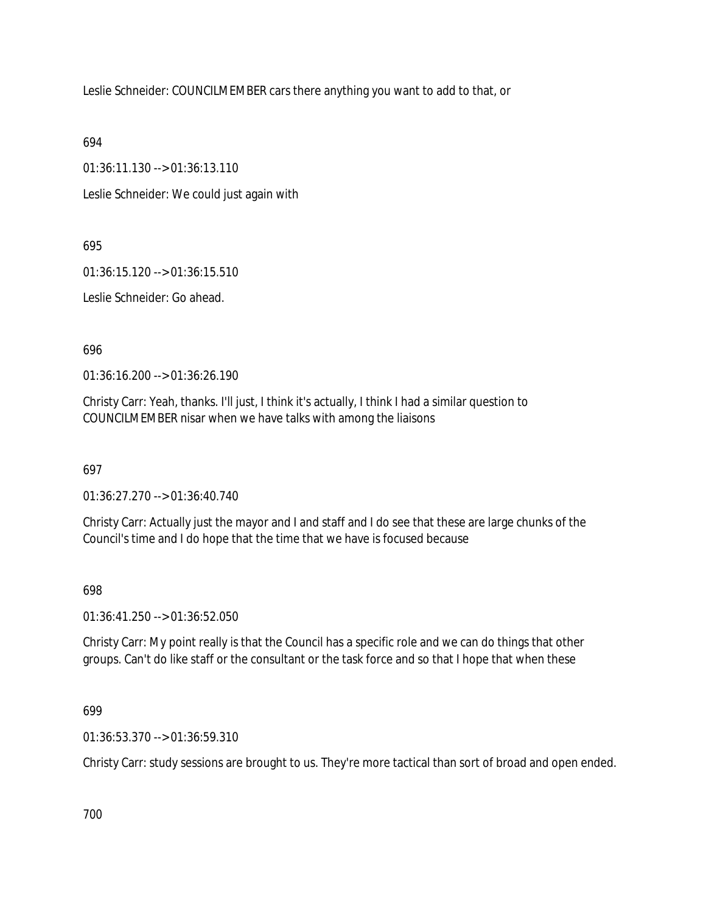Leslie Schneider: COUNCILMEMBER cars there anything you want to add to that, or

694

01:36:11.130 --> 01:36:13.110

Leslie Schneider: We could just again with

695

01:36:15.120 --> 01:36:15.510

Leslie Schneider: Go ahead.

696

01:36:16.200 --> 01:36:26.190

Christy Carr: Yeah, thanks. I'll just, I think it's actually, I think I had a similar question to COUNCILMEMBER nisar when we have talks with among the liaisons

697

01:36:27.270 --> 01:36:40.740

Christy Carr: Actually just the mayor and I and staff and I do see that these are large chunks of the Council's time and I do hope that the time that we have is focused because

# 698

01:36:41.250 --> 01:36:52.050

Christy Carr: My point really is that the Council has a specific role and we can do things that other groups. Can't do like staff or the consultant or the task force and so that I hope that when these

# 699

01:36:53.370 --> 01:36:59.310

Christy Carr: study sessions are brought to us. They're more tactical than sort of broad and open ended.

700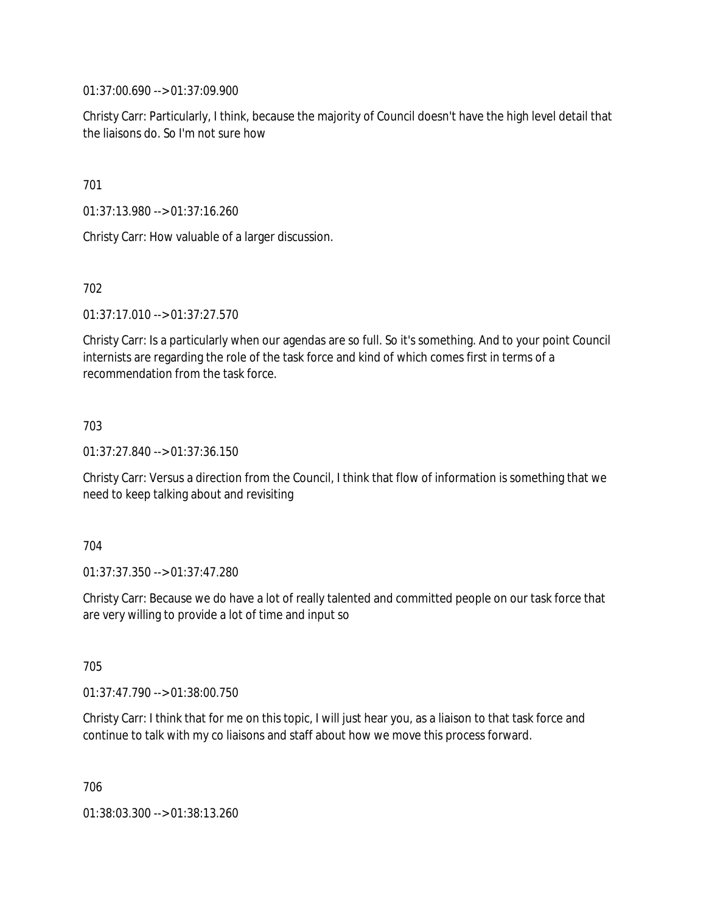01:37:00.690 --> 01:37:09.900

Christy Carr: Particularly, I think, because the majority of Council doesn't have the high level detail that the liaisons do. So I'm not sure how

701

01:37:13.980 --> 01:37:16.260

Christy Carr: How valuable of a larger discussion.

702

01:37:17.010 --> 01:37:27.570

Christy Carr: Is a particularly when our agendas are so full. So it's something. And to your point Council internists are regarding the role of the task force and kind of which comes first in terms of a recommendation from the task force.

703

01:37:27.840 --> 01:37:36.150

Christy Carr: Versus a direction from the Council, I think that flow of information is something that we need to keep talking about and revisiting

704

01:37:37.350 --> 01:37:47.280

Christy Carr: Because we do have a lot of really talented and committed people on our task force that are very willing to provide a lot of time and input so

705

01:37:47.790 --> 01:38:00.750

Christy Carr: I think that for me on this topic, I will just hear you, as a liaison to that task force and continue to talk with my co liaisons and staff about how we move this process forward.

706

01:38:03.300 --> 01:38:13.260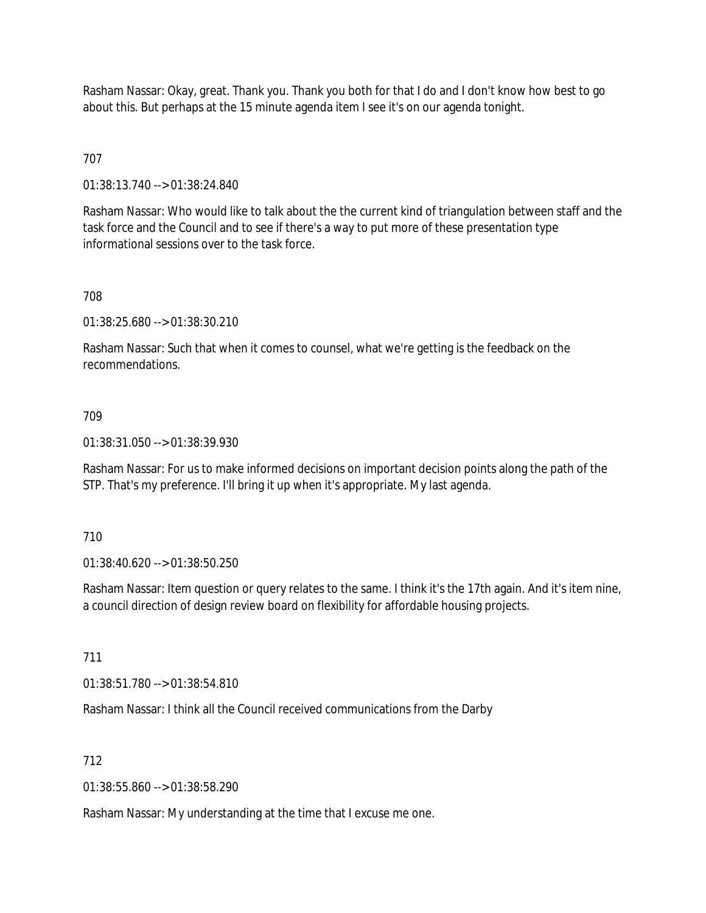Rasham Nassar: Okay, great. Thank you. Thank you both for that I do and I don't know how best to go about this. But perhaps at the 15 minute agenda item I see it's on our agenda tonight.

707

01:38:13.740 --> 01:38:24.840

Rasham Nassar: Who would like to talk about the the current kind of triangulation between staff and the task force and the Council and to see if there's a way to put more of these presentation type informational sessions over to the task force.

708

01:38:25.680 --> 01:38:30.210

Rasham Nassar: Such that when it comes to counsel, what we're getting is the feedback on the recommendations.

709

01:38:31.050 --> 01:38:39.930

Rasham Nassar: For us to make informed decisions on important decision points along the path of the STP. That's my preference. I'll bring it up when it's appropriate. My last agenda.

710

01:38:40.620 --> 01:38:50.250

Rasham Nassar: Item question or query relates to the same. I think it's the 17th again. And it's item nine, a council direction of design review board on flexibility for affordable housing projects.

711

01:38:51.780 --> 01:38:54.810

Rasham Nassar: I think all the Council received communications from the Darby

712

01:38:55.860 --> 01:38:58.290

Rasham Nassar: My understanding at the time that I excuse me one.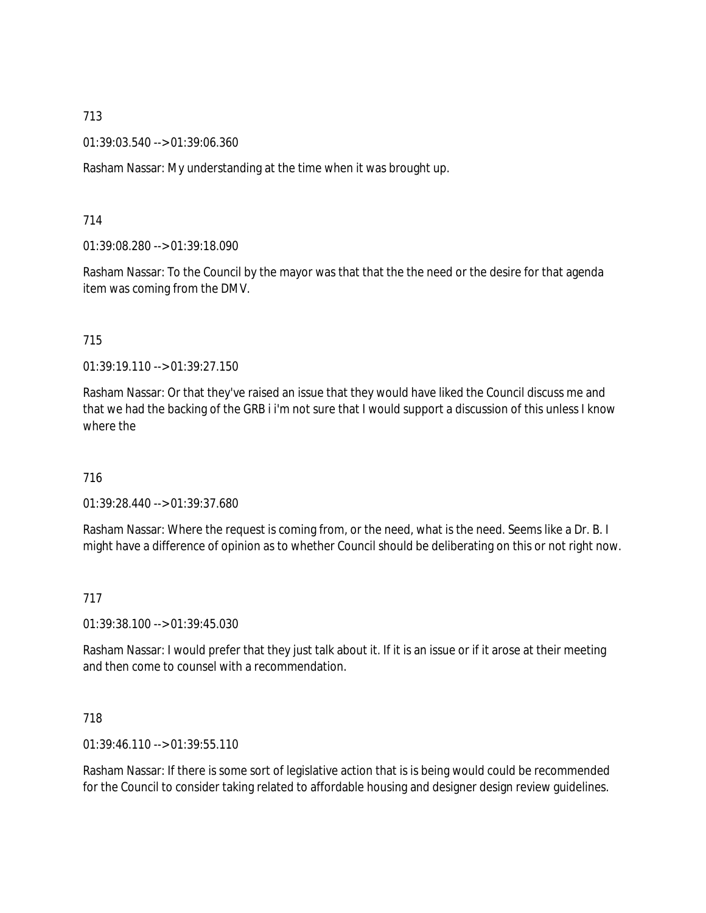01:39:03.540 --> 01:39:06.360

Rasham Nassar: My understanding at the time when it was brought up.

714

01:39:08.280 --> 01:39:18.090

Rasham Nassar: To the Council by the mayor was that that the the need or the desire for that agenda item was coming from the DMV.

# 715

01:39:19.110 --> 01:39:27.150

Rasham Nassar: Or that they've raised an issue that they would have liked the Council discuss me and that we had the backing of the GRB i i'm not sure that I would support a discussion of this unless I know where the

716

01:39:28.440 --> 01:39:37.680

Rasham Nassar: Where the request is coming from, or the need, what is the need. Seems like a Dr. B. I might have a difference of opinion as to whether Council should be deliberating on this or not right now.

717

01:39:38.100 --> 01:39:45.030

Rasham Nassar: I would prefer that they just talk about it. If it is an issue or if it arose at their meeting and then come to counsel with a recommendation.

# 718

01:39:46.110 --> 01:39:55.110

Rasham Nassar: If there is some sort of legislative action that is is being would could be recommended for the Council to consider taking related to affordable housing and designer design review guidelines.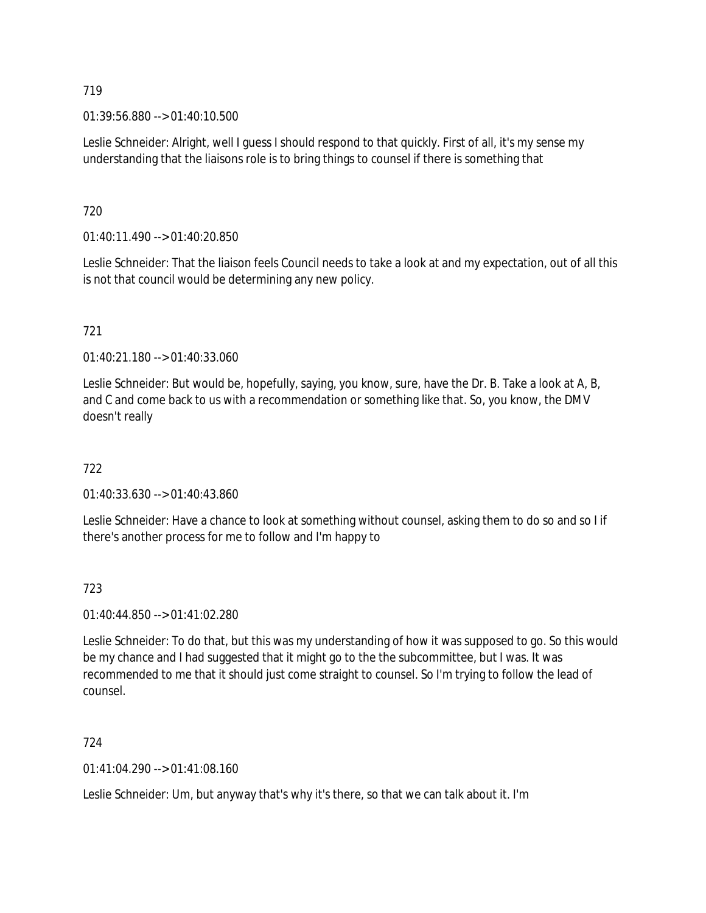01:39:56.880 --> 01:40:10.500

Leslie Schneider: Alright, well I guess I should respond to that quickly. First of all, it's my sense my understanding that the liaisons role is to bring things to counsel if there is something that

720

01:40:11.490 --> 01:40:20.850

Leslie Schneider: That the liaison feels Council needs to take a look at and my expectation, out of all this is not that council would be determining any new policy.

721

01:40:21.180 --> 01:40:33.060

Leslie Schneider: But would be, hopefully, saying, you know, sure, have the Dr. B. Take a look at A, B, and C and come back to us with a recommendation or something like that. So, you know, the DMV doesn't really

722

01:40:33.630 --> 01:40:43.860

Leslie Schneider: Have a chance to look at something without counsel, asking them to do so and so I if there's another process for me to follow and I'm happy to

### 723

01:40:44.850 --> 01:41:02.280

Leslie Schneider: To do that, but this was my understanding of how it was supposed to go. So this would be my chance and I had suggested that it might go to the the subcommittee, but I was. It was recommended to me that it should just come straight to counsel. So I'm trying to follow the lead of counsel.

724

01:41:04.290 --> 01:41:08.160

Leslie Schneider: Um, but anyway that's why it's there, so that we can talk about it. I'm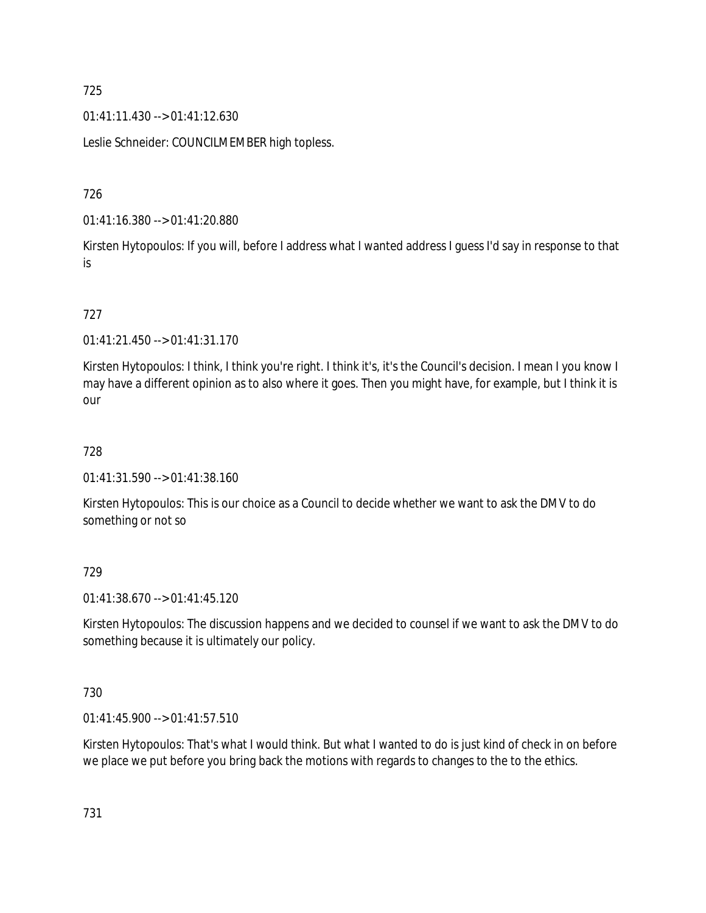01:41:11.430 --> 01:41:12.630

Leslie Schneider: COUNCILMEMBER high topless.

726

01:41:16.380 --> 01:41:20.880

Kirsten Hytopoulos: If you will, before I address what I wanted address I guess I'd say in response to that is

# 727

01:41:21.450 --> 01:41:31.170

Kirsten Hytopoulos: I think, I think you're right. I think it's, it's the Council's decision. I mean I you know I may have a different opinion as to also where it goes. Then you might have, for example, but I think it is our

## 728

01:41:31.590 --> 01:41:38.160

Kirsten Hytopoulos: This is our choice as a Council to decide whether we want to ask the DMV to do something or not so

# 729

01:41:38.670 --> 01:41:45.120

Kirsten Hytopoulos: The discussion happens and we decided to counsel if we want to ask the DMV to do something because it is ultimately our policy.

# 730

01:41:45.900 --> 01:41:57.510

Kirsten Hytopoulos: That's what I would think. But what I wanted to do is just kind of check in on before we place we put before you bring back the motions with regards to changes to the to the ethics.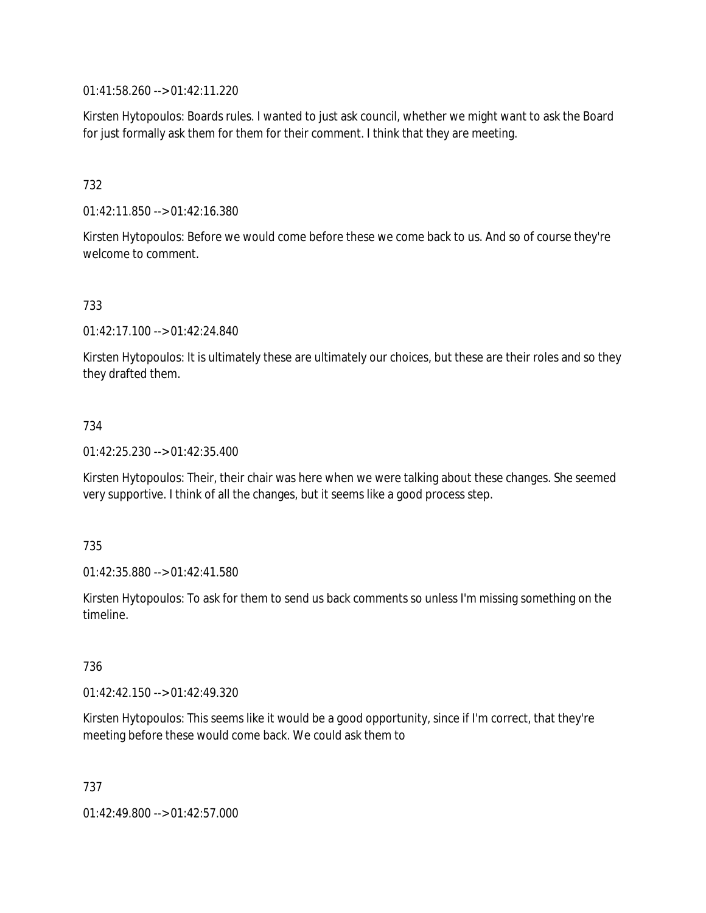01:41:58.260 --> 01:42:11.220

Kirsten Hytopoulos: Boards rules. I wanted to just ask council, whether we might want to ask the Board for just formally ask them for them for their comment. I think that they are meeting.

### 732

01:42:11.850 --> 01:42:16.380

Kirsten Hytopoulos: Before we would come before these we come back to us. And so of course they're welcome to comment.

### 733

01:42:17.100 --> 01:42:24.840

Kirsten Hytopoulos: It is ultimately these are ultimately our choices, but these are their roles and so they they drafted them.

### 734

01:42:25.230 --> 01:42:35.400

Kirsten Hytopoulos: Their, their chair was here when we were talking about these changes. She seemed very supportive. I think of all the changes, but it seems like a good process step.

### 735

01:42:35.880 --> 01:42:41.580

Kirsten Hytopoulos: To ask for them to send us back comments so unless I'm missing something on the timeline.

### 736

01:42:42.150 --> 01:42:49.320

Kirsten Hytopoulos: This seems like it would be a good opportunity, since if I'm correct, that they're meeting before these would come back. We could ask them to

737

01:42:49.800 --> 01:42:57.000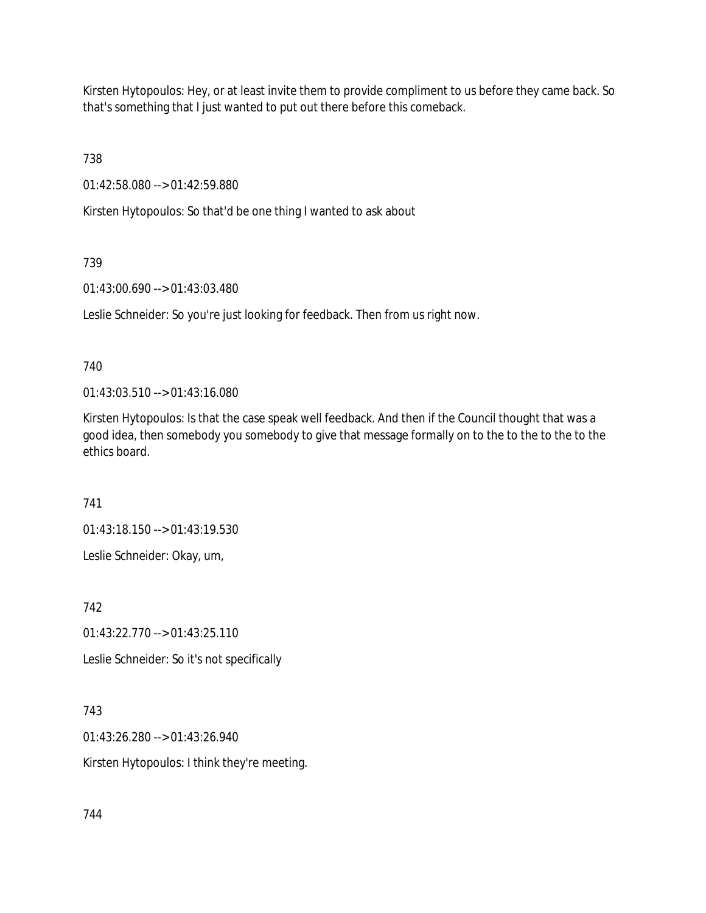Kirsten Hytopoulos: Hey, or at least invite them to provide compliment to us before they came back. So that's something that I just wanted to put out there before this comeback.

738

01:42:58.080 --> 01:42:59.880

Kirsten Hytopoulos: So that'd be one thing I wanted to ask about

# 739

01:43:00.690 --> 01:43:03.480

Leslie Schneider: So you're just looking for feedback. Then from us right now.

# 740

01:43:03.510 --> 01:43:16.080

Kirsten Hytopoulos: Is that the case speak well feedback. And then if the Council thought that was a good idea, then somebody you somebody to give that message formally on to the to the to the to the ethics board.

741

01:43:18.150 --> 01:43:19.530

Leslie Schneider: Okay, um,

742

01:43:22.770 --> 01:43:25.110

Leslie Schneider: So it's not specifically

743

01:43:26.280 --> 01:43:26.940

Kirsten Hytopoulos: I think they're meeting.

744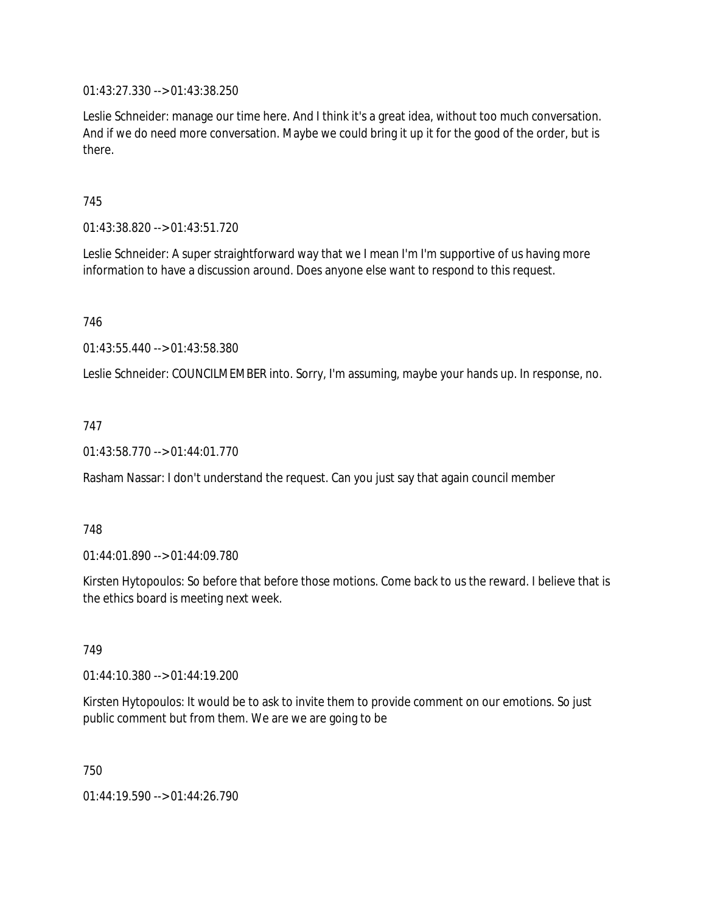01:43:27.330 --> 01:43:38.250

Leslie Schneider: manage our time here. And I think it's a great idea, without too much conversation. And if we do need more conversation. Maybe we could bring it up it for the good of the order, but is there.

745

01:43:38.820 --> 01:43:51.720

Leslie Schneider: A super straightforward way that we I mean I'm I'm supportive of us having more information to have a discussion around. Does anyone else want to respond to this request.

746

01:43:55.440 --> 01:43:58.380

Leslie Schneider: COUNCILMEMBER into. Sorry, I'm assuming, maybe your hands up. In response, no.

747

01:43:58.770 --> 01:44:01.770

Rasham Nassar: I don't understand the request. Can you just say that again council member

748

01:44:01.890 --> 01:44:09.780

Kirsten Hytopoulos: So before that before those motions. Come back to us the reward. I believe that is the ethics board is meeting next week.

749

01:44:10.380 --> 01:44:19.200

Kirsten Hytopoulos: It would be to ask to invite them to provide comment on our emotions. So just public comment but from them. We are we are going to be

750

01:44:19.590 --> 01:44:26.790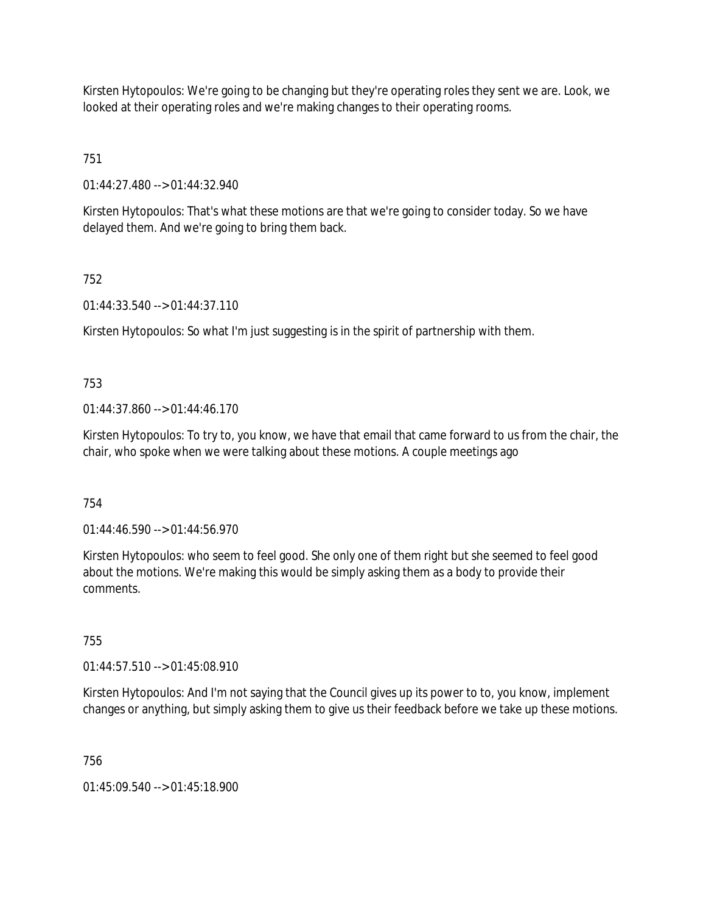Kirsten Hytopoulos: We're going to be changing but they're operating roles they sent we are. Look, we looked at their operating roles and we're making changes to their operating rooms.

751

01:44:27.480 --> 01:44:32.940

Kirsten Hytopoulos: That's what these motions are that we're going to consider today. So we have delayed them. And we're going to bring them back.

# 752

01:44:33.540 --> 01:44:37.110

Kirsten Hytopoulos: So what I'm just suggesting is in the spirit of partnership with them.

753

01:44:37.860 --> 01:44:46.170

Kirsten Hytopoulos: To try to, you know, we have that email that came forward to us from the chair, the chair, who spoke when we were talking about these motions. A couple meetings ago

754

01:44:46.590 --> 01:44:56.970

Kirsten Hytopoulos: who seem to feel good. She only one of them right but she seemed to feel good about the motions. We're making this would be simply asking them as a body to provide their comments.

755

01:44:57.510 --> 01:45:08.910

Kirsten Hytopoulos: And I'm not saying that the Council gives up its power to to, you know, implement changes or anything, but simply asking them to give us their feedback before we take up these motions.

756

01:45:09.540 --> 01:45:18.900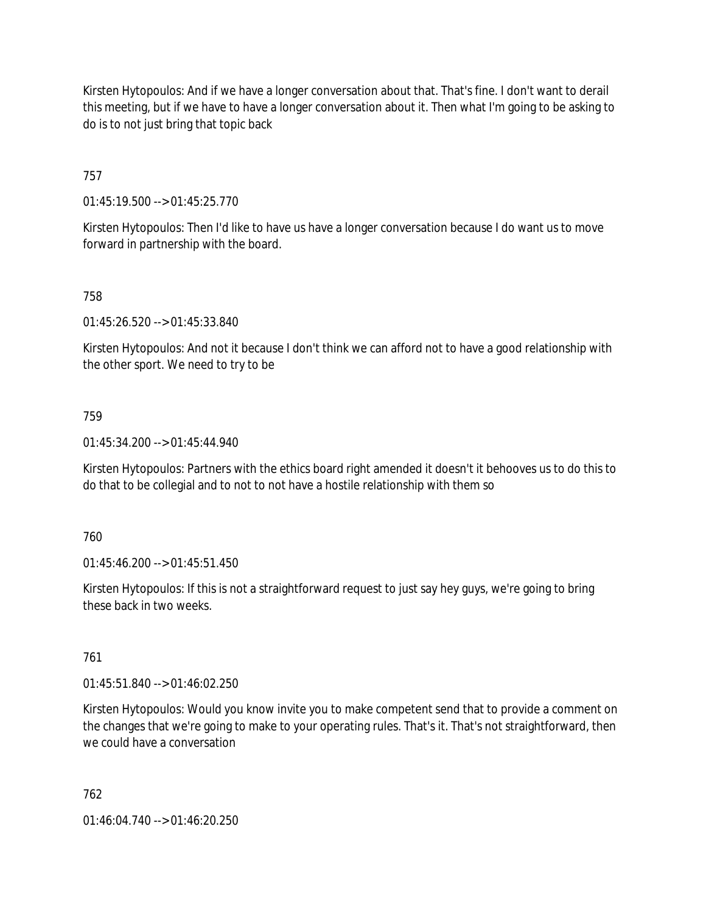Kirsten Hytopoulos: And if we have a longer conversation about that. That's fine. I don't want to derail this meeting, but if we have to have a longer conversation about it. Then what I'm going to be asking to do is to not just bring that topic back

# 757

01:45:19.500 --> 01:45:25.770

Kirsten Hytopoulos: Then I'd like to have us have a longer conversation because I do want us to move forward in partnership with the board.

## 758

01:45:26.520 --> 01:45:33.840

Kirsten Hytopoulos: And not it because I don't think we can afford not to have a good relationship with the other sport. We need to try to be

### 759

01:45:34.200 --> 01:45:44.940

Kirsten Hytopoulos: Partners with the ethics board right amended it doesn't it behooves us to do this to do that to be collegial and to not to not have a hostile relationship with them so

### 760

01:45:46.200 --> 01:45:51.450

Kirsten Hytopoulos: If this is not a straightforward request to just say hey guys, we're going to bring these back in two weeks.

### 761

01:45:51.840 --> 01:46:02.250

Kirsten Hytopoulos: Would you know invite you to make competent send that to provide a comment on the changes that we're going to make to your operating rules. That's it. That's not straightforward, then we could have a conversation

### 762

01:46:04.740 --> 01:46:20.250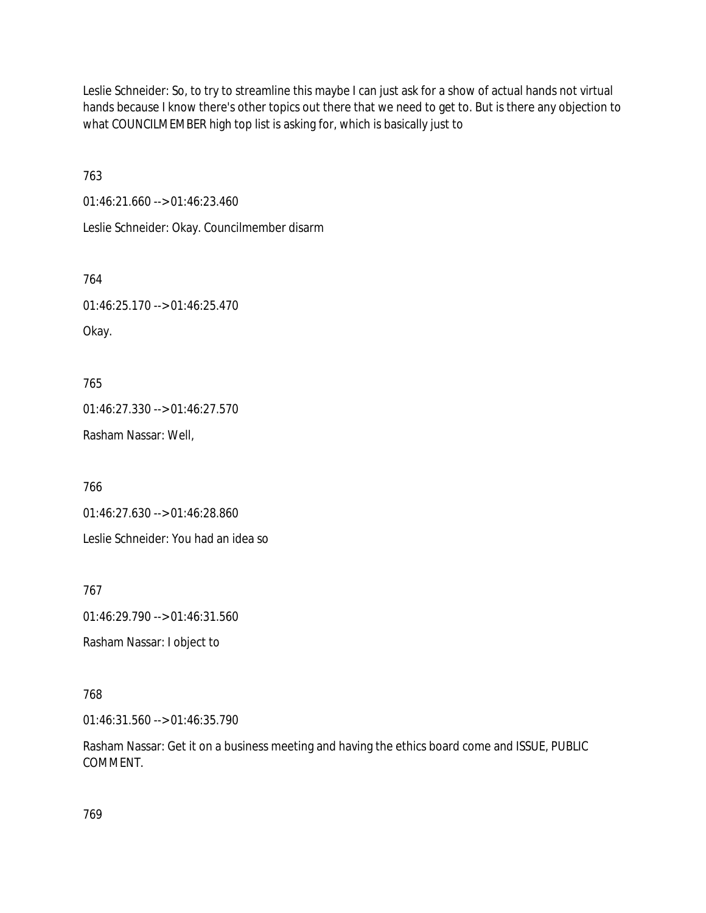Leslie Schneider: So, to try to streamline this maybe I can just ask for a show of actual hands not virtual hands because I know there's other topics out there that we need to get to. But is there any objection to what COUNCILMEMBER high top list is asking for, which is basically just to

763

01:46:21.660 --> 01:46:23.460 Leslie Schneider: Okay. Councilmember disarm

764

01:46:25.170 --> 01:46:25.470 Okay.

765

01:46:27.330 --> 01:46:27.570 Rasham Nassar: Well,

766

01:46:27.630 --> 01:46:28.860

Leslie Schneider: You had an idea so

767

01:46:29.790 --> 01:46:31.560

Rasham Nassar: I object to

768

01:46:31.560 --> 01:46:35.790

Rasham Nassar: Get it on a business meeting and having the ethics board come and ISSUE, PUBLIC COMMENT.

769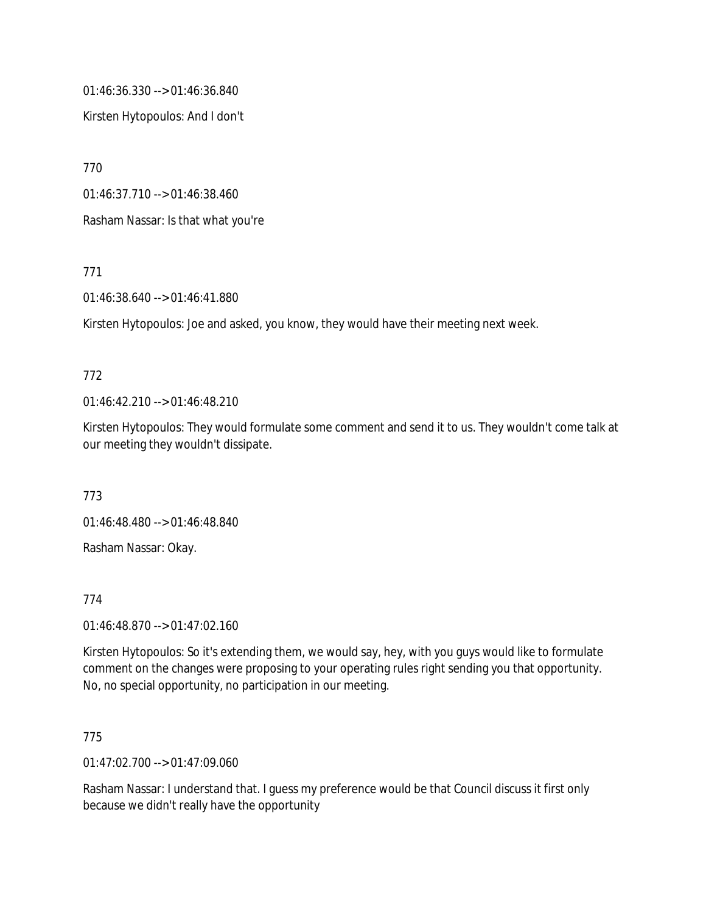01:46:36.330 --> 01:46:36.840

Kirsten Hytopoulos: And I don't

770

01:46:37.710 --> 01:46:38.460

Rasham Nassar: Is that what you're

771

01:46:38.640 --> 01:46:41.880

Kirsten Hytopoulos: Joe and asked, you know, they would have their meeting next week.

#### 772

01:46:42.210 --> 01:46:48.210

Kirsten Hytopoulos: They would formulate some comment and send it to us. They wouldn't come talk at our meeting they wouldn't dissipate.

773

01:46:48.480 --> 01:46:48.840

Rasham Nassar: Okay.

#### 774

01:46:48.870 --> 01:47:02.160

Kirsten Hytopoulos: So it's extending them, we would say, hey, with you guys would like to formulate comment on the changes were proposing to your operating rules right sending you that opportunity. No, no special opportunity, no participation in our meeting.

#### 775

01:47:02.700 --> 01:47:09.060

Rasham Nassar: I understand that. I guess my preference would be that Council discuss it first only because we didn't really have the opportunity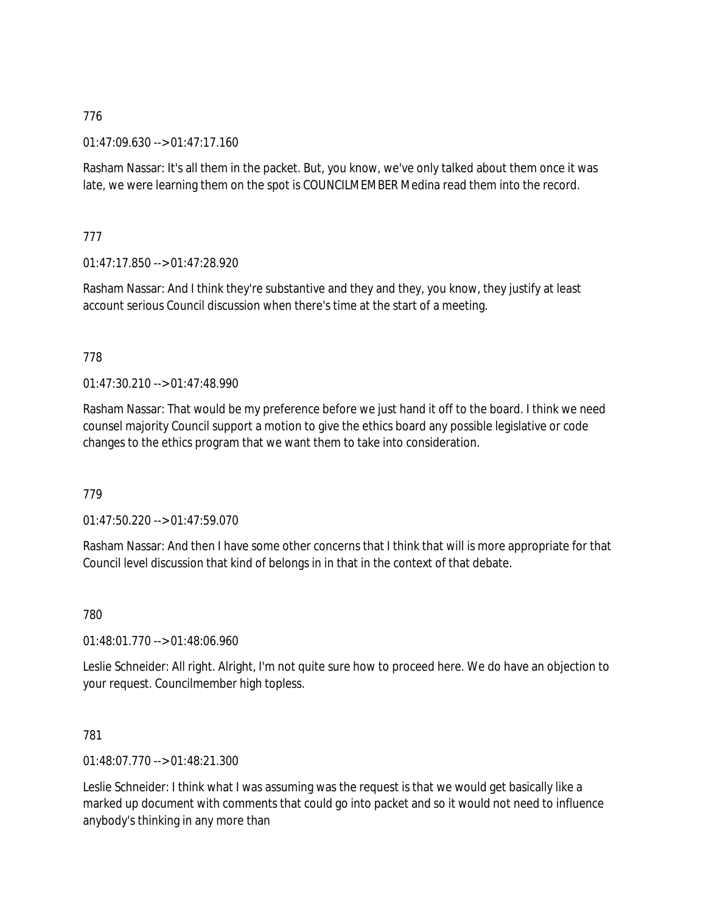01:47:09.630 --> 01:47:17.160

Rasham Nassar: It's all them in the packet. But, you know, we've only talked about them once it was late, we were learning them on the spot is COUNCILMEMBER Medina read them into the record.

777

01:47:17.850 --> 01:47:28.920

Rasham Nassar: And I think they're substantive and they and they, you know, they justify at least account serious Council discussion when there's time at the start of a meeting.

### 778

 $01:47:30.210 \rightarrow 01:47:48.990$ 

Rasham Nassar: That would be my preference before we just hand it off to the board. I think we need counsel majority Council support a motion to give the ethics board any possible legislative or code changes to the ethics program that we want them to take into consideration.

779

01:47:50.220 --> 01:47:59.070

Rasham Nassar: And then I have some other concerns that I think that will is more appropriate for that Council level discussion that kind of belongs in in that in the context of that debate.

780

01:48:01.770 --> 01:48:06.960

Leslie Schneider: All right. Alright, I'm not quite sure how to proceed here. We do have an objection to your request. Councilmember high topless.

781

01:48:07.770 --> 01:48:21.300

Leslie Schneider: I think what I was assuming was the request is that we would get basically like a marked up document with comments that could go into packet and so it would not need to influence anybody's thinking in any more than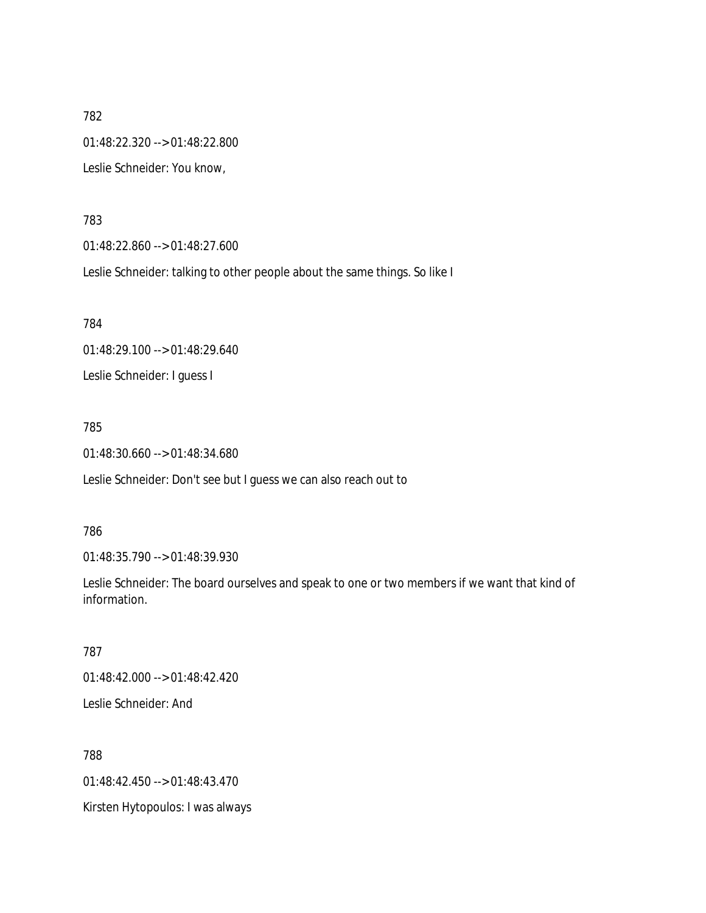782 01:48:22.320 --> 01:48:22.800 Leslie Schneider: You know,

783

01:48:22.860 --> 01:48:27.600

Leslie Schneider: talking to other people about the same things. So like I

784

01:48:29.100 --> 01:48:29.640 Leslie Schneider: I guess I

785

01:48:30.660 --> 01:48:34.680

Leslie Schneider: Don't see but I guess we can also reach out to

786

01:48:35.790 --> 01:48:39.930

Leslie Schneider: The board ourselves and speak to one or two members if we want that kind of information.

787

01:48:42.000 --> 01:48:42.420

Leslie Schneider: And

788 01:48:42.450 --> 01:48:43.470 Kirsten Hytopoulos: I was always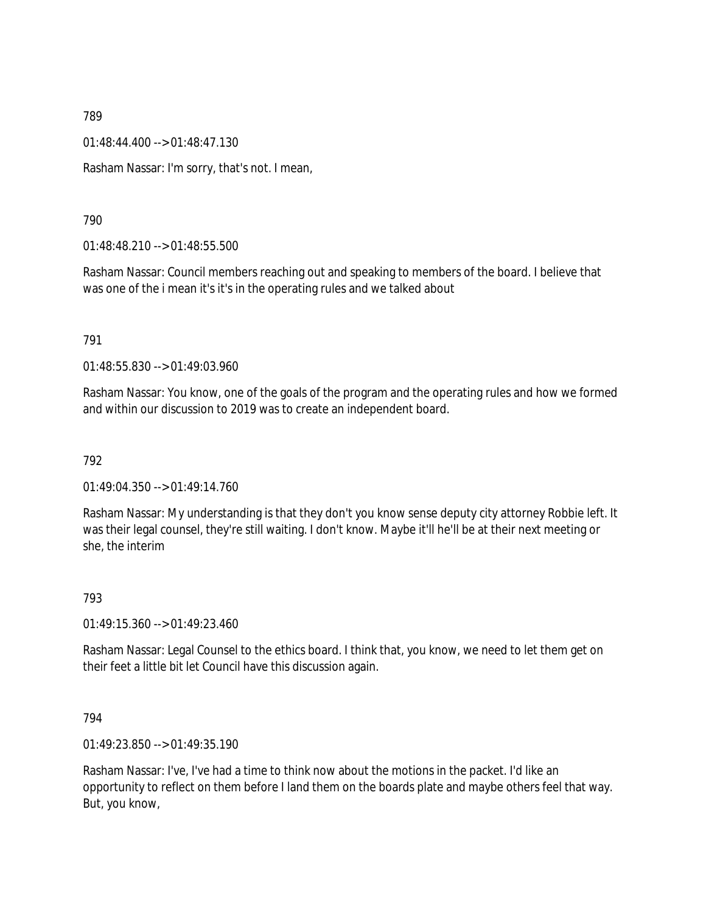01:48:44.400 --> 01:48:47.130

Rasham Nassar: I'm sorry, that's not. I mean,

790

01:48:48.210 --> 01:48:55.500

Rasham Nassar: Council members reaching out and speaking to members of the board. I believe that was one of the i mean it's it's in the operating rules and we talked about

791

01:48:55.830 --> 01:49:03.960

Rasham Nassar: You know, one of the goals of the program and the operating rules and how we formed and within our discussion to 2019 was to create an independent board.

792

01:49:04.350 --> 01:49:14.760

Rasham Nassar: My understanding is that they don't you know sense deputy city attorney Robbie left. It was their legal counsel, they're still waiting. I don't know. Maybe it'll he'll be at their next meeting or she, the interim

793

 $01:49:15.360 \rightarrow 01:49:23.460$ 

Rasham Nassar: Legal Counsel to the ethics board. I think that, you know, we need to let them get on their feet a little bit let Council have this discussion again.

794

 $01.49.23.850 -> 01.49.35.190$ 

Rasham Nassar: I've, I've had a time to think now about the motions in the packet. I'd like an opportunity to reflect on them before I land them on the boards plate and maybe others feel that way. But, you know,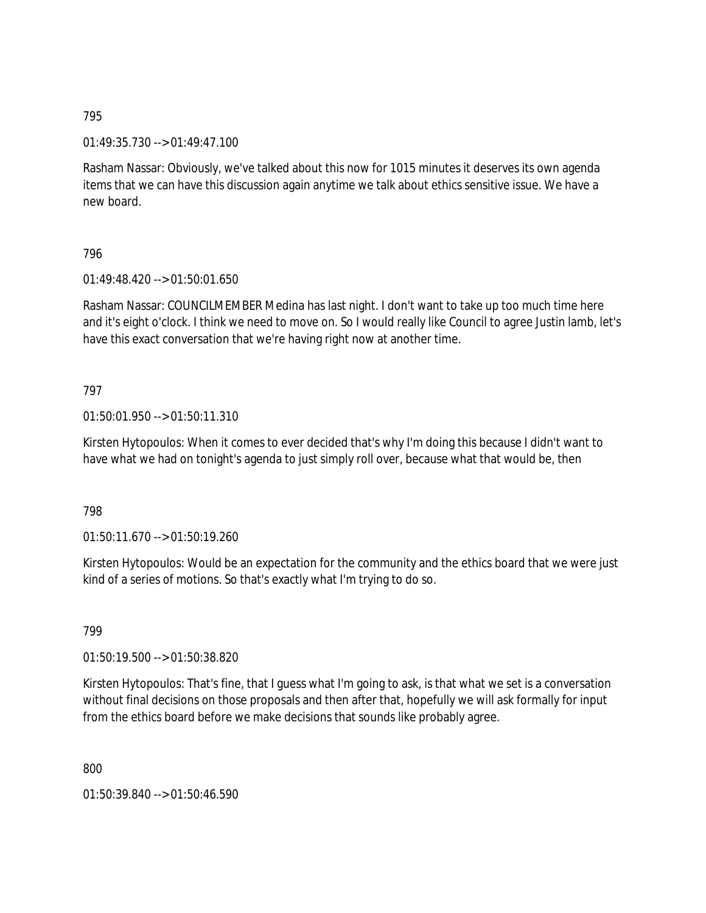01:49:35.730 --> 01:49:47.100

Rasham Nassar: Obviously, we've talked about this now for 1015 minutes it deserves its own agenda items that we can have this discussion again anytime we talk about ethics sensitive issue. We have a new board.

796

01:49:48.420 --> 01:50:01.650

Rasham Nassar: COUNCILMEMBER Medina has last night. I don't want to take up too much time here and it's eight o'clock. I think we need to move on. So I would really like Council to agree Justin lamb, let's have this exact conversation that we're having right now at another time.

797

01:50:01.950 --> 01:50:11.310

Kirsten Hytopoulos: When it comes to ever decided that's why I'm doing this because I didn't want to have what we had on tonight's agenda to just simply roll over, because what that would be, then

798

 $01:50:11.670 \rightarrow 01:50:19.260$ 

Kirsten Hytopoulos: Would be an expectation for the community and the ethics board that we were just kind of a series of motions. So that's exactly what I'm trying to do so.

799

01:50:19.500 --> 01:50:38.820

Kirsten Hytopoulos: That's fine, that I guess what I'm going to ask, is that what we set is a conversation without final decisions on those proposals and then after that, hopefully we will ask formally for input from the ethics board before we make decisions that sounds like probably agree.

800

01:50:39.840 --> 01:50:46.590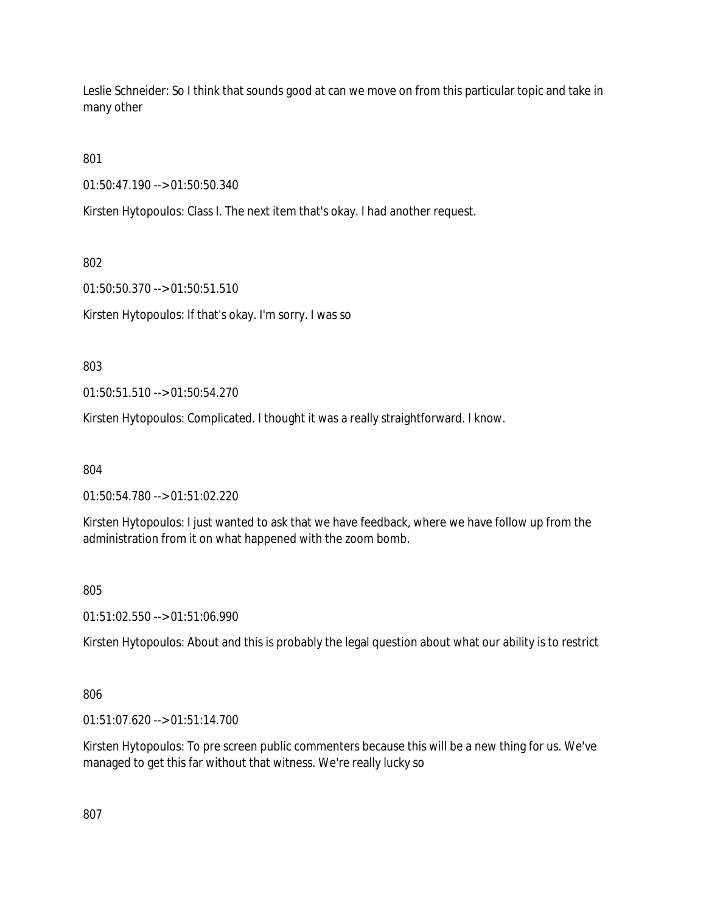Leslie Schneider: So I think that sounds good at can we move on from this particular topic and take in many other

801

01:50:47.190 --> 01:50:50.340

Kirsten Hytopoulos: Class I. The next item that's okay. I had another request.

802

01:50:50.370 --> 01:50:51.510

Kirsten Hytopoulos: If that's okay. I'm sorry. I was so

803

01:50:51.510 --> 01:50:54.270

Kirsten Hytopoulos: Complicated. I thought it was a really straightforward. I know.

804

01:50:54.780 --> 01:51:02.220

Kirsten Hytopoulos: I just wanted to ask that we have feedback, where we have follow up from the administration from it on what happened with the zoom bomb.

805

01:51:02.550 --> 01:51:06.990

Kirsten Hytopoulos: About and this is probably the legal question about what our ability is to restrict

806

01:51:07.620 --> 01:51:14.700

Kirsten Hytopoulos: To pre screen public commenters because this will be a new thing for us. We've managed to get this far without that witness. We're really lucky so

807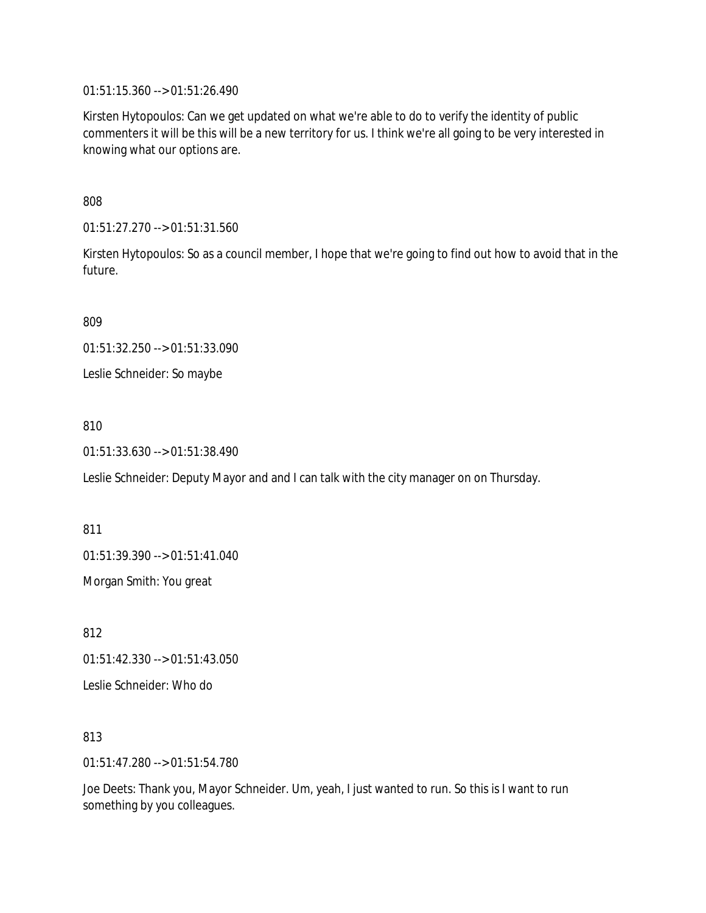01:51:15.360 --> 01:51:26.490

Kirsten Hytopoulos: Can we get updated on what we're able to do to verify the identity of public commenters it will be this will be a new territory for us. I think we're all going to be very interested in knowing what our options are.

808

01:51:27.270 --> 01:51:31.560

Kirsten Hytopoulos: So as a council member, I hope that we're going to find out how to avoid that in the future.

809

01:51:32.250 --> 01:51:33.090

Leslie Schneider: So maybe

810

01:51:33.630 --> 01:51:38.490

Leslie Schneider: Deputy Mayor and and I can talk with the city manager on on Thursday.

811

01:51:39.390 --> 01:51:41.040

Morgan Smith: You great

812 01:51:42.330 --> 01:51:43.050 Leslie Schneider: Who do

813

01:51:47.280 --> 01:51:54.780

Joe Deets: Thank you, Mayor Schneider. Um, yeah, I just wanted to run. So this is I want to run something by you colleagues.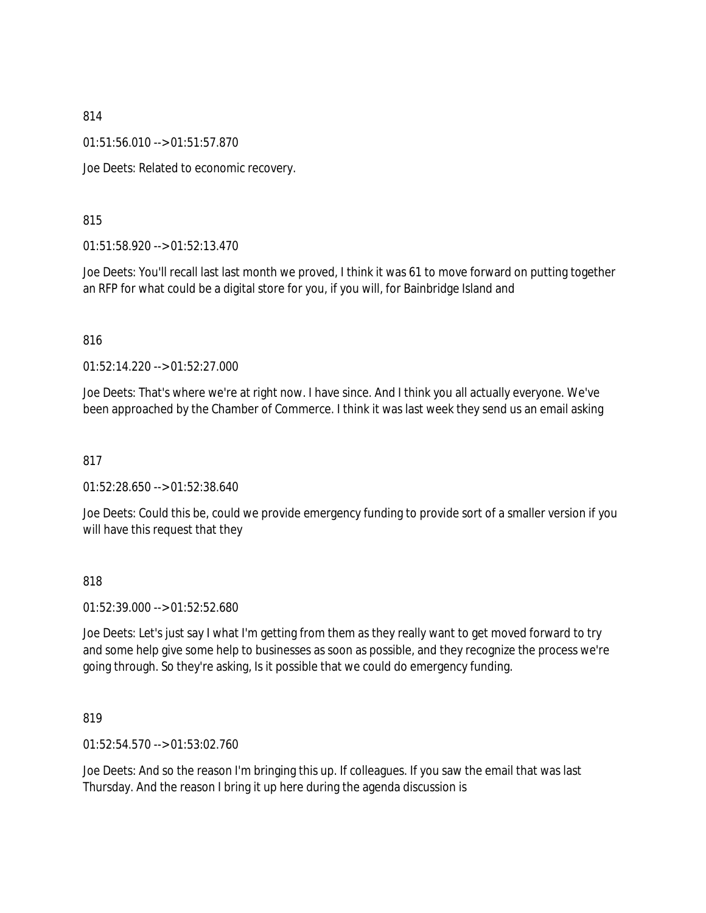01:51:56.010 --> 01:51:57.870

Joe Deets: Related to economic recovery.

815

01:51:58.920 --> 01:52:13.470

Joe Deets: You'll recall last last month we proved, I think it was 61 to move forward on putting together an RFP for what could be a digital store for you, if you will, for Bainbridge Island and

816

01:52:14.220 --> 01:52:27.000

Joe Deets: That's where we're at right now. I have since. And I think you all actually everyone. We've been approached by the Chamber of Commerce. I think it was last week they send us an email asking

817

01:52:28.650 --> 01:52:38.640

Joe Deets: Could this be, could we provide emergency funding to provide sort of a smaller version if you will have this request that they

818

01:52:39.000 --> 01:52:52.680

Joe Deets: Let's just say I what I'm getting from them as they really want to get moved forward to try and some help give some help to businesses as soon as possible, and they recognize the process we're going through. So they're asking, Is it possible that we could do emergency funding.

819

01:52:54.570 --> 01:53:02.760

Joe Deets: And so the reason I'm bringing this up. If colleagues. If you saw the email that was last Thursday. And the reason I bring it up here during the agenda discussion is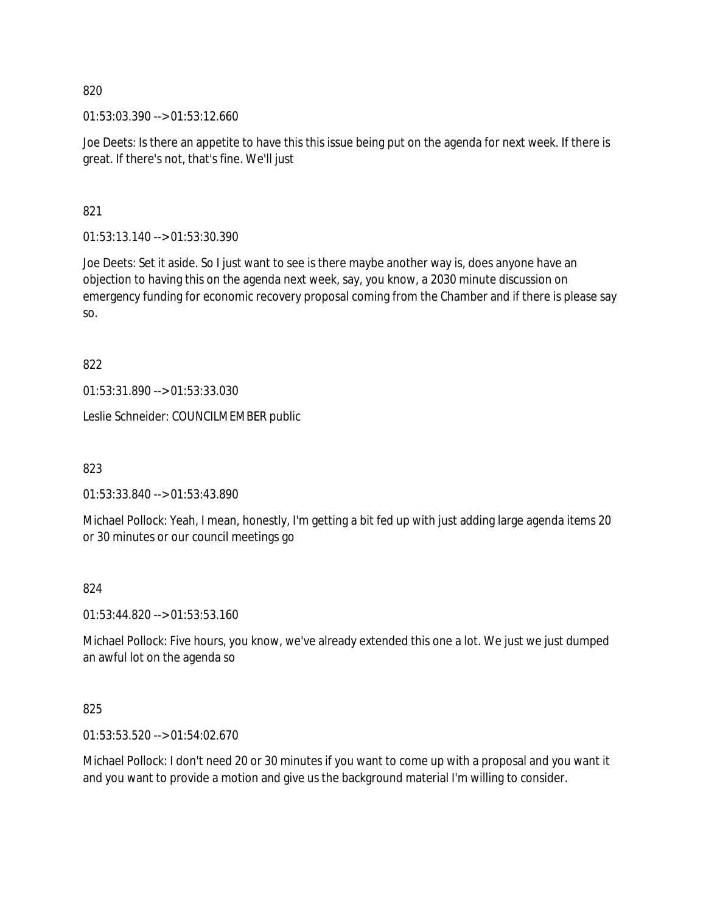01:53:03.390 --> 01:53:12.660

Joe Deets: Is there an appetite to have this this issue being put on the agenda for next week. If there is great. If there's not, that's fine. We'll just

821

01:53:13.140 --> 01:53:30.390

Joe Deets: Set it aside. So I just want to see is there maybe another way is, does anyone have an objection to having this on the agenda next week, say, you know, a 2030 minute discussion on emergency funding for economic recovery proposal coming from the Chamber and if there is please say so.

822

01:53:31.890 --> 01:53:33.030

Leslie Schneider: COUNCILMEMBER public

823

01:53:33.840 --> 01:53:43.890

Michael Pollock: Yeah, I mean, honestly, I'm getting a bit fed up with just adding large agenda items 20 or 30 minutes or our council meetings go

### 824

01:53:44.820 --> 01:53:53.160

Michael Pollock: Five hours, you know, we've already extended this one a lot. We just we just dumped an awful lot on the agenda so

### 825

01:53:53.520 --> 01:54:02.670

Michael Pollock: I don't need 20 or 30 minutes if you want to come up with a proposal and you want it and you want to provide a motion and give us the background material I'm willing to consider.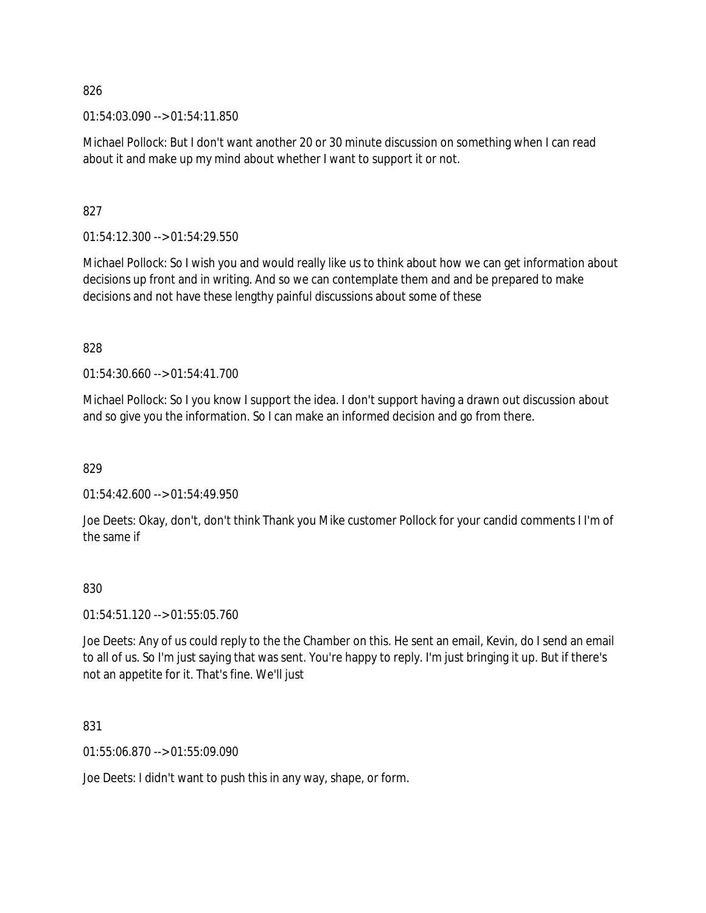01:54:03.090 --> 01:54:11.850

Michael Pollock: But I don't want another 20 or 30 minute discussion on something when I can read about it and make up my mind about whether I want to support it or not.

827

01:54:12.300 --> 01:54:29.550

Michael Pollock: So I wish you and would really like us to think about how we can get information about decisions up front and in writing. And so we can contemplate them and and be prepared to make decisions and not have these lengthy painful discussions about some of these

828

01:54:30.660 --> 01:54:41.700

Michael Pollock: So I you know I support the idea. I don't support having a drawn out discussion about and so give you the information. So I can make an informed decision and go from there.

829

01:54:42.600 --> 01:54:49.950

Joe Deets: Okay, don't, don't think Thank you Mike customer Pollock for your candid comments I I'm of the same if

### 830

01:54:51.120 --> 01:55:05.760

Joe Deets: Any of us could reply to the the Chamber on this. He sent an email, Kevin, do I send an email to all of us. So I'm just saying that was sent. You're happy to reply. I'm just bringing it up. But if there's not an appetite for it. That's fine. We'll just

831

01:55:06.870 --> 01:55:09.090

Joe Deets: I didn't want to push this in any way, shape, or form.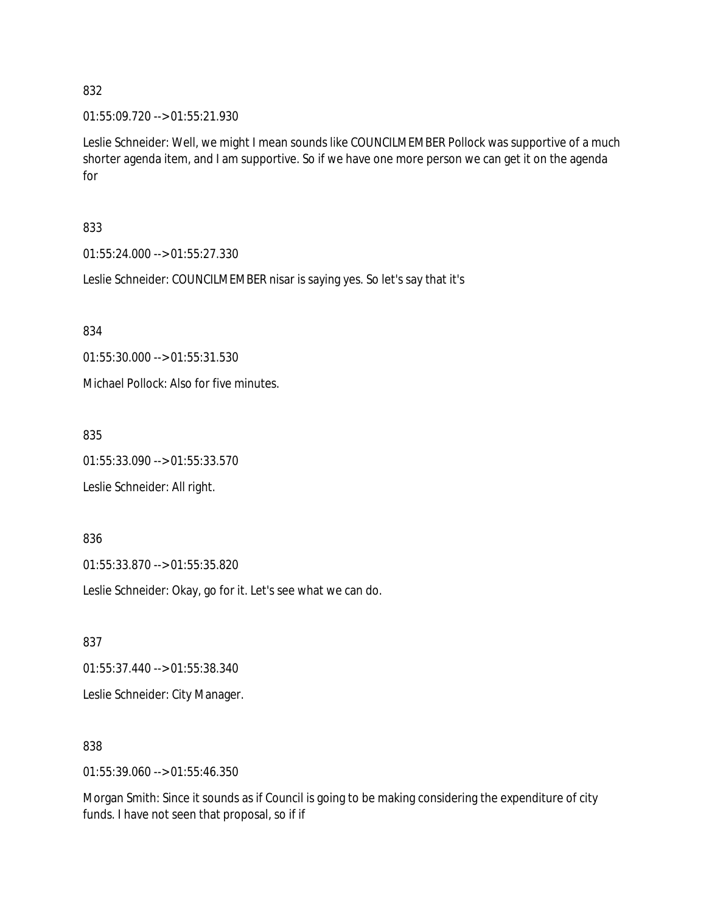01:55:09.720 --> 01:55:21.930

Leslie Schneider: Well, we might I mean sounds like COUNCILMEMBER Pollock was supportive of a much shorter agenda item, and I am supportive. So if we have one more person we can get it on the agenda for

### 833

01:55:24.000 --> 01:55:27.330

Leslie Schneider: COUNCILMEMBER nisar is saying yes. So let's say that it's

#### 834

01:55:30.000 --> 01:55:31.530

Michael Pollock: Also for five minutes.

835

01:55:33.090 --> 01:55:33.570

Leslie Schneider: All right.

836

01:55:33.870 --> 01:55:35.820

Leslie Schneider: Okay, go for it. Let's see what we can do.

837

01:55:37.440 --> 01:55:38.340

Leslie Schneider: City Manager.

#### 838

01:55:39.060 --> 01:55:46.350

Morgan Smith: Since it sounds as if Council is going to be making considering the expenditure of city funds. I have not seen that proposal, so if if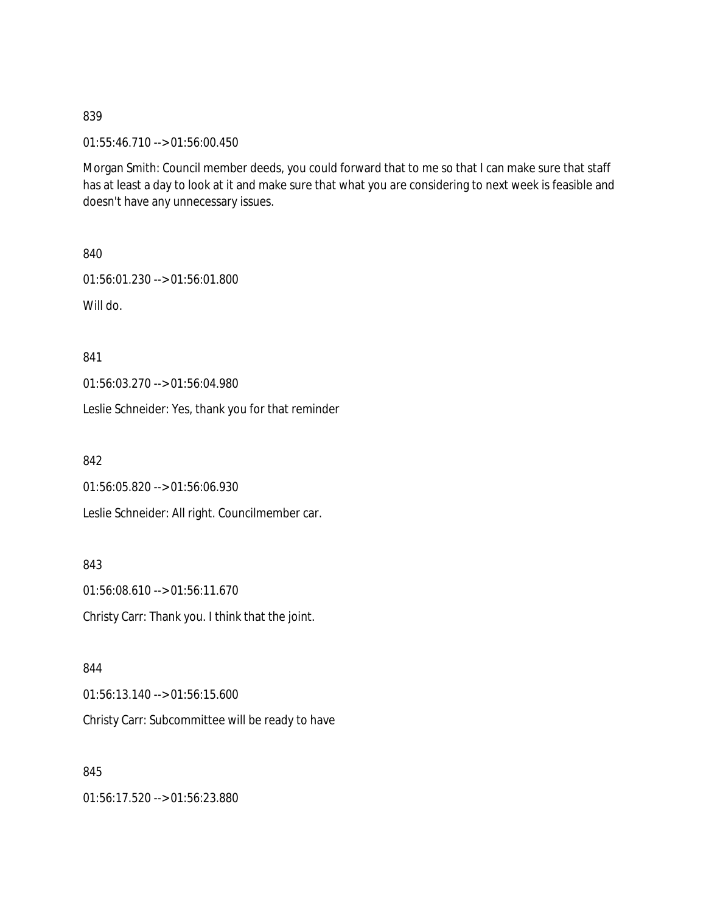01:55:46.710 --> 01:56:00.450

Morgan Smith: Council member deeds, you could forward that to me so that I can make sure that staff has at least a day to look at it and make sure that what you are considering to next week is feasible and doesn't have any unnecessary issues.

840

01:56:01.230 --> 01:56:01.800 Will do.

841

01:56:03.270 --> 01:56:04.980

Leslie Schneider: Yes, thank you for that reminder

842

01:56:05.820 --> 01:56:06.930

Leslie Schneider: All right. Councilmember car.

843

01:56:08.610 --> 01:56:11.670 Christy Carr: Thank you. I think that the joint.

844

01:56:13.140 --> 01:56:15.600

Christy Carr: Subcommittee will be ready to have

845

01:56:17.520 --> 01:56:23.880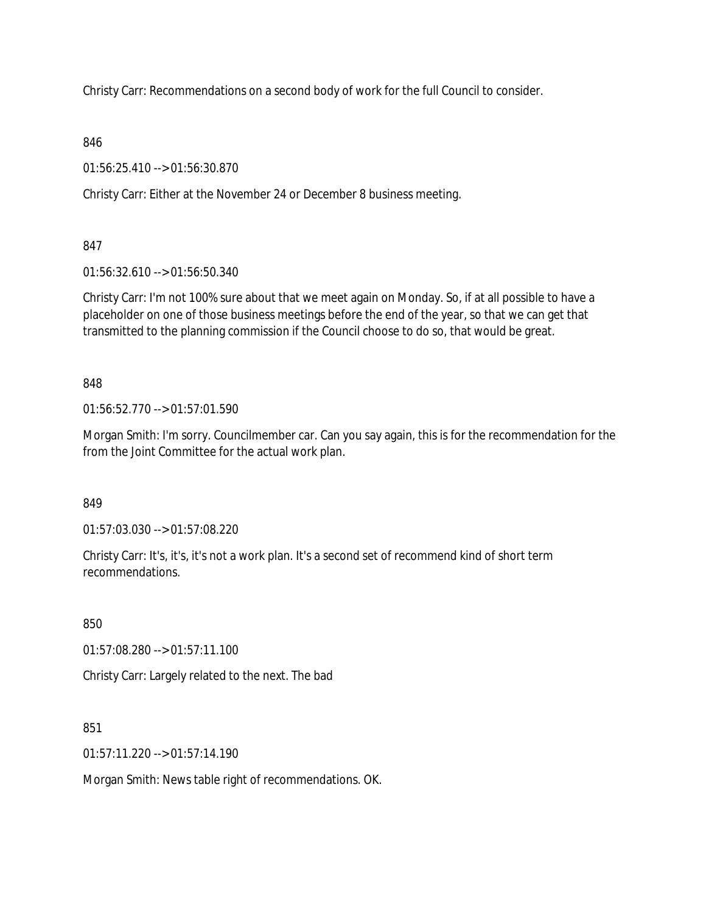Christy Carr: Recommendations on a second body of work for the full Council to consider.

846

01:56:25.410 --> 01:56:30.870

Christy Carr: Either at the November 24 or December 8 business meeting.

847

01:56:32.610 --> 01:56:50.340

Christy Carr: I'm not 100% sure about that we meet again on Monday. So, if at all possible to have a placeholder on one of those business meetings before the end of the year, so that we can get that transmitted to the planning commission if the Council choose to do so, that would be great.

848

01:56:52.770 --> 01:57:01.590

Morgan Smith: I'm sorry. Councilmember car. Can you say again, this is for the recommendation for the from the Joint Committee for the actual work plan.

849

01:57:03.030 --> 01:57:08.220

Christy Carr: It's, it's, it's not a work plan. It's a second set of recommend kind of short term recommendations.

850

01:57:08.280 --> 01:57:11.100

Christy Carr: Largely related to the next. The bad

851

01:57:11.220 --> 01:57:14.190

Morgan Smith: News table right of recommendations. OK.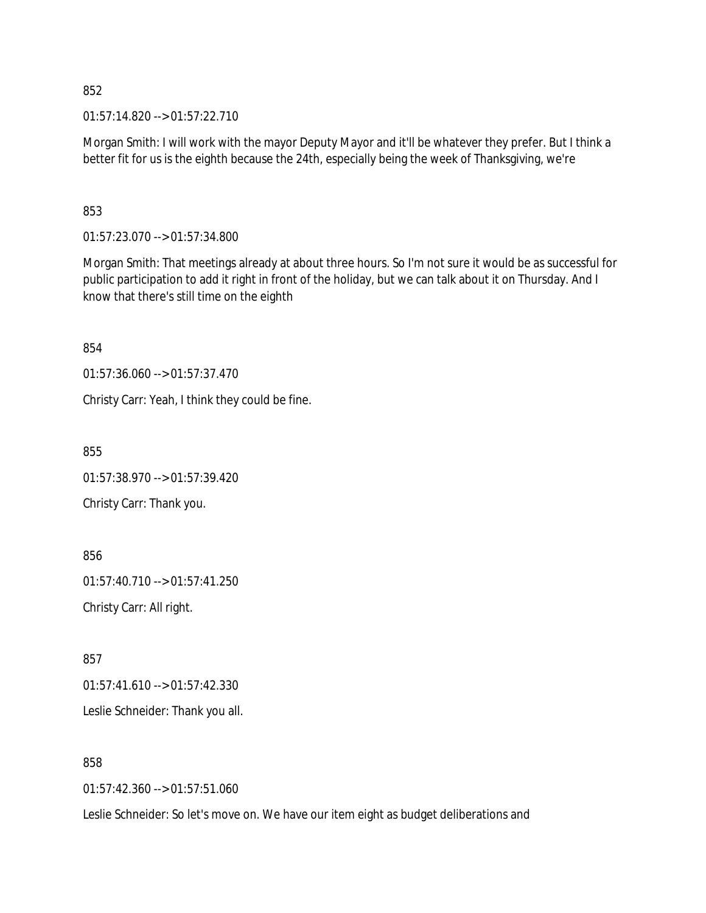01:57:14.820 --> 01:57:22.710

Morgan Smith: I will work with the mayor Deputy Mayor and it'll be whatever they prefer. But I think a better fit for us is the eighth because the 24th, especially being the week of Thanksgiving, we're

853

01:57:23.070 --> 01:57:34.800

Morgan Smith: That meetings already at about three hours. So I'm not sure it would be as successful for public participation to add it right in front of the holiday, but we can talk about it on Thursday. And I know that there's still time on the eighth

854

01:57:36.060 --> 01:57:37.470

Christy Carr: Yeah, I think they could be fine.

855

01:57:38.970 --> 01:57:39.420 Christy Carr: Thank you.

856 01:57:40.710 --> 01:57:41.250 Christy Carr: All right.

857

01:57:41.610 --> 01:57:42.330

Leslie Schneider: Thank you all.

858

01:57:42.360 --> 01:57:51.060

Leslie Schneider: So let's move on. We have our item eight as budget deliberations and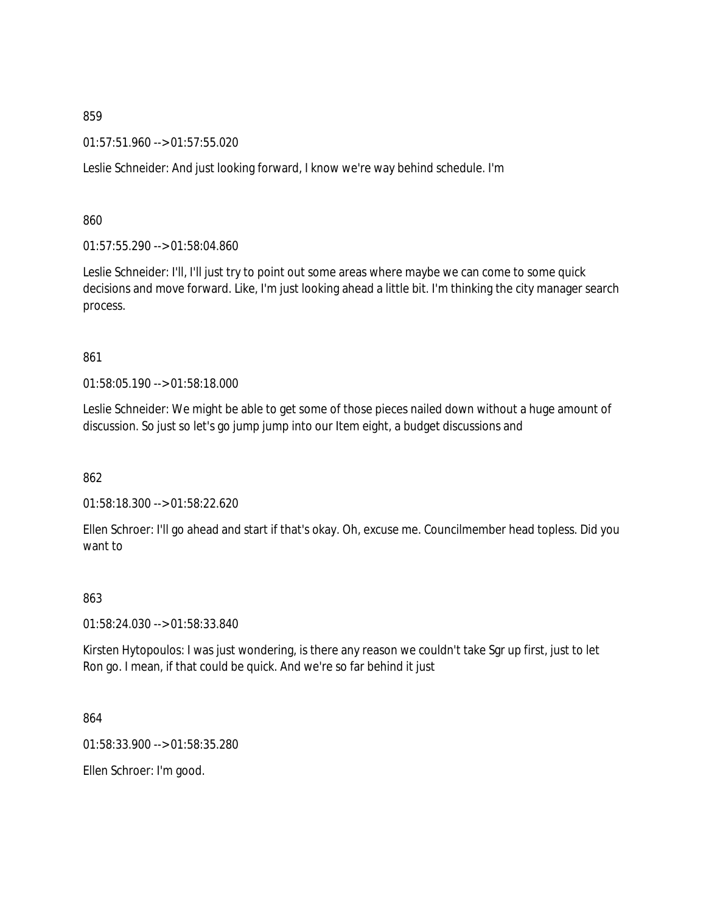01:57:51.960 --> 01:57:55.020

Leslie Schneider: And just looking forward, I know we're way behind schedule. I'm

860

01:57:55.290 --> 01:58:04.860

Leslie Schneider: I'll, I'll just try to point out some areas where maybe we can come to some quick decisions and move forward. Like, I'm just looking ahead a little bit. I'm thinking the city manager search process.

#### 861

01:58:05.190 --> 01:58:18.000

Leslie Schneider: We might be able to get some of those pieces nailed down without a huge amount of discussion. So just so let's go jump jump into our Item eight, a budget discussions and

862

01:58:18.300 --> 01:58:22.620

Ellen Schroer: I'll go ahead and start if that's okay. Oh, excuse me. Councilmember head topless. Did you want to

### 863

01:58:24.030 --> 01:58:33.840

Kirsten Hytopoulos: I was just wondering, is there any reason we couldn't take Sgr up first, just to let Ron go. I mean, if that could be quick. And we're so far behind it just

864

01:58:33.900 --> 01:58:35.280

Ellen Schroer: I'm good.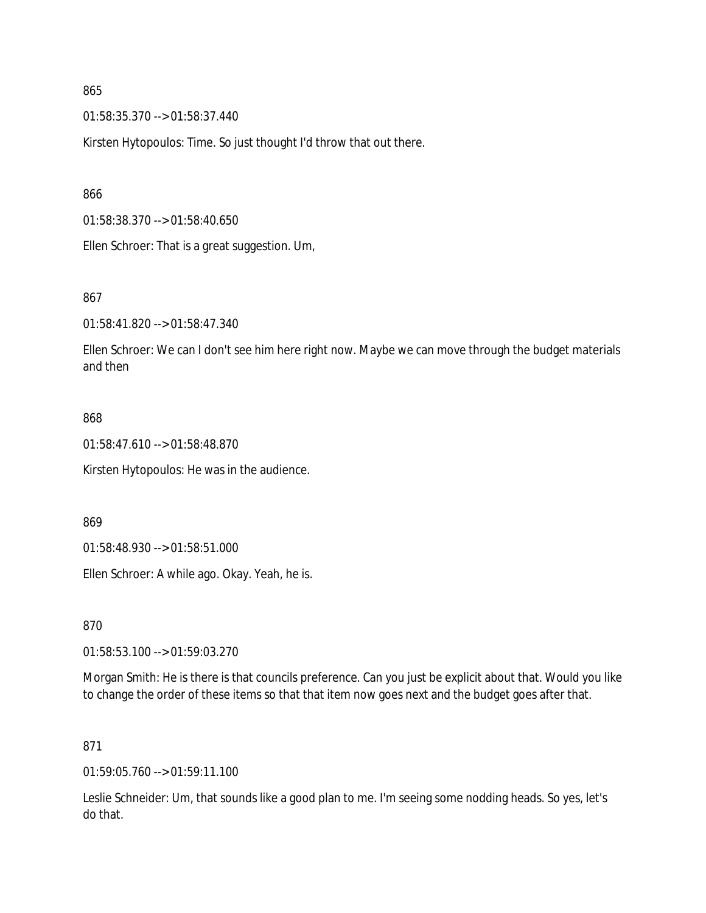01:58:35.370 --> 01:58:37.440

Kirsten Hytopoulos: Time. So just thought I'd throw that out there.

866

01:58:38.370 --> 01:58:40.650

Ellen Schroer: That is a great suggestion. Um,

### 867

01:58:41.820 --> 01:58:47.340

Ellen Schroer: We can I don't see him here right now. Maybe we can move through the budget materials and then

#### 868

01:58:47.610 --> 01:58:48.870

Kirsten Hytopoulos: He was in the audience.

### 869

01:58:48.930 --> 01:58:51.000

Ellen Schroer: A while ago. Okay. Yeah, he is.

870

01:58:53.100 --> 01:59:03.270

Morgan Smith: He is there is that councils preference. Can you just be explicit about that. Would you like to change the order of these items so that that item now goes next and the budget goes after that.

#### 871

01:59:05.760 --> 01:59:11.100

Leslie Schneider: Um, that sounds like a good plan to me. I'm seeing some nodding heads. So yes, let's do that.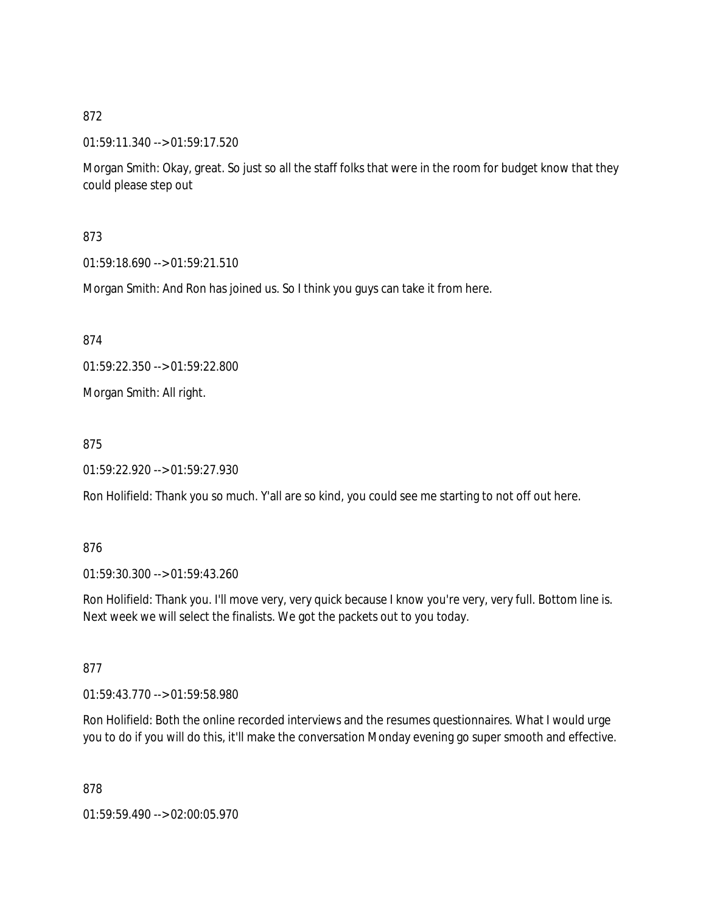### 01:59:11.340 --> 01:59:17.520

Morgan Smith: Okay, great. So just so all the staff folks that were in the room for budget know that they could please step out

## 873

01:59:18.690 --> 01:59:21.510

Morgan Smith: And Ron has joined us. So I think you guys can take it from here.

874

01:59:22.350 --> 01:59:22.800

Morgan Smith: All right.

875

01:59:22.920 --> 01:59:27.930

Ron Holifield: Thank you so much. Y'all are so kind, you could see me starting to not off out here.

### 876

01:59:30.300 --> 01:59:43.260

Ron Holifield: Thank you. I'll move very, very quick because I know you're very, very full. Bottom line is. Next week we will select the finalists. We got the packets out to you today.

### 877

01:59:43.770 --> 01:59:58.980

Ron Holifield: Both the online recorded interviews and the resumes questionnaires. What I would urge you to do if you will do this, it'll make the conversation Monday evening go super smooth and effective.

878

01:59:59.490 --> 02:00:05.970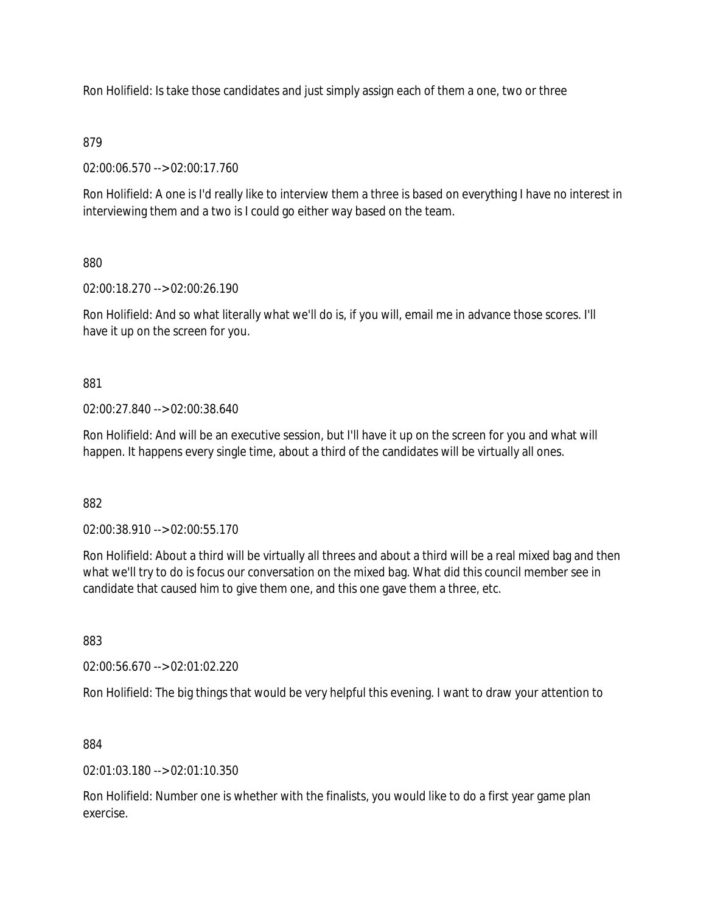Ron Holifield: Is take those candidates and just simply assign each of them a one, two or three

### 879

02:00:06.570 --> 02:00:17.760

Ron Holifield: A one is I'd really like to interview them a three is based on everything I have no interest in interviewing them and a two is I could go either way based on the team.

## 880

02:00:18.270 --> 02:00:26.190

Ron Holifield: And so what literally what we'll do is, if you will, email me in advance those scores. I'll have it up on the screen for you.

881

02:00:27.840 --> 02:00:38.640

Ron Holifield: And will be an executive session, but I'll have it up on the screen for you and what will happen. It happens every single time, about a third of the candidates will be virtually all ones.

882

02:00:38.910 --> 02:00:55.170

Ron Holifield: About a third will be virtually all threes and about a third will be a real mixed bag and then what we'll try to do is focus our conversation on the mixed bag. What did this council member see in candidate that caused him to give them one, and this one gave them a three, etc.

883

02:00:56.670 --> 02:01:02.220

Ron Holifield: The big things that would be very helpful this evening. I want to draw your attention to

884

02:01:03.180 --> 02:01:10.350

Ron Holifield: Number one is whether with the finalists, you would like to do a first year game plan exercise.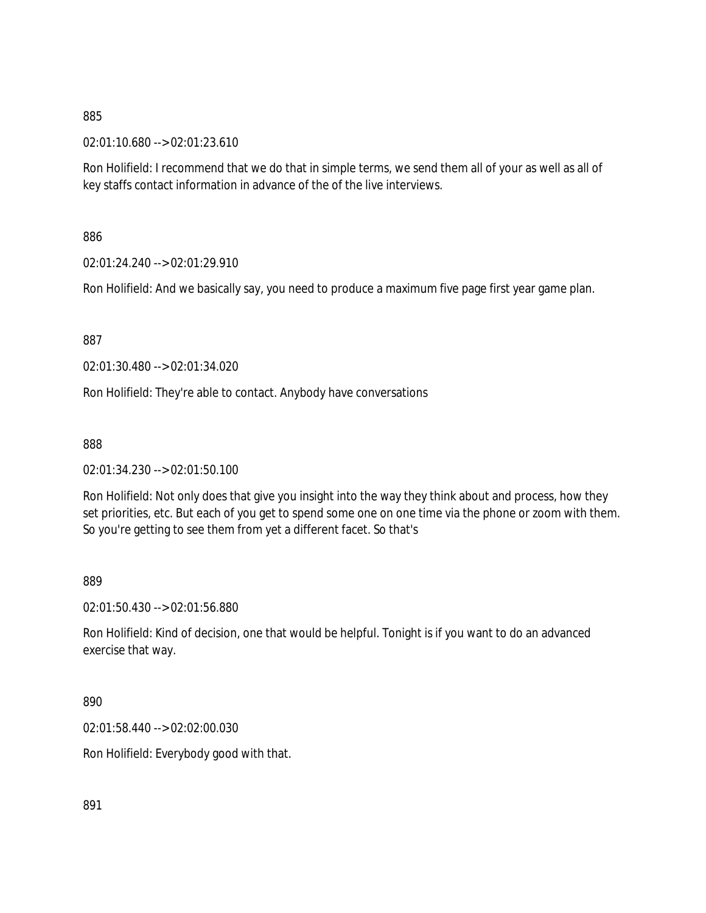02:01:10.680 --> 02:01:23.610

Ron Holifield: I recommend that we do that in simple terms, we send them all of your as well as all of key staffs contact information in advance of the of the live interviews.

886

02:01:24.240 --> 02:01:29.910

Ron Holifield: And we basically say, you need to produce a maximum five page first year game plan.

887

02:01:30.480 --> 02:01:34.020

Ron Holifield: They're able to contact. Anybody have conversations

888

02:01:34.230 --> 02:01:50.100

Ron Holifield: Not only does that give you insight into the way they think about and process, how they set priorities, etc. But each of you get to spend some one on one time via the phone or zoom with them. So you're getting to see them from yet a different facet. So that's

889

02:01:50.430 --> 02:01:56.880

Ron Holifield: Kind of decision, one that would be helpful. Tonight is if you want to do an advanced exercise that way.

890

02:01:58.440 --> 02:02:00.030

Ron Holifield: Everybody good with that.

891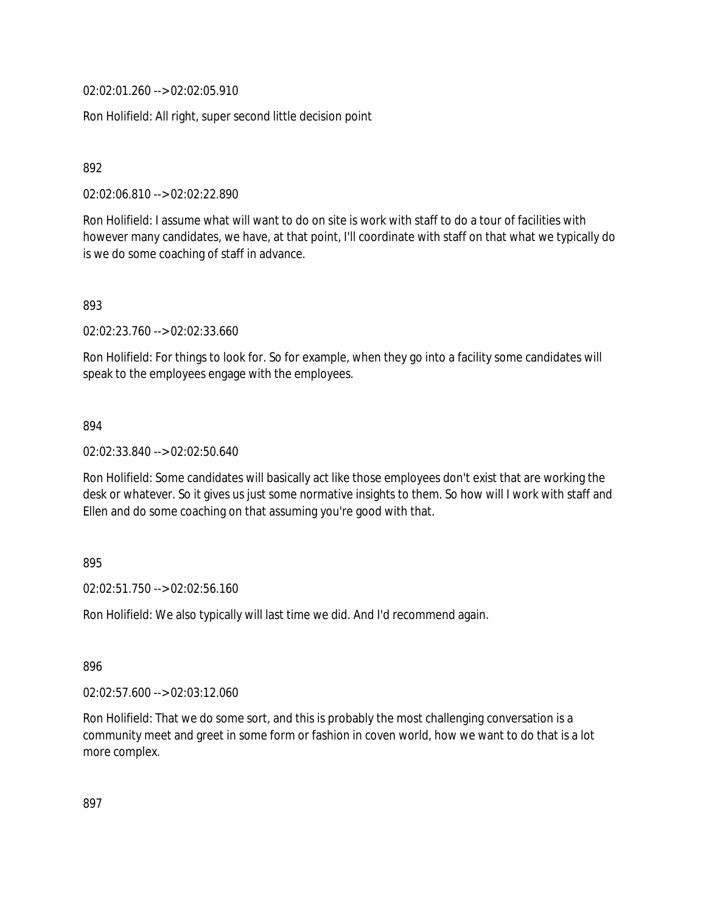02:02:01.260 --> 02:02:05.910

Ron Holifield: All right, super second little decision point

892

02:02:06.810 --> 02:02:22.890

Ron Holifield: I assume what will want to do on site is work with staff to do a tour of facilities with however many candidates, we have, at that point, I'll coordinate with staff on that what we typically do is we do some coaching of staff in advance.

893

02:02:23.760 --> 02:02:33.660

Ron Holifield: For things to look for. So for example, when they go into a facility some candidates will speak to the employees engage with the employees.

894

02:02:33.840 --> 02:02:50.640

Ron Holifield: Some candidates will basically act like those employees don't exist that are working the desk or whatever. So it gives us just some normative insights to them. So how will I work with staff and Ellen and do some coaching on that assuming you're good with that.

### 895

02:02:51.750 --> 02:02:56.160

Ron Holifield: We also typically will last time we did. And I'd recommend again.

896

02:02:57.600 --> 02:03:12.060

Ron Holifield: That we do some sort, and this is probably the most challenging conversation is a community meet and greet in some form or fashion in coven world, how we want to do that is a lot more complex.

897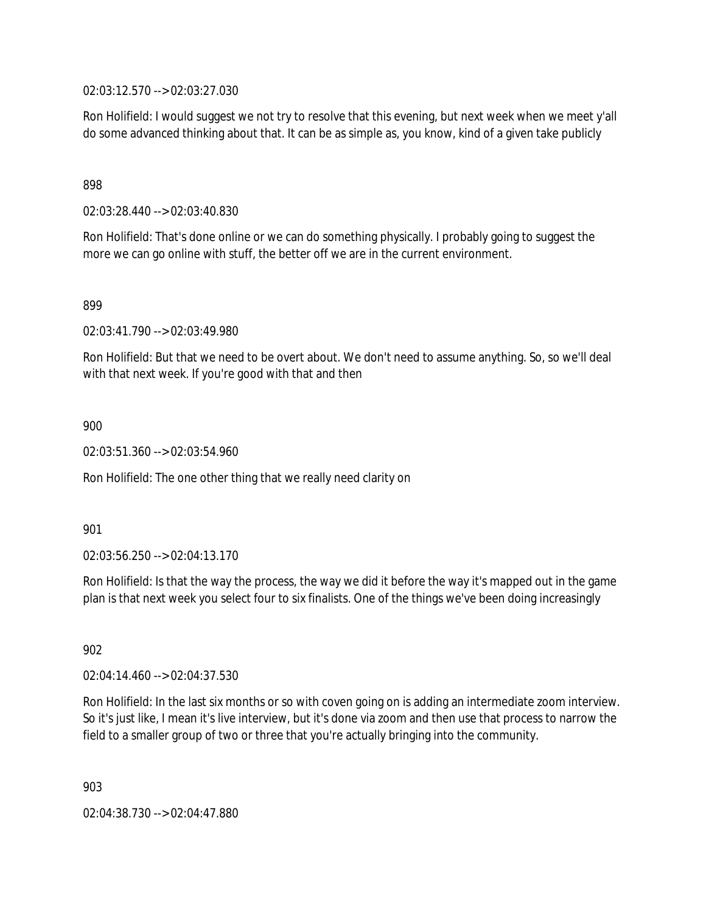02:03:12.570 --> 02:03:27.030

Ron Holifield: I would suggest we not try to resolve that this evening, but next week when we meet y'all do some advanced thinking about that. It can be as simple as, you know, kind of a given take publicly

898

02:03:28.440 --> 02:03:40.830

Ron Holifield: That's done online or we can do something physically. I probably going to suggest the more we can go online with stuff, the better off we are in the current environment.

899

02:03:41.790 --> 02:03:49.980

Ron Holifield: But that we need to be overt about. We don't need to assume anything. So, so we'll deal with that next week. If you're good with that and then

900

02:03:51.360 --> 02:03:54.960

Ron Holifield: The one other thing that we really need clarity on

901

02:03:56.250 --> 02:04:13.170

Ron Holifield: Is that the way the process, the way we did it before the way it's mapped out in the game plan is that next week you select four to six finalists. One of the things we've been doing increasingly

902

02:04:14.460 --> 02:04:37.530

Ron Holifield: In the last six months or so with coven going on is adding an intermediate zoom interview. So it's just like, I mean it's live interview, but it's done via zoom and then use that process to narrow the field to a smaller group of two or three that you're actually bringing into the community.

903

02:04:38.730 --> 02:04:47.880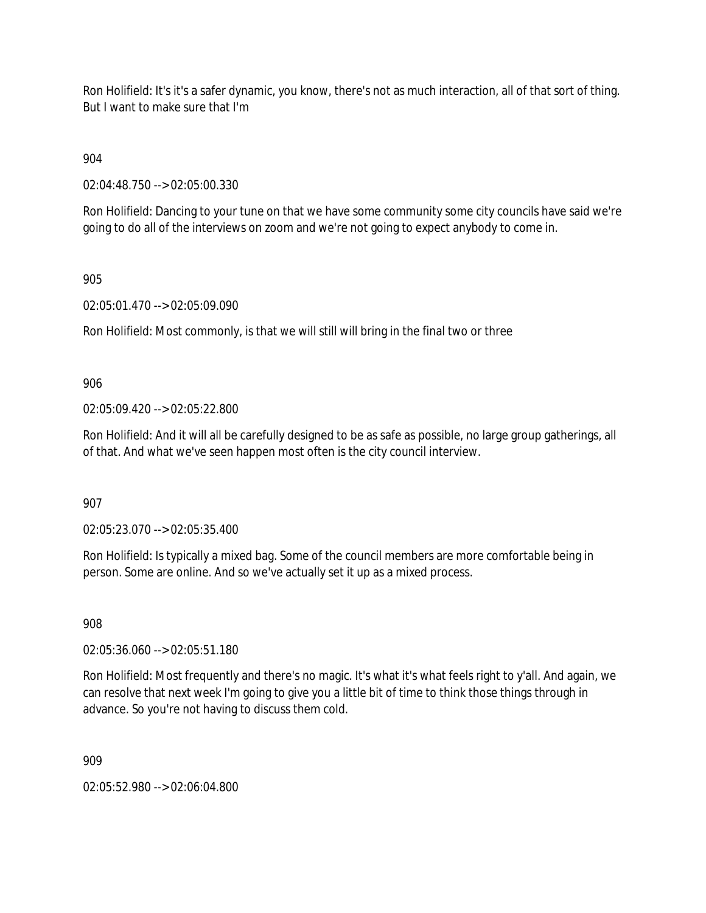Ron Holifield: It's it's a safer dynamic, you know, there's not as much interaction, all of that sort of thing. But I want to make sure that I'm

904

02:04:48.750 --> 02:05:00.330

Ron Holifield: Dancing to your tune on that we have some community some city councils have said we're going to do all of the interviews on zoom and we're not going to expect anybody to come in.

905

02:05:01.470 --> 02:05:09.090

Ron Holifield: Most commonly, is that we will still will bring in the final two or three

906

02:05:09.420 --> 02:05:22.800

Ron Holifield: And it will all be carefully designed to be as safe as possible, no large group gatherings, all of that. And what we've seen happen most often is the city council interview.

907

02:05:23.070 --> 02:05:35.400

Ron Holifield: Is typically a mixed bag. Some of the council members are more comfortable being in person. Some are online. And so we've actually set it up as a mixed process.

908

02:05:36.060 --> 02:05:51.180

Ron Holifield: Most frequently and there's no magic. It's what it's what feels right to y'all. And again, we can resolve that next week I'm going to give you a little bit of time to think those things through in advance. So you're not having to discuss them cold.

909

02:05:52.980 --> 02:06:04.800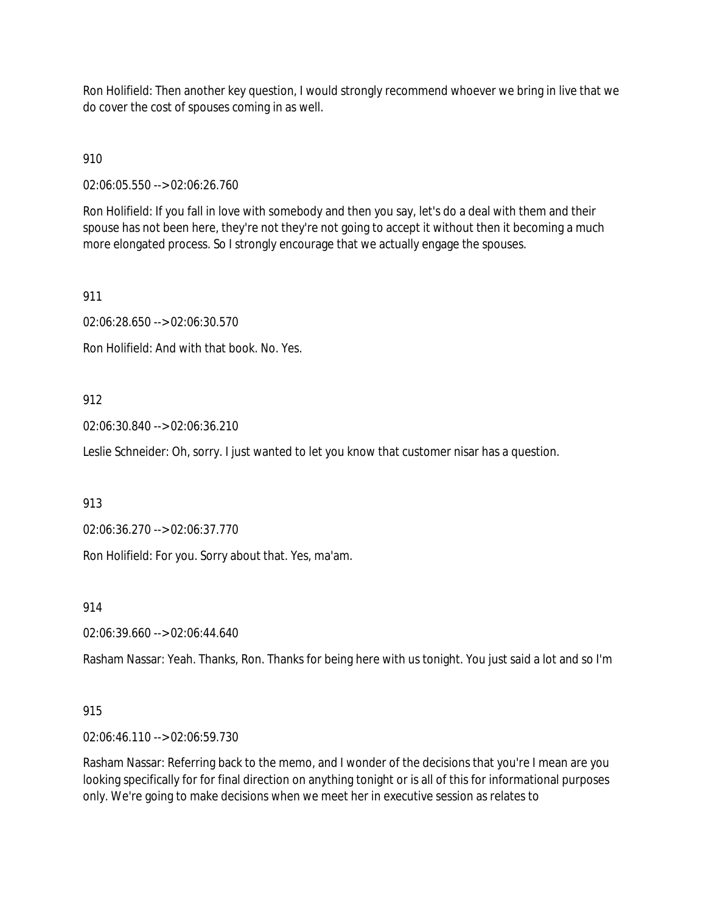Ron Holifield: Then another key question, I would strongly recommend whoever we bring in live that we do cover the cost of spouses coming in as well.

# 910

02:06:05.550 --> 02:06:26.760

Ron Holifield: If you fall in love with somebody and then you say, let's do a deal with them and their spouse has not been here, they're not they're not going to accept it without then it becoming a much more elongated process. So I strongly encourage that we actually engage the spouses.

## 911

02:06:28.650 --> 02:06:30.570

Ron Holifield: And with that book. No. Yes.

## 912

02:06:30.840 --> 02:06:36.210

Leslie Schneider: Oh, sorry. I just wanted to let you know that customer nisar has a question.

### 913

02:06:36.270 --> 02:06:37.770

Ron Holifield: For you. Sorry about that. Yes, ma'am.

### 914

02:06:39.660 --> 02:06:44.640

Rasham Nassar: Yeah. Thanks, Ron. Thanks for being here with us tonight. You just said a lot and so I'm

### 915

02:06:46.110 --> 02:06:59.730

Rasham Nassar: Referring back to the memo, and I wonder of the decisions that you're I mean are you looking specifically for for final direction on anything tonight or is all of this for informational purposes only. We're going to make decisions when we meet her in executive session as relates to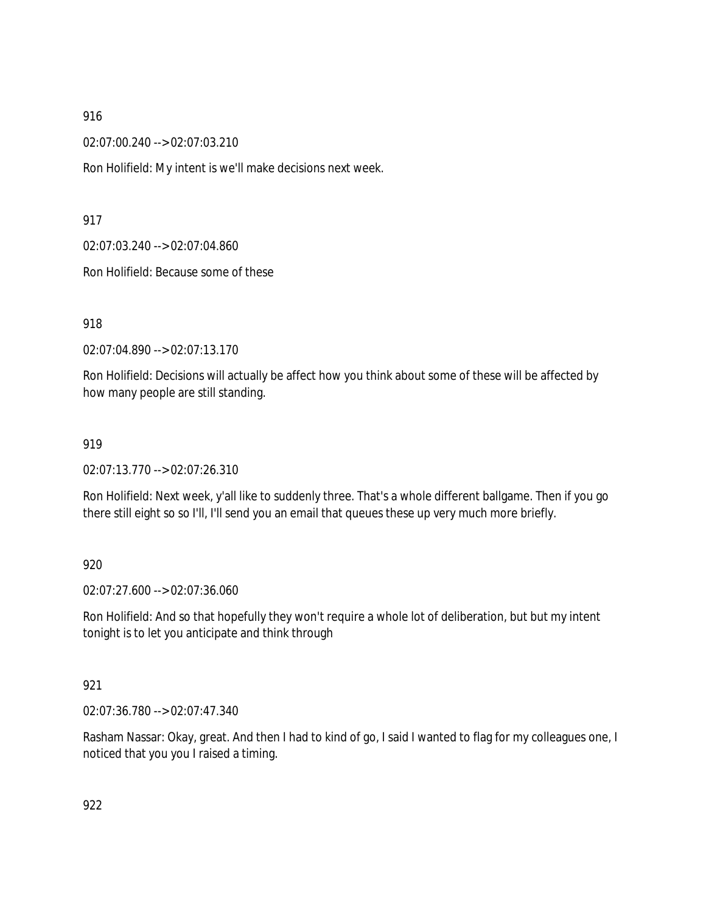02:07:00.240 --> 02:07:03.210

Ron Holifield: My intent is we'll make decisions next week.

917

02:07:03.240 --> 02:07:04.860

Ron Holifield: Because some of these

918

02:07:04.890 --> 02:07:13.170

Ron Holifield: Decisions will actually be affect how you think about some of these will be affected by how many people are still standing.

#### 919

02:07:13.770 --> 02:07:26.310

Ron Holifield: Next week, y'all like to suddenly three. That's a whole different ballgame. Then if you go there still eight so so I'll, I'll send you an email that queues these up very much more briefly.

### 920

02:07:27.600 --> 02:07:36.060

Ron Holifield: And so that hopefully they won't require a whole lot of deliberation, but but my intent tonight is to let you anticipate and think through

### 921

02:07:36.780 --> 02:07:47.340

Rasham Nassar: Okay, great. And then I had to kind of go, I said I wanted to flag for my colleagues one, I noticed that you you I raised a timing.

922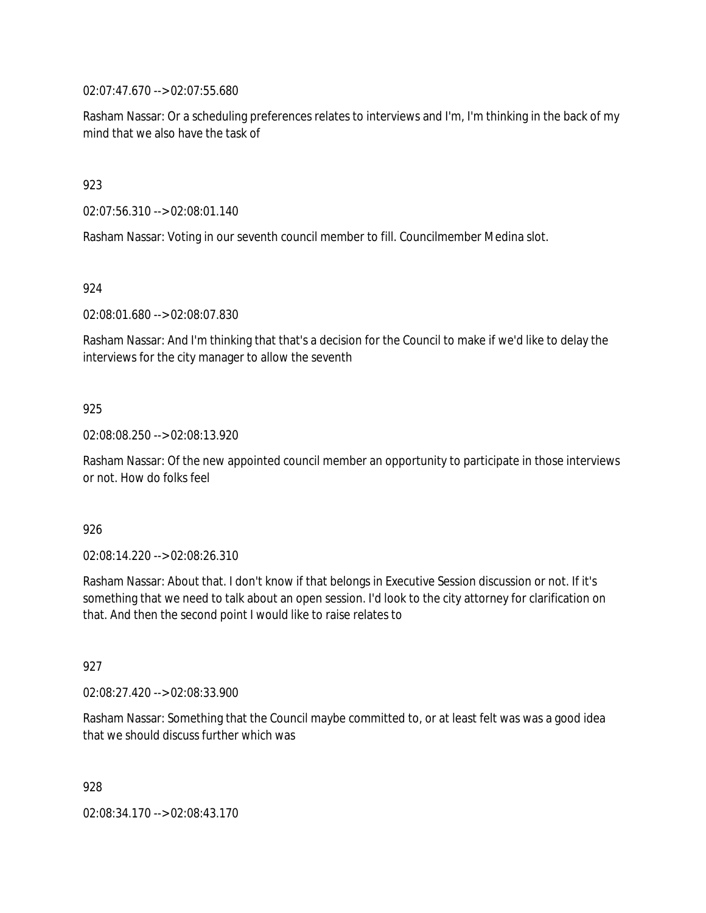02:07:47.670 --> 02:07:55.680

Rasham Nassar: Or a scheduling preferences relates to interviews and I'm, I'm thinking in the back of my mind that we also have the task of

923

02:07:56.310 --> 02:08:01.140

Rasham Nassar: Voting in our seventh council member to fill. Councilmember Medina slot.

924

02:08:01.680 --> 02:08:07.830

Rasham Nassar: And I'm thinking that that's a decision for the Council to make if we'd like to delay the interviews for the city manager to allow the seventh

#### 925

02:08:08.250 --> 02:08:13.920

Rasham Nassar: Of the new appointed council member an opportunity to participate in those interviews or not. How do folks feel

#### 926

02:08:14.220 --> 02:08:26.310

Rasham Nassar: About that. I don't know if that belongs in Executive Session discussion or not. If it's something that we need to talk about an open session. I'd look to the city attorney for clarification on that. And then the second point I would like to raise relates to

927

02:08:27.420 --> 02:08:33.900

Rasham Nassar: Something that the Council maybe committed to, or at least felt was was a good idea that we should discuss further which was

928

02:08:34.170 --> 02:08:43.170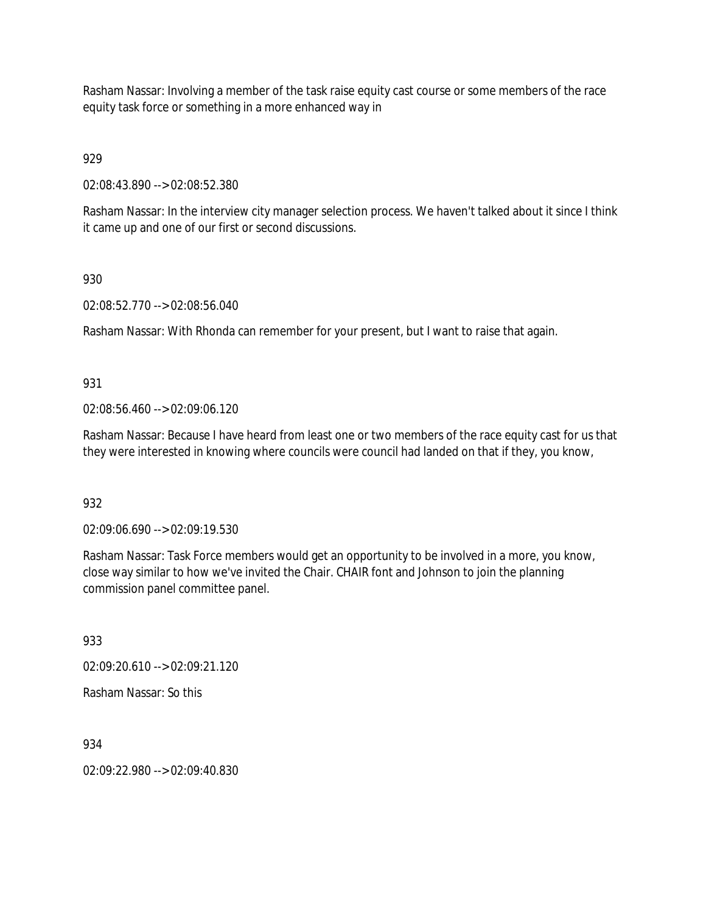Rasham Nassar: Involving a member of the task raise equity cast course or some members of the race equity task force or something in a more enhanced way in

929

02:08:43.890 --> 02:08:52.380

Rasham Nassar: In the interview city manager selection process. We haven't talked about it since I think it came up and one of our first or second discussions.

# 930

02:08:52.770 --> 02:08:56.040

Rasham Nassar: With Rhonda can remember for your present, but I want to raise that again.

931

02:08:56.460 --> 02:09:06.120

Rasham Nassar: Because I have heard from least one or two members of the race equity cast for us that they were interested in knowing where councils were council had landed on that if they, you know,

932

02:09:06.690 --> 02:09:19.530

Rasham Nassar: Task Force members would get an opportunity to be involved in a more, you know, close way similar to how we've invited the Chair. CHAIR font and Johnson to join the planning commission panel committee panel.

933 02:09:20.610 --> 02:09:21.120 Rasham Nassar: So this

934

02:09:22.980 --> 02:09:40.830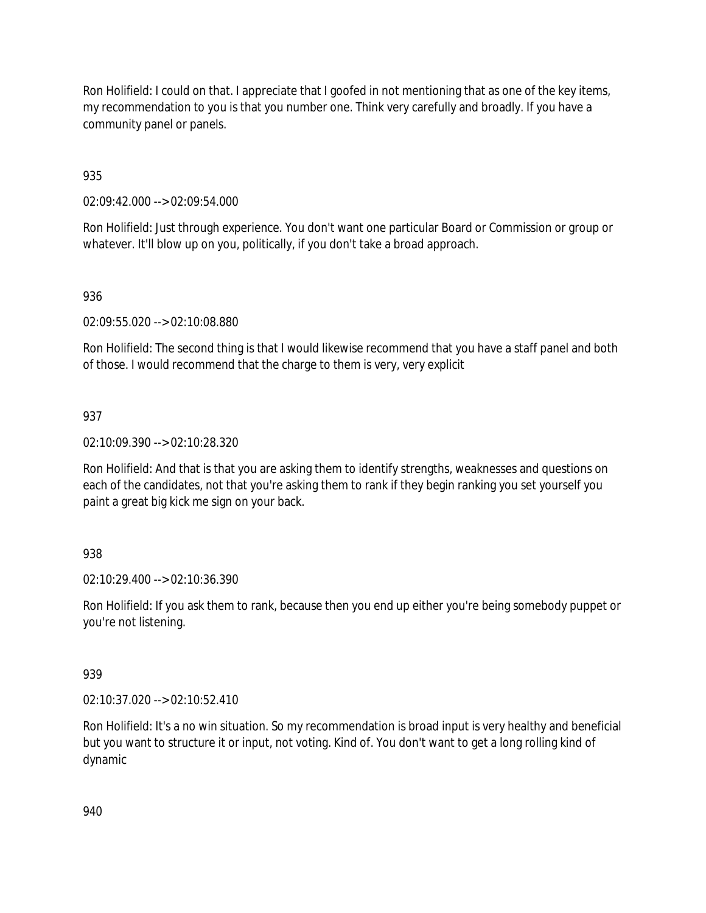Ron Holifield: I could on that. I appreciate that I goofed in not mentioning that as one of the key items, my recommendation to you is that you number one. Think very carefully and broadly. If you have a community panel or panels.

935

02:09:42.000 --> 02:09:54.000

Ron Holifield: Just through experience. You don't want one particular Board or Commission or group or whatever. It'll blow up on you, politically, if you don't take a broad approach.

# 936

02:09:55.020 --> 02:10:08.880

Ron Holifield: The second thing is that I would likewise recommend that you have a staff panel and both of those. I would recommend that the charge to them is very, very explicit

## 937

02:10:09.390 --> 02:10:28.320

Ron Holifield: And that is that you are asking them to identify strengths, weaknesses and questions on each of the candidates, not that you're asking them to rank if they begin ranking you set yourself you paint a great big kick me sign on your back.

## 938

02:10:29.400 --> 02:10:36.390

Ron Holifield: If you ask them to rank, because then you end up either you're being somebody puppet or you're not listening.

## 939

02:10:37.020 --> 02:10:52.410

Ron Holifield: It's a no win situation. So my recommendation is broad input is very healthy and beneficial but you want to structure it or input, not voting. Kind of. You don't want to get a long rolling kind of dynamic

940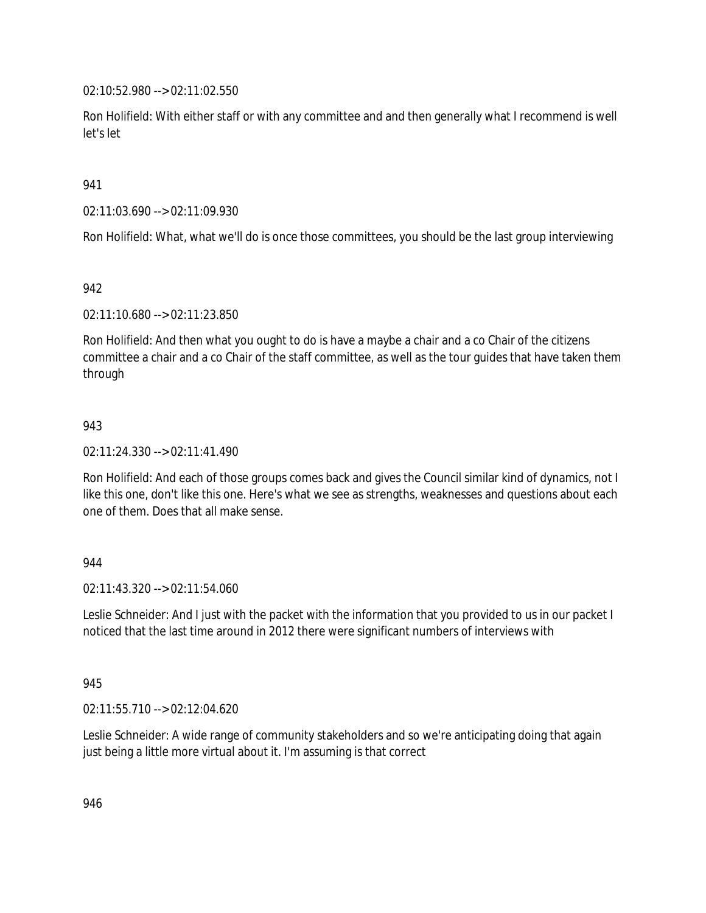02:10:52.980 --> 02:11:02.550

Ron Holifield: With either staff or with any committee and and then generally what I recommend is well let's let

# 941

02:11:03.690 --> 02:11:09.930

Ron Holifield: What, what we'll do is once those committees, you should be the last group interviewing

## 942

02:11:10.680 --> 02:11:23.850

Ron Holifield: And then what you ought to do is have a maybe a chair and a co Chair of the citizens committee a chair and a co Chair of the staff committee, as well as the tour guides that have taken them through

## 943

02:11:24.330 --> 02:11:41.490

Ron Holifield: And each of those groups comes back and gives the Council similar kind of dynamics, not I like this one, don't like this one. Here's what we see as strengths, weaknesses and questions about each one of them. Does that all make sense.

## 944

02:11:43.320 --> 02:11:54.060

Leslie Schneider: And I just with the packet with the information that you provided to us in our packet I noticed that the last time around in 2012 there were significant numbers of interviews with

## 945

02:11:55.710 --> 02:12:04.620

Leslie Schneider: A wide range of community stakeholders and so we're anticipating doing that again just being a little more virtual about it. I'm assuming is that correct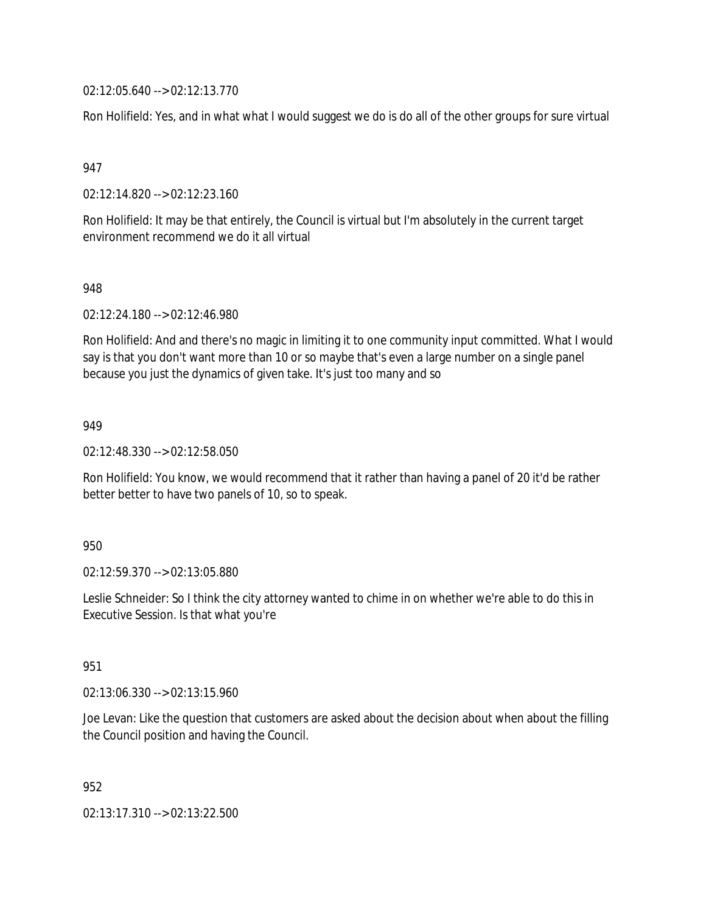02:12:05.640 --> 02:12:13.770

Ron Holifield: Yes, and in what what I would suggest we do is do all of the other groups for sure virtual

947

02:12:14.820 --> 02:12:23.160

Ron Holifield: It may be that entirely, the Council is virtual but I'm absolutely in the current target environment recommend we do it all virtual

948

02:12:24.180 --> 02:12:46.980

Ron Holifield: And and there's no magic in limiting it to one community input committed. What I would say is that you don't want more than 10 or so maybe that's even a large number on a single panel because you just the dynamics of given take. It's just too many and so

949

02:12:48.330 --> 02:12:58.050

Ron Holifield: You know, we would recommend that it rather than having a panel of 20 it'd be rather better better to have two panels of 10, so to speak.

950

02:12:59.370 --> 02:13:05.880

Leslie Schneider: So I think the city attorney wanted to chime in on whether we're able to do this in Executive Session. Is that what you're

951

02:13:06.330 --> 02:13:15.960

Joe Levan: Like the question that customers are asked about the decision about when about the filling the Council position and having the Council.

952

02:13:17.310 --> 02:13:22.500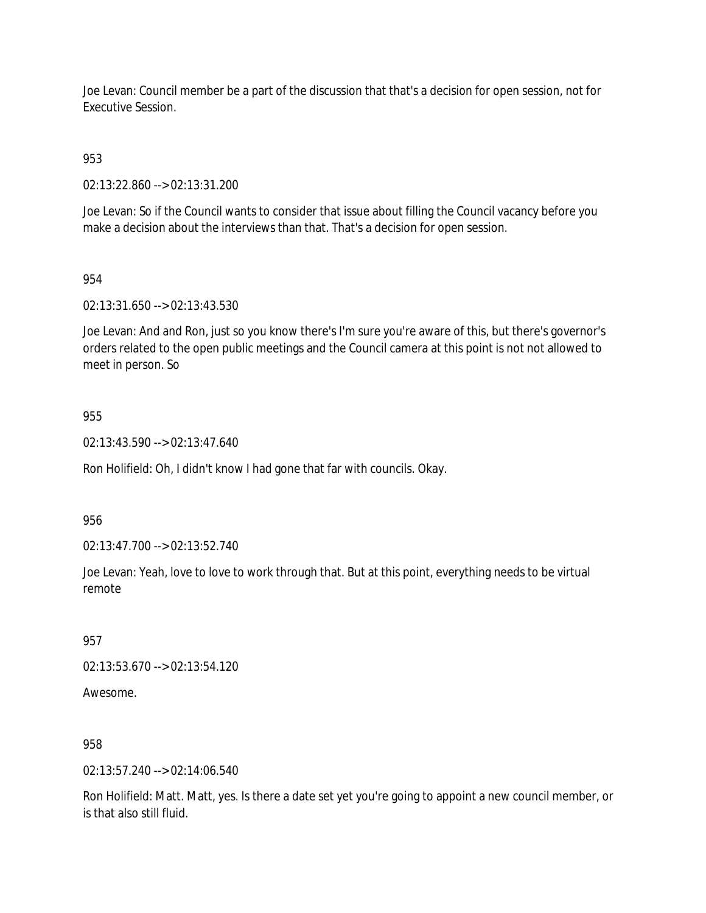Joe Levan: Council member be a part of the discussion that that's a decision for open session, not for Executive Session.

953

02:13:22.860 --> 02:13:31.200

Joe Levan: So if the Council wants to consider that issue about filling the Council vacancy before you make a decision about the interviews than that. That's a decision for open session.

# 954

02:13:31.650 --> 02:13:43.530

Joe Levan: And and Ron, just so you know there's I'm sure you're aware of this, but there's governor's orders related to the open public meetings and the Council camera at this point is not not allowed to meet in person. So

## 955

02:13:43.590 --> 02:13:47.640

Ron Holifield: Oh, I didn't know I had gone that far with councils. Okay.

## 956

02:13:47.700 --> 02:13:52.740

Joe Levan: Yeah, love to love to work through that. But at this point, everything needs to be virtual remote

# 957

02:13:53.670 --> 02:13:54.120

# Awesome.

# 958

02:13:57.240 --> 02:14:06.540

Ron Holifield: Matt. Matt, yes. Is there a date set yet you're going to appoint a new council member, or is that also still fluid.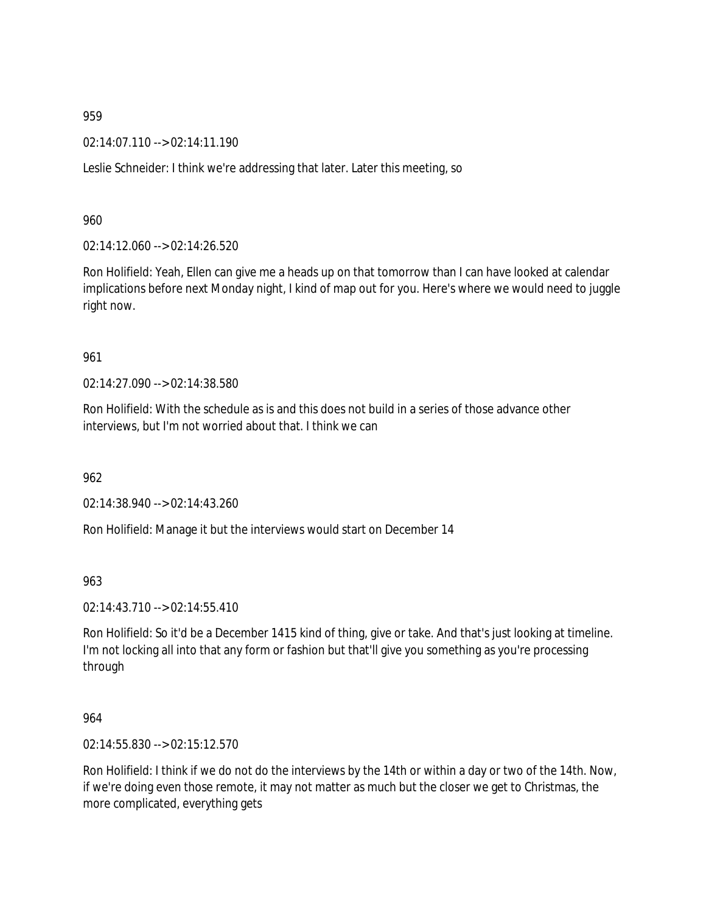02:14:07.110 --> 02:14:11.190

Leslie Schneider: I think we're addressing that later. Later this meeting, so

## 960

02:14:12.060 --> 02:14:26.520

Ron Holifield: Yeah, Ellen can give me a heads up on that tomorrow than I can have looked at calendar implications before next Monday night, I kind of map out for you. Here's where we would need to juggle right now.

#### 961

02:14:27.090 --> 02:14:38.580

Ron Holifield: With the schedule as is and this does not build in a series of those advance other interviews, but I'm not worried about that. I think we can

## 962

02:14:38.940 --> 02:14:43.260

Ron Holifield: Manage it but the interviews would start on December 14

## 963

02:14:43.710 --> 02:14:55.410

Ron Holifield: So it'd be a December 1415 kind of thing, give or take. And that's just looking at timeline. I'm not locking all into that any form or fashion but that'll give you something as you're processing through

## 964

02:14:55.830 --> 02:15:12.570

Ron Holifield: I think if we do not do the interviews by the 14th or within a day or two of the 14th. Now, if we're doing even those remote, it may not matter as much but the closer we get to Christmas, the more complicated, everything gets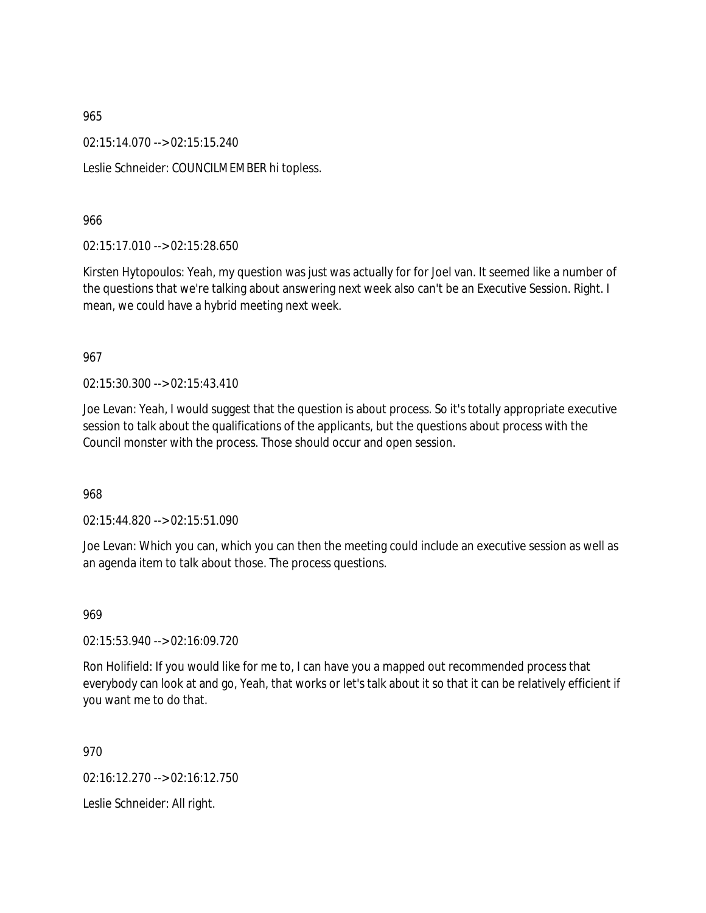02:15:14.070 --> 02:15:15.240

Leslie Schneider: COUNCILMEMBER hi topless.

966

02:15:17.010 --> 02:15:28.650

Kirsten Hytopoulos: Yeah, my question was just was actually for for Joel van. It seemed like a number of the questions that we're talking about answering next week also can't be an Executive Session. Right. I mean, we could have a hybrid meeting next week.

#### 967

02:15:30.300 --> 02:15:43.410

Joe Levan: Yeah, I would suggest that the question is about process. So it's totally appropriate executive session to talk about the qualifications of the applicants, but the questions about process with the Council monster with the process. Those should occur and open session.

## 968

02:15:44.820 --> 02:15:51.090

Joe Levan: Which you can, which you can then the meeting could include an executive session as well as an agenda item to talk about those. The process questions.

969

02:15:53.940 --> 02:16:09.720

Ron Holifield: If you would like for me to, I can have you a mapped out recommended process that everybody can look at and go, Yeah, that works or let's talk about it so that it can be relatively efficient if you want me to do that.

970

02:16:12.270 --> 02:16:12.750

Leslie Schneider: All right.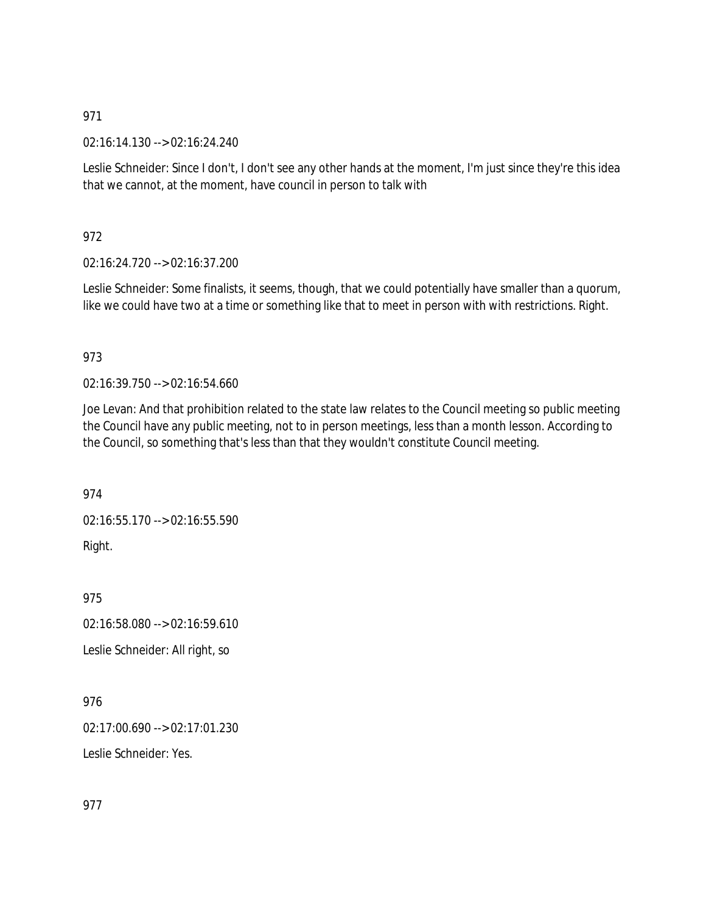02:16:14.130 --> 02:16:24.240

Leslie Schneider: Since I don't, I don't see any other hands at the moment, I'm just since they're this idea that we cannot, at the moment, have council in person to talk with

972

02:16:24.720 --> 02:16:37.200

Leslie Schneider: Some finalists, it seems, though, that we could potentially have smaller than a quorum, like we could have two at a time or something like that to meet in person with with restrictions. Right.

# 973

02:16:39.750 --> 02:16:54.660

Joe Levan: And that prohibition related to the state law relates to the Council meeting so public meeting the Council have any public meeting, not to in person meetings, less than a month lesson. According to the Council, so something that's less than that they wouldn't constitute Council meeting.

974

02:16:55.170 --> 02:16:55.590 Right.

975 02:16:58.080 --> 02:16:59.610 Leslie Schneider: All right, so

976 02:17:00.690 --> 02:17:01.230

Leslie Schneider: Yes.

977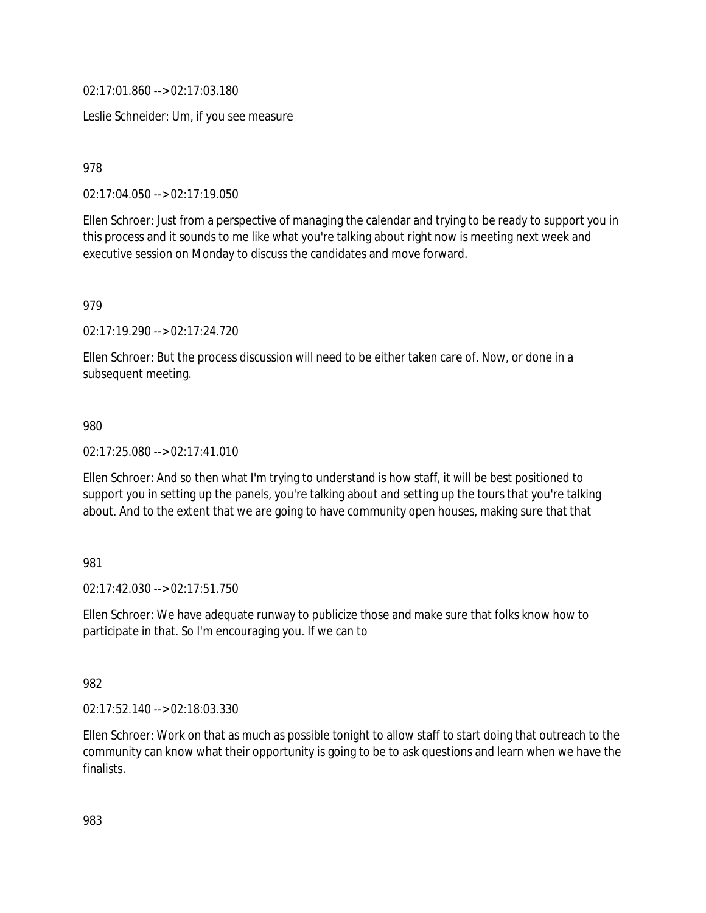02:17:01.860 --> 02:17:03.180

Leslie Schneider: Um, if you see measure

978

02:17:04.050 --> 02:17:19.050

Ellen Schroer: Just from a perspective of managing the calendar and trying to be ready to support you in this process and it sounds to me like what you're talking about right now is meeting next week and executive session on Monday to discuss the candidates and move forward.

979

02:17:19.290 --> 02:17:24.720

Ellen Schroer: But the process discussion will need to be either taken care of. Now, or done in a subsequent meeting.

#### 980

02:17:25.080 --> 02:17:41.010

Ellen Schroer: And so then what I'm trying to understand is how staff, it will be best positioned to support you in setting up the panels, you're talking about and setting up the tours that you're talking about. And to the extent that we are going to have community open houses, making sure that that

#### 981

 $02.17.42.030 - 02.17.51.750$ 

Ellen Schroer: We have adequate runway to publicize those and make sure that folks know how to participate in that. So I'm encouraging you. If we can to

982

02:17:52.140 --> 02:18:03.330

Ellen Schroer: Work on that as much as possible tonight to allow staff to start doing that outreach to the community can know what their opportunity is going to be to ask questions and learn when we have the finalists.

983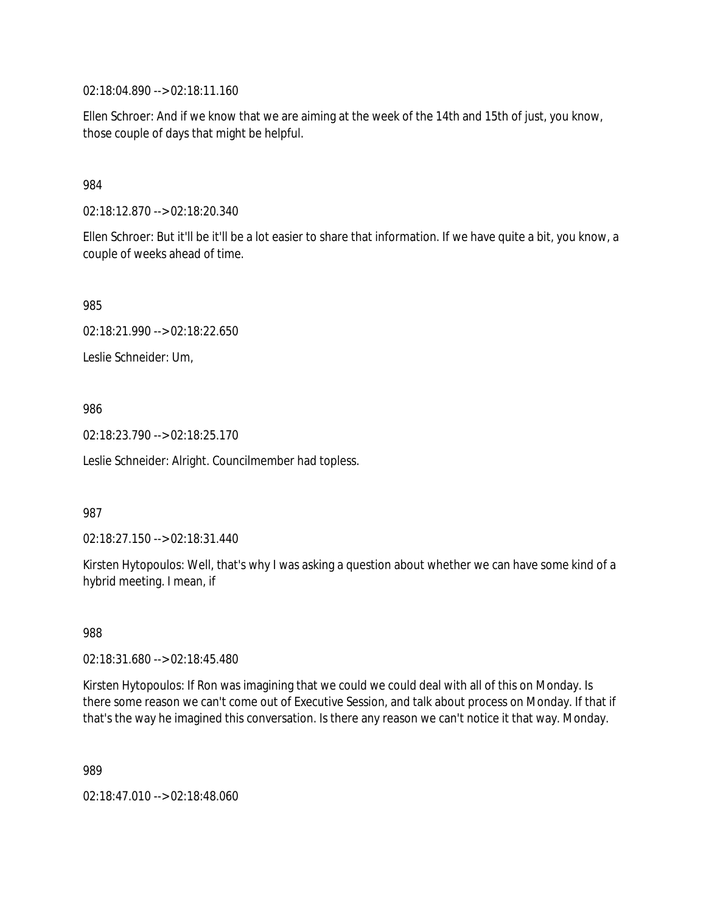02:18:04.890 --> 02:18:11.160

Ellen Schroer: And if we know that we are aiming at the week of the 14th and 15th of just, you know, those couple of days that might be helpful.

984

02:18:12.870 --> 02:18:20.340

Ellen Schroer: But it'll be it'll be a lot easier to share that information. If we have quite a bit, you know, a couple of weeks ahead of time.

985

02:18:21.990 --> 02:18:22.650

Leslie Schneider: Um,

986

02:18:23.790 --> 02:18:25.170

Leslie Schneider: Alright. Councilmember had topless.

987

02:18:27.150 --> 02:18:31.440

Kirsten Hytopoulos: Well, that's why I was asking a question about whether we can have some kind of a hybrid meeting. I mean, if

988

02:18:31.680 --> 02:18:45.480

Kirsten Hytopoulos: If Ron was imagining that we could we could deal with all of this on Monday. Is there some reason we can't come out of Executive Session, and talk about process on Monday. If that if that's the way he imagined this conversation. Is there any reason we can't notice it that way. Monday.

989

02:18:47.010 --> 02:18:48.060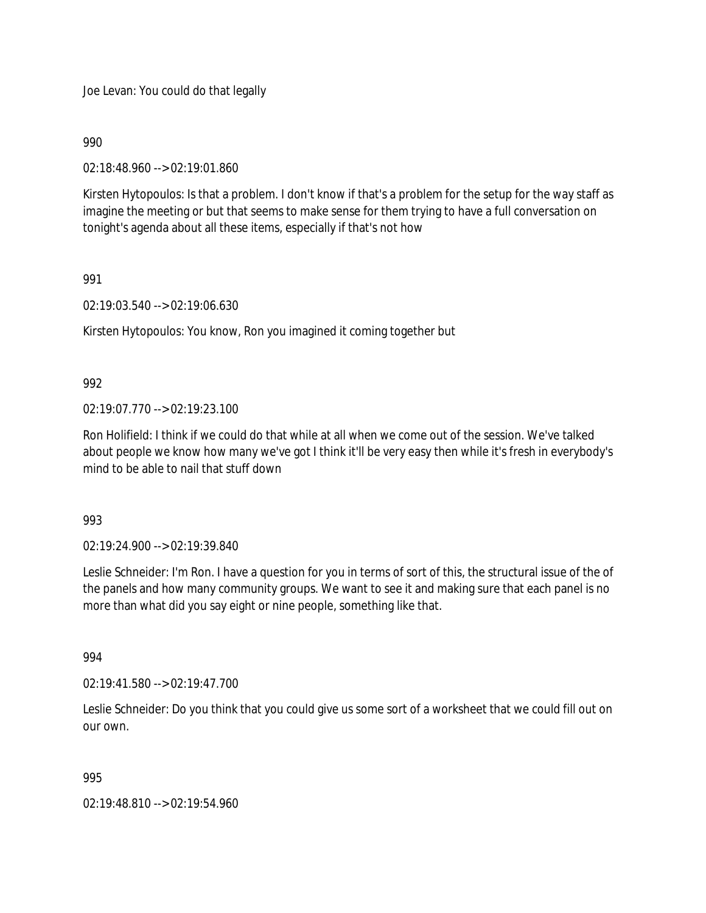Joe Levan: You could do that legally

990

02:18:48.960 --> 02:19:01.860

Kirsten Hytopoulos: Is that a problem. I don't know if that's a problem for the setup for the way staff as imagine the meeting or but that seems to make sense for them trying to have a full conversation on tonight's agenda about all these items, especially if that's not how

991

02:19:03.540 --> 02:19:06.630

Kirsten Hytopoulos: You know, Ron you imagined it coming together but

## 992

02:19:07.770 --> 02:19:23.100

Ron Holifield: I think if we could do that while at all when we come out of the session. We've talked about people we know how many we've got I think it'll be very easy then while it's fresh in everybody's mind to be able to nail that stuff down

993

02:19:24.900 --> 02:19:39.840

Leslie Schneider: I'm Ron. I have a question for you in terms of sort of this, the structural issue of the of the panels and how many community groups. We want to see it and making sure that each panel is no more than what did you say eight or nine people, something like that.

994

02:19:41.580 --> 02:19:47.700

Leslie Schneider: Do you think that you could give us some sort of a worksheet that we could fill out on our own.

995

02:19:48.810 --> 02:19:54.960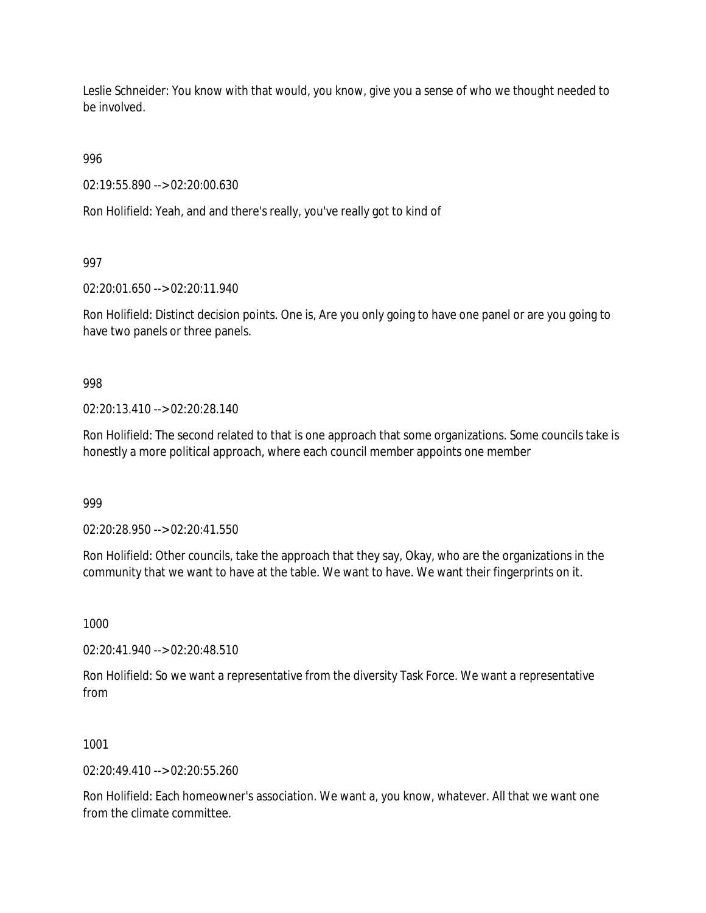Leslie Schneider: You know with that would, you know, give you a sense of who we thought needed to be involved.

996

02:19:55.890 --> 02:20:00.630

Ron Holifield: Yeah, and and there's really, you've really got to kind of

997

02:20:01.650 --> 02:20:11.940

Ron Holifield: Distinct decision points. One is, Are you only going to have one panel or are you going to have two panels or three panels.

998

02:20:13.410 --> 02:20:28.140

Ron Holifield: The second related to that is one approach that some organizations. Some councils take is honestly a more political approach, where each council member appoints one member

999

02:20:28.950 --> 02:20:41.550

Ron Holifield: Other councils, take the approach that they say, Okay, who are the organizations in the community that we want to have at the table. We want to have. We want their fingerprints on it.

1000

02:20:41.940 --> 02:20:48.510

Ron Holifield: So we want a representative from the diversity Task Force. We want a representative from

1001

02:20:49.410 --> 02:20:55.260

Ron Holifield: Each homeowner's association. We want a, you know, whatever. All that we want one from the climate committee.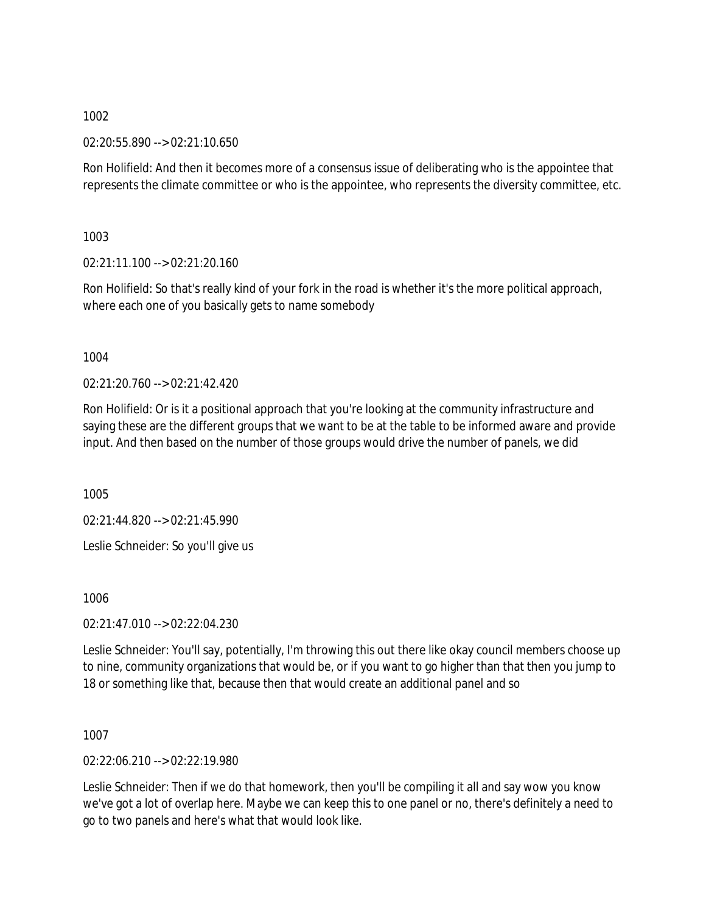02:20:55.890 --> 02:21:10.650

Ron Holifield: And then it becomes more of a consensus issue of deliberating who is the appointee that represents the climate committee or who is the appointee, who represents the diversity committee, etc.

1003

02:21:11.100 --> 02:21:20.160

Ron Holifield: So that's really kind of your fork in the road is whether it's the more political approach, where each one of you basically gets to name somebody

1004

 $02:21:20.760 \rightarrow 02:21:42.420$ 

Ron Holifield: Or is it a positional approach that you're looking at the community infrastructure and saying these are the different groups that we want to be at the table to be informed aware and provide input. And then based on the number of those groups would drive the number of panels, we did

1005

02:21:44.820 --> 02:21:45.990

Leslie Schneider: So you'll give us

1006

02:21:47.010 --> 02:22:04.230

Leslie Schneider: You'll say, potentially, I'm throwing this out there like okay council members choose up to nine, community organizations that would be, or if you want to go higher than that then you jump to 18 or something like that, because then that would create an additional panel and so

1007

02:22:06.210 --> 02:22:19.980

Leslie Schneider: Then if we do that homework, then you'll be compiling it all and say wow you know we've got a lot of overlap here. Maybe we can keep this to one panel or no, there's definitely a need to go to two panels and here's what that would look like.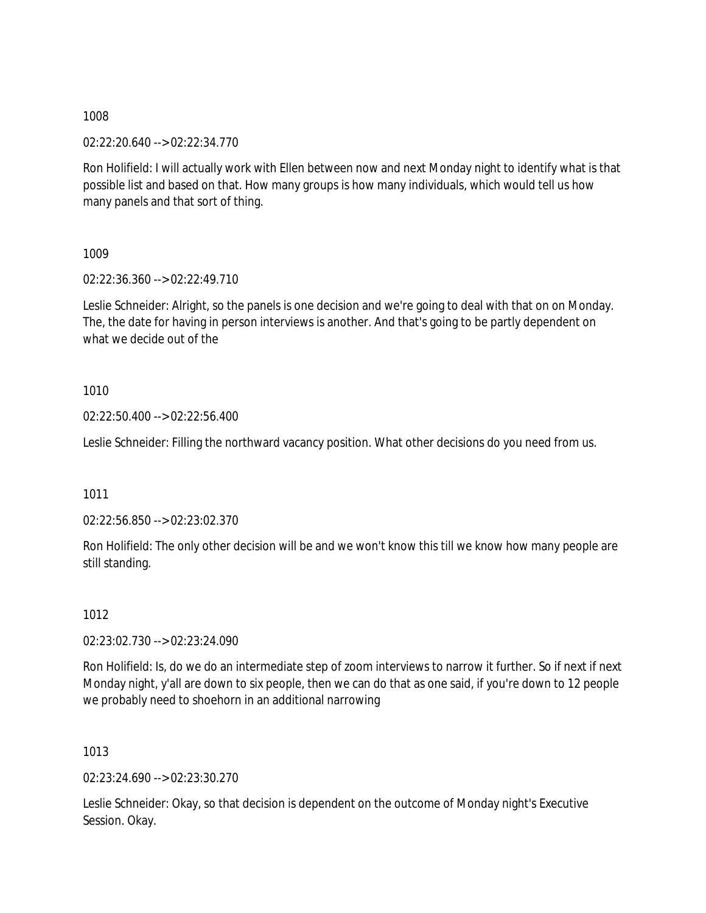02:22:20.640 --> 02:22:34.770

Ron Holifield: I will actually work with Ellen between now and next Monday night to identify what is that possible list and based on that. How many groups is how many individuals, which would tell us how many panels and that sort of thing.

1009

02:22:36.360 --> 02:22:49.710

Leslie Schneider: Alright, so the panels is one decision and we're going to deal with that on on Monday. The, the date for having in person interviews is another. And that's going to be partly dependent on what we decide out of the

1010

02:22:50.400 --> 02:22:56.400

Leslie Schneider: Filling the northward vacancy position. What other decisions do you need from us.

1011

02:22:56.850 --> 02:23:02.370

Ron Holifield: The only other decision will be and we won't know this till we know how many people are still standing.

1012

02:23:02.730 --> 02:23:24.090

Ron Holifield: Is, do we do an intermediate step of zoom interviews to narrow it further. So if next if next Monday night, y'all are down to six people, then we can do that as one said, if you're down to 12 people we probably need to shoehorn in an additional narrowing

1013

02:23:24.690 --> 02:23:30.270

Leslie Schneider: Okay, so that decision is dependent on the outcome of Monday night's Executive Session. Okay.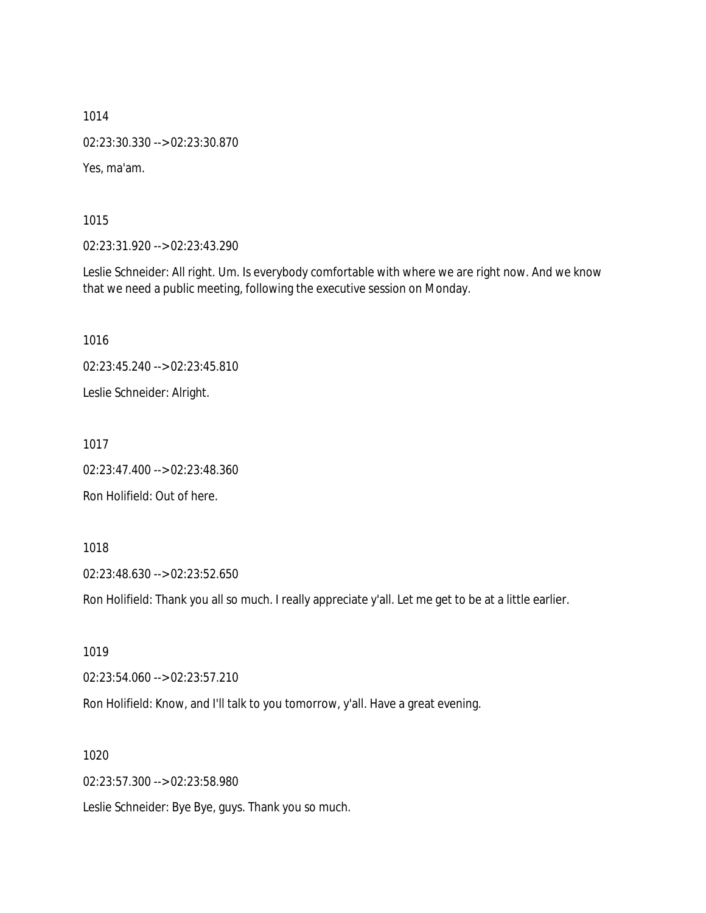1014 02:23:30.330 --> 02:23:30.870 Yes, ma'am.

1015

02:23:31.920 --> 02:23:43.290

Leslie Schneider: All right. Um. Is everybody comfortable with where we are right now. And we know that we need a public meeting, following the executive session on Monday.

1016

02:23:45.240 --> 02:23:45.810

Leslie Schneider: Alright.

1017

02:23:47.400 --> 02:23:48.360

Ron Holifield: Out of here.

1018

02:23:48.630 --> 02:23:52.650

Ron Holifield: Thank you all so much. I really appreciate y'all. Let me get to be at a little earlier.

1019

02:23:54.060 --> 02:23:57.210

Ron Holifield: Know, and I'll talk to you tomorrow, y'all. Have a great evening.

1020

02:23:57.300 --> 02:23:58.980

Leslie Schneider: Bye Bye, guys. Thank you so much.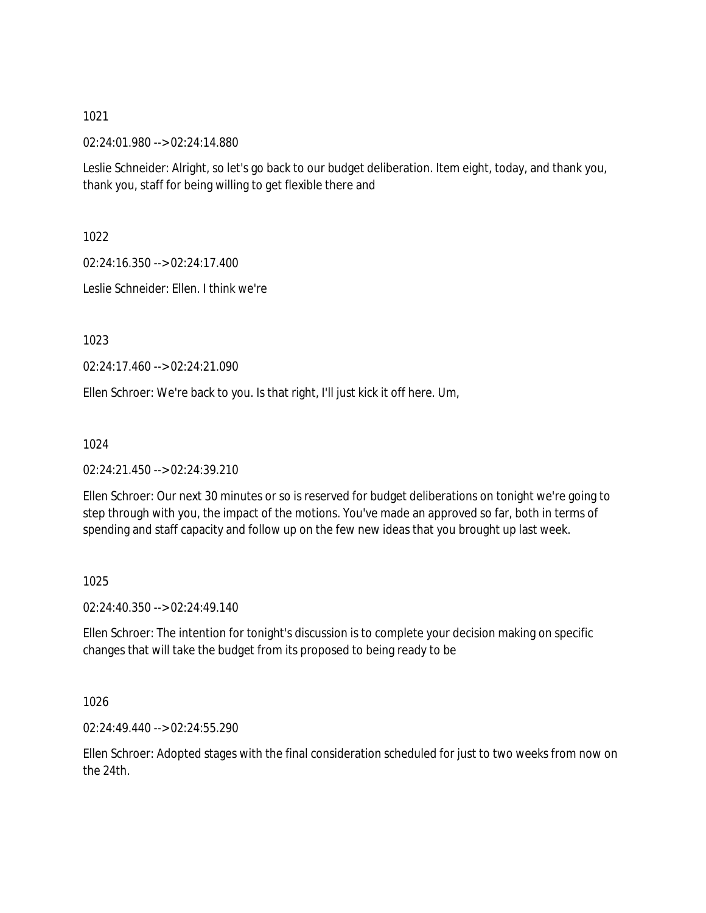02:24:01.980 --> 02:24:14.880

Leslie Schneider: Alright, so let's go back to our budget deliberation. Item eight, today, and thank you, thank you, staff for being willing to get flexible there and

1022

02:24:16.350 --> 02:24:17.400

Leslie Schneider: Ellen. I think we're

1023

02:24:17.460 --> 02:24:21.090

Ellen Schroer: We're back to you. Is that right, I'll just kick it off here. Um,

1024

02:24:21.450 --> 02:24:39.210

Ellen Schroer: Our next 30 minutes or so is reserved for budget deliberations on tonight we're going to step through with you, the impact of the motions. You've made an approved so far, both in terms of spending and staff capacity and follow up on the few new ideas that you brought up last week.

1025

02:24:40.350 --> 02:24:49.140

Ellen Schroer: The intention for tonight's discussion is to complete your decision making on specific changes that will take the budget from its proposed to being ready to be

1026

02:24:49.440 --> 02:24:55.290

Ellen Schroer: Adopted stages with the final consideration scheduled for just to two weeks from now on the 24th.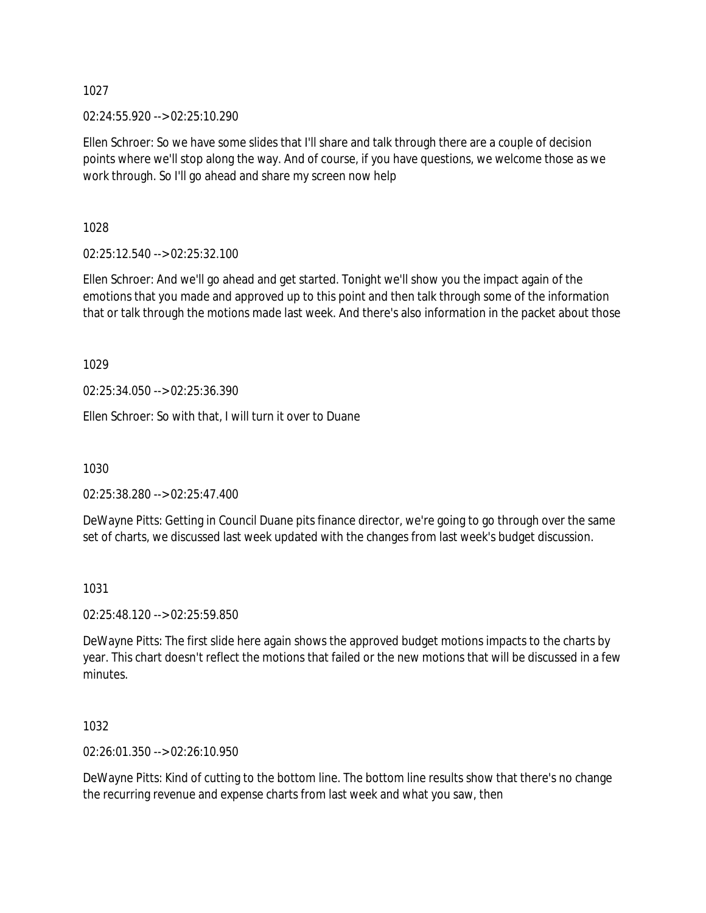02:24:55.920 --> 02:25:10.290

Ellen Schroer: So we have some slides that I'll share and talk through there are a couple of decision points where we'll stop along the way. And of course, if you have questions, we welcome those as we work through. So I'll go ahead and share my screen now help

1028

02:25:12.540 --> 02:25:32.100

Ellen Schroer: And we'll go ahead and get started. Tonight we'll show you the impact again of the emotions that you made and approved up to this point and then talk through some of the information that or talk through the motions made last week. And there's also information in the packet about those

1029

02:25:34.050 --> 02:25:36.390

Ellen Schroer: So with that, I will turn it over to Duane

1030

02:25:38.280 --> 02:25:47.400

DeWayne Pitts: Getting in Council Duane pits finance director, we're going to go through over the same set of charts, we discussed last week updated with the changes from last week's budget discussion.

## 1031

02:25:48.120 --> 02:25:59.850

DeWayne Pitts: The first slide here again shows the approved budget motions impacts to the charts by year. This chart doesn't reflect the motions that failed or the new motions that will be discussed in a few minutes.

1032

02:26:01.350 --> 02:26:10.950

DeWayne Pitts: Kind of cutting to the bottom line. The bottom line results show that there's no change the recurring revenue and expense charts from last week and what you saw, then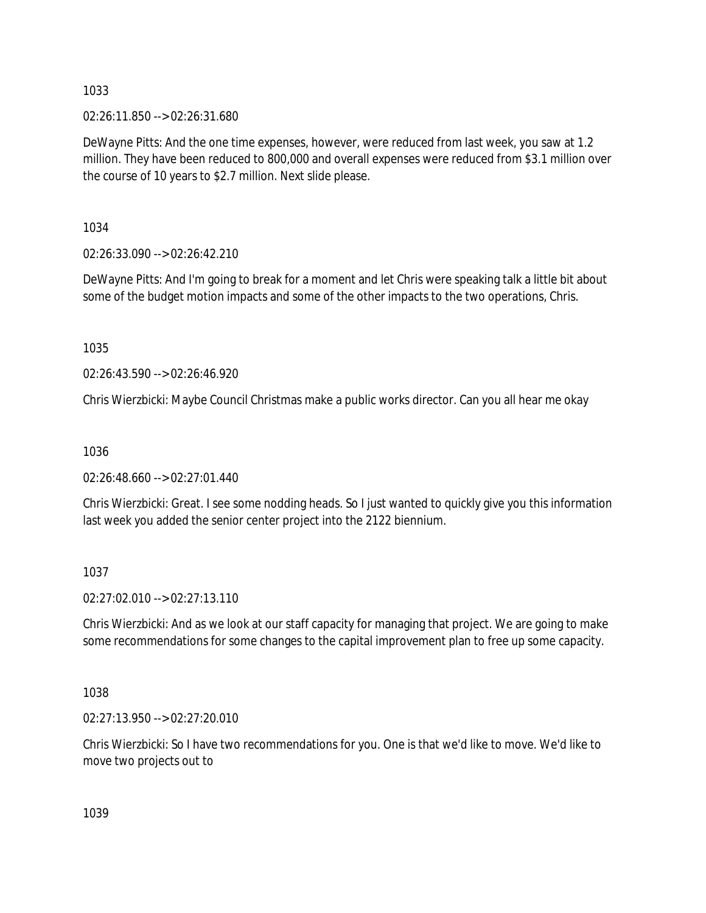02:26:11.850 --> 02:26:31.680

DeWayne Pitts: And the one time expenses, however, were reduced from last week, you saw at 1.2 million. They have been reduced to 800,000 and overall expenses were reduced from \$3.1 million over the course of 10 years to \$2.7 million. Next slide please.

1034

02:26:33.090 --> 02:26:42.210

DeWayne Pitts: And I'm going to break for a moment and let Chris were speaking talk a little bit about some of the budget motion impacts and some of the other impacts to the two operations, Chris.

1035

02:26:43.590 --> 02:26:46.920

Chris Wierzbicki: Maybe Council Christmas make a public works director. Can you all hear me okay

1036

 $02:26:48.660 \rightarrow 02:27:01.440$ 

Chris Wierzbicki: Great. I see some nodding heads. So I just wanted to quickly give you this information last week you added the senior center project into the 2122 biennium.

1037

02:27:02.010 --> 02:27:13.110

Chris Wierzbicki: And as we look at our staff capacity for managing that project. We are going to make some recommendations for some changes to the capital improvement plan to free up some capacity.

1038

02:27:13.950 --> 02:27:20.010

Chris Wierzbicki: So I have two recommendations for you. One is that we'd like to move. We'd like to move two projects out to

1039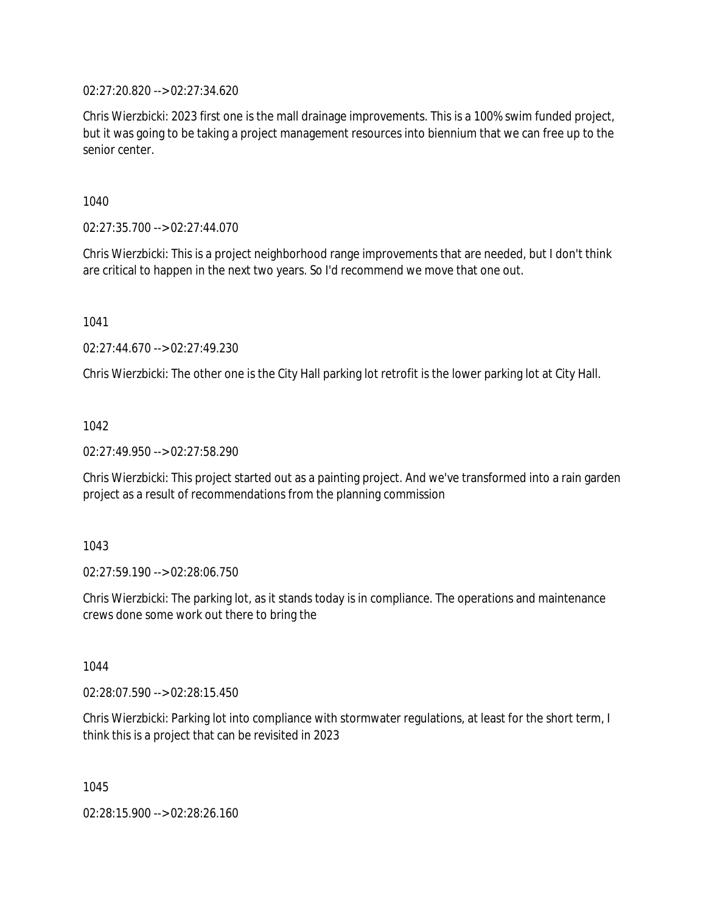02:27:20.820 --> 02:27:34.620

Chris Wierzbicki: 2023 first one is the mall drainage improvements. This is a 100% swim funded project, but it was going to be taking a project management resources into biennium that we can free up to the senior center.

1040

02:27:35.700 --> 02:27:44.070

Chris Wierzbicki: This is a project neighborhood range improvements that are needed, but I don't think are critical to happen in the next two years. So I'd recommend we move that one out.

1041

02:27:44.670 --> 02:27:49.230

Chris Wierzbicki: The other one is the City Hall parking lot retrofit is the lower parking lot at City Hall.

1042

02:27:49.950 --> 02:27:58.290

Chris Wierzbicki: This project started out as a painting project. And we've transformed into a rain garden project as a result of recommendations from the planning commission

1043

02:27:59.190 --> 02:28:06.750

Chris Wierzbicki: The parking lot, as it stands today is in compliance. The operations and maintenance crews done some work out there to bring the

1044

02:28:07.590 --> 02:28:15.450

Chris Wierzbicki: Parking lot into compliance with stormwater regulations, at least for the short term, I think this is a project that can be revisited in 2023

1045

02:28:15.900 --> 02:28:26.160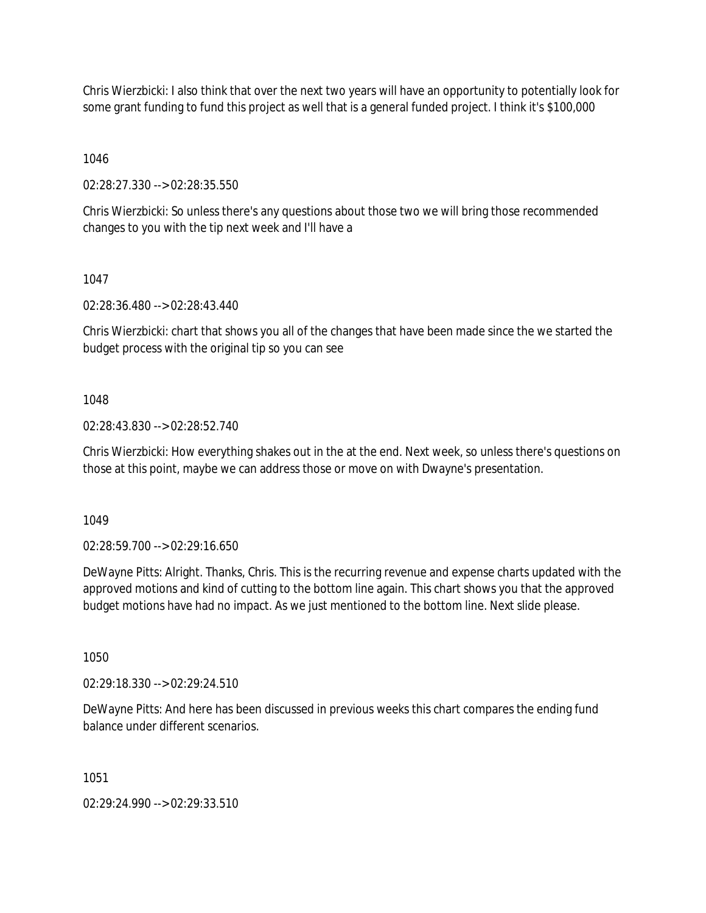Chris Wierzbicki: I also think that over the next two years will have an opportunity to potentially look for some grant funding to fund this project as well that is a general funded project. I think it's \$100,000

1046

02:28:27.330 --> 02:28:35.550

Chris Wierzbicki: So unless there's any questions about those two we will bring those recommended changes to you with the tip next week and I'll have a

1047

02:28:36.480 --> 02:28:43.440

Chris Wierzbicki: chart that shows you all of the changes that have been made since the we started the budget process with the original tip so you can see

1048

02:28:43.830 --> 02:28:52.740

Chris Wierzbicki: How everything shakes out in the at the end. Next week, so unless there's questions on those at this point, maybe we can address those or move on with Dwayne's presentation.

1049

02:28:59.700 --> 02:29:16.650

DeWayne Pitts: Alright. Thanks, Chris. This is the recurring revenue and expense charts updated with the approved motions and kind of cutting to the bottom line again. This chart shows you that the approved budget motions have had no impact. As we just mentioned to the bottom line. Next slide please.

1050

02:29:18.330 --> 02:29:24.510

DeWayne Pitts: And here has been discussed in previous weeks this chart compares the ending fund balance under different scenarios.

1051

02:29:24.990 --> 02:29:33.510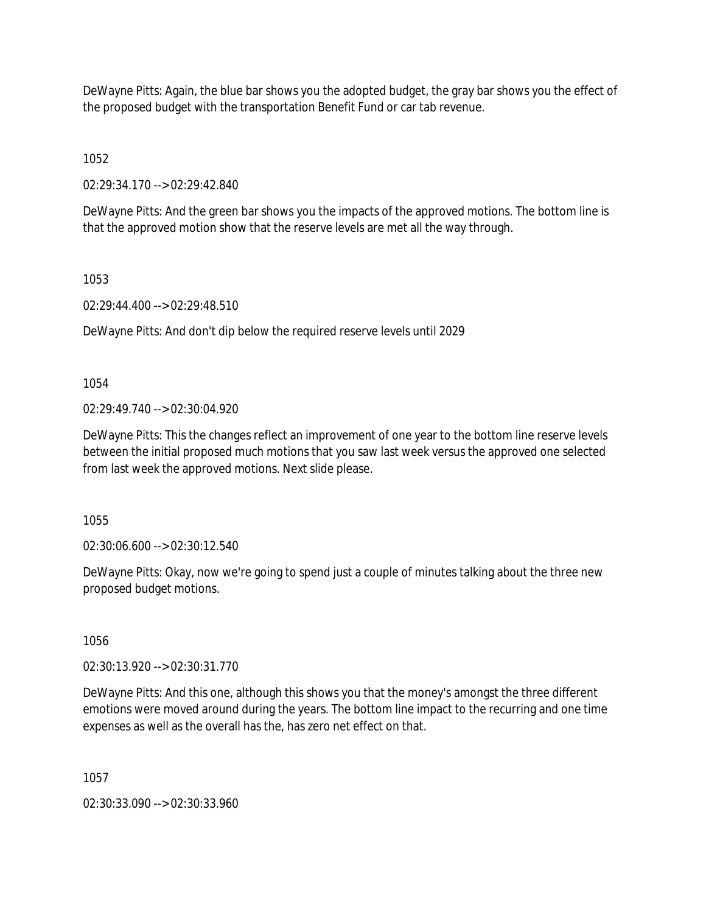DeWayne Pitts: Again, the blue bar shows you the adopted budget, the gray bar shows you the effect of the proposed budget with the transportation Benefit Fund or car tab revenue.

1052

02:29:34.170 --> 02:29:42.840

DeWayne Pitts: And the green bar shows you the impacts of the approved motions. The bottom line is that the approved motion show that the reserve levels are met all the way through.

1053

02:29:44.400 --> 02:29:48.510

DeWayne Pitts: And don't dip below the required reserve levels until 2029

1054

02:29:49.740 --> 02:30:04.920

DeWayne Pitts: This the changes reflect an improvement of one year to the bottom line reserve levels between the initial proposed much motions that you saw last week versus the approved one selected from last week the approved motions. Next slide please.

1055

02:30:06.600 --> 02:30:12.540

DeWayne Pitts: Okay, now we're going to spend just a couple of minutes talking about the three new proposed budget motions.

1056

02:30:13.920 --> 02:30:31.770

DeWayne Pitts: And this one, although this shows you that the money's amongst the three different emotions were moved around during the years. The bottom line impact to the recurring and one time expenses as well as the overall has the, has zero net effect on that.

1057

02:30:33.090 --> 02:30:33.960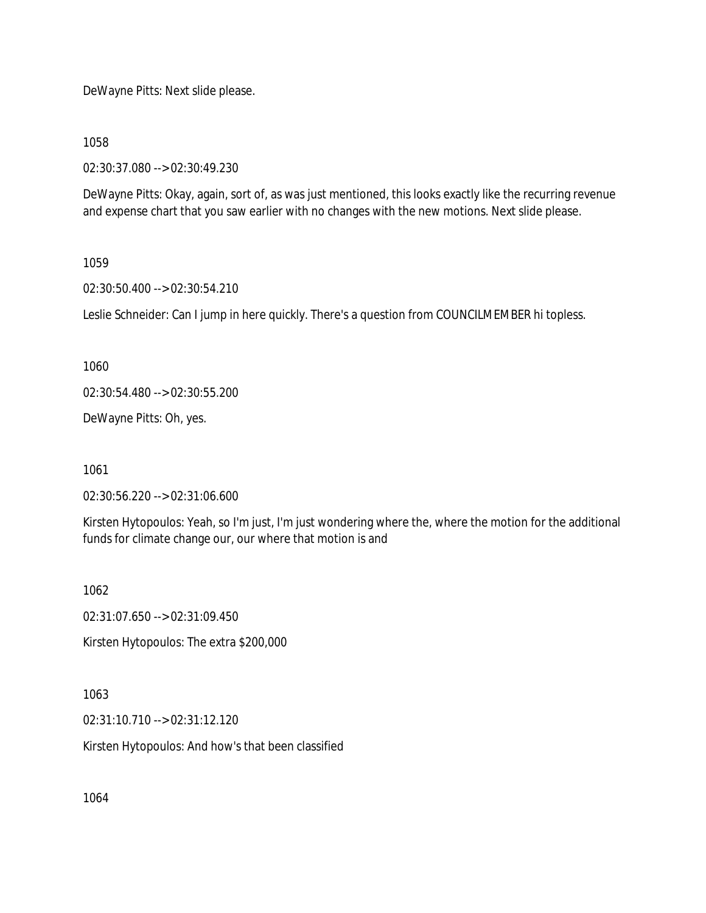DeWayne Pitts: Next slide please.

1058

02:30:37.080 --> 02:30:49.230

DeWayne Pitts: Okay, again, sort of, as was just mentioned, this looks exactly like the recurring revenue and expense chart that you saw earlier with no changes with the new motions. Next slide please.

1059

02:30:50.400 --> 02:30:54.210

Leslie Schneider: Can I jump in here quickly. There's a question from COUNCILMEMBER hi topless.

1060

02:30:54.480 --> 02:30:55.200

DeWayne Pitts: Oh, yes.

1061

02:30:56.220 --> 02:31:06.600

Kirsten Hytopoulos: Yeah, so I'm just, I'm just wondering where the, where the motion for the additional funds for climate change our, our where that motion is and

1062

02:31:07.650 --> 02:31:09.450

Kirsten Hytopoulos: The extra \$200,000

1063

02:31:10.710 --> 02:31:12.120

Kirsten Hytopoulos: And how's that been classified

1064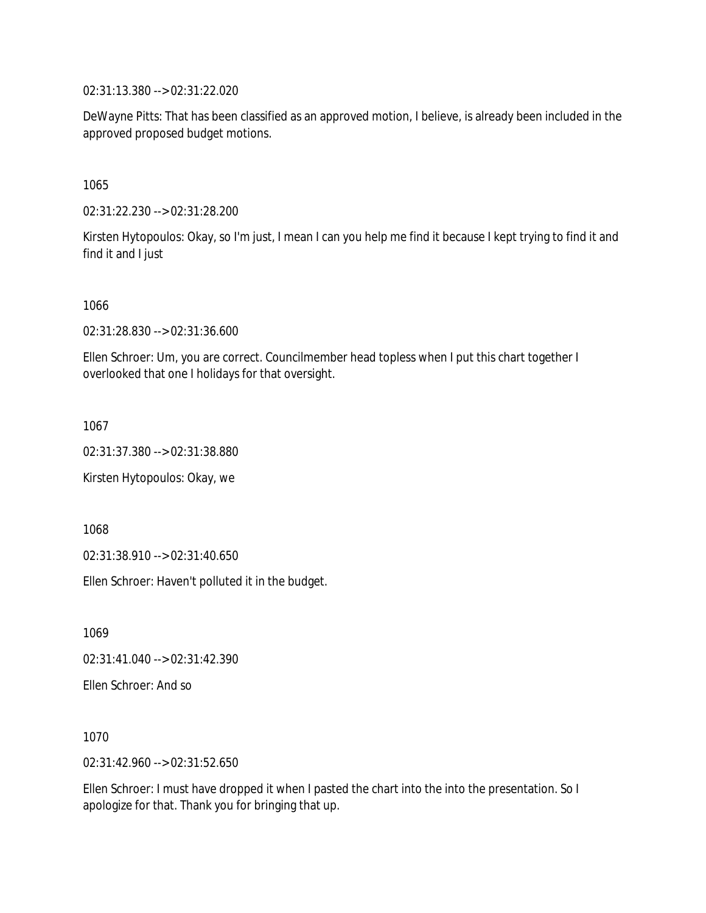02:31:13.380 --> 02:31:22.020

DeWayne Pitts: That has been classified as an approved motion, I believe, is already been included in the approved proposed budget motions.

1065

02:31:22.230 --> 02:31:28.200

Kirsten Hytopoulos: Okay, so I'm just, I mean I can you help me find it because I kept trying to find it and find it and I just

1066

02:31:28.830 --> 02:31:36.600

Ellen Schroer: Um, you are correct. Councilmember head topless when I put this chart together I overlooked that one I holidays for that oversight.

1067

02:31:37.380 --> 02:31:38.880

Kirsten Hytopoulos: Okay, we

1068

02:31:38.910 --> 02:31:40.650

Ellen Schroer: Haven't polluted it in the budget.

1069

02:31:41.040 --> 02:31:42.390

Ellen Schroer: And so

1070

02:31:42.960 --> 02:31:52.650

Ellen Schroer: I must have dropped it when I pasted the chart into the into the presentation. So I apologize for that. Thank you for bringing that up.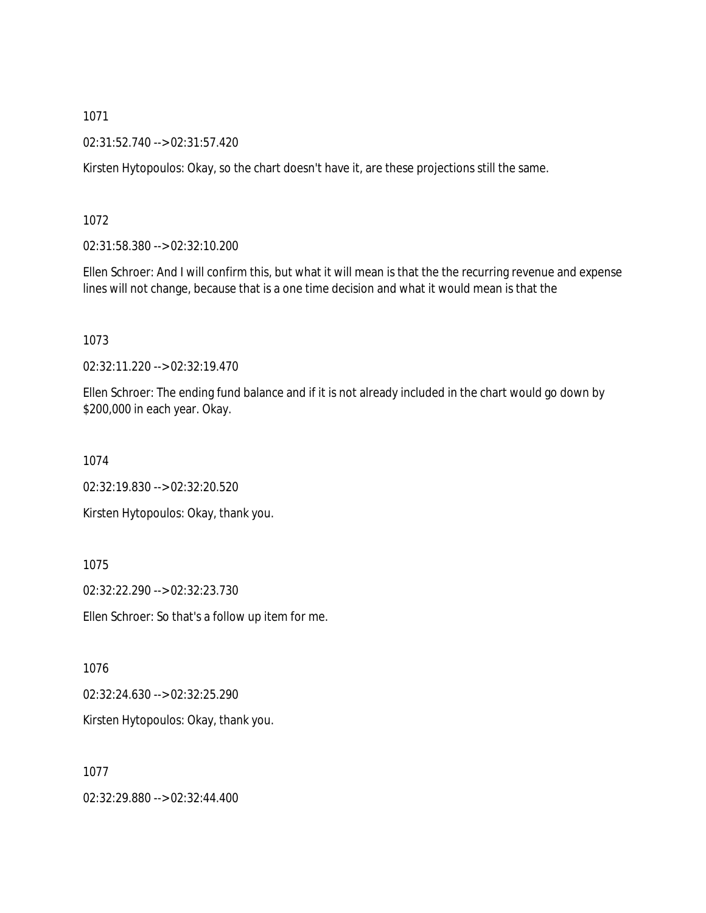02:31:52.740 --> 02:31:57.420

Kirsten Hytopoulos: Okay, so the chart doesn't have it, are these projections still the same.

1072

02:31:58.380 --> 02:32:10.200

Ellen Schroer: And I will confirm this, but what it will mean is that the the recurring revenue and expense lines will not change, because that is a one time decision and what it would mean is that the

1073

02:32:11.220 --> 02:32:19.470

Ellen Schroer: The ending fund balance and if it is not already included in the chart would go down by \$200,000 in each year. Okay.

1074

02:32:19.830 --> 02:32:20.520

Kirsten Hytopoulos: Okay, thank you.

1075

02:32:22.290 --> 02:32:23.730

Ellen Schroer: So that's a follow up item for me.

1076

02:32:24.630 --> 02:32:25.290

Kirsten Hytopoulos: Okay, thank you.

1077

02:32:29.880 --> 02:32:44.400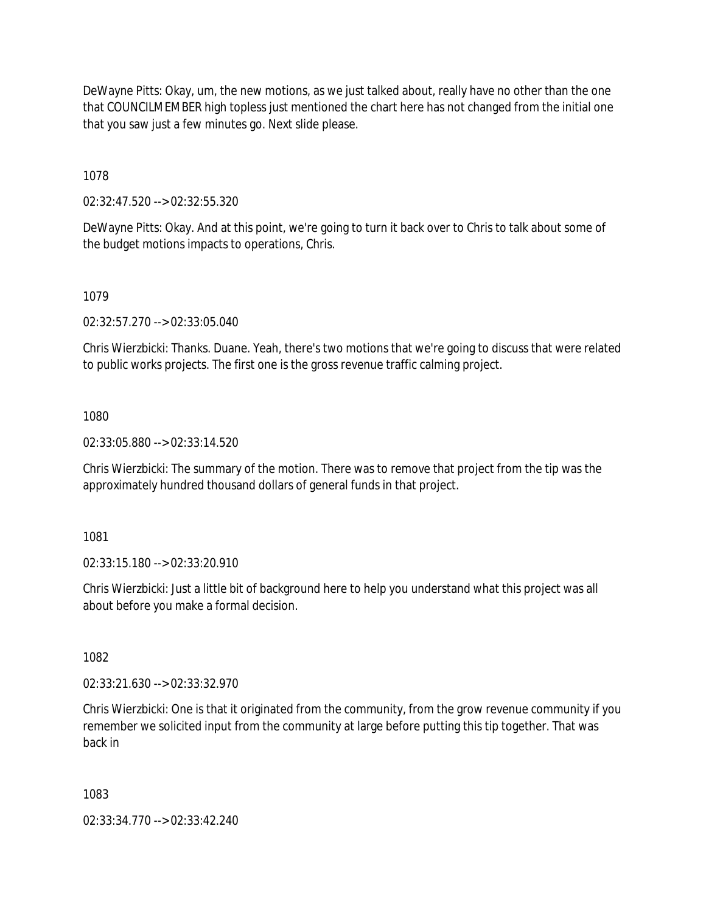DeWayne Pitts: Okay, um, the new motions, as we just talked about, really have no other than the one that COUNCILMEMBER high topless just mentioned the chart here has not changed from the initial one that you saw just a few minutes go. Next slide please.

1078

02:32:47.520 --> 02:32:55.320

DeWayne Pitts: Okay. And at this point, we're going to turn it back over to Chris to talk about some of the budget motions impacts to operations, Chris.

## 1079

02:32:57.270 --> 02:33:05.040

Chris Wierzbicki: Thanks. Duane. Yeah, there's two motions that we're going to discuss that were related to public works projects. The first one is the gross revenue traffic calming project.

## 1080

02:33:05.880 --> 02:33:14.520

Chris Wierzbicki: The summary of the motion. There was to remove that project from the tip was the approximately hundred thousand dollars of general funds in that project.

1081

02:33:15.180 --> 02:33:20.910

Chris Wierzbicki: Just a little bit of background here to help you understand what this project was all about before you make a formal decision.

1082

02:33:21.630 --> 02:33:32.970

Chris Wierzbicki: One is that it originated from the community, from the grow revenue community if you remember we solicited input from the community at large before putting this tip together. That was back in

1083

02:33:34.770 --> 02:33:42.240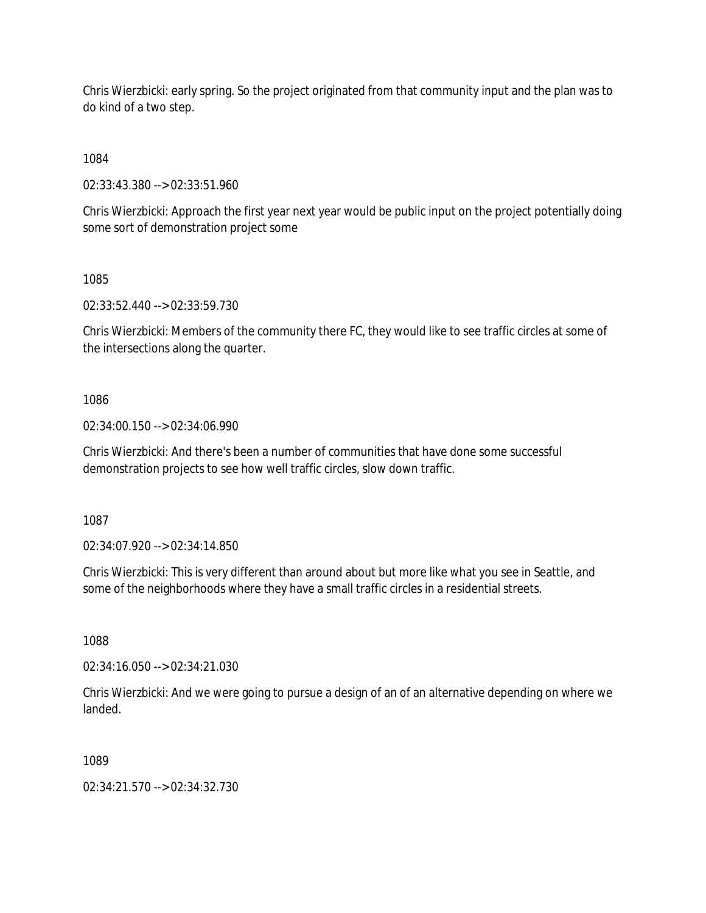Chris Wierzbicki: early spring. So the project originated from that community input and the plan was to do kind of a two step.

1084

02:33:43.380 --> 02:33:51.960

Chris Wierzbicki: Approach the first year next year would be public input on the project potentially doing some sort of demonstration project some

1085

02:33:52.440 --> 02:33:59.730

Chris Wierzbicki: Members of the community there FC, they would like to see traffic circles at some of the intersections along the quarter.

1086

02:34:00.150 --> 02:34:06.990

Chris Wierzbicki: And there's been a number of communities that have done some successful demonstration projects to see how well traffic circles, slow down traffic.

1087

02:34:07.920 --> 02:34:14.850

Chris Wierzbicki: This is very different than around about but more like what you see in Seattle, and some of the neighborhoods where they have a small traffic circles in a residential streets.

1088

02:34:16.050 --> 02:34:21.030

Chris Wierzbicki: And we were going to pursue a design of an of an alternative depending on where we landed.

1089

02:34:21.570 --> 02:34:32.730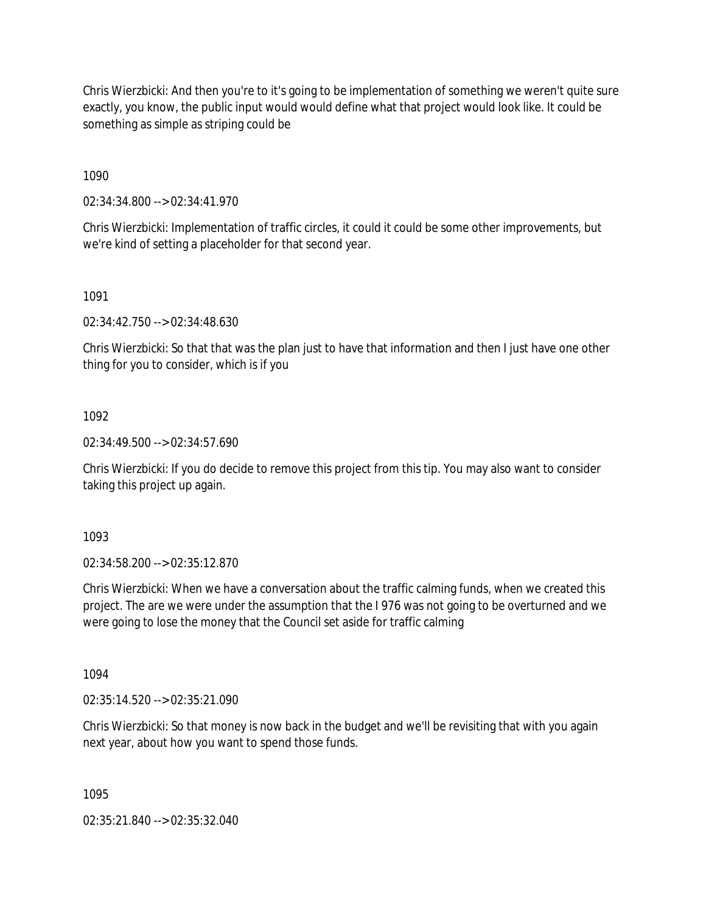Chris Wierzbicki: And then you're to it's going to be implementation of something we weren't quite sure exactly, you know, the public input would would define what that project would look like. It could be something as simple as striping could be

1090

02:34:34.800 --> 02:34:41.970

Chris Wierzbicki: Implementation of traffic circles, it could it could be some other improvements, but we're kind of setting a placeholder for that second year.

1091

02:34:42.750 --> 02:34:48.630

Chris Wierzbicki: So that that was the plan just to have that information and then I just have one other thing for you to consider, which is if you

## 1092

02:34:49.500 --> 02:34:57.690

Chris Wierzbicki: If you do decide to remove this project from this tip. You may also want to consider taking this project up again.

1093

02:34:58.200 --> 02:35:12.870

Chris Wierzbicki: When we have a conversation about the traffic calming funds, when we created this project. The are we were under the assumption that the I 976 was not going to be overturned and we were going to lose the money that the Council set aside for traffic calming

1094

02:35:14.520 --> 02:35:21.090

Chris Wierzbicki: So that money is now back in the budget and we'll be revisiting that with you again next year, about how you want to spend those funds.

1095

02:35:21.840 --> 02:35:32.040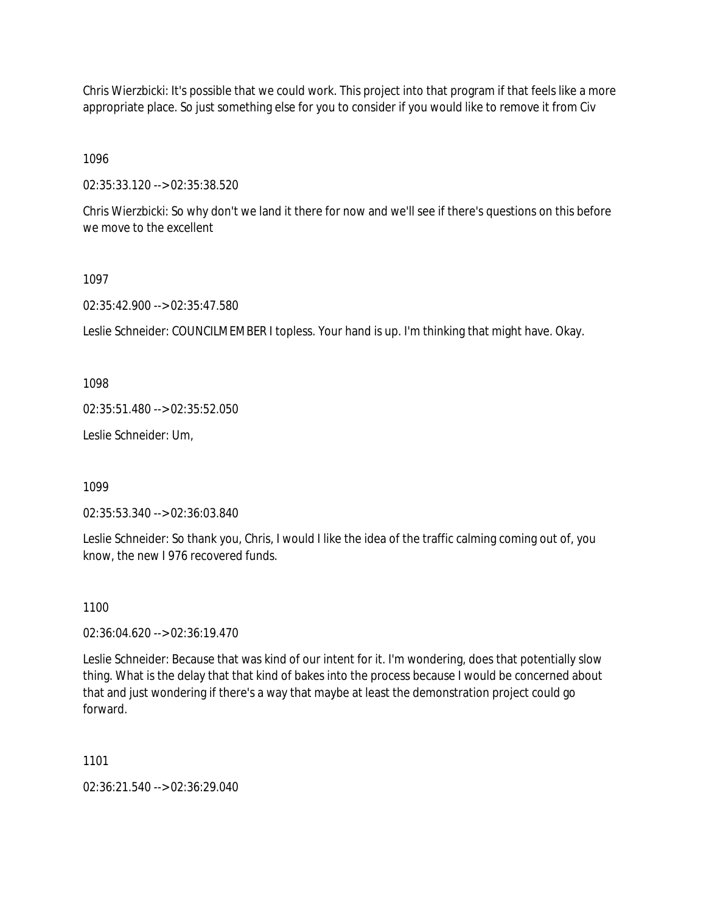Chris Wierzbicki: It's possible that we could work. This project into that program if that feels like a more appropriate place. So just something else for you to consider if you would like to remove it from Civ

1096

02:35:33.120 --> 02:35:38.520

Chris Wierzbicki: So why don't we land it there for now and we'll see if there's questions on this before we move to the excellent

## 1097

02:35:42.900 --> 02:35:47.580

Leslie Schneider: COUNCILMEMBER I topless. Your hand is up. I'm thinking that might have. Okay.

1098

02:35:51.480 --> 02:35:52.050

Leslie Schneider: Um,

1099

02:35:53.340 --> 02:36:03.840

Leslie Schneider: So thank you, Chris, I would I like the idea of the traffic calming coming out of, you know, the new I 976 recovered funds.

# 1100

02:36:04.620 --> 02:36:19.470

Leslie Schneider: Because that was kind of our intent for it. I'm wondering, does that potentially slow thing. What is the delay that that kind of bakes into the process because I would be concerned about that and just wondering if there's a way that maybe at least the demonstration project could go forward.

1101

02:36:21.540 --> 02:36:29.040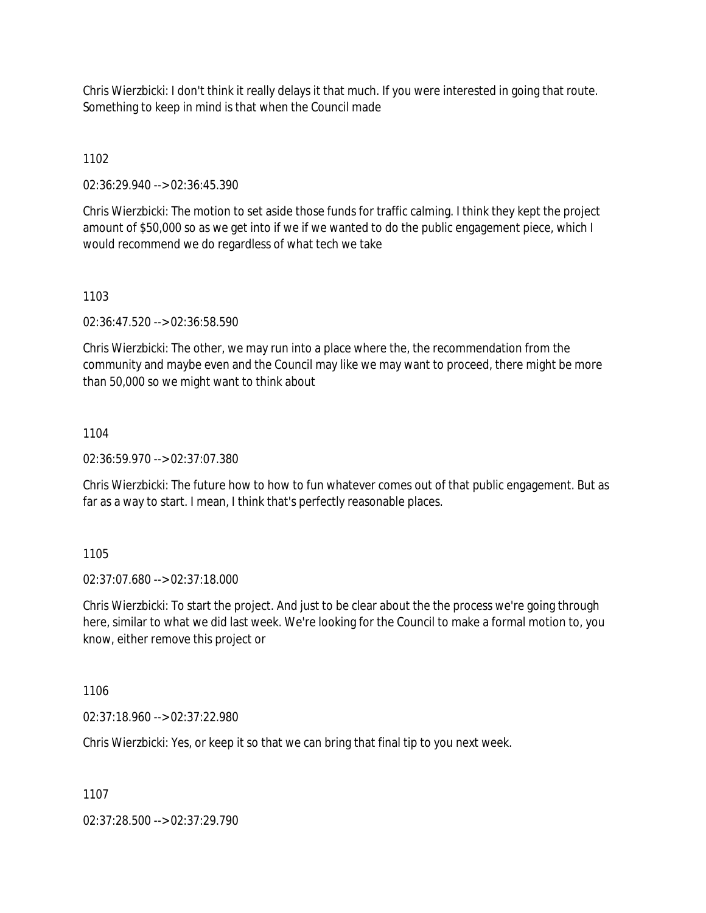Chris Wierzbicki: I don't think it really delays it that much. If you were interested in going that route. Something to keep in mind is that when the Council made

1102

02:36:29.940 --> 02:36:45.390

Chris Wierzbicki: The motion to set aside those funds for traffic calming. I think they kept the project amount of \$50,000 so as we get into if we if we wanted to do the public engagement piece, which I would recommend we do regardless of what tech we take

1103

02:36:47.520 --> 02:36:58.590

Chris Wierzbicki: The other, we may run into a place where the, the recommendation from the community and maybe even and the Council may like we may want to proceed, there might be more than 50,000 so we might want to think about

1104

02:36:59.970 --> 02:37:07.380

Chris Wierzbicki: The future how to how to fun whatever comes out of that public engagement. But as far as a way to start. I mean, I think that's perfectly reasonable places.

1105

02:37:07.680 --> 02:37:18.000

Chris Wierzbicki: To start the project. And just to be clear about the the process we're going through here, similar to what we did last week. We're looking for the Council to make a formal motion to, you know, either remove this project or

1106

02:37:18.960 --> 02:37:22.980

Chris Wierzbicki: Yes, or keep it so that we can bring that final tip to you next week.

1107

02:37:28.500 --> 02:37:29.790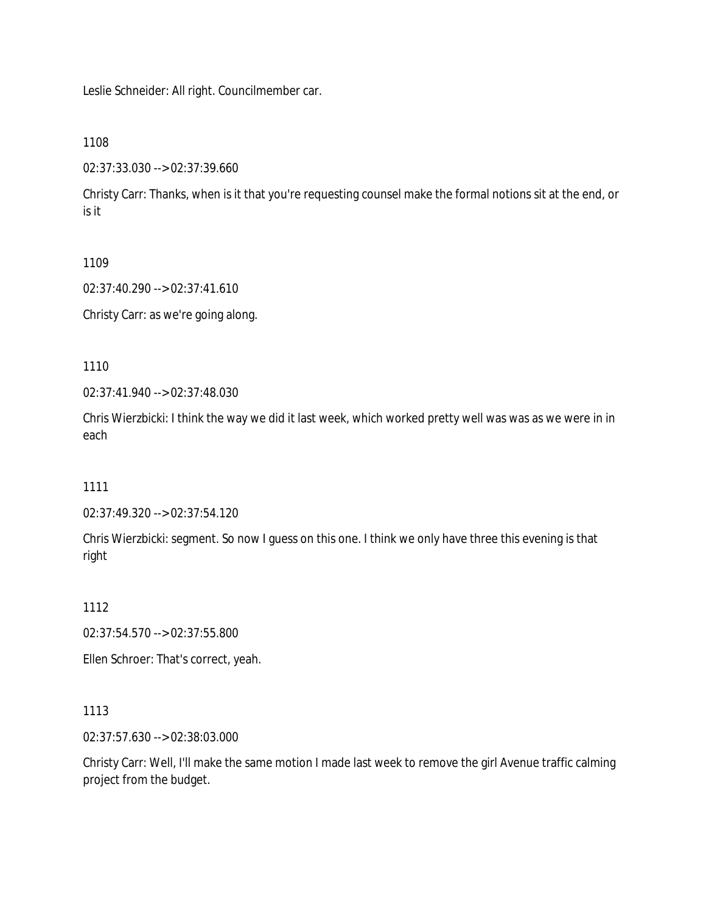Leslie Schneider: All right. Councilmember car.

1108

02:37:33.030 --> 02:37:39.660

Christy Carr: Thanks, when is it that you're requesting counsel make the formal notions sit at the end, or is it

1109

02:37:40.290 --> 02:37:41.610

Christy Carr: as we're going along.

1110

02:37:41.940 --> 02:37:48.030

Chris Wierzbicki: I think the way we did it last week, which worked pretty well was was as we were in in each

1111

02:37:49.320 --> 02:37:54.120

Chris Wierzbicki: segment. So now I guess on this one. I think we only have three this evening is that right

1112

02:37:54.570 --> 02:37:55.800

Ellen Schroer: That's correct, yeah.

1113

02:37:57.630 --> 02:38:03.000

Christy Carr: Well, I'll make the same motion I made last week to remove the girl Avenue traffic calming project from the budget.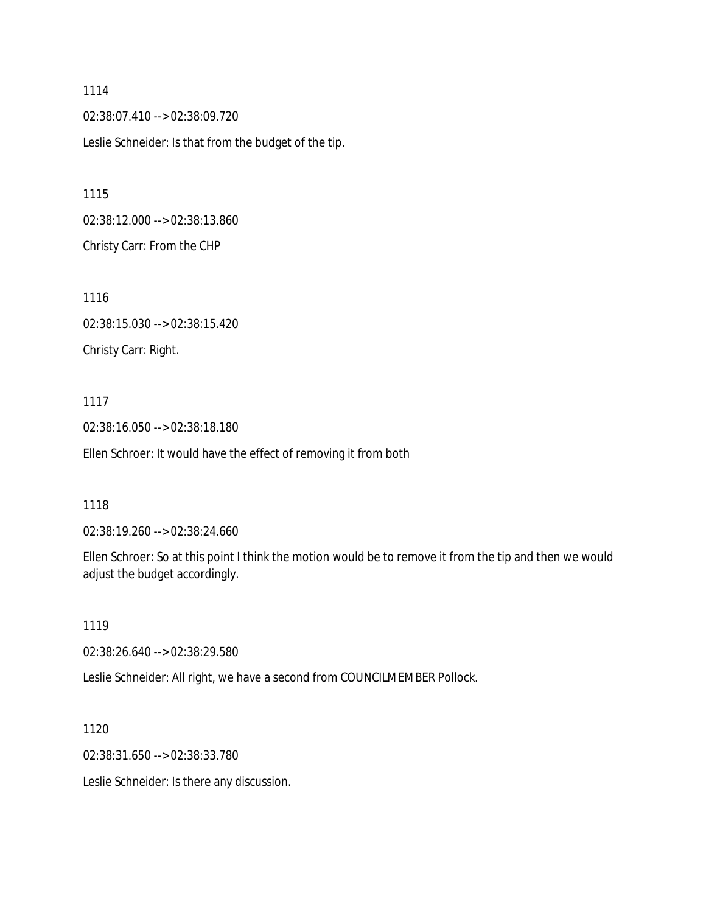02:38:07.410 --> 02:38:09.720

Leslie Schneider: Is that from the budget of the tip.

1115

02:38:12.000 --> 02:38:13.860 Christy Carr: From the CHP

1116 02:38:15.030 --> 02:38:15.420 Christy Carr: Right.

1117

02:38:16.050 --> 02:38:18.180

Ellen Schroer: It would have the effect of removing it from both

1118

02:38:19.260 --> 02:38:24.660

Ellen Schroer: So at this point I think the motion would be to remove it from the tip and then we would adjust the budget accordingly.

1119

02:38:26.640 --> 02:38:29.580

Leslie Schneider: All right, we have a second from COUNCILMEMBER Pollock.

1120

02:38:31.650 --> 02:38:33.780

Leslie Schneider: Is there any discussion.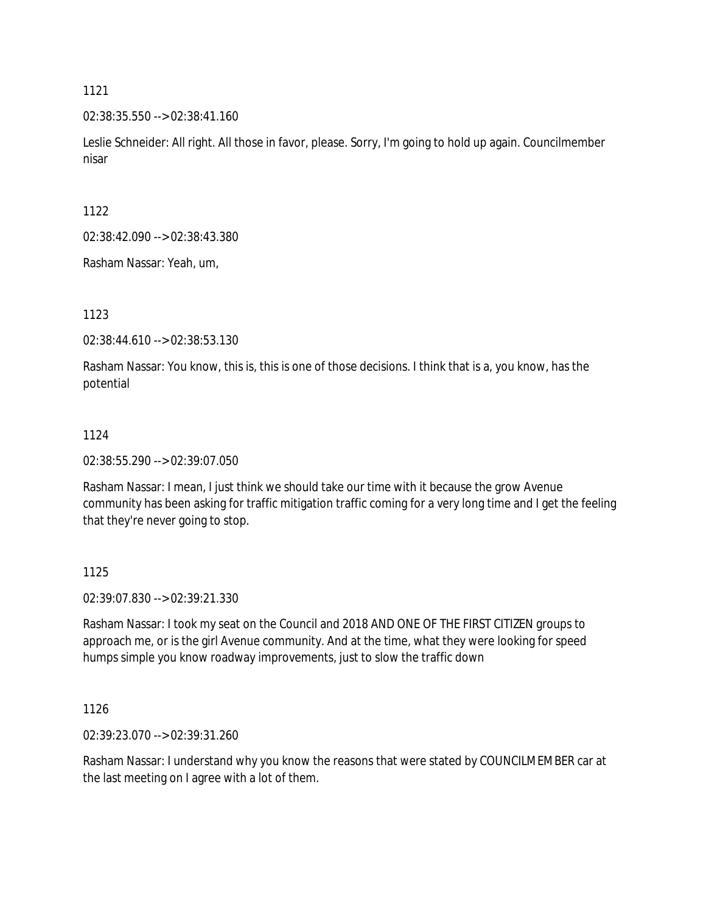02:38:35.550 --> 02:38:41.160

Leslie Schneider: All right. All those in favor, please. Sorry, I'm going to hold up again. Councilmember nisar

1122

02:38:42.090 --> 02:38:43.380

Rasham Nassar: Yeah, um,

1123

02:38:44.610 --> 02:38:53.130

Rasham Nassar: You know, this is, this is one of those decisions. I think that is a, you know, has the potential

#### 1124

02:38:55.290 --> 02:39:07.050

Rasham Nassar: I mean, I just think we should take our time with it because the grow Avenue community has been asking for traffic mitigation traffic coming for a very long time and I get the feeling that they're never going to stop.

1125

02:39:07.830 --> 02:39:21.330

Rasham Nassar: I took my seat on the Council and 2018 AND ONE OF THE FIRST CITIZEN groups to approach me, or is the girl Avenue community. And at the time, what they were looking for speed humps simple you know roadway improvements, just to slow the traffic down

1126

02:39:23.070 --> 02:39:31.260

Rasham Nassar: I understand why you know the reasons that were stated by COUNCILMEMBER car at the last meeting on I agree with a lot of them.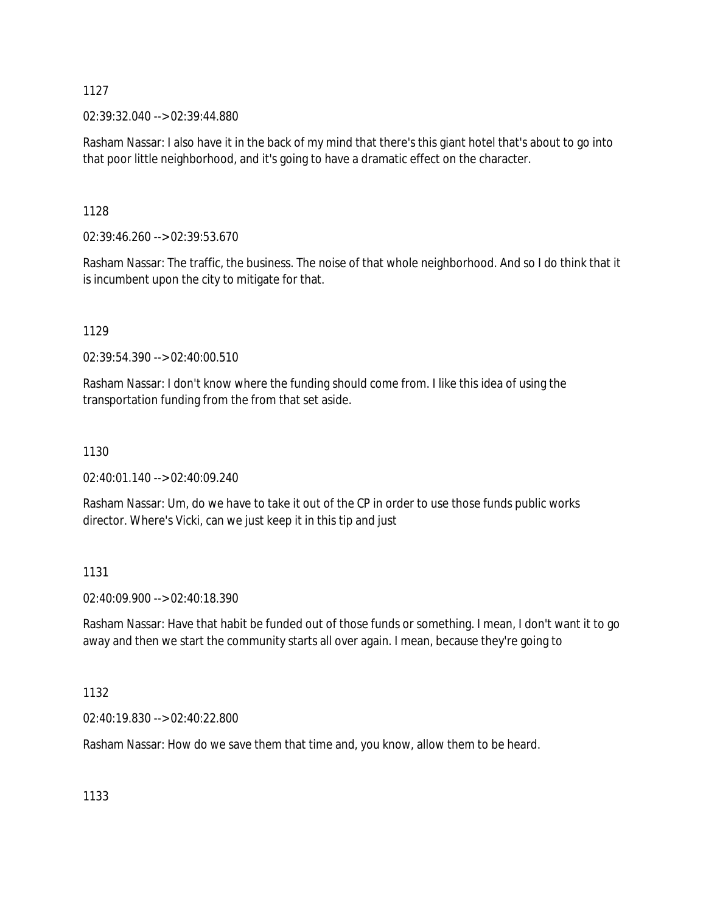02:39:32.040 --> 02:39:44.880

Rasham Nassar: I also have it in the back of my mind that there's this giant hotel that's about to go into that poor little neighborhood, and it's going to have a dramatic effect on the character.

1128

02:39:46.260 --> 02:39:53.670

Rasham Nassar: The traffic, the business. The noise of that whole neighborhood. And so I do think that it is incumbent upon the city to mitigate for that.

1129

02:39:54.390 --> 02:40:00.510

Rasham Nassar: I don't know where the funding should come from. I like this idea of using the transportation funding from the from that set aside.

1130

02:40:01.140 --> 02:40:09.240

Rasham Nassar: Um, do we have to take it out of the CP in order to use those funds public works director. Where's Vicki, can we just keep it in this tip and just

1131

02:40:09.900 --> 02:40:18.390

Rasham Nassar: Have that habit be funded out of those funds or something. I mean, I don't want it to go away and then we start the community starts all over again. I mean, because they're going to

1132

02:40:19.830 --> 02:40:22.800

Rasham Nassar: How do we save them that time and, you know, allow them to be heard.

1133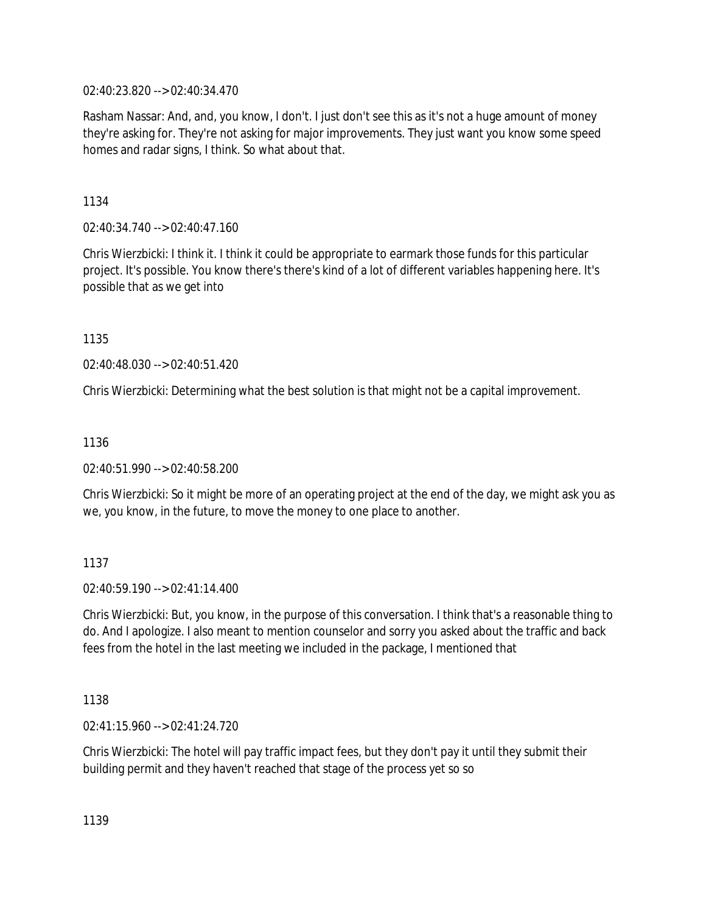02:40:23.820 --> 02:40:34.470

Rasham Nassar: And, and, you know, I don't. I just don't see this as it's not a huge amount of money they're asking for. They're not asking for major improvements. They just want you know some speed homes and radar signs, I think. So what about that.

1134

02:40:34.740 --> 02:40:47.160

Chris Wierzbicki: I think it. I think it could be appropriate to earmark those funds for this particular project. It's possible. You know there's there's kind of a lot of different variables happening here. It's possible that as we get into

1135

02:40:48.030 --> 02:40:51.420

Chris Wierzbicki: Determining what the best solution is that might not be a capital improvement.

1136

02:40:51.990 --> 02:40:58.200

Chris Wierzbicki: So it might be more of an operating project at the end of the day, we might ask you as we, you know, in the future, to move the money to one place to another.

1137

 $02.40.59190 -502.41.14400$ 

Chris Wierzbicki: But, you know, in the purpose of this conversation. I think that's a reasonable thing to do. And I apologize. I also meant to mention counselor and sorry you asked about the traffic and back fees from the hotel in the last meeting we included in the package, I mentioned that

1138

02:41:15.960 --> 02:41:24.720

Chris Wierzbicki: The hotel will pay traffic impact fees, but they don't pay it until they submit their building permit and they haven't reached that stage of the process yet so so

1139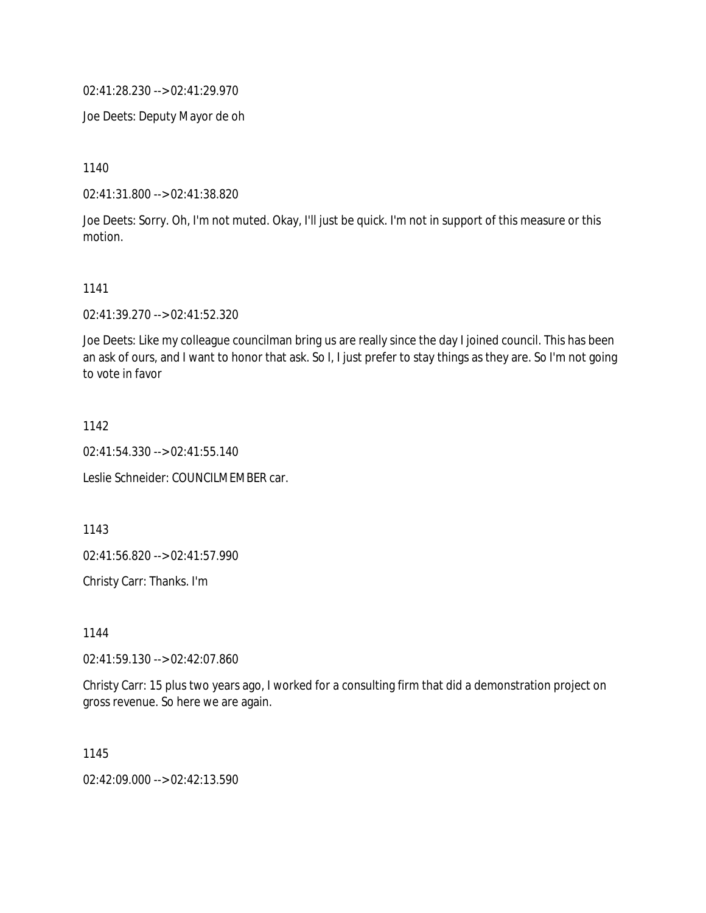02:41:28.230 --> 02:41:29.970

Joe Deets: Deputy Mayor de oh

1140

02:41:31.800 --> 02:41:38.820

Joe Deets: Sorry. Oh, I'm not muted. Okay, I'll just be quick. I'm not in support of this measure or this motion.

#### 1141

02:41:39.270 --> 02:41:52.320

Joe Deets: Like my colleague councilman bring us are really since the day I joined council. This has been an ask of ours, and I want to honor that ask. So I, I just prefer to stay things as they are. So I'm not going to vote in favor

1142

02:41:54.330 --> 02:41:55.140

Leslie Schneider: COUNCILMEMBER car.

1143

02:41:56.820 --> 02:41:57.990

Christy Carr: Thanks. I'm

1144

02:41:59.130 --> 02:42:07.860

Christy Carr: 15 plus two years ago, I worked for a consulting firm that did a demonstration project on gross revenue. So here we are again.

1145

02:42:09.000 --> 02:42:13.590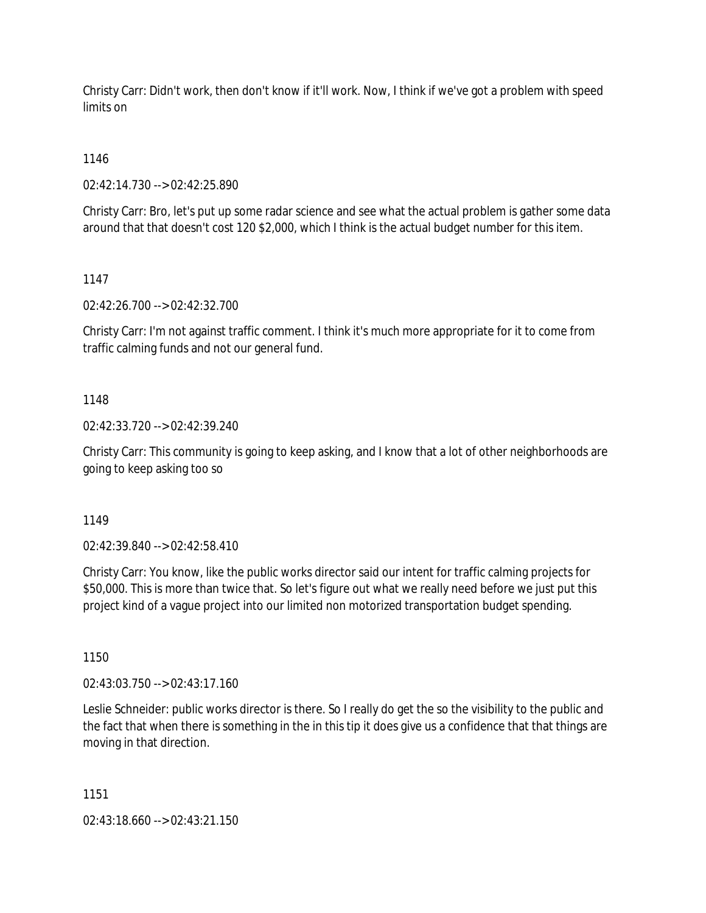Christy Carr: Didn't work, then don't know if it'll work. Now, I think if we've got a problem with speed limits on

1146

02:42:14.730 --> 02:42:25.890

Christy Carr: Bro, let's put up some radar science and see what the actual problem is gather some data around that that doesn't cost 120 \$2,000, which I think is the actual budget number for this item.

1147

02:42:26.700 --> 02:42:32.700

Christy Carr: I'm not against traffic comment. I think it's much more appropriate for it to come from traffic calming funds and not our general fund.

1148

02:42:33.720 --> 02:42:39.240

Christy Carr: This community is going to keep asking, and I know that a lot of other neighborhoods are going to keep asking too so

1149

02:42:39.840 --> 02:42:58.410

Christy Carr: You know, like the public works director said our intent for traffic calming projects for \$50,000. This is more than twice that. So let's figure out what we really need before we just put this project kind of a vague project into our limited non motorized transportation budget spending.

1150

02:43:03.750 --> 02:43:17.160

Leslie Schneider: public works director is there. So I really do get the so the visibility to the public and the fact that when there is something in the in this tip it does give us a confidence that that things are moving in that direction.

1151

02:43:18.660 --> 02:43:21.150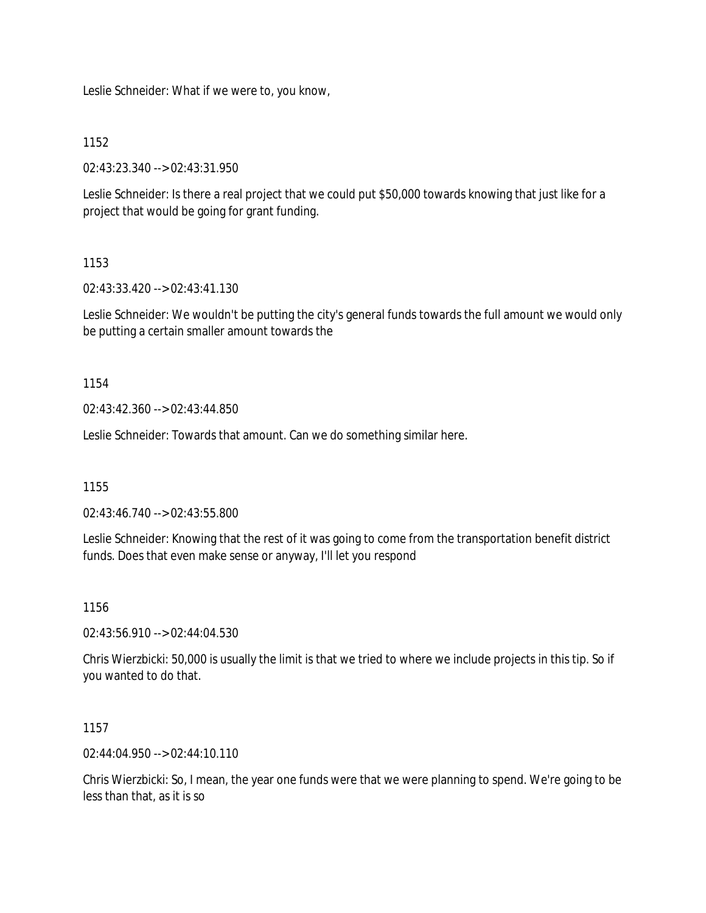Leslie Schneider: What if we were to, you know,

# 1152

02:43:23.340 --> 02:43:31.950

Leslie Schneider: Is there a real project that we could put \$50,000 towards knowing that just like for a project that would be going for grant funding.

# 1153

02:43:33.420 --> 02:43:41.130

Leslie Schneider: We wouldn't be putting the city's general funds towards the full amount we would only be putting a certain smaller amount towards the

1154

02:43:42.360 --> 02:43:44.850

Leslie Schneider: Towards that amount. Can we do something similar here.

1155

02:43:46.740 --> 02:43:55.800

Leslie Schneider: Knowing that the rest of it was going to come from the transportation benefit district funds. Does that even make sense or anyway, I'll let you respond

1156

02:43:56.910 --> 02:44:04.530

Chris Wierzbicki: 50,000 is usually the limit is that we tried to where we include projects in this tip. So if you wanted to do that.

1157

02:44:04.950 --> 02:44:10.110

Chris Wierzbicki: So, I mean, the year one funds were that we were planning to spend. We're going to be less than that, as it is so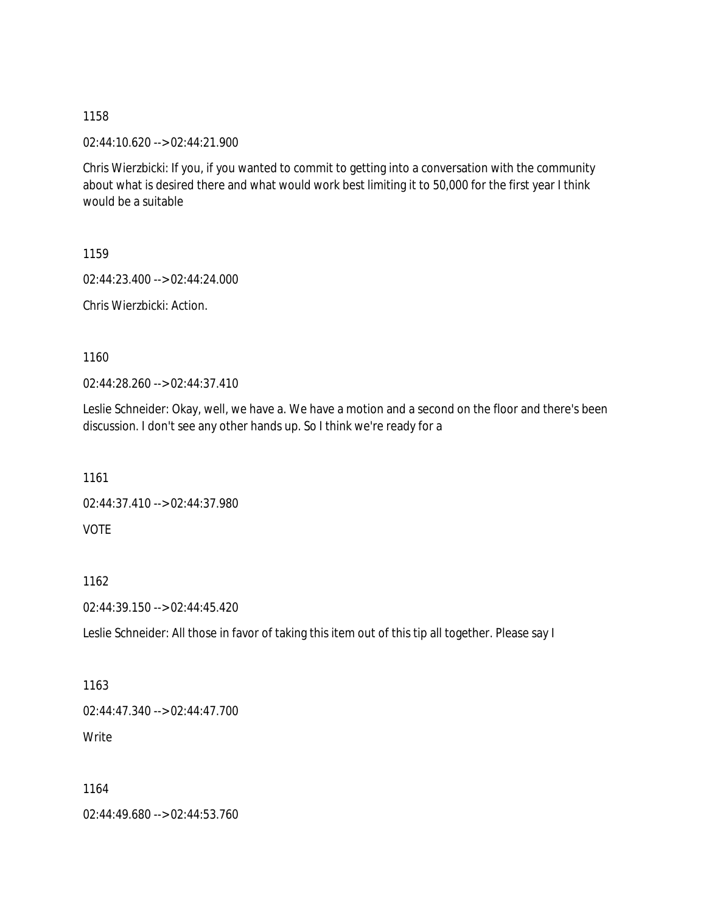02:44:10.620 --> 02:44:21.900

Chris Wierzbicki: If you, if you wanted to commit to getting into a conversation with the community about what is desired there and what would work best limiting it to 50,000 for the first year I think would be a suitable

1159

02:44:23.400 --> 02:44:24.000

Chris Wierzbicki: Action.

1160

02:44:28.260 --> 02:44:37.410

Leslie Schneider: Okay, well, we have a. We have a motion and a second on the floor and there's been discussion. I don't see any other hands up. So I think we're ready for a

1161

02:44:37.410 --> 02:44:37.980 VOTE

1162

02:44:39.150 --> 02:44:45.420

Leslie Schneider: All those in favor of taking this item out of this tip all together. Please say I

1163 02:44:47.340 --> 02:44:47.700 Write

1164

02:44:49.680 --> 02:44:53.760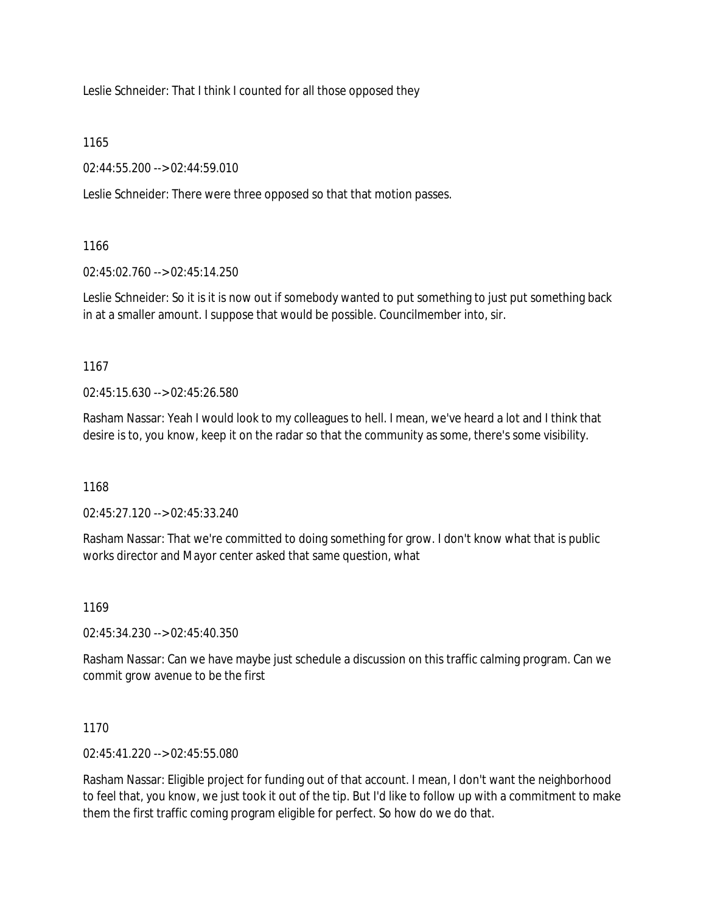Leslie Schneider: That I think I counted for all those opposed they

1165

02:44:55.200 --> 02:44:59.010

Leslie Schneider: There were three opposed so that that motion passes.

1166

02:45:02.760 --> 02:45:14.250

Leslie Schneider: So it is it is now out if somebody wanted to put something to just put something back in at a smaller amount. I suppose that would be possible. Councilmember into, sir.

1167

02:45:15.630 --> 02:45:26.580

Rasham Nassar: Yeah I would look to my colleagues to hell. I mean, we've heard a lot and I think that desire is to, you know, keep it on the radar so that the community as some, there's some visibility.

1168

02:45:27.120 --> 02:45:33.240

Rasham Nassar: That we're committed to doing something for grow. I don't know what that is public works director and Mayor center asked that same question, what

1169

02:45:34.230 --> 02:45:40.350

Rasham Nassar: Can we have maybe just schedule a discussion on this traffic calming program. Can we commit grow avenue to be the first

1170

02:45:41.220 --> 02:45:55.080

Rasham Nassar: Eligible project for funding out of that account. I mean, I don't want the neighborhood to feel that, you know, we just took it out of the tip. But I'd like to follow up with a commitment to make them the first traffic coming program eligible for perfect. So how do we do that.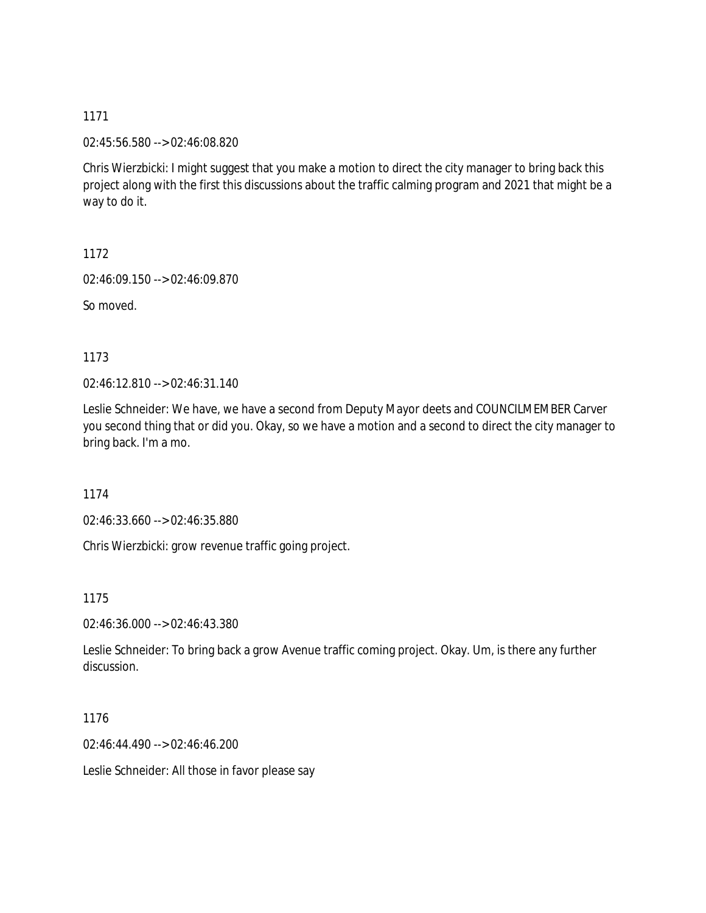02:45:56.580 --> 02:46:08.820

Chris Wierzbicki: I might suggest that you make a motion to direct the city manager to bring back this project along with the first this discussions about the traffic calming program and 2021 that might be a way to do it.

1172

02:46:09.150 --> 02:46:09.870

So moved.

1173

02:46:12.810 --> 02:46:31.140

Leslie Schneider: We have, we have a second from Deputy Mayor deets and COUNCILMEMBER Carver you second thing that or did you. Okay, so we have a motion and a second to direct the city manager to bring back. I'm a mo.

1174

02:46:33.660 --> 02:46:35.880

Chris Wierzbicki: grow revenue traffic going project.

1175

02:46:36.000 --> 02:46:43.380

Leslie Schneider: To bring back a grow Avenue traffic coming project. Okay. Um, is there any further discussion.

1176

02:46:44.490 --> 02:46:46.200

Leslie Schneider: All those in favor please say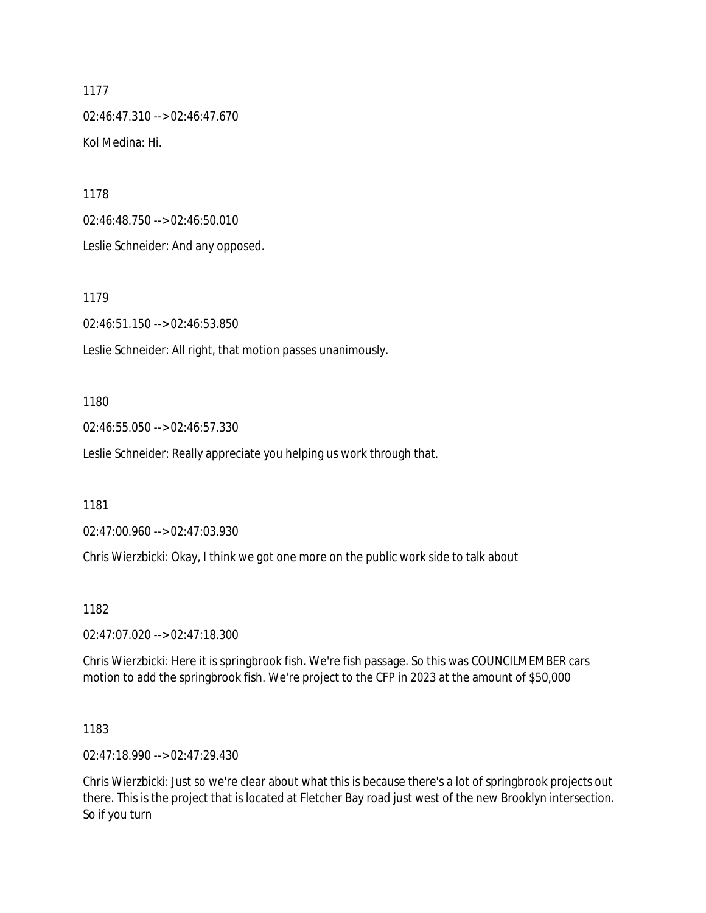1177 02:46:47.310 --> 02:46:47.670 Kol Medina: Hi.

1178

02:46:48.750 --> 02:46:50.010

Leslie Schneider: And any opposed.

1179

02:46:51.150 --> 02:46:53.850

Leslie Schneider: All right, that motion passes unanimously.

#### 1180

02:46:55.050 --> 02:46:57.330

Leslie Schneider: Really appreciate you helping us work through that.

1181

02:47:00.960 --> 02:47:03.930

Chris Wierzbicki: Okay, I think we got one more on the public work side to talk about

1182

02:47:07.020 --> 02:47:18.300

Chris Wierzbicki: Here it is springbrook fish. We're fish passage. So this was COUNCILMEMBER cars motion to add the springbrook fish. We're project to the CFP in 2023 at the amount of \$50,000

1183

02:47:18.990 --> 02:47:29.430

Chris Wierzbicki: Just so we're clear about what this is because there's a lot of springbrook projects out there. This is the project that is located at Fletcher Bay road just west of the new Brooklyn intersection. So if you turn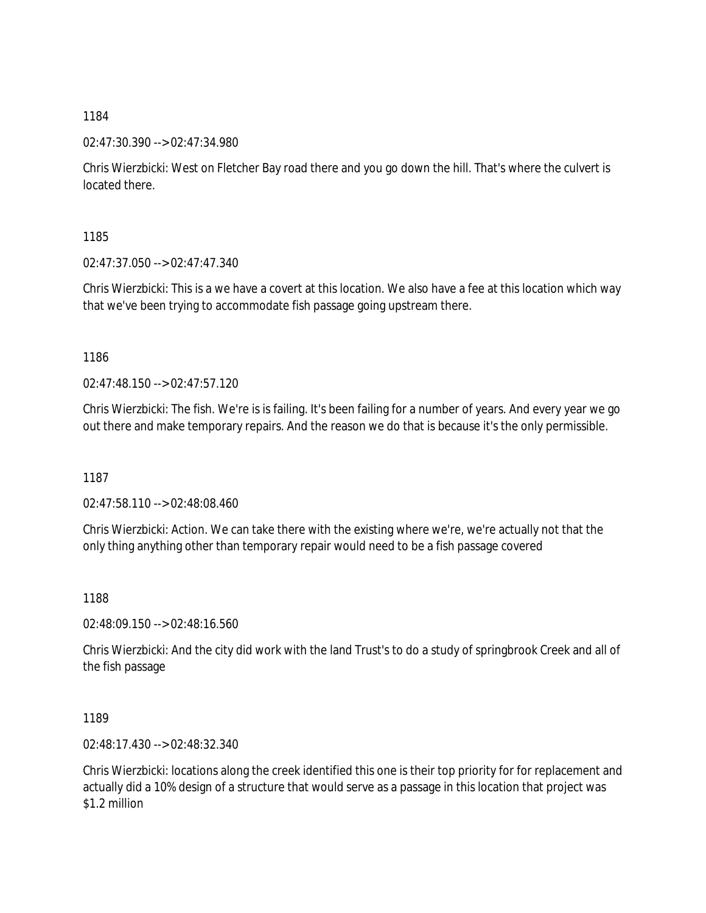02:47:30.390 --> 02:47:34.980

Chris Wierzbicki: West on Fletcher Bay road there and you go down the hill. That's where the culvert is located there.

1185

02:47:37.050 --> 02:47:47.340

Chris Wierzbicki: This is a we have a covert at this location. We also have a fee at this location which way that we've been trying to accommodate fish passage going upstream there.

1186

 $02.47.48$  150 -->  $02.47.57$  120

Chris Wierzbicki: The fish. We're is is failing. It's been failing for a number of years. And every year we go out there and make temporary repairs. And the reason we do that is because it's the only permissible.

1187

02:47:58.110 --> 02:48:08.460

Chris Wierzbicki: Action. We can take there with the existing where we're, we're actually not that the only thing anything other than temporary repair would need to be a fish passage covered

1188

02:48:09.150 --> 02:48:16.560

Chris Wierzbicki: And the city did work with the land Trust's to do a study of springbrook Creek and all of the fish passage

1189

02:48:17.430 --> 02:48:32.340

Chris Wierzbicki: locations along the creek identified this one is their top priority for for replacement and actually did a 10% design of a structure that would serve as a passage in this location that project was \$1.2 million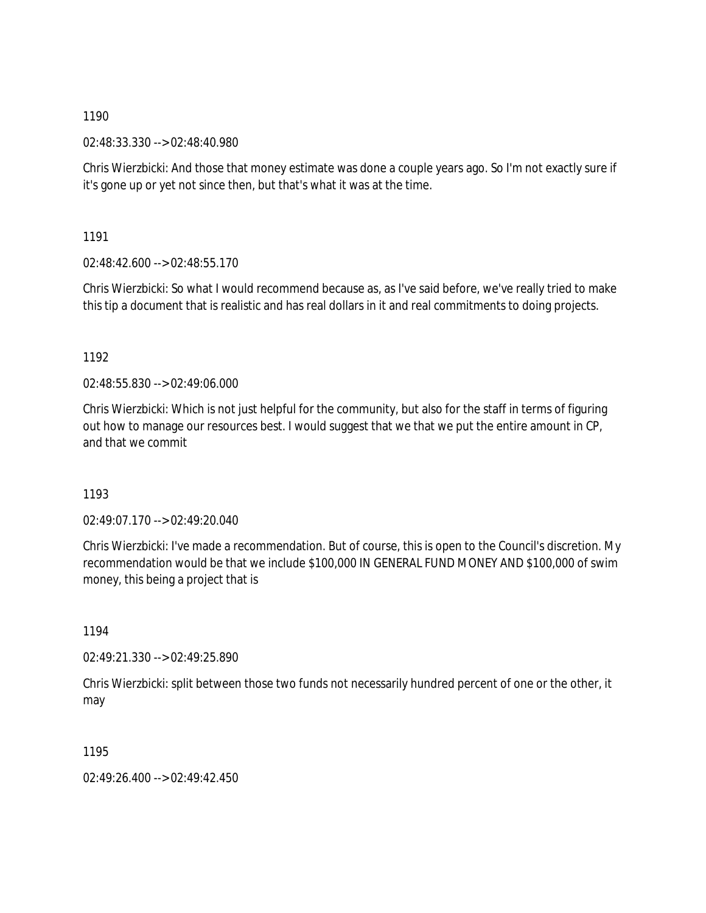02:48:33.330 --> 02:48:40.980

Chris Wierzbicki: And those that money estimate was done a couple years ago. So I'm not exactly sure if it's gone up or yet not since then, but that's what it was at the time.

1191

02:48:42.600 --> 02:48:55.170

Chris Wierzbicki: So what I would recommend because as, as I've said before, we've really tried to make this tip a document that is realistic and has real dollars in it and real commitments to doing projects.

1192

02:48:55.830 --> 02:49:06.000

Chris Wierzbicki: Which is not just helpful for the community, but also for the staff in terms of figuring out how to manage our resources best. I would suggest that we that we put the entire amount in CP, and that we commit

1193

02:49:07.170 --> 02:49:20.040

Chris Wierzbicki: I've made a recommendation. But of course, this is open to the Council's discretion. My recommendation would be that we include \$100,000 IN GENERAL FUND MONEY AND \$100,000 of swim money, this being a project that is

1194

02:49:21.330 --> 02:49:25.890

Chris Wierzbicki: split between those two funds not necessarily hundred percent of one or the other, it may

1195

02:49:26.400 --> 02:49:42.450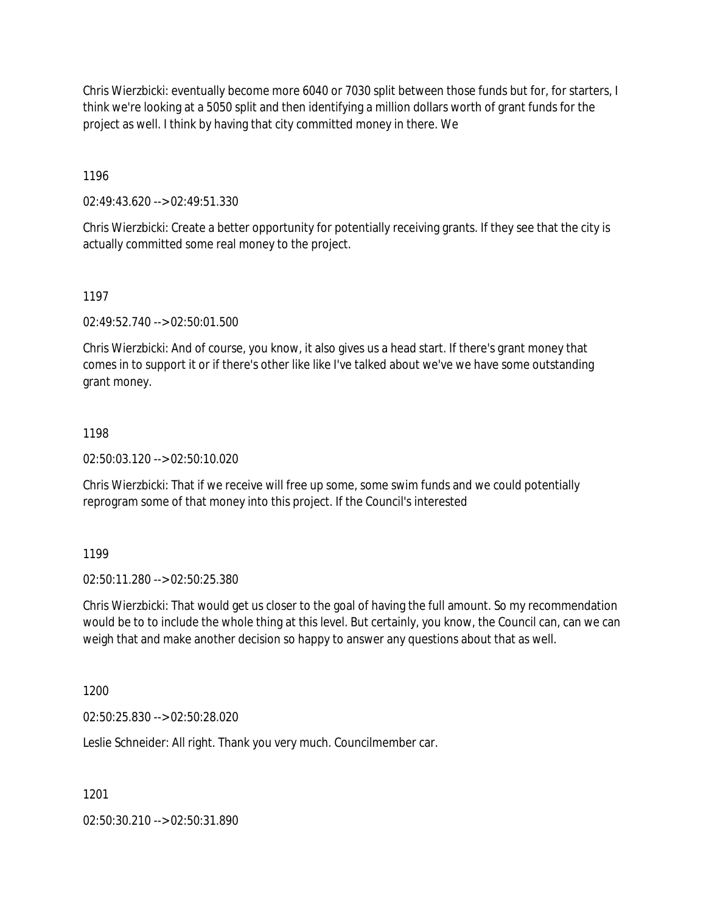Chris Wierzbicki: eventually become more 6040 or 7030 split between those funds but for, for starters, I think we're looking at a 5050 split and then identifying a million dollars worth of grant funds for the project as well. I think by having that city committed money in there. We

1196

02:49:43.620 --> 02:49:51.330

Chris Wierzbicki: Create a better opportunity for potentially receiving grants. If they see that the city is actually committed some real money to the project.

1197

02:49:52.740 --> 02:50:01.500

Chris Wierzbicki: And of course, you know, it also gives us a head start. If there's grant money that comes in to support it or if there's other like like I've talked about we've we have some outstanding grant money.

## 1198

02:50:03.120 --> 02:50:10.020

Chris Wierzbicki: That if we receive will free up some, some swim funds and we could potentially reprogram some of that money into this project. If the Council's interested

1199

02:50:11.280 --> 02:50:25.380

Chris Wierzbicki: That would get us closer to the goal of having the full amount. So my recommendation would be to to include the whole thing at this level. But certainly, you know, the Council can, can we can weigh that and make another decision so happy to answer any questions about that as well.

1200

02:50:25.830 --> 02:50:28.020

Leslie Schneider: All right. Thank you very much. Councilmember car.

1201

02:50:30.210 --> 02:50:31.890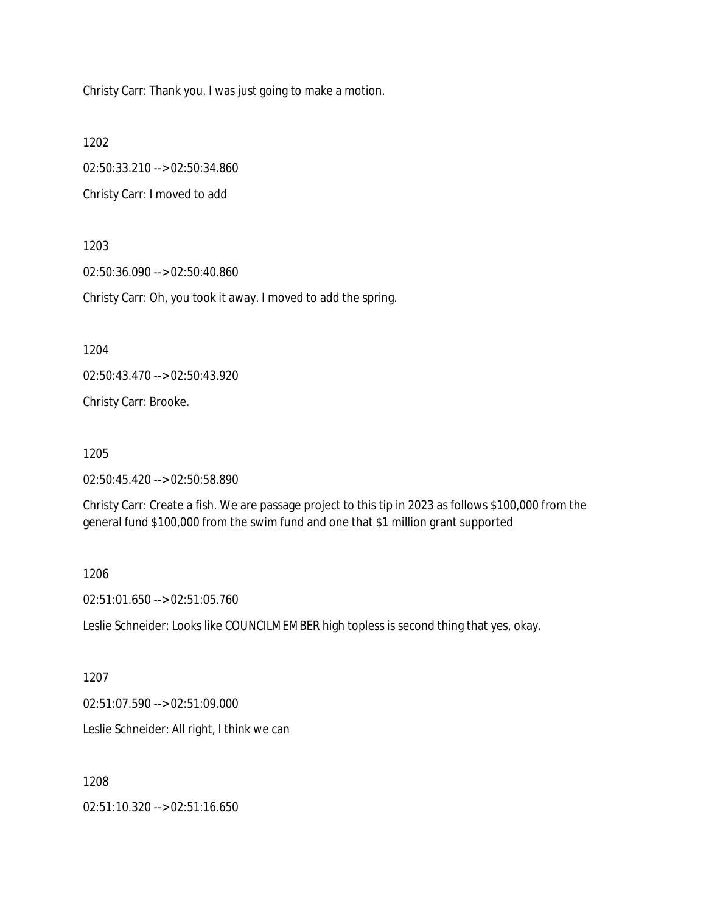Christy Carr: Thank you. I was just going to make a motion.

1202

02:50:33.210 --> 02:50:34.860 Christy Carr: I moved to add

1203

02:50:36.090 --> 02:50:40.860

Christy Carr: Oh, you took it away. I moved to add the spring.

1204

02:50:43.470 --> 02:50:43.920

Christy Carr: Brooke.

1205

02:50:45.420 --> 02:50:58.890

Christy Carr: Create a fish. We are passage project to this tip in 2023 as follows \$100,000 from the general fund \$100,000 from the swim fund and one that \$1 million grant supported

1206

02:51:01.650 --> 02:51:05.760

Leslie Schneider: Looks like COUNCILMEMBER high topless is second thing that yes, okay.

1207

02:51:07.590 --> 02:51:09.000

Leslie Schneider: All right, I think we can

1208

02:51:10.320 --> 02:51:16.650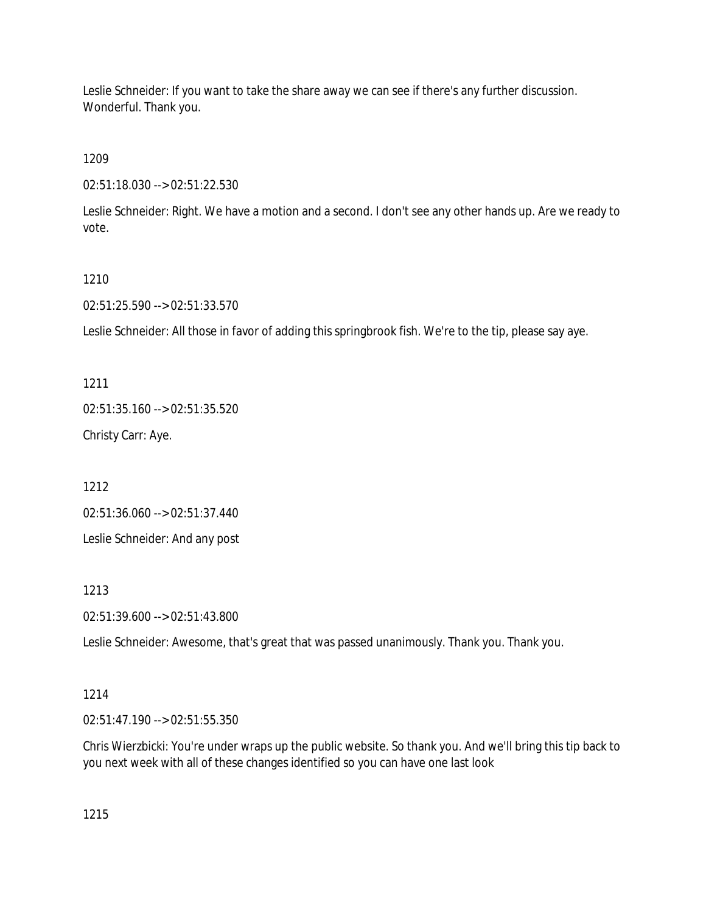Leslie Schneider: If you want to take the share away we can see if there's any further discussion. Wonderful. Thank you.

1209

02:51:18.030 --> 02:51:22.530

Leslie Schneider: Right. We have a motion and a second. I don't see any other hands up. Are we ready to vote.

# 1210

02:51:25.590 --> 02:51:33.570

Leslie Schneider: All those in favor of adding this springbrook fish. We're to the tip, please say aye.

1211 02:51:35.160 --> 02:51:35.520 Christy Carr: Aye.

1212

02:51:36.060 --> 02:51:37.440

Leslie Schneider: And any post

1213

02:51:39.600 --> 02:51:43.800

Leslie Schneider: Awesome, that's great that was passed unanimously. Thank you. Thank you.

# 1214

02:51:47.190 --> 02:51:55.350

Chris Wierzbicki: You're under wraps up the public website. So thank you. And we'll bring this tip back to you next week with all of these changes identified so you can have one last look

1215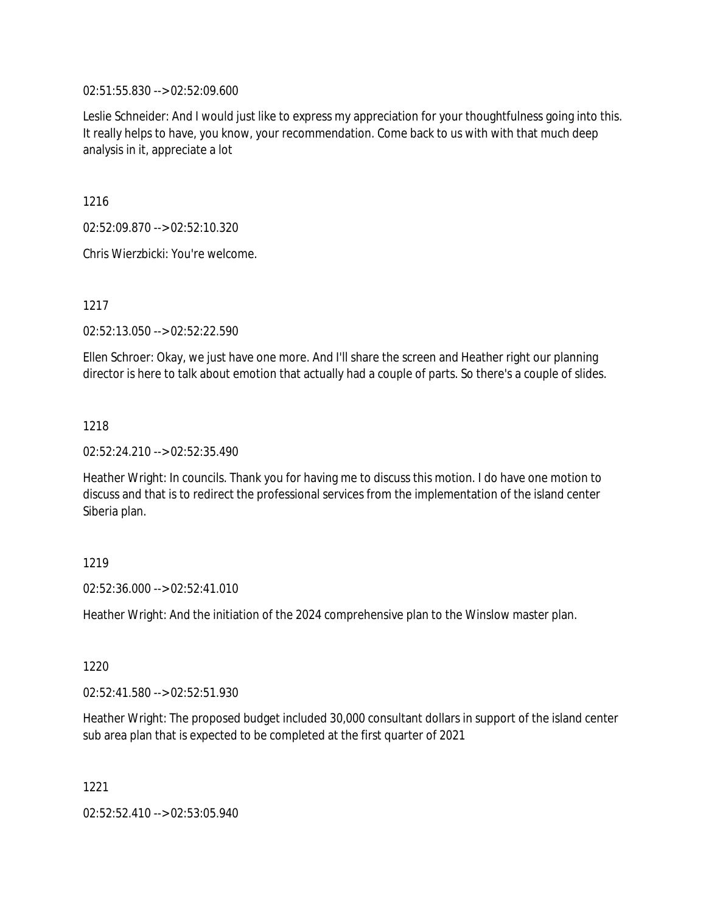02:51:55.830 --> 02:52:09.600

Leslie Schneider: And I would just like to express my appreciation for your thoughtfulness going into this. It really helps to have, you know, your recommendation. Come back to us with with that much deep analysis in it, appreciate a lot

1216

02:52:09.870 --> 02:52:10.320

Chris Wierzbicki: You're welcome.

1217

02:52:13.050 --> 02:52:22.590

Ellen Schroer: Okay, we just have one more. And I'll share the screen and Heather right our planning director is here to talk about emotion that actually had a couple of parts. So there's a couple of slides.

1218

02:52:24.210 --> 02:52:35.490

Heather Wright: In councils. Thank you for having me to discuss this motion. I do have one motion to discuss and that is to redirect the professional services from the implementation of the island center Siberia plan.

## 1219

02:52:36.000 --> 02:52:41.010

Heather Wright: And the initiation of the 2024 comprehensive plan to the Winslow master plan.

1220

02:52:41.580 --> 02:52:51.930

Heather Wright: The proposed budget included 30,000 consultant dollars in support of the island center sub area plan that is expected to be completed at the first quarter of 2021

1221

02:52:52.410 --> 02:53:05.940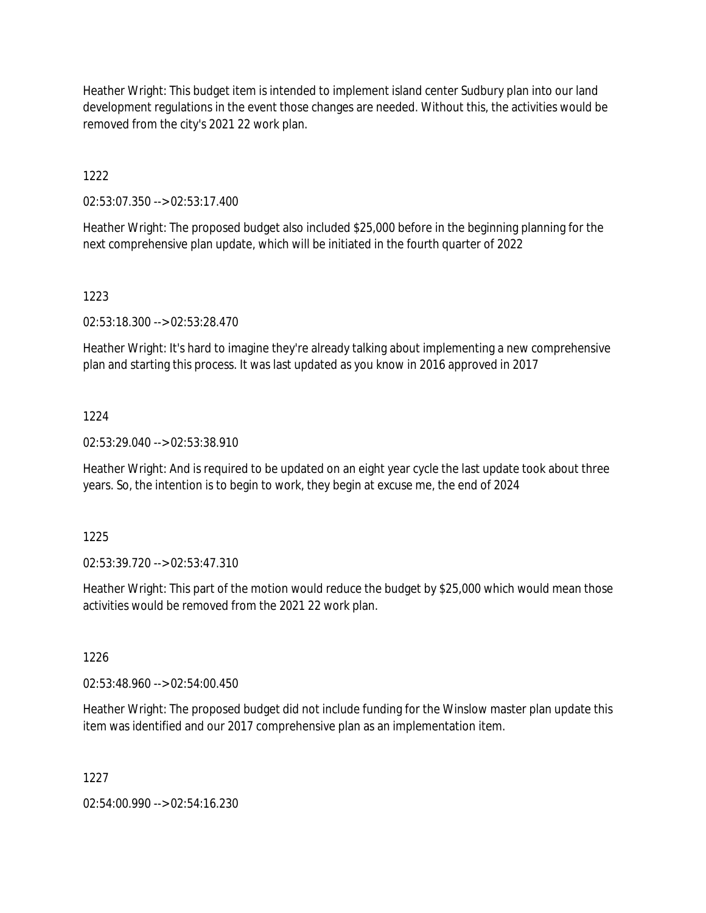Heather Wright: This budget item is intended to implement island center Sudbury plan into our land development regulations in the event those changes are needed. Without this, the activities would be removed from the city's 2021 22 work plan.

1222

02:53:07.350 --> 02:53:17.400

Heather Wright: The proposed budget also included \$25,000 before in the beginning planning for the next comprehensive plan update, which will be initiated in the fourth quarter of 2022

# 1223

02:53:18.300 --> 02:53:28.470

Heather Wright: It's hard to imagine they're already talking about implementing a new comprehensive plan and starting this process. It was last updated as you know in 2016 approved in 2017

# 1224

02:53:29.040 --> 02:53:38.910

Heather Wright: And is required to be updated on an eight year cycle the last update took about three years. So, the intention is to begin to work, they begin at excuse me, the end of 2024

1225

02:53:39.720 --> 02:53:47.310

Heather Wright: This part of the motion would reduce the budget by \$25,000 which would mean those activities would be removed from the 2021 22 work plan.

1226

02:53:48.960 --> 02:54:00.450

Heather Wright: The proposed budget did not include funding for the Winslow master plan update this item was identified and our 2017 comprehensive plan as an implementation item.

1227

02:54:00.990 --> 02:54:16.230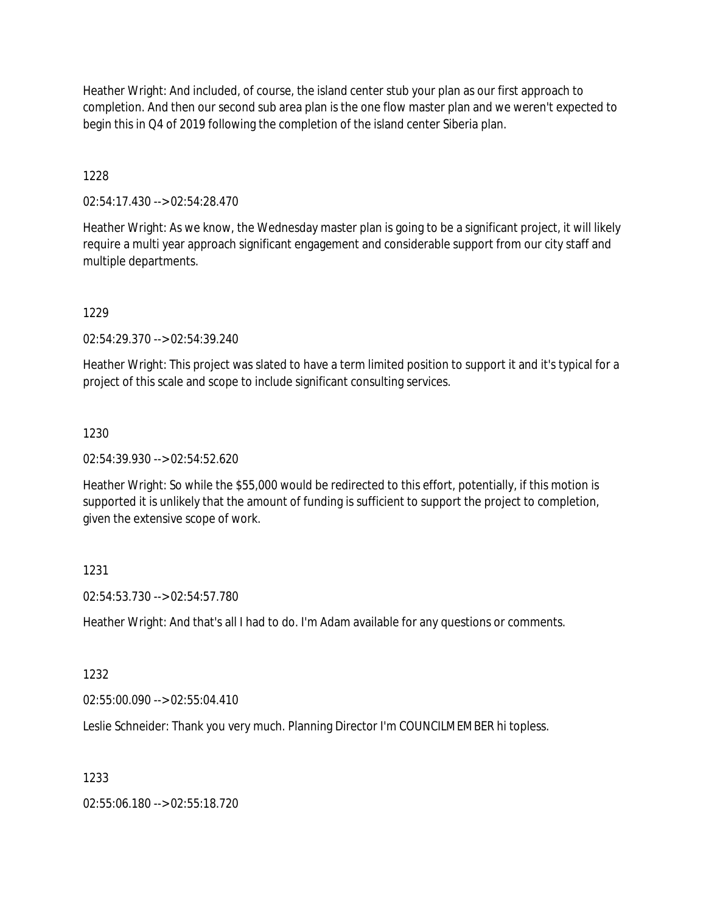Heather Wright: And included, of course, the island center stub your plan as our first approach to completion. And then our second sub area plan is the one flow master plan and we weren't expected to begin this in Q4 of 2019 following the completion of the island center Siberia plan.

1228

02:54:17.430 --> 02:54:28.470

Heather Wright: As we know, the Wednesday master plan is going to be a significant project, it will likely require a multi year approach significant engagement and considerable support from our city staff and multiple departments.

1229

02:54:29.370 --> 02:54:39.240

Heather Wright: This project was slated to have a term limited position to support it and it's typical for a project of this scale and scope to include significant consulting services.

## 1230

02:54:39.930 --> 02:54:52.620

Heather Wright: So while the \$55,000 would be redirected to this effort, potentially, if this motion is supported it is unlikely that the amount of funding is sufficient to support the project to completion, given the extensive scope of work.

## 1231

02:54:53.730 --> 02:54:57.780

Heather Wright: And that's all I had to do. I'm Adam available for any questions or comments.

## 1232

02:55:00.090 --> 02:55:04.410

Leslie Schneider: Thank you very much. Planning Director I'm COUNCILMEMBER hi topless.

## 1233

02:55:06.180 --> 02:55:18.720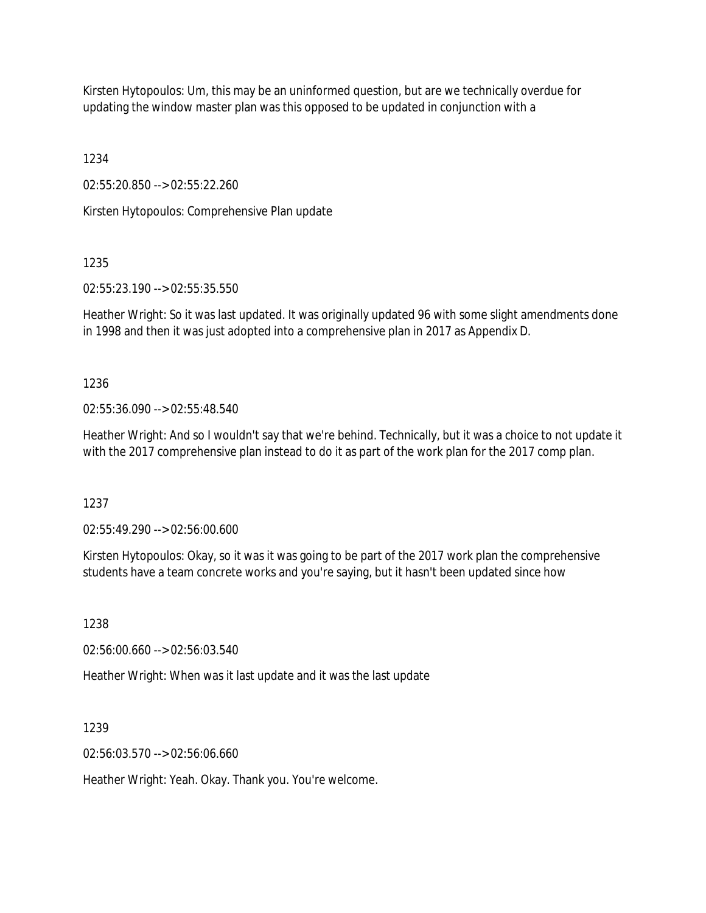Kirsten Hytopoulos: Um, this may be an uninformed question, but are we technically overdue for updating the window master plan was this opposed to be updated in conjunction with a

1234

02:55:20.850 --> 02:55:22.260

Kirsten Hytopoulos: Comprehensive Plan update

1235

02:55:23.190 --> 02:55:35.550

Heather Wright: So it was last updated. It was originally updated 96 with some slight amendments done in 1998 and then it was just adopted into a comprehensive plan in 2017 as Appendix D.

1236

02:55:36.090 --> 02:55:48.540

Heather Wright: And so I wouldn't say that we're behind. Technically, but it was a choice to not update it with the 2017 comprehensive plan instead to do it as part of the work plan for the 2017 comp plan.

1237

02:55:49.290 --> 02:56:00.600

Kirsten Hytopoulos: Okay, so it was it was going to be part of the 2017 work plan the comprehensive students have a team concrete works and you're saying, but it hasn't been updated since how

1238

02:56:00.660 --> 02:56:03.540

Heather Wright: When was it last update and it was the last update

1239

02:56:03.570 --> 02:56:06.660

Heather Wright: Yeah. Okay. Thank you. You're welcome.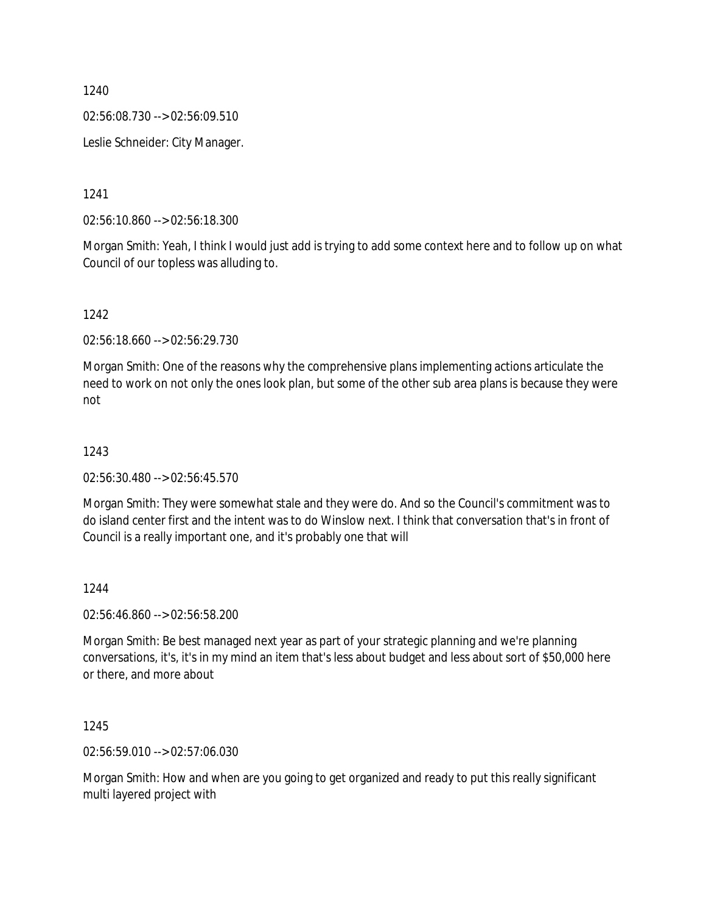02:56:08.730 --> 02:56:09.510

Leslie Schneider: City Manager.

1241

02:56:10.860 --> 02:56:18.300

Morgan Smith: Yeah, I think I would just add is trying to add some context here and to follow up on what Council of our topless was alluding to.

1242

02:56:18.660 --> 02:56:29.730

Morgan Smith: One of the reasons why the comprehensive plans implementing actions articulate the need to work on not only the ones look plan, but some of the other sub area plans is because they were not

#### 1243

02:56:30.480 --> 02:56:45.570

Morgan Smith: They were somewhat stale and they were do. And so the Council's commitment was to do island center first and the intent was to do Winslow next. I think that conversation that's in front of Council is a really important one, and it's probably one that will

## 1244

02:56:46.860 --> 02:56:58.200

Morgan Smith: Be best managed next year as part of your strategic planning and we're planning conversations, it's, it's in my mind an item that's less about budget and less about sort of \$50,000 here or there, and more about

1245

02:56:59.010 --> 02:57:06.030

Morgan Smith: How and when are you going to get organized and ready to put this really significant multi layered project with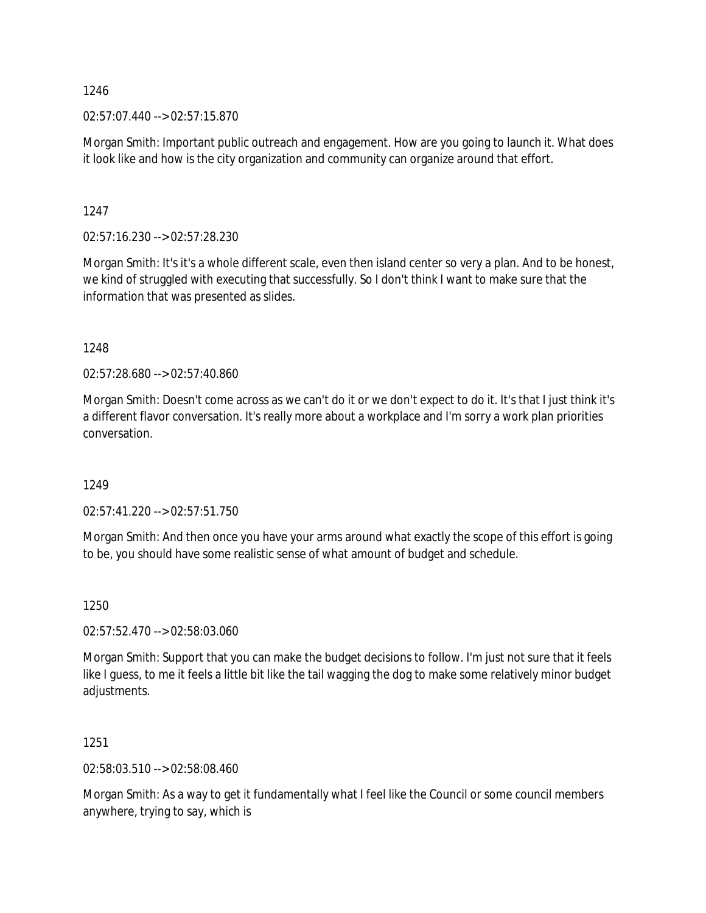02:57:07.440 --> 02:57:15.870

Morgan Smith: Important public outreach and engagement. How are you going to launch it. What does it look like and how is the city organization and community can organize around that effort.

1247

02:57:16.230 --> 02:57:28.230

Morgan Smith: It's it's a whole different scale, even then island center so very a plan. And to be honest, we kind of struggled with executing that successfully. So I don't think I want to make sure that the information that was presented as slides.

1248

02:57:28.680 --> 02:57:40.860

Morgan Smith: Doesn't come across as we can't do it or we don't expect to do it. It's that I just think it's a different flavor conversation. It's really more about a workplace and I'm sorry a work plan priorities conversation.

1249

02:57:41.220 --> 02:57:51.750

Morgan Smith: And then once you have your arms around what exactly the scope of this effort is going to be, you should have some realistic sense of what amount of budget and schedule.

1250

02:57:52.470 --> 02:58:03.060

Morgan Smith: Support that you can make the budget decisions to follow. I'm just not sure that it feels like I guess, to me it feels a little bit like the tail wagging the dog to make some relatively minor budget adjustments.

1251

02:58:03.510 --> 02:58:08.460

Morgan Smith: As a way to get it fundamentally what I feel like the Council or some council members anywhere, trying to say, which is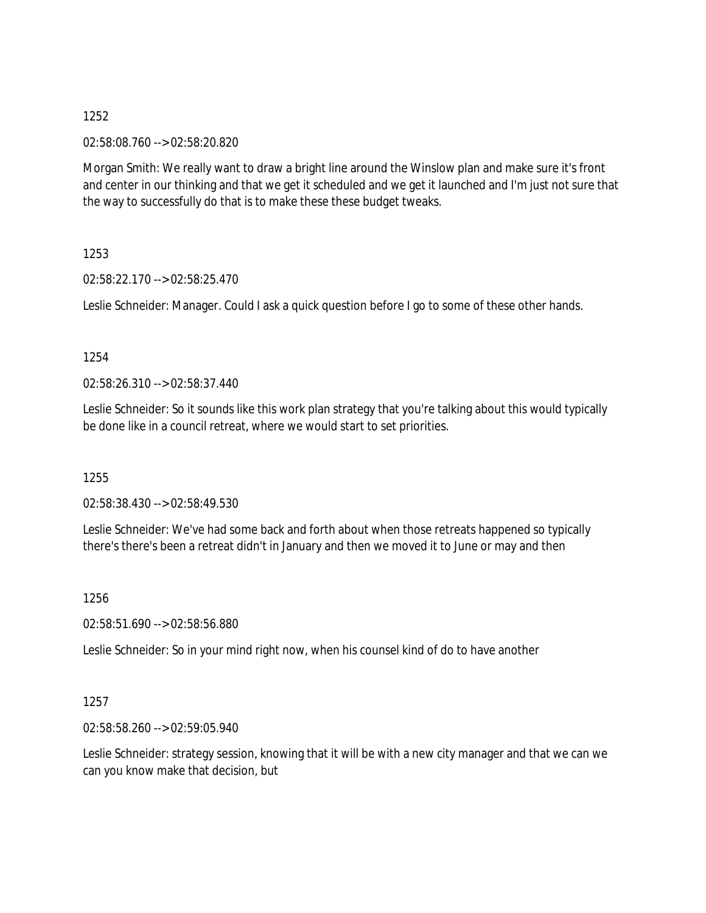## 02:58:08.760 --> 02:58:20.820

Morgan Smith: We really want to draw a bright line around the Winslow plan and make sure it's front and center in our thinking and that we get it scheduled and we get it launched and I'm just not sure that the way to successfully do that is to make these these budget tweaks.

1253

02:58:22.170 --> 02:58:25.470

Leslie Schneider: Manager. Could I ask a quick question before I go to some of these other hands.

## 1254

02:58:26.310 --> 02:58:37.440

Leslie Schneider: So it sounds like this work plan strategy that you're talking about this would typically be done like in a council retreat, where we would start to set priorities.

1255

02:58:38.430 --> 02:58:49.530

Leslie Schneider: We've had some back and forth about when those retreats happened so typically there's there's been a retreat didn't in January and then we moved it to June or may and then

1256

02:58:51.690 --> 02:58:56.880

Leslie Schneider: So in your mind right now, when his counsel kind of do to have another

## 1257

02:58:58.260 --> 02:59:05.940

Leslie Schneider: strategy session, knowing that it will be with a new city manager and that we can we can you know make that decision, but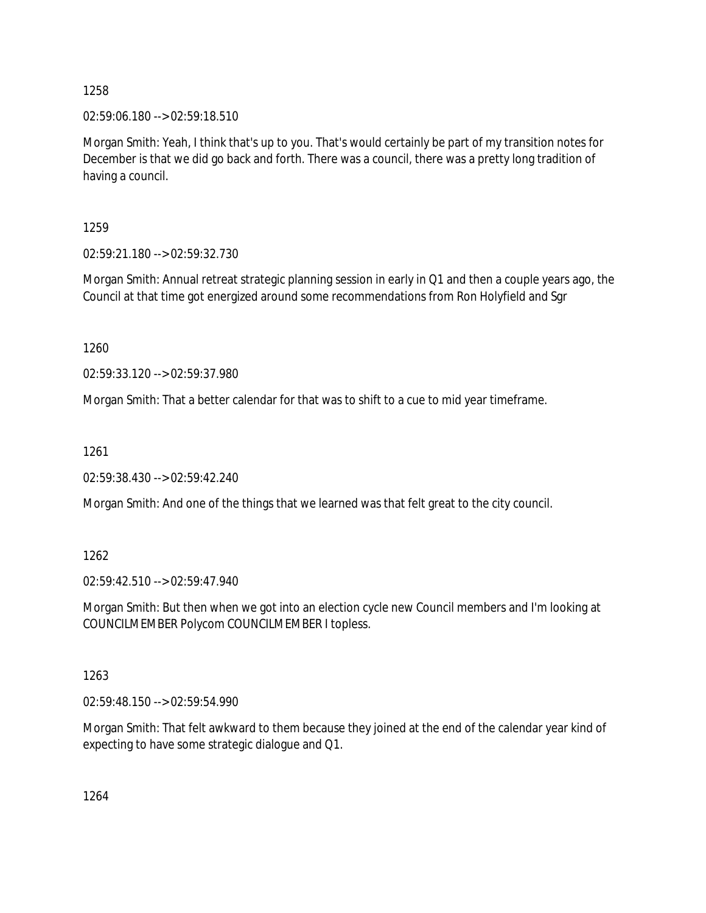02:59:06.180 --> 02:59:18.510

Morgan Smith: Yeah, I think that's up to you. That's would certainly be part of my transition notes for December is that we did go back and forth. There was a council, there was a pretty long tradition of having a council.

1259

02:59:21.180 --> 02:59:32.730

Morgan Smith: Annual retreat strategic planning session in early in Q1 and then a couple years ago, the Council at that time got energized around some recommendations from Ron Holyfield and Sgr

1260

02:59:33.120 --> 02:59:37.980

Morgan Smith: That a better calendar for that was to shift to a cue to mid year timeframe.

1261

02:59:38.430 --> 02:59:42.240

Morgan Smith: And one of the things that we learned was that felt great to the city council.

1262

02:59:42.510 --> 02:59:47.940

Morgan Smith: But then when we got into an election cycle new Council members and I'm looking at COUNCILMEMBER Polycom COUNCILMEMBER I topless.

1263

02:59:48.150 --> 02:59:54.990

Morgan Smith: That felt awkward to them because they joined at the end of the calendar year kind of expecting to have some strategic dialogue and Q1.

1264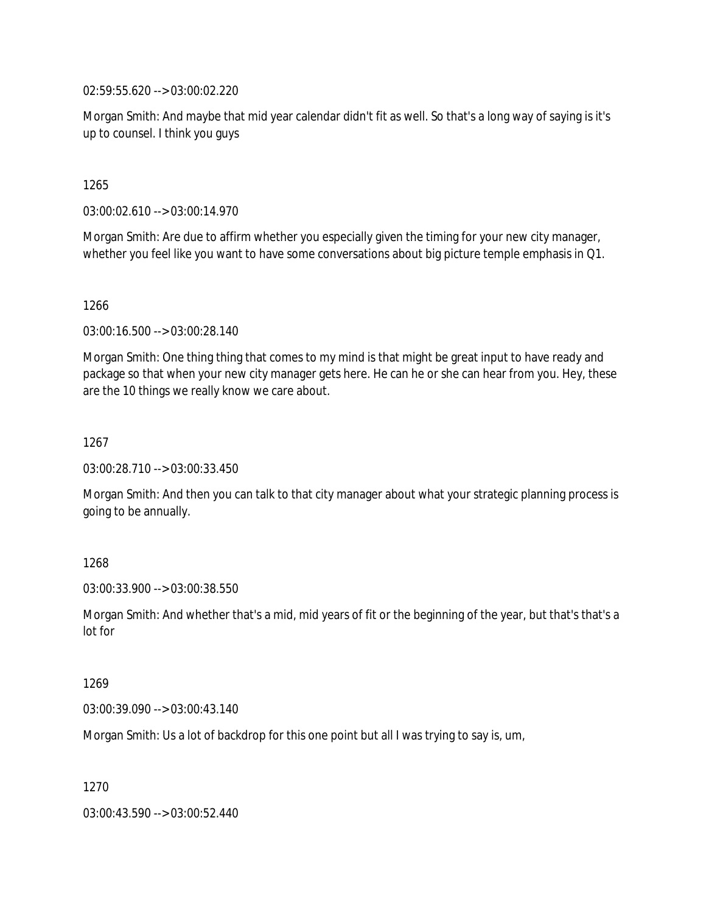02:59:55.620 --> 03:00:02.220

Morgan Smith: And maybe that mid year calendar didn't fit as well. So that's a long way of saying is it's up to counsel. I think you guys

1265

03:00:02.610 --> 03:00:14.970

Morgan Smith: Are due to affirm whether you especially given the timing for your new city manager, whether you feel like you want to have some conversations about big picture temple emphasis in Q1.

1266

03:00:16.500 --> 03:00:28.140

Morgan Smith: One thing thing that comes to my mind is that might be great input to have ready and package so that when your new city manager gets here. He can he or she can hear from you. Hey, these are the 10 things we really know we care about.

1267

03:00:28.710 --> 03:00:33.450

Morgan Smith: And then you can talk to that city manager about what your strategic planning process is going to be annually.

1268

03:00:33.900 --> 03:00:38.550

Morgan Smith: And whether that's a mid, mid years of fit or the beginning of the year, but that's that's a lot for

1269

03:00:39.090 --> 03:00:43.140

Morgan Smith: Us a lot of backdrop for this one point but all I was trying to say is, um,

1270

03:00:43.590 --> 03:00:52.440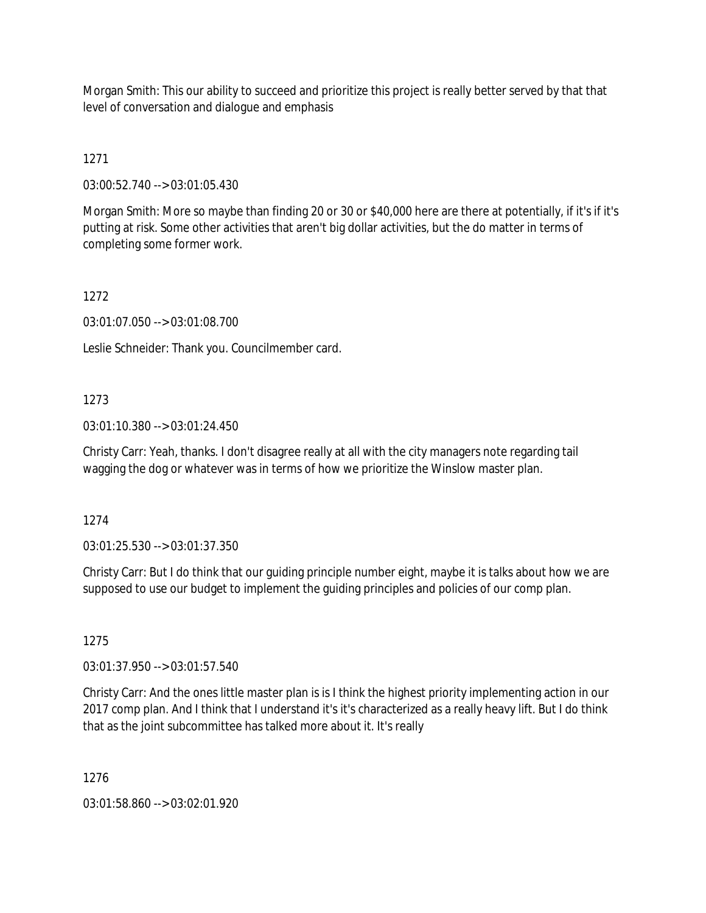Morgan Smith: This our ability to succeed and prioritize this project is really better served by that that level of conversation and dialogue and emphasis

# 1271

03:00:52.740 --> 03:01:05.430

Morgan Smith: More so maybe than finding 20 or 30 or \$40,000 here are there at potentially, if it's if it's putting at risk. Some other activities that aren't big dollar activities, but the do matter in terms of completing some former work.

# 1272

03:01:07.050 --> 03:01:08.700

Leslie Schneider: Thank you. Councilmember card.

# 1273

03:01:10.380 --> 03:01:24.450

Christy Carr: Yeah, thanks. I don't disagree really at all with the city managers note regarding tail wagging the dog or whatever was in terms of how we prioritize the Winslow master plan.

# 1274

03:01:25.530 --> 03:01:37.350

Christy Carr: But I do think that our guiding principle number eight, maybe it is talks about how we are supposed to use our budget to implement the guiding principles and policies of our comp plan.

# 1275

03:01:37.950 --> 03:01:57.540

Christy Carr: And the ones little master plan is is I think the highest priority implementing action in our 2017 comp plan. And I think that I understand it's it's characterized as a really heavy lift. But I do think that as the joint subcommittee has talked more about it. It's really

1276

03:01:58.860 --> 03:02:01.920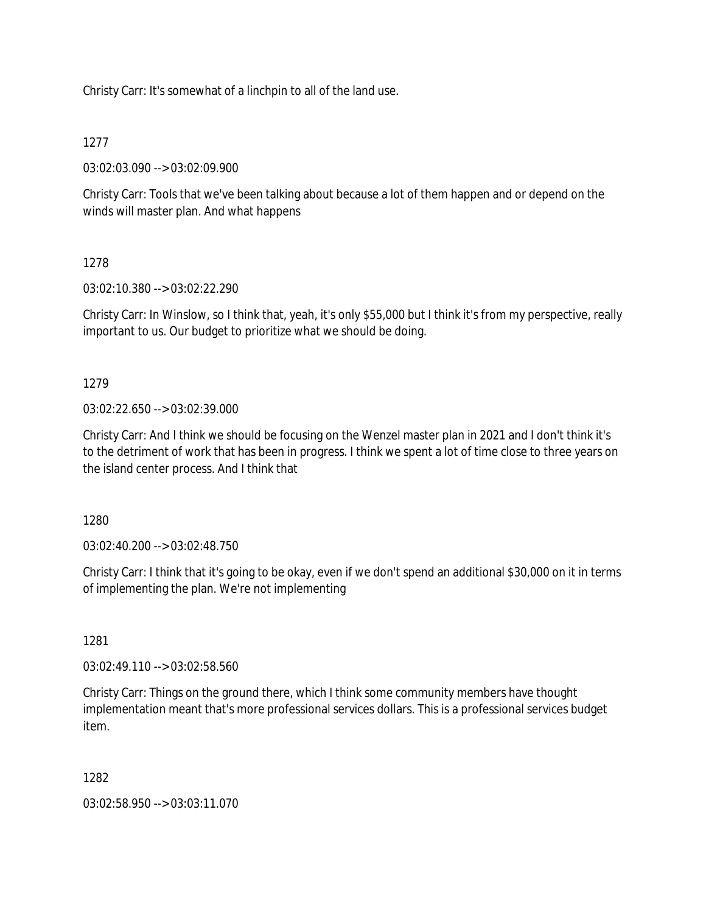Christy Carr: It's somewhat of a linchpin to all of the land use.

# 1277

03:02:03.090 --> 03:02:09.900

Christy Carr: Tools that we've been talking about because a lot of them happen and or depend on the winds will master plan. And what happens

# 1278

03:02:10.380 --> 03:02:22.290

Christy Carr: In Winslow, so I think that, yeah, it's only \$55,000 but I think it's from my perspective, really important to us. Our budget to prioritize what we should be doing.

# 1279

03:02:22.650 --> 03:02:39.000

Christy Carr: And I think we should be focusing on the Wenzel master plan in 2021 and I don't think it's to the detriment of work that has been in progress. I think we spent a lot of time close to three years on the island center process. And I think that

1280

03:02:40.200 --> 03:02:48.750

Christy Carr: I think that it's going to be okay, even if we don't spend an additional \$30,000 on it in terms of implementing the plan. We're not implementing

## 1281

03:02:49.110 --> 03:02:58.560

Christy Carr: Things on the ground there, which I think some community members have thought implementation meant that's more professional services dollars. This is a professional services budget item.

1282

03:02:58.950 --> 03:03:11.070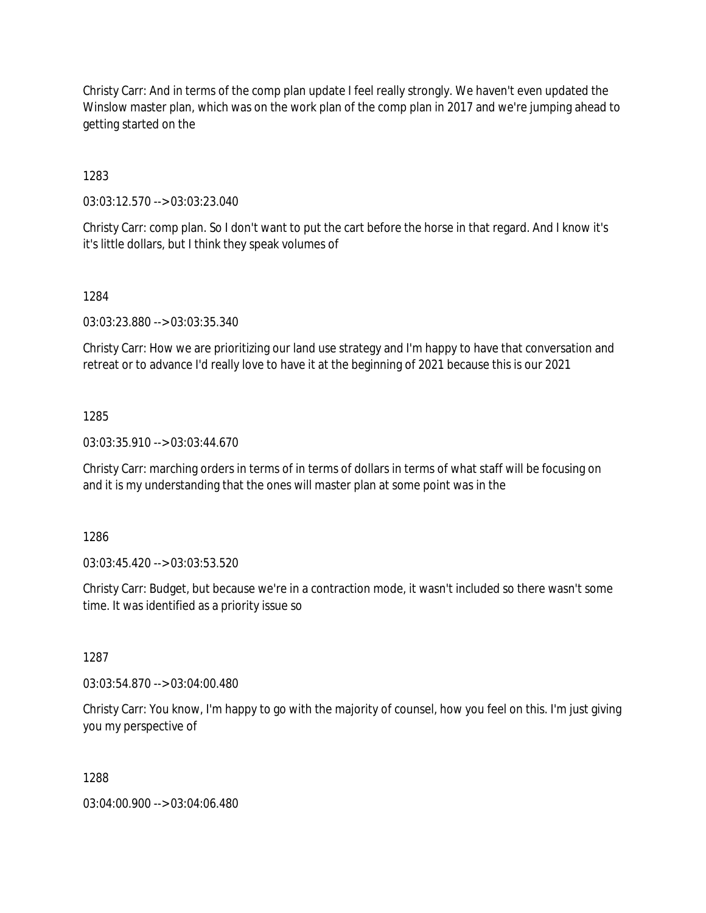Christy Carr: And in terms of the comp plan update I feel really strongly. We haven't even updated the Winslow master plan, which was on the work plan of the comp plan in 2017 and we're jumping ahead to getting started on the

1283

03:03:12.570 --> 03:03:23.040

Christy Carr: comp plan. So I don't want to put the cart before the horse in that regard. And I know it's it's little dollars, but I think they speak volumes of

## 1284

03:03:23.880 --> 03:03:35.340

Christy Carr: How we are prioritizing our land use strategy and I'm happy to have that conversation and retreat or to advance I'd really love to have it at the beginning of 2021 because this is our 2021

#### 1285

03:03:35.910 --> 03:03:44.670

Christy Carr: marching orders in terms of in terms of dollars in terms of what staff will be focusing on and it is my understanding that the ones will master plan at some point was in the

1286

03:03:45.420 --> 03:03:53.520

Christy Carr: Budget, but because we're in a contraction mode, it wasn't included so there wasn't some time. It was identified as a priority issue so

1287

03:03:54.870 --> 03:04:00.480

Christy Carr: You know, I'm happy to go with the majority of counsel, how you feel on this. I'm just giving you my perspective of

1288

03:04:00.900 --> 03:04:06.480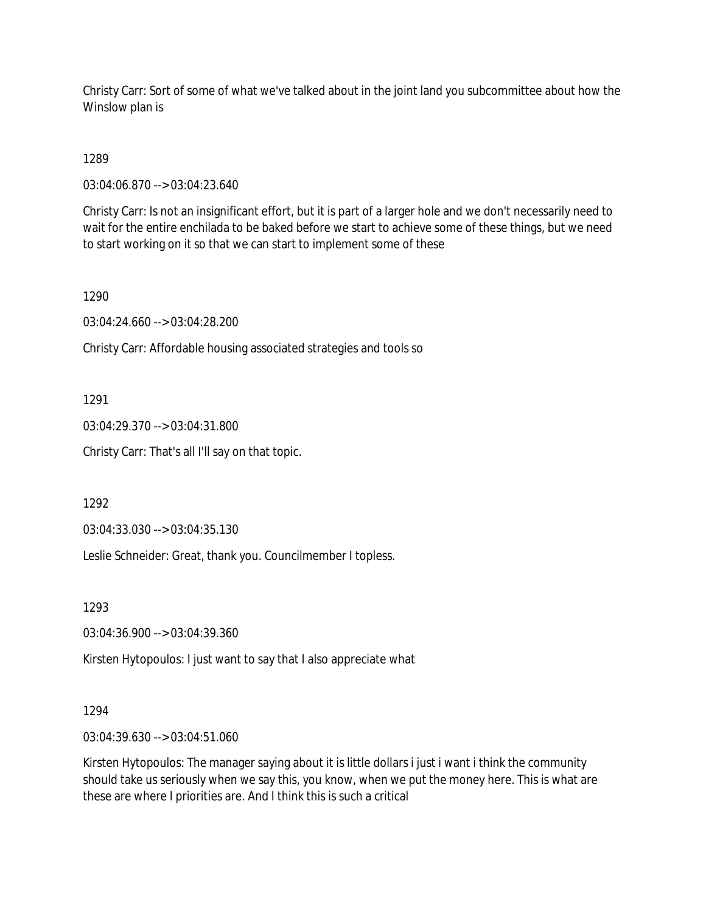Christy Carr: Sort of some of what we've talked about in the joint land you subcommittee about how the Winslow plan is

1289

03:04:06.870 --> 03:04:23.640

Christy Carr: Is not an insignificant effort, but it is part of a larger hole and we don't necessarily need to wait for the entire enchilada to be baked before we start to achieve some of these things, but we need to start working on it so that we can start to implement some of these

1290

03:04:24.660 --> 03:04:28.200

Christy Carr: Affordable housing associated strategies and tools so

1291

03:04:29.370 --> 03:04:31.800

Christy Carr: That's all I'll say on that topic.

1292

03:04:33.030 --> 03:04:35.130

Leslie Schneider: Great, thank you. Councilmember I topless.

1293

03:04:36.900 --> 03:04:39.360

Kirsten Hytopoulos: I just want to say that I also appreciate what

# 1294

03:04:39.630 --> 03:04:51.060

Kirsten Hytopoulos: The manager saying about it is little dollars i just i want i think the community should take us seriously when we say this, you know, when we put the money here. This is what are these are where I priorities are. And I think this is such a critical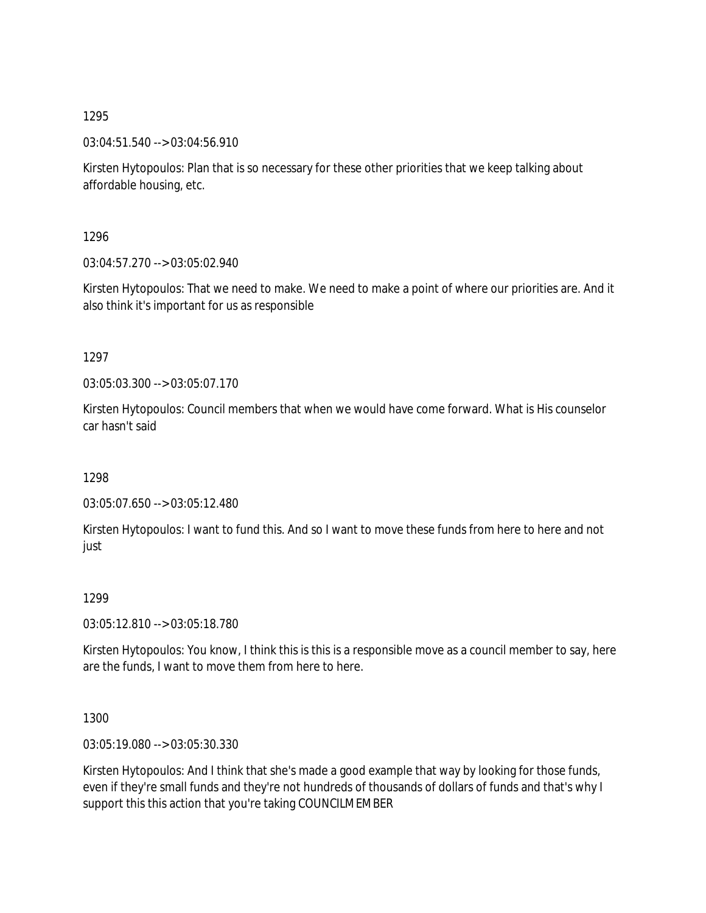03:04:51.540 --> 03:04:56.910

Kirsten Hytopoulos: Plan that is so necessary for these other priorities that we keep talking about affordable housing, etc.

1296

03:04:57.270 --> 03:05:02.940

Kirsten Hytopoulos: That we need to make. We need to make a point of where our priorities are. And it also think it's important for us as responsible

1297

03:05:03.300 --> 03:05:07.170

Kirsten Hytopoulos: Council members that when we would have come forward. What is His counselor car hasn't said

1298

03:05:07.650 --> 03:05:12.480

Kirsten Hytopoulos: I want to fund this. And so I want to move these funds from here to here and not just

1299

03:05:12.810 --> 03:05:18.780

Kirsten Hytopoulos: You know, I think this is this is a responsible move as a council member to say, here are the funds, I want to move them from here to here.

1300

03:05:19.080 --> 03:05:30.330

Kirsten Hytopoulos: And I think that she's made a good example that way by looking for those funds, even if they're small funds and they're not hundreds of thousands of dollars of funds and that's why I support this this action that you're taking COUNCILMEMBER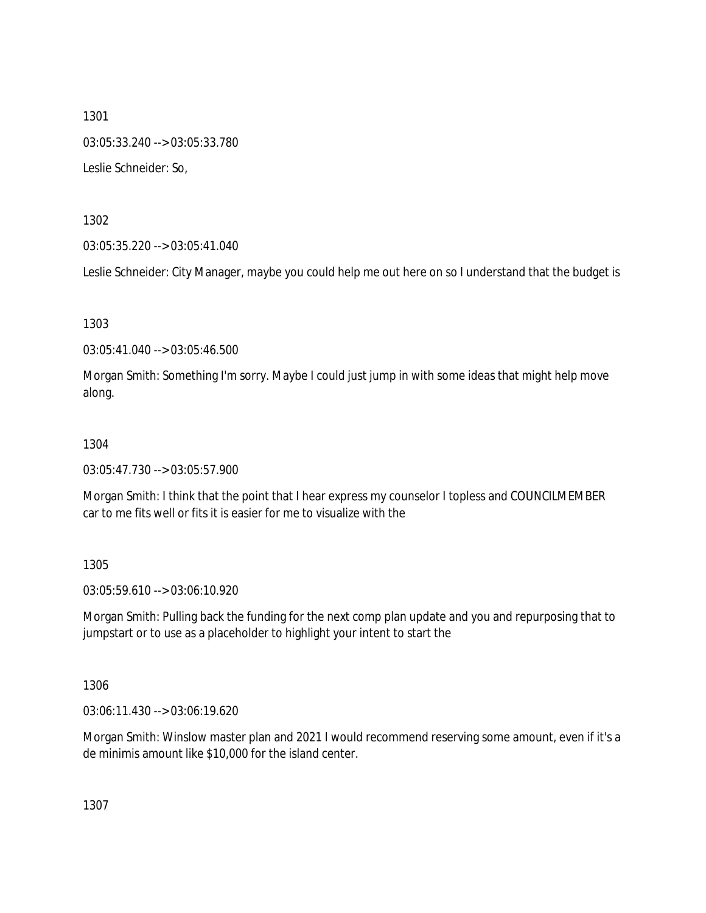1301 03:05:33.240 --> 03:05:33.780 Leslie Schneider: So,

1302

03:05:35.220 --> 03:05:41.040

Leslie Schneider: City Manager, maybe you could help me out here on so I understand that the budget is

1303

03:05:41.040 --> 03:05:46.500

Morgan Smith: Something I'm sorry. Maybe I could just jump in with some ideas that might help move along.

# 1304

03:05:47.730 --> 03:05:57.900

Morgan Smith: I think that the point that I hear express my counselor I topless and COUNCILMEMBER car to me fits well or fits it is easier for me to visualize with the

1305

03:05:59.610 --> 03:06:10.920

Morgan Smith: Pulling back the funding for the next comp plan update and you and repurposing that to jumpstart or to use as a placeholder to highlight your intent to start the

1306

03:06:11.430 --> 03:06:19.620

Morgan Smith: Winslow master plan and 2021 I would recommend reserving some amount, even if it's a de minimis amount like \$10,000 for the island center.

1307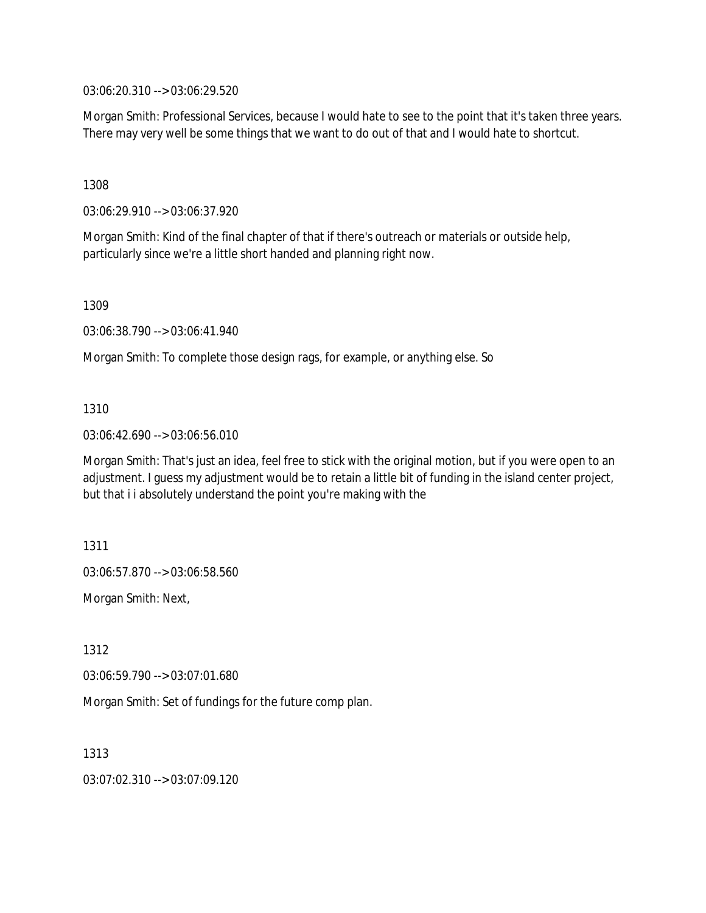03:06:20.310 --> 03:06:29.520

Morgan Smith: Professional Services, because I would hate to see to the point that it's taken three years. There may very well be some things that we want to do out of that and I would hate to shortcut.

1308

03:06:29.910 --> 03:06:37.920

Morgan Smith: Kind of the final chapter of that if there's outreach or materials or outside help, particularly since we're a little short handed and planning right now.

1309

03:06:38.790 --> 03:06:41.940

Morgan Smith: To complete those design rags, for example, or anything else. So

1310

03:06:42.690 --> 03:06:56.010

Morgan Smith: That's just an idea, feel free to stick with the original motion, but if you were open to an adjustment. I guess my adjustment would be to retain a little bit of funding in the island center project, but that i i absolutely understand the point you're making with the

1311

03:06:57.870 --> 03:06:58.560

Morgan Smith: Next,

1312

03:06:59.790 --> 03:07:01.680

Morgan Smith: Set of fundings for the future comp plan.

1313

03:07:02.310 --> 03:07:09.120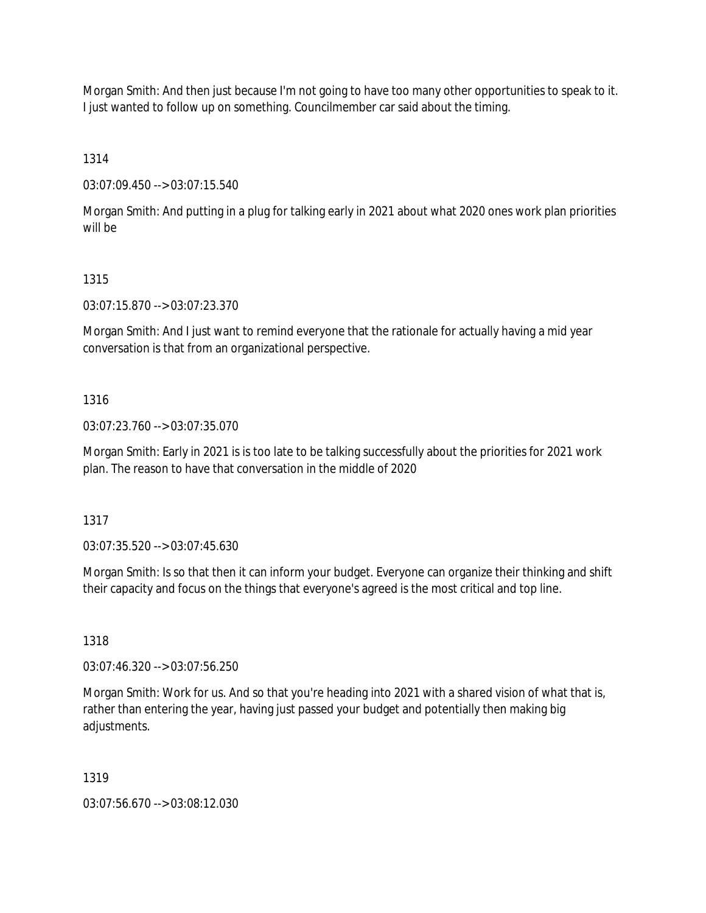Morgan Smith: And then just because I'm not going to have too many other opportunities to speak to it. I just wanted to follow up on something. Councilmember car said about the timing.

1314

03:07:09.450 --> 03:07:15.540

Morgan Smith: And putting in a plug for talking early in 2021 about what 2020 ones work plan priorities will be

# 1315

03:07:15.870 --> 03:07:23.370

Morgan Smith: And I just want to remind everyone that the rationale for actually having a mid year conversation is that from an organizational perspective.

# 1316

03:07:23.760 --> 03:07:35.070

Morgan Smith: Early in 2021 is is too late to be talking successfully about the priorities for 2021 work plan. The reason to have that conversation in the middle of 2020

1317

03:07:35.520 --> 03:07:45.630

Morgan Smith: Is so that then it can inform your budget. Everyone can organize their thinking and shift their capacity and focus on the things that everyone's agreed is the most critical and top line.

## 1318

03:07:46.320 --> 03:07:56.250

Morgan Smith: Work for us. And so that you're heading into 2021 with a shared vision of what that is, rather than entering the year, having just passed your budget and potentially then making big adjustments.

# 1319

03:07:56.670 --> 03:08:12.030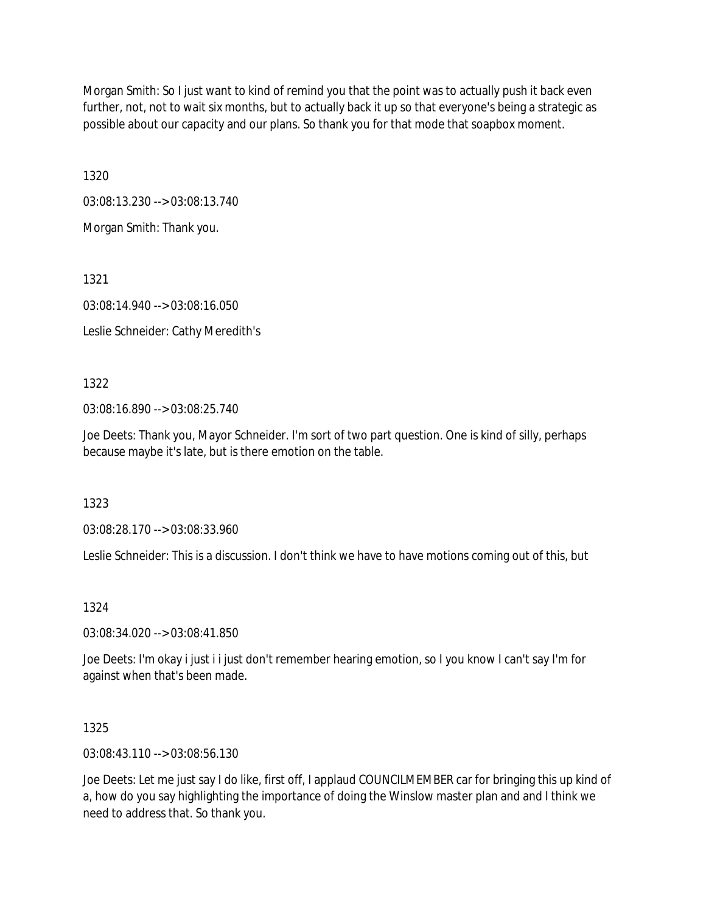Morgan Smith: So I just want to kind of remind you that the point was to actually push it back even further, not, not to wait six months, but to actually back it up so that everyone's being a strategic as possible about our capacity and our plans. So thank you for that mode that soapbox moment.

1320

03:08:13.230 --> 03:08:13.740

Morgan Smith: Thank you.

1321

03:08:14.940 --> 03:08:16.050 Leslie Schneider: Cathy Meredith's

1322

03:08:16.890 --> 03:08:25.740

Joe Deets: Thank you, Mayor Schneider. I'm sort of two part question. One is kind of silly, perhaps because maybe it's late, but is there emotion on the table.

1323

03:08:28.170 --> 03:08:33.960

Leslie Schneider: This is a discussion. I don't think we have to have motions coming out of this, but

1324

03:08:34.020 --> 03:08:41.850

Joe Deets: I'm okay i just i i just don't remember hearing emotion, so I you know I can't say I'm for against when that's been made.

1325

03:08:43.110 --> 03:08:56.130

Joe Deets: Let me just say I do like, first off, I applaud COUNCILMEMBER car for bringing this up kind of a, how do you say highlighting the importance of doing the Winslow master plan and and I think we need to address that. So thank you.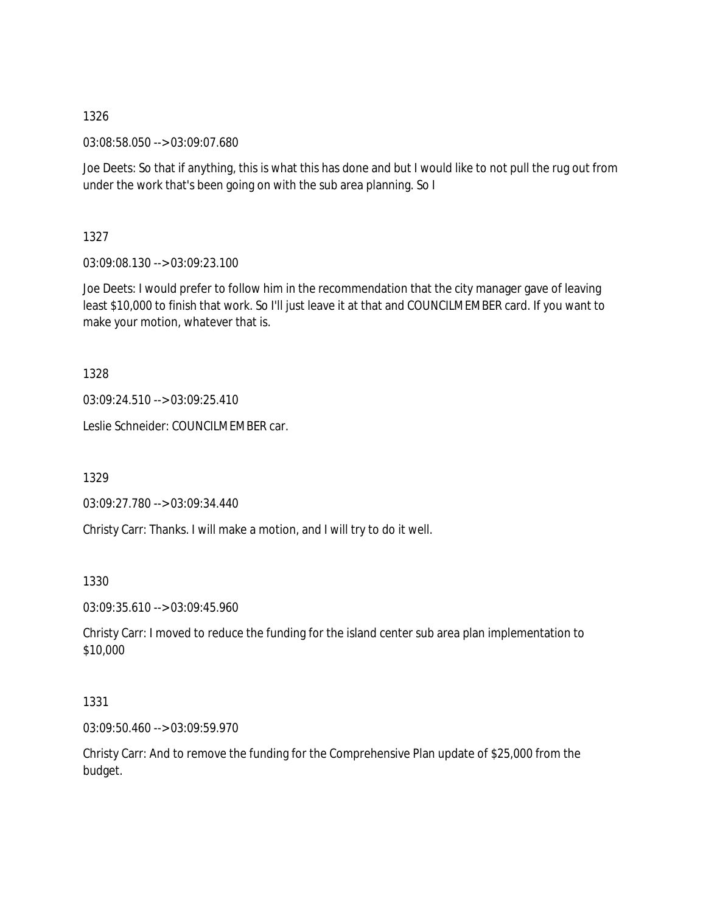03:08:58.050 --> 03:09:07.680

Joe Deets: So that if anything, this is what this has done and but I would like to not pull the rug out from under the work that's been going on with the sub area planning. So I

1327

03:09:08.130 --> 03:09:23.100

Joe Deets: I would prefer to follow him in the recommendation that the city manager gave of leaving least \$10,000 to finish that work. So I'll just leave it at that and COUNCILMEMBER card. If you want to make your motion, whatever that is.

1328

03:09:24.510 --> 03:09:25.410

Leslie Schneider: COUNCILMEMBER car.

1329

03:09:27.780 --> 03:09:34.440

Christy Carr: Thanks. I will make a motion, and I will try to do it well.

1330

03:09:35.610 --> 03:09:45.960

Christy Carr: I moved to reduce the funding for the island center sub area plan implementation to \$10,000

1331

03:09:50.460 --> 03:09:59.970

Christy Carr: And to remove the funding for the Comprehensive Plan update of \$25,000 from the budget.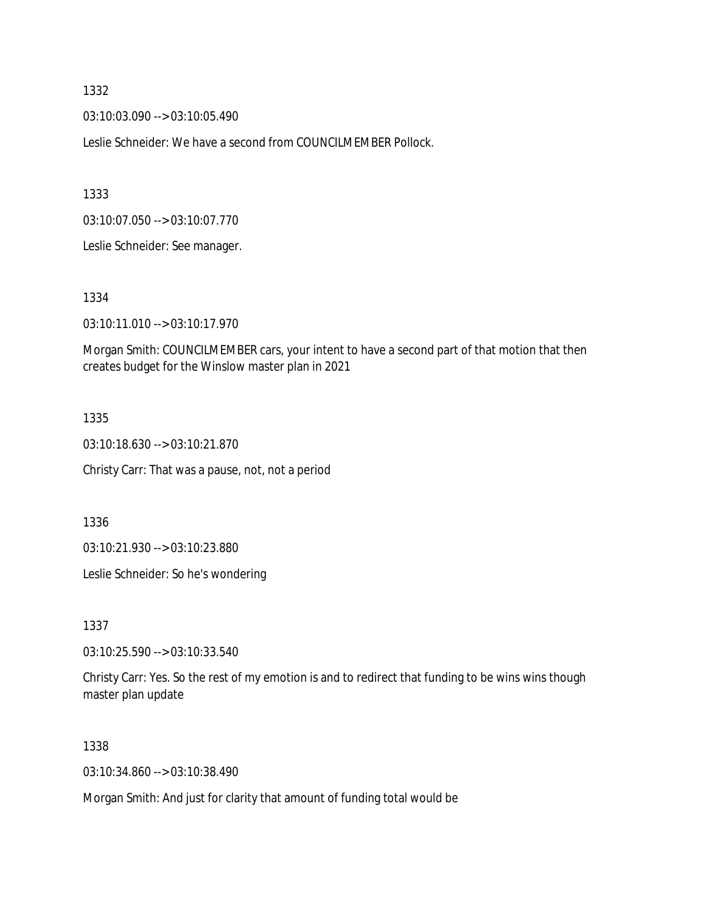03:10:03.090 --> 03:10:05.490

Leslie Schneider: We have a second from COUNCILMEMBER Pollock.

1333

03:10:07.050 --> 03:10:07.770

Leslie Schneider: See manager.

1334

03:10:11.010 --> 03:10:17.970

Morgan Smith: COUNCILMEMBER cars, your intent to have a second part of that motion that then creates budget for the Winslow master plan in 2021

#### 1335

03:10:18.630 --> 03:10:21.870 Christy Carr: That was a pause, not, not a period

1336

03:10:21.930 --> 03:10:23.880

Leslie Schneider: So he's wondering

1337

03:10:25.590 --> 03:10:33.540

Christy Carr: Yes. So the rest of my emotion is and to redirect that funding to be wins wins though master plan update

1338

03:10:34.860 --> 03:10:38.490

Morgan Smith: And just for clarity that amount of funding total would be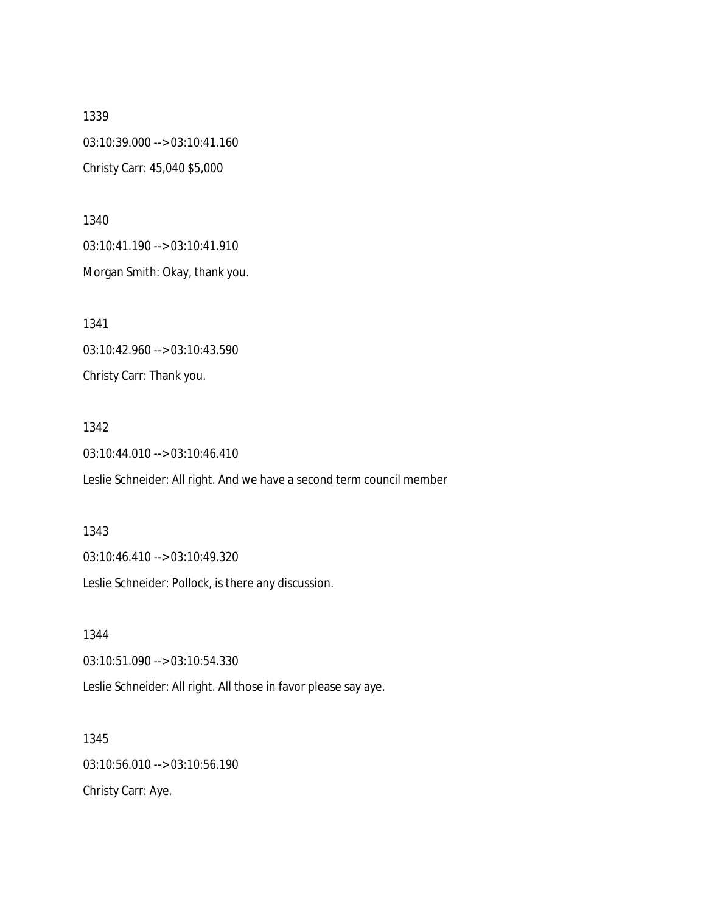1339 03:10:39.000 --> 03:10:41.160 Christy Carr: 45,040 \$5,000

1340 03:10:41.190 --> 03:10:41.910 Morgan Smith: Okay, thank you.

1341 03:10:42.960 --> 03:10:43.590 Christy Carr: Thank you.

1342 03:10:44.010 --> 03:10:46.410

Leslie Schneider: All right. And we have a second term council member

1343 03:10:46.410 --> 03:10:49.320 Leslie Schneider: Pollock, is there any discussion.

1344 03:10:51.090 --> 03:10:54.330 Leslie Schneider: All right. All those in favor please say aye.

1345 03:10:56.010 --> 03:10:56.190 Christy Carr: Aye.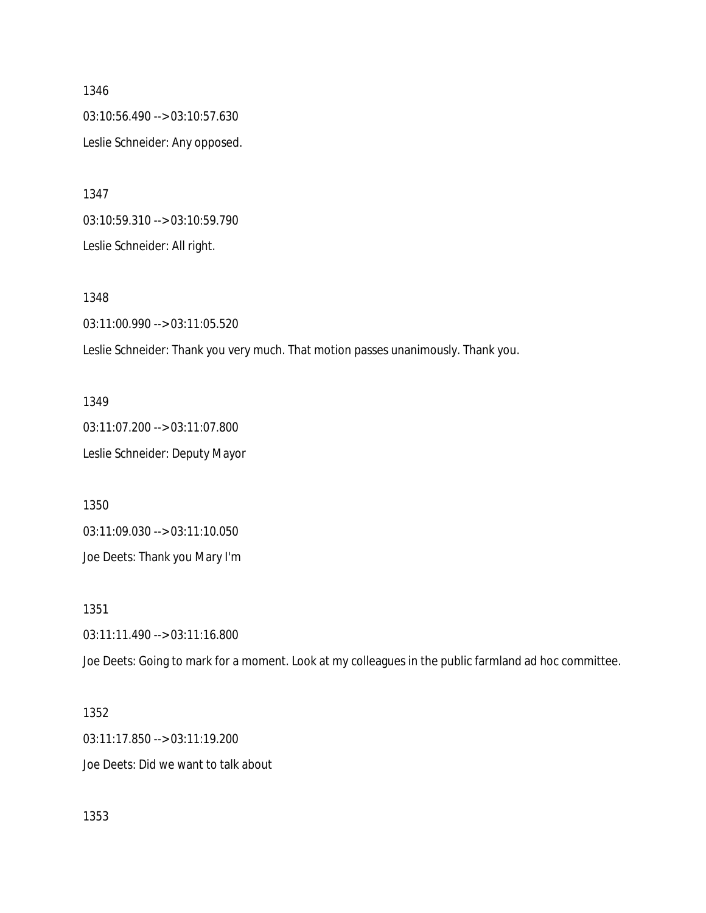1346 03:10:56.490 --> 03:10:57.630 Leslie Schneider: Any opposed.

1347 03:10:59.310 --> 03:10:59.790 Leslie Schneider: All right.

1348 03:11:00.990 --> 03:11:05.520 Leslie Schneider: Thank you very much. That motion passes unanimously. Thank you.

1349 03:11:07.200 --> 03:11:07.800 Leslie Schneider: Deputy Mayor

1350 03:11:09.030 --> 03:11:10.050 Joe Deets: Thank you Mary I'm

1351

03:11:11.490 --> 03:11:16.800

Joe Deets: Going to mark for a moment. Look at my colleagues in the public farmland ad hoc committee.

1352 03:11:17.850 --> 03:11:19.200 Joe Deets: Did we want to talk about

1353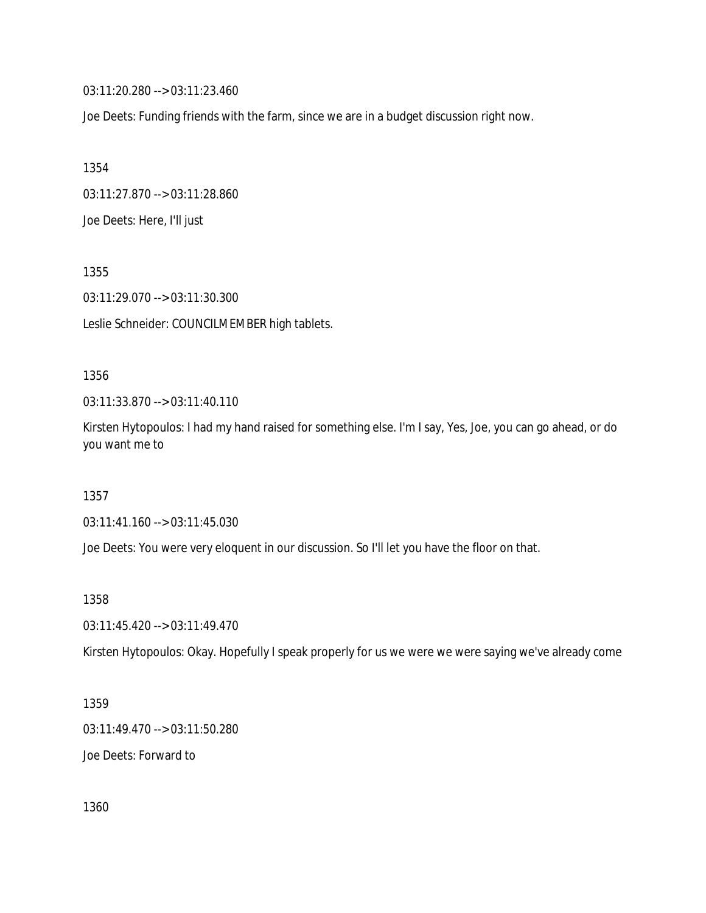03:11:20.280 --> 03:11:23.460

Joe Deets: Funding friends with the farm, since we are in a budget discussion right now.

1354 03:11:27.870 --> 03:11:28.860 Joe Deets: Here, I'll just

1355

03:11:29.070 --> 03:11:30.300

Leslie Schneider: COUNCILMEMBER high tablets.

#### 1356

03:11:33.870 --> 03:11:40.110

Kirsten Hytopoulos: I had my hand raised for something else. I'm I say, Yes, Joe, you can go ahead, or do you want me to

1357

03:11:41.160 --> 03:11:45.030

Joe Deets: You were very eloquent in our discussion. So I'll let you have the floor on that.

1358

03:11:45.420 --> 03:11:49.470

Kirsten Hytopoulos: Okay. Hopefully I speak properly for us we were we were saying we've already come

## 1359

03:11:49.470 --> 03:11:50.280

Joe Deets: Forward to

1360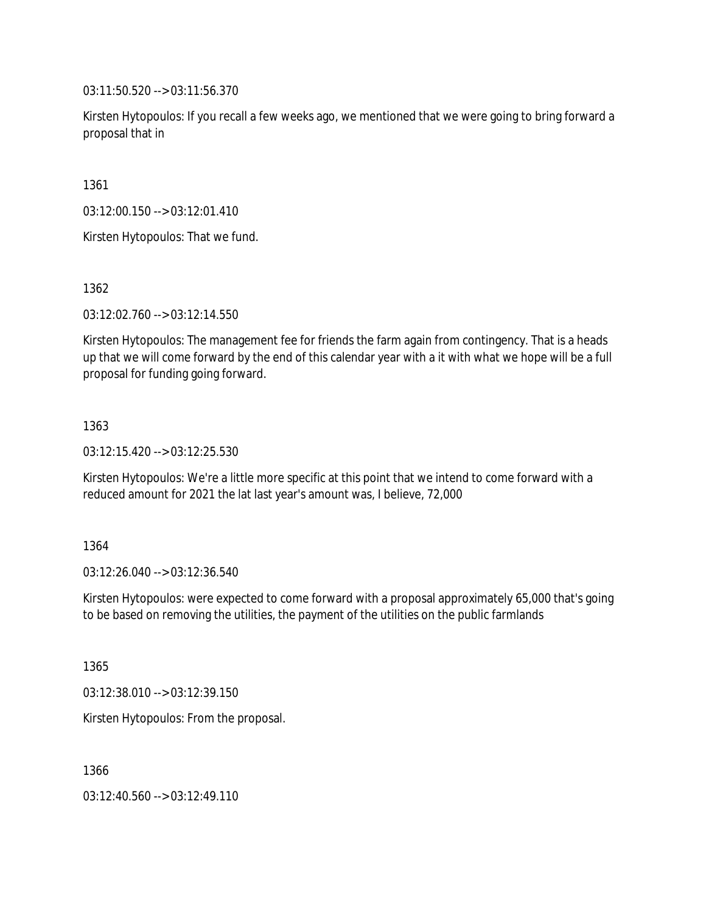03:11:50.520 --> 03:11:56.370

Kirsten Hytopoulos: If you recall a few weeks ago, we mentioned that we were going to bring forward a proposal that in

1361

03:12:00.150 --> 03:12:01.410

Kirsten Hytopoulos: That we fund.

1362

03:12:02.760 --> 03:12:14.550

Kirsten Hytopoulos: The management fee for friends the farm again from contingency. That is a heads up that we will come forward by the end of this calendar year with a it with what we hope will be a full proposal for funding going forward.

## 1363

03:12:15.420 --> 03:12:25.530

Kirsten Hytopoulos: We're a little more specific at this point that we intend to come forward with a reduced amount for 2021 the lat last year's amount was, I believe, 72,000

## 1364

03:12:26.040 --> 03:12:36.540

Kirsten Hytopoulos: were expected to come forward with a proposal approximately 65,000 that's going to be based on removing the utilities, the payment of the utilities on the public farmlands

1365

03:12:38.010 --> 03:12:39.150

Kirsten Hytopoulos: From the proposal.

1366

03:12:40.560 --> 03:12:49.110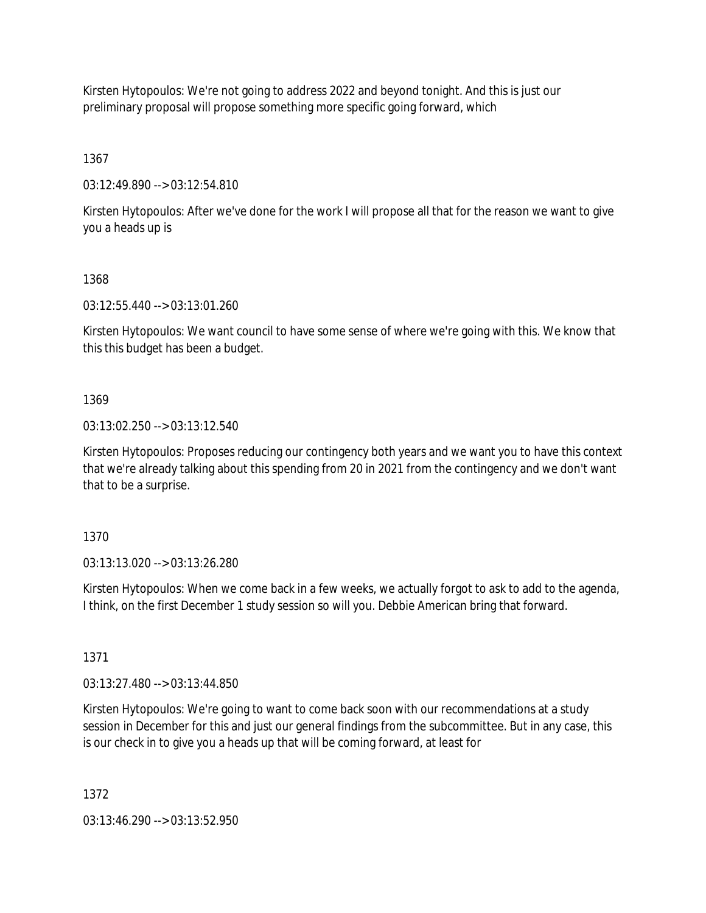Kirsten Hytopoulos: We're not going to address 2022 and beyond tonight. And this is just our preliminary proposal will propose something more specific going forward, which

1367

03:12:49.890 --> 03:12:54.810

Kirsten Hytopoulos: After we've done for the work I will propose all that for the reason we want to give you a heads up is

# 1368

03:12:55.440 --> 03:13:01.260

Kirsten Hytopoulos: We want council to have some sense of where we're going with this. We know that this this budget has been a budget.

# 1369

## 03:13:02.250 --> 03:13:12.540

Kirsten Hytopoulos: Proposes reducing our contingency both years and we want you to have this context that we're already talking about this spending from 20 in 2021 from the contingency and we don't want that to be a surprise.

## 1370

03:13:13.020 --> 03:13:26.280

Kirsten Hytopoulos: When we come back in a few weeks, we actually forgot to ask to add to the agenda, I think, on the first December 1 study session so will you. Debbie American bring that forward.

# 1371

03:13:27.480 --> 03:13:44.850

Kirsten Hytopoulos: We're going to want to come back soon with our recommendations at a study session in December for this and just our general findings from the subcommittee. But in any case, this is our check in to give you a heads up that will be coming forward, at least for

1372

03:13:46.290 --> 03:13:52.950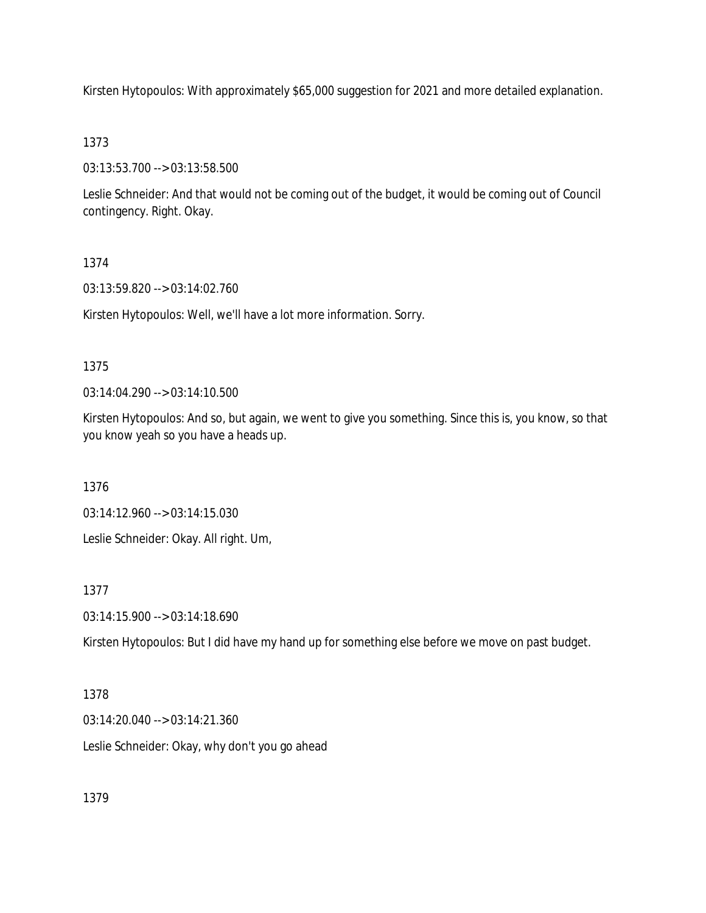Kirsten Hytopoulos: With approximately \$65,000 suggestion for 2021 and more detailed explanation.

# 1373

03:13:53.700 --> 03:13:58.500

Leslie Schneider: And that would not be coming out of the budget, it would be coming out of Council contingency. Right. Okay.

# 1374

03:13:59.820 --> 03:14:02.760

Kirsten Hytopoulos: Well, we'll have a lot more information. Sorry.

# 1375

03:14:04.290 --> 03:14:10.500

Kirsten Hytopoulos: And so, but again, we went to give you something. Since this is, you know, so that you know yeah so you have a heads up.

1376

03:14:12.960 --> 03:14:15.030

Leslie Schneider: Okay. All right. Um,

# 1377

03:14:15.900 --> 03:14:18.690

Kirsten Hytopoulos: But I did have my hand up for something else before we move on past budget.

# 1378

03:14:20.040 --> 03:14:21.360

Leslie Schneider: Okay, why don't you go ahead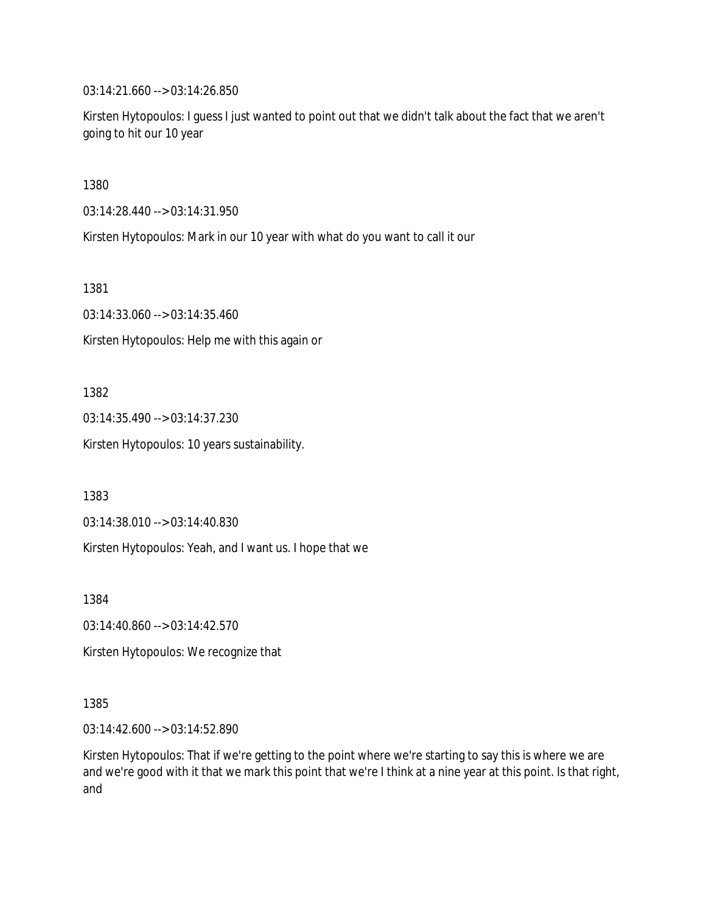03:14:21.660 --> 03:14:26.850

Kirsten Hytopoulos: I guess I just wanted to point out that we didn't talk about the fact that we aren't going to hit our 10 year

1380

03:14:28.440 --> 03:14:31.950

Kirsten Hytopoulos: Mark in our 10 year with what do you want to call it our

1381

03:14:33.060 --> 03:14:35.460

Kirsten Hytopoulos: Help me with this again or

1382

03:14:35.490 --> 03:14:37.230

Kirsten Hytopoulos: 10 years sustainability.

1383

03:14:38.010 --> 03:14:40.830

Kirsten Hytopoulos: Yeah, and I want us. I hope that we

1384

03:14:40.860 --> 03:14:42.570

Kirsten Hytopoulos: We recognize that

1385

03:14:42.600 --> 03:14:52.890

Kirsten Hytopoulos: That if we're getting to the point where we're starting to say this is where we are and we're good with it that we mark this point that we're I think at a nine year at this point. Is that right, and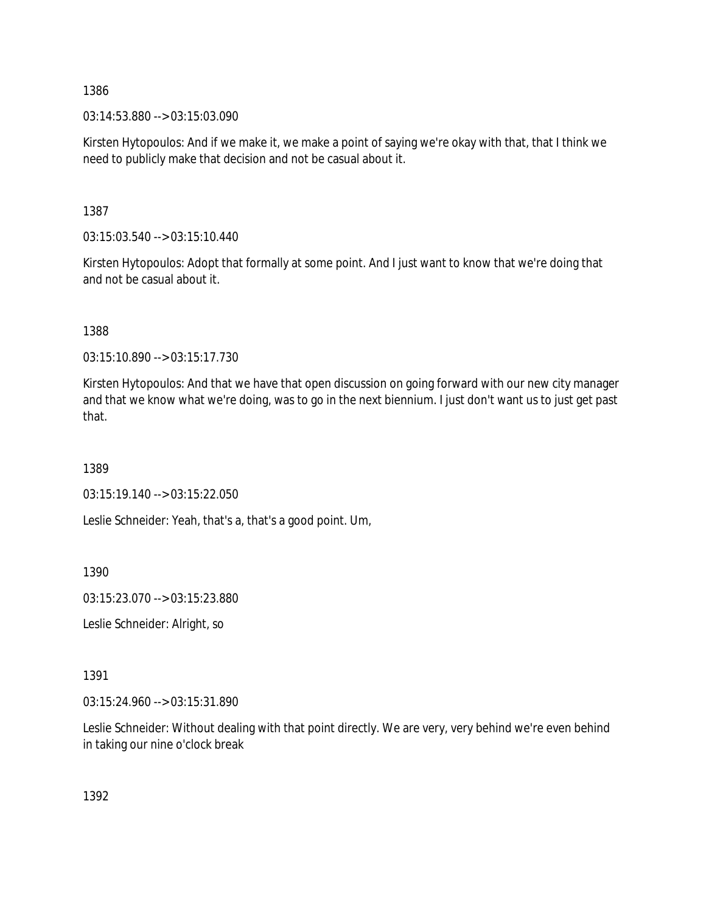03:14:53.880 --> 03:15:03.090

Kirsten Hytopoulos: And if we make it, we make a point of saying we're okay with that, that I think we need to publicly make that decision and not be casual about it.

1387

03:15:03.540 --> 03:15:10.440

Kirsten Hytopoulos: Adopt that formally at some point. And I just want to know that we're doing that and not be casual about it.

1388

03:15:10.890 --> 03:15:17.730

Kirsten Hytopoulos: And that we have that open discussion on going forward with our new city manager and that we know what we're doing, was to go in the next biennium. I just don't want us to just get past that.

1389

03:15:19.140 --> 03:15:22.050

Leslie Schneider: Yeah, that's a, that's a good point. Um,

1390

03:15:23.070 --> 03:15:23.880

Leslie Schneider: Alright, so

1391

03:15:24.960 --> 03:15:31.890

Leslie Schneider: Without dealing with that point directly. We are very, very behind we're even behind in taking our nine o'clock break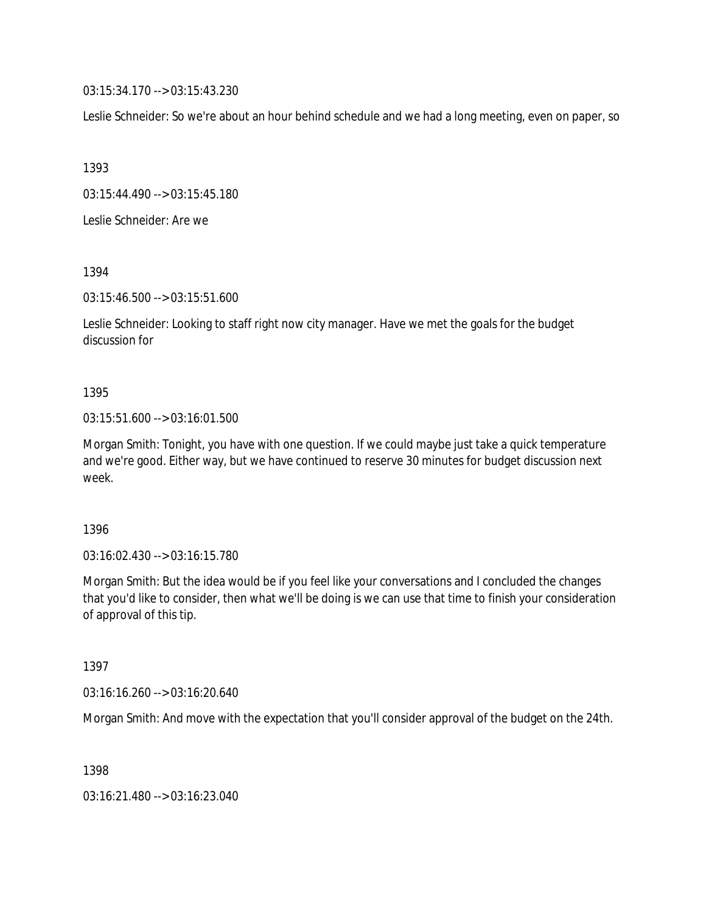03:15:34.170 --> 03:15:43.230

Leslie Schneider: So we're about an hour behind schedule and we had a long meeting, even on paper, so

1393

03:15:44.490 --> 03:15:45.180

Leslie Schneider: Are we

1394

03:15:46.500 --> 03:15:51.600

Leslie Schneider: Looking to staff right now city manager. Have we met the goals for the budget discussion for

## 1395

03:15:51.600 --> 03:16:01.500

Morgan Smith: Tonight, you have with one question. If we could maybe just take a quick temperature and we're good. Either way, but we have continued to reserve 30 minutes for budget discussion next week.

# 1396

03:16:02.430 --> 03:16:15.780

Morgan Smith: But the idea would be if you feel like your conversations and I concluded the changes that you'd like to consider, then what we'll be doing is we can use that time to finish your consideration of approval of this tip.

1397

03:16:16.260 --> 03:16:20.640

Morgan Smith: And move with the expectation that you'll consider approval of the budget on the 24th.

1398

03:16:21.480 --> 03:16:23.040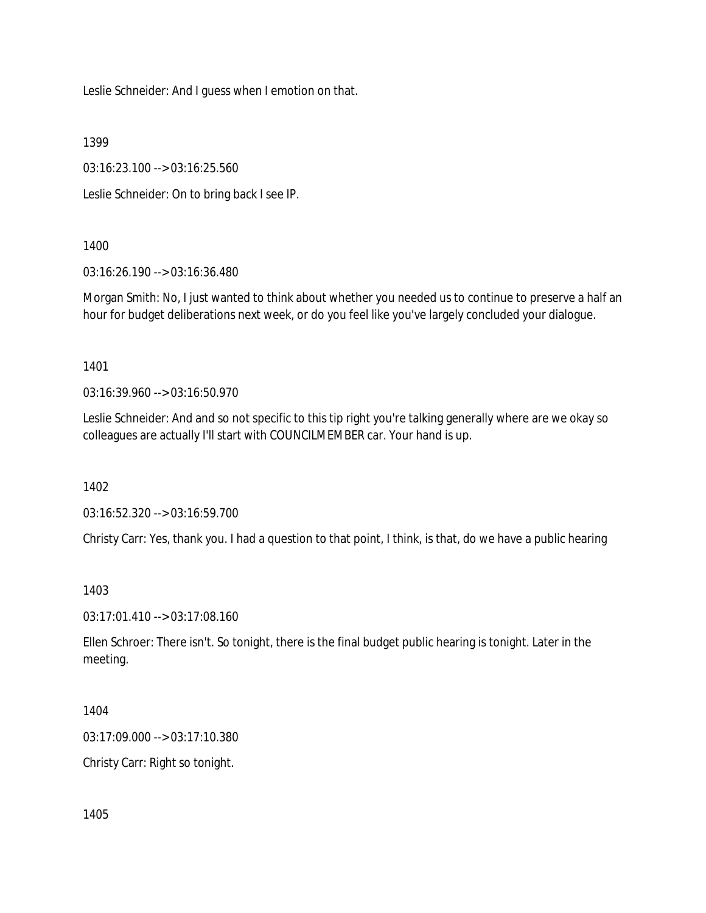Leslie Schneider: And I guess when I emotion on that.

1399

03:16:23.100 --> 03:16:25.560

Leslie Schneider: On to bring back I see IP.

1400

03:16:26.190 --> 03:16:36.480

Morgan Smith: No, I just wanted to think about whether you needed us to continue to preserve a half an hour for budget deliberations next week, or do you feel like you've largely concluded your dialogue.

1401

03:16:39.960 --> 03:16:50.970

Leslie Schneider: And and so not specific to this tip right you're talking generally where are we okay so colleagues are actually I'll start with COUNCILMEMBER car. Your hand is up.

1402

03:16:52.320 --> 03:16:59.700

Christy Carr: Yes, thank you. I had a question to that point, I think, is that, do we have a public hearing

1403

03:17:01.410 --> 03:17:08.160

Ellen Schroer: There isn't. So tonight, there is the final budget public hearing is tonight. Later in the meeting.

1404

03:17:09.000 --> 03:17:10.380

Christy Carr: Right so tonight.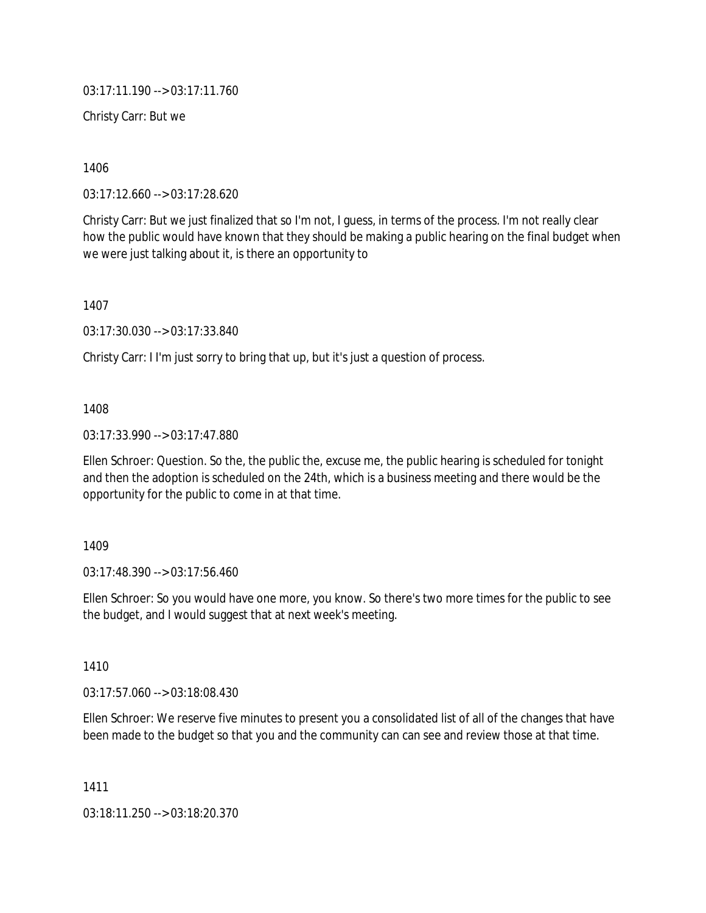03:17:11.190 --> 03:17:11.760

Christy Carr: But we

1406

03:17:12.660 --> 03:17:28.620

Christy Carr: But we just finalized that so I'm not, I guess, in terms of the process. I'm not really clear how the public would have known that they should be making a public hearing on the final budget when we were just talking about it, is there an opportunity to

1407

03:17:30.030 --> 03:17:33.840

Christy Carr: I I'm just sorry to bring that up, but it's just a question of process.

1408

03:17:33.990 --> 03:17:47.880

Ellen Schroer: Question. So the, the public the, excuse me, the public hearing is scheduled for tonight and then the adoption is scheduled on the 24th, which is a business meeting and there would be the opportunity for the public to come in at that time.

1409

03:17:48.390 --> 03:17:56.460

Ellen Schroer: So you would have one more, you know. So there's two more times for the public to see the budget, and I would suggest that at next week's meeting.

1410

03:17:57.060 --> 03:18:08.430

Ellen Schroer: We reserve five minutes to present you a consolidated list of all of the changes that have been made to the budget so that you and the community can can see and review those at that time.

1411

03:18:11.250 --> 03:18:20.370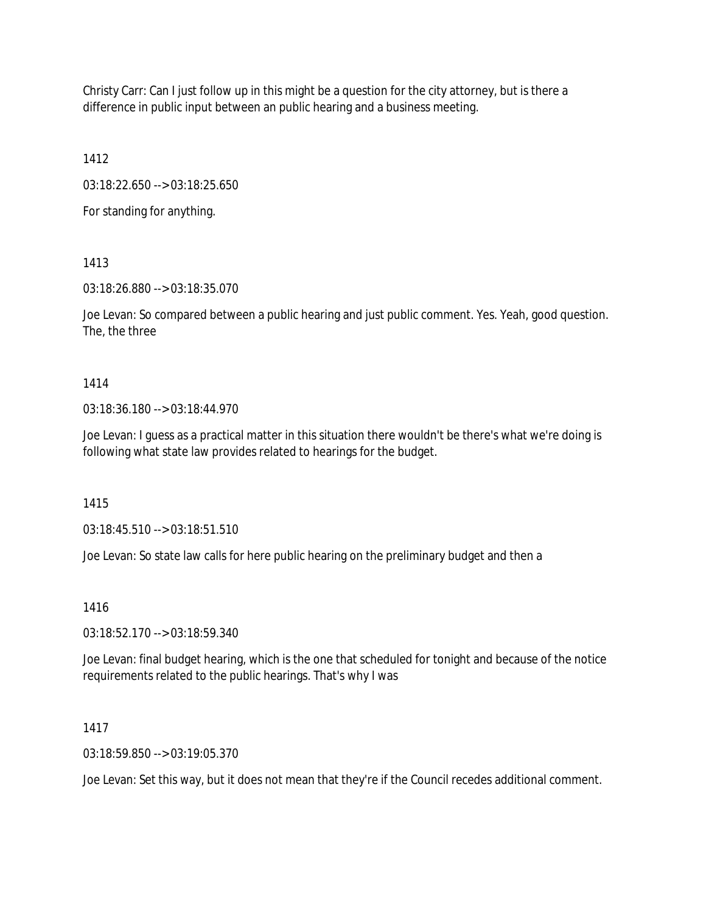Christy Carr: Can I just follow up in this might be a question for the city attorney, but is there a difference in public input between an public hearing and a business meeting.

1412

03:18:22.650 --> 03:18:25.650

For standing for anything.

1413

03:18:26.880 --> 03:18:35.070

Joe Levan: So compared between a public hearing and just public comment. Yes. Yeah, good question. The, the three

1414

03:18:36.180 --> 03:18:44.970

Joe Levan: I guess as a practical matter in this situation there wouldn't be there's what we're doing is following what state law provides related to hearings for the budget.

1415

03:18:45.510 --> 03:18:51.510

Joe Levan: So state law calls for here public hearing on the preliminary budget and then a

1416

03:18:52.170 --> 03:18:59.340

Joe Levan: final budget hearing, which is the one that scheduled for tonight and because of the notice requirements related to the public hearings. That's why I was

1417

03:18:59.850 --> 03:19:05.370

Joe Levan: Set this way, but it does not mean that they're if the Council recedes additional comment.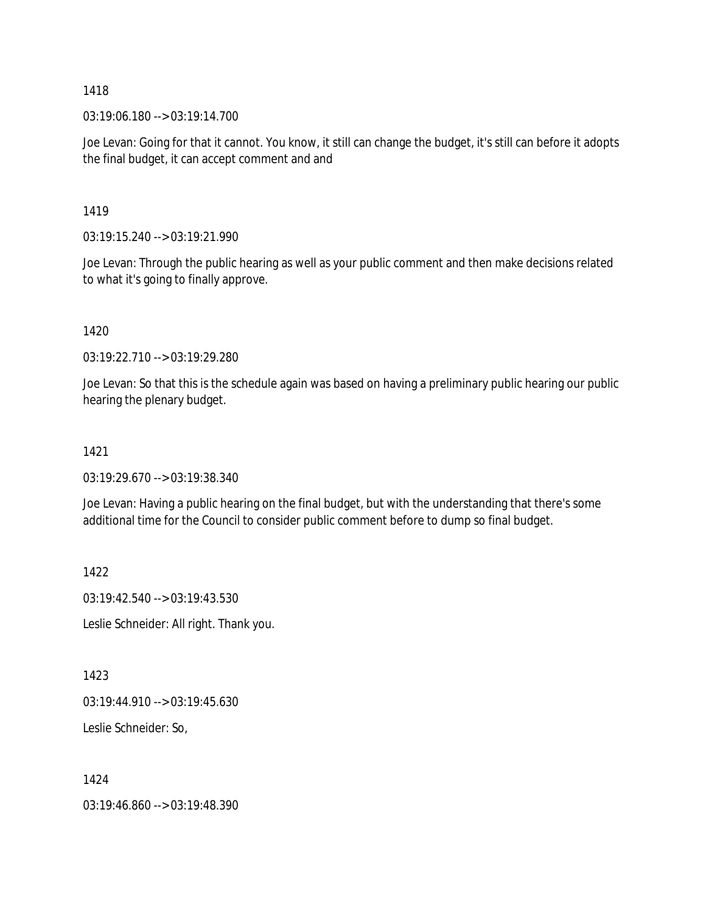03:19:06.180 --> 03:19:14.700

Joe Levan: Going for that it cannot. You know, it still can change the budget, it's still can before it adopts the final budget, it can accept comment and and

1419

03:19:15.240 --> 03:19:21.990

Joe Levan: Through the public hearing as well as your public comment and then make decisions related to what it's going to finally approve.

1420

03:19:22.710 --> 03:19:29.280

Joe Levan: So that this is the schedule again was based on having a preliminary public hearing our public hearing the plenary budget.

# 1421

03:19:29.670 --> 03:19:38.340

Joe Levan: Having a public hearing on the final budget, but with the understanding that there's some additional time for the Council to consider public comment before to dump so final budget.

1422

03:19:42.540 --> 03:19:43.530

Leslie Schneider: All right. Thank you.

1423

03:19:44.910 --> 03:19:45.630

Leslie Schneider: So,

1424

03:19:46.860 --> 03:19:48.390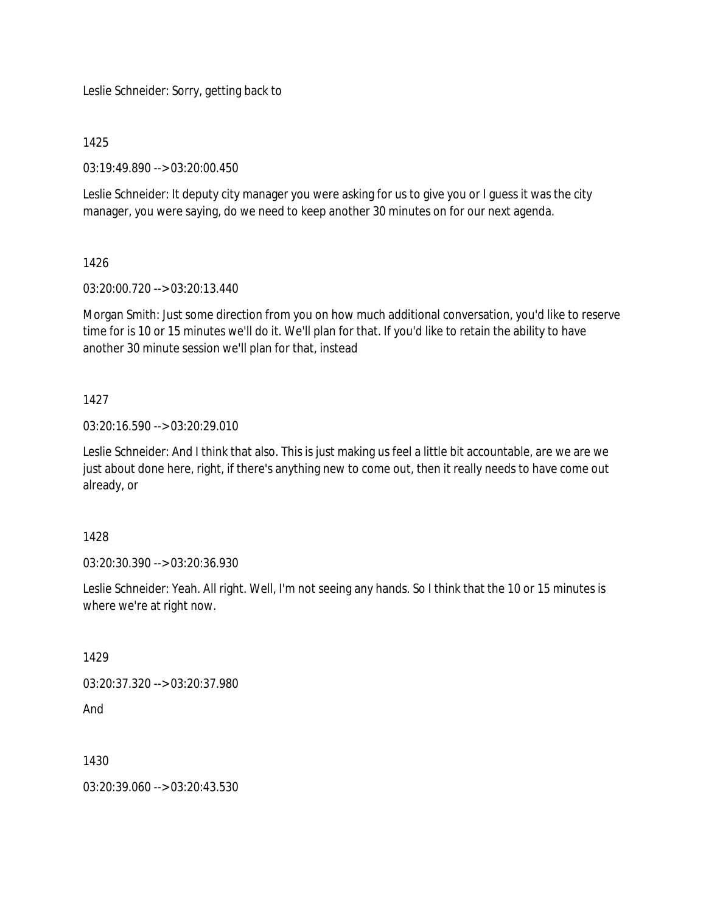Leslie Schneider: Sorry, getting back to

1425

03:19:49.890 --> 03:20:00.450

Leslie Schneider: It deputy city manager you were asking for us to give you or I guess it was the city manager, you were saying, do we need to keep another 30 minutes on for our next agenda.

1426

03:20:00.720 --> 03:20:13.440

Morgan Smith: Just some direction from you on how much additional conversation, you'd like to reserve time for is 10 or 15 minutes we'll do it. We'll plan for that. If you'd like to retain the ability to have another 30 minute session we'll plan for that, instead

# 1427

03:20:16.590 --> 03:20:29.010

Leslie Schneider: And I think that also. This is just making us feel a little bit accountable, are we are we just about done here, right, if there's anything new to come out, then it really needs to have come out already, or

1428

03:20:30.390 --> 03:20:36.930

Leslie Schneider: Yeah. All right. Well, I'm not seeing any hands. So I think that the 10 or 15 minutes is where we're at right now.

1429

03:20:37.320 --> 03:20:37.980

And

1430

03:20:39.060 --> 03:20:43.530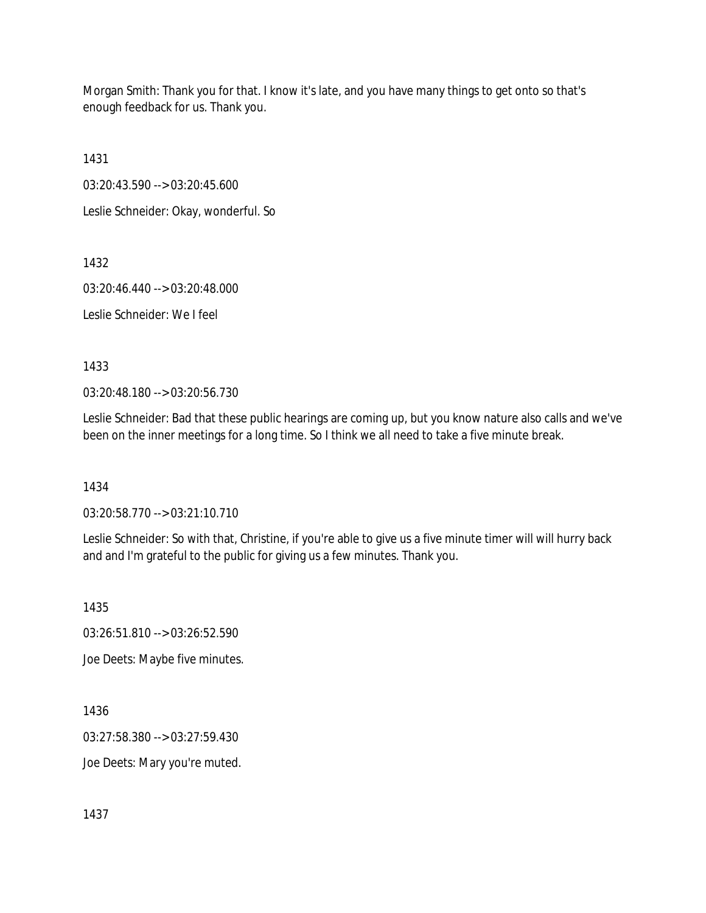Morgan Smith: Thank you for that. I know it's late, and you have many things to get onto so that's enough feedback for us. Thank you.

1431

03:20:43.590 --> 03:20:45.600

Leslie Schneider: Okay, wonderful. So

1432

03:20:46.440 --> 03:20:48.000

Leslie Schneider: We I feel

1433

03:20:48.180 --> 03:20:56.730

Leslie Schneider: Bad that these public hearings are coming up, but you know nature also calls and we've been on the inner meetings for a long time. So I think we all need to take a five minute break.

1434

03:20:58.770 --> 03:21:10.710

Leslie Schneider: So with that, Christine, if you're able to give us a five minute timer will will hurry back and and I'm grateful to the public for giving us a few minutes. Thank you.

1435

03:26:51.810 --> 03:26:52.590

Joe Deets: Maybe five minutes.

1436

03:27:58.380 --> 03:27:59.430

Joe Deets: Mary you're muted.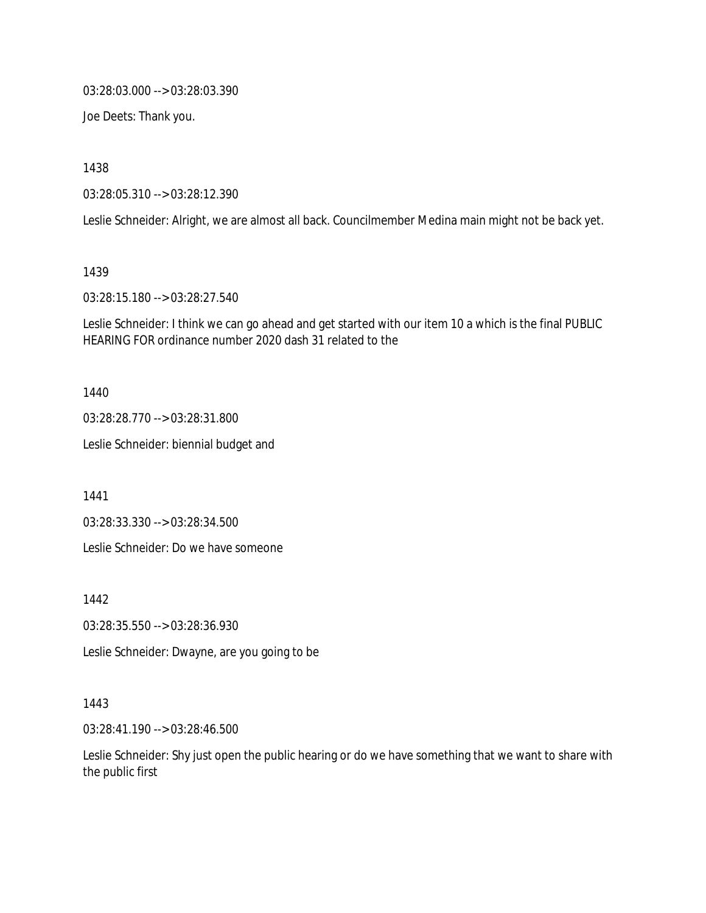03:28:03.000 --> 03:28:03.390

Joe Deets: Thank you.

1438

03:28:05.310 --> 03:28:12.390

Leslie Schneider: Alright, we are almost all back. Councilmember Medina main might not be back yet.

1439

03:28:15.180 --> 03:28:27.540

Leslie Schneider: I think we can go ahead and get started with our item 10 a which is the final PUBLIC HEARING FOR ordinance number 2020 dash 31 related to the

1440

03:28:28.770 --> 03:28:31.800

Leslie Schneider: biennial budget and

1441

03:28:33.330 --> 03:28:34.500

Leslie Schneider: Do we have someone

1442

03:28:35.550 --> 03:28:36.930

Leslie Schneider: Dwayne, are you going to be

#### 1443

03:28:41.190 --> 03:28:46.500

Leslie Schneider: Shy just open the public hearing or do we have something that we want to share with the public first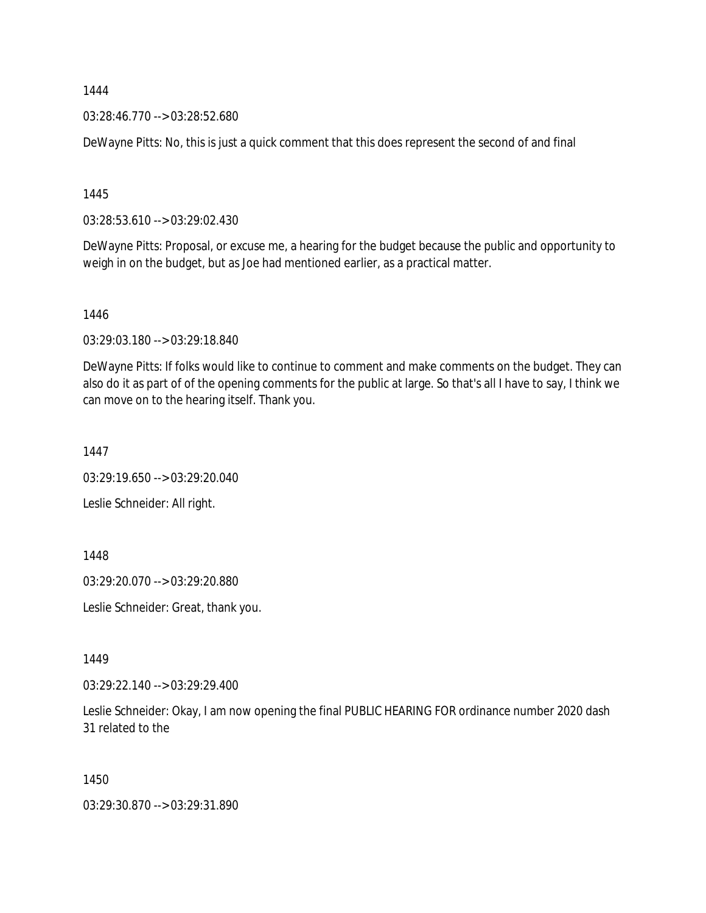03:28:46.770 --> 03:28:52.680

DeWayne Pitts: No, this is just a quick comment that this does represent the second of and final

1445

03:28:53.610 --> 03:29:02.430

DeWayne Pitts: Proposal, or excuse me, a hearing for the budget because the public and opportunity to weigh in on the budget, but as Joe had mentioned earlier, as a practical matter.

1446

03:29:03.180 --> 03:29:18.840

DeWayne Pitts: If folks would like to continue to comment and make comments on the budget. They can also do it as part of of the opening comments for the public at large. So that's all I have to say, I think we can move on to the hearing itself. Thank you.

1447

03:29:19.650 --> 03:29:20.040

Leslie Schneider: All right.

1448

03:29:20.070 --> 03:29:20.880

Leslie Schneider: Great, thank you.

1449

03:29:22.140 --> 03:29:29.400

Leslie Schneider: Okay, I am now opening the final PUBLIC HEARING FOR ordinance number 2020 dash 31 related to the

1450

03:29:30.870 --> 03:29:31.890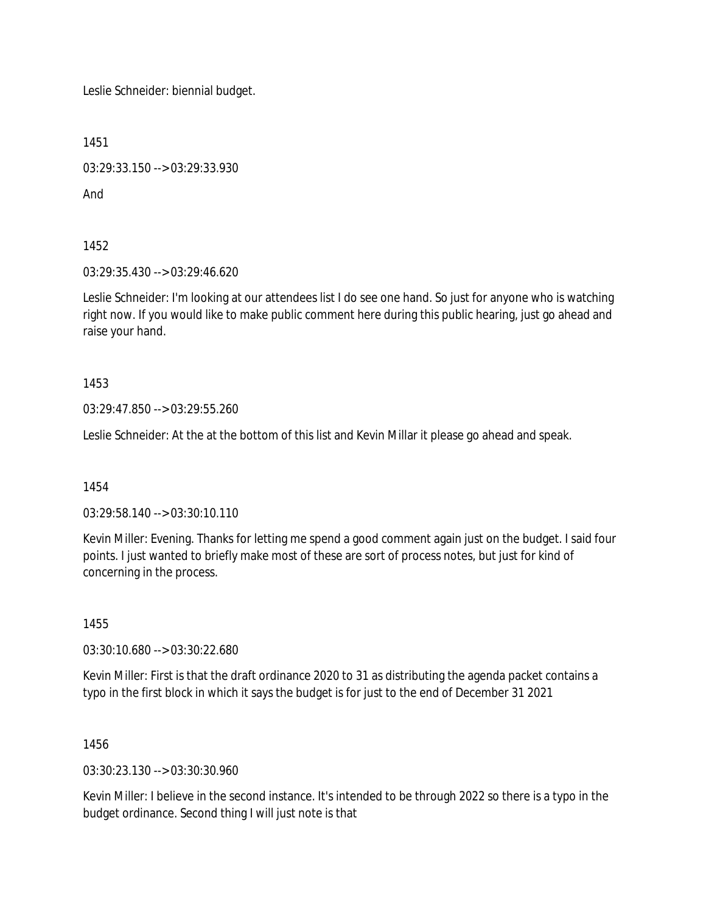Leslie Schneider: biennial budget.

1451

03:29:33.150 --> 03:29:33.930

And

1452

03:29:35.430 --> 03:29:46.620

Leslie Schneider: I'm looking at our attendees list I do see one hand. So just for anyone who is watching right now. If you would like to make public comment here during this public hearing, just go ahead and raise your hand.

1453

03:29:47.850 --> 03:29:55.260

Leslie Schneider: At the at the bottom of this list and Kevin Millar it please go ahead and speak.

1454

03:29:58.140 --> 03:30:10.110

Kevin Miller: Evening. Thanks for letting me spend a good comment again just on the budget. I said four points. I just wanted to briefly make most of these are sort of process notes, but just for kind of concerning in the process.

1455

03:30:10.680 --> 03:30:22.680

Kevin Miller: First is that the draft ordinance 2020 to 31 as distributing the agenda packet contains a typo in the first block in which it says the budget is for just to the end of December 31 2021

1456

03:30:23.130 --> 03:30:30.960

Kevin Miller: I believe in the second instance. It's intended to be through 2022 so there is a typo in the budget ordinance. Second thing I will just note is that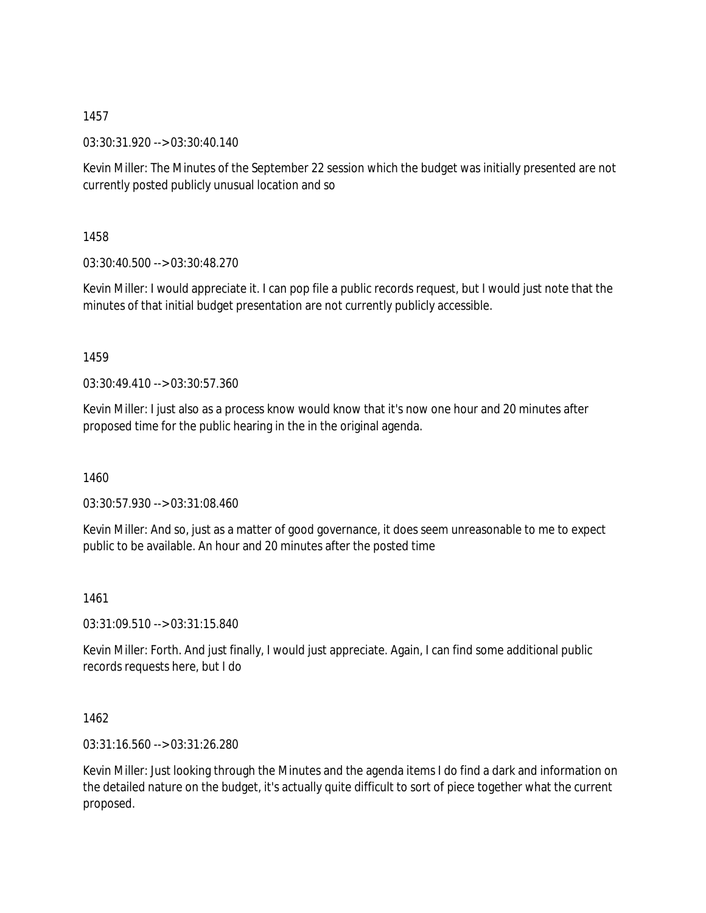03:30:31.920 --> 03:30:40.140

Kevin Miller: The Minutes of the September 22 session which the budget was initially presented are not currently posted publicly unusual location and so

1458

03:30:40.500 --> 03:30:48.270

Kevin Miller: I would appreciate it. I can pop file a public records request, but I would just note that the minutes of that initial budget presentation are not currently publicly accessible.

1459

03:30:49.410 --> 03:30:57.360

Kevin Miller: I just also as a process know would know that it's now one hour and 20 minutes after proposed time for the public hearing in the in the original agenda.

1460

03:30:57.930 --> 03:31:08.460

Kevin Miller: And so, just as a matter of good governance, it does seem unreasonable to me to expect public to be available. An hour and 20 minutes after the posted time

1461

03:31:09.510 --> 03:31:15.840

Kevin Miller: Forth. And just finally, I would just appreciate. Again, I can find some additional public records requests here, but I do

1462

03:31:16.560 --> 03:31:26.280

Kevin Miller: Just looking through the Minutes and the agenda items I do find a dark and information on the detailed nature on the budget, it's actually quite difficult to sort of piece together what the current proposed.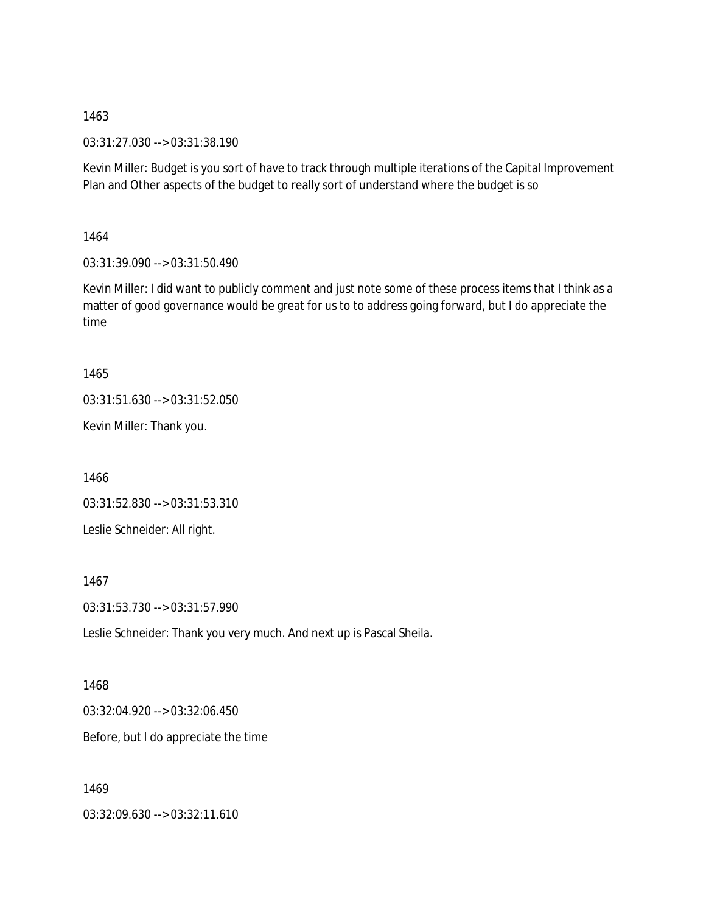03:31:27.030 --> 03:31:38.190

Kevin Miller: Budget is you sort of have to track through multiple iterations of the Capital Improvement Plan and Other aspects of the budget to really sort of understand where the budget is so

1464

03:31:39.090 --> 03:31:50.490

Kevin Miller: I did want to publicly comment and just note some of these process items that I think as a matter of good governance would be great for us to to address going forward, but I do appreciate the time

1465

03:31:51.630 --> 03:31:52.050

Kevin Miller: Thank you.

1466

03:31:52.830 --> 03:31:53.310

Leslie Schneider: All right.

1467

03:31:53.730 --> 03:31:57.990

Leslie Schneider: Thank you very much. And next up is Pascal Sheila.

1468 03:32:04.920 --> 03:32:06.450 Before, but I do appreciate the time

1469 03:32:09.630 --> 03:32:11.610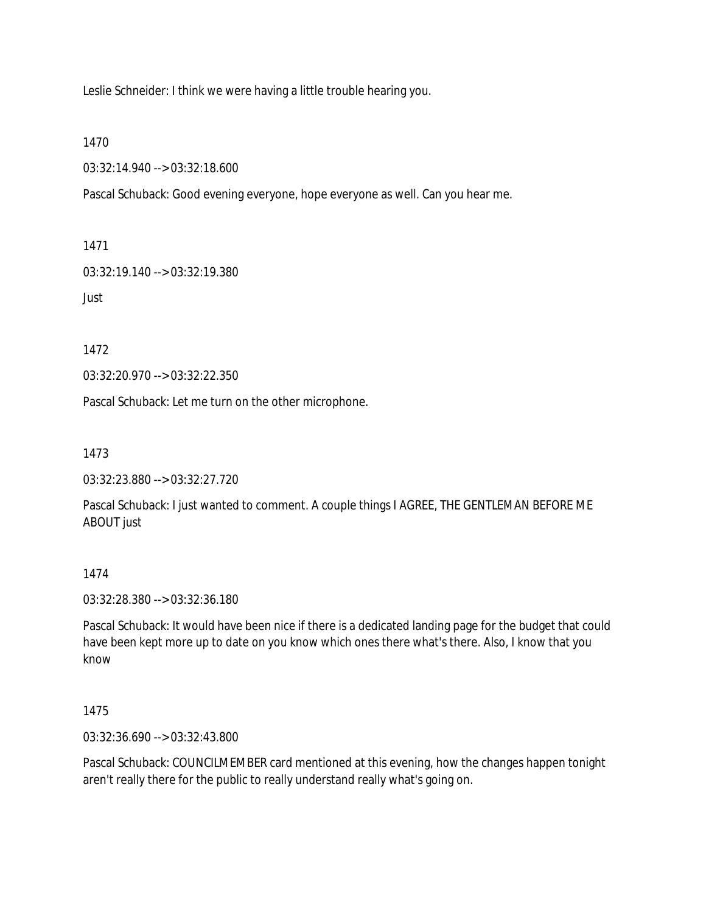Leslie Schneider: I think we were having a little trouble hearing you.

1470

03:32:14.940 --> 03:32:18.600

Pascal Schuback: Good evening everyone, hope everyone as well. Can you hear me.

1471

03:32:19.140 --> 03:32:19.380

Just

1472

03:32:20.970 --> 03:32:22.350

Pascal Schuback: Let me turn on the other microphone.

1473

03:32:23.880 --> 03:32:27.720

Pascal Schuback: I just wanted to comment. A couple things I AGREE, THE GENTLEMAN BEFORE ME ABOUT just

1474

03:32:28.380 --> 03:32:36.180

Pascal Schuback: It would have been nice if there is a dedicated landing page for the budget that could have been kept more up to date on you know which ones there what's there. Also, I know that you know

1475

03:32:36.690 --> 03:32:43.800

Pascal Schuback: COUNCILMEMBER card mentioned at this evening, how the changes happen tonight aren't really there for the public to really understand really what's going on.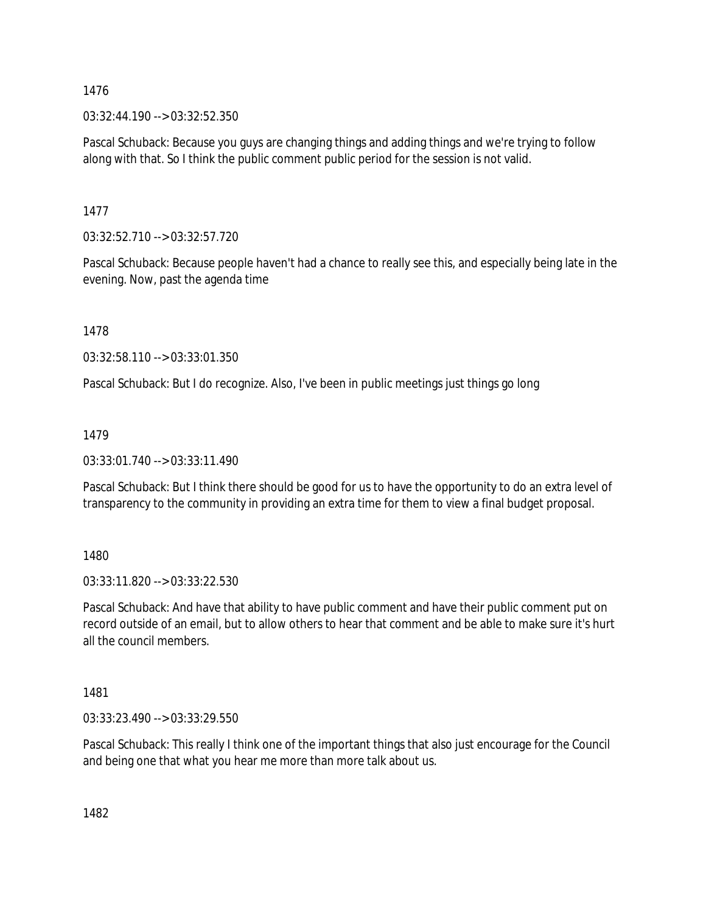03:32:44.190 --> 03:32:52.350

Pascal Schuback: Because you guys are changing things and adding things and we're trying to follow along with that. So I think the public comment public period for the session is not valid.

1477

03:32:52.710 --> 03:32:57.720

Pascal Schuback: Because people haven't had a chance to really see this, and especially being late in the evening. Now, past the agenda time

1478

03:32:58.110 --> 03:33:01.350

Pascal Schuback: But I do recognize. Also, I've been in public meetings just things go long

1479

03:33:01.740 --> 03:33:11.490

Pascal Schuback: But I think there should be good for us to have the opportunity to do an extra level of transparency to the community in providing an extra time for them to view a final budget proposal.

1480

03:33:11.820 --> 03:33:22.530

Pascal Schuback: And have that ability to have public comment and have their public comment put on record outside of an email, but to allow others to hear that comment and be able to make sure it's hurt all the council members.

1481

03:33:23.490 --> 03:33:29.550

Pascal Schuback: This really I think one of the important things that also just encourage for the Council and being one that what you hear me more than more talk about us.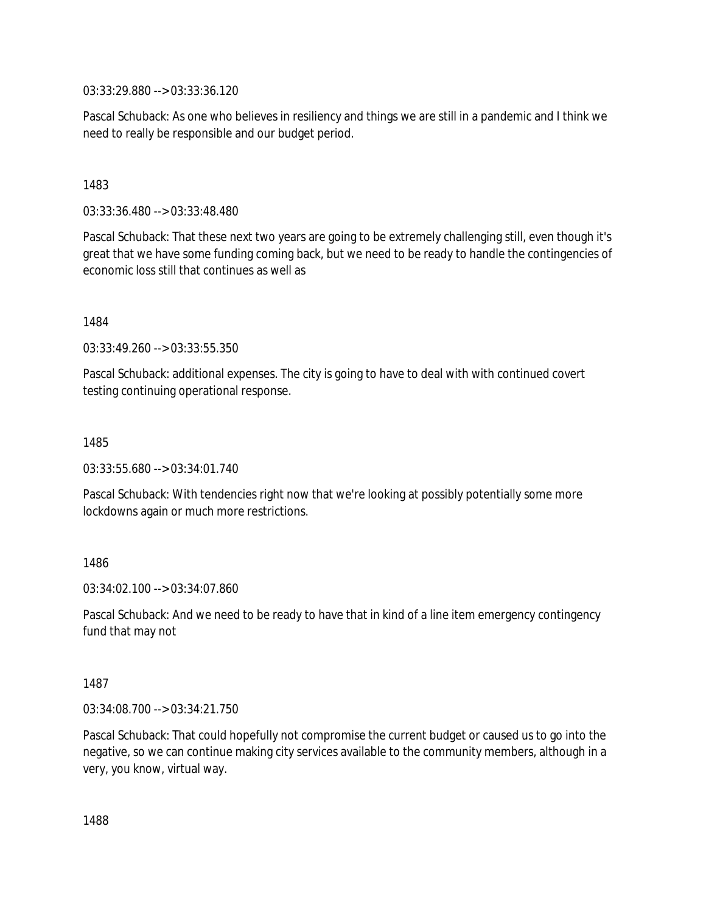03:33:29.880 --> 03:33:36.120

Pascal Schuback: As one who believes in resiliency and things we are still in a pandemic and I think we need to really be responsible and our budget period.

# 1483

03:33:36.480 --> 03:33:48.480

Pascal Schuback: That these next two years are going to be extremely challenging still, even though it's great that we have some funding coming back, but we need to be ready to handle the contingencies of economic loss still that continues as well as

1484

03:33:49.260 --> 03:33:55.350

Pascal Schuback: additional expenses. The city is going to have to deal with with continued covert testing continuing operational response.

## 1485

03:33:55.680 --> 03:34:01.740

Pascal Schuback: With tendencies right now that we're looking at possibly potentially some more lockdowns again or much more restrictions.

# 1486

03:34:02.100 --> 03:34:07.860

Pascal Schuback: And we need to be ready to have that in kind of a line item emergency contingency fund that may not

# 1487

03:34:08.700 --> 03:34:21.750

Pascal Schuback: That could hopefully not compromise the current budget or caused us to go into the negative, so we can continue making city services available to the community members, although in a very, you know, virtual way.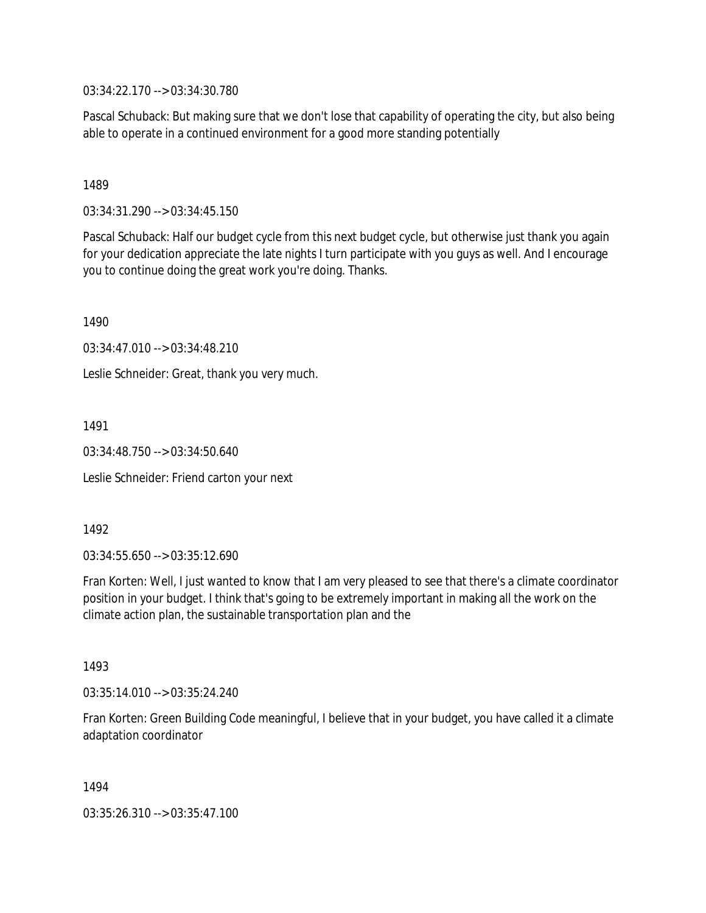03:34:22.170 --> 03:34:30.780

Pascal Schuback: But making sure that we don't lose that capability of operating the city, but also being able to operate in a continued environment for a good more standing potentially

1489

03:34:31.290 --> 03:34:45.150

Pascal Schuback: Half our budget cycle from this next budget cycle, but otherwise just thank you again for your dedication appreciate the late nights I turn participate with you guys as well. And I encourage you to continue doing the great work you're doing. Thanks.

1490

03:34:47.010 --> 03:34:48.210

Leslie Schneider: Great, thank you very much.

1491

03:34:48.750 --> 03:34:50.640

Leslie Schneider: Friend carton your next

1492

03:34:55.650 --> 03:35:12.690

Fran Korten: Well, I just wanted to know that I am very pleased to see that there's a climate coordinator position in your budget. I think that's going to be extremely important in making all the work on the climate action plan, the sustainable transportation plan and the

1493

03:35:14.010 --> 03:35:24.240

Fran Korten: Green Building Code meaningful, I believe that in your budget, you have called it a climate adaptation coordinator

1494

03:35:26.310 --> 03:35:47.100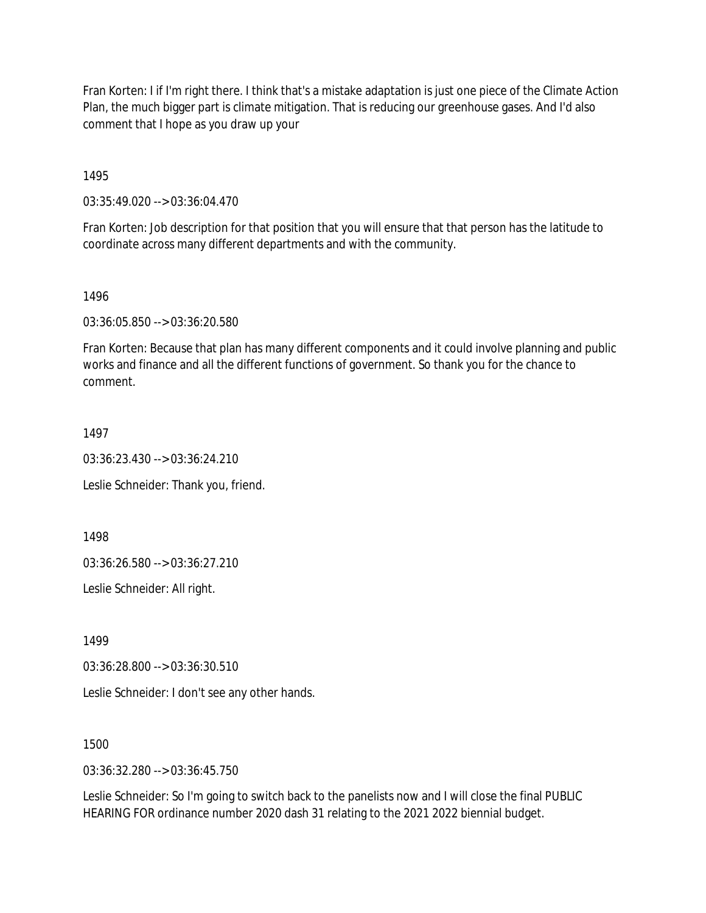Fran Korten: I if I'm right there. I think that's a mistake adaptation is just one piece of the Climate Action Plan, the much bigger part is climate mitigation. That is reducing our greenhouse gases. And I'd also comment that I hope as you draw up your

1495

03:35:49.020 --> 03:36:04.470

Fran Korten: Job description for that position that you will ensure that that person has the latitude to coordinate across many different departments and with the community.

1496

03:36:05.850 --> 03:36:20.580

Fran Korten: Because that plan has many different components and it could involve planning and public works and finance and all the different functions of government. So thank you for the chance to comment.

1497

03:36:23.430 --> 03:36:24.210

Leslie Schneider: Thank you, friend.

1498

03:36:26.580 --> 03:36:27.210

Leslie Schneider: All right.

1499

03:36:28.800 --> 03:36:30.510

Leslie Schneider: I don't see any other hands.

1500

03:36:32.280 --> 03:36:45.750

Leslie Schneider: So I'm going to switch back to the panelists now and I will close the final PUBLIC HEARING FOR ordinance number 2020 dash 31 relating to the 2021 2022 biennial budget.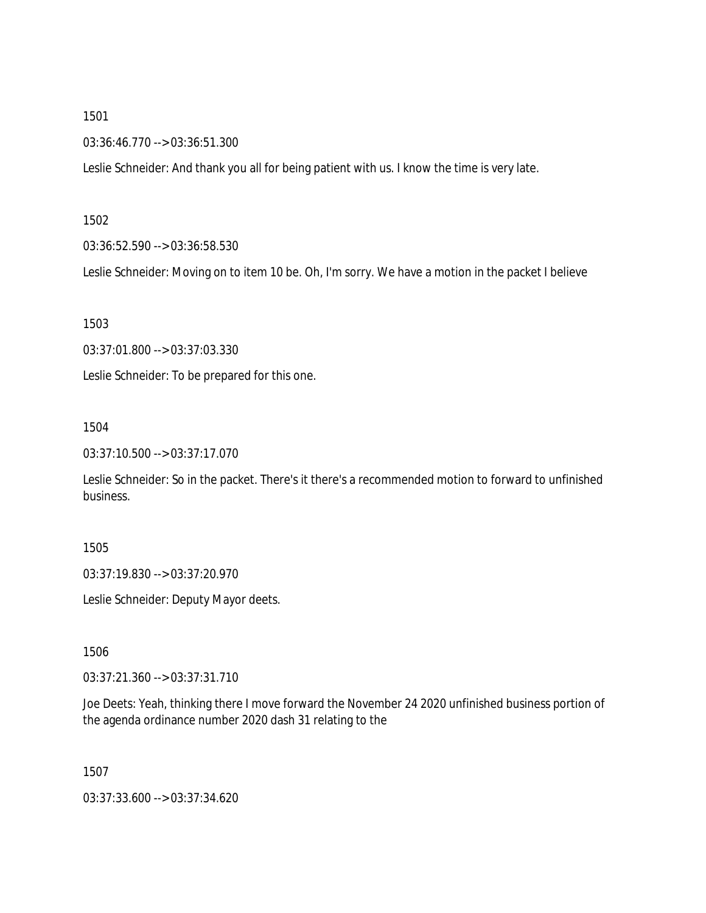03:36:46.770 --> 03:36:51.300

Leslie Schneider: And thank you all for being patient with us. I know the time is very late.

## 1502

03:36:52.590 --> 03:36:58.530

Leslie Schneider: Moving on to item 10 be. Oh, I'm sorry. We have a motion in the packet I believe

1503

03:37:01.800 --> 03:37:03.330

Leslie Schneider: To be prepared for this one.

# 1504

03:37:10.500 --> 03:37:17.070

Leslie Schneider: So in the packet. There's it there's a recommended motion to forward to unfinished business.

# 1505

03:37:19.830 --> 03:37:20.970

Leslie Schneider: Deputy Mayor deets.

1506

03:37:21.360 --> 03:37:31.710

Joe Deets: Yeah, thinking there I move forward the November 24 2020 unfinished business portion of the agenda ordinance number 2020 dash 31 relating to the

1507

03:37:33.600 --> 03:37:34.620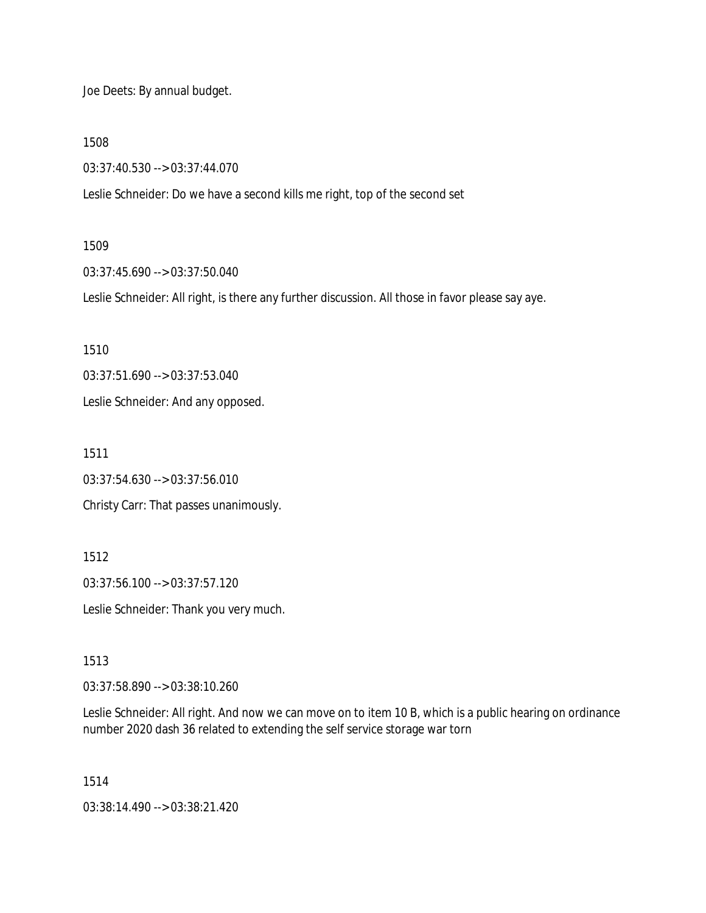Joe Deets: By annual budget.

1508

03:37:40.530 --> 03:37:44.070

Leslie Schneider: Do we have a second kills me right, top of the second set

## 1509

03:37:45.690 --> 03:37:50.040

Leslie Schneider: All right, is there any further discussion. All those in favor please say aye.

1510

03:37:51.690 --> 03:37:53.040

Leslie Schneider: And any opposed.

1511

03:37:54.630 --> 03:37:56.010 Christy Carr: That passes unanimously.

1512

03:37:56.100 --> 03:37:57.120

Leslie Schneider: Thank you very much.

1513

03:37:58.890 --> 03:38:10.260

Leslie Schneider: All right. And now we can move on to item 10 B, which is a public hearing on ordinance number 2020 dash 36 related to extending the self service storage war torn

1514

03:38:14.490 --> 03:38:21.420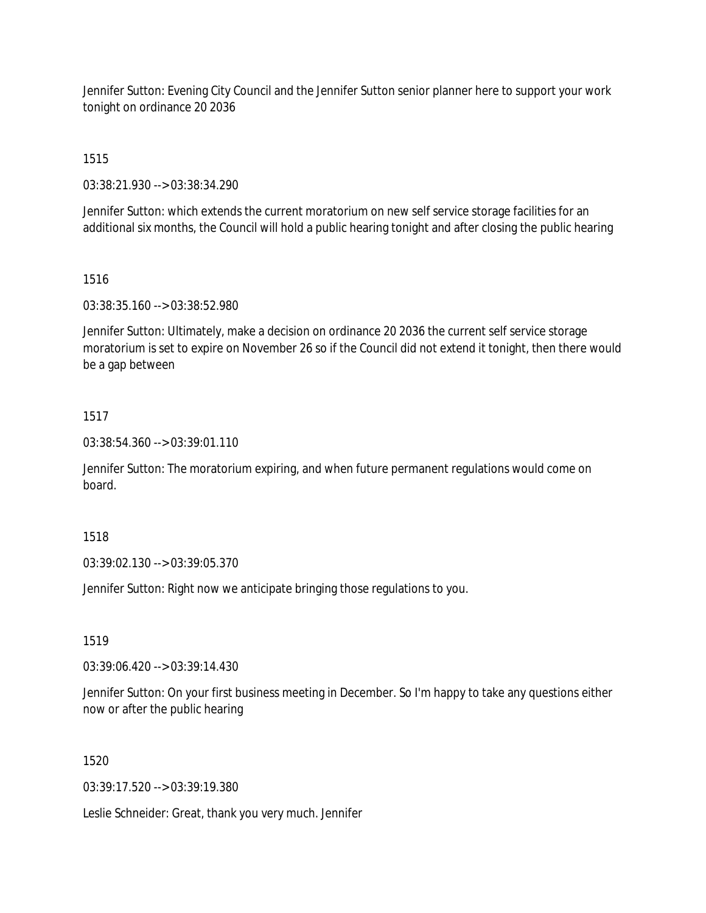Jennifer Sutton: Evening City Council and the Jennifer Sutton senior planner here to support your work tonight on ordinance 20 2036

1515

03:38:21.930 --> 03:38:34.290

Jennifer Sutton: which extends the current moratorium on new self service storage facilities for an additional six months, the Council will hold a public hearing tonight and after closing the public hearing

## 1516

03:38:35.160 --> 03:38:52.980

Jennifer Sutton: Ultimately, make a decision on ordinance 20 2036 the current self service storage moratorium is set to expire on November 26 so if the Council did not extend it tonight, then there would be a gap between

## 1517

03:38:54.360 --> 03:39:01.110

Jennifer Sutton: The moratorium expiring, and when future permanent regulations would come on board.

1518

03:39:02.130 --> 03:39:05.370

Jennifer Sutton: Right now we anticipate bringing those regulations to you.

1519

03:39:06.420 --> 03:39:14.430

Jennifer Sutton: On your first business meeting in December. So I'm happy to take any questions either now or after the public hearing

1520

03:39:17.520 --> 03:39:19.380

Leslie Schneider: Great, thank you very much. Jennifer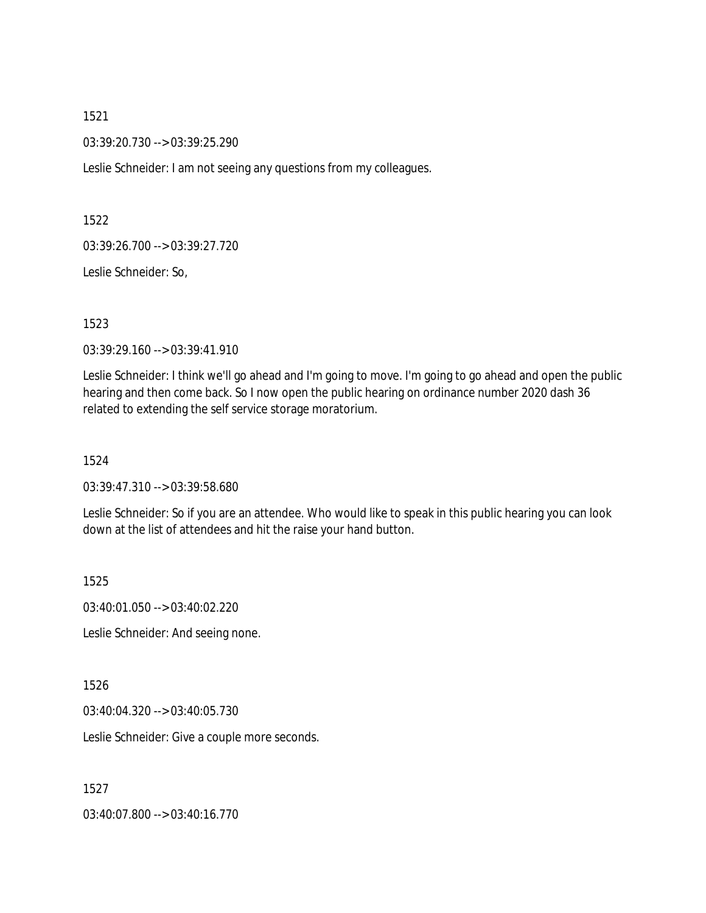03:39:20.730 --> 03:39:25.290

Leslie Schneider: I am not seeing any questions from my colleagues.

1522

03:39:26.700 --> 03:39:27.720

Leslie Schneider: So,

1523

03:39:29.160 --> 03:39:41.910

Leslie Schneider: I think we'll go ahead and I'm going to move. I'm going to go ahead and open the public hearing and then come back. So I now open the public hearing on ordinance number 2020 dash 36 related to extending the self service storage moratorium.

1524

03:39:47.310 --> 03:39:58.680

Leslie Schneider: So if you are an attendee. Who would like to speak in this public hearing you can look down at the list of attendees and hit the raise your hand button.

1525

03:40:01.050 --> 03:40:02.220

Leslie Schneider: And seeing none.

1526

03:40:04.320 --> 03:40:05.730

Leslie Schneider: Give a couple more seconds.

1527

03:40:07.800 --> 03:40:16.770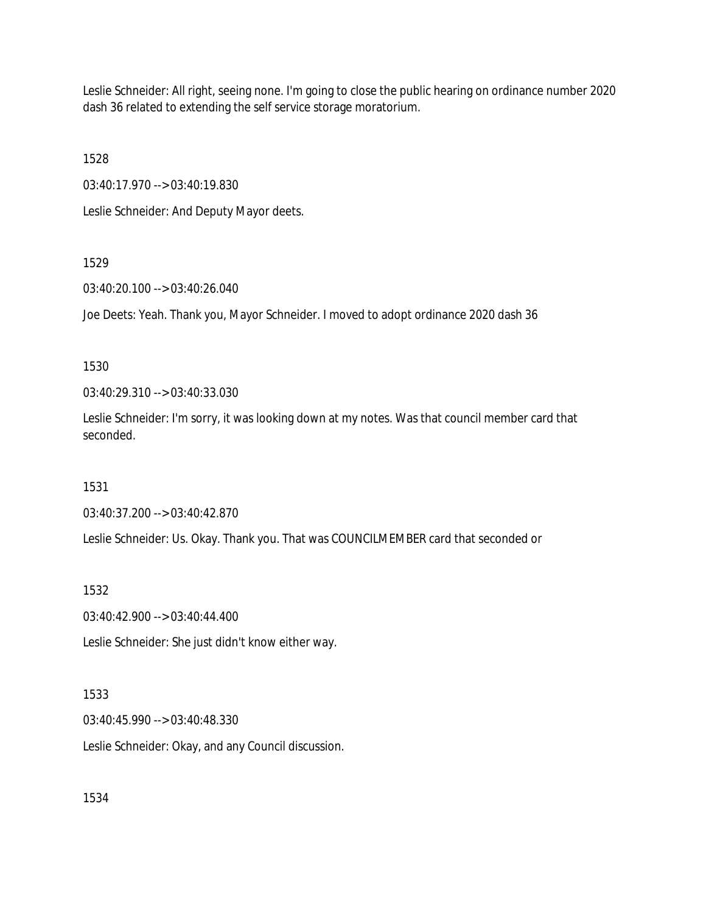Leslie Schneider: All right, seeing none. I'm going to close the public hearing on ordinance number 2020 dash 36 related to extending the self service storage moratorium.

1528

03:40:17.970 --> 03:40:19.830

Leslie Schneider: And Deputy Mayor deets.

## 1529

03:40:20.100 --> 03:40:26.040

Joe Deets: Yeah. Thank you, Mayor Schneider. I moved to adopt ordinance 2020 dash 36

## 1530

03:40:29.310 --> 03:40:33.030

Leslie Schneider: I'm sorry, it was looking down at my notes. Was that council member card that seconded.

1531

03:40:37.200 --> 03:40:42.870

Leslie Schneider: Us. Okay. Thank you. That was COUNCILMEMBER card that seconded or

1532

03:40:42.900 --> 03:40:44.400

Leslie Schneider: She just didn't know either way.

# 1533

03:40:45.990 --> 03:40:48.330

Leslie Schneider: Okay, and any Council discussion.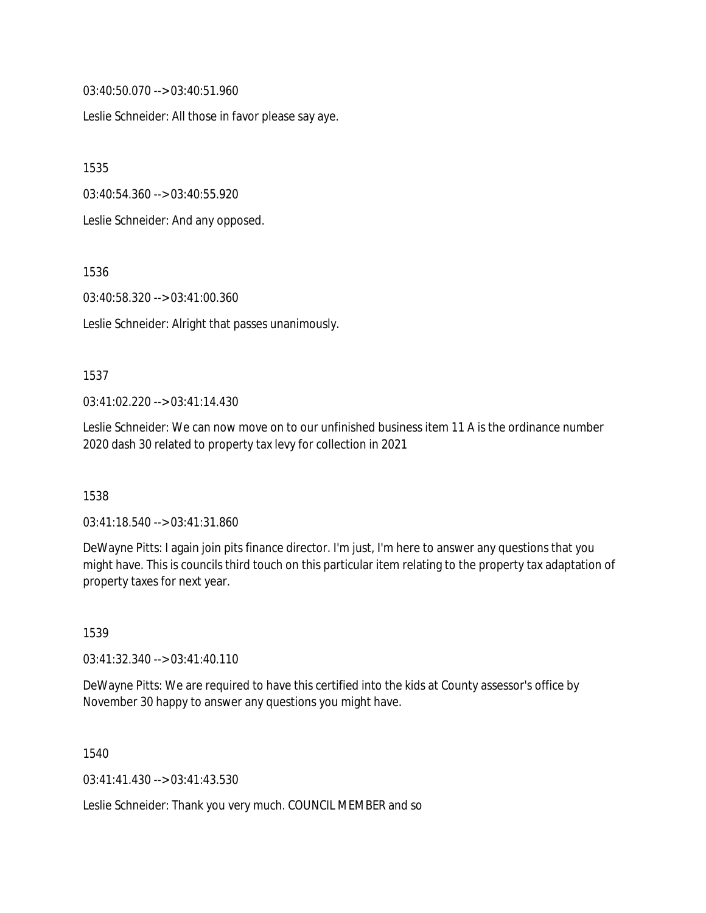03:40:50.070 --> 03:40:51.960

Leslie Schneider: All those in favor please say aye.

1535

03:40:54.360 --> 03:40:55.920

Leslie Schneider: And any opposed.

1536

03:40:58.320 --> 03:41:00.360

Leslie Schneider: Alright that passes unanimously.

## 1537

03:41:02.220 --> 03:41:14.430

Leslie Schneider: We can now move on to our unfinished business item 11 A is the ordinance number 2020 dash 30 related to property tax levy for collection in 2021

# 1538

03:41:18.540 --> 03:41:31.860

DeWayne Pitts: I again join pits finance director. I'm just, I'm here to answer any questions that you might have. This is councils third touch on this particular item relating to the property tax adaptation of property taxes for next year.

1539

03:41:32.340 --> 03:41:40.110

DeWayne Pitts: We are required to have this certified into the kids at County assessor's office by November 30 happy to answer any questions you might have.

1540

03:41:41.430 --> 03:41:43.530

Leslie Schneider: Thank you very much. COUNCIL MEMBER and so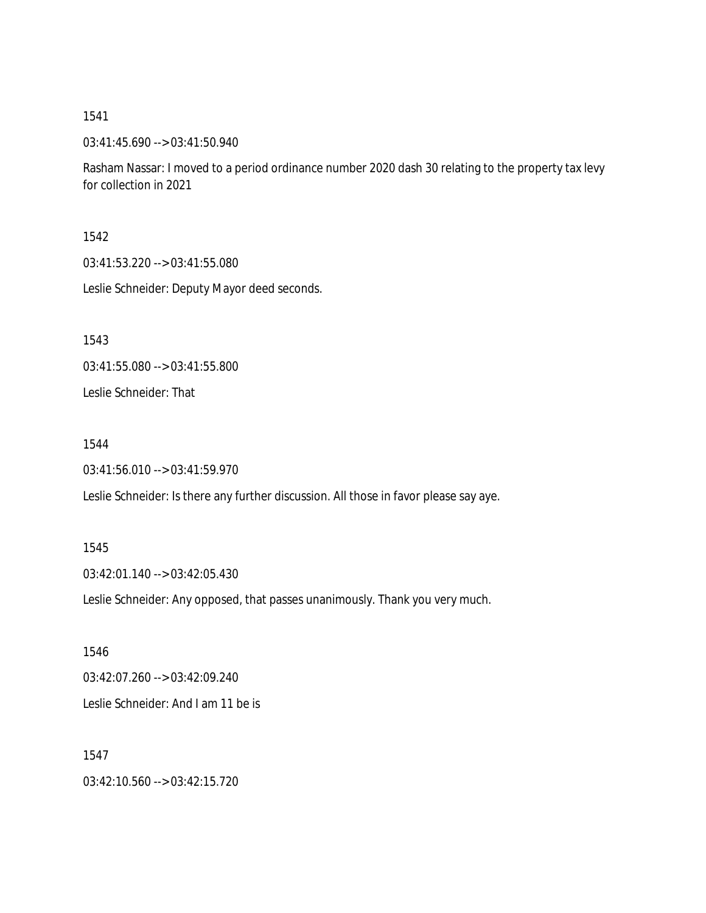03:41:45.690 --> 03:41:50.940

Rasham Nassar: I moved to a period ordinance number 2020 dash 30 relating to the property tax levy for collection in 2021

1542

03:41:53.220 --> 03:41:55.080

Leslie Schneider: Deputy Mayor deed seconds.

1543

03:41:55.080 --> 03:41:55.800

Leslie Schneider: That

1544

03:41:56.010 --> 03:41:59.970

Leslie Schneider: Is there any further discussion. All those in favor please say aye.

1545

03:42:01.140 --> 03:42:05.430

Leslie Schneider: Any opposed, that passes unanimously. Thank you very much.

1546 03:42:07.260 --> 03:42:09.240 Leslie Schneider: And I am 11 be is

1547 03:42:10.560 --> 03:42:15.720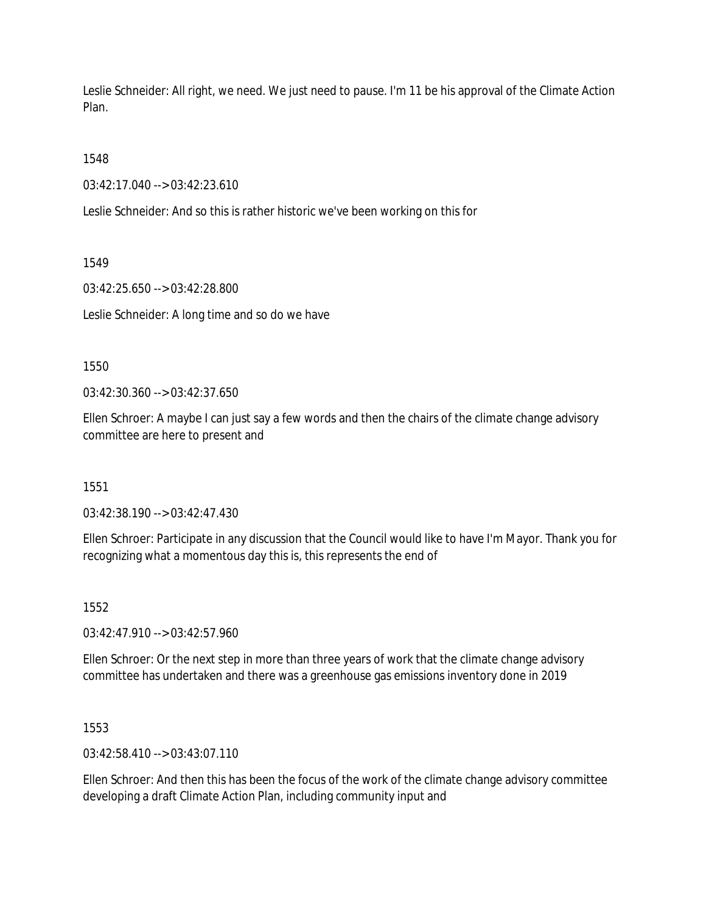Leslie Schneider: All right, we need. We just need to pause. I'm 11 be his approval of the Climate Action Plan.

1548

03:42:17.040 --> 03:42:23.610

Leslie Schneider: And so this is rather historic we've been working on this for

1549

03:42:25.650 --> 03:42:28.800

Leslie Schneider: A long time and so do we have

1550

03:42:30.360 --> 03:42:37.650

Ellen Schroer: A maybe I can just say a few words and then the chairs of the climate change advisory committee are here to present and

1551

03:42:38.190 --> 03:42:47.430

Ellen Schroer: Participate in any discussion that the Council would like to have I'm Mayor. Thank you for recognizing what a momentous day this is, this represents the end of

1552

03:42:47.910 --> 03:42:57.960

Ellen Schroer: Or the next step in more than three years of work that the climate change advisory committee has undertaken and there was a greenhouse gas emissions inventory done in 2019

1553

03:42:58.410 --> 03:43:07.110

Ellen Schroer: And then this has been the focus of the work of the climate change advisory committee developing a draft Climate Action Plan, including community input and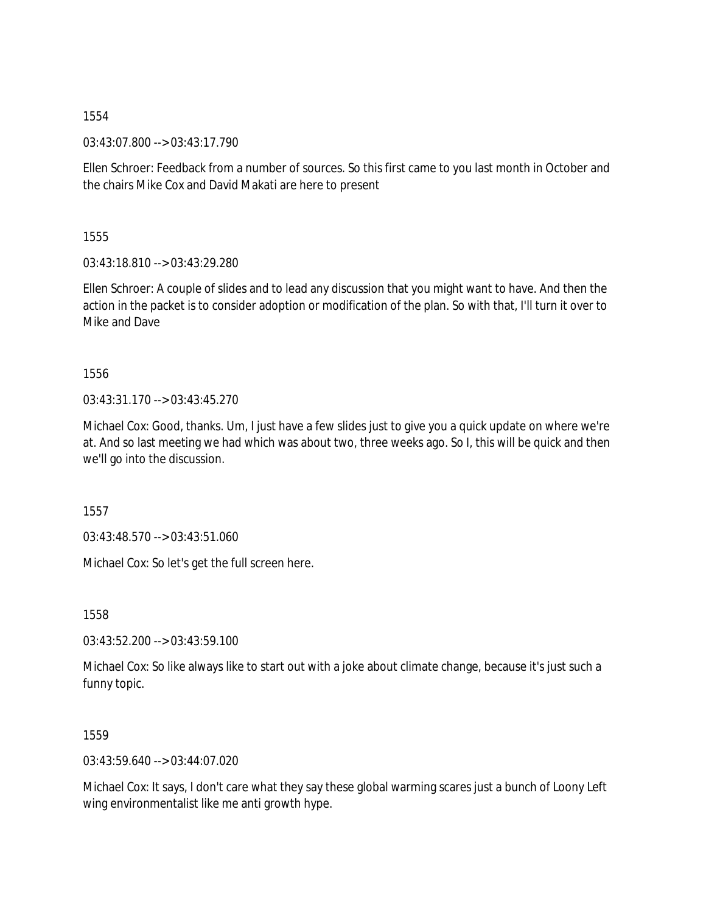03:43:07.800 --> 03:43:17.790

Ellen Schroer: Feedback from a number of sources. So this first came to you last month in October and the chairs Mike Cox and David Makati are here to present

1555

03:43:18.810 --> 03:43:29.280

Ellen Schroer: A couple of slides and to lead any discussion that you might want to have. And then the action in the packet is to consider adoption or modification of the plan. So with that, I'll turn it over to Mike and Dave

1556

03:43:31.170 --> 03:43:45.270

Michael Cox: Good, thanks. Um, I just have a few slides just to give you a quick update on where we're at. And so last meeting we had which was about two, three weeks ago. So I, this will be quick and then we'll go into the discussion.

1557

03:43:48.570 --> 03:43:51.060

Michael Cox: So let's get the full screen here.

1558

03:43:52.200 --> 03:43:59.100

Michael Cox: So like always like to start out with a joke about climate change, because it's just such a funny topic.

1559

03:43:59.640 --> 03:44:07.020

Michael Cox: It says, I don't care what they say these global warming scares just a bunch of Loony Left wing environmentalist like me anti growth hype.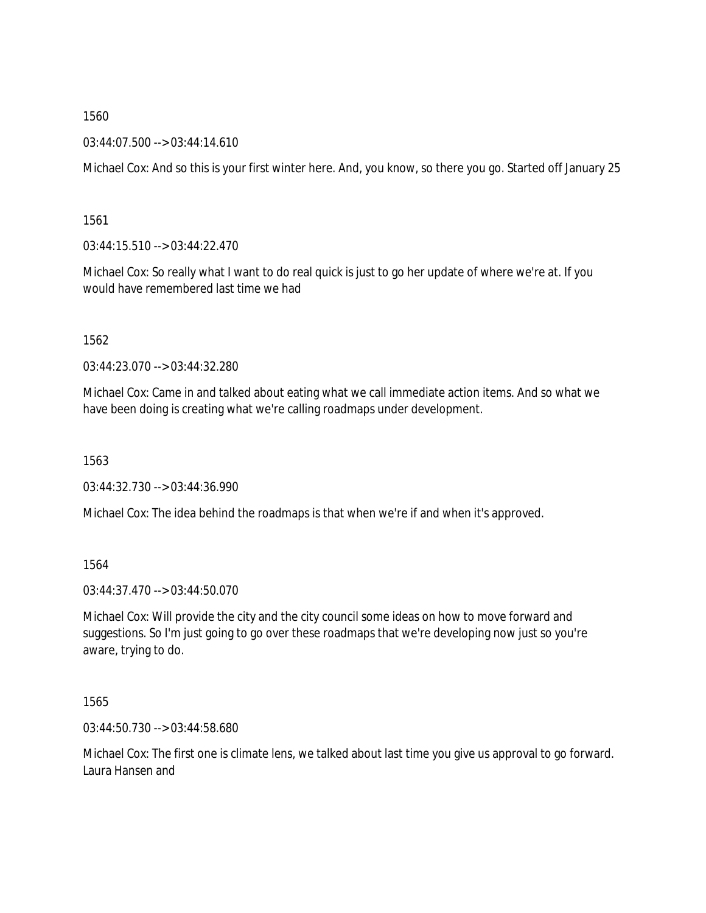03:44:07.500 --> 03:44:14.610

Michael Cox: And so this is your first winter here. And, you know, so there you go. Started off January 25

1561

03:44:15.510 --> 03:44:22.470

Michael Cox: So really what I want to do real quick is just to go her update of where we're at. If you would have remembered last time we had

1562

03:44:23.070 --> 03:44:32.280

Michael Cox: Came in and talked about eating what we call immediate action items. And so what we have been doing is creating what we're calling roadmaps under development.

1563

03:44:32.730 --> 03:44:36.990

Michael Cox: The idea behind the roadmaps is that when we're if and when it's approved.

1564

03:44:37.470 --> 03:44:50.070

Michael Cox: Will provide the city and the city council some ideas on how to move forward and suggestions. So I'm just going to go over these roadmaps that we're developing now just so you're aware, trying to do.

1565

03:44:50.730 --> 03:44:58.680

Michael Cox: The first one is climate lens, we talked about last time you give us approval to go forward. Laura Hansen and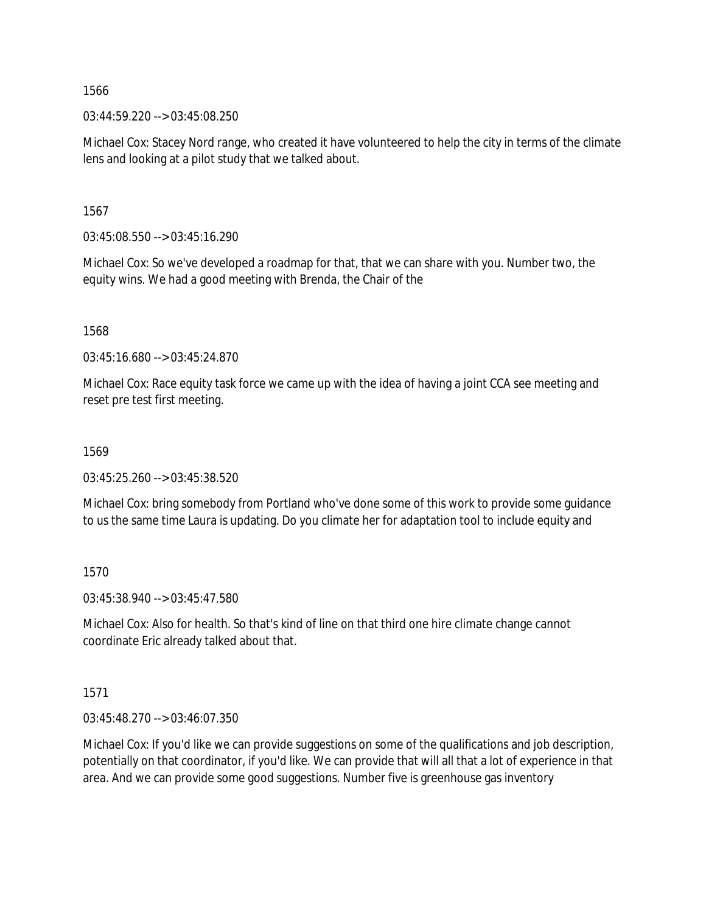03:44:59.220 --> 03:45:08.250

Michael Cox: Stacey Nord range, who created it have volunteered to help the city in terms of the climate lens and looking at a pilot study that we talked about.

1567

03:45:08.550 --> 03:45:16.290

Michael Cox: So we've developed a roadmap for that, that we can share with you. Number two, the equity wins. We had a good meeting with Brenda, the Chair of the

1568

03:45:16.680 --> 03:45:24.870

Michael Cox: Race equity task force we came up with the idea of having a joint CCA see meeting and reset pre test first meeting.

1569

03:45:25.260 --> 03:45:38.520

Michael Cox: bring somebody from Portland who've done some of this work to provide some guidance to us the same time Laura is updating. Do you climate her for adaptation tool to include equity and

1570

03:45:38.940 --> 03:45:47.580

Michael Cox: Also for health. So that's kind of line on that third one hire climate change cannot coordinate Eric already talked about that.

1571

03:45:48.270 --> 03:46:07.350

Michael Cox: If you'd like we can provide suggestions on some of the qualifications and job description, potentially on that coordinator, if you'd like. We can provide that will all that a lot of experience in that area. And we can provide some good suggestions. Number five is greenhouse gas inventory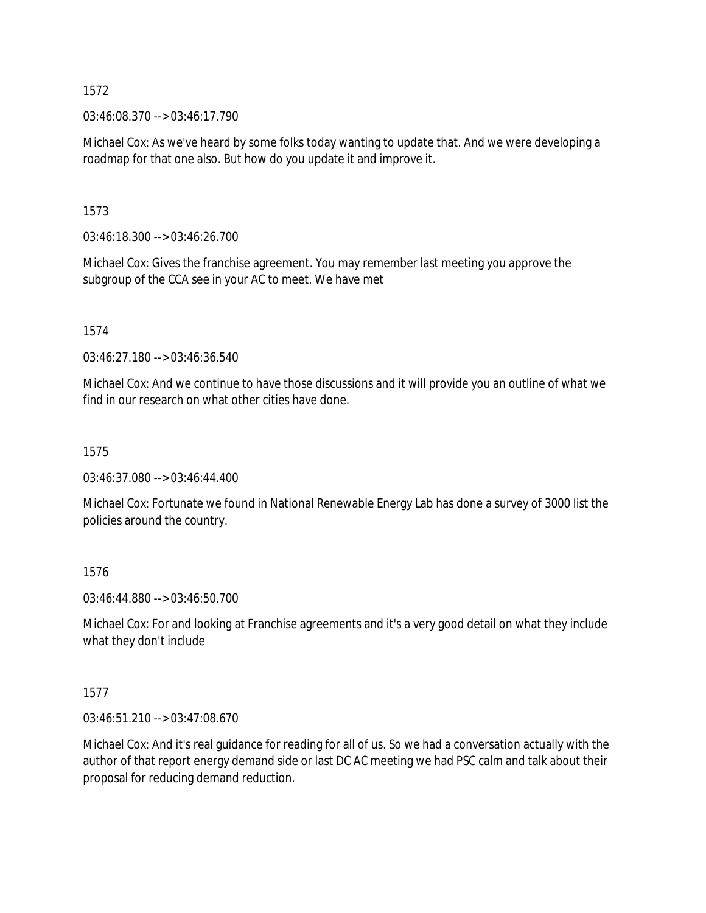03:46:08.370 --> 03:46:17.790

Michael Cox: As we've heard by some folks today wanting to update that. And we were developing a roadmap for that one also. But how do you update it and improve it.

1573

03:46:18.300 --> 03:46:26.700

Michael Cox: Gives the franchise agreement. You may remember last meeting you approve the subgroup of the CCA see in your AC to meet. We have met

1574

03:46:27.180 --> 03:46:36.540

Michael Cox: And we continue to have those discussions and it will provide you an outline of what we find in our research on what other cities have done.

1575

03:46:37.080 --> 03:46:44.400

Michael Cox: Fortunate we found in National Renewable Energy Lab has done a survey of 3000 list the policies around the country.

1576

03:46:44.880 --> 03:46:50.700

Michael Cox: For and looking at Franchise agreements and it's a very good detail on what they include what they don't include

1577

03:46:51.210 --> 03:47:08.670

Michael Cox: And it's real guidance for reading for all of us. So we had a conversation actually with the author of that report energy demand side or last DC AC meeting we had PSC calm and talk about their proposal for reducing demand reduction.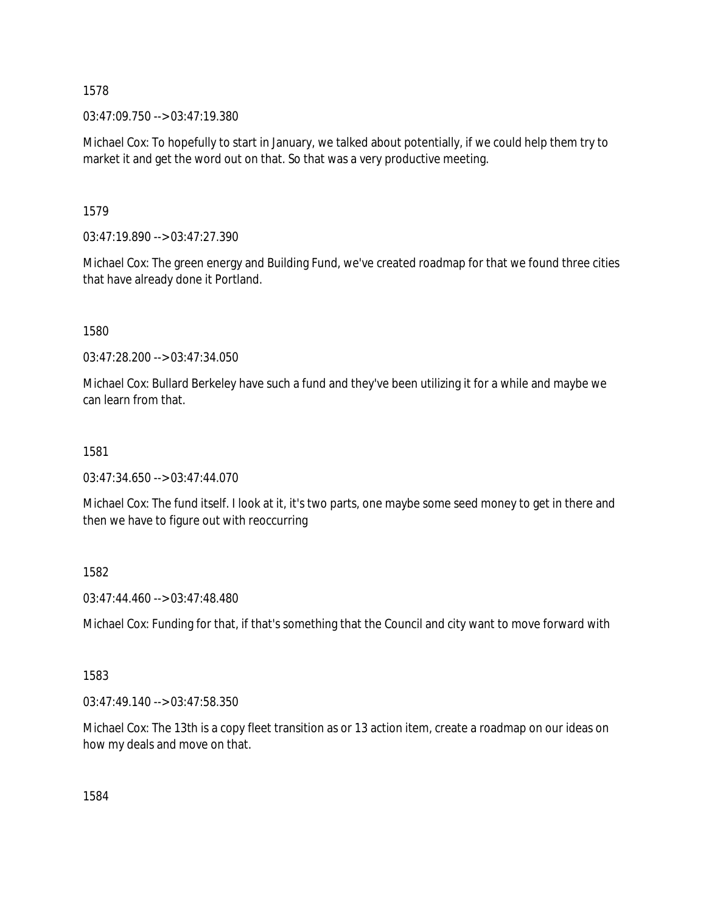03:47:09.750 --> 03:47:19.380

Michael Cox: To hopefully to start in January, we talked about potentially, if we could help them try to market it and get the word out on that. So that was a very productive meeting.

1579

03:47:19.890 --> 03:47:27.390

Michael Cox: The green energy and Building Fund, we've created roadmap for that we found three cities that have already done it Portland.

1580

03:47:28.200 --> 03:47:34.050

Michael Cox: Bullard Berkeley have such a fund and they've been utilizing it for a while and maybe we can learn from that.

1581

 $03:47:34.650 \rightarrow 03:47:44.070$ 

Michael Cox: The fund itself. I look at it, it's two parts, one maybe some seed money to get in there and then we have to figure out with reoccurring

1582

03:47:44.460 --> 03:47:48.480

Michael Cox: Funding for that, if that's something that the Council and city want to move forward with

1583

03:47:49.140 --> 03:47:58.350

Michael Cox: The 13th is a copy fleet transition as or 13 action item, create a roadmap on our ideas on how my deals and move on that.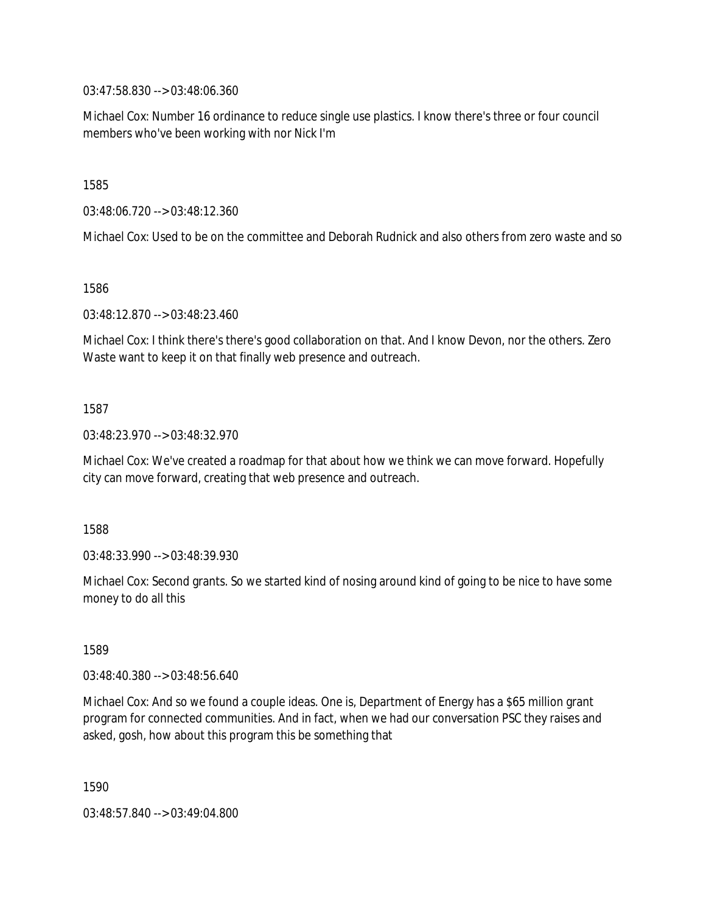03:47:58.830 --> 03:48:06.360

Michael Cox: Number 16 ordinance to reduce single use plastics. I know there's three or four council members who've been working with nor Nick I'm

1585

03:48:06.720 --> 03:48:12.360

Michael Cox: Used to be on the committee and Deborah Rudnick and also others from zero waste and so

1586

03:48:12.870 --> 03:48:23.460

Michael Cox: I think there's there's good collaboration on that. And I know Devon, nor the others. Zero Waste want to keep it on that finally web presence and outreach.

## 1587

03:48:23.970 --> 03:48:32.970

Michael Cox: We've created a roadmap for that about how we think we can move forward. Hopefully city can move forward, creating that web presence and outreach.

1588

03:48:33.990 --> 03:48:39.930

Michael Cox: Second grants. So we started kind of nosing around kind of going to be nice to have some money to do all this

1589

03:48:40.380 --> 03:48:56.640

Michael Cox: And so we found a couple ideas. One is, Department of Energy has a \$65 million grant program for connected communities. And in fact, when we had our conversation PSC they raises and asked, gosh, how about this program this be something that

1590

03:48:57.840 --> 03:49:04.800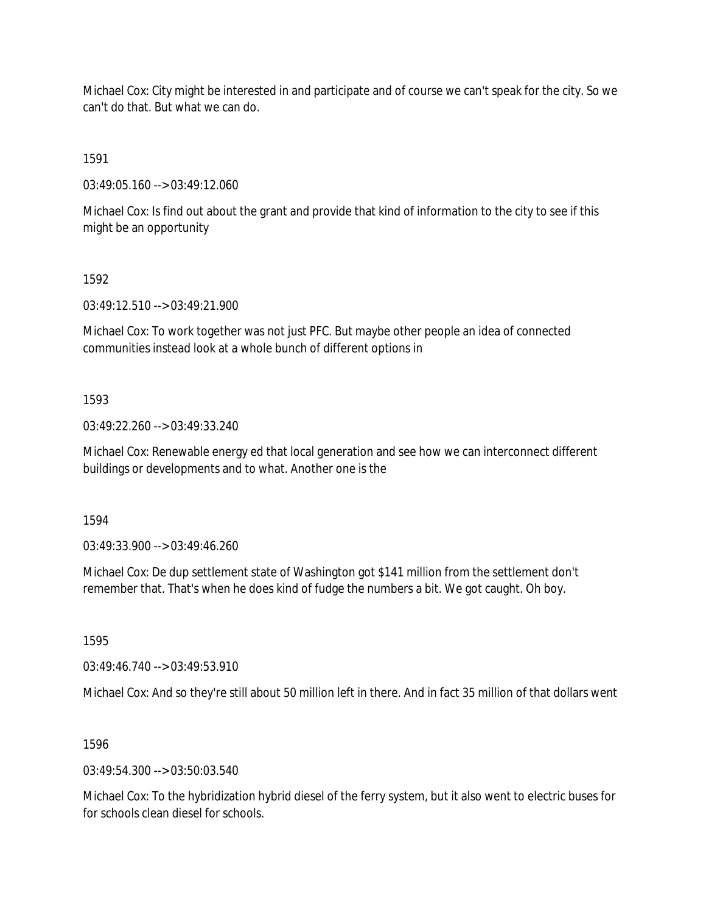Michael Cox: City might be interested in and participate and of course we can't speak for the city. So we can't do that. But what we can do.

1591

03:49:05.160 --> 03:49:12.060

Michael Cox: Is find out about the grant and provide that kind of information to the city to see if this might be an opportunity

1592

03:49:12.510 --> 03:49:21.900

Michael Cox: To work together was not just PFC. But maybe other people an idea of connected communities instead look at a whole bunch of different options in

1593

03:49:22.260 --> 03:49:33.240

Michael Cox: Renewable energy ed that local generation and see how we can interconnect different buildings or developments and to what. Another one is the

1594

03:49:33.900 --> 03:49:46.260

Michael Cox: De dup settlement state of Washington got \$141 million from the settlement don't remember that. That's when he does kind of fudge the numbers a bit. We got caught. Oh boy.

1595

03:49:46.740 --> 03:49:53.910

Michael Cox: And so they're still about 50 million left in there. And in fact 35 million of that dollars went

1596

03:49:54.300 --> 03:50:03.540

Michael Cox: To the hybridization hybrid diesel of the ferry system, but it also went to electric buses for for schools clean diesel for schools.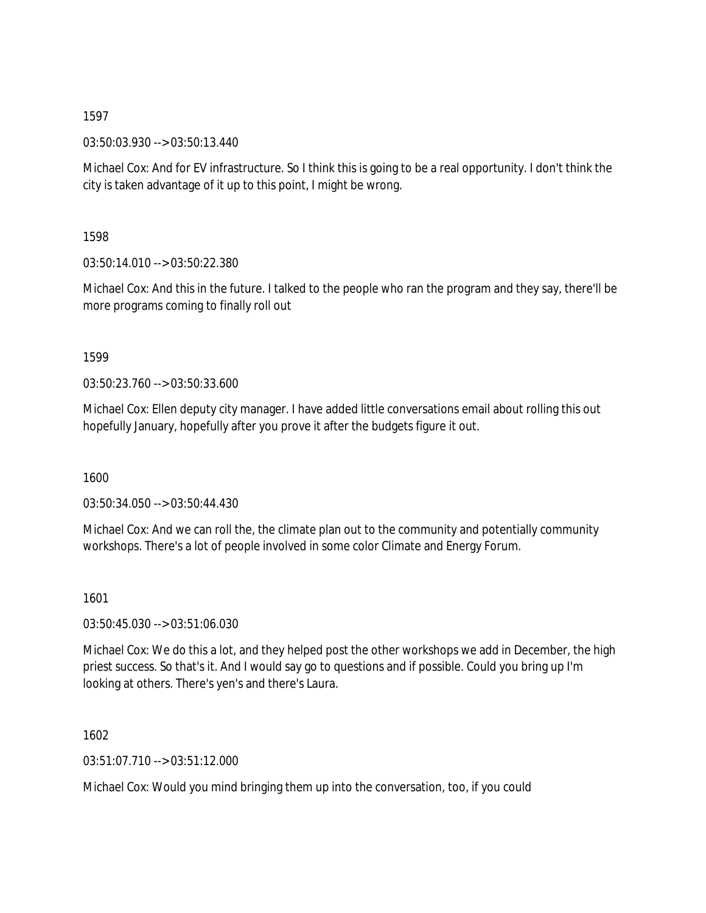03:50:03.930 --> 03:50:13.440

Michael Cox: And for EV infrastructure. So I think this is going to be a real opportunity. I don't think the city is taken advantage of it up to this point, I might be wrong.

1598

03:50:14.010 --> 03:50:22.380

Michael Cox: And this in the future. I talked to the people who ran the program and they say, there'll be more programs coming to finally roll out

1599

03:50:23.760 --> 03:50:33.600

Michael Cox: Ellen deputy city manager. I have added little conversations email about rolling this out hopefully January, hopefully after you prove it after the budgets figure it out.

1600

03:50:34.050 --> 03:50:44.430

Michael Cox: And we can roll the, the climate plan out to the community and potentially community workshops. There's a lot of people involved in some color Climate and Energy Forum.

1601

03:50:45.030 --> 03:51:06.030

Michael Cox: We do this a lot, and they helped post the other workshops we add in December, the high priest success. So that's it. And I would say go to questions and if possible. Could you bring up I'm looking at others. There's yen's and there's Laura.

1602

03:51:07.710 --> 03:51:12.000

Michael Cox: Would you mind bringing them up into the conversation, too, if you could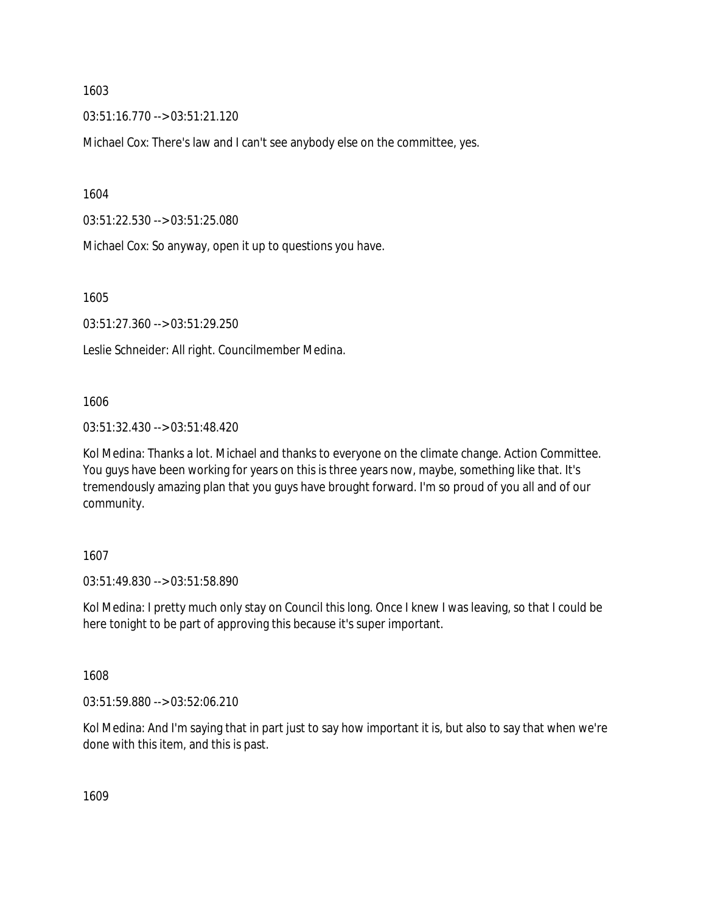03:51:16.770 --> 03:51:21.120

Michael Cox: There's law and I can't see anybody else on the committee, yes.

1604

03:51:22.530 --> 03:51:25.080

Michael Cox: So anyway, open it up to questions you have.

1605

03:51:27.360 --> 03:51:29.250

Leslie Schneider: All right. Councilmember Medina.

#### 1606

03:51:32.430 --> 03:51:48.420

Kol Medina: Thanks a lot. Michael and thanks to everyone on the climate change. Action Committee. You guys have been working for years on this is three years now, maybe, something like that. It's tremendously amazing plan that you guys have brought forward. I'm so proud of you all and of our community.

### 1607

03:51:49.830 --> 03:51:58.890

Kol Medina: I pretty much only stay on Council this long. Once I knew I was leaving, so that I could be here tonight to be part of approving this because it's super important.

1608

03:51:59.880 --> 03:52:06.210

Kol Medina: And I'm saying that in part just to say how important it is, but also to say that when we're done with this item, and this is past.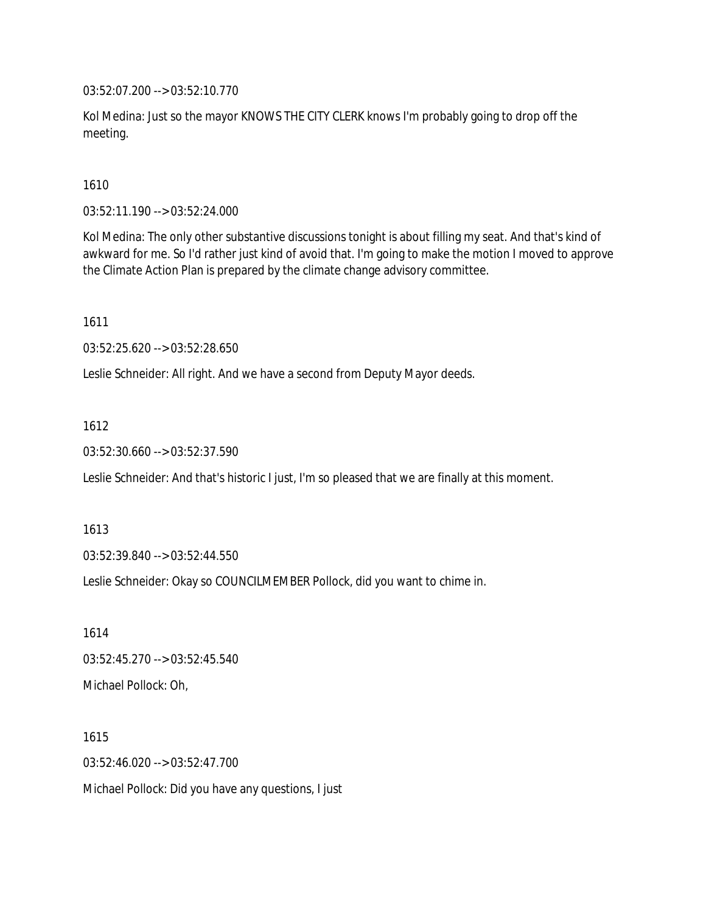03:52:07.200 --> 03:52:10.770

Kol Medina: Just so the mayor KNOWS THE CITY CLERK knows I'm probably going to drop off the meeting.

1610

03:52:11.190 --> 03:52:24.000

Kol Medina: The only other substantive discussions tonight is about filling my seat. And that's kind of awkward for me. So I'd rather just kind of avoid that. I'm going to make the motion I moved to approve the Climate Action Plan is prepared by the climate change advisory committee.

1611

03:52:25.620 --> 03:52:28.650

Leslie Schneider: All right. And we have a second from Deputy Mayor deeds.

1612

03:52:30.660 --> 03:52:37.590

Leslie Schneider: And that's historic I just, I'm so pleased that we are finally at this moment.

1613

03:52:39.840 --> 03:52:44.550

Leslie Schneider: Okay so COUNCILMEMBER Pollock, did you want to chime in.

1614 03:52:45.270 --> 03:52:45.540 Michael Pollock: Oh,

1615 03:52:46.020 --> 03:52:47.700 Michael Pollock: Did you have any questions, I just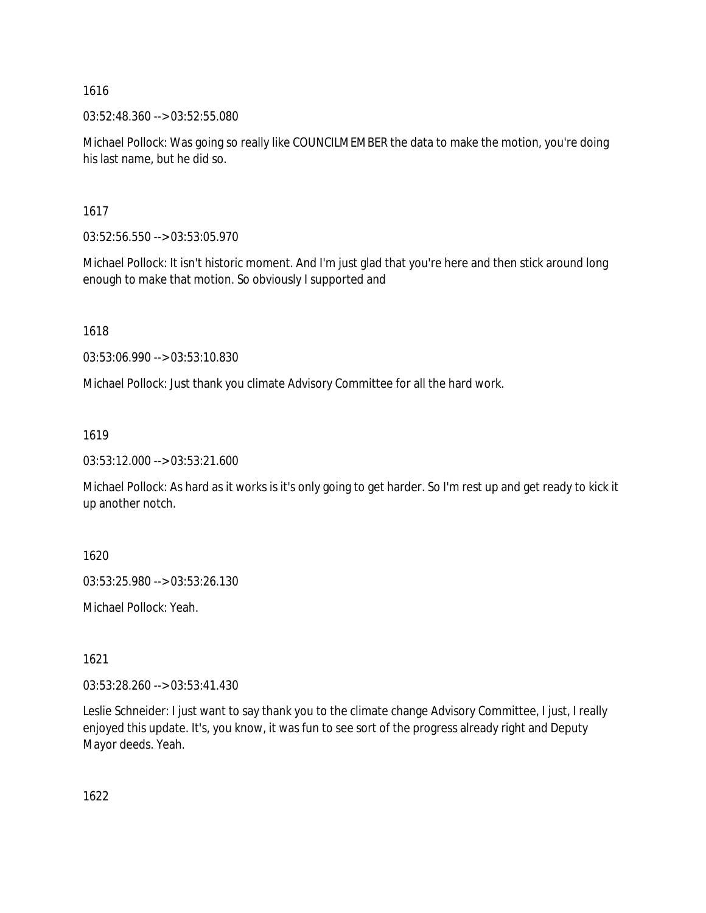03:52:48.360 --> 03:52:55.080

Michael Pollock: Was going so really like COUNCILMEMBER the data to make the motion, you're doing his last name, but he did so.

1617

03:52:56.550 --> 03:53:05.970

Michael Pollock: It isn't historic moment. And I'm just glad that you're here and then stick around long enough to make that motion. So obviously I supported and

1618

03:53:06.990 --> 03:53:10.830

Michael Pollock: Just thank you climate Advisory Committee for all the hard work.

1619

03:53:12.000 --> 03:53:21.600

Michael Pollock: As hard as it works is it's only going to get harder. So I'm rest up and get ready to kick it up another notch.

1620

03:53:25.980 --> 03:53:26.130

Michael Pollock: Yeah.

1621

03:53:28.260 --> 03:53:41.430

Leslie Schneider: I just want to say thank you to the climate change Advisory Committee, I just, I really enjoyed this update. It's, you know, it was fun to see sort of the progress already right and Deputy Mayor deeds. Yeah.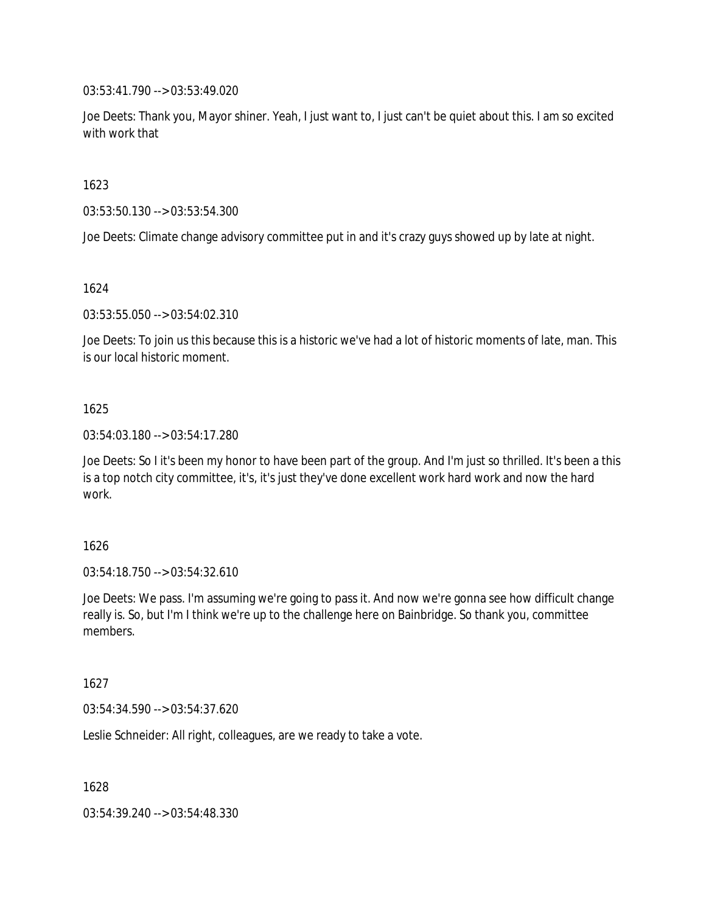03:53:41.790 --> 03:53:49.020

Joe Deets: Thank you, Mayor shiner. Yeah, I just want to, I just can't be quiet about this. I am so excited with work that

1623

03:53:50.130 --> 03:53:54.300

Joe Deets: Climate change advisory committee put in and it's crazy guys showed up by late at night.

1624

03:53:55.050 --> 03:54:02.310

Joe Deets: To join us this because this is a historic we've had a lot of historic moments of late, man. This is our local historic moment.

1625

03:54:03.180 --> 03:54:17.280

Joe Deets: So I it's been my honor to have been part of the group. And I'm just so thrilled. It's been a this is a top notch city committee, it's, it's just they've done excellent work hard work and now the hard work.

1626

03:54:18.750 --> 03:54:32.610

Joe Deets: We pass. I'm assuming we're going to pass it. And now we're gonna see how difficult change really is. So, but I'm I think we're up to the challenge here on Bainbridge. So thank you, committee members.

1627

03:54:34.590 --> 03:54:37.620

Leslie Schneider: All right, colleagues, are we ready to take a vote.

1628

03:54:39.240 --> 03:54:48.330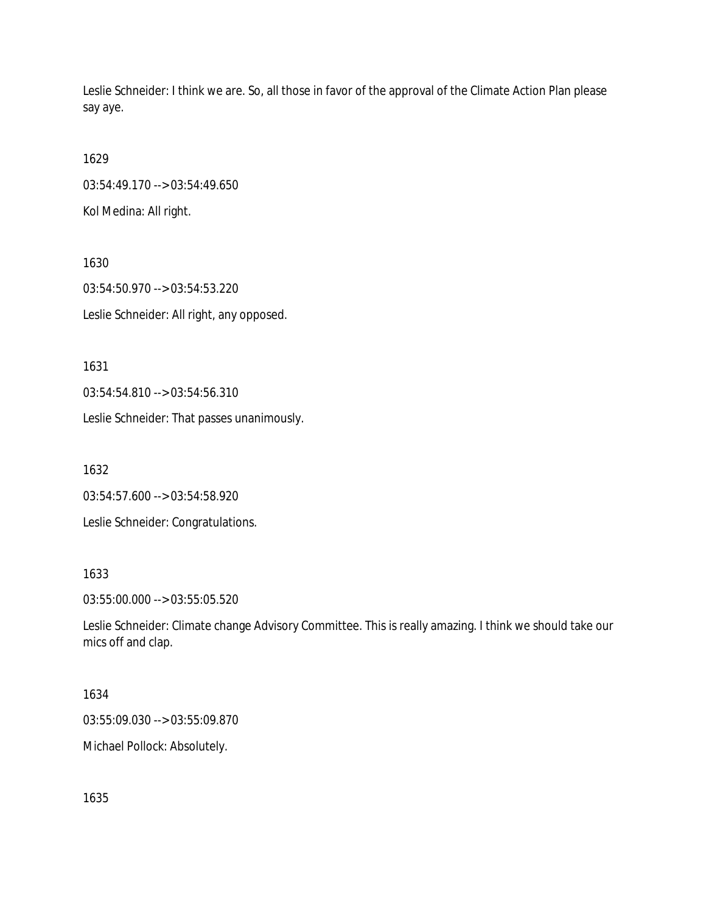Leslie Schneider: I think we are. So, all those in favor of the approval of the Climate Action Plan please say aye.

1629 03:54:49.170 --> 03:54:49.650 Kol Medina: All right.

1630 03:54:50.970 --> 03:54:53.220 Leslie Schneider: All right, any opposed.

1631 03:54:54.810 --> 03:54:56.310 Leslie Schneider: That passes unanimously.

1632

03:54:57.600 --> 03:54:58.920

Leslie Schneider: Congratulations.

1633

03:55:00.000 --> 03:55:05.520

Leslie Schneider: Climate change Advisory Committee. This is really amazing. I think we should take our mics off and clap.

1634

03:55:09.030 --> 03:55:09.870

Michael Pollock: Absolutely.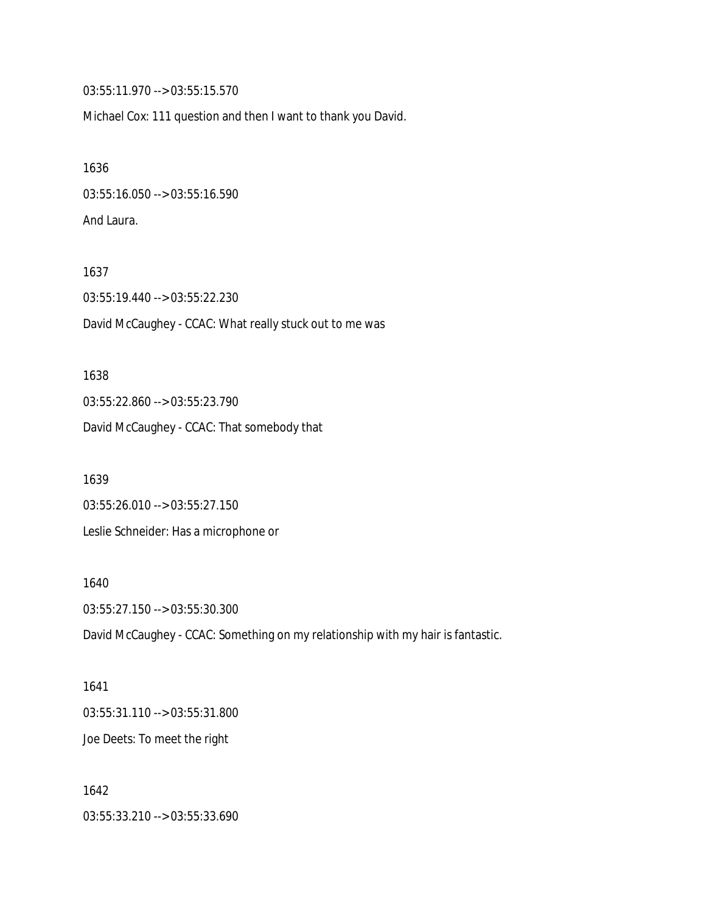03:55:11.970 --> 03:55:15.570

Michael Cox: 111 question and then I want to thank you David.

1636 03:55:16.050 --> 03:55:16.590 And Laura.

1637 03:55:19.440 --> 03:55:22.230 David McCaughey - CCAC: What really stuck out to me was

1638 03:55:22.860 --> 03:55:23.790 David McCaughey - CCAC: That somebody that

1639 03:55:26.010 --> 03:55:27.150 Leslie Schneider: Has a microphone or

1640 03:55:27.150 --> 03:55:30.300 David McCaughey - CCAC: Something on my relationship with my hair is fantastic.

1641 03:55:31.110 --> 03:55:31.800 Joe Deets: To meet the right

1642 03:55:33.210 --> 03:55:33.690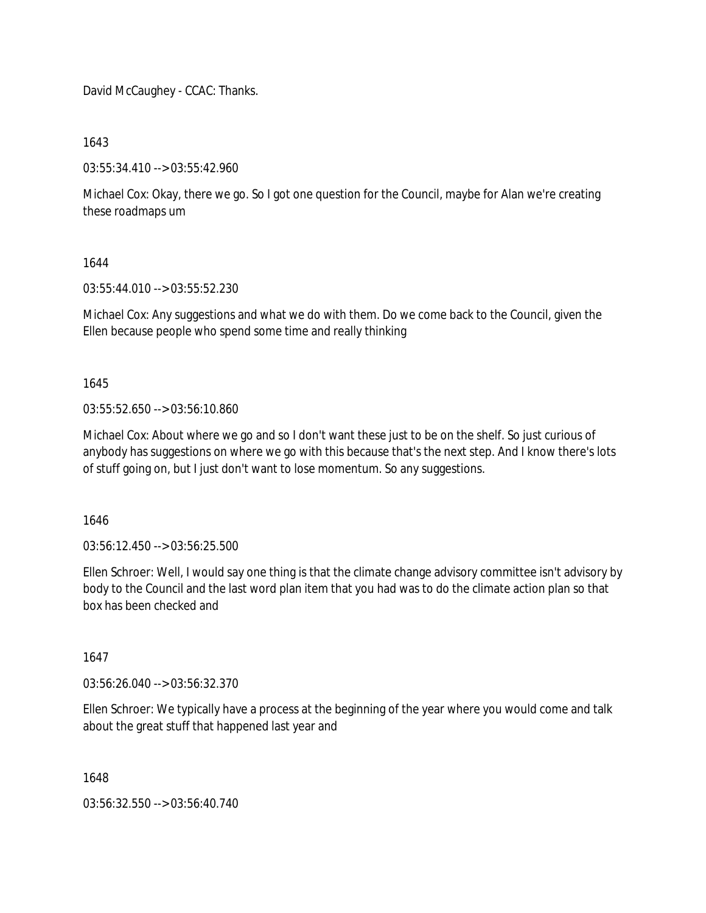David McCaughey - CCAC: Thanks.

1643

03:55:34.410 --> 03:55:42.960

Michael Cox: Okay, there we go. So I got one question for the Council, maybe for Alan we're creating these roadmaps um

1644

03:55:44.010 --> 03:55:52.230

Michael Cox: Any suggestions and what we do with them. Do we come back to the Council, given the Ellen because people who spend some time and really thinking

1645

03:55:52.650 --> 03:56:10.860

Michael Cox: About where we go and so I don't want these just to be on the shelf. So just curious of anybody has suggestions on where we go with this because that's the next step. And I know there's lots of stuff going on, but I just don't want to lose momentum. So any suggestions.

1646

03:56:12.450 --> 03:56:25.500

Ellen Schroer: Well, I would say one thing is that the climate change advisory committee isn't advisory by body to the Council and the last word plan item that you had was to do the climate action plan so that box has been checked and

1647

03:56:26.040 --> 03:56:32.370

Ellen Schroer: We typically have a process at the beginning of the year where you would come and talk about the great stuff that happened last year and

1648

03:56:32.550 --> 03:56:40.740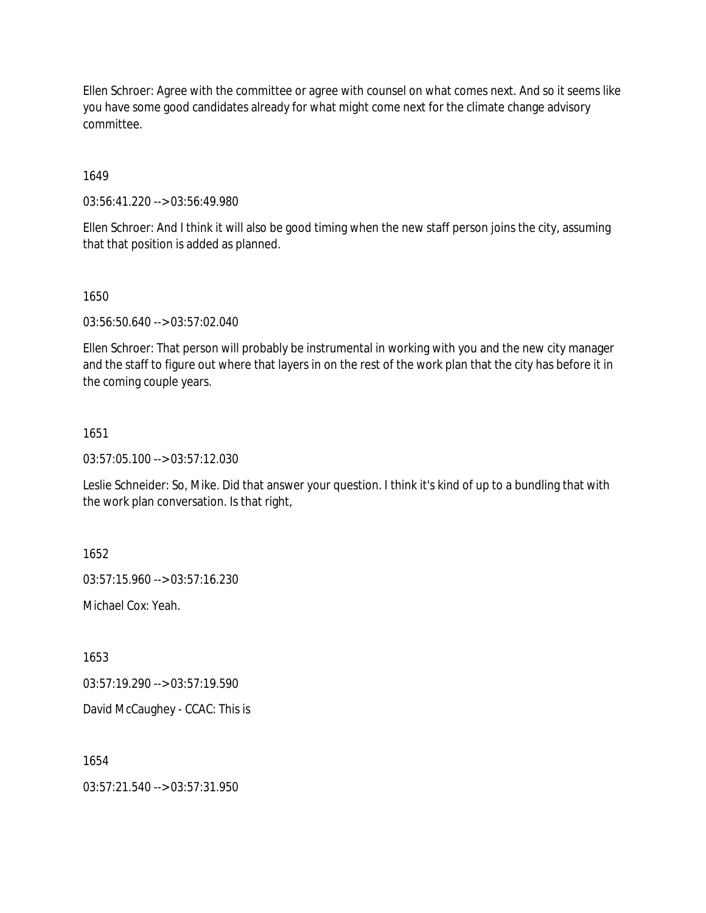Ellen Schroer: Agree with the committee or agree with counsel on what comes next. And so it seems like you have some good candidates already for what might come next for the climate change advisory committee.

1649

03:56:41.220 --> 03:56:49.980

Ellen Schroer: And I think it will also be good timing when the new staff person joins the city, assuming that that position is added as planned.

1650

03:56:50.640 --> 03:57:02.040

Ellen Schroer: That person will probably be instrumental in working with you and the new city manager and the staff to figure out where that layers in on the rest of the work plan that the city has before it in the coming couple years.

### 1651

03:57:05.100 --> 03:57:12.030

Leslie Schneider: So, Mike. Did that answer your question. I think it's kind of up to a bundling that with the work plan conversation. Is that right,

1652

03:57:15.960 --> 03:57:16.230

Michael Cox: Yeah.

1653

03:57:19.290 --> 03:57:19.590

David McCaughey - CCAC: This is

1654

03:57:21.540 --> 03:57:31.950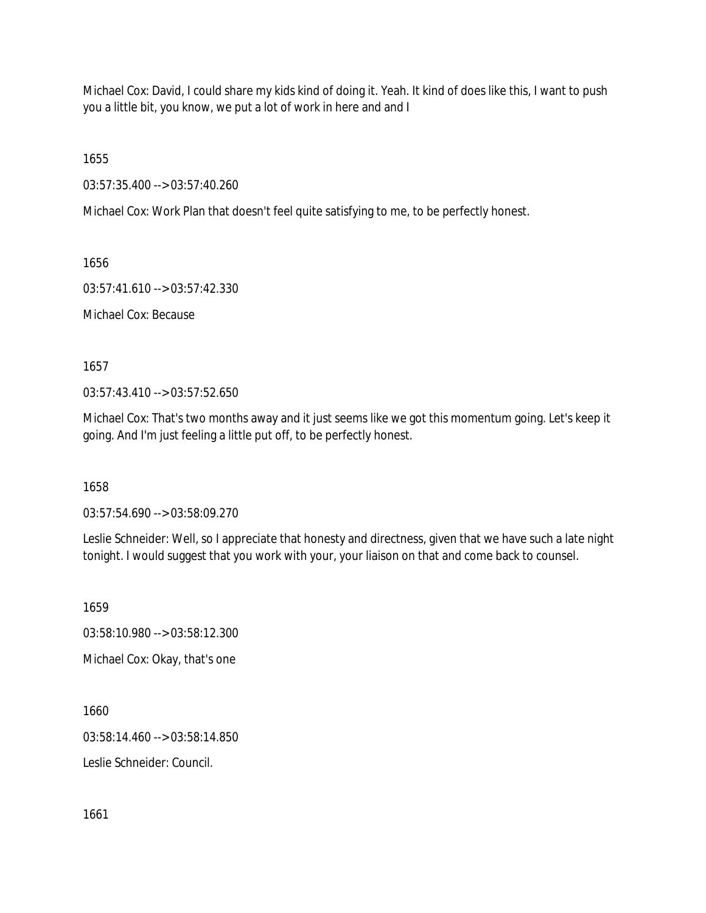Michael Cox: David, I could share my kids kind of doing it. Yeah. It kind of does like this, I want to push you a little bit, you know, we put a lot of work in here and and I

1655

03:57:35.400 --> 03:57:40.260

Michael Cox: Work Plan that doesn't feel quite satisfying to me, to be perfectly honest.

1656

03:57:41.610 --> 03:57:42.330

Michael Cox: Because

1657

03:57:43.410 --> 03:57:52.650

Michael Cox: That's two months away and it just seems like we got this momentum going. Let's keep it going. And I'm just feeling a little put off, to be perfectly honest.

1658

03:57:54.690 --> 03:58:09.270

Leslie Schneider: Well, so I appreciate that honesty and directness, given that we have such a late night tonight. I would suggest that you work with your, your liaison on that and come back to counsel.

1659

03:58:10.980 --> 03:58:12.300

Michael Cox: Okay, that's one

1660

03:58:14.460 --> 03:58:14.850

Leslie Schneider: Council.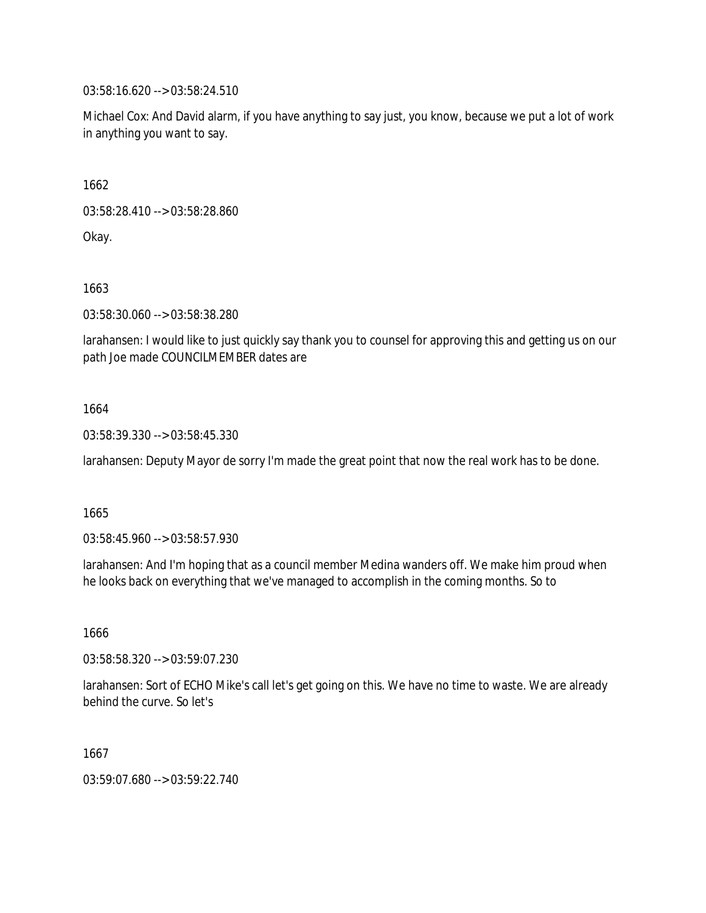03:58:16.620 --> 03:58:24.510

Michael Cox: And David alarm, if you have anything to say just, you know, because we put a lot of work in anything you want to say.

1662

03:58:28.410 --> 03:58:28.860

Okay.

1663

03:58:30.060 --> 03:58:38.280

larahansen: I would like to just quickly say thank you to counsel for approving this and getting us on our path Joe made COUNCILMEMBER dates are

1664

03:58:39.330 --> 03:58:45.330

larahansen: Deputy Mayor de sorry I'm made the great point that now the real work has to be done.

1665

03:58:45.960 --> 03:58:57.930

larahansen: And I'm hoping that as a council member Medina wanders off. We make him proud when he looks back on everything that we've managed to accomplish in the coming months. So to

1666

03:58:58.320 --> 03:59:07.230

larahansen: Sort of ECHO Mike's call let's get going on this. We have no time to waste. We are already behind the curve. So let's

1667

03:59:07.680 --> 03:59:22.740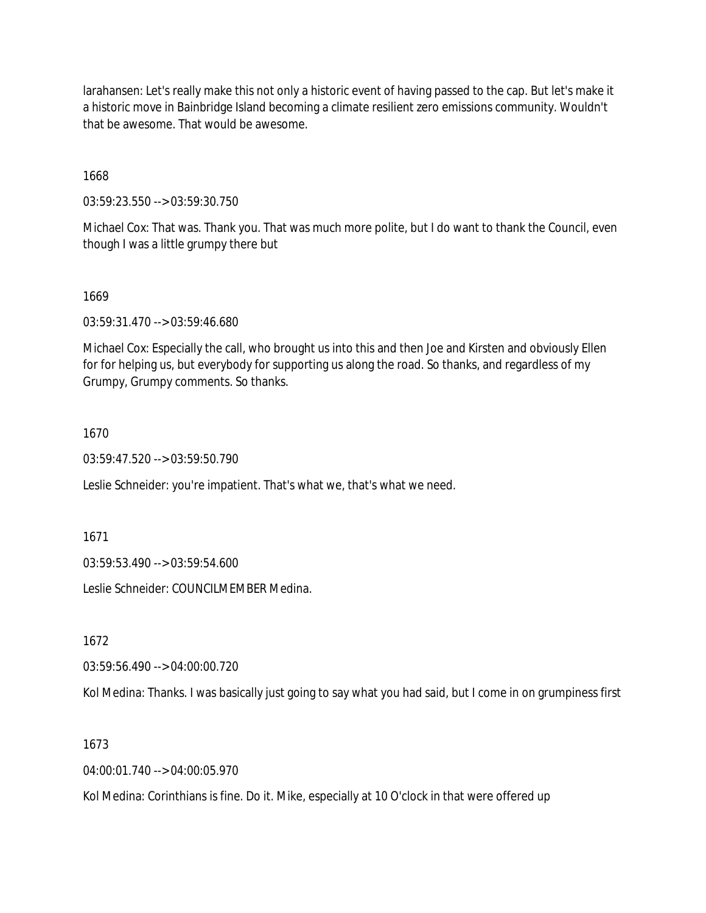larahansen: Let's really make this not only a historic event of having passed to the cap. But let's make it a historic move in Bainbridge Island becoming a climate resilient zero emissions community. Wouldn't that be awesome. That would be awesome.

1668

03:59:23.550 --> 03:59:30.750

Michael Cox: That was. Thank you. That was much more polite, but I do want to thank the Council, even though I was a little grumpy there but

1669

03:59:31.470 --> 03:59:46.680

Michael Cox: Especially the call, who brought us into this and then Joe and Kirsten and obviously Ellen for for helping us, but everybody for supporting us along the road. So thanks, and regardless of my Grumpy, Grumpy comments. So thanks.

1670

03:59:47.520 --> 03:59:50.790

Leslie Schneider: you're impatient. That's what we, that's what we need.

1671

03:59:53.490 --> 03:59:54.600

Leslie Schneider: COUNCILMEMBER Medina.

1672

03:59:56.490 --> 04:00:00.720

Kol Medina: Thanks. I was basically just going to say what you had said, but I come in on grumpiness first

1673

 $04.00.01.740 -> 04.00.05.970$ 

Kol Medina: Corinthians is fine. Do it. Mike, especially at 10 O'clock in that were offered up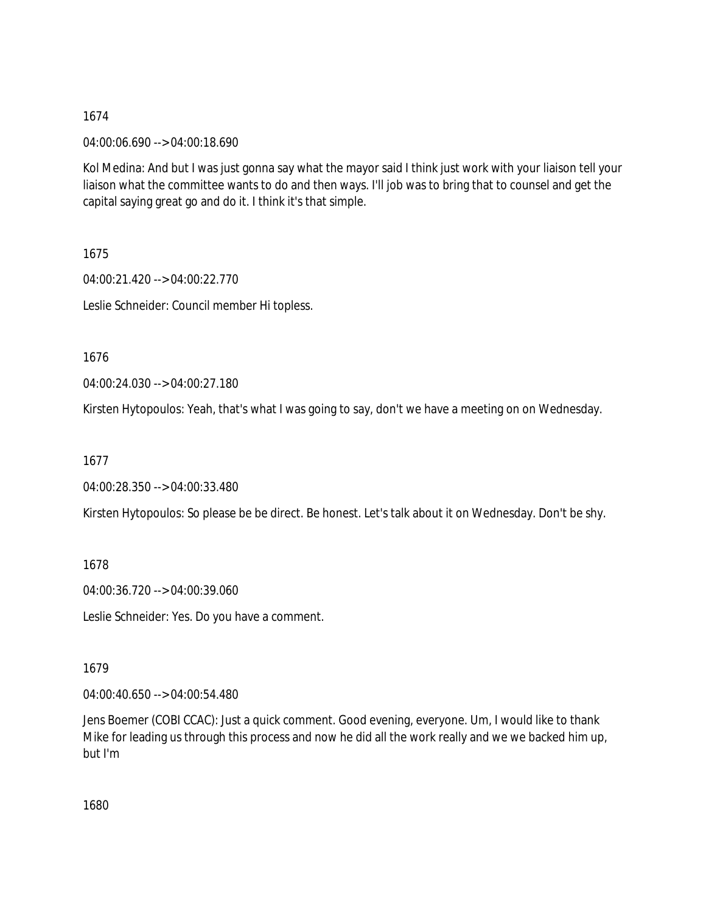04:00:06.690 --> 04:00:18.690

Kol Medina: And but I was just gonna say what the mayor said I think just work with your liaison tell your liaison what the committee wants to do and then ways. I'll job was to bring that to counsel and get the capital saying great go and do it. I think it's that simple.

1675

04:00:21.420 --> 04:00:22.770 Leslie Schneider: Council member Hi topless.

1676

04:00:24.030 --> 04:00:27.180

Kirsten Hytopoulos: Yeah, that's what I was going to say, don't we have a meeting on on Wednesday.

1677

04:00:28.350 --> 04:00:33.480

Kirsten Hytopoulos: So please be be direct. Be honest. Let's talk about it on Wednesday. Don't be shy.

1678

04:00:36.720 --> 04:00:39.060

Leslie Schneider: Yes. Do you have a comment.

1679

04:00:40.650 --> 04:00:54.480

Jens Boemer (COBI CCAC): Just a quick comment. Good evening, everyone. Um, I would like to thank Mike for leading us through this process and now he did all the work really and we we backed him up, but I'm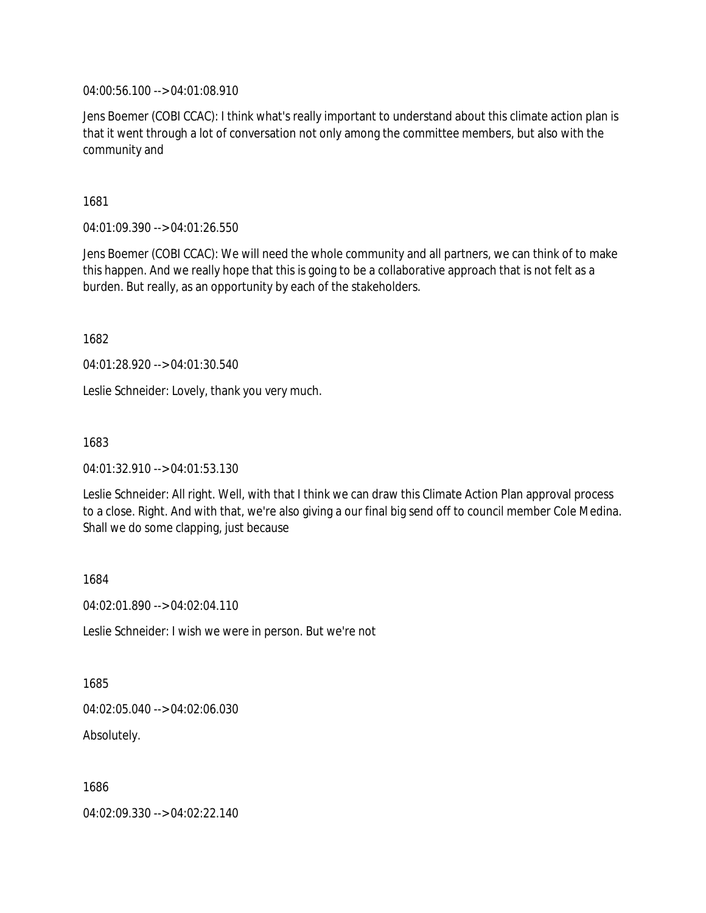04:00:56.100 --> 04:01:08.910

Jens Boemer (COBI CCAC): I think what's really important to understand about this climate action plan is that it went through a lot of conversation not only among the committee members, but also with the community and

1681

04:01:09.390 --> 04:01:26.550

Jens Boemer (COBI CCAC): We will need the whole community and all partners, we can think of to make this happen. And we really hope that this is going to be a collaborative approach that is not felt as a burden. But really, as an opportunity by each of the stakeholders.

1682

04:01:28.920 --> 04:01:30.540

Leslie Schneider: Lovely, thank you very much.

1683

04:01:32.910 --> 04:01:53.130

Leslie Schneider: All right. Well, with that I think we can draw this Climate Action Plan approval process to a close. Right. And with that, we're also giving a our final big send off to council member Cole Medina. Shall we do some clapping, just because

1684

04:02:01.890 --> 04:02:04.110

Leslie Schneider: I wish we were in person. But we're not

1685

04:02:05.040 --> 04:02:06.030

Absolutely.

1686

04:02:09.330 --> 04:02:22.140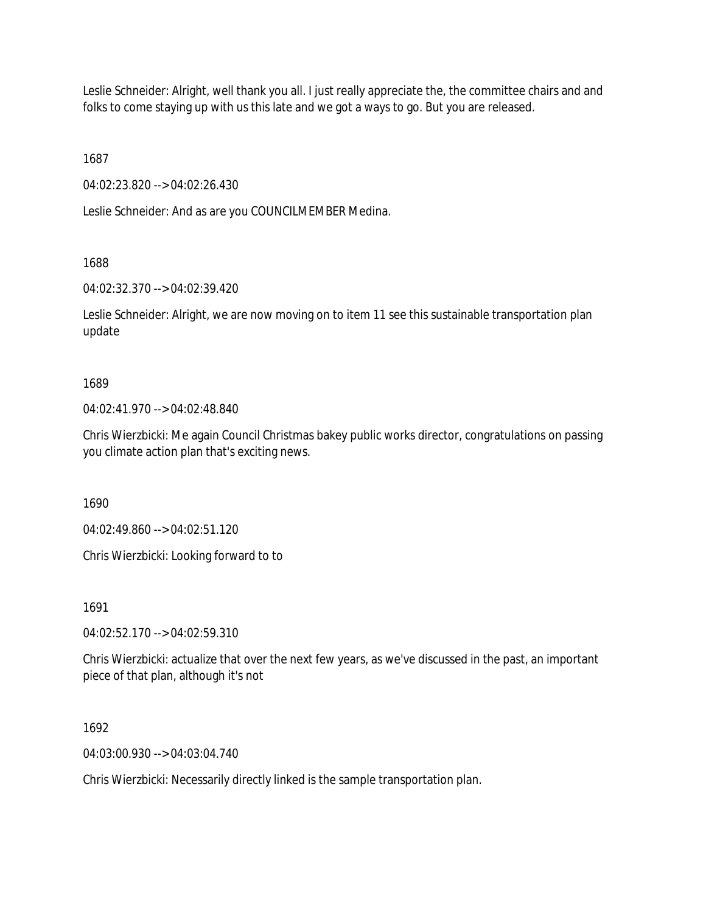Leslie Schneider: Alright, well thank you all. I just really appreciate the, the committee chairs and and folks to come staying up with us this late and we got a ways to go. But you are released.

1687

04:02:23.820 --> 04:02:26.430

Leslie Schneider: And as are you COUNCILMEMBER Medina.

# 1688

04:02:32.370 --> 04:02:39.420

Leslie Schneider: Alright, we are now moving on to item 11 see this sustainable transportation plan update

# 1689

04:02:41.970 --> 04:02:48.840

Chris Wierzbicki: Me again Council Christmas bakey public works director, congratulations on passing you climate action plan that's exciting news.

1690

04:02:49.860 --> 04:02:51.120

Chris Wierzbicki: Looking forward to to

1691

04:02:52.170 --> 04:02:59.310

Chris Wierzbicki: actualize that over the next few years, as we've discussed in the past, an important piece of that plan, although it's not

1692

04:03:00.930 --> 04:03:04.740

Chris Wierzbicki: Necessarily directly linked is the sample transportation plan.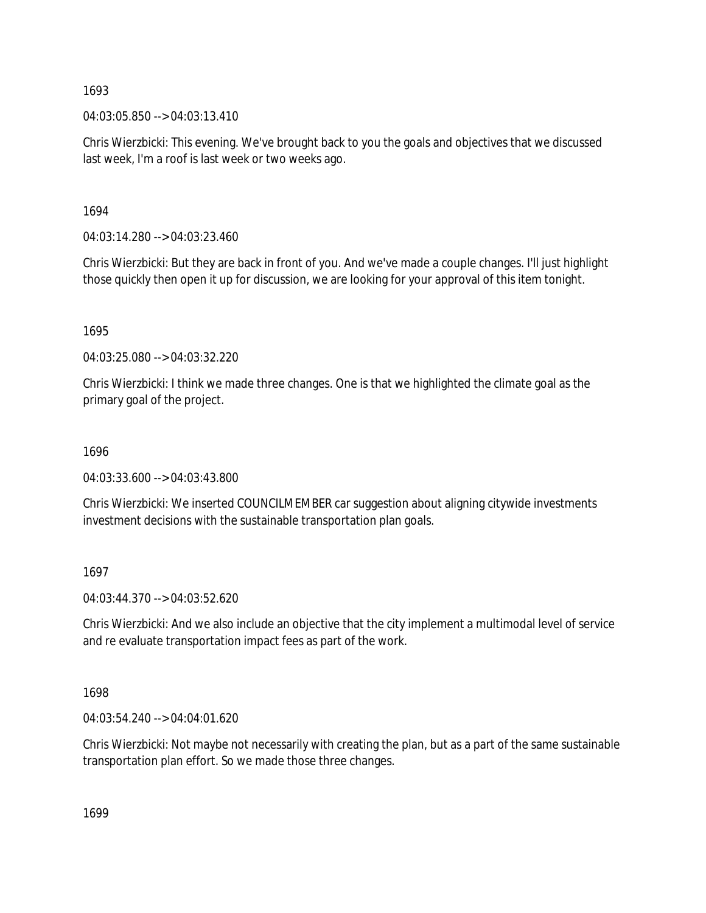04:03:05.850 --> 04:03:13.410

Chris Wierzbicki: This evening. We've brought back to you the goals and objectives that we discussed last week, I'm a roof is last week or two weeks ago.

1694

04:03:14.280 --> 04:03:23.460

Chris Wierzbicki: But they are back in front of you. And we've made a couple changes. I'll just highlight those quickly then open it up for discussion, we are looking for your approval of this item tonight.

1695

04:03:25.080 --> 04:03:32.220

Chris Wierzbicki: I think we made three changes. One is that we highlighted the climate goal as the primary goal of the project.

1696

04:03:33.600 --> 04:03:43.800

Chris Wierzbicki: We inserted COUNCILMEMBER car suggestion about aligning citywide investments investment decisions with the sustainable transportation plan goals.

1697

04:03:44.370 --> 04:03:52.620

Chris Wierzbicki: And we also include an objective that the city implement a multimodal level of service and re evaluate transportation impact fees as part of the work.

1698

04:03:54.240 --> 04:04:01.620

Chris Wierzbicki: Not maybe not necessarily with creating the plan, but as a part of the same sustainable transportation plan effort. So we made those three changes.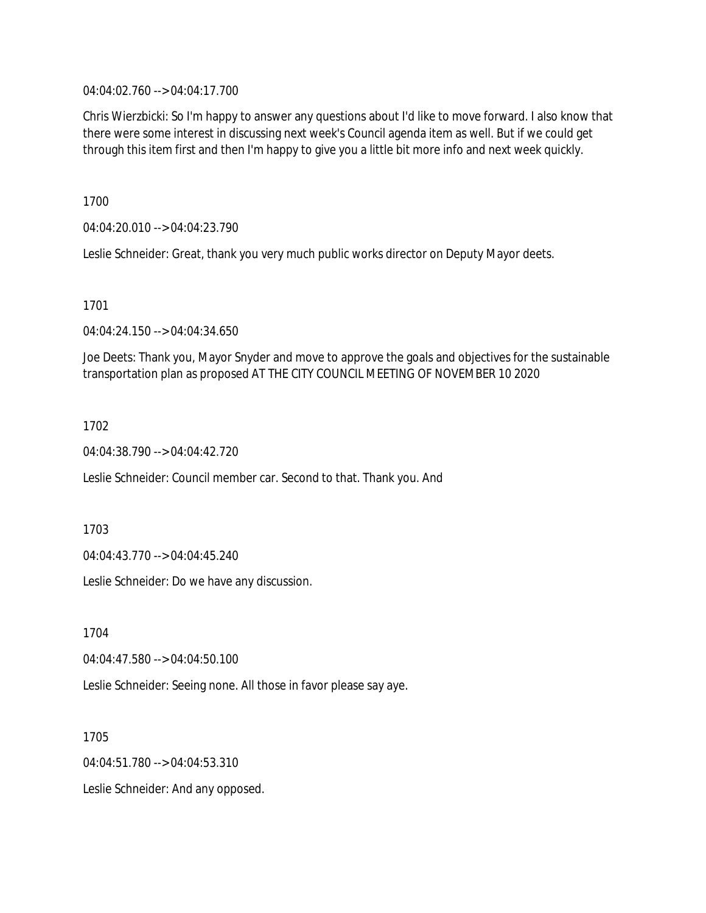04:04:02.760 --> 04:04:17.700

Chris Wierzbicki: So I'm happy to answer any questions about I'd like to move forward. I also know that there were some interest in discussing next week's Council agenda item as well. But if we could get through this item first and then I'm happy to give you a little bit more info and next week quickly.

1700

04:04:20.010 --> 04:04:23.790

Leslie Schneider: Great, thank you very much public works director on Deputy Mayor deets.

1701

04:04:24.150 --> 04:04:34.650

Joe Deets: Thank you, Mayor Snyder and move to approve the goals and objectives for the sustainable transportation plan as proposed AT THE CITY COUNCIL MEETING OF NOVEMBER 10 2020

1702

04:04:38.790 --> 04:04:42.720

Leslie Schneider: Council member car. Second to that. Thank you. And

1703

04:04:43.770 --> 04:04:45.240

Leslie Schneider: Do we have any discussion.

1704

04:04:47.580 --> 04:04:50.100

Leslie Schneider: Seeing none. All those in favor please say aye.

1705 04:04:51.780 --> 04:04:53.310 Leslie Schneider: And any opposed.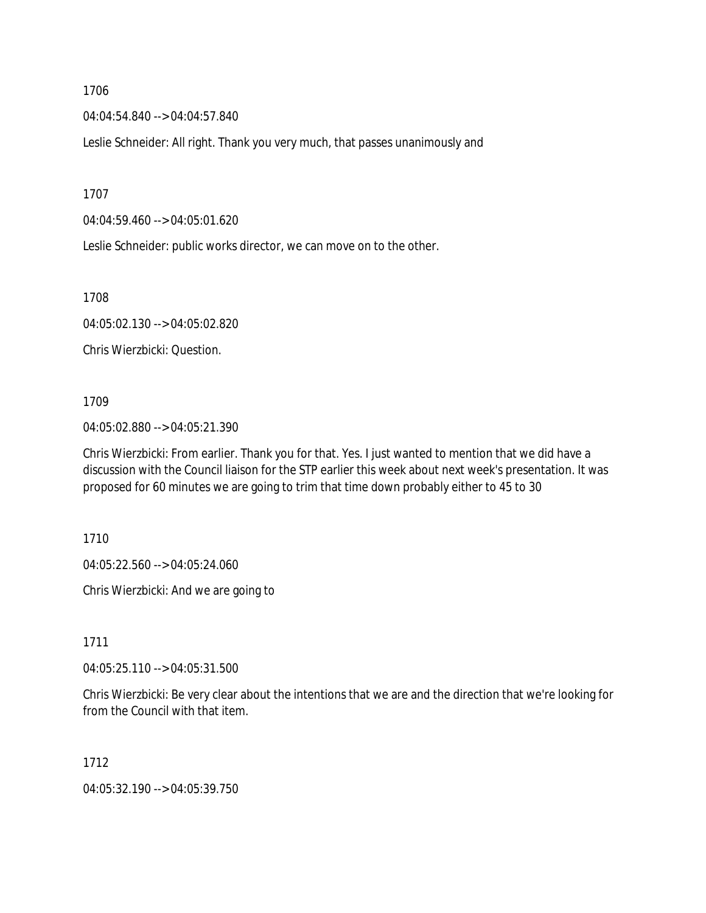04:04:54.840 --> 04:04:57.840

Leslie Schneider: All right. Thank you very much, that passes unanimously and

1707

04:04:59.460 --> 04:05:01.620

Leslie Schneider: public works director, we can move on to the other.

1708

04:05:02.130 --> 04:05:02.820

Chris Wierzbicki: Question.

1709

04:05:02.880 --> 04:05:21.390

Chris Wierzbicki: From earlier. Thank you for that. Yes. I just wanted to mention that we did have a discussion with the Council liaison for the STP earlier this week about next week's presentation. It was proposed for 60 minutes we are going to trim that time down probably either to 45 to 30

1710

04:05:22.560 --> 04:05:24.060

Chris Wierzbicki: And we are going to

1711

04:05:25.110 --> 04:05:31.500

Chris Wierzbicki: Be very clear about the intentions that we are and the direction that we're looking for from the Council with that item.

1712

04:05:32.190 --> 04:05:39.750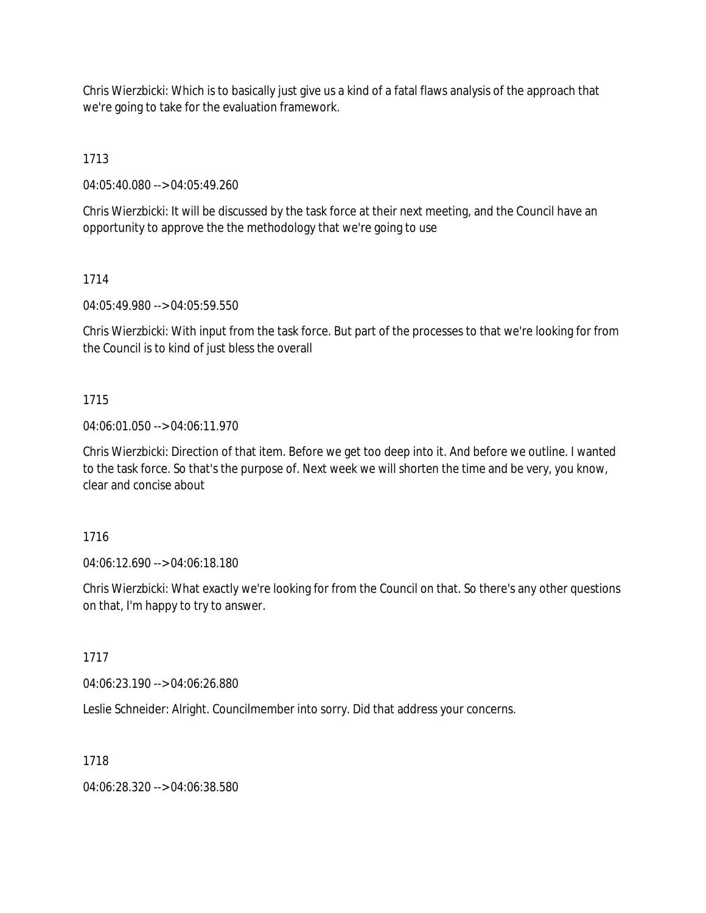Chris Wierzbicki: Which is to basically just give us a kind of a fatal flaws analysis of the approach that we're going to take for the evaluation framework.

1713

04:05:40.080 --> 04:05:49.260

Chris Wierzbicki: It will be discussed by the task force at their next meeting, and the Council have an opportunity to approve the the methodology that we're going to use

# 1714

04:05:49.980 --> 04:05:59.550

Chris Wierzbicki: With input from the task force. But part of the processes to that we're looking for from the Council is to kind of just bless the overall

# 1715

04:06:01.050 --> 04:06:11.970

Chris Wierzbicki: Direction of that item. Before we get too deep into it. And before we outline. I wanted to the task force. So that's the purpose of. Next week we will shorten the time and be very, you know, clear and concise about

### 1716

04:06:12.690 --> 04:06:18.180

Chris Wierzbicki: What exactly we're looking for from the Council on that. So there's any other questions on that, I'm happy to try to answer.

# 1717

04:06:23.190 --> 04:06:26.880

Leslie Schneider: Alright. Councilmember into sorry. Did that address your concerns.

### 1718

04:06:28.320 --> 04:06:38.580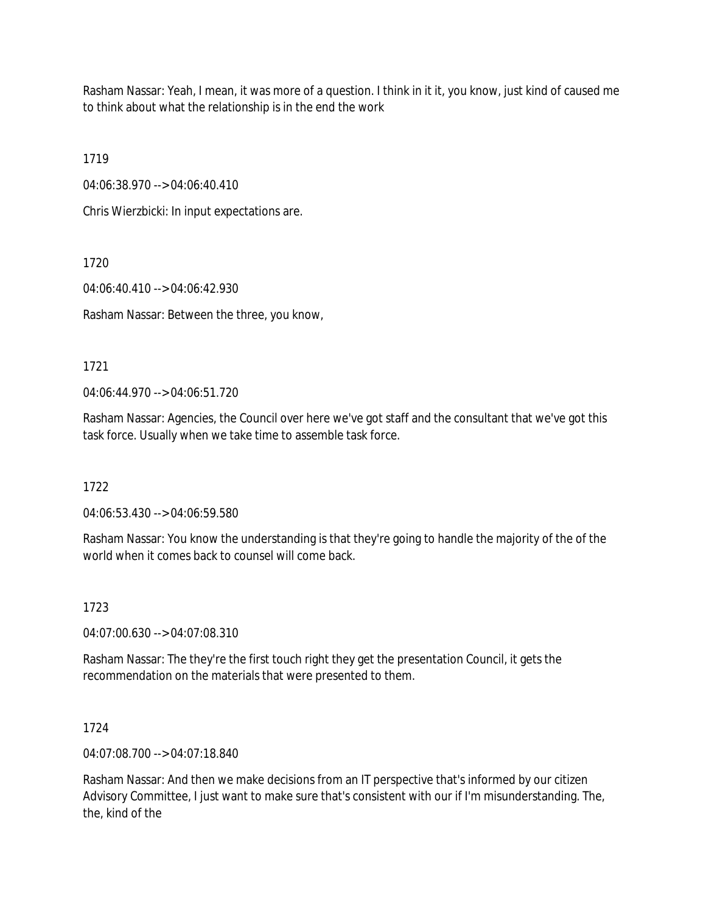Rasham Nassar: Yeah, I mean, it was more of a question. I think in it it, you know, just kind of caused me to think about what the relationship is in the end the work

1719

04:06:38.970 --> 04:06:40.410

Chris Wierzbicki: In input expectations are.

1720

04:06:40.410 --> 04:06:42.930

Rasham Nassar: Between the three, you know,

1721

04:06:44.970 --> 04:06:51.720

Rasham Nassar: Agencies, the Council over here we've got staff and the consultant that we've got this task force. Usually when we take time to assemble task force.

1722

04:06:53.430 --> 04:06:59.580

Rasham Nassar: You know the understanding is that they're going to handle the majority of the of the world when it comes back to counsel will come back.

### 1723

04:07:00.630 --> 04:07:08.310

Rasham Nassar: The they're the first touch right they get the presentation Council, it gets the recommendation on the materials that were presented to them.

1724

04:07:08.700 --> 04:07:18.840

Rasham Nassar: And then we make decisions from an IT perspective that's informed by our citizen Advisory Committee, I just want to make sure that's consistent with our if I'm misunderstanding. The, the, kind of the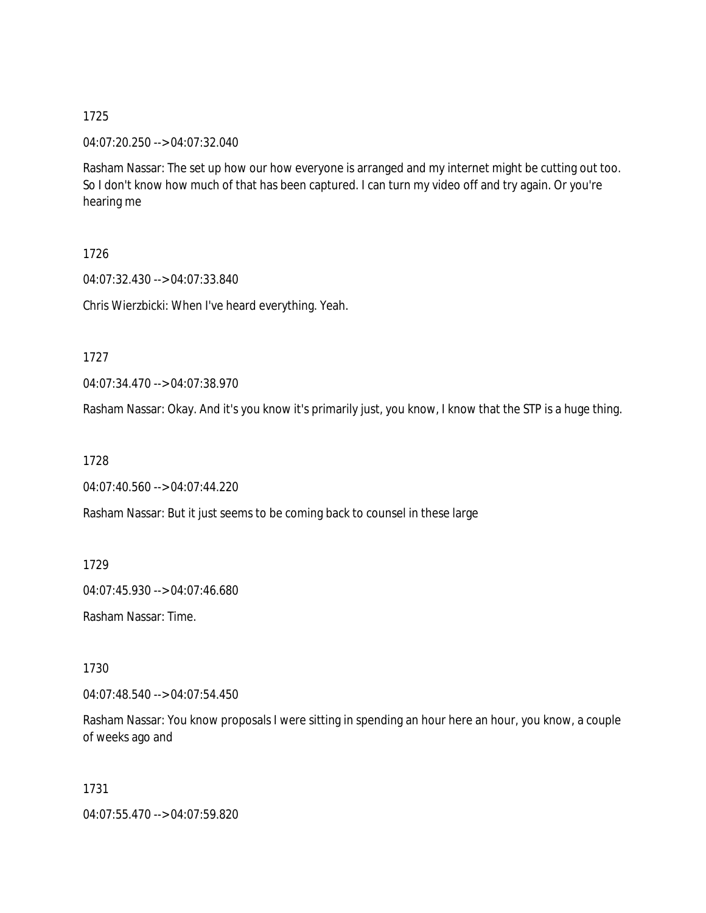04:07:20.250 --> 04:07:32.040

Rasham Nassar: The set up how our how everyone is arranged and my internet might be cutting out too. So I don't know how much of that has been captured. I can turn my video off and try again. Or you're hearing me

1726

04:07:32.430 --> 04:07:33.840

Chris Wierzbicki: When I've heard everything. Yeah.

1727

04:07:34.470 --> 04:07:38.970

Rasham Nassar: Okay. And it's you know it's primarily just, you know, I know that the STP is a huge thing.

1728

04:07:40.560 --> 04:07:44.220

Rasham Nassar: But it just seems to be coming back to counsel in these large

1729

04:07:45.930 --> 04:07:46.680

Rasham Nassar: Time.

1730

04:07:48.540 --> 04:07:54.450

Rasham Nassar: You know proposals I were sitting in spending an hour here an hour, you know, a couple of weeks ago and

1731

04:07:55.470 --> 04:07:59.820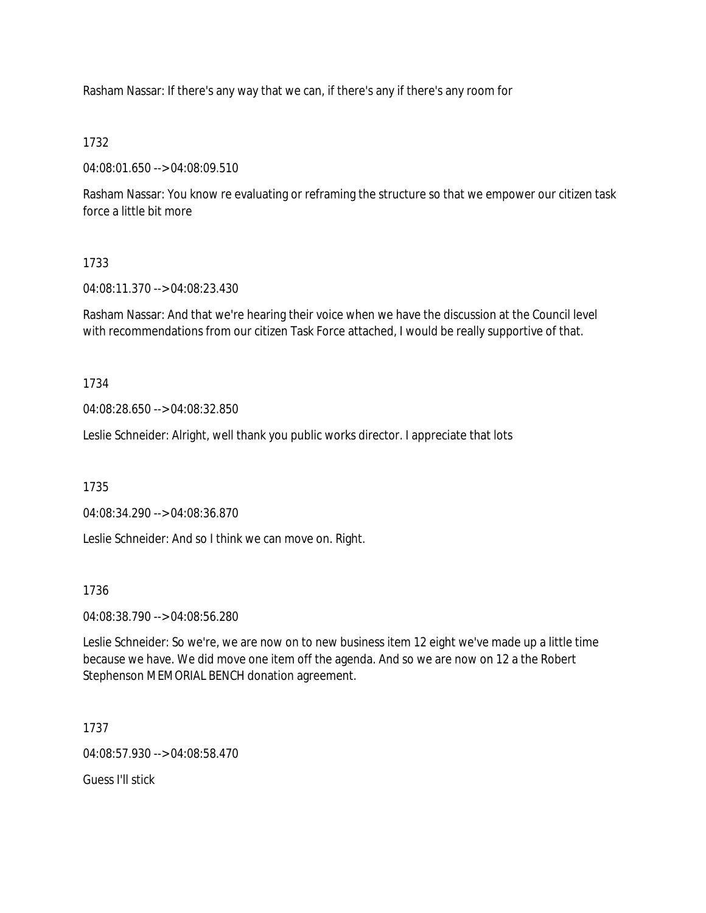Rasham Nassar: If there's any way that we can, if there's any if there's any room for

### 1732

04:08:01.650 --> 04:08:09.510

Rasham Nassar: You know re evaluating or reframing the structure so that we empower our citizen task force a little bit more

## 1733

04:08:11.370 --> 04:08:23.430

Rasham Nassar: And that we're hearing their voice when we have the discussion at the Council level with recommendations from our citizen Task Force attached, I would be really supportive of that.

1734

04:08:28.650 --> 04:08:32.850

Leslie Schneider: Alright, well thank you public works director. I appreciate that lots

1735

04:08:34.290 --> 04:08:36.870

Leslie Schneider: And so I think we can move on. Right.

### 1736

04:08:38.790 --> 04:08:56.280

Leslie Schneider: So we're, we are now on to new business item 12 eight we've made up a little time because we have. We did move one item off the agenda. And so we are now on 12 a the Robert Stephenson MEMORIAL BENCH donation agreement.

1737

04:08:57.930 --> 04:08:58.470

Guess I'll stick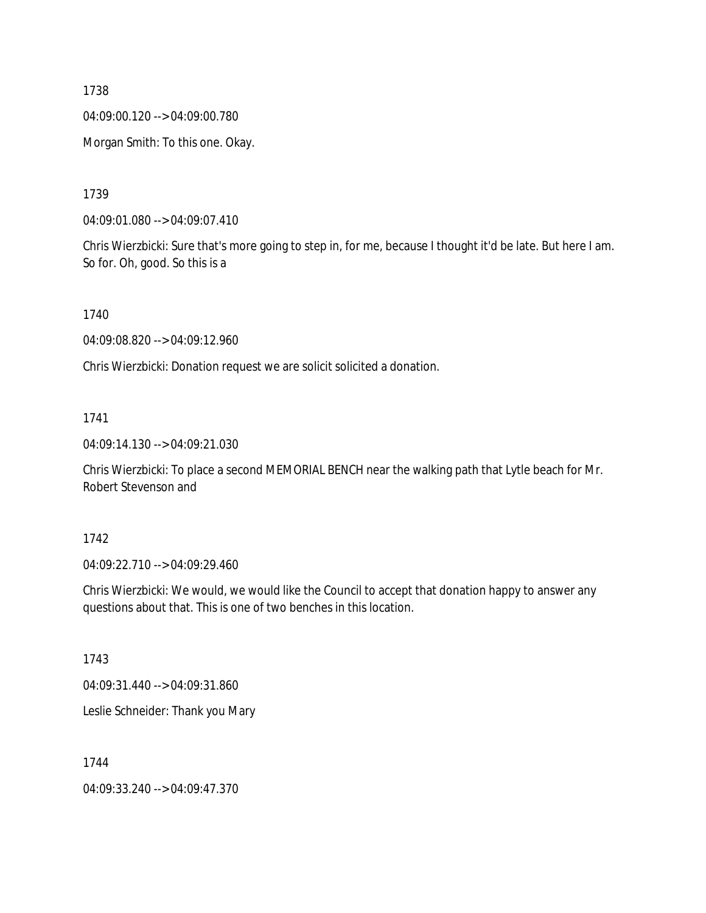04:09:00.120 --> 04:09:00.780

Morgan Smith: To this one. Okay.

1739

04:09:01.080 --> 04:09:07.410

Chris Wierzbicki: Sure that's more going to step in, for me, because I thought it'd be late. But here I am. So for. Oh, good. So this is a

1740

04:09:08.820 --> 04:09:12.960

Chris Wierzbicki: Donation request we are solicit solicited a donation.

1741

04:09:14.130 --> 04:09:21.030

Chris Wierzbicki: To place a second MEMORIAL BENCH near the walking path that Lytle beach for Mr. Robert Stevenson and

1742

04:09:22.710 --> 04:09:29.460

Chris Wierzbicki: We would, we would like the Council to accept that donation happy to answer any questions about that. This is one of two benches in this location.

1743

04:09:31.440 --> 04:09:31.860

Leslie Schneider: Thank you Mary

1744

04:09:33.240 --> 04:09:47.370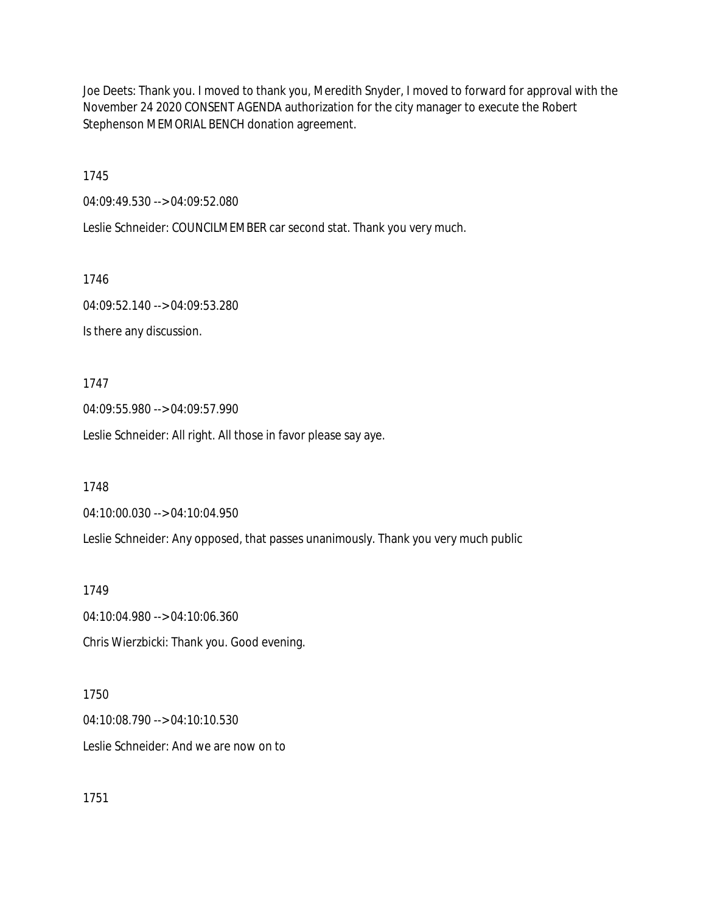Joe Deets: Thank you. I moved to thank you, Meredith Snyder, I moved to forward for approval with the November 24 2020 CONSENT AGENDA authorization for the city manager to execute the Robert Stephenson MEMORIAL BENCH donation agreement.

1745

04:09:49.530 --> 04:09:52.080

Leslie Schneider: COUNCILMEMBER car second stat. Thank you very much.

1746

04:09:52.140 --> 04:09:53.280

Is there any discussion.

1747

04:09:55.980 --> 04:09:57.990

Leslie Schneider: All right. All those in favor please say aye.

1748

04:10:00.030 --> 04:10:04.950

Leslie Schneider: Any opposed, that passes unanimously. Thank you very much public

1749

04:10:04.980 --> 04:10:06.360

Chris Wierzbicki: Thank you. Good evening.

1750 04:10:08.790 --> 04:10:10.530 Leslie Schneider: And we are now on to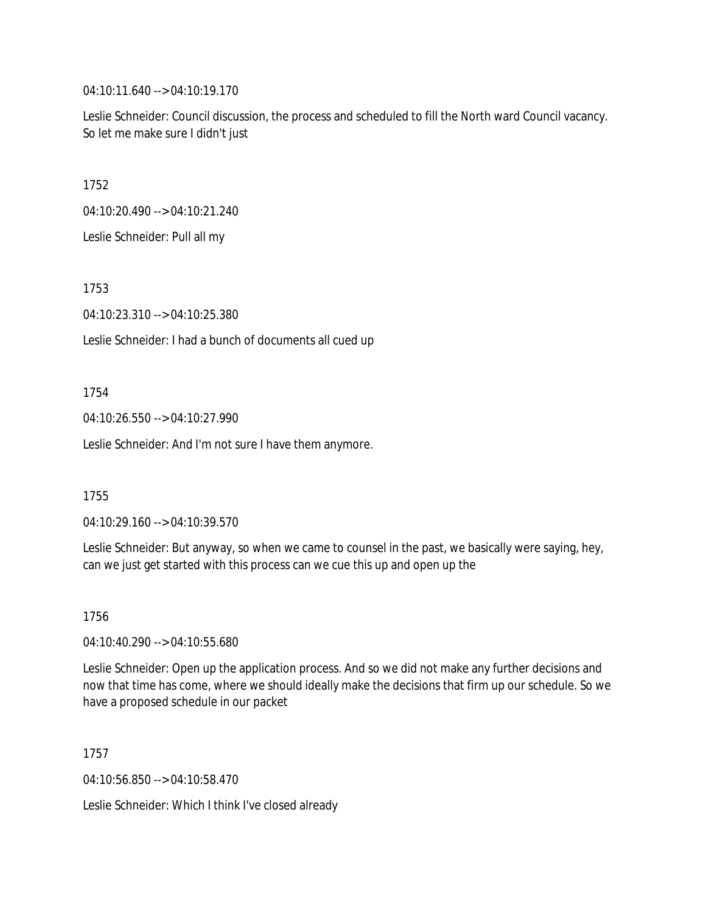04:10:11.640 --> 04:10:19.170

Leslie Schneider: Council discussion, the process and scheduled to fill the North ward Council vacancy. So let me make sure I didn't just

1752

04:10:20.490 --> 04:10:21.240

Leslie Schneider: Pull all my

1753

04:10:23.310 --> 04:10:25.380

Leslie Schneider: I had a bunch of documents all cued up

1754

04:10:26.550 --> 04:10:27.990

Leslie Schneider: And I'm not sure I have them anymore.

1755

04:10:29.160 --> 04:10:39.570

Leslie Schneider: But anyway, so when we came to counsel in the past, we basically were saying, hey, can we just get started with this process can we cue this up and open up the

1756

04:10:40.290 --> 04:10:55.680

Leslie Schneider: Open up the application process. And so we did not make any further decisions and now that time has come, where we should ideally make the decisions that firm up our schedule. So we have a proposed schedule in our packet

1757

04:10:56.850 --> 04:10:58.470

Leslie Schneider: Which I think I've closed already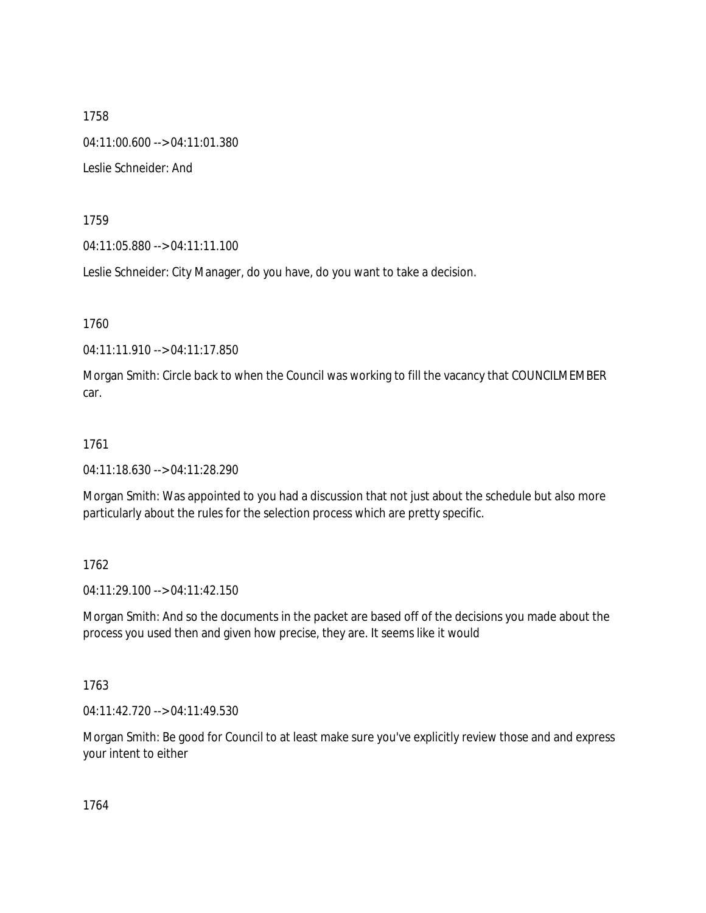1758 04:11:00.600 --> 04:11:01.380 Leslie Schneider: And

1759

04:11:05.880 --> 04:11:11.100

Leslie Schneider: City Manager, do you have, do you want to take a decision.

1760

04:11:11.910 --> 04:11:17.850

Morgan Smith: Circle back to when the Council was working to fill the vacancy that COUNCILMEMBER car.

### 1761

04:11:18.630 --> 04:11:28.290

Morgan Smith: Was appointed to you had a discussion that not just about the schedule but also more particularly about the rules for the selection process which are pretty specific.

1762

04:11:29.100 --> 04:11:42.150

Morgan Smith: And so the documents in the packet are based off of the decisions you made about the process you used then and given how precise, they are. It seems like it would

1763

04:11:42.720 --> 04:11:49.530

Morgan Smith: Be good for Council to at least make sure you've explicitly review those and and express your intent to either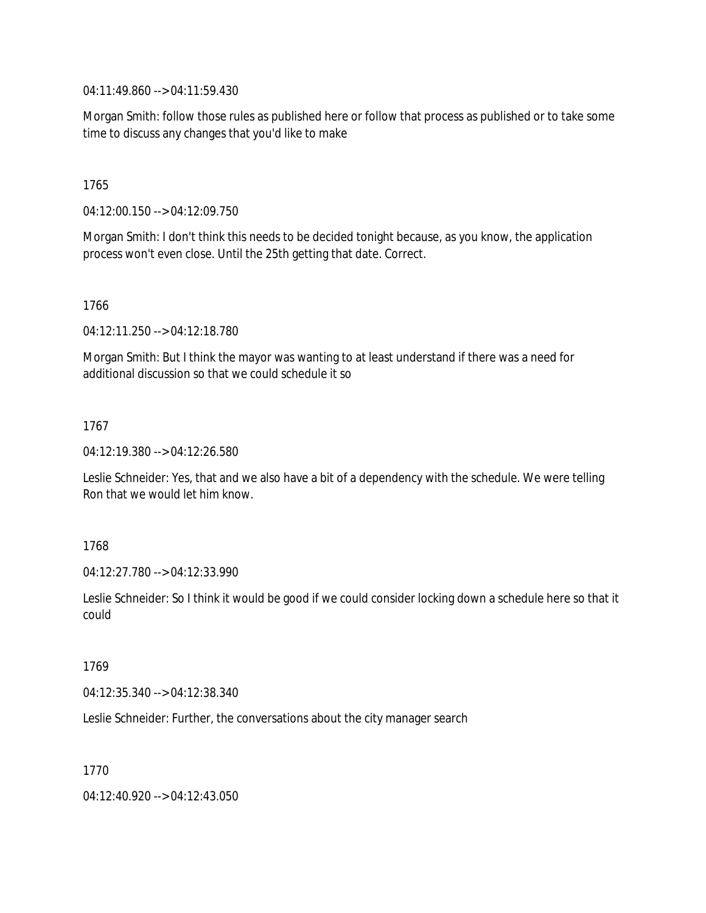04:11:49.860 --> 04:11:59.430

Morgan Smith: follow those rules as published here or follow that process as published or to take some time to discuss any changes that you'd like to make

1765

04:12:00.150 --> 04:12:09.750

Morgan Smith: I don't think this needs to be decided tonight because, as you know, the application process won't even close. Until the 25th getting that date. Correct.

1766

04:12:11.250 --> 04:12:18.780

Morgan Smith: But I think the mayor was wanting to at least understand if there was a need for additional discussion so that we could schedule it so

1767

04:12:19.380 --> 04:12:26.580

Leslie Schneider: Yes, that and we also have a bit of a dependency with the schedule. We were telling Ron that we would let him know.

1768

04:12:27.780 --> 04:12:33.990

Leslie Schneider: So I think it would be good if we could consider locking down a schedule here so that it could

1769

04:12:35.340 --> 04:12:38.340

Leslie Schneider: Further, the conversations about the city manager search

1770

04:12:40.920 --> 04:12:43.050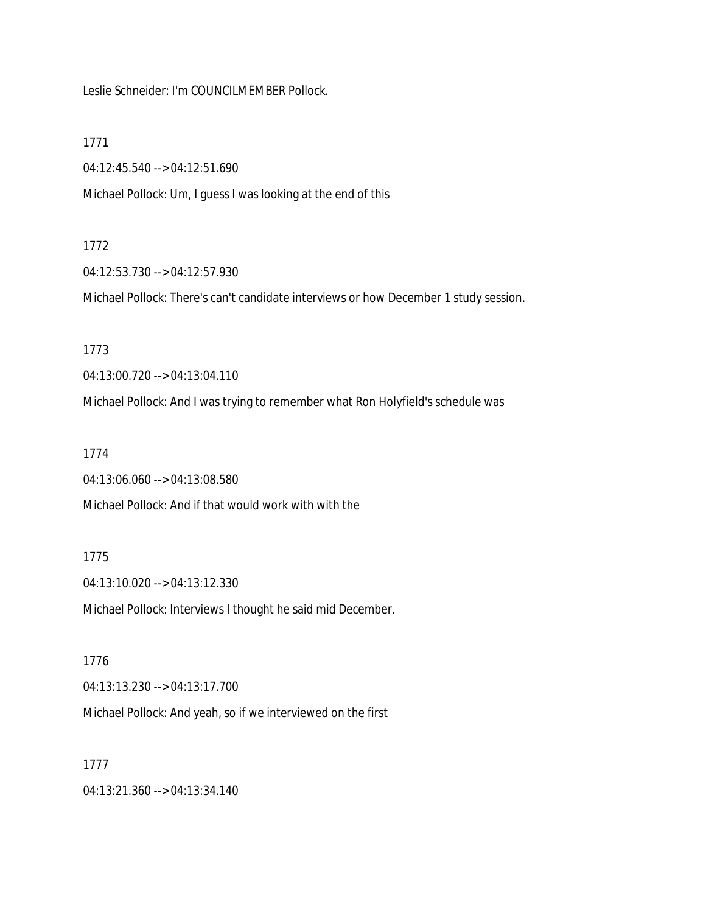Leslie Schneider: I'm COUNCILMEMBER Pollock.

1771

04:12:45.540 --> 04:12:51.690

Michael Pollock: Um, I guess I was looking at the end of this

#### 1772

04:12:53.730 --> 04:12:57.930

Michael Pollock: There's can't candidate interviews or how December 1 study session.

1773

04:13:00.720 --> 04:13:04.110

Michael Pollock: And I was trying to remember what Ron Holyfield's schedule was

1774

04:13:06.060 --> 04:13:08.580

Michael Pollock: And if that would work with with the

#### 1775

04:13:10.020 --> 04:13:12.330

Michael Pollock: Interviews I thought he said mid December.

1776 04:13:13.230 --> 04:13:17.700 Michael Pollock: And yeah, so if we interviewed on the first

1777 04:13:21.360 --> 04:13:34.140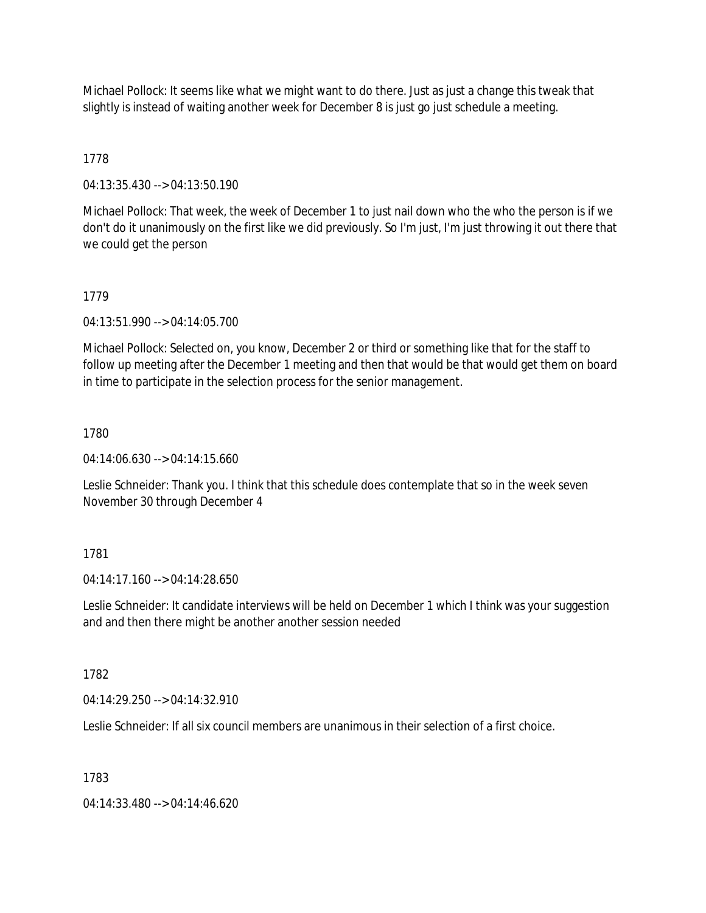Michael Pollock: It seems like what we might want to do there. Just as just a change this tweak that slightly is instead of waiting another week for December 8 is just go just schedule a meeting.

## 1778

04:13:35.430 --> 04:13:50.190

Michael Pollock: That week, the week of December 1 to just nail down who the who the person is if we don't do it unanimously on the first like we did previously. So I'm just, I'm just throwing it out there that we could get the person

### 1779

04:13:51.990 --> 04:14:05.700

Michael Pollock: Selected on, you know, December 2 or third or something like that for the staff to follow up meeting after the December 1 meeting and then that would be that would get them on board in time to participate in the selection process for the senior management.

### 1780

04:14:06.630 --> 04:14:15.660

Leslie Schneider: Thank you. I think that this schedule does contemplate that so in the week seven November 30 through December 4

### 1781

04:14:17.160 --> 04:14:28.650

Leslie Schneider: It candidate interviews will be held on December 1 which I think was your suggestion and and then there might be another another session needed

### 1782

04:14:29.250 --> 04:14:32.910

Leslie Schneider: If all six council members are unanimous in their selection of a first choice.

### 1783

04:14:33.480 --> 04:14:46.620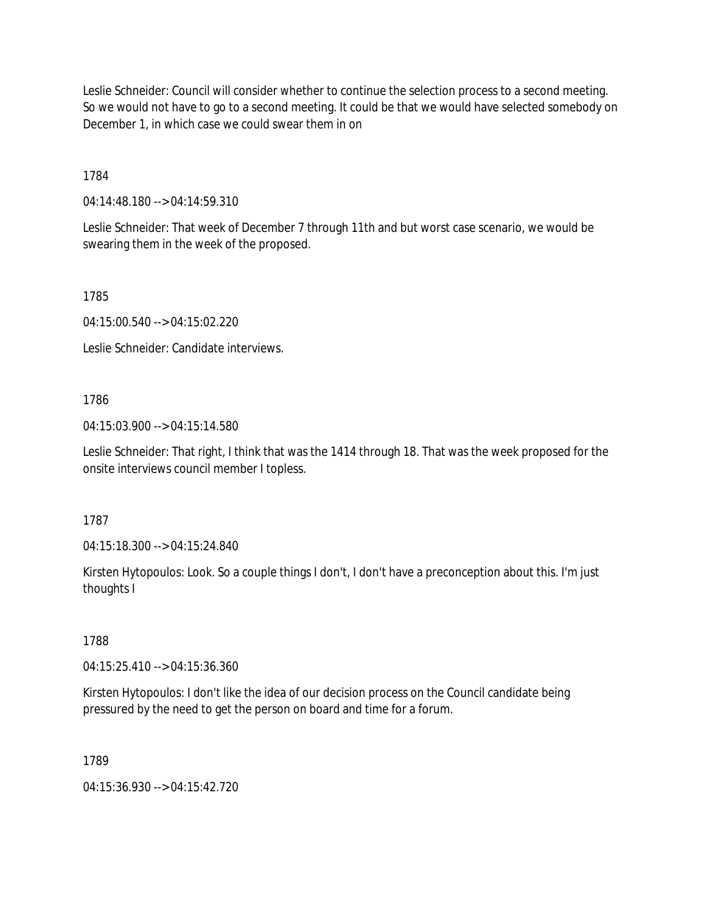Leslie Schneider: Council will consider whether to continue the selection process to a second meeting. So we would not have to go to a second meeting. It could be that we would have selected somebody on December 1, in which case we could swear them in on

1784

04:14:48.180 --> 04:14:59.310

Leslie Schneider: That week of December 7 through 11th and but worst case scenario, we would be swearing them in the week of the proposed.

1785

04:15:00.540 --> 04:15:02.220

Leslie Schneider: Candidate interviews.

#### 1786

04:15:03.900 --> 04:15:14.580

Leslie Schneider: That right, I think that was the 1414 through 18. That was the week proposed for the onsite interviews council member I topless.

1787

04:15:18.300 --> 04:15:24.840

Kirsten Hytopoulos: Look. So a couple things I don't, I don't have a preconception about this. I'm just thoughts I

1788

04:15:25.410 --> 04:15:36.360

Kirsten Hytopoulos: I don't like the idea of our decision process on the Council candidate being pressured by the need to get the person on board and time for a forum.

1789

04:15:36.930 --> 04:15:42.720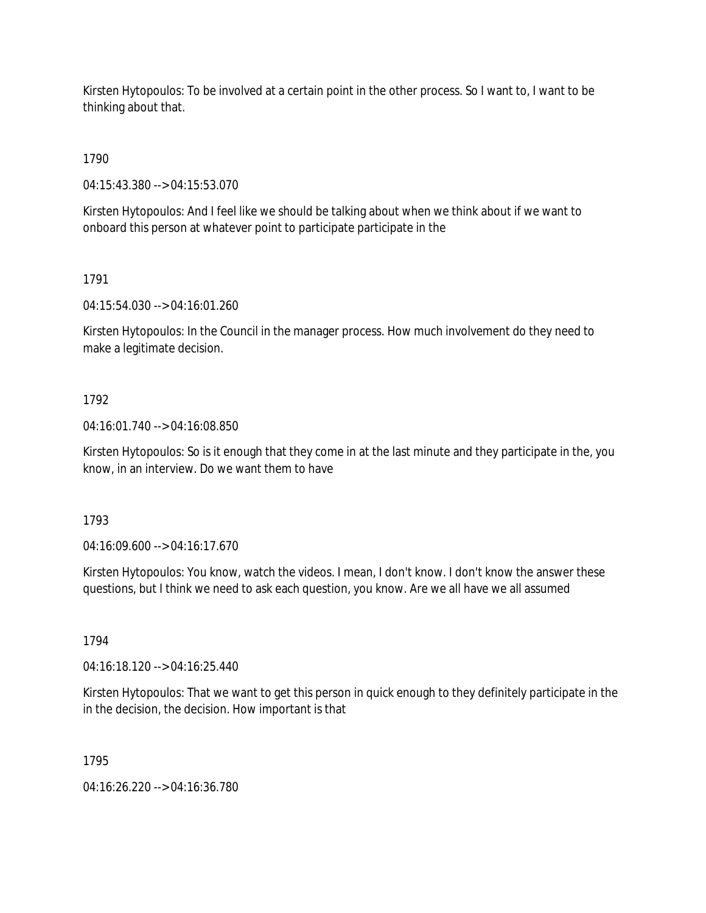Kirsten Hytopoulos: To be involved at a certain point in the other process. So I want to, I want to be thinking about that.

1790

04:15:43.380 --> 04:15:53.070

Kirsten Hytopoulos: And I feel like we should be talking about when we think about if we want to onboard this person at whatever point to participate participate in the

1791

04:15:54.030 --> 04:16:01.260

Kirsten Hytopoulos: In the Council in the manager process. How much involvement do they need to make a legitimate decision.

## 1792

04:16:01.740 --> 04:16:08.850

Kirsten Hytopoulos: So is it enough that they come in at the last minute and they participate in the, you know, in an interview. Do we want them to have

1793

04:16:09.600 --> 04:16:17.670

Kirsten Hytopoulos: You know, watch the videos. I mean, I don't know. I don't know the answer these questions, but I think we need to ask each question, you know. Are we all have we all assumed

1794

04:16:18.120 --> 04:16:25.440

Kirsten Hytopoulos: That we want to get this person in quick enough to they definitely participate in the in the decision, the decision. How important is that

1795

04:16:26.220 --> 04:16:36.780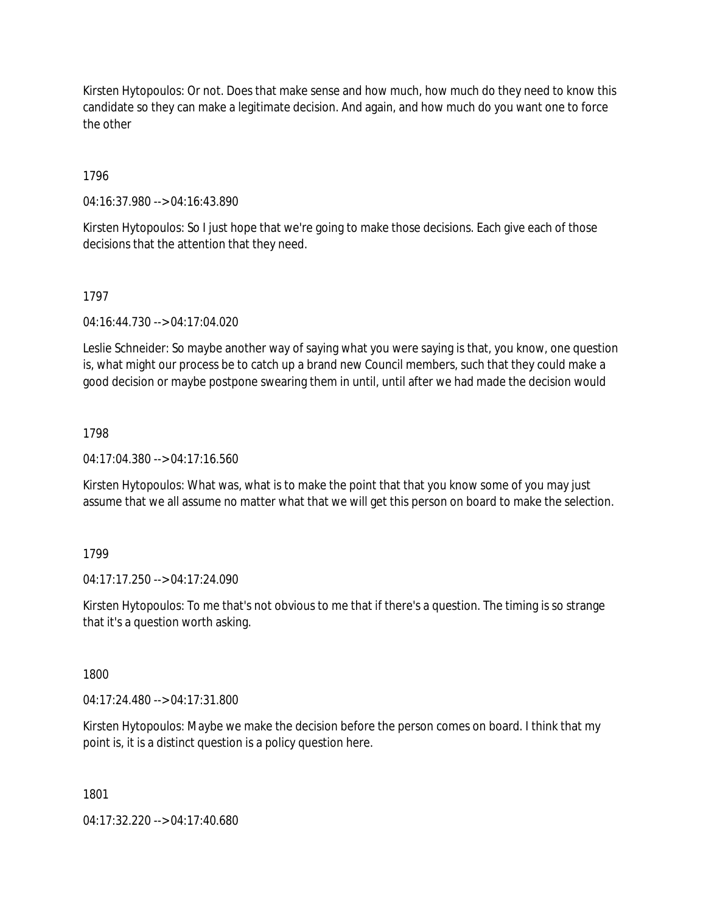Kirsten Hytopoulos: Or not. Does that make sense and how much, how much do they need to know this candidate so they can make a legitimate decision. And again, and how much do you want one to force the other

1796

04:16:37.980 --> 04:16:43.890

Kirsten Hytopoulos: So I just hope that we're going to make those decisions. Each give each of those decisions that the attention that they need.

1797

04:16:44.730 --> 04:17:04.020

Leslie Schneider: So maybe another way of saying what you were saying is that, you know, one question is, what might our process be to catch up a brand new Council members, such that they could make a good decision or maybe postpone swearing them in until, until after we had made the decision would

1798

04:17:04.380 --> 04:17:16.560

Kirsten Hytopoulos: What was, what is to make the point that that you know some of you may just assume that we all assume no matter what that we will get this person on board to make the selection.

1799

04:17:17.250 --> 04:17:24.090

Kirsten Hytopoulos: To me that's not obvious to me that if there's a question. The timing is so strange that it's a question worth asking.

1800

04:17:24.480 --> 04:17:31.800

Kirsten Hytopoulos: Maybe we make the decision before the person comes on board. I think that my point is, it is a distinct question is a policy question here.

1801

04:17:32.220 --> 04:17:40.680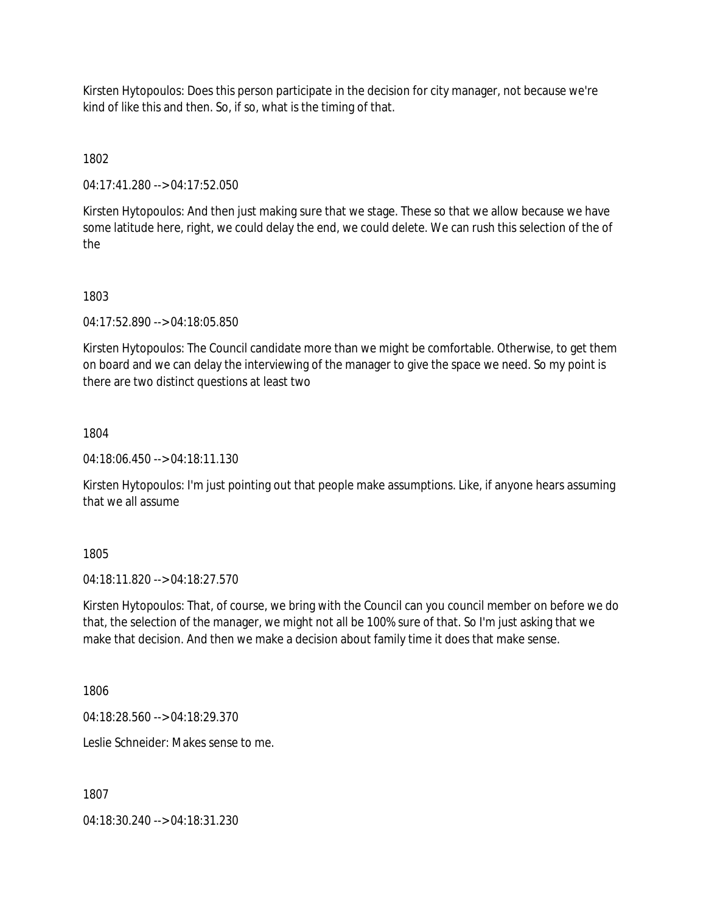Kirsten Hytopoulos: Does this person participate in the decision for city manager, not because we're kind of like this and then. So, if so, what is the timing of that.

1802

04:17:41.280 --> 04:17:52.050

Kirsten Hytopoulos: And then just making sure that we stage. These so that we allow because we have some latitude here, right, we could delay the end, we could delete. We can rush this selection of the of the

1803

04:17:52.890 --> 04:18:05.850

Kirsten Hytopoulos: The Council candidate more than we might be comfortable. Otherwise, to get them on board and we can delay the interviewing of the manager to give the space we need. So my point is there are two distinct questions at least two

1804

04:18:06.450 --> 04:18:11.130

Kirsten Hytopoulos: I'm just pointing out that people make assumptions. Like, if anyone hears assuming that we all assume

1805

04:18:11.820 --> 04:18:27.570

Kirsten Hytopoulos: That, of course, we bring with the Council can you council member on before we do that, the selection of the manager, we might not all be 100% sure of that. So I'm just asking that we make that decision. And then we make a decision about family time it does that make sense.

1806

04:18:28.560 --> 04:18:29.370

Leslie Schneider: Makes sense to me.

1807

04:18:30.240 --> 04:18:31.230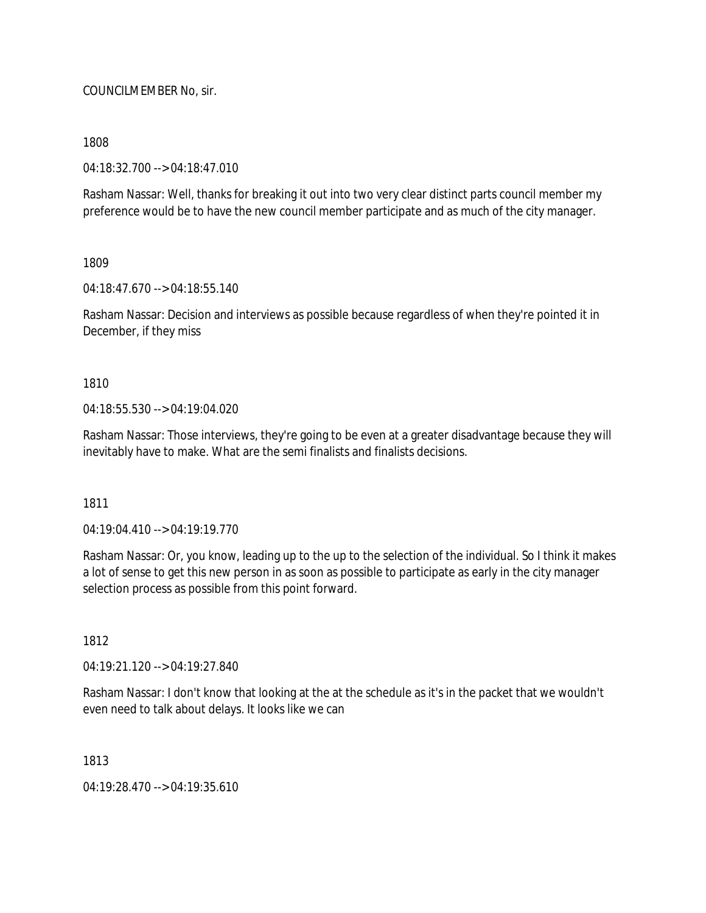#### COUNCILMEMBER No, sir.

#### 1808

04:18:32.700 --> 04:18:47.010

Rasham Nassar: Well, thanks for breaking it out into two very clear distinct parts council member my preference would be to have the new council member participate and as much of the city manager.

### 1809

04:18:47.670 --> 04:18:55.140

Rasham Nassar: Decision and interviews as possible because regardless of when they're pointed it in December, if they miss

### 1810

04:18:55.530 --> 04:19:04.020

Rasham Nassar: Those interviews, they're going to be even at a greater disadvantage because they will inevitably have to make. What are the semi finalists and finalists decisions.

### 1811

04:19:04.410 --> 04:19:19.770

Rasham Nassar: Or, you know, leading up to the up to the selection of the individual. So I think it makes a lot of sense to get this new person in as soon as possible to participate as early in the city manager selection process as possible from this point forward.

### 1812

04:19:21.120 --> 04:19:27.840

Rasham Nassar: I don't know that looking at the at the schedule as it's in the packet that we wouldn't even need to talk about delays. It looks like we can

### 1813

04:19:28.470 --> 04:19:35.610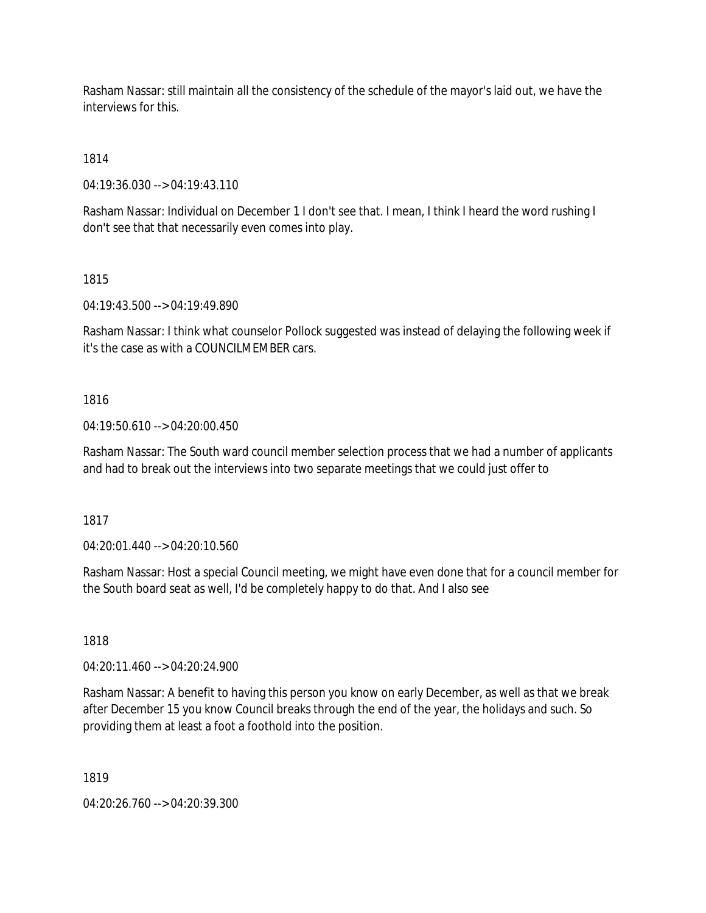Rasham Nassar: still maintain all the consistency of the schedule of the mayor's laid out, we have the interviews for this.

1814

04:19:36.030 --> 04:19:43.110

Rasham Nassar: Individual on December 1 I don't see that. I mean, I think I heard the word rushing I don't see that that necessarily even comes into play.

1815

04:19:43.500 --> 04:19:49.890

Rasham Nassar: I think what counselor Pollock suggested was instead of delaying the following week if it's the case as with a COUNCILMEMBER cars.

## 1816

04:19:50.610 --> 04:20:00.450

Rasham Nassar: The South ward council member selection process that we had a number of applicants and had to break out the interviews into two separate meetings that we could just offer to

1817

04:20:01.440 --> 04:20:10.560

Rasham Nassar: Host a special Council meeting, we might have even done that for a council member for the South board seat as well, I'd be completely happy to do that. And I also see

1818

04:20:11.460 --> 04:20:24.900

Rasham Nassar: A benefit to having this person you know on early December, as well as that we break after December 15 you know Council breaks through the end of the year, the holidays and such. So providing them at least a foot a foothold into the position.

1819

04:20:26.760 --> 04:20:39.300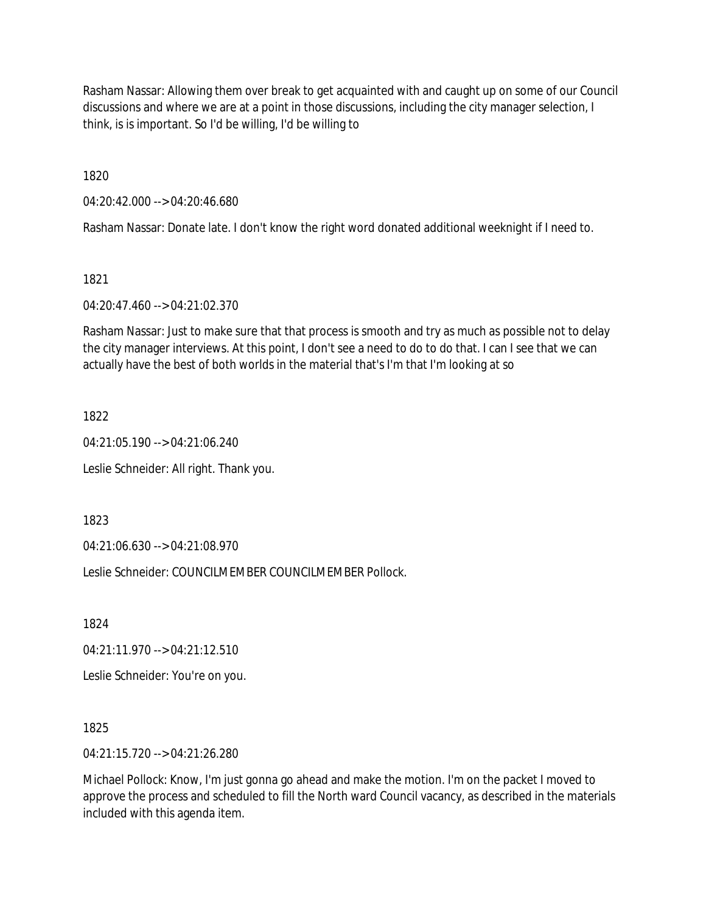Rasham Nassar: Allowing them over break to get acquainted with and caught up on some of our Council discussions and where we are at a point in those discussions, including the city manager selection, I think, is is important. So I'd be willing, I'd be willing to

1820

04:20:42.000 --> 04:20:46.680

Rasham Nassar: Donate late. I don't know the right word donated additional weeknight if I need to.

1821

04:20:47.460 --> 04:21:02.370

Rasham Nassar: Just to make sure that that process is smooth and try as much as possible not to delay the city manager interviews. At this point, I don't see a need to do to do that. I can I see that we can actually have the best of both worlds in the material that's I'm that I'm looking at so

1822

04:21:05.190 --> 04:21:06.240

Leslie Schneider: All right. Thank you.

1823

04:21:06.630 --> 04:21:08.970

Leslie Schneider: COUNCILMEMBER COUNCILMEMBER Pollock.

1824

04:21:11.970 --> 04:21:12.510

Leslie Schneider: You're on you.

1825

04:21:15.720 --> 04:21:26.280

Michael Pollock: Know, I'm just gonna go ahead and make the motion. I'm on the packet I moved to approve the process and scheduled to fill the North ward Council vacancy, as described in the materials included with this agenda item.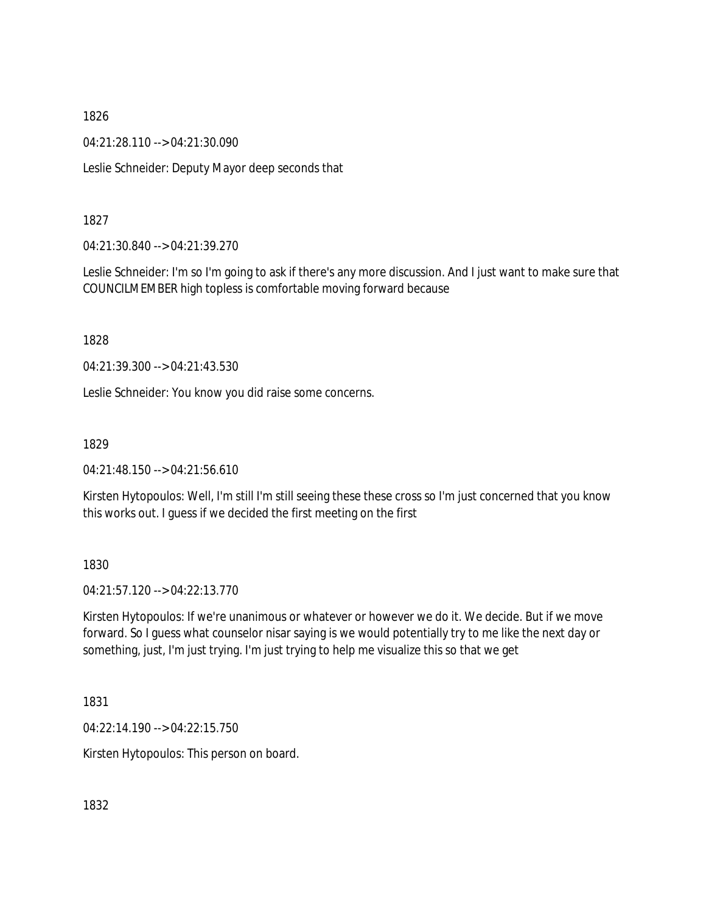04:21:28.110 --> 04:21:30.090

Leslie Schneider: Deputy Mayor deep seconds that

1827

04:21:30.840 --> 04:21:39.270

Leslie Schneider: I'm so I'm going to ask if there's any more discussion. And I just want to make sure that COUNCILMEMBER high topless is comfortable moving forward because

1828

04:21:39.300 --> 04:21:43.530

Leslie Schneider: You know you did raise some concerns.

1829

04:21:48.150 --> 04:21:56.610

Kirsten Hytopoulos: Well, I'm still I'm still seeing these these cross so I'm just concerned that you know this works out. I guess if we decided the first meeting on the first

1830

04:21:57.120 --> 04:22:13.770

Kirsten Hytopoulos: If we're unanimous or whatever or however we do it. We decide. But if we move forward. So I guess what counselor nisar saying is we would potentially try to me like the next day or something, just, I'm just trying. I'm just trying to help me visualize this so that we get

1831

04:22:14.190 --> 04:22:15.750

Kirsten Hytopoulos: This person on board.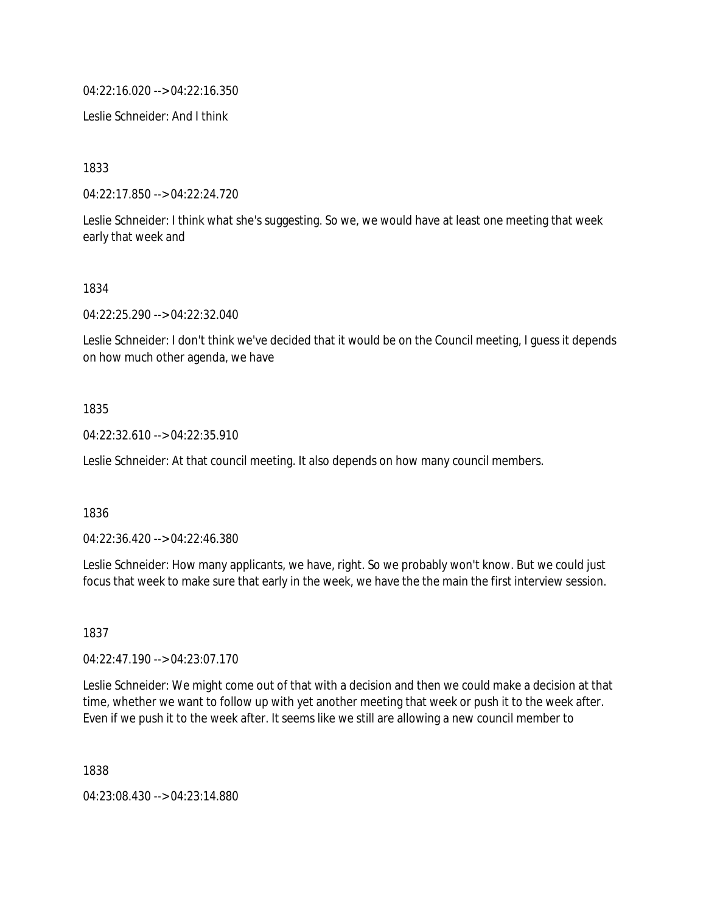04:22:16.020 --> 04:22:16.350

Leslie Schneider: And I think

1833

04:22:17.850 --> 04:22:24.720

Leslie Schneider: I think what she's suggesting. So we, we would have at least one meeting that week early that week and

#### 1834

04:22:25.290 --> 04:22:32.040

Leslie Schneider: I don't think we've decided that it would be on the Council meeting, I guess it depends on how much other agenda, we have

## 1835

04:22:32.610 --> 04:22:35.910

Leslie Schneider: At that council meeting. It also depends on how many council members.

#### 1836

04:22:36.420 --> 04:22:46.380

Leslie Schneider: How many applicants, we have, right. So we probably won't know. But we could just focus that week to make sure that early in the week, we have the the main the first interview session.

## 1837

04:22:47.190 --> 04:23:07.170

Leslie Schneider: We might come out of that with a decision and then we could make a decision at that time, whether we want to follow up with yet another meeting that week or push it to the week after. Even if we push it to the week after. It seems like we still are allowing a new council member to

1838

04:23:08.430 --> 04:23:14.880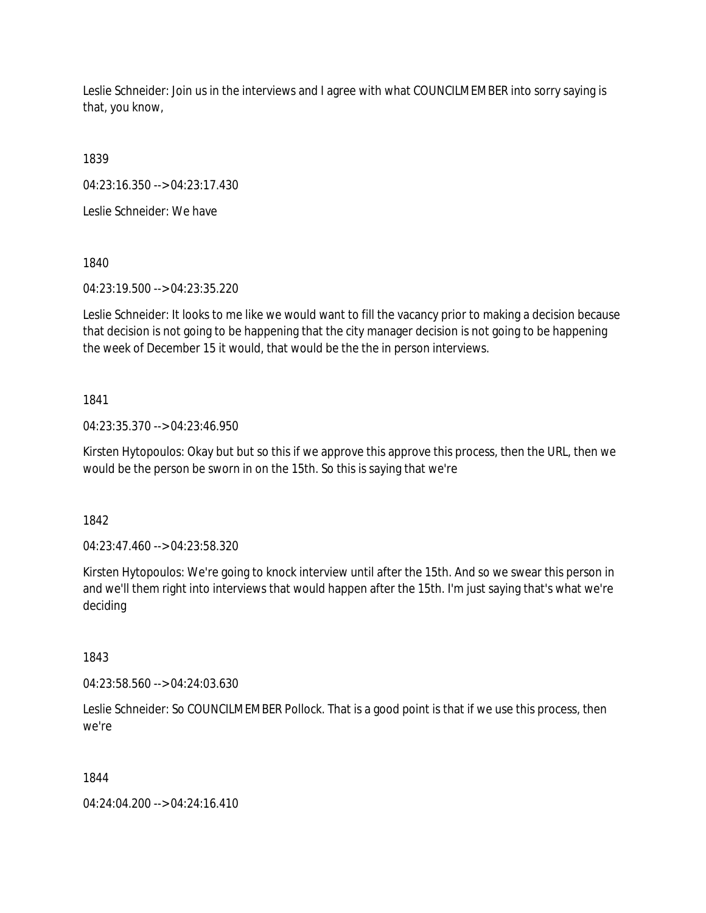Leslie Schneider: Join us in the interviews and I agree with what COUNCILMEMBER into sorry saying is that, you know,

1839

04:23:16.350 --> 04:23:17.430

Leslie Schneider: We have

1840

04:23:19.500 --> 04:23:35.220

Leslie Schneider: It looks to me like we would want to fill the vacancy prior to making a decision because that decision is not going to be happening that the city manager decision is not going to be happening the week of December 15 it would, that would be the the in person interviews.

# 1841

04:23:35.370 --> 04:23:46.950

Kirsten Hytopoulos: Okay but but so this if we approve this approve this process, then the URL, then we would be the person be sworn in on the 15th. So this is saying that we're

1842

04:23:47.460 --> 04:23:58.320

Kirsten Hytopoulos: We're going to knock interview until after the 15th. And so we swear this person in and we'll them right into interviews that would happen after the 15th. I'm just saying that's what we're deciding

1843

04:23:58.560 --> 04:24:03.630

Leslie Schneider: So COUNCILMEMBER Pollock. That is a good point is that if we use this process, then we're

1844

04:24:04.200 --> 04:24:16.410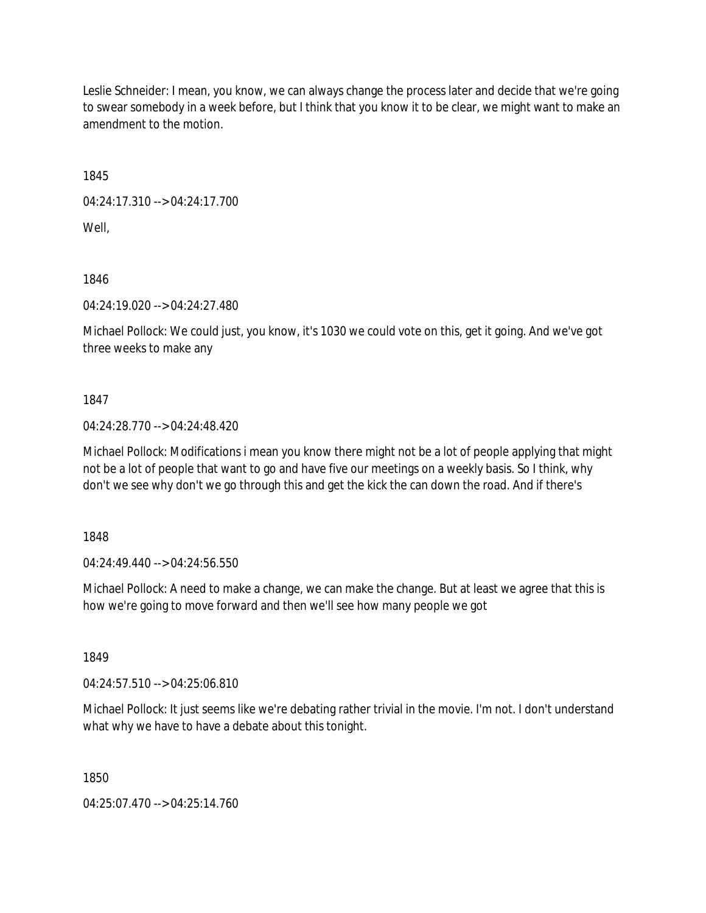Leslie Schneider: I mean, you know, we can always change the process later and decide that we're going to swear somebody in a week before, but I think that you know it to be clear, we might want to make an amendment to the motion.

1845

04:24:17.310 --> 04:24:17.700 Well,

1846

04:24:19.020 --> 04:24:27.480

Michael Pollock: We could just, you know, it's 1030 we could vote on this, get it going. And we've got three weeks to make any

# 1847

04:24:28.770 --> 04:24:48.420

Michael Pollock: Modifications i mean you know there might not be a lot of people applying that might not be a lot of people that want to go and have five our meetings on a weekly basis. So I think, why don't we see why don't we go through this and get the kick the can down the road. And if there's

1848

04:24:49.440 --> 04:24:56.550

Michael Pollock: A need to make a change, we can make the change. But at least we agree that this is how we're going to move forward and then we'll see how many people we got

1849

04:24:57.510 --> 04:25:06.810

Michael Pollock: It just seems like we're debating rather trivial in the movie. I'm not. I don't understand what why we have to have a debate about this tonight.

1850

04:25:07.470 --> 04:25:14.760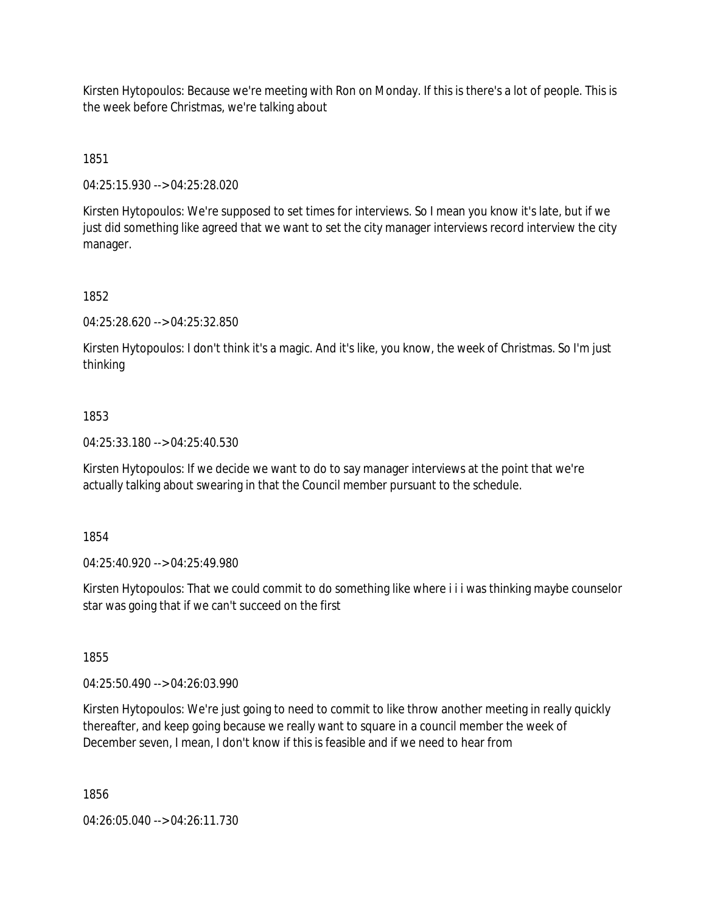Kirsten Hytopoulos: Because we're meeting with Ron on Monday. If this is there's a lot of people. This is the week before Christmas, we're talking about

1851

04:25:15.930 --> 04:25:28.020

Kirsten Hytopoulos: We're supposed to set times for interviews. So I mean you know it's late, but if we just did something like agreed that we want to set the city manager interviews record interview the city manager.

1852

04:25:28.620 --> 04:25:32.850

Kirsten Hytopoulos: I don't think it's a magic. And it's like, you know, the week of Christmas. So I'm just thinking

1853

04:25:33.180 --> 04:25:40.530

Kirsten Hytopoulos: If we decide we want to do to say manager interviews at the point that we're actually talking about swearing in that the Council member pursuant to the schedule.

1854

04:25:40.920 --> 04:25:49.980

Kirsten Hytopoulos: That we could commit to do something like where i i i was thinking maybe counselor star was going that if we can't succeed on the first

1855

04:25:50.490 --> 04:26:03.990

Kirsten Hytopoulos: We're just going to need to commit to like throw another meeting in really quickly thereafter, and keep going because we really want to square in a council member the week of December seven, I mean, I don't know if this is feasible and if we need to hear from

1856

04:26:05.040 --> 04:26:11.730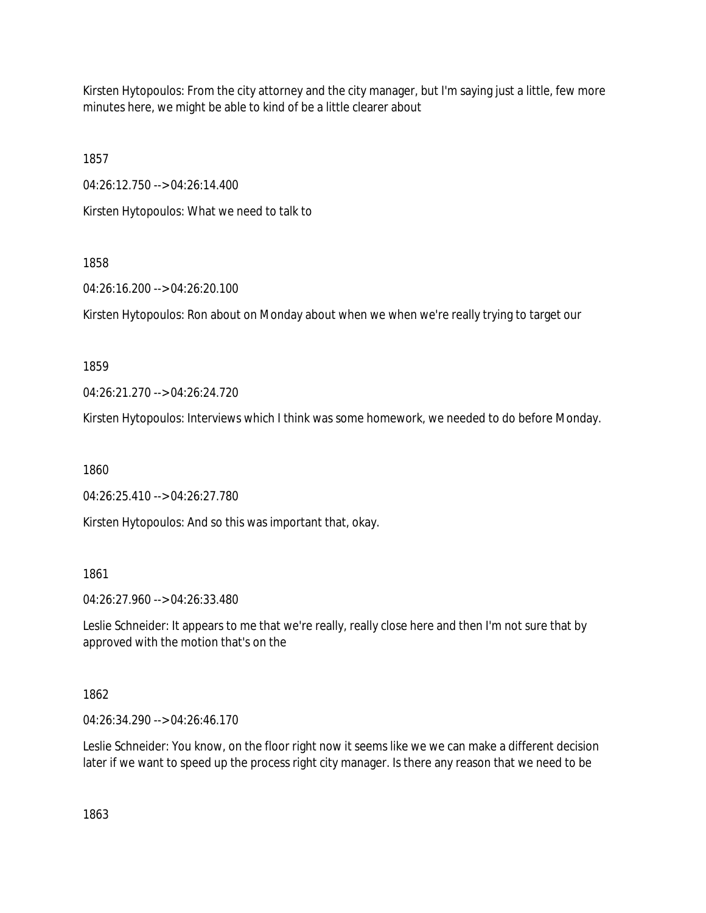Kirsten Hytopoulos: From the city attorney and the city manager, but I'm saying just a little, few more minutes here, we might be able to kind of be a little clearer about

1857

04:26:12.750 --> 04:26:14.400

Kirsten Hytopoulos: What we need to talk to

# 1858

04:26:16.200 --> 04:26:20.100

Kirsten Hytopoulos: Ron about on Monday about when we when we're really trying to target our

1859

04:26:21.270 --> 04:26:24.720

Kirsten Hytopoulos: Interviews which I think was some homework, we needed to do before Monday.

1860

04:26:25.410 --> 04:26:27.780

Kirsten Hytopoulos: And so this was important that, okay.

1861

04:26:27.960 --> 04:26:33.480

Leslie Schneider: It appears to me that we're really, really close here and then I'm not sure that by approved with the motion that's on the

1862

04:26:34.290 --> 04:26:46.170

Leslie Schneider: You know, on the floor right now it seems like we we can make a different decision later if we want to speed up the process right city manager. Is there any reason that we need to be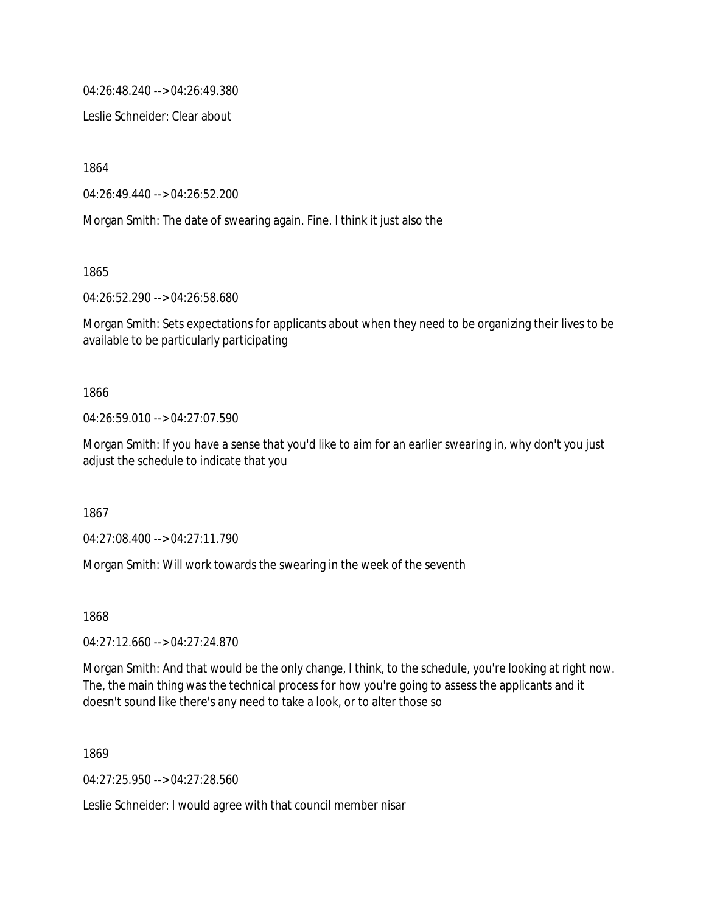04:26:48.240 --> 04:26:49.380

Leslie Schneider: Clear about

1864

04:26:49.440 --> 04:26:52.200

Morgan Smith: The date of swearing again. Fine. I think it just also the

1865

04:26:52.290 --> 04:26:58.680

Morgan Smith: Sets expectations for applicants about when they need to be organizing their lives to be available to be particularly participating

1866

04:26:59.010 --> 04:27:07.590

Morgan Smith: If you have a sense that you'd like to aim for an earlier swearing in, why don't you just adjust the schedule to indicate that you

1867

04:27:08.400 --> 04:27:11.790

Morgan Smith: Will work towards the swearing in the week of the seventh

1868

04:27:12.660 --> 04:27:24.870

Morgan Smith: And that would be the only change, I think, to the schedule, you're looking at right now. The, the main thing was the technical process for how you're going to assess the applicants and it doesn't sound like there's any need to take a look, or to alter those so

1869

04:27:25.950 --> 04:27:28.560

Leslie Schneider: I would agree with that council member nisar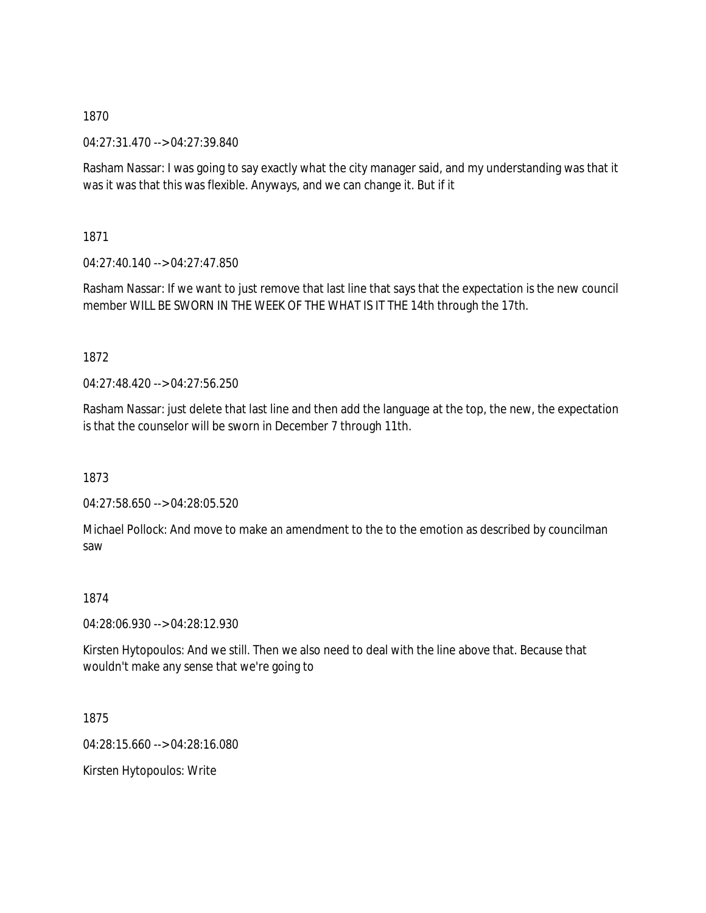04:27:31.470 --> 04:27:39.840

Rasham Nassar: I was going to say exactly what the city manager said, and my understanding was that it was it was that this was flexible. Anyways, and we can change it. But if it

1871

04:27:40.140 --> 04:27:47.850

Rasham Nassar: If we want to just remove that last line that says that the expectation is the new council member WILL BE SWORN IN THE WEEK OF THE WHAT IS IT THE 14th through the 17th.

1872

04:27:48.420 --> 04:27:56.250

Rasham Nassar: just delete that last line and then add the language at the top, the new, the expectation is that the counselor will be sworn in December 7 through 11th.

1873

04:27:58.650 --> 04:28:05.520

Michael Pollock: And move to make an amendment to the to the emotion as described by councilman saw

## 1874

04:28:06.930 --> 04:28:12.930

Kirsten Hytopoulos: And we still. Then we also need to deal with the line above that. Because that wouldn't make any sense that we're going to

1875

04:28:15.660 --> 04:28:16.080

Kirsten Hytopoulos: Write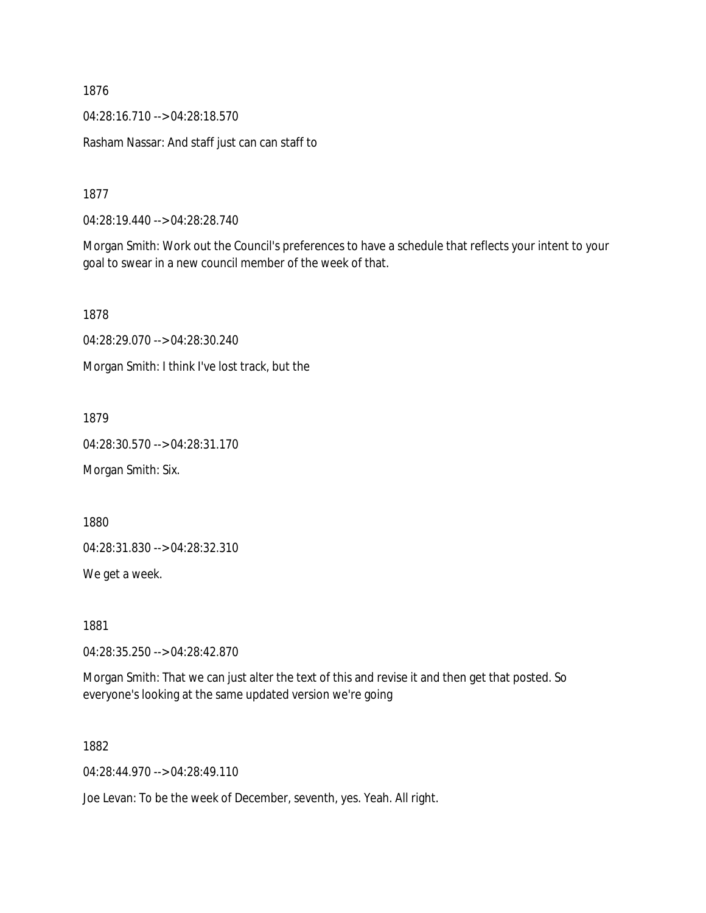04:28:16.710 --> 04:28:18.570

Rasham Nassar: And staff just can can staff to

1877

04:28:19.440 --> 04:28:28.740

Morgan Smith: Work out the Council's preferences to have a schedule that reflects your intent to your goal to swear in a new council member of the week of that.

1878

04:28:29.070 --> 04:28:30.240

Morgan Smith: I think I've lost track, but the

1879

04:28:30.570 --> 04:28:31.170

Morgan Smith: Six.

1880

04:28:31.830 --> 04:28:32.310

We get a week.

1881

04:28:35.250 --> 04:28:42.870

Morgan Smith: That we can just alter the text of this and revise it and then get that posted. So everyone's looking at the same updated version we're going

1882

04:28:44.970 --> 04:28:49.110

Joe Levan: To be the week of December, seventh, yes. Yeah. All right.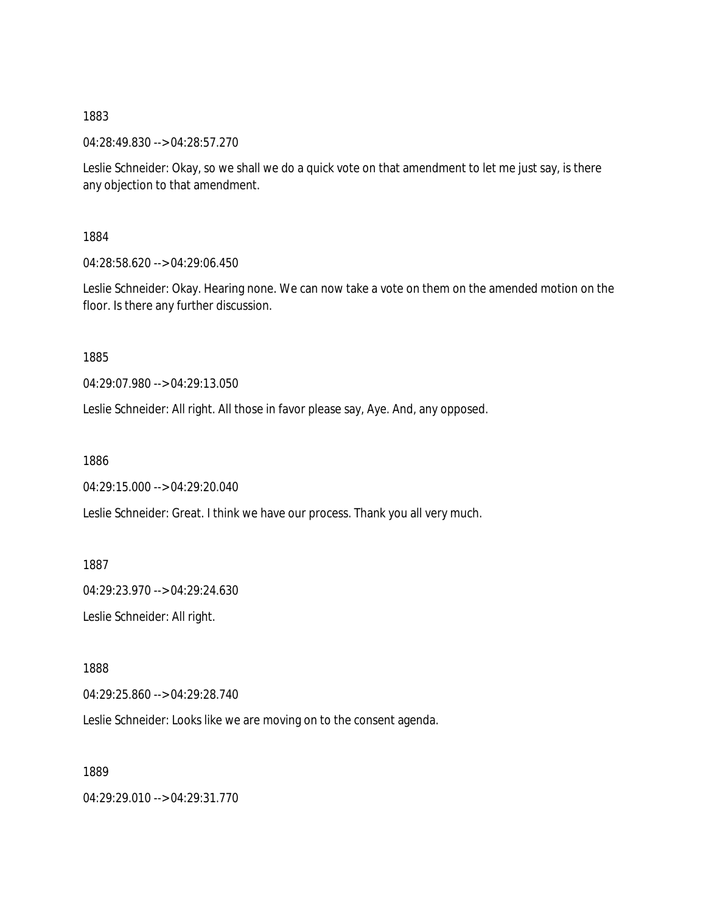04:28:49.830 --> 04:28:57.270

Leslie Schneider: Okay, so we shall we do a quick vote on that amendment to let me just say, is there any objection to that amendment.

1884

04:28:58.620 --> 04:29:06.450

Leslie Schneider: Okay. Hearing none. We can now take a vote on them on the amended motion on the floor. Is there any further discussion.

1885

04:29:07.980 --> 04:29:13.050

Leslie Schneider: All right. All those in favor please say, Aye. And, any opposed.

1886

04:29:15.000 --> 04:29:20.040

Leslie Schneider: Great. I think we have our process. Thank you all very much.

1887

04:29:23.970 --> 04:29:24.630

Leslie Schneider: All right.

1888

04:29:25.860 --> 04:29:28.740

Leslie Schneider: Looks like we are moving on to the consent agenda.

1889

04:29:29.010 --> 04:29:31.770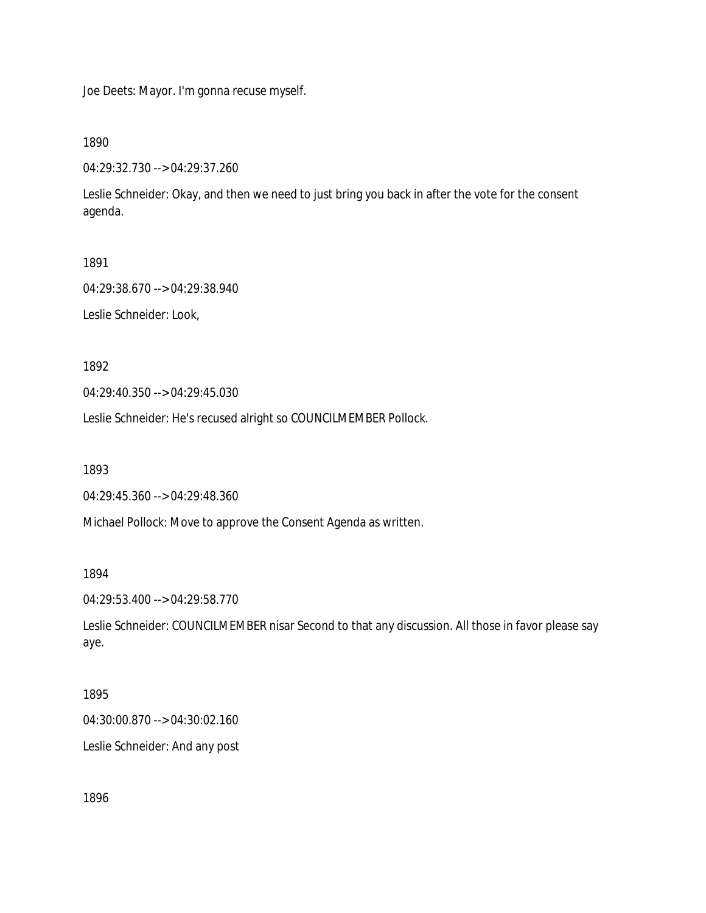Joe Deets: Mayor. I'm gonna recuse myself.

1890

04:29:32.730 --> 04:29:37.260

Leslie Schneider: Okay, and then we need to just bring you back in after the vote for the consent agenda.

1891

04:29:38.670 --> 04:29:38.940

Leslie Schneider: Look,

1892

04:29:40.350 --> 04:29:45.030

Leslie Schneider: He's recused alright so COUNCILMEMBER Pollock.

1893

04:29:45.360 --> 04:29:48.360

Michael Pollock: Move to approve the Consent Agenda as written.

1894

04:29:53.400 --> 04:29:58.770

Leslie Schneider: COUNCILMEMBER nisar Second to that any discussion. All those in favor please say aye.

1895

04:30:00.870 --> 04:30:02.160

Leslie Schneider: And any post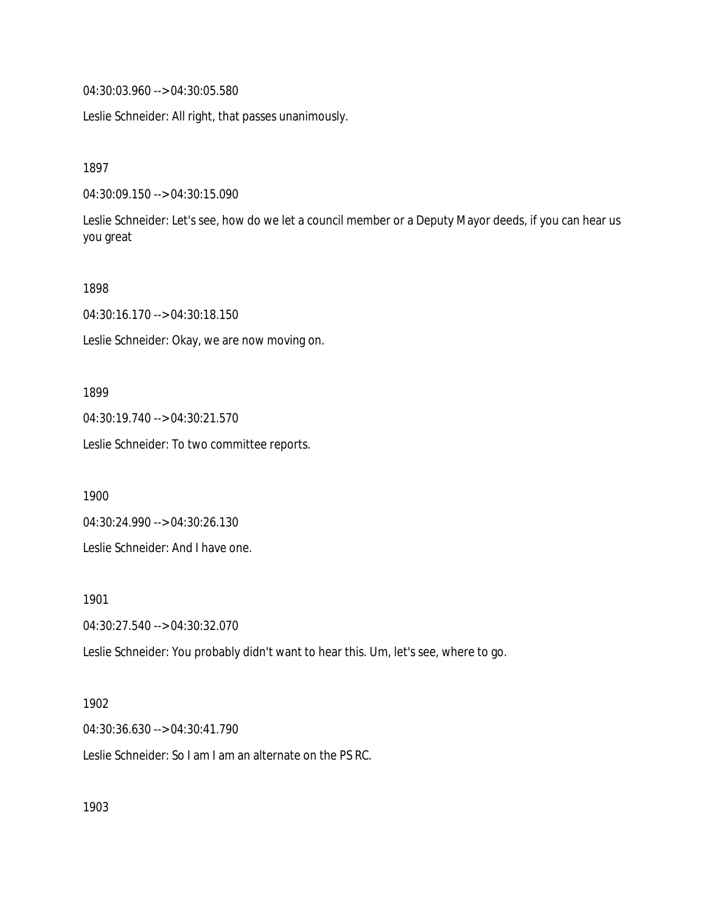04:30:03.960 --> 04:30:05.580

Leslie Schneider: All right, that passes unanimously.

1897

04:30:09.150 --> 04:30:15.090

Leslie Schneider: Let's see, how do we let a council member or a Deputy Mayor deeds, if you can hear us you great

#### 1898

04:30:16.170 --> 04:30:18.150

Leslie Schneider: Okay, we are now moving on.

#### 1899

04:30:19.740 --> 04:30:21.570

Leslie Schneider: To two committee reports.

1900

04:30:24.990 --> 04:30:26.130

Leslie Schneider: And I have one.

1901

04:30:27.540 --> 04:30:32.070

Leslie Schneider: You probably didn't want to hear this. Um, let's see, where to go.

#### 1902

04:30:36.630 --> 04:30:41.790

Leslie Schneider: So I am I am an alternate on the PS RC.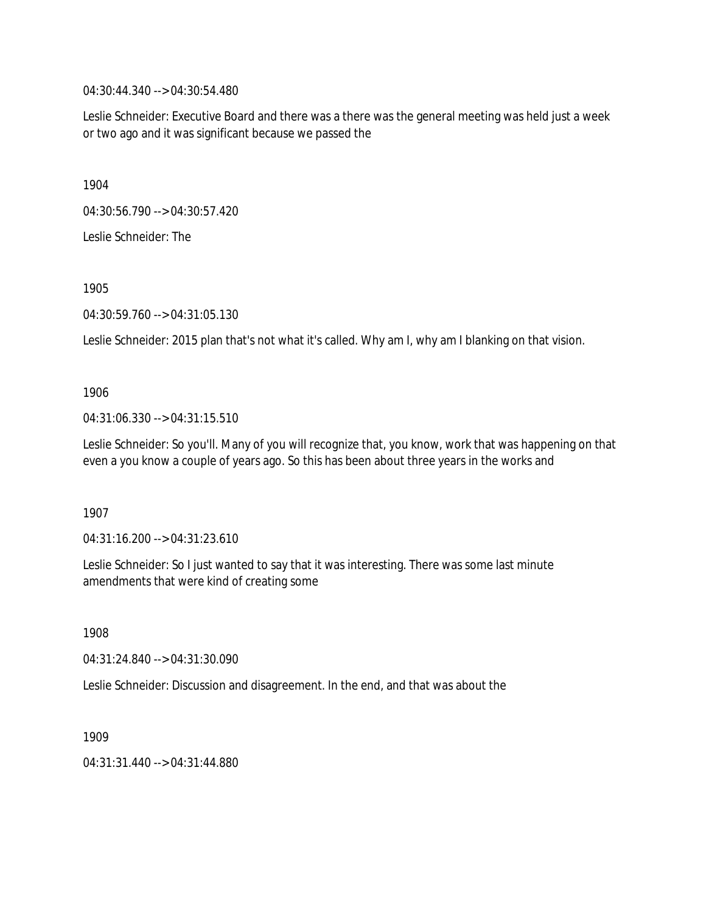04:30:44.340 --> 04:30:54.480

Leslie Schneider: Executive Board and there was a there was the general meeting was held just a week or two ago and it was significant because we passed the

1904

04:30:56.790 --> 04:30:57.420

Leslie Schneider: The

1905

04:30:59.760 --> 04:31:05.130

Leslie Schneider: 2015 plan that's not what it's called. Why am I, why am I blanking on that vision.

1906

04:31:06.330 --> 04:31:15.510

Leslie Schneider: So you'll. Many of you will recognize that, you know, work that was happening on that even a you know a couple of years ago. So this has been about three years in the works and

1907

04:31:16.200 --> 04:31:23.610

Leslie Schneider: So I just wanted to say that it was interesting. There was some last minute amendments that were kind of creating some

1908

04:31:24.840 --> 04:31:30.090

Leslie Schneider: Discussion and disagreement. In the end, and that was about the

1909

04:31:31.440 --> 04:31:44.880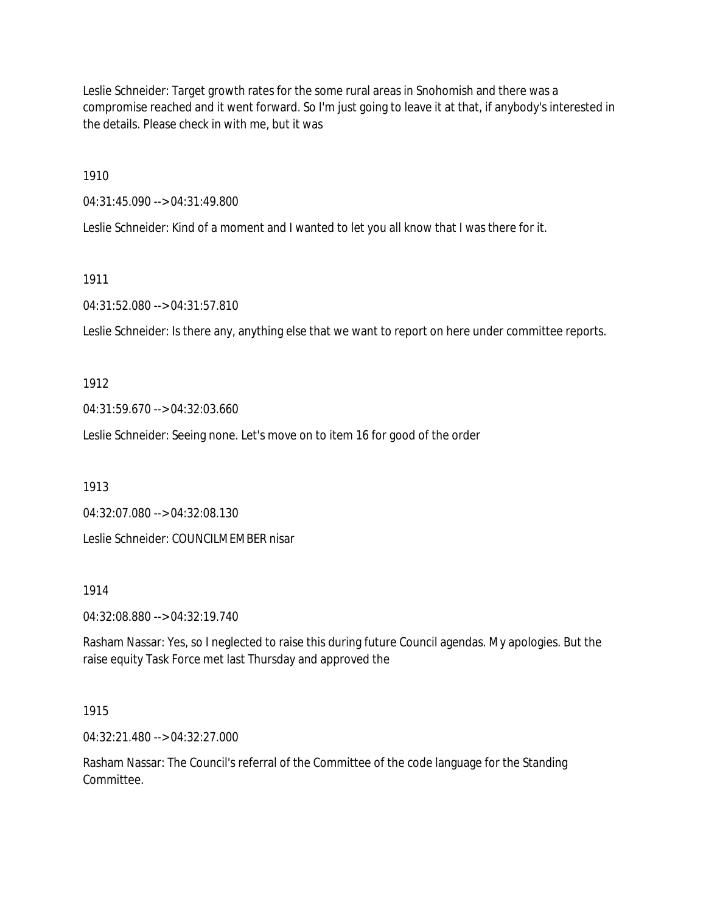Leslie Schneider: Target growth rates for the some rural areas in Snohomish and there was a compromise reached and it went forward. So I'm just going to leave it at that, if anybody's interested in the details. Please check in with me, but it was

1910

04:31:45.090 --> 04:31:49.800

Leslie Schneider: Kind of a moment and I wanted to let you all know that I was there for it.

1911

04:31:52.080 --> 04:31:57.810

Leslie Schneider: Is there any, anything else that we want to report on here under committee reports.

1912

04:31:59.670 --> 04:32:03.660

Leslie Schneider: Seeing none. Let's move on to item 16 for good of the order

1913

04:32:07.080 --> 04:32:08.130

Leslie Schneider: COUNCILMEMBER nisar

1914

04:32:08.880 --> 04:32:19.740

Rasham Nassar: Yes, so I neglected to raise this during future Council agendas. My apologies. But the raise equity Task Force met last Thursday and approved the

1915

04:32:21.480 --> 04:32:27.000

Rasham Nassar: The Council's referral of the Committee of the code language for the Standing Committee.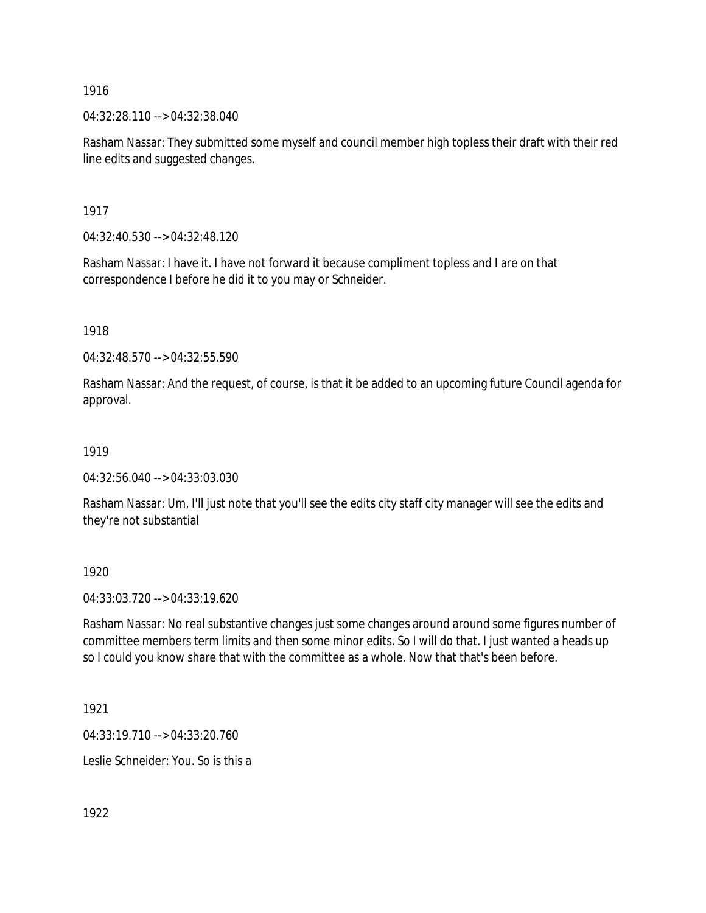04:32:28.110 --> 04:32:38.040

Rasham Nassar: They submitted some myself and council member high topless their draft with their red line edits and suggested changes.

1917

04:32:40.530 --> 04:32:48.120

Rasham Nassar: I have it. I have not forward it because compliment topless and I are on that correspondence I before he did it to you may or Schneider.

1918

04:32:48.570 --> 04:32:55.590

Rasham Nassar: And the request, of course, is that it be added to an upcoming future Council agenda for approval.

## 1919

04:32:56.040 --> 04:33:03.030

Rasham Nassar: Um, I'll just note that you'll see the edits city staff city manager will see the edits and they're not substantial

1920

04:33:03.720 --> 04:33:19.620

Rasham Nassar: No real substantive changes just some changes around around some figures number of committee members term limits and then some minor edits. So I will do that. I just wanted a heads up so I could you know share that with the committee as a whole. Now that that's been before.

1921

04:33:19.710 --> 04:33:20.760

Leslie Schneider: You. So is this a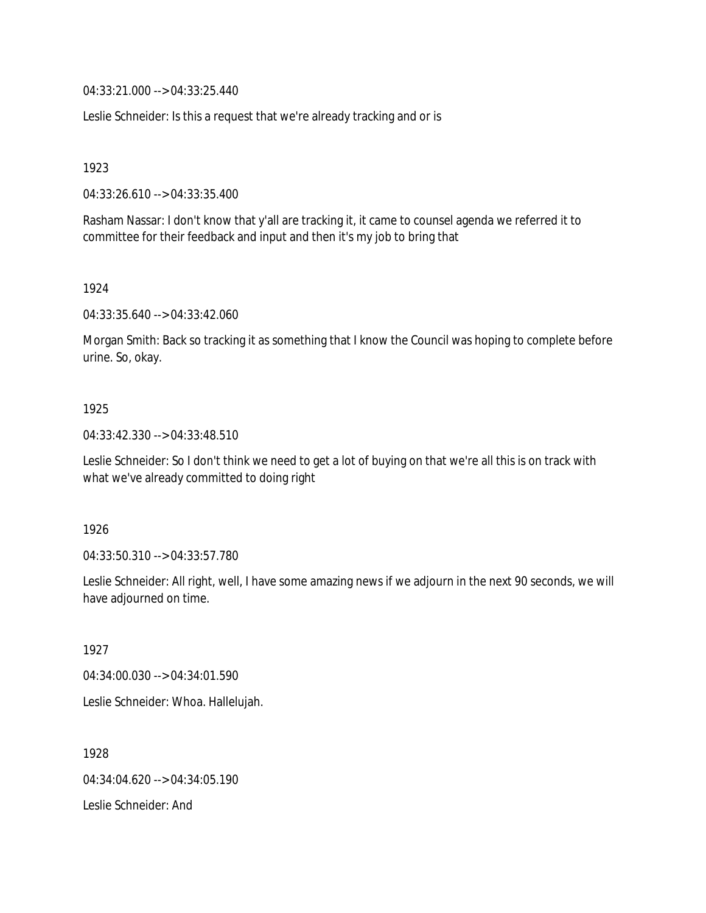04:33:21.000 --> 04:33:25.440

Leslie Schneider: Is this a request that we're already tracking and or is

1923

04:33:26.610 --> 04:33:35.400

Rasham Nassar: I don't know that y'all are tracking it, it came to counsel agenda we referred it to committee for their feedback and input and then it's my job to bring that

1924

04:33:35.640 --> 04:33:42.060

Morgan Smith: Back so tracking it as something that I know the Council was hoping to complete before urine. So, okay.

## 1925

04:33:42.330 --> 04:33:48.510

Leslie Schneider: So I don't think we need to get a lot of buying on that we're all this is on track with what we've already committed to doing right

1926

04:33:50.310 --> 04:33:57.780

Leslie Schneider: All right, well, I have some amazing news if we adjourn in the next 90 seconds, we will have adjourned on time.

1927

04:34:00.030 --> 04:34:01.590

Leslie Schneider: Whoa. Hallelujah.

1928 04:34:04.620 --> 04:34:05.190 Leslie Schneider: And